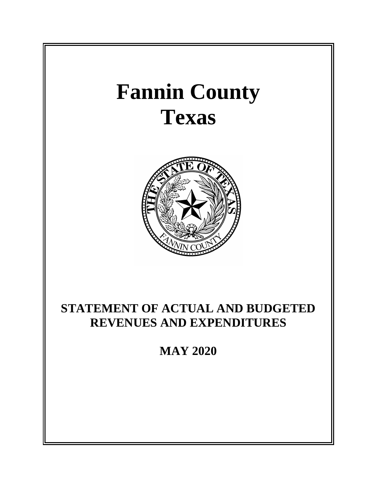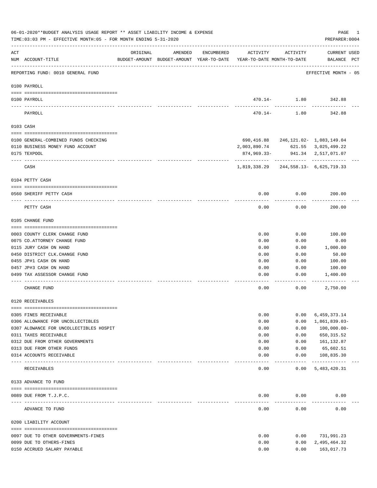|     | 06-01-2020**BUDGET ANALYSIS USAGE REPORT ** ASSET LIABILITY INCOME & EXPENSE<br>TIME: 03:03 PM - EFFECTIVE MONTH: 05 - FOR MONTH ENDING 5-31-2020 |                                                                                 |         |            |                             |                    | PAGE<br>PREPARER: 0004                     | 1 |
|-----|---------------------------------------------------------------------------------------------------------------------------------------------------|---------------------------------------------------------------------------------|---------|------------|-----------------------------|--------------------|--------------------------------------------|---|
| ACT | NUM ACCOUNT-TITLE                                                                                                                                 | ORIGINAL<br>BUDGET-AMOUNT BUDGET-AMOUNT YEAR-TO-DATE YEAR-TO-DATE MONTH-TO-DATE | AMENDED | ENCUMBERED | ACTIVITY                    | ACTIVITY           | CURRENT USED<br>BALANCE PCT                |   |
|     | REPORTING FUND: 0010 GENERAL FUND                                                                                                                 |                                                                                 |         |            |                             |                    | EFFECTIVE MONTH - 05                       |   |
|     | 0100 PAYROLL                                                                                                                                      |                                                                                 |         |            |                             |                    |                                            |   |
|     | 0100 PAYROLL                                                                                                                                      |                                                                                 |         |            |                             |                    | 470.14- 1.80 342.88                        |   |
|     | ----- ----<br>PAYROLL                                                                                                                             |                                                                                 |         |            | $470.14-$                   | 1.80               | 342.88                                     |   |
|     | 0103 CASH                                                                                                                                         |                                                                                 |         |            |                             |                    |                                            |   |
|     |                                                                                                                                                   |                                                                                 |         |            |                             |                    |                                            |   |
|     | 0100 GENERAL-COMBINED FUNDS CHECKING                                                                                                              |                                                                                 |         |            |                             |                    | 690, 416.88 246, 121.02- 1, 083, 149.04    |   |
|     | 0110 BUSINESS MONEY FUND ACCOUNT<br>0175 TEXPOOL                                                                                                  |                                                                                 |         |            | 2,003,890.74<br>874,969.33- |                    | 621.55 3,025,499.22<br>941.34 2,517,071.07 |   |
|     | CASH                                                                                                                                              |                                                                                 |         |            | 1,819,338.29                |                    | 244, 558. 13 - 6, 625, 719. 33             |   |
|     | 0104 PETTY CASH                                                                                                                                   |                                                                                 |         |            |                             |                    |                                            |   |
|     | 0560 SHERIFF PETTY CASH                                                                                                                           |                                                                                 |         |            | 0.00                        | 0.00               | 200.00                                     |   |
|     | PETTY CASH                                                                                                                                        |                                                                                 |         |            | 0.00                        | 0.00               | 200.00                                     |   |
|     | 0105 CHANGE FUND                                                                                                                                  |                                                                                 |         |            |                             |                    |                                            |   |
|     |                                                                                                                                                   |                                                                                 |         |            |                             |                    |                                            |   |
|     | 0003 COUNTY CLERK CHANGE FUND                                                                                                                     |                                                                                 |         |            | 0.00                        | 0.00               | 100.00                                     |   |
|     | 0075 CO. ATTORNEY CHANGE FUND                                                                                                                     |                                                                                 |         |            | 0.00                        | 0.00               | 0.00                                       |   |
|     | 0115 JURY CASH ON HAND                                                                                                                            |                                                                                 |         |            | 0.00                        | 0.00               | 1,000.00                                   |   |
|     | 0450 DISTRICT CLK. CHANGE FUND                                                                                                                    |                                                                                 |         |            | 0.00                        | 0.00               | 50.00                                      |   |
|     | 0455 JP#1 CASH ON HAND<br>0457 JP#3 CASH ON HAND                                                                                                  |                                                                                 |         |            | 0.00<br>0.00                | 0.00<br>0.00       | 100.00<br>100.00                           |   |
|     | 0499 TAX ASSESSOR CHANGE FUND                                                                                                                     |                                                                                 |         |            | 0.00                        | 0.00               | 1,400.00                                   |   |
|     |                                                                                                                                                   |                                                                                 |         |            |                             |                    |                                            |   |
|     | CHANGE FUND                                                                                                                                       |                                                                                 |         |            | 0.00                        | 0.00               | 2,750.00                                   |   |
|     | 0120 RECEIVABLES                                                                                                                                  |                                                                                 |         |            |                             |                    |                                            |   |
|     | 0305 FINES RECEIVABLE                                                                                                                             |                                                                                 |         |            |                             |                    |                                            |   |
|     | 0306 ALLOWANCE FOR UNCOLLECTIBLES                                                                                                                 |                                                                                 |         |            | 0.00<br>0.00                | 0.00<br>0.00       | 6,459,373.14<br>1,861,839.03-              |   |
|     | 0307 ALOWANCE FOR UNCOLLECTIBLES HOSPIT                                                                                                           |                                                                                 |         |            | 0.00                        | 0.00               | $100,000.00 -$                             |   |
|     | 0311 TAXES RECEIVABLE                                                                                                                             |                                                                                 |         |            | 0.00                        | 0.00               | 650, 315.52                                |   |
|     | 0312 DUE FROM OTHER GOVERNMENTS                                                                                                                   |                                                                                 |         |            | 0.00                        | 0.00               | 161,132.87                                 |   |
|     | 0313 DUE FROM OTHER FUNDS                                                                                                                         |                                                                                 |         |            | 0.00                        | 0.00               | 65,602.51                                  |   |
|     | 0314 ACCOUNTS RECEIVABLE<br>---- --------------------                                                                                             | -------------- -------------                                                    |         |            | 0.00                        | 0.00<br>---------- | 108,835.30<br>-------------                |   |
|     | RECEIVABLES                                                                                                                                       |                                                                                 |         |            | 0.00                        | 0.00               | 5,483,420.31                               |   |
|     | 0133 ADVANCE TO FUND                                                                                                                              |                                                                                 |         |            |                             |                    |                                            |   |
|     | 0089 DUE FROM T.J.P.C.                                                                                                                            |                                                                                 |         |            | 0.00                        | 0.00               | 0.00                                       |   |
|     | ADVANCE TO FUND                                                                                                                                   |                                                                                 |         |            | 0.00                        | 0.00               | 0.00                                       |   |
|     | 0200 LIABILITY ACCOUNT                                                                                                                            |                                                                                 |         |            |                             |                    |                                            |   |
|     |                                                                                                                                                   |                                                                                 |         |            |                             |                    |                                            |   |
|     | 0097 DUE TO OTHER GOVERNMENTS-FINES                                                                                                               |                                                                                 |         |            | 0.00                        | 0.00               | 731,991.23                                 |   |
|     | 0099 DUE TO OTHERS-FINES                                                                                                                          |                                                                                 |         |            | 0.00                        | 0.00               | 2,495,464.32                               |   |
|     | 0150 ACCRUED SALARY PAYABLE                                                                                                                       |                                                                                 |         |            | 0.00                        | 0.00               | 163,017.73                                 |   |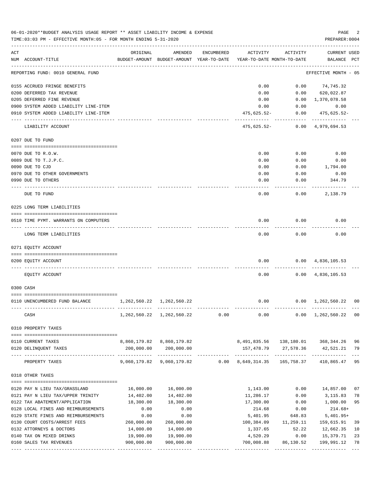|     | 06-01-2020**BUDGET ANALYSIS USAGE REPORT ** ASSET LIABILITY INCOME & EXPENSE<br>TIME: 03:03 PM - EFFECTIVE MONTH: 05 - FOR MONTH ENDING 5-31-2020 |                                 |                                                                         |            |                                        |                           | PAGE<br>PREPARER: 0004             | 2           |
|-----|---------------------------------------------------------------------------------------------------------------------------------------------------|---------------------------------|-------------------------------------------------------------------------|------------|----------------------------------------|---------------------------|------------------------------------|-------------|
| ACT | NUM ACCOUNT-TITLE                                                                                                                                 | ORIGINAL                        | AMENDED<br>BUDGET-AMOUNT BUDGET-AMOUNT YEAR-TO-DATE                     | ENCUMBERED | ACTIVITY<br>YEAR-TO-DATE MONTH-TO-DATE | ACTIVITY                  | CURRENT USED<br>BALANCE PCT        |             |
|     | REPORTING FUND: 0010 GENERAL FUND                                                                                                                 |                                 |                                                                         |            |                                        |                           | EFFECTIVE MONTH - 05               |             |
|     | 0155 ACCRUED FRINGE BENEFITS                                                                                                                      |                                 |                                                                         |            | 0.00                                   | 0.00                      | 74,745.32                          |             |
|     | 0200 DEFERRED TAX REVENUE                                                                                                                         |                                 |                                                                         |            | 0.00                                   | 0.00                      | 620,022.87                         |             |
|     | 0205 DEFERRED FINE REVENUE                                                                                                                        |                                 |                                                                         |            | 0.00                                   |                           | $0.00 \quad 1,370,078.58$          |             |
|     | 0900 SYSTEM ADDED LIABILITY LINE-ITEM                                                                                                             |                                 |                                                                         |            | 0.00                                   | 0.00                      | 0.00                               |             |
|     | 0910 SYSTEM ADDED LIABILITY LINE-ITEM                                                                                                             |                                 |                                                                         |            | 475,625.52-                            | . <u>.</u> .              | $0.00$ $475,625.52$ -              |             |
|     | LIABILITY ACCOUNT                                                                                                                                 |                                 |                                                                         |            | 475,625.52-                            |                           | $0.00 \quad 4,979,694.53$          |             |
|     | 0207 DUE TO FUND                                                                                                                                  |                                 |                                                                         |            |                                        |                           |                                    |             |
|     | 0070 DUE TO R.O.W.                                                                                                                                |                                 |                                                                         |            | 0.00                                   | 0.00                      | 0.00                               |             |
|     | 0089 DUE TO T.J.P.C.                                                                                                                              |                                 |                                                                         |            | 0.00                                   | 0.00                      | 0.00                               |             |
|     | 0090 DUE TO CJD                                                                                                                                   |                                 |                                                                         |            | 0.00                                   | 0.00                      | 1,794.00                           |             |
|     | 0970 DUE TO OTHER GOVERNMENTS                                                                                                                     |                                 |                                                                         |            | 0.00                                   | 0.00                      | 0.00                               |             |
|     | 0990 DUE TO OTHERS                                                                                                                                |                                 |                                                                         |            | 0.00                                   | 0.00                      | 344.79                             |             |
|     | DUE TO FUND                                                                                                                                       |                                 |                                                                         |            | 0.00                                   | 0.00                      | 2,138.79                           |             |
|     | 0225 LONG TERM LIABILITIES                                                                                                                        |                                 |                                                                         |            |                                        |                           |                                    |             |
|     | 0510 TIME PYMT. WARRANTS ON COMPUTERS                                                                                                             |                                 |                                                                         |            | 0.00                                   | 0.00                      | 0.00                               |             |
|     | LONG TERM LIABILITIES                                                                                                                             |                                 |                                                                         |            | 0.00                                   | 0.00                      | 0.00                               |             |
|     | 0271 EQUITY ACCOUNT                                                                                                                               |                                 |                                                                         |            |                                        |                           |                                    |             |
|     | 0200 EQUITY ACCOUNT                                                                                                                               |                                 |                                                                         |            | 0.00                                   |                           | $0.00 \quad 4,836,105.53$          |             |
|     | EQUITY ACCOUNT                                                                                                                                    |                                 |                                                                         |            | 0.00                                   |                           | $0.00 \quad 4,836,105.53$          |             |
|     | 0300 CASH                                                                                                                                         |                                 |                                                                         |            |                                        |                           |                                    |             |
|     |                                                                                                                                                   |                                 |                                                                         |            |                                        |                           |                                    |             |
|     | 0110 UNENCUMBERED FUND BALANCE                                                                                                                    | 1, 262, 560. 22 1, 262, 560. 22 |                                                                         |            | 0.00                                   |                           | $0.00 \quad 1,262,560.22 \quad 00$ |             |
|     | CASH                                                                                                                                              |                                 | 1, 262, 560. 22 1, 262, 560. 22                                         | 0.00       | 0.00                                   | 0.00                      | 1,262,560.22                       | 00          |
|     | 0310 PROPERTY TAXES                                                                                                                               |                                 |                                                                         |            |                                        |                           |                                    |             |
|     | 0110 CURRENT TAXES                                                                                                                                |                                 | 8,860,179.82 8,860,179.82                                               |            |                                        | 8,491,835.56 138,180.01   | 368,344.26                         | - 96        |
|     | 0120 DELINQUENT TAXES                                                                                                                             |                                 | 200,000.00 200,000.00                                                   |            |                                        | 157,478.79 27,578.36      | 42,521.21                          | 79          |
|     | PROPERTY TAXES                                                                                                                                    | --------------                  | -------------<br>9,060,179.82 9,060,179.82 0.00 8,649,314.35 165,758.37 |            |                                        |                           | 410,865.47                         | $---$<br>95 |
|     | 0318 OTHER TAXES                                                                                                                                  |                                 |                                                                         |            |                                        |                           |                                    |             |
|     | 0120 PAY N LIEU TAX/GRASSLAND                                                                                                                     | 16,000.00                       | 16,000.00                                                               |            | 1,143.00                               | 0.00                      | 14,857.00                          | 07          |
|     | 0121 PAY N LIEU TAX/UPPER TRINITY                                                                                                                 | 14,402.00                       | 14,402.00                                                               |            | 11,286.17                              | 0.00                      | 3, 115.83                          | 78          |
|     | 0122 TAX ABATEMENT/APPLICATION                                                                                                                    | 18,300.00                       | 18,300.00                                                               |            | 17,300.00                              | 0.00                      | 1,000.00                           | 95          |
|     | 0128 LOCAL FINES AND REIMBURSEMENTS                                                                                                               | 0.00                            | 0.00                                                                    |            | 214.68                                 | 0.00                      | 214.68+                            |             |
|     | 0129 STATE FINES AND REIMBURSEMENTS                                                                                                               | 0.00                            | 0.00                                                                    |            | 5,401.95                               | 648.83                    | $5,401.95+$                        |             |
|     | 0130 COURT COSTS/ARREST FEES                                                                                                                      | 260,000.00                      | 260,000.00                                                              |            | 100,384.09                             | 11,259.11                 | 159,615.91                         | 39          |
|     | 0132 ATTORNEYS & DOCTORS                                                                                                                          | 14,000.00                       | 14,000.00                                                               |            | 1,337.65                               | 52.22                     | 12,662.35                          | 10          |
|     | 0140 TAX ON MIXED DRINKS                                                                                                                          | 19,900.00                       | 19,900.00                                                               |            | 4,520.29                               | 0.00                      | 15,379.71                          | 23          |
|     | 0160 SALES TAX REVENUES                                                                                                                           | 900,000.00                      | 900,000.00<br>-------------                                             |            | 700,008.88<br>--------------           | 86,130.52<br>____________ | 199,991.12<br>-------------        | 78<br>$---$ |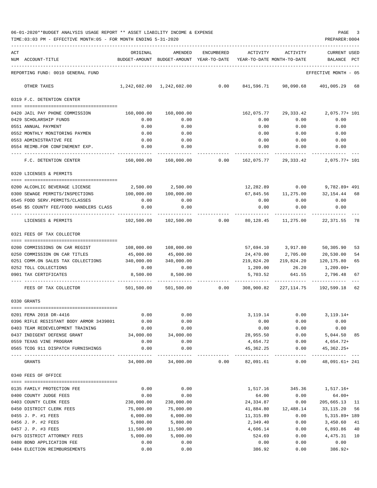| 06-01-2020**BUDGET ANALYSIS USAGE REPORT ** ASSET LIABILITY INCOME & EXPENSE |  |  | PAGE |  |
|------------------------------------------------------------------------------|--|--|------|--|
|                                                                              |  |  |      |  |

|     | TIME:03:03 PM - EFFECTIVE MONTH:05 - FOR MONTH ENDING 5-31-2020             |                            |                   |            |              |                                                                             | PREPARER: 0004                                                              |
|-----|-----------------------------------------------------------------------------|----------------------------|-------------------|------------|--------------|-----------------------------------------------------------------------------|-----------------------------------------------------------------------------|
| ACT |                                                                             | ORIGINAL                   | AMENDED           | ENCUMBERED | ACTIVITY     | ACTIVITY                                                                    | CURRENT USED                                                                |
|     | NUM ACCOUNT-TITLE                                                           |                            |                   |            |              | BUDGET-AMOUNT BUDGET-AMOUNT YEAR-TO-DATE YEAR-TO-DATE MONTH-TO-DATE BALANCE | PCT                                                                         |
|     | REPORTING FUND: 0010 GENERAL FUND                                           |                            |                   |            |              |                                                                             | EFFECTIVE MONTH - 05                                                        |
|     | OTHER TAXES                                                                 |                            |                   |            |              |                                                                             | $0.00$ $841,596.71$ $98,090.68$ $401,005.29$ 68                             |
|     | 0319 F.C. DETENTION CENTER                                                  |                            |                   |            |              |                                                                             |                                                                             |
|     |                                                                             |                            |                   |            |              |                                                                             |                                                                             |
|     | 0420 JAIL PAY PHONE COMMISSION<br>0429 SCHOLARSHIP FUNDS                    | 0.00                       | 0.00              |            | 0.00         | 162,075.77 29,333.42<br>0.00                                                | 2,075.77+ 101<br>0.00                                                       |
|     | 0551 ANNUAL PAYMENT                                                         | 0.00                       | 0.00              |            | 0.00         | 0.00                                                                        | 0.00                                                                        |
|     | 0552 MONTHLY MONITORING PAYMEN                                              | 0.00                       | 0.00              |            | 0.00         | 0.00                                                                        | 0.00                                                                        |
|     | 0553 ADMINISTRATIVE FEE                                                     | 0.00                       | 0.00              |            |              | $0.00$ 0.00                                                                 | 0.00                                                                        |
|     | 0554 REIMB.FOR CONFINEMENT EXP.                                             | 0.00                       | 0.00              |            | 0.00         | 0.00                                                                        | 0.00                                                                        |
|     | .<br>F.C. DETENTION CENTER                                                  |                            |                   |            |              |                                                                             | 160,000.00  160,000.00     0.00  162,075.77  29,333.42   2,075.77+ 101      |
|     | 0320 LICENSES & PERMITS                                                     |                            |                   |            |              |                                                                             |                                                                             |
|     | 0200 ALCOHLIC BEVERAGE LICENSE                                              |                            | 2,500.00 2,500.00 |            |              | 12,282.89 0.00                                                              | 9,782.89+ 491                                                               |
|     | 0300 SEWAGE PERMITS/INSPECTIONS                                             | 100,000.00                 | 100,000.00        |            |              |                                                                             | 67,845.56 11,275.00 32,154.44 68                                            |
|     | 0545 FOOD SERV. PERMITS/CLASSES                                             | 0.00                       | 0.00              |            | 0.00         | 0.00                                                                        | 0.00                                                                        |
|     | 0.00 0546 \$5 COUNTY FEE/FOOD HANDLERS CLASS                                |                            | 0.00              |            | 0.00         | $0.00$ 0.00                                                                 |                                                                             |
|     |                                                                             |                            |                   |            |              |                                                                             |                                                                             |
|     | LICENSES & PERMITS                                                          |                            |                   |            |              |                                                                             | $102,500.00$ $102,500.00$ 0.00 $80,128.45$ 11,275.00 22,371.55 78           |
|     | 0321 FEES OF TAX COLLECTOR                                                  |                            |                   |            |              |                                                                             |                                                                             |
|     | 0200 COMMISSIONS ON CAR REGIST                                              | 108,000.00                 | 108,000.00        |            |              | 57,694.10 3,917.80 50,305.90                                                | 53                                                                          |
|     | 0250 COMMISSION ON CAR TITLES                                               | 45,000.00                  | 45,000.00         |            |              | 24,470.00 2,705.00 20,530.00                                                | 54                                                                          |
|     | 0251 COMM.ON SALES TAX COLLECTIONS                                          | 340,000.00                 | 340,000.00        |            | 219,824.20   |                                                                             | 219,824.20 120,175.80<br>65                                                 |
|     | 0252 TOLL COLLECTIONS                                                       | 0.00                       | 0.00              |            | 1,209.00     | 26.20                                                                       | 1,209.00+                                                                   |
|     | 0901 TAX CERTIFICATES                                                       |                            | 8,500.00 8,500.00 |            |              |                                                                             | 5,703.52 641.55 2,796.48 67                                                 |
|     | FEES OF TAX COLLECTOR                                                       |                            |                   |            |              | -----------  ------------  -----------  -                                   | 501,500.00   501,500.00      0.00   308,900.82  227,114.75   192,599.18  62 |
|     | 0330 GRANTS                                                                 |                            |                   |            |              |                                                                             |                                                                             |
|     |                                                                             |                            |                   |            |              |                                                                             |                                                                             |
|     | 0201 FEMA 2018 DR-4416                                                      | 0.00                       | 0.00              |            | 3,119.14     | 0.00                                                                        | $3, 119.14+$                                                                |
|     | 0396 RIFLE RESISTANT BODY ARMOR 3439801<br>0403 TEAM REDEVELOPMENT TRAINING | 0.00<br>0.00               | 0.00<br>0.00      |            | 0.00<br>0.00 | 0.00<br>0.00                                                                | 0.00                                                                        |
|     | 0437 INDIGENT DEFENSE GRANT                                                 | 34,000.00                  | 34,000.00         |            | 28,955.50    | 0.00                                                                        | 0.00<br>5,044.50<br>85                                                      |
|     | 0559 TEXAS VINE PROGRAM                                                     | 0.00                       | 0.00              |            | 4,654.72     | 0.00                                                                        | $4,654.72+$                                                                 |
|     | 0565 TCOG 911 DISPATCH FURNISHINGS                                          | 0.00                       | 0.00              |            | 45,362.25    | 0.00                                                                        | $45,362.25+$                                                                |
|     | --------------------------------<br>GRANTS                                  | -------------<br>34,000.00 | 34,000.00         | 0.00       | 82,091.61    | ----------------------------<br>0.00                                        | 48,091.61+241                                                               |
|     | 0340 FEES OF OFFICE                                                         |                            |                   |            |              |                                                                             |                                                                             |
|     | 0135 FAMILY PROTECTION FEE                                                  | 0.00                       | 0.00              |            | 1,517.16     | 345.36                                                                      | $1,517.16+$                                                                 |
|     | 0400 COUNTY JUDGE FEES                                                      | 0.00                       | 0.00              |            | 64.00        | 0.00                                                                        | $64.00+$                                                                    |
|     | 0403 COUNTY CLERK FEES                                                      | 230,000.00                 | 230,000.00        |            | 24, 334.87   | 0.00                                                                        | 205,665.13<br>11                                                            |
|     | 0450 DISTRICT CLERK FEES                                                    | 75,000.00                  | 75,000.00         |            | 41,884.80    | 12,488.14                                                                   | 33, 115. 20<br>56                                                           |
|     | 0455 J. P. #1 FEES                                                          | 6,000.00                   | 6,000.00          |            | 11,315.89    | 0.00                                                                        | $5,315.89+189$                                                              |
|     | 0456 J. P. #2 FEES                                                          | 5,800.00                   | 5,800.00          |            | 2,349.40     | 0.00                                                                        | 3,450.60<br>41                                                              |
|     | 0457 J. P. #3 FEES                                                          | 11,500.00                  | 11,500.00         |            | 4,606.14     | 0.00                                                                        | 6,893.86<br>40                                                              |
|     | 0475 DISTRICT ATTORNEY FEES                                                 | 5,000.00                   | 5,000.00          |            | 524.69       | 0.00                                                                        | 4,475.31<br>10                                                              |
|     | 0480 BOND APPLICATION FEE                                                   | 0.00                       | 0.00              |            | 0.00         | 0.00                                                                        | 0.00                                                                        |
|     | 0484 ELECTION REIMBURSEMENTS                                                | 0.00                       | 0.00              |            | 386.92       | 0.00                                                                        | $386.92+$                                                                   |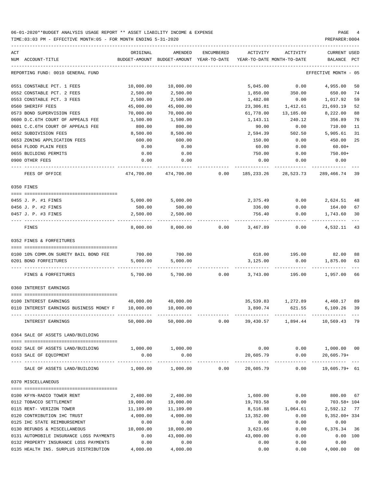| ACT | NUM ACCOUNT-TITLE                                                                           | ORIGINAL<br>BUDGET-AMOUNT | AMENDED<br>BUDGET-AMOUNT YEAR-TO-DATE | ENCUMBERED | ACTIVITY   | ACTIVITY<br>YEAR-TO-DATE MONTH-TO-DATE | CURRENT USED<br>BALANCE | PCT  |
|-----|---------------------------------------------------------------------------------------------|---------------------------|---------------------------------------|------------|------------|----------------------------------------|-------------------------|------|
|     | REPORTING FUND: 0010 GENERAL FUND                                                           |                           |                                       |            |            |                                        | EFFECTIVE MONTH         | - 05 |
|     | 0551 CONSTABLE PCT. 1 FEES                                                                  | 10,000.00                 | 10,000.00                             |            | 5,045.00   | 0.00                                   | 4,955.00                | 50   |
|     | 0552 CONSTABLE PCT. 2 FEES                                                                  | 2,500.00                  | 2,500.00                              |            | 1,850.00   | 350.00                                 | 650.00                  | 74   |
|     | 0553 CONSTABLE PCT. 3 FEES                                                                  | 2,500.00                  | 2,500.00                              |            | 1,482.08   | 0.00                                   | 1,017.92                | 59   |
|     | 0560 SHERIFF FEES                                                                           | 45,000.00                 | 45,000.00                             |            | 23,306.81  | 1,412.61                               | 21,693.19               | 52   |
|     | 0573 BOND SUPERVISION FEES                                                                  | 70,000.00                 | 70,000.00                             |            | 61,778.00  | 13,185.00                              | 8,222.00                | 88   |
|     | 0600 D.C.6TH COURT OF APPEALS FEE                                                           | 1,500.00                  | 1,500.00                              |            | 1,143.11   | 240.12                                 | 356.89                  | 76   |
|     | 0601 C.C.6TH COURT OF APPEALS FEE                                                           | 800.00                    | 800.00                                |            | 90.00      | 0.00                                   | 710.00                  | 11   |
|     | 0652 SUBDIVISION FEES                                                                       | 8,500.00                  | 8,500.00                              |            | 2,594.39   | 502.50                                 | 5,905.61                | 31   |
|     | 0653 ZONING APPLICATION FEES                                                                | 600.00                    | 600.00                                |            | 150.00     | 0.00                                   | 450.00                  | 25   |
|     | 0654 FLOOD PLAIN FEES                                                                       | 0.00                      | 0.00                                  |            | 60.00      | 0.00                                   | $60.00+$                |      |
|     | 0655 BUILDING PERMITS                                                                       | 0.00                      | 0.00                                  |            | 750.00     | 0.00                                   | 750.00+                 |      |
|     | 0900 OTHER FEES                                                                             | 0.00                      | 0.00                                  |            | 0.00       | 0.00                                   | 0.00                    |      |
|     | FEES OF OFFICE                                                                              | 474,700.00                | 474,700.00                            | 0.00       | 185,233.26 | 28,523.73                              | 289, 466. 74 39         |      |
|     | 0350 FINES                                                                                  |                           |                                       |            |            |                                        |                         |      |
|     |                                                                                             |                           |                                       |            |            |                                        |                         |      |
|     | 0455 J. P. #1 FINES                                                                         | 5,000.00                  | 5,000.00                              |            | 2,375.49   | 0.00                                   | 2,624.51                | 48   |
|     | 0456 J. P. #2 FINES                                                                         | 500.00                    | 500.00                                |            | 336.00     | 0.00                                   | 164.00                  | 67   |
|     | 0457 J. P. #3 FINES                                                                         | 2,500.00                  | 2,500.00                              |            | 756.40     | 0.00                                   | 1,743.60                | 30   |
|     | FINES                                                                                       | 8,000.00                  | 8,000.00                              | 0.00       | 3,467.89   | 0.00                                   | 4,532.11                | 43   |
|     | 0352 FINES & FORFEITURES                                                                    |                           |                                       |            |            |                                        |                         |      |
|     |                                                                                             |                           |                                       |            |            |                                        |                         |      |
|     | 0100 10% COMM.ON SURETY BAIL BOND FEE                                                       | 700.00                    | 700.00                                |            | 618.00     | 195.00                                 | 82.00                   | 88   |
|     | 0201 BOND FORFEITURES                                                                       | 5,000.00                  | 5,000.00                              |            | 3,125.00   | 0.00                                   | 1,875.00                | 63   |
|     | FINES & FORFEITURES                                                                         | 5,700.00                  | 5,700.00                              | 0.00       | 3,743.00   | 195.00                                 | 1,957.00                | 66   |
|     | 0360 INTEREST EARNINGS                                                                      |                           |                                       |            |            |                                        |                         |      |
|     |                                                                                             |                           |                                       |            |            |                                        |                         |      |
|     | 0100 INTEREST EARNINGS                                                                      | 40,000.00                 | 40,000.00                             |            |            | 35,539.83 1,272.89                     | 4,460.17                | 89   |
|     | 0110 INTEREST EARNINGS BUSINESS MONEY F                                                     | 10,000.00                 | 10,000.00                             |            | 3,890.74   | 621.55                                 | 6,109.26                | 39   |
|     | INTEREST EARNINGS                                                                           | 50,000.00                 | 50,000.00                             | 0.00       | 39,430.57  | 1,894.44                               | 10,569.43               |      |
|     | 0364 SALE OF ASSETS LAND/BUILDING                                                           |                           |                                       |            |            |                                        |                         |      |
|     |                                                                                             |                           |                                       |            |            |                                        |                         |      |
|     | 0162 SALE OF ASSETS LAND/BUILDING<br>0163 SALE OF EOUIPMENT                                 | 1,000.00 1,000.00<br>0.00 | 0.00                                  |            | 20,605.79  | $0.00$ $0.00$ $1,000.00$ $00$          | $0.00$ $20,605.79+$     |      |
|     |                                                                                             |                           | ------------                          |            |            |                                        |                         |      |
|     | SALE OF ASSETS LAND/BUILDING $1,000.00$ $1,000.00$ $0.00$ $20,605.79$ 0.00 $19,605.79$ + 61 |                           |                                       |            |            |                                        |                         |      |
|     | 0370 MISCELLANEOUS                                                                          |                           |                                       |            |            |                                        |                         |      |
|     | 0100 KFYN-RADIO TOWER RENT                                                                  | 2,400.00                  | 2,400.00                              |            | 1,600.00   | 0.00                                   | 800.00 67               |      |
|     | 0112 TOBACCO SETTLEMENT                                                                     | 19,000.00                 | 19,000.00                             |            | 19,703.58  | 0.00                                   | 703.58+ 104             |      |
|     | 0115 RENT- VERIZON TOWER                                                                    | 11,109.00                 | 11,109.00                             |            |            | 8,516.88 1,064.61                      | 2,592.12 77             |      |
|     | 0120 CONTRIBUTION IHC TRUST                                                                 | 4,000.00                  | 4,000.00                              |            | 13,352.00  | 0.00                                   | $9,352.00+334$          |      |
|     | 0125 IHC STATE REIMBURSEMENT                                                                | 0.00                      | 0.00                                  |            | 0.00       | 0.00                                   | 0.00                    |      |
|     | 0130 REFUNDS & MISCELLANEOUS                                                                | 10,000.00                 | 10,000.00                             |            | 3,623.66   | 0.00                                   | 6,376.34 36             |      |
|     | 0131 AUTOMOBILE INSURANCE LOSS PAYMENTS                                                     | 0.00                      | 43,000.00                             |            | 43,000.00  | 0.00                                   | 0.00 100                |      |
|     | 0132 PROPERTY INSURANCE LOSS PAYMENTS                                                       | 0.00                      | 0.00                                  |            | 0.00       | 0.00                                   | 0.00                    |      |
|     | 0135 HEALTH INS. SURPLUS DISTRIBUTION 4,000.00                                              |                           | 4,000.00                              |            | 0.00       | 0.00                                   | 4,000.00 00             |      |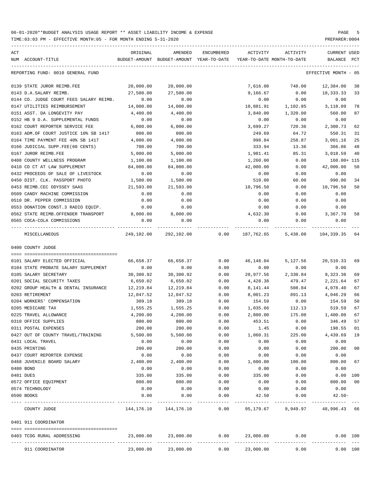TIME:03:03 PM - EFFECTIVE MONTH:05 - FOR MONTH ENDING 5-31-2020

| ACT        | NUM ACCOUNT-TITLE                                                         | ORIGINAL          | AMENDED<br>BUDGET-AMOUNT BUDGET-AMOUNT YEAR-TO-DATE | ENCUMBERED    | ACTIVITY<br>YEAR-TO-DATE MONTH-TO-DATE | ACTIVITY         | CURRENT USED<br>BALANCE | PCT    |
|------------|---------------------------------------------------------------------------|-------------------|-----------------------------------------------------|---------------|----------------------------------------|------------------|-------------------------|--------|
|            | REPORTING FUND: 0010 GENERAL FUND                                         |                   |                                                     |               |                                        |                  | EFFECTIVE MONTH - 05    |        |
|            | 0139 STATE JUROR REIMB.FEE                                                | 20,000.00         | 20,000.00                                           |               | 7,616.00                               | 748.00           | 12,384.00               | 38     |
|            | 0143 D.A.SALARY REIMB.                                                    | 27,500.00         | 27,500.00                                           |               | 9,166.67                               | 0.00             | 18,333.33               | 33     |
|            | 0144 CO. JUDGE COURT FEES SALARY REIMB.                                   | 0.00              | 0.00                                                |               | 0.00                                   | 0.00             | 0.00                    |        |
|            | 0147 UTILITIES REIMBURSEMENT                                              | 14,000.00         | 14,000.00                                           |               | 10,881.91                              | 1,102.85         | 3,118.09                | 78     |
|            | 0151 ASST. DA LONGEVITY PAY                                               | 4,400.00          | 4,400.00                                            |               | 3,840.00                               | 1,320.00         | 560.00                  | 87     |
|            | 0152 HB 9 D.A. SUPPLEMENTAL FUNDS                                         | 0.00              | 0.00                                                |               | 0.00                                   | 0.00             | 0.00                    |        |
|            | 0162 COURT REPORTER SERVICE FEE                                           | 6,000.00          | 6,000.00                                            |               | 3,699.27                               | 720.36           | 2,300.73                | 62     |
|            | 0163 ADM.OF COURT JUSTICE 10% SB 1417                                     | 800.00            | 800.00                                              |               | 249.69                                 | 64.72            | 550.31                  | 31     |
|            | 0164 TIME PAYMENT FEE 40% SB 1417                                         | 4,000.00          | 4,000.00                                            |               | 998.84                                 | 258.87           | 3,001.16                | 25     |
|            | 0166 JUDICIAL SUPP.FEE(60 CENTS)                                          | 700.00            | 700.00                                              |               | 333.94                                 | 13.36            | 366.06                  | 48     |
|            | 0167 JUROR REIMB.FEE                                                      | 5,000.00          | 5,000.00                                            |               | 1,981.41                               | 85.31            | 3,018.59                | 40     |
|            | 0408 COUNTY WELLNESS PROGRAM                                              | 1,100.00          | 1,100.00                                            |               | 1,260.00                               | 0.00             | 160.00+ 115             |        |
|            | 0410 CO CT AT LAW SUPPLEMENT                                              | 84,000.00         | 84,000.00                                           |               | 42,000.00                              | 0.00             | 42,000.00               | 50     |
|            | 0432 PROCEEDS OF SALE OF LIVESTOCK                                        | 0.00              | 0.00                                                |               | 0.00                                   | 0.00             | 0.00                    |        |
|            | 0450 DIST. CLK. PASSPORT PHOTO                                            | 1,500.00          | 1,500.00                                            |               | 510.00                                 | 60.00            | 990.00                  | 34     |
|            | 0453 REIMB.CEC ODYSSEY SAAS                                               | 21,593.00         | 21,593.00                                           |               | 10,796.50                              | 0.00             | 10,796.50               | 50     |
|            | 0509 CANDY MACHINE COMMISSION                                             | 0.00              | 0.00                                                |               | 0.00                                   | 0.00             | 0.00                    |        |
|            | 0510 DR. PEPPER COMMISSION                                                | 0.00              | 0.00                                                |               | 0.00                                   | 0.00             | 0.00                    |        |
|            | 0553 DONATION CONST.3 RADIO EQUIP.<br>0562 STATE REIMB.OFFENDER TRANSPORT | 0.00<br>8,000.00  | 0.00<br>8,000.00                                    |               | 0.00<br>4,632.30                       | 0.00             | 0.00<br>3,367.70        | 58     |
|            | 0565 COCA-COLA COMMISSIONS                                                | 0.00              | 0.00                                                |               | 0.00                                   | 0.00<br>0.00     | 0.00                    |        |
|            | ---- -------------------------                                            | _____________     |                                                     |               |                                        |                  |                         |        |
|            | MISCELLANEOUS                                                             |                   | 249,102.00 292,102.00                               | 0.00          | 187,762.65                             | 5,438.08         | 104,339.35              | 64     |
|            | 0400 COUNTY JUDGE                                                         |                   |                                                     |               |                                        |                  |                         |        |
|            |                                                                           |                   |                                                     |               |                                        |                  |                         |        |
|            | 0101 SALARY ELECTED OFFICIAL                                              | 66,658.37         | 66,658.37                                           | 0.00<br>0.00  | 46,148.04                              | 5,127.56         | 20,510.33               | 69     |
|            | 0104 STATE PROBATE SALARY SUPPLEMENT<br>0105 SALARY SECRETARY             | 0.00<br>30,300.92 | 0.00<br>30,300.92                                   | 0.00          | 0.00<br>20,977.56                      | 0.00<br>2,330.84 | 0.00<br>9,323.36        | 69     |
|            | 0201 SOCIAL SECURITY TAXES                                                | 6,650.02          | 6,650.02                                            | 0.00          | 4,428.38                               | 479.47           | 2,221.64                | 67     |
|            | 0202 GROUP HEALTH & DENTAL INSURANCE                                      | 12,219.84         | 12,219.84                                           | 0.00          | 8,141.44                               | 508.84           | 4,078.40                | 67     |
|            | 0203 RETIREMENT                                                           | 12,047.52         | 12,047.52                                           | 0.00          | 8,001.23                               | 891.13           | 4,046.29                | 66     |
|            | 0204 WORKERS' COMPENSATION                                                | 309.18            | 309.18                                              | 0.00          | 154.59                                 | 0.00             | 154.59                  | 50     |
|            | 0205 MEDICARE TAX                                                         | 1,555.25          | 1,555.25                                            | 0.00          | 1,035.66                               | 112.13           | 519.59                  | 67     |
|            | 0225 TRAVEL ALLOWANCE                                                     | 4,200.00          | 4,200.00                                            | 0.00          | 2,800.00                               | 175.00           | 1,400.00                | 67     |
|            | 0310 OFFICE SUPPLIES                                                      | 800.00            | 800.00                                              | 0.00          | 453.51                                 | 0.00             | 346.49 57               |        |
|            | 0311 POSTAL EXPENSES                                                      | 200.00            | 200.00                                              | 0.00          | 1.45                                   | 0.00             | 198.55                  | 01     |
|            | 0427 OUT OF COUNTY TRAVEL/TRAINING                                        | 5,500.00          | 5,500.00                                            | 0.00          | 1,060.31                               | 225.00           | 4,439.69                | 19     |
|            | 0431 LOCAL TRAVEL                                                         | 0.00              | 0.00                                                | 0.00          | 0.00                                   | 0.00             | 0.00                    |        |
|            | 0435 PRINTING                                                             | 200.00            | 200.00                                              | 0.00          | 0.00                                   | 0.00             | 200.00                  | $00\,$ |
|            | 0437 COURT REPORTER EXPENSE                                               | 0.00              | 0.00                                                | 0.00          | 0.00                                   | 0.00             | 0.00                    |        |
|            | 0468 JUVENILE BOARD SALARY                                                | 2,400.00          | 2,400.00                                            | 0.00          | 1,600.00                               | 100.00           | 800.00                  | 67     |
| 0480 BOND  |                                                                           | 0.00              | 0.00                                                | 0.00          | 0.00                                   | 0.00             | 0.00                    |        |
| 0481 DUES  |                                                                           | 335.00            | 335.00                                              | 0.00          | 335.00                                 | 0.00             | 0.00 100                |        |
|            | 0572 OFFICE EQUIPMENT                                                     | 800.00            | 800.00                                              | 0.00          | 0.00                                   | 0.00             | 800.00                  | 00     |
|            | 0574 TECHNOLOGY                                                           | 0.00              | 0.00                                                | 0.00          | 0.00                                   | 0.00             | 0.00                    |        |
| 0590 BOOKS |                                                                           | 0.00              | 0.00                                                | 0.00<br>$---$ | 42.50                                  | 0.00             | $42.50 -$               |        |
|            | COUNTY JUDGE                                                              | 144,176.10        | 144,176.10                                          | 0.00          | 95,179.67                              |                  | 9,949.97 48,996.43 66   |        |
|            | 0401 911 COORDINATOR                                                      |                   |                                                     |               |                                        |                  |                         |        |
|            | 0403 TCOG RURAL ADDRESSING                                                | 23,000.00         | 23,000.00                                           | 0.00          | 23,000.00                              | 0.00             | 0.00 100                |        |
|            | 911 COORDINATOR                                                           | 23,000.00         | 23,000.00                                           | 0.00          | 23,000.00                              | 0.00             | 0.00 100                |        |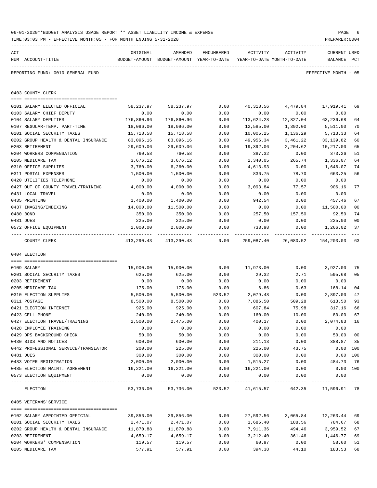|     | TIME:03:03 PM - EFFECTIVE MONTH:05 - FOR MONTH ENDING 5-31-2020 |            |                                          |            |                            |                                      | PREPARER: 0004       |                |
|-----|-----------------------------------------------------------------|------------|------------------------------------------|------------|----------------------------|--------------------------------------|----------------------|----------------|
| ACT |                                                                 | ORIGINAL   | AMENDED                                  | ENCUMBERED | ACTIVITY                   | ACTIVITY                             | CURRENT USED         |                |
|     | NUM ACCOUNT-TITLE                                               |            | BUDGET-AMOUNT BUDGET-AMOUNT YEAR-TO-DATE |            | YEAR-TO-DATE MONTH-TO-DATE |                                      | BALANCE PCT          |                |
|     | REPORTING FUND: 0010 GENERAL FUND                               |            |                                          |            |                            |                                      | EFFECTIVE MONTH - 05 |                |
|     | 0403 COUNTY CLERK                                               |            |                                          |            |                            |                                      |                      |                |
|     | 0101 SALARY ELECTED OFFICIAL                                    | 58,237.97  | 58,237.97                                | 0.00       | 40,318.56                  | 4,479.84                             | 17,919.41            | 69             |
|     | 0103 SALARY CHIEF DEPUTY                                        | 0.00       | 0.00                                     | 0.00       | 0.00                       | 0.00                                 | 0.00                 |                |
|     | 0104 SALARY DEPUTIES                                            | 176,860.96 | 176,860.96                               | 0.00       | 113,624.28                 | 12,827.04                            | 63,236.68            | 64             |
|     | 0107 REGULAR-TEMP. PART-TIME                                    | 18,096.00  | 18,096.00                                | 0.00       | 12,585.00                  | 1,392.00                             | 5,511.00             | 70             |
|     | 0201 SOCIAL SECURITY TAXES                                      | 15,718.58  | 15,718.58                                | 0.00       | 10,005.25                  | 1,136.29                             | 5,713.33             | 64             |
|     | 0202 GROUP HEALTH & DENTAL INSURANCE                            | 83,096.16  | 83,096.16                                | 0.00       | 49,956.34                  | 3,461.22                             | 33,139.82            | 60             |
|     | 0203 RETIREMENT                                                 | 29,609.06  | 29,609.06                                | 0.00       | 19,392.06                  | 2,204.62                             | 10,217.00            | 65             |
|     | 0204 WORKERS COMPENSATION                                       | 760.58     | 760.58                                   | 0.00       | 387.32                     | 0.00                                 | 373.26               | 51             |
|     | 0205 MEDICARE TAX                                               | 3,676.12   | 3,676.12                                 | 0.00       | 2,340.05                   | 265.74                               | 1,336.07             | 64             |
|     | 0310 OFFICE SUPPLIES                                            | 3,760.00   | 6, 260.00                                | 0.00       | 4,613.93                   | 0.00                                 | 1,646.07             | 74             |
|     | 0311 POSTAL EXPENSES                                            | 1,500.00   | 1,500.00                                 | 0.00       | 836.75                     | 78.70                                | 663.25               | 56             |
|     | 0420 UTILITIES TELEPHONE                                        | 0.00       | 0.00                                     | 0.00       | 0.00                       | 0.00                                 | 0.00                 |                |
|     | 0427 OUT OF COUNTY TRAVEL/TRAINING                              | 4,000.00   | 4,000.00                                 | 0.00       | 3,093.84                   | 77.57                                | 906.16               | 77             |
|     | 0431 LOCAL TRAVEL                                               | 0.00       | 0.00                                     | 0.00       | 0.00                       | 0.00                                 | 0.00                 |                |
|     | 0435 PRINTING                                                   | 1,400.00   | 1,400.00                                 | 0.00       | 942.54                     | 0.00                                 | 457.46               | 67             |
|     | 0437 IMAGING/INDEXING                                           | 14,000.00  | 11,500.00                                | 0.00       | 0.00                       | 0.00                                 | 11,500.00            | 0 <sub>0</sub> |
|     | 0480 BOND                                                       | 350.00     | 350.00                                   | 0.00       | 257.50                     | 157.50                               | 92.50                | 74             |
|     | 0481 DUES                                                       | 225.00     | 225.00                                   | 0.00       | 0.00                       | 0.00                                 | 225.00               | 0 <sub>0</sub> |
|     | 0572 OFFICE EQUIPMENT                                           | 2,000.00   | 2,000.00                                 | 0.00       | 733.98                     | 0.00                                 | 1,266.02             | 37             |
|     | COUNTY CLERK                                                    | 413,290.43 | 413,290.43                               | 0.00       | 259,087.40                 | 26,080.52                            | 154,203.03           | 63             |
|     | 0404 ELECTION                                                   |            |                                          |            |                            |                                      |                      |                |
|     | 0109 SALARY                                                     | 15,900.00  | 15,900.00                                | 0.00       | 11,973.00                  | 0.00                                 | 3,927.00             | 75             |
|     | 0201 SOCIAL SECURITY TAXES                                      | 625.00     | 625.00                                   | 0.00       | 29.32                      | 2.71                                 | 595.68               | 05             |
|     | 0203 RETIREMENT                                                 | 0.00       | 0.00                                     | 0.00       | 0.00                       | 0.00                                 | 0.00                 |                |
|     | 0205 MEDICARE TAX                                               | 175.00     | 175.00                                   | 0.00       | 6.86                       | 0.63                                 | 168.14               | 0 <sub>4</sub> |
|     | 0310 ELECTION SUPPLIES                                          | 5,500.00   | 5,500.00                                 | 523.52     | 2,079.48                   | 0.00                                 | 2,897.00             | 47             |
|     | 0311 POSTAGE                                                    | 8,500.00   | 8,500.00                                 | 0.00       | 7,886.50                   | 509.28                               | 613.50               | 93             |
|     | 0421 ELECTION INTERNET                                          | 925.00     | 925.00                                   | 0.00       | 607.84                     | 75.98                                | 317.16               | 66             |
|     | 0423 CELL PHONE                                                 | 240.00     | 240.00                                   | 0.00       | 160.00                     | 10.00                                | 80.00 67             |                |
|     | 0427 ELECTION TRAVEL/TRAINING                                   | 2,500.00   | 2,475.00                                 | 0.00       | 400.17                     | 0.00                                 | 2,074.83 16          |                |
|     | 0428 EMPLOYEE TRAINING                                          | 0.00       | 0.00                                     | 0.00       | 0.00                       | 0.00                                 | 0.00                 |                |
|     | 0429 DPS BACKGROUND CHECK                                       | 50.00      | 50.00                                    | 0.00       | 0.00                       | 0.00                                 | 50.00                | 0 <sub>0</sub> |
|     | 0430 BIDS AND NOTICES                                           | 600.00     | 600.00                                   | 0.00       | 211.13                     | 0.00                                 | 388.87               | 35             |
|     | 0442 PROFESSIONAL SERVICE/TRANSLATOR                            | 200.00     | 225.00                                   | 0.00       | 225.00                     | 43.75                                | 0.00 100             |                |
|     | 0481 DUES                                                       | 300.00     | 300.00                                   | 0.00       | 300.00                     | 0.00                                 | $0.00$ 100           |                |
|     | 0483 VOTER REGISTRATION                                         | 2,000.00   | 2,000.00                                 | 0.00       | 1,515.27                   | 0.00                                 | 484.73 76            |                |
|     | 0485 ELECTION MAINT. AGREEMENT                                  | 16,221.00  | 16,221.00                                | 0.00       | 16,221.00                  | 0.00                                 | $0.00$ 100           |                |
|     | 0573 ELECTION EQUIPMENT                                         | 0.00       | 0.00                                     | 0.00       | 0.00<br>-----------        | 0.00                                 | 0.00                 |                |
|     | ELECTION                                                        |            | 53,736.00 53,736.00                      |            |                            | 523.52 41,615.57 642.35 11,596.91 78 |                      |                |
|     | 0405 VETERANS'SERVICE                                           |            |                                          |            |                            |                                      |                      |                |
|     | 0102 SALARY APPOINTED OFFICIAL                                  | 39,856.00  | 39,856.00                                | 0.00       |                            | 27,592.56 3,065.84 12,263.44         |                      | 69             |
|     | 0201 SOCIAL SECURITY TAXES                                      | 2,471.07   | 2,471.07                                 | 0.00       | 1,686.40                   | 188.56                               | 784.67               | 68             |
|     | 0202 GROUP HEALTH & DENTAL INSURANCE                            | 11,870.88  | 11,870.88                                | 0.00       | 7,911.36                   | 494.46                               | 3,959.52             | 67             |
|     | 0203 RETIREMENT                                                 | 4,659.17   | 4,659.17                                 | 0.00       | 3,212.40                   | 361.46                               | 1,446.77             | 69             |
|     | 0204 WORKERS' COMPENSATION                                      | 119.57     | 119.57                                   | 0.00       | 60.97                      | 0.00                                 | 58.60                | 51             |
|     | 0205 MEDICARE TAX                                               | 577.91     | 577.91                                   | 0.00       | 394.38                     | 44.10                                | 183.53               | 68             |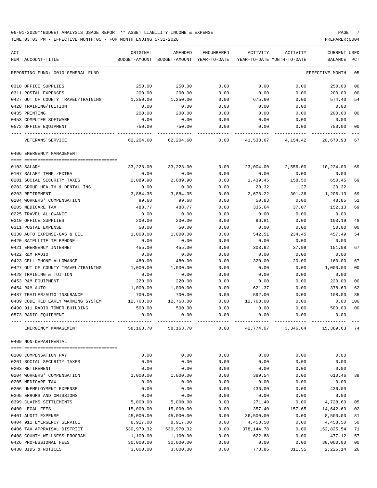| ACT<br>NUM ACCOUNT-TITLE           | ORIGINAL   | AMENDED<br>BUDGET-AMOUNT BUDGET-AMOUNT YEAR-TO-DATE | ENCUMBERED | ACTIVITY   | ACTIVITY<br>YEAR-TO-DATE MONTH-TO-DATE | <b>CURRENT USED</b><br>BALANCE | PCT            |
|------------------------------------|------------|-----------------------------------------------------|------------|------------|----------------------------------------|--------------------------------|----------------|
| REPORTING FUND: 0010 GENERAL FUND  |            |                                                     |            |            |                                        | EFFECTIVE MONTH - 05           |                |
|                                    |            |                                                     |            |            |                                        |                                |                |
| 0310 OFFICE SUPPLIES               | 250.00     | 250.00                                              | 0.00       | 0.00       | 0.00                                   | 250.00                         | 00             |
| 0311 POSTAL EXPENSES               | 200.00     | 200.00                                              | 0.00       | 0.00       | 0.00                                   | 200.00                         | 00             |
| 0427 OUT OF COUNTY TRAVEL/TRAINING | 1,250.00   | 1,250.00                                            | 0.00       | 675.60     | 0.00                                   | 574.40                         | 54             |
| 0428 TRAINING/TUITION              | 0.00       | 0.00                                                | 0.00       | 0.00       | 0.00                                   | 0.00                           |                |
| 0435 PRINTING                      | 200.00     | 200.00                                              | 0.00       | 0.00       | 0.00                                   | 200.00                         | 00             |
| 0453 COMPUTER SOFTWARE             | 0.00       | 0.00                                                | 0.00       | 0.00       | 0.00                                   | 0.00                           |                |
| 0572 OFFICE EQUIPMENT              | 750.00     | 750.00                                              | 0.00       | 0.00       | 0.00                                   | 750.00                         | 0 <sub>0</sub> |
| VETERANS ' SERVICE                 | 62,204.60  | 62,204.60                                           | 0.00       |            | 41,533.67 4,154.42                     | 20,670.93                      | 67             |
| 0406 EMERGENCY MANAGEMENT          |            |                                                     |            |            |                                        |                                |                |
|                                    |            |                                                     |            |            |                                        |                                |                |
| 0103 SALARY                        | 33,228.00  | 33,228.00                                           | 0.00       | 23,004.00  | 2,556.00                               | 10,224.00                      | 69             |
| 0107 SALARY TEMP./EXTRA            | 0.00       | 0.00                                                | 0.00       | 0.00       | 0.00                                   | 0.00                           |                |
| 0201 SOCIAL SECURITY TAXES         | 2,089.90   | 2,089.90                                            | 0.00       | 1,439.45   | 158.50                                 | 650.45                         | 69             |
| 0202 GROUP HEALTH & DENTAL INS     | 0.00       | 0.00                                                | 0.00       | 20.32      | 1.27                                   | 20.32-                         |                |
| 0203 RETIREMENT                    | 3,884.35   | 3,884.35                                            | 0.00       | 2,678.22   | 301.36                                 | 1,206.13                       | 69             |
| 0204 WORKERS' COMPENSATION         | 99.68      | 99.68                                               | 0.00       | 50.83      | 0.00                                   | 48.85                          | 51             |
| 0205 MEDICARE TAX                  | 488.77     | 488.77                                              | 0.00       | 336.64     | 37.07                                  | 152.13                         | 69             |
| 0225 TRAVEL ALLOWANCE              | 0.00       | 0.00                                                | 0.00       | 0.00       | 0.00                                   | 0.00                           |                |
| 0310 OFFICE SUPPLIES               | 200.00     | 200.00                                              | 0.00       | 96.81      | 0.00                                   | 103.19                         | 48             |
| 0311 POSTAL EXPENSE                | 50.00      | 50.00                                               | 0.00       | 0.00       | 0.00                                   | 50.00                          | 00             |
| 0330 AUTO EXPENSE-GAS & OIL        | 1,000.00   | 1,000.00                                            | 0.00       | 542.51     | 234.45                                 | 457.49                         | 54             |
| 0420 SATELLITE TELEPHONE           | 0.00       | 0.00                                                | 0.00       | 0.00       | 0.00                                   | 0.00                           |                |
| 0421 EMERGENCY INTERNET            | 455.00     | 455.00                                              | 0.00       | 303.92     | 37.99                                  | 151.08                         | 67             |
| 0422 R&M RADIO                     | 0.00       | 0.00                                                | 0.00       | 0.00       | 0.00                                   | 0.00                           |                |
| 0423 CELL PHONE ALLOWANCE          | 480.00     | 480.00                                              | 0.00       | 320.00     | 20.00                                  | 160.00                         | 67             |
| 0427 OUT OF COUNTY TRAVEL/TRAINING | 1,000.00   | 1,000.00                                            | 0.00       | 0.00       | 0.00                                   | 1,000.00                       | 0 <sub>0</sub> |
| 0428 TRAINING & TUITION            | 0.00       | 0.00                                                | 0.00       | 0.00       | 0.00                                   | 0.00                           |                |
| 0453 R&M EQUIPMENT                 | 220.00     | 220.00                                              | 0.00       | 0.00       | 0.00                                   | 220.00                         | 0 <sub>0</sub> |
| 0454 R&M AUTO                      | 1,000.00   | 1,000.00                                            | 0.00       | 621.37     | 0.00                                   | 378.63                         | 62             |
| 0487 TRAILER/AUTO INSURANCE        | 700.00     | 700.00                                              | 0.00       | 592.00     | 0.00                                   | 108.00                         | 85             |
| 0489 CODE RED EARLY WARNING SYSTEM | 12,768.00  | 12,768.00                                           | 0.00       | 12,768.00  | 0.00                                   | 0.00                           | 100            |
| 0490 911 RADIO TOWER BUILDING      | 500.00     | 500.00                                              | 0.00       | 0.00       | 0.00                                   | 500.00                         | 0 <sub>0</sub> |
| 0573 RADIO EQUIPMENT               | 0.00       | 0.00                                                | 0.00       | 0.00       | 0.00                                   | 0.00                           |                |
|                                    |            |                                                     |            |            |                                        |                                |                |
| EMERGENCY MANAGEMENT               | 58,163.70  | 58,163.70                                           | 0.00       | 42,774.07  | 3,346.64                               | 15,389.63                      | 74             |
| 0409 NON-DEPARTMENTAL              |            |                                                     |            |            |                                        |                                |                |
| 0100 COMPENSATION PAY              | 0.00       | 0.00                                                | 0.00       | 0.00       | 0.00                                   | 0.00                           |                |
| 0201 SOCIAL SECURITY TAXES         | 0.00       | 0.00                                                | 0.00       | 0.00       | 0.00                                   | 0.00                           |                |
| 0203 RETIREMENT                    | 0.00       | 0.00                                                | 0.00       | 0.00       | 0.00                                   | 0.00                           |                |
| 0204 WORKERS' COMPENSATION         | 1,000.00   | 1,000.00                                            | 0.00       | 389.54     | 0.00                                   | 610.46                         | 39             |
| 0205 MEDICARE TAX                  | 0.00       | 0.00                                                | 0.00       | 0.00       | 0.00                                   | 0.00                           |                |
| 0206 UNEMPLOYMENT EXPENSE          |            |                                                     |            |            |                                        |                                |                |
|                                    | 0.00       | 0.00                                                | 0.00       | 436.00     | 0.00                                   | $436.00 -$                     |                |
| 0395 ERRORS AND OMISSIONS          | 0.00       | 0.00                                                | 0.00       | 0.00       | 0.00                                   | 0.00                           |                |
| 0399 CLAIMS SETTLEMENTS            | 5,000.00   | 5,000.00                                            | 0.00       | 271.40     | 0.00                                   | 4,728.60                       | 05             |
| 0400 LEGAL FEES                    | 15,000.00  | 15,000.00                                           | 0.00       | 357.40     | 157.65                                 | 14,642.60                      | 02             |
| 0401 AUDIT EXPENSE                 | 45,000.00  | 45,000.00                                           | 0.00       | 36,500.00  | 0.00                                   | 8,500.00                       | 81             |
| 0404 911 EMERGENCY SERVICE         | 8,917.00   | 8,917.00                                            | 0.00       | 4,458.50   | 0.00                                   | 4,458.50                       | 50             |
| 0406 TAX APPRAISAL DISTRICT        | 530,970.32 | 530,970.32                                          | 0.00       | 378,144.78 | 0.00                                   | 152,825.54                     | 71             |
| 0408 COUNTY WELLNESS PROGRAM       | 1,100.00   | 1,100.00                                            | 0.00       | 622.88     | 0.00                                   | 477.12                         | 57             |
| 0426 PROFESSIONAL FEES             | 30,000.00  | 30,000.00                                           | 0.00       | 0.00       | 0.00                                   | 30,000.00                      | 0 <sub>0</sub> |
| 0430 BIDS & NOTICES                | 3,000.00   | 3,000.00                                            | 0.00       | 773.86     | 311.55                                 | 2,226.14                       | 26             |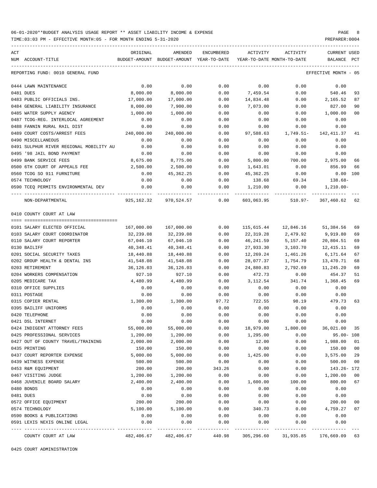TIME:03:03 PM - EFFECTIVE MONTH:05 - FOR MONTH ENDING 5-31-2020 PREPARER:0004

| ACT |                                         | ORIGINAL   | AMENDED                                  | ENCUMBERED | ACTIVITY                   | ACTIVITY                         | CURRENT USED         |              |
|-----|-----------------------------------------|------------|------------------------------------------|------------|----------------------------|----------------------------------|----------------------|--------------|
|     | NUM ACCOUNT-TITLE                       |            | BUDGET-AMOUNT BUDGET-AMOUNT YEAR-TO-DATE |            | YEAR-TO-DATE MONTH-TO-DATE |                                  | BALANCE              | $_{\rm PCT}$ |
|     | REPORTING FUND: 0010 GENERAL FUND       |            |                                          |            |                            |                                  | EFFECTIVE MONTH - 05 |              |
|     | 0444 LAWN MAINTENANCE                   | 0.00       | 0.00                                     | 0.00       | 0.00                       | 0.00                             | 0.00                 |              |
|     | 0481 DUES                               | 8,000.00   | 8,000.00                                 | 0.00       | 7,459.54                   | 0.00                             | 540.46               | 93           |
|     | 0483 PUBLIC OFFICIALS INS.              | 17,000.00  | 17,000.00                                | 0.00       | 14,834.48                  | 0.00                             | 2,165.52             | 87           |
|     | 0484 GENERAL LIABILITY INSURANCE        | 8,000.00   | 7,900.00                                 | 0.00       | 7,073.00                   | 0.00                             | 827.00               | 90           |
|     | 0485 WATER SUPPLY AGENCY                | 1,000.00   | 1,000.00                                 | 0.00       | 0.00                       | 0.00                             | 1,000.00             | 00           |
|     | 0487 TCOG-REG. INTERLOCAL AGREEMENT     | 0.00       | 0.00                                     | 0.00       | 0.00                       | 0.00                             | 0.00                 |              |
|     | 0488 FANNIN RURAL RAIL DIST             | 0.00       | 0.00                                     | 0.00       | 0.00                       | 0.00                             | 0.00                 |              |
|     | 0489 COURT COSTS/ARREST FEES            | 240,000.00 | 240,000.00                               | 0.00       | 97,588.63                  | 1,749.51-                        | 142,411.37           | 41           |
|     | 0490 MISCELLANEOUS                      | 0.00       | 0.00                                     | 0.00       | 0.00                       | 0.00                             | 0.00                 |              |
|     | 0491 SULPHUR RIVER REGIONAL MOBILITY AU | 0.00       | 0.00                                     | 0.00       | 0.00                       | 0.00                             | 0.00                 |              |
|     | 0495 '98 JAIL BOND PAYMENT              | 0.00       | 0.00                                     | 0.00       | 0.00                       | 0.00                             | 0.00                 |              |
|     | 0499 BANK SERVICE FEES                  | 8,675.00   | 8,775.00                                 | 0.00       | 5,800.00                   | 700.00                           | 2,975.00             | 66           |
|     | 0500 6TH COURT OF APPEALS FEE           | 2,500.00   | 2,500.00                                 | 0.00       | 1,643.01                   | 0.00                             | 856.99               | 66           |
|     | 0560 TCOG SO 911 FURNITURE              | 0.00       | 45,362.25                                | 0.00       | 45,362.25                  | 0.00                             | $0.00$ 100           |              |
|     | 0574 TECHNOLOGY                         | 0.00       | 0.00                                     | 0.00       | 138.68                     | 69.34                            | 138.68-              |              |
|     | 0590 TCEQ PERMITS ENVIRONMENTAL DEV     | 0.00       | 0.00                                     | 0.00       |                            | 0.00                             | 1,210.00-            |              |
|     |                                         |            |                                          |            | 1,210.00                   |                                  |                      |              |
|     | NON-DEPARTMENTAL                        |            | 925,162.32 970,524.57 0.00               |            |                            | 603,063.95 510.97- 367,460.62 62 |                      |              |
|     | 0410 COUNTY COURT AT LAW                |            |                                          |            |                            |                                  |                      |              |
|     |                                         |            |                                          |            |                            |                                  |                      |              |
|     | 0101 SALARY ELECTED OFFICIAL            | 167,000.00 | 167,000.00                               | 0.00       | 115,615.44                 |                                  | 12,846.16 51,384.56  | 69           |
|     | 0103 SALARY COURT COORDINATOR           | 32,239.08  | 32,239.08                                | 0.00       | 22,319.28                  | 2,479.92                         | 9,919.80             | 69           |
|     | 0110 SALARY COURT REPORTER              | 67,046.10  | 67,046.10                                | 0.00       | 46,241.59                  | 5,157.40                         | 20,804.51            | 69           |
|     | 0130 BAILIFF                            | 40,348.41  | 40,348.41                                | 0.00       | 27,933.30                  | 3,103.70                         | 12,415.11            | 69           |
|     | 0201 SOCIAL SECURITY TAXES              | 18,440.88  | 18,440.88                                | 0.00       | 12,269.24                  | 1,461.26                         | 6,171.64             | 67           |
|     | 0202 GROUP HEALTH & DENTAL INS          | 41,548.08  | 41,548.08                                | 0.00       | 28,077.37                  | 1,754.79                         | 13,470.71            | 68           |
|     | 0203 RETIREMENT                         | 36,126.03  | 36,126.03                                | 0.00       | 24,880.83                  | 2,792.69                         | 11,245.20            | 69           |
|     | 0204 WORKERS COMPENSATION               | 927.10     | 927.10                                   | 0.00       | 472.73                     | 0.00                             | 454.37               | 51           |
|     | 0205 MEDICARE TAX                       | 4,480.99   | 4,480.99                                 | 0.00       | 3,112.54                   | 341.74                           | 1,368.45             | 69           |
|     | 0310 OFFICE SUPPLIES                    | 0.00       | 0.00                                     | 0.00       | 0.00                       | 0.00                             | 0.00                 |              |
|     | 0311 POSTAGE                            | 0.00       | 0.00                                     | 0.00       | 0.00                       | 0.00                             | 0.00                 |              |
|     | 0315 COPIER RENTAL                      | 1,300.00   | 1,300.00                                 | 97.72      | 722.55                     |                                  | 98.19 479.73         | 63           |
|     | 0395 BAILIFF UNIFORMS                   | 0.00       | 0.00                                     | 0.00       | 0.00                       | 0.00                             | 0.00                 |              |
|     | 0420 TELEPHONE                          | 0.00       | 0.00                                     | 0.00       | 0.00                       | 0.00                             | 0.00                 |              |
|     | 0421 DSL INTERNET                       | 0.00       | 0.00                                     | 0.00       | 0.00                       | 0.00                             | 0.00                 |              |
|     | 0424 INDIGENT ATTORNEY FEES             | 55,000.00  | 55,000.00                                | 0.00       | 18,979.00                  | 1,800.00                         | 36,021.00            | 35           |
|     | 0425 PROFESSIONAL SERVICES              | 1,200.00   | 1,200.00                                 | 0.00       | 1,295.00                   | 0.00                             | $95.00 - 108$        |              |
|     | 0427 OUT OF COUNTY TRAVEL/TRAINING      | 2,000.00   | 2,000.00                                 | 0.00       | 12.00                      | 0.00                             | 1,988.00             | 01           |
|     | 0435 PRINTING                           | 150.00     | 150.00                                   | 0.00       | 0.00                       | 0.00                             | 150.00               | $00\,$       |
|     | 0437 COURT REPORTER EXPENSE             | 5,000.00   | 5,000.00                                 | 0.00       | 1,425.00                   | 0.00                             | 3,575.00             | 29           |
|     | 0439 WITNESS EXPENSE                    | 500.00     | 500.00                                   | 0.00       | 0.00                       | 0.00                             | 500.00               | 00           |
|     | 0453 R&M EQUIPMENT                      | 200.00     | 200.00                                   | 343.26     | 0.00                       | 0.00                             | 143.26- 172          |              |
|     | 0467 VISITING JUDGE                     | 1,200.00   | 1,200.00                                 | 0.00       | 0.00                       | 0.00                             | 1,200.00             | 00           |
|     | 0468 JUVENILE BOARD SALARY              | 2,400.00   | 2,400.00                                 | 0.00       | 1,600.00                   | 100.00                           | 800.00               | 67           |
|     | 0480 BONDS                              | 0.00       | 0.00                                     | 0.00       | 0.00                       | 0.00                             | 0.00                 |              |
|     | 0481 DUES                               | 0.00       | 0.00                                     | 0.00       | 0.00                       | 0.00                             | 0.00                 |              |
|     | 0572 OFFICE EQUIPMENT                   | 200.00     | 200.00                                   | 0.00       | 0.00                       | 0.00                             | 200.00               | 00           |
|     | 0574 TECHNOLOGY                         | 5,100.00   | 5,100.00                                 | 0.00       | 340.73                     | 0.00                             | 4,759.27             | 07           |
|     | 0590 BOOKS & PUBLICATIONS               | 0.00       | 0.00                                     | 0.00       | 0.00                       | 0.00                             | 0.00                 |              |
|     | 0591 LEXIS NEXIS ONLINE LEGAL           | 0.00       | 0.00                                     | 0.00       | 0.00                       | 0.00                             | 0.00                 |              |
|     | COUNTY COURT AT LAW                     | 482,406.67 | 482,406.67                               | 440.98     | 305,296.60                 | 31,935.85                        | 176,669.09 63        |              |
|     |                                         |            |                                          |            |                            |                                  |                      |              |

0425 COURT ADMINISTRATION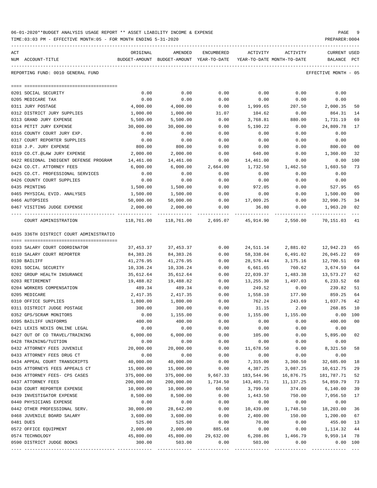| ACT | NUM ACCOUNT-TITLE                       | ORIGINAL   | AMENDED<br>BUDGET-AMOUNT BUDGET-AMOUNT YEAR-TO-DATE            | ENCUMBERED        | ACTIVITY<br>YEAR-TO-DATE MONTH-TO-DATE | ACTIVITY  | CURRENT USED<br>BALANCE PCT |                |
|-----|-----------------------------------------|------------|----------------------------------------------------------------|-------------------|----------------------------------------|-----------|-----------------------------|----------------|
|     | REPORTING FUND: 0010 GENERAL FUND       |            |                                                                |                   |                                        |           | EFFECTIVE MONTH - 05        |                |
|     |                                         |            |                                                                |                   |                                        |           |                             |                |
|     | 0201 SOCIAL SECURITY                    | 0.00       | 0.00                                                           | 0.00              | 0.00                                   | 0.00      | 0.00                        |                |
|     | 0205 MEDICARE TAX                       | 0.00       | 0.00                                                           | 0.00              | 0.00                                   | 0.00      | 0.00                        |                |
|     | 0311 JURY POSTAGE                       | 4,000.00   | 4,000.00                                                       | 0.00              | 1,999.65                               | 207.50    | 2,000.35                    | 50             |
|     | 0312 DISTRICT JURY SUPPLIES             | 1,000.00   | 1,000.00                                                       | 31.07             | 104.62                                 | 0.00      | 864.31                      | 14             |
|     | 0313 GRAND JURY EXPENSE                 | 5,500.00   | 5,500.00                                                       | 0.00              | 3,768.81                               | 880.00    | 1,731.19                    | 69             |
|     | 0314 PETIT JURY EXPENSE                 | 30,000.00  | 30,000.00                                                      | 0.00              | 5,190.22                               | 0.00      | 24,809.78                   | 17             |
|     | 0316 COUNTY COURT JURY EXP.             | 0.00       | 0.00                                                           | 0.00              | 0.00                                   | 0.00      | 0.00                        |                |
|     | 0317 COURT REPORTER SUPPLIES            | 0.00       | 0.00                                                           | 0.00              | 0.00                                   | 0.00      | 0.00                        |                |
|     | 0318 J.P. JURY EXPENSE                  | 800.00     | 800.00                                                         | 0.00              | 0.00                                   | 0.00      | 800.00                      | 00             |
|     | 0319 CO.CT.@LAW JURY EXPENSE            | 2,000.00   | 2,000.00                                                       | 0.00              | 640.00                                 | 0.00      | 1,360.00                    | 32             |
|     | 0422 REGIONAL INDIGENT DEFENSE PROGRAM  | 14,461.00  | 14,461.00                                                      | 0.00              | 14,461.00                              | 0.00      | $0.00$ 100                  |                |
|     | 0424 CO.CT. ATTORNEY FEES               | 6,000.00   |                                                                | 6,000.00 2,664.00 | 1,732.50                               | 1,462.50  | 1,603.50                    | 73             |
|     | 0425 CO.CT. PROFESSIONAL SERVICES       | 0.00       | 0.00                                                           | 0.00              | 0.00                                   | 0.00      | 0.00                        |                |
|     | 0426 COUNTY COURT SUPPLIES              | 0.00       | 0.00                                                           | 0.00              | 0.00                                   | 0.00      | 0.00                        |                |
|     | 0435 PRINTING                           | 1,500.00   | 1,500.00                                                       | 0.00              | 972.05                                 | 0.00      | 527.95                      | 65             |
|     | 0465 PHYSICAL EVID. ANALYSES            | 1,500.00   | 1,500.00                                                       | 0.00              | 0.00                                   | 0.00      | 1,500.00                    | 0 <sub>0</sub> |
|     | 0466 AUTOPSIES                          | 50,000.00  | 50,000.00                                                      |                   | $0.00$ 17,009.25                       | 0.00      | 32,990.75                   | 34             |
|     | 0467 VISITING JUDGE EXPENSE             | 2,000.00   | 2,000.00                                                       | 0.00              | 36.80                                  | 0.00      | 1,963.20                    | 02             |
|     | COURT ADMINISTRATION                    |            | 118,761.00 118,761.00 2,695.07 45,914.90 2,550.00 70,151.03 41 |                   |                                        |           |                             |                |
|     | 0435 336TH DISTRICT COURT ADMINISTRATIO |            |                                                                |                   |                                        |           |                             |                |
|     |                                         |            |                                                                |                   |                                        |           |                             |                |
|     | 0103 SALARY COURT COORDINATOR           | 37,453.37  | 37,453.37                                                      | 0.00              | 24,511.14                              | 2,881.02  | 12,942.23                   | 65             |
|     | 0110 SALARY COURT REPORTER              | 84,383.26  | 84,383.26                                                      | 0.00              | 58,338.04                              | 6,491.02  | 26,045.22                   | 69             |
|     | 0130 BAILIFF                            | 41,276.95  | 41,276.95                                                      | 0.00              | 28,576.44                              | 3,175.16  | 12,700.51                   | 69             |
|     | 0201 SOCIAL SECURITY                    | 10,336.24  | 10,336.24                                                      | 0.00              | 6,661.65                               | 760.62    | 3,674.59                    | 64             |
|     | 0202 GROUP HEALTH INSURANCE             | 35,612.64  | 35,612.64                                                      | 0.00              | 22,039.37                              | 1,483.38  | 13,573.27                   | 62             |
|     | 0203 RETIREMENT                         | 19,488.82  | 19,488.82                                                      | 0.00              | 13,255.30                              | 1,497.03  | 6,233.52                    | 68             |
|     | 0204 WORKERS COMPENSATION               | 489.34     | 489.34                                                         | 0.00              | 249.52                                 | 0.00      | 239.82                      | 51             |
|     | 0205 MEDICARE                           | 2,417.35   | 2,417.35                                                       | 0.00              | 1,558.10                               | 177.90    | 859.25                      | 64             |
|     | 0310 OFFICE SUPPLIES                    | 1,800.00   | 1,800.00                                                       | 0.00              | 762.24                                 |           | 243.69 1,037.76             | 42             |
|     | 0311 DISTRICT JUDGE POSTAGE             | 300.00     | 300.00                                                         | 0.00              | 31.15                                  | 2.00      | 268.85                      | 10             |
|     | 0352 GPS/SCRAM MONITORS                 | 0.00       | 1,155.00                                                       | 0.00              | 1,155.00                               | 1,155.00  | $0.00$ 100                  |                |
|     | 0395 BAILIFF UNIFORMS                   | 400.00     | 400.00                                                         | 0.00              | 0.00                                   | 0.00      | 400.00 00                   |                |
|     | 0421 LEXIS NEXIS ONLINE LEGAL           | 0.00       | 0.00                                                           | 0.00              | 0.00                                   | 0.00      | 0.00                        |                |
|     | 0427 OUT OF CO TRAVEL/TRAINING          | 6,000.00   | 6,000.00                                                       | 0.00              | 105.00                                 | 0.00      | 5,895.00                    | 02             |
|     | 0428 TRAINING/TUITION                   | 0.00       | 0.00                                                           | 0.00              | 0.00                                   | 0.00      | 0.00                        |                |
|     | 0432 ATTORNEY FEES JUVENILE             | 20,000.00  | 20,000.00                                                      | 0.00              | 11,678.50                              | 0.00      | 8,321.50                    | 58             |
|     | 0433 ATTORNEY FEES DRUG CT              | 0.00       | 0.00                                                           | 0.00              | 0.00                                   | 0.00      | 0.00                        |                |
|     | 0434 APPEAL COURT TRANSCRIPTS           | 40,000.00  | 40,000.00                                                      | 0.00              | 7,315.00                               | 3,360.50  | 32,685.00                   | 18             |
|     | 0435 ATTORNEYS FEES APPEALS CT          | 15,000.00  | 15,000.00                                                      | 0.00              | 4,387.25                               | 3,087.25  | 10,612.75                   | 29             |
|     | 0436 ATTORNEY FEES- CPS CASES           | 375,000.00 | 375,000.00                                                     | 9,667.33          | 183,544.96                             | 16,876.75 | 181,787.71                  | 52             |
|     | 0437 ATTORNEY FEES                      | 200,000.00 | 200,000.00                                                     | 1,734.50          | 143,405.71                             | 11,137.25 | 54,859.79                   | 73             |
|     | 0438 COURT REPORTER EXPENSE             | 10,000.00  | 10,000.00                                                      | 60.50             | 3,799.50                               | 374.00    | 6,140.00                    | 39             |
|     | 0439 INVESTIGATOR EXPENSE               | 8,500.00   | 8,500.00                                                       | 0.00              | 1,443.50                               | 750.00    | 7,056.50                    | 17             |
|     | 0440 PHYSICIANS EXPENSE                 | 0.00       | 0.00                                                           | 0.00              | 0.00                                   | 0.00      | 0.00                        |                |
|     | 0442 OTHER PROFESSIONAL SERV.           | 30,000.00  | 28,642.00                                                      | 0.00              | 10,439.00                              | 1,748.50  | 18,203.00                   | 36             |
|     | 0468 JUVENILE BOARD SALARY              | 3,600.00   | 3,600.00                                                       | 0.00              | 2,400.00                               | 150.00    | 1,200.00                    | 67             |
|     | 0481 DUES                               | 525.00     | 525.00                                                         | 0.00              | 70.00                                  | 0.00      | 455.00                      | 13             |
|     | 0572 OFFICE EQUIPMENT                   | 2,000.00   | 2,000.00                                                       | 885.68            | 0.00                                   | 0.00      | 1,114.32                    | 44             |
|     | 0574 TECHNOLOGY                         | 45,800.00  | 45,800.00                                                      | 29,632.00         | 6,208.86                               | 1,466.79  | 9,959.14                    | 78             |
|     | 0590 DISTRICT JUDGE BOOKS               | 300.00     | 503.00                                                         | 0.00              | 503.00                                 | 0.00      | 0.00 100                    |                |
|     |                                         |            |                                                                |                   |                                        |           |                             |                |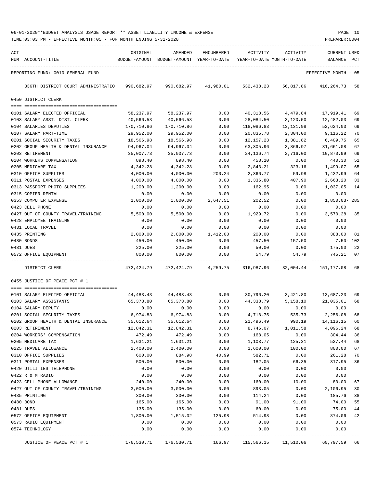TIME:03:03 PM - EFFECTIVE MONTH:05 - FOR MONTH ENDING 5-31-2020

| ACT | NUM ACCOUNT-TITLE                    | ORIGINAL   | AMENDED<br>BUDGET-AMOUNT BUDGET-AMOUNT YEAR-TO-DATE | ENCUMBERED | ACTIVITY<br>YEAR-TO-DATE MONTH-TO-DATE | ACTIVITY  | <b>CURRENT USED</b><br>BALANCE | PCT |
|-----|--------------------------------------|------------|-----------------------------------------------------|------------|----------------------------------------|-----------|--------------------------------|-----|
|     | REPORTING FUND: 0010 GENERAL FUND    |            |                                                     |            |                                        |           | EFFECTIVE MONTH - 05           |     |
|     | 336TH DISTRICT COURT ADMINISTRATIO   | 990,682.97 | 990,682.97                                          | 41,980.01  | 532,438.23                             | 56,817.86 | 416,264.73                     | 58  |
|     | 0450 DISTRICT CLERK                  |            |                                                     |            |                                        |           |                                |     |
|     |                                      |            |                                                     |            |                                        |           |                                |     |
|     | 0101 SALARY ELECTED OFFICIAL         | 58,237.97  | 58,237.97                                           | 0.00       | 40,318.56                              | 4,479.84  | 17,919.41                      | 69  |
|     | 0103 SALARY ASST. DIST. CLERK        | 40,566.53  | 40,566.53                                           | 0.00       | 28,084.50                              | 3,120.50  | 12,482.03                      | 69  |
|     | 0104 SALARIES DEPUTIES               | 170,710.86 | 170,710.86                                          | 0.00       | 118,086.83                             | 13,131.98 | 52,624.03                      | 69  |
|     | 0107 SALARY PART-TIME                | 29,952.00  | 29,952.00                                           | 0.00       | 20,835.78                              | 2,304.00  | 9,116.22                       | 70  |
|     | 0201 SOCIAL SECURITY TAXES           | 18,566.98  | 18,566.98                                           | 0.00       | 12,157.23                              | 1,381.82  | 6,409.75                       | 65  |
|     | 0202 GROUP HEALTH & DENTAL INSURANCE | 94,967.04  | 94,967.04                                           | 0.00       | 63,305.96                              | 3,866.97  | 31,661.08                      | 67  |
|     | 0203 RETIREMENT                      | 35,007.73  | 35,007.73                                           | 0.00       | 24, 136.74                             | 2,716.00  | 10,870.99                      | 69  |
|     | 0204 WORKERS COMPENSATION            | 898.40     | 898.40                                              | 0.00       | 458.10                                 | 0.00      | 440.30                         | 51  |
|     | 0205 MEDICARE TAX                    | 4,342.28   | 4,342.28                                            | 0.00       | 2,843.21                               | 323.16    | 1,499.07                       | 65  |
|     | 0310 OFFICE SUPPLIES                 | 4,000.00   | 4,000.00                                            | 200.24     | 2,366.77                               | 59.98     | 1,432.99                       | 64  |
|     | 0311 POSTAL EXPENSES                 | 4,000.00   | 4,000.00                                            | 0.00       | 1,336.80                               | 407.90    | 2,663.20                       | 33  |
|     | 0313 PASSPORT PHOTO SUPPLIES         | 1,200.00   | 1,200.00                                            | 0.00       | 162.95                                 | 0.00      | 1,037.05                       | 14  |
|     | 0315 COPIER RENTAL                   | 0.00       | 0.00                                                | 0.00       | 0.00                                   | 0.00      | 0.00                           |     |
|     | 0353 COMPUTER EXPENSE                | 1,000.00   | 1,000.00                                            | 2,647.51   | 202.52                                 | 0.00      | 1,850.03-285                   |     |
|     | 0423 CELL PHONE                      | 0.00       | 0.00                                                | 0.00       | 0.00                                   | 0.00      | 0.00                           |     |
|     | 0427 OUT OF COUNTY TRAVEL/TRAINING   | 5,500.00   | 5,500.00                                            | 0.00       | 1,929.72                               | 0.00      | 3,570.28                       | 35  |
|     | 0428 EMPLOYEE TRAINING               | 0.00       | 0.00                                                | 0.00       | 0.00                                   | 0.00      | 0.00                           |     |
|     | 0431 LOCAL TRAVEL                    | 0.00       | 0.00                                                | 0.00       | 0.00                                   | 0.00      | 0.00                           |     |
|     | 0435 PRINTING                        | 2,000.00   | 2,000.00                                            | 1,412.00   | 200.00                                 | 0.00      | 388.00                         | 81  |
|     | 0480 BONDS                           | 450.00     | 450.00                                              | 0.00       | 457.50                                 | 157.50    | $7.50 - 102$                   |     |
|     | 0481 DUES                            | 225.00     | 225.00                                              | 0.00       | 50.00                                  | 0.00      | 175.00                         | 22  |
|     | 0572 OFFICE EQUIPMENT                | 800.00     | 800.00                                              | 0.00       | 54.79                                  | 54.79     | 745.21                         | 07  |
|     | DISTRICT CLERK                       | 472,424.79 | 472,424.79                                          | 4,259.75   | 316,987.96                             | 32,004.44 | 151,177.08                     | 68  |
|     | 0455 JUSTICE OF PEACE PCT # 1        |            |                                                     |            |                                        |           |                                |     |
|     |                                      |            |                                                     |            |                                        |           |                                |     |
|     | 0101 SALARY ELECTED OFFICIAL         | 44,483.43  | 44,483.43                                           | 0.00       | 30,796.20                              | 3,421.80  | 13,687.23                      | 69  |
|     | 0103 SALARY ASSISTANTS               | 65,373.80  | 65,373.80                                           | 0.00       | 44,338.79                              | 5,158.10  | 21,035.01                      | 68  |
|     | 0104 SALARY DEPUTY                   | 0.00       | 0.00                                                | 0.00       | 0.00                                   | 0.00      | 0.00                           |     |
|     | 0201 SOCIAL SECURITY TAXES           | 6,974.83   | 6,974.83                                            | 0.00       | 4,718.75                               | 535.73    | 2,256.08                       | 68  |
|     | 0202 GROUP HEALTH & DENTAL INSURANCE | 35,612.64  | 35,612.64                                           | 0.00       | 21,496.49                              | 990.19    | 14, 116. 15                    | 60  |
|     | 0203 RETIREMENT                      | 12,842.31  | 12,842.31                                           | 0.00       | 8,746.07                               | 1,011.58  | 4,096.24                       | 68  |
|     | 0204 WORKERS' COMPENSATION           | 472.49     | 472.49                                              | 0.00       | 168.05                                 | 0.00      | 304.44                         | 36  |
|     | 0205 MEDICARE TAX                    | 1,631.21   | 1,631.21                                            | 0.00       | 1,103.77                               | 125.31    | 527.44                         | 68  |
|     | 0225 TRAVEL ALLOWANCE                | 2,400.00   | 2,400.00                                            | 0.00       | 1,600.00                               | 100.00    | 800.00                         | 67  |
|     | 0310 OFFICE SUPPLIES                 | 600.00     | 884.98                                              | 40.99      | 582.71                                 | 0.00      | 261.28                         | 70  |
|     | 0311 POSTAL EXPENSES                 | 500.00     | 500.00                                              | 0.00       | 182.05                                 | 66.35     | 317.95                         | 36  |
|     | 0420 UTILITIES TELEPHONE             | 0.00       | 0.00                                                | 0.00       | 0.00                                   | 0.00      | 0.00                           |     |
|     | 0422 R & M RADIO                     | 0.00       | 0.00                                                | 0.00       | 0.00                                   | 0.00      | 0.00                           |     |
|     | 0423 CELL PHONE ALLOWANCE            | 240.00     | 240.00                                              | 0.00       | 160.00                                 | 10.00     | 80.00                          | 67  |
|     | 0427 OUT OF COUNTY TRAVEL/TRAINING   | 3,000.00   | 3,000.00                                            | 0.00       | 893.05                                 | 0.00      | 2,106.95                       | 30  |
|     | 0435 PRINTING                        | 300.00     | 300.00                                              | 0.00       | 114.24                                 | 0.00      | 185.76                         | 38  |
|     | 0480 BOND                            | 165.00     | 165.00                                              | 0.00       | 91.00                                  | 91.00     | 74.00                          | 55  |
|     | 0481 DUES                            | 135.00     | 135.00                                              | 0.00       | 60.00                                  | 0.00      | 75.00                          | 44  |
|     | 0572 OFFICE EQUIPMENT                | 1,800.00   | 1,515.02                                            | 125.98     | 514.98                                 | 0.00      | 874.06                         | 42  |
|     | 0573 RADIO EQUIPMENT                 | 0.00       | 0.00                                                | 0.00       | 0.00                                   | 0.00      | 0.00                           |     |
|     | 0574 TECHNOLOGY                      | 0.00       | 0.00                                                | 0.00       | 0.00                                   | 0.00      | 0.00                           |     |
|     | JUSTICE OF PEACE PCT # 1             | 176,530.71 | 176,530.71                                          | 166.97     | 115,566.15                             | 11,510.06 | 60,797.59 66                   |     |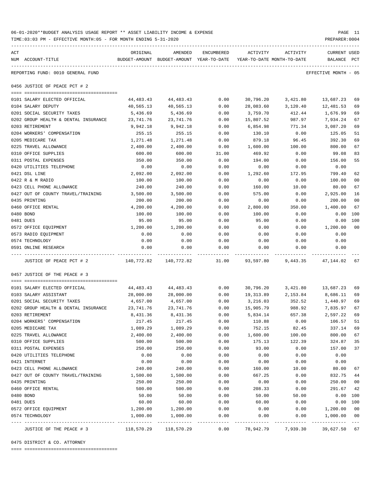|     | TIME:03:03 PM - EFFECTIVE MONTH:05 - FOR MONTH ENDING 5-31-2020 |                    |                                                     |              |                    |                                        | PREPARER: 0004          |                |
|-----|-----------------------------------------------------------------|--------------------|-----------------------------------------------------|--------------|--------------------|----------------------------------------|-------------------------|----------------|
| ACT | NUM ACCOUNT-TITLE                                               | ORIGINAL           | AMENDED<br>BUDGET-AMOUNT BUDGET-AMOUNT YEAR-TO-DATE | ENCUMBERED   | ACTIVITY           | ACTIVITY<br>YEAR-TO-DATE MONTH-TO-DATE | CURRENT USED<br>BALANCE | PCT            |
|     | REPORTING FUND: 0010 GENERAL FUND                               |                    |                                                     |              |                    |                                        | EFFECTIVE MONTH - 05    |                |
|     | 0456 JUSTICE OF PEACE PCT # 2                                   |                    |                                                     |              |                    |                                        |                         |                |
|     | 0101 SALARY ELECTED OFFICIAL                                    | 44,483.43          | 44,483.43                                           | 0.00         | 30,796.20          | 3,421.80                               | 13,687.23               | 69             |
|     | 0104 SALARY DEPUTY                                              | 40,565.13          | 40,565.13                                           | 0.00         | 28,083.60          | 3,120.40                               | 12,481.53               | 69             |
|     | 0201 SOCIAL SECURITY TAXES                                      | 5,436.69           | 5,436.69                                            | 0.00         | 3,759.70           | 412.44                                 | 1,676.99                | 69             |
|     | 0202 GROUP HEALTH & DENTAL INSURANCE                            | 23,741.76          | 23,741.76                                           | 0.00         | 15,807.52          | 987.97                                 | 7,934.24                | 67             |
|     | 0203 RETIREMENT                                                 | 9,942.18           | 9,942.18                                            | 0.00         | 6,854.98           | 771.34                                 | 3,087.20                | 69             |
|     | 0204 WORKERS' COMPENSATION                                      | 255.15             | 255.15                                              | 0.00         | 130.10             | 0.00                                   | 125.05                  | 51             |
|     | 0205 MEDICARE TAX                                               | 1,271.48           | 1,271.48                                            | 0.00         | 879.18             | 96.45                                  | 392.30                  | 69             |
|     | 0225 TRAVEL ALLOWANCE                                           | 2,400.00           | 2,400.00                                            | 0.00         | 1,600.00           | 100.00                                 | 800.00                  | 67             |
|     | 0310 OFFICE SUPPLIES                                            | 600.00             | 600.00                                              | 31.00        | 469.92             | 0.00                                   | 99.08                   | 83             |
|     | 0311 POSTAL EXPENSES                                            | 350.00             | 350.00                                              | 0.00         | 194.00             | 0.00                                   | 156.00                  | 55             |
|     | 0420 UTILITIES TELEPHONE                                        | 0.00               | 0.00                                                | 0.00         | 0.00               | 0.00                                   | 0.00                    |                |
|     | 0421 DSL LINE                                                   | 2,092.00           | 2,092.00                                            | 0.00         | 1,292.60           | 172.95                                 | 799.40                  | 62             |
|     | 0422 R & M RADIO                                                | 100.00             | 100.00                                              | 0.00         | 0.00               | 0.00                                   | 100.00                  | 00             |
|     | 0423 CELL PHONE ALLOWANCE                                       | 240.00             | 240.00                                              | 0.00         | 160.00             | 10.00                                  | 80.00                   | 67             |
|     | 0427 OUT OF COUNTY TRAVEL/TRAINING                              | 3,500.00           | 3,500.00                                            | 0.00         | 575.00             | 0.00                                   | 2,925.00                | 16             |
|     | 0435 PRINTING                                                   | 200.00             | 200.00                                              | 0.00         | 0.00               | 0.00                                   | 200.00                  | 0 <sub>0</sub> |
|     | 0460 OFFICE RENTAL                                              | 4,200.00           | 4,200.00                                            | 0.00         | 2,800.00           | 350.00                                 | 1,400.00                | 67             |
|     | 0480 BOND                                                       | 100.00             | 100.00                                              | 0.00         | 100.00             | 0.00                                   | $0.00$ 100              |                |
|     | 0481 DUES                                                       | 95.00              | 95.00                                               | 0.00         | 95.00              | 0.00                                   | 0.00                    | 100            |
|     | 0572 OFFICE EQUIPMENT                                           | 1,200.00           | 1,200.00                                            | 0.00         | 0.00               | 0.00                                   | 1,200.00                | 0 <sub>0</sub> |
|     | 0573 RADIO EQUIPMENT                                            | 0.00               | 0.00                                                | 0.00         | 0.00               | 0.00                                   | 0.00                    |                |
|     | 0574 TECHNOLOGY                                                 | 0.00               | 0.00                                                | 0.00         | 0.00               | 0.00                                   | 0.00                    |                |
|     | 0591 ONLINE RESEARCH                                            | 0.00               | 0.00                                                | 0.00         | 0.00               | 0.00                                   | 0.00                    |                |
|     | JUSTICE OF PEACE PCT # 2                                        | 140,772.82         | 140,772.82                                          | 31.00        | 93,597.80          | 9,443.35                               | 47,144.02               | 67             |
|     | 0457 JUSTICE OF THE PEACE # 3                                   |                    |                                                     |              |                    |                                        |                         |                |
|     |                                                                 |                    |                                                     |              |                    |                                        |                         |                |
|     | 0101 SALARY ELECTED OFFICIAL                                    | 44,483.43          | 44,483.43                                           | 0.00         | 30,796.20          | 3,421.80                               | 13,687.23               | 69             |
|     | 0103 SALARY ASSISTANT                                           | 28,000.00          | 28,000.00                                           | 0.00         | 19,313.89          | 2,153.84                               | 8,686.11                | 69             |
|     | 0201 SOCIAL SECURITY TAXES                                      | 4,657.00           | 4,657.00                                            | 0.00         | 3,216.03           | 352.52                                 | 1,440.97                | 69             |
|     | 0202 GROUP HEALTH & DENTAL INSURANCE                            | 23,741.76          | 23,741.76<br>8,431.36                               | 0.00         | 15,905.79          | 988.92                                 | 7,835.97                | 67<br>69       |
|     | 0203 RETIREMENT<br>0204 WORKERS' COMPENSATION                   | 8,431.36           |                                                     | 0.00         | 5,834.14           | 657.38                                 | 2,597.22                | 51             |
|     | 0205 MEDICARE TAX                                               | 217.45             | 217.45                                              | 0.00<br>0.00 | 110.88             | 0.00                                   | 106.57                  | 69             |
|     |                                                                 | 1,089.29           | 1,089.29                                            | 0.00         | 752.15             | 82.45<br>100.00                        | 337.14                  | 67             |
|     | 0225 TRAVEL ALLOWANCE<br>0310 OFFICE SUPPLIES                   | 2,400.00<br>500.00 | 2,400.00<br>500.00                                  | 0.00         | 1,600.00<br>175.13 | 122.39                                 | 800.00<br>324.87        | 35             |
|     | 0311 POSTAL EXPENSES                                            | 250.00             | 250.00                                              | 0.00         | 93.00              | 0.00                                   | 157.00                  | 37             |
|     | 0420 UTILITIES TELEPHONE                                        | 0.00               | 0.00                                                | 0.00         | 0.00               | 0.00                                   | 0.00                    |                |
|     | 0421 INTERNET                                                   | 0.00               | 0.00                                                | 0.00         | 0.00               | 0.00                                   | 0.00                    |                |
|     | 0423 CELL PHONE ALLOWANCE                                       | 240.00             | 240.00                                              | 0.00         | 160.00             | 10.00                                  | 80.00                   | 67             |
|     | 0427 OUT OF COUNTY TRAVEL/TRAINING                              | 1,500.00           | 1,500.00                                            | 0.00         | 667.25             | 0.00                                   | 832.75                  | 44             |
|     | 0435 PRINTING                                                   | 250.00             | 250.00                                              | 0.00         | 0.00               |                                        | 250.00                  | 0 <sub>0</sub> |
|     | 0460 OFFICE RENTAL                                              | 500.00             | 500.00                                              | 0.00         | 208.33             | 0.00<br>0.00                           | 291.67                  | 42             |
|     | 0480 BOND                                                       | 50.00              | 50.00                                               | 0.00         | 50.00              | 50.00                                  | 0.00                    | 100            |
|     | 0481 DUES                                                       | 60.00              | 60.00                                               | 0.00         | 60.00              | 0.00                                   | 0.00                    | 100            |
|     | 0572 OFFICE EQUIPMENT                                           | 1,200.00           | 1,200.00                                            | 0.00         | 0.00               | 0.00                                   | 1,200.00                | 0 <sub>0</sub> |
|     | 0574 TECHNOLOGY                                                 | 1,000.00           | 1,000.00                                            | 0.00         | 0.00               | 0.00                                   | 1,000.00                | 0 <sub>0</sub> |
|     |                                                                 |                    | -------------                                       | ------------ | -------------      | ------------                           | -------------           | $---$          |

JUSTICE OF THE PEACE # 3 118,570.29 118,570.29 0.00 78,942.79 7,939.30 39,627.50 67

0475 DISTRICT & CO. ATTORNEY

==== ===================================

06-01-2020\*\*BUDGET ANALYSIS USAGE REPORT \*\* ASSET LIABILITY INCOME & EXPENSE PAGE 11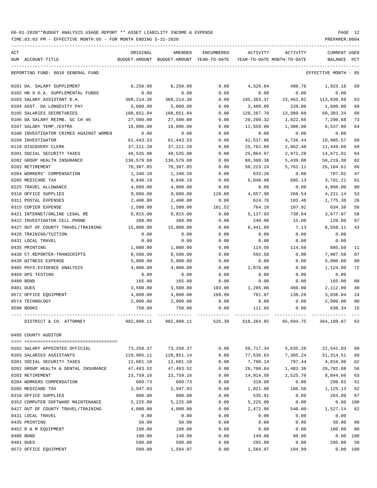TIME:03:03 PM - EFFECTIVE MONTH:05 - FOR MONTH ENDING 5-31-2020 PREPARER:0004

| ACT                                                       | ORIGINAL                | AMENDED                                  | ENCUMBERED     | ACTIVITY                   | ACTIVITY             | <b>CURRENT USED</b>    |                      |
|-----------------------------------------------------------|-------------------------|------------------------------------------|----------------|----------------------------|----------------------|------------------------|----------------------|
| NUM ACCOUNT-TITLE                                         |                         | BUDGET-AMOUNT BUDGET-AMOUNT YEAR-TO-DATE |                | YEAR-TO-DATE MONTH-TO-DATE |                      | BALANCE PCT            |                      |
| REPORTING FUND: 0010 GENERAL FUND                         |                         |                                          |                |                            |                      | EFFECTIVE MONTH - 05   |                      |
| 0101 DA. SALARY SUPPLEMENT                                | 6, 250.00               | 6, 250.00                                | 0.00           | 4,326.84                   | 480.76               | 1,923.16               | 69                   |
| 0102 HB 9 D.A. SUPPLEMENTAL FUNDS                         | 0.00                    | 0.00                                     | 0.00           | 0.00                       | 0.00                 | 0.00                   |                      |
| 0103 SALARY ASSISTANT D.A.                                | 309, 214.36             | 309, 214.36                              | 0.00           | 195,383.37                 | 23,462.92            | 113,830.99             | 63                   |
| 0104 ASST. DA LONGEVITY PAY                               | 5,080.00                | 5,080.00                                 | 0.00           | 3,480.00                   | 220.00               | 1,600.00               | 69                   |
| 0105 SALARIES SECRETARIES                                 | 188,651.04              | 188,651.04                               | 0.00           | 128,267.70                 | 13,989.60            | 60,383.34              | 68                   |
| 0106 DA SALARY REIMB. GC CH 46                            | 27,500.00               | 27,500.00                                | 0.00           | 20,209.32                  | 1,822.66             | 7,290.68               | 73                   |
| 0107 SALARY TEMP./EXTRA                                   | 18,096.00               | 18,096.00                                | 0.00           | 11,559.00                  | 1,308.00             | 6,537.00               | 64                   |
| 0108 INVESTIGATOR CRIMES AGAINST WOMEN                    | 0.00                    | 0.00                                     | 0.00           | 0.00                       | 0.00                 | 0.00                   |                      |
| 0109 INVESTIGATOR                                         | 61, 443.53              | 61, 443.53                               | 0.00           | 42,537.96                  | 4,726.44             | 18,905.57              | 69                   |
| 0110 DISCOVERY CLERK                                      | 37, 211.20              | 37, 211.20                               | 0.00           | 25,761.60                  | 2,862.40             | 11,449.60              | 69                   |
| 0201 SOCIAL SECURITY TAXES<br>0202 GROUP HEALTH INSURANCE | 40,535.98<br>130,579.68 | 40,535.98                                | 0.00<br>0.00   | 25,864.97                  | 2,972.28             | 14,671.01<br>50,219.30 | 64<br>62             |
| 0203 RETIREMENT                                           | 76,387.85               | 130,579.68<br>76,387.85                  | 0.00           | 80,360.38<br>50,223.24     | 5,439.06<br>5,762.11 | 26, 164.61             | 66                   |
| 0204 WORKERS' COMPENSATION                                | 1,340.28                | 1,340.28                                 | 0.00           | 633.26                     | 0.00                 | 707.02                 | 47                   |
| 0205 MEDICARE TAX                                         | 9,840.19                | 9,840.19                                 | 0.00           | 6,048.98                   | 695.13               | 3,791.21               | 61                   |
| 0225 TRAVEL ALLOWANCE                                     | 4,860.00                | 4,860.00                                 | 0.00           | 0.00                       | 0.00                 | 4,860.00               | 0 <sub>0</sub>       |
| 0310 OFFICE SUPPLIES                                      | 9,000.00                | 9,000.00                                 | 120.88         | 4,657.98                   | 268.54               | 4,221.14               | 53                   |
| 0311 POSTAL EXPENSES                                      | 2,400.00                | 2,400.00                                 | 0.00           | 624.70                     | 103.40               | 1,775.30               | 26                   |
| 0315 COPIER EXPENSE                                       | 1,500.00                | 1,500.00                                 | 101.52         | 764.10                     | 107.92               | 634.38                 | 58                   |
| 0421 INTERNET/ONLINE LEGAL RE                             | 8,815.00                | 8,815.00                                 | 0.00           | 5,137.93                   | 738.64               | 3,677.07               | 58                   |
| 0422 INVESTIGATOR CELL PHONE                              | 360.00                  | 360.00                                   | 0.00           | 240.00                     | 15.00                | 120.00                 | 67                   |
| 0427 OUT OF COUNTY TRAVEL/TRAINING                        | 15,000.00               | 15,000.00                                | 0.00           | 6,441.89                   | 7.13                 | 8,558.11               | 43                   |
| 0428 TRAINING/TUITION                                     | 0.00                    | 0.00                                     | 0.00           | 0.00                       | 0.00                 | 0.00                   |                      |
| 0431 LOCAL TRAVEL                                         | 0.00                    | 0.00                                     | 0.00           | 0.00                       | 0.00                 | 0.00                   |                      |
| 0435 PRINTING                                             | 1,000.00                | 1,000.00                                 | 0.00           | 114.50                     | 114.50               | 885.50                 | 11                   |
| 0438 CT.REPORTER-TRANSCRIPTS                              | 8,500.00                | 8,500.00                                 | 0.00           | 592.50                     | 0.00                 | 7,907.50               | 07                   |
| 0439 WITNESS EXPENSE                                      | 5,000.00                | 5,000.00                                 | 0.00           | 0.00                       | 0.00                 | 5,000.00               | 0 <sub>0</sub>       |
| 0465 PHYS. EVIDENCE ANALYSIS                              | 4,000.00                | 4,000.00                                 | 0.00           | 2,876.00                   | 0.00                 | 1,124.00               | 72                   |
| 0469 DPS TESTING                                          | 0.00                    | 0.00                                     | 0.00           | 0.00                       | 0.00                 | 0.00                   |                      |
| 0480 BOND<br>0481 DUES                                    | 165.00<br>3,500.00      | 165.00<br>3,500.00                       | 0.00<br>103.00 | 0.00<br>1,285.00           | 0.00<br>460.00       | 165.00<br>2,112.00     | 0 <sub>0</sub><br>40 |
| 0572 OFFICE EQUIPMENT                                     | 4,000.00                | 4,000.00                                 | 199.99         | 761.97                     | 138.26               | 3,038.04               | 24                   |
| 0574 TECHNOLOGY                                           | 2,000.00                | 2,000.00                                 | 0.00           | 0.00                       | 0.00                 | 2,000.00               | 0 <sub>0</sub>       |
| 0590 BOOKS                                                | 750.00                  | 750.00                                   | 0.00           | 111.66                     | 0.00                 | 638.34                 | 15                   |
|                                                           |                         |                                          |                |                            |                      |                        |                      |
| DISTRICT & CO. ATTORNEY                                   | 982,980.11              | 982,980.11                               | 525.39         | 618,264.85                 | 65,694.75            | 364,189.87             | 63                   |
| 0495 COUNTY AUDITOR                                       |                         |                                          |                |                            |                      |                        |                      |
| 0102 SALARY APPOINTED OFFICIAL                            | 73,258.37               | 73,258.37                                | 0.00           | 50,717.34                  | 5,635.26             | 22,541.03              | 69                   |
| 0103 SALARIES ASSISTANTS                                  | 129,985.11              | 128,851.14                               | 0.00           | 77,536.63                  | 7,305.24             | 51, 314.51             | 60                   |
| 0201 SOCIAL SECURITY TAXES                                | 12,601.10               | 12,601.10                                | 0.00           | 7,790.14                   | 797.44               | 4,810.96               | 62                   |
| 0202 GROUP HEALTH & DENTAL INSURANCE                      | 47,483.52               | 47,483.52                                | 0.00           | 26,700.84                  | 1,483.38             | 20,782.68              | 56                   |
| 0203 RETIREMENT                                           | 23,759.16               | 23,759.16                                | 0.00           | 14,914.50                  | 1,525.70             | 8,844.66               | 63                   |
| 0204 WORKERS COMPENSATION                                 | 609.73                  | 609.73                                   | 0.00           | 310.90                     | 0.00                 | 298.83                 | 51                   |
| 0205 MEDICARE TAX                                         | 2,947.03                | 2,947.03                                 | 0.00           | 1,821.90                   | 186.50               | 1,125.13               | 62                   |
| 0310 OFFICE SUPPLIES                                      | 800.00                  | 800.00                                   | 0.00           | 535.91                     | 0.00                 | 264.09                 | 67                   |
| 0353 COMPUTER SOFTWARE MAINTENANCE                        | 5,225.00                | 5,225.00                                 | 0.00           | 5,225.00                   | 0.00                 | 0.00                   | 100                  |
| 0427 OUT OF COUNTY TRAVEL/TRAINING                        | 4,000.00                | 4,000.00                                 | 0.00           | 2,472.86                   | $540.00 -$           | 1,527.14               | 62                   |
| 0431 LOCAL TRAVEL                                         | 0.00                    | 0.00                                     | 0.00           | 0.00                       | 0.00                 | 0.00                   |                      |
| 0435 PRINTING                                             | 50.00                   | 50.00                                    | 0.00           | 0.00                       | 0.00                 | 50.00                  | 0 <sub>0</sub>       |
| 0452 R & M EQUIPMENT                                      | 100.00                  | 100.00                                   | 0.00           | 0.00                       | 0.00                 | 100.00                 | 0 <sub>0</sub>       |
| 0480 BOND                                                 | 100.00                  | 149.00                                   | 0.00           | 149.00                     | 99.00                | 0.00                   | 100                  |
| 0481 DUES                                                 | 590.00                  | 590.00                                   | 0.00           | 295.00                     | 0.00                 | 295.00                 | 50                   |

0572 OFFICE EQUIPMENT 500.00 1,584.97 0.00 1,584.97 194.99 0.00 100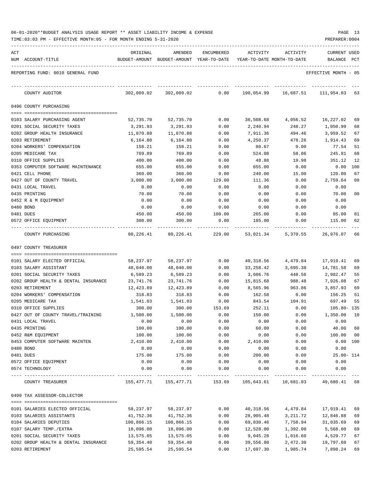| 06-01-2020**BUDGET ANALYSIS USAGE REPORT ** ASSET LIABILITY INCOME & EXPENSE |  |  |  |  | PAGE | <u>ے بر</u> |
|------------------------------------------------------------------------------|--|--|--|--|------|-------------|
|                                                                              |  |  |  |  |      |             |

| ACT | NUM ACCOUNT-TITLE                                                  | ORIGINAL               | AMENDED<br>BUDGET-AMOUNT BUDGET-AMOUNT YEAR-TO-DATE | ENCUMBERED     | ACTIVITY              | ACTIVITY<br>YEAR-TO-DATE MONTH-TO-DATE    | <b>CURRENT USED</b><br>BALANCE | PCT      |
|-----|--------------------------------------------------------------------|------------------------|-----------------------------------------------------|----------------|-----------------------|-------------------------------------------|--------------------------------|----------|
|     | REPORTING FUND: 0010 GENERAL FUND                                  |                        |                                                     |                |                       |                                           | EFFECTIVE MONTH - 05           |          |
|     | COUNTY AUDITOR                                                     |                        | 302,009.02 302,009.02                               |                |                       | $0.00$ 190,054.99 16,687.51 111,954.03 63 |                                |          |
|     | 0496 COUNTY PURCHASING                                             |                        |                                                     |                |                       |                                           |                                |          |
|     |                                                                    |                        |                                                     |                |                       |                                           |                                |          |
|     | 0103 SALARY PURCHASING AGENT                                       | 52,735.70              | 52,735.70                                           | 0.00           |                       | 36,508.68 4,056.52                        | 16,227.02                      | 69       |
|     | 0201 SOCIAL SECURITY TAXES                                         | 3,291.93               | 3,291.93                                            | 0.00           | 2,240.94              | 248.27                                    | 1,050.99                       | 68<br>67 |
|     | 0202 GROUP HEALTH INSURANCE<br>0203 RETIREMENT                     | 11,870.88<br>6,164.80  | 11,870.88<br>6,164.80                               | 0.00<br>0.00   | 7,911.36<br>4,250.37  | 494.46<br>478.26                          | 3,959.52<br>1,914.43           | 69       |
|     | 0204 WORKERS' COMPENSATION                                         | 158.21                 | 158.21                                              | 0.00           | 80.67                 | 0.00                                      | 77.54                          | 51       |
|     | 0205 MEDICARE TAX                                                  | 769.89                 | 769.89                                              | 0.00           | 524.08                | 58.06                                     | 245.81                         | 68       |
|     | 0310 OFFICE SUPPLIES                                               | 400.00                 | 400.00                                              | 0.00           | 48.88                 | 19.98                                     | 351.12                         | 12       |
|     | 0353 COMPUTER SOFTWARE MAINTENANCE                                 | 655.00                 | 655.00                                              | 0.00           | 655.00                | 0.00                                      | 0.00                           | 100      |
|     | 0421 CELL PHONE                                                    | 360.00                 | 360.00                                              | 0.00           | 240.00                | 15.00                                     | 120.00                         | 67       |
|     | 0427 OUT OF COUNTY TRAVEL                                          | 3,000.00               | 3,000.00                                            | 129.00         | 111.36                | 0.00                                      | 2,759.64                       | 08       |
|     | 0431 LOCAL TRAVEL                                                  | 0.00                   | 0.00                                                | 0.00           | 0.00                  | 0.00                                      | 0.00                           |          |
|     | 0435 PRINTING                                                      | 70.00                  | 70.00                                               | 0.00           | 0.00                  | 0.00                                      | 70.00                          | 00       |
|     | 0452 R & M EQUIPMENT                                               | 0.00                   | 0.00                                                | 0.00           | 0.00                  | 0.00                                      | 0.00                           |          |
|     | 0480 BOND                                                          | 0.00                   | 0.00                                                | 0.00           | 0.00                  | 0.00                                      | 0.00                           |          |
|     | 0481 DUES                                                          | 450.00                 | 450.00                                              | 100.00         | 265.00                | 0.00                                      | 85.00                          | 81       |
|     | 0572 OFFICE EQUIPMENT                                              | 300.00                 | 300.00                                              | 0.00           | 185.00                | 0.00                                      | 115.00                         | 62       |
|     | COUNTY PURCHASING                                                  | 80,226.41              | 80,226.41                                           | 229.00         | 53,021.34             | 5,370.55                                  | 26,976.07                      | 66       |
|     | 0497 COUNTY TREASURER                                              |                        |                                                     |                |                       |                                           |                                |          |
|     |                                                                    |                        |                                                     |                |                       |                                           |                                |          |
|     | 0101 SALARY ELECTED OFFICIAL                                       | 58,237.97              | 58,237.97                                           | 0.00           | 40,318.56             | 4,479.84                                  | 17,919.41                      | 69       |
|     | 0103 SALARY ASSISTANT                                              | 48,040.00              | 48,040.00                                           | 0.00           | 33,258.42             | 3,695.38                                  | 14,781.58                      | 69       |
|     | 0201 SOCIAL SECURITY TAXES                                         | 6,589.23               | 6,589.23                                            | 0.00           | 3,606.76              | 448.56                                    | 2,982.47                       | 55       |
|     | 0202 GROUP HEALTH & DENTAL INSURANCE                               | 23,741.76              | 23,741.76                                           | 0.00           | 15,815.68             | 988.48                                    | 7,926.08                       | 67       |
|     | 0203 RETIREMENT                                                    | 12,423.89              | 12,423.89                                           | 0.00           | 8,565.96              | 963.86                                    | 3,857.93                       | 69       |
|     | 0204 WORKERS' COMPENSATION                                         | 318.83                 | 318.83                                              | 0.00           | 162.58                | 0.00                                      | 156.25                         | 51       |
|     | 0205 MEDICARE TAX                                                  | 1,541.03               | 1,541.03                                            | 0.00<br>153.69 | 843.54                | 104.91                                    | 697.49<br>105.80-135           | 55       |
|     | 0310 OFFICE SUPPLIES<br>0427 OUT OF COUNTY TRAVEL/TRAINING         | 300.00<br>1,500.00     | 300.00<br>1,500.00                                  | 0.00           | 252.11<br>150.00      | 0.00<br>0.00                              | 1,350.00                       | 10       |
|     | 0431 LOCAL TRAVEL                                                  | 0.00                   | 0.00                                                | 0.00           | 0.00                  | 0.00                                      | 0.00                           |          |
|     | 0435 PRINTING                                                      | 100.00                 | 100.00                                              | 0.00           | 60.00                 | 0.00                                      | 40.00                          | 60       |
|     | 0452 R&M EQUIPMENT                                                 | 100.00                 | 100.00                                              | 0.00           | 0.00                  | 0.00                                      | 100.00                         | 00       |
|     | 0453 COMPUTER SOFTWARE MAINTEN                                     | 2,410.00               | 2,410.00                                            | 0.00           | 2,410.00              | 0.00                                      | 0.00 100                       |          |
|     | 0480 BOND                                                          | 0.00                   | 0.00                                                | 0.00           | 0.00                  | 0.00                                      | 0.00                           |          |
|     | 0481 DUES                                                          | 175.00                 | 175.00                                              | 0.00           | 200.00                | 0.00                                      | $25.00 - 114$                  |          |
|     | 0572 OFFICE EQUIPMENT                                              | 0.00                   | 0.00                                                | 0.00           | 0.00                  | 0.00                                      | 0.00                           |          |
|     | 0574 TECHNOLOGY                                                    | 0.00                   | 0.00                                                | 0.00           | 0.00                  | 0.00                                      | 0.00                           |          |
|     | COUNTY TREASURER                                                   | 155,477.71             | 155,477.71                                          | 153.69         |                       | 105,643.61  10,681.03  49,680.41  68      |                                |          |
|     | 0499 TAX ASSESSOR-COLLECTOR                                        |                        |                                                     |                |                       |                                           |                                |          |
|     |                                                                    |                        |                                                     |                |                       |                                           |                                |          |
|     | 0101 SALARIES ELECTED OFFICIAL                                     | 58,237.97              | 58,237.97                                           | 0.00           | 40,318.56             | 4,479.84                                  | 17,919.41                      | 69       |
|     | 0103 SALARIES ASSISTANTS                                           | 41,752.36              | 41,752.36                                           | 0.00           | 28,905.48             | 3,211.72                                  | 12,846.88                      | 69       |
|     | 0104 SALARIES DEPUTIES                                             | 100,866.15             | 100,866.15                                          | 0.00           | 69,830.46             | 7,758.94                                  | 31,035.69                      | 69       |
|     | 0107 SALARY TEMP./EXTRA                                            | 18,096.00              | 18,096.00                                           | 0.00           | 12,528.00             | 1,392.00                                  | 5,568.00                       | 69       |
|     | 0201 SOCIAL SECURITY TAXES<br>0202 GROUP HEALTH & DENTAL INSURANCE | 13,575.05<br>59,354.40 | 13,575.05<br>59,354.40                              | 0.00<br>0.00   | 9,045.28<br>39,556.80 | 1,016.60<br>2,472.30                      | 4,529.77<br>19,797.60          | 67<br>67 |
|     | 0203 RETIREMENT                                                    | 25,595.54              | 25,595.54                                           | 0.00           | 17,697.30             | 1,985.74                                  | 7,898.24                       | 69       |
|     |                                                                    |                        |                                                     |                |                       |                                           |                                |          |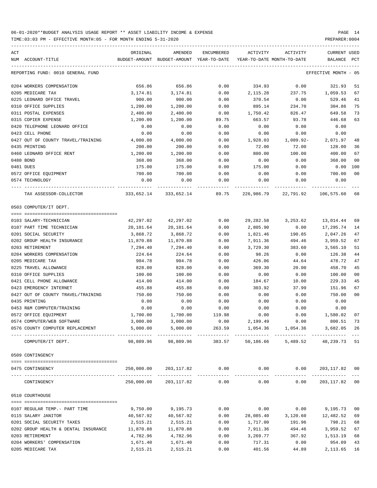| ACT | NUM ACCOUNT-TITLE                                              | ORIGINAL                          | AMENDED<br>BUDGET-AMOUNT BUDGET-AMOUNT YEAR-TO-DATE | ENCUMBERED | ACTIVITY     | ACTIVITY<br>YEAR-TO-DATE MONTH-TO-DATE                         | CURRENT USED<br>BALANCE PCT |                |
|-----|----------------------------------------------------------------|-----------------------------------|-----------------------------------------------------|------------|--------------|----------------------------------------------------------------|-----------------------------|----------------|
|     | REPORTING FUND: 0010 GENERAL FUND                              |                                   |                                                     |            |              |                                                                | EFFECTIVE MONTH - 05        |                |
|     | 0204 WORKERS COMPENSATION                                      | 656.86                            | 656.86                                              | 0.00       | 334.93       | 0.00                                                           | 321.93                      | 51             |
|     | 0205 MEDICARE TAX                                              | 3,174.81                          | 3,174.81                                            | 0.00       | 2,115.28     | 237.75                                                         | 1,059.53                    | 67             |
|     | 0225 LEONARD OFFICE TRAVEL                                     | 900.00                            | 900.00                                              | 0.00       | 370.54       | 0.00                                                           | 529.46                      | 41             |
|     | 0310 OFFICE SUPPLIES                                           | 1,200.00                          | 1,200.00                                            | 0.00       | 895.14       | 234.70                                                         | 304.86                      | 75             |
|     | 0311 POSTAL EXPENSES                                           | 2,400.00                          | 2,400.00                                            | 0.00       | 1,750.42     | 826.47                                                         | 649.58                      | 73             |
|     | 0315 COPIER EXPENSE                                            | 1,200.00                          | 1,200.00                                            | 89.75      | 663.57       | 93.78                                                          | 446.68                      | 63             |
|     | 0420 TELEPHONE LEONARD OFFICE                                  | 0.00                              | 0.00                                                | 0.00       | 0.00         | 0.00                                                           | 0.00                        |                |
|     | 0423 CELL PHONE                                                | 0.00                              | 0.00                                                | 0.00       | 0.00         | 0.00                                                           | 0.00                        |                |
|     | 0427 OUT OF COUNTY TRAVEL/TRAINING                             | 4,000.00                          | 4,000.00                                            | 0.00       | 1,928.03     | 1,089.92-                                                      | 2,071.97                    | 48             |
|     | 0435 PRINTING                                                  | 200.00                            | 200.00                                              | 0.00       | 72.00        | 72.00                                                          | 128.00                      | 36             |
|     | 0460 LEONARD OFFICE RENT                                       | 1,200.00                          | 1,200.00                                            | 0.00       | 800.00       | 100.00                                                         | 400.00                      | 67             |
|     | 0480 BOND                                                      | 368.00                            | 368.00                                              | 0.00       | 0.00         | 0.00                                                           | 368.00                      | 0 <sub>0</sub> |
|     | 0481 DUES                                                      | 175.00                            | 175.00                                              | 0.00       | 175.00       | 0.00                                                           | 0.00                        | 100            |
|     | 0572 OFFICE EQUIPMENT                                          | 700.00                            | 700.00                                              | 0.00       | 0.00         | 0.00                                                           | 700.00                      | 0 <sub>0</sub> |
|     | 0574 TECHNOLOGY                                                | 0.00                              | 0.00                                                | 0.00       | 0.00         | 0.00                                                           | 0.00                        |                |
|     |                                                                |                                   |                                                     |            |              |                                                                |                             |                |
|     | TAX ASSESSOR-COLLECTOR                                         | $333,652.14$ $333,652.14$ $89.75$ |                                                     |            |              | 226,986.79 22,791.92                                           | 106,575.60                  | 68             |
|     | 0503 COMPUTER/IT DEPT.                                         |                                   |                                                     |            |              |                                                                |                             |                |
|     | 0103 SALARY-TECHNICIAN                                         | 42,297.02                         | 42,297.02                                           | 0.00       | 29,282.58    | 3,253.62                                                       | 13,014.44                   | 69             |
|     | 0107 PART TIME TECHNICIAN                                      | 20,101.64                         | 20,101.64                                           | 0.00       | 2,805.90     | 0.00                                                           | 17,295.74                   | 14             |
|     | 0201 SOCIAL SECURITY                                           | 3,868.72                          | 3,868.72                                            | 0.00       | 1,821.46     | 190.85                                                         | 2,047.26                    | 47             |
|     | 0202 GROUP HEALTH INSURANCE                                    | 11,870.88                         | 11,870.88                                           | 0.00       | 7,911.36     | 494.46                                                         | 3,959.52                    | 67             |
|     | 0203 RETIREMENT                                                | 7,294.40                          | 7,294.40                                            | 0.00       | 3,729.30     | 383.60                                                         | 3,565.10                    | 51             |
|     | 0204 WORKERS COMPENSATION                                      | 224.64                            | 224.64                                              | 0.00       | 98.26        | 0.00                                                           | 126.38                      | 44             |
|     | 0205 MEDICARE TAX                                              | 904.78                            | 904.78                                              | 0.00       | 426.06       | 44.64                                                          | 478.72                      | 47             |
|     | 0225 TRAVEL ALLOWANCE                                          | 828.00                            | 828.00                                              | 0.00       | 369.30       | 20.00                                                          | 458.70                      | 45             |
|     | 0310 OFFICE SUPPLIES                                           | 100.00                            | 100.00                                              | 0.00       | 0.00         | 0.00                                                           | 100.00                      | 0 <sub>0</sub> |
|     | 0421 CELL PHONE ALLOWANCE                                      | 414.00                            | 414.00                                              | 0.00       | 184.67       | 10.00                                                          | 229.33                      | 45             |
|     | 0423 EMERGENCY INTERNET                                        | 455.88                            | 455.88                                              | 0.00       | 303.92       | 37.99                                                          | 151.96                      | 67             |
|     | 0427 OUT OF COUNTY TRAVEL/TRAINING                             | 750.00                            | 750.00                                              | 0.00       | 0.00         | 0.00                                                           | 750.00                      | 0 <sub>0</sub> |
|     | 0435 PRINTING                                                  | 0.00                              | 0.00                                                | 0.00       | 0.00         | 0.00                                                           | 0.00                        |                |
|     | 0453 R&M COMPUTER/TRAINING                                     | 0.00                              | 0.00                                                | 0.00       |              | 0.00                                                           | 0.00                        |                |
|     | 0572 OFFICE EQUIPMENT                                          | 1,700.00                          | 1,700.00                                            | 119.98     | 0.00<br>0.00 | 0.00                                                           | 1,580.02                    | 07             |
|     |                                                                | 3,000.00                          |                                                     |            |              |                                                                | 800.51 73                   |                |
|     | 0574 COMPUTER/WEB SOFTWARE<br>0576 COUNTY COMPUTER REPLACEMENT | 5,000.00                          | 3,000.00<br>5,000.00                                | 0.00       | 2,199.49     | 0.00<br>263.59 1,054.36 1,054.36 3,682.05 26                   |                             |                |
|     |                                                                |                                   |                                                     |            |              |                                                                |                             |                |
|     | COMPUTER/IT DEPT.                                              | 98,809.96                         | 98,809.96                                           |            |              | 383.57 50,186.66 5,489.52 48,239.73 51                         |                             |                |
|     | 0509 CONTINGENCY                                               |                                   |                                                     |            |              |                                                                |                             |                |
|     | 0475 CONTINGENCY                                               |                                   |                                                     |            |              | $250,000.00$ $203,117.82$ $0.00$ $0.00$ $0.00$ $203,117.82$ 00 |                             |                |
|     | CONTINGENCY                                                    |                                   | 250,000.00 203,117.82 0.00                          |            |              | 0.00<br>0.00                                                   | 203, 117.82 00              |                |
|     | 0510 COURTHOUSE                                                |                                   |                                                     |            |              |                                                                |                             |                |
|     |                                                                |                                   |                                                     |            |              |                                                                |                             |                |
|     | 0107 REGULAR TEMP.- PART TIME                                  | 9,750.00                          | 9,195.73                                            | 0.00       | 0.00         |                                                                | $0.00$ 9,195.73             | 0 <sub>0</sub> |
|     | 0115 SALARY JANITOR                                            | 40,567.92                         | 40,567.92                                           | 0.00       | 28,085.40    | 3,120.60                                                       | 12,482.52                   | 69             |
|     | 0201 SOCIAL SECURITY TAXES                                     | 2,515.21                          | 2,515.21                                            | 0.00       | 1,717.00     | 191.96                                                         | 798.21                      | 68             |
|     | 0202 GROUP HEALTH & DENTAL INSURANCE                           | 11,870.88                         | 11,870.88                                           | 0.00       | 7,911.36     | 494.46                                                         | 3,959.52                    | 67             |
|     | 0203 RETIREMENT                                                | 4,782.96                          | 4,782.96                                            | 0.00       | 3,269.77     | 367.92                                                         | 1,513.19                    | 68             |
|     | 0204 WORKERS' COMPENSATION                                     | 1,671.40                          | 1,671.40                                            | 0.00       | 717.31       | 0.00                                                           | 954.09                      | 43             |
|     | 0205 MEDICARE TAX                                              | 2,515.21                          | 2,515.21                                            | 0.00       | 401.56       | 44.89                                                          | 2, 113.65 16                |                |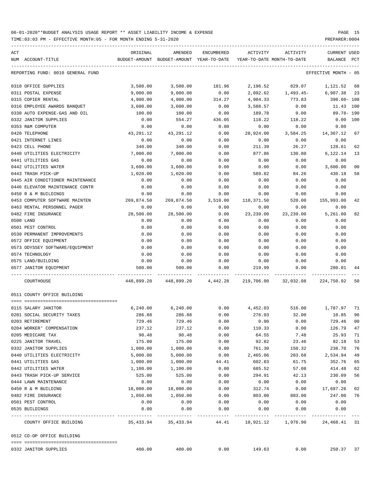TIME:03:03 PM - EFFECTIVE MONTH:05 - FOR MONTH ENDING 5-31-2020

| ACT<br>NUM ACCOUNT-TITLE                  | ORIGINAL  | AMENDED<br>BUDGET-AMOUNT BUDGET-AMOUNT YEAR-TO-DATE YEAR-TO-DATE MONTH-TO-DATE | ENCUMBERED          | ACTIVITY    | ACTIVITY                    | <b>CURRENT USED</b><br>BALANCE PCT |                |
|-------------------------------------------|-----------|--------------------------------------------------------------------------------|---------------------|-------------|-----------------------------|------------------------------------|----------------|
| REPORTING FUND: 0010 GENERAL FUND         |           |                                                                                |                     |             |                             | EFFECTIVE MONTH - 05               |                |
| 0310 OFFICE SUPPLIES                      | 3,500.00  | 3,500.00                                                                       | 181.96              |             | 2,196.52 829.07             | 1,121.52                           | 68             |
| 0311 POSTAL EXPENSE                       | 9,000.00  | 9,000.00                                                                       | 0.00                |             | 2,092.62 1,493.45- 6,907.38 |                                    | 23             |
| 0315 COPIER RENTAL                        | 4,900.00  | 4,900.00                                                                       | 314.27              | 4,984.33    | 773.83                      | 398.60- 108                        |                |
| 0316 EMPLOYEE AWARDS BANQUET              | 3,600.00  | 3,600.00                                                                       | 0.00                | 3,588.57    | 0.00                        | 11.43 100                          |                |
| 0330 AUTO EXPENSE-GAS AND OIL             | 100.00    | 100.00                                                                         | 0.00                | 189.78      | 0.00                        | 89.78- 190                         |                |
| 0332 JANITOR SUPPLIES                     | 0.00      | 554.27                                                                         | 436.05              | 118.22      | 118.22                      | 0.00 100                           |                |
| 0353 R&M COMPUTER                         | 0.00      | 0.00                                                                           | 0.00                | 0.00        | 0.00                        | 0.00                               |                |
| 0420 TELEPHONE                            | 43,291.12 | 43,291.12                                                                      | 0.00                | 28,924.00   | 3,584.25                    | 14,367.12                          | 67             |
| 0421 INTERNET LINES                       | 0.00      | 0.00                                                                           | 0.00                | 0.00        | 0.00                        | 0.00                               |                |
| 0423 CELL PHONE                           | 340.00    | 340.00                                                                         | 0.00                | 211.39      | 26.27                       | 128.61                             | 62             |
| 0440 UTILITIES ELECTRICITY                | 7,000.00  | 7,000.00                                                                       | 0.00                | 877.86      | 130.80                      | 6,122.14                           | 13             |
| 0441 UTILITIES GAS                        | 0.00      | 0.00                                                                           | 0.00                | 0.00        | 0.00                        | 0.00                               |                |
| 0442 UTILITIES WATER                      | 3,600.00  | 3,600.00                                                                       | 0.00                | 0.00        | 0.00                        | 3,600.00                           | 0 <sub>0</sub> |
| 0443 TRASH PICK-UP                        | 1,020.00  | 1,020.00                                                                       | 0.00                | 589.82      | 84.26                       | 430.18                             | 58             |
| 0445 AIR CONDITIONER MAINTENANCE          | 0.00      | 0.00                                                                           | 0.00                | 0.00        | 0.00                        | 0.00                               |                |
| 0446 ELEVATOR MAINTENANCE CONTR           | 0.00      | 0.00                                                                           | 0.00                | 0.00        | 0.00                        | 0.00                               |                |
| 0450 R & M BUILDINGS                      | 0.00      | 0.00                                                                           | 0.00                | 0.00        | 0.00                        | 0.00                               |                |
| 0453 COMPUTER SOFTWARE MAINTEN 269,874.50 |           |                                                                                | 269,874.50 3,510.00 | 110,371.50  | 520.00                      | 155,993.00                         | 42             |
| 0463 RENTAL PERSONNEL PAGER               | 0.00      | 0.00                                                                           | 0.00                | 0.00        | 0.00                        | 0.00                               |                |
| 0482 FIRE INSURANCE                       | 28,500.00 | 28,500.00                                                                      | 0.00                | 23,239.00   | 23,239.00                   | 5,261.00                           | 82             |
| 0500 LAND                                 | 0.00      | 0.00                                                                           | 0.00                | 0.00        | 0.00                        | 0.00                               |                |
| 0501 PEST CONTROL                         | 0.00      | 0.00                                                                           | 0.00                | 0.00        | 0.00                        | 0.00                               |                |
| 0530 PERMANENT IMPROVEMENTS               | 0.00      | 0.00                                                                           | 0.00                | 0.00        | 0.00                        | 0.00                               |                |
| 0572 OFFICE EQUIPMENT                     | 0.00      | 0.00                                                                           | 0.00                | 0.00        | 0.00                        | 0.00                               |                |
| 0573 ODYSSEY SOFTWARE/EQUIPMENT           | 0.00      | 0.00                                                                           | 0.00                | 0.00        | 0.00                        | 0.00                               |                |
| 0574 TECHNOLOGY                           | 0.00      | 0.00                                                                           | 0.00                | 0.00        | 0.00                        | 0.00                               |                |
| 0575 LAND/BUILDING                        | 0.00      | 0.00                                                                           | 0.00                | 0.00        | 0.00                        | 0.00                               |                |
| 0577 JANITOR EQUIPMENT                    | 500.00    | 500.00                                                                         | 0.00                | 219.99      | 0.00                        | 280.01                             | 44             |
| COURTHOUSE                                |           | 448,899.20  448,899.20  4,442.28  219,706.00  32,032.08  224,750.92            |                     |             |                             |                                    | 50             |
| 0511 COUNTY OFFICE BUILDING               |           |                                                                                |                     |             |                             |                                    |                |
| 0115 SALARY JANITOR                       |           | $6,240.00$ $6,240.00$ $0.00$ $4,452.03$ $516.00$ $1,787.97$                    |                     |             |                             |                                    | 71             |
| 0201 SOCIAL SECURITY TAXES                | 286.88    | 286.88                                                                         | 0.00                | 276.03      | 32.00                       | 10.85                              | 96             |
| 0203 RETIREMENT                           | 729.46    | 729.46                                                                         | 0.00                | 0.00        | 0.00                        | 729.46                             | 00             |
| 0204 WORKER' COMPENSATION                 | 237.12    | 237.12                                                                         | 0.00                | 110.33      | 0.00                        | 126.79                             | 47             |
| 0205 MEDICARE TAX                         | 90.48     | 90.48                                                                          | 0.00                | 64.55       | 7.48                        | 25.93                              | 71             |
| 0225 JANITOR TRAVEL                       | 175.00    | 175.00                                                                         | 0.00                | 92.82       | 23.46                       | 82.18                              | 53             |
| 0332 JANITOR SUPPLIES                     | 1,000.00  | 1,000.00                                                                       | 0.00                | 761.30      | 150.32                      | 238.70                             | 76             |
| 0440 UTILITIES ELECTRICITY                | 5,000.00  | 5,000.00                                                                       | 0.00                | 2,465.06    | 283.68                      | 2,534.94                           | 49             |
| 0441 UTILITIES GAS                        | 1,000.00  | 1,000.00                                                                       | 44.41               | 602.83      | 61.75                       | 352.76                             | 65             |
| 0442 UTILITIES WATER                      | 1,100.00  | 1,100.00                                                                       | 0.00                | 685.52      | 57.08                       | 414.48                             | 62             |
| 0443 TRASH PICK-UP SERVICE                | 525.00    | 525.00                                                                         | 0.00                | 294.91      | 42.13                       | 230.09                             | 56             |
| 0444 LAWN MAINTENANCE                     | 0.00      | 0.00                                                                           | 0.00                | 0.00        | 0.00                        | 0.00                               |                |
| 0450 R & M BUILDING                       | 18,000.00 | 18,000.00                                                                      | 0.00                | 312.74      | 0.00                        | 17,687.26                          | 02             |
| 0482 FIRE INSURANCE                       | 1,050.00  | 1,050.00                                                                       | 0.00                | 803.00      | 803.00                      | 247.00                             | 76             |
| 0501 PEST CONTROL                         | 0.00      | 0.00                                                                           | 0.00                | 0.00        | 0.00                        | 0.00                               |                |
| 0535 BUILDINGS                            | 0.00      | 0.00                                                                           | 0.00                | 0.00        | 0.00                        | 0.00                               |                |
| COUNTY OFFICE BUILDING                    |           | -------------<br>35,433.94 35,433.94                                           |                     | ----------- | 44.41 10,921.12 1,976.90    | 24,468.41                          | 31             |
|                                           |           |                                                                                |                     |             |                             |                                    |                |
| 0512 CO-OP OFFICE BUILDING                |           |                                                                                |                     |             |                             |                                    |                |

0332 JANITOR SUPPLIES 400.00 400.00 0.00 149.63 0.00 250.37 37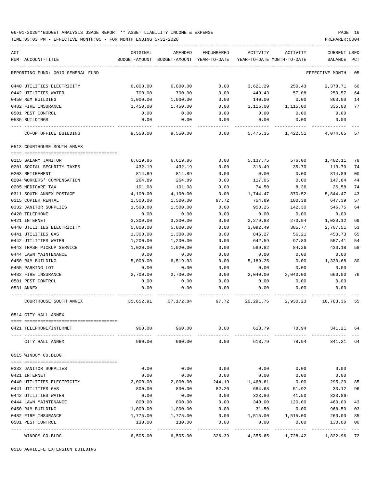### 06-01-2020\*\*BUDGET ANALYSIS USAGE REPORT \*\* ASSET LIABILITY INCOME & EXPENSE PAGE 16 TIME:03:03 PM - EFFECTIVE MONTH:05 - FOR MONTH ENDING 5-31-2020 PREPARER:0004

| ACT                               | ORIGINAL                                                           | AMENDED           |                     |                       | ENCUMBERED ACTIVITY ACTIVITY                                        | CURRENT USED             |                |
|-----------------------------------|--------------------------------------------------------------------|-------------------|---------------------|-----------------------|---------------------------------------------------------------------|--------------------------|----------------|
| NUM ACCOUNT-TITLE                 |                                                                    |                   |                     |                       | BUDGET-AMOUNT BUDGET-AMOUNT YEAR-TO-DATE YEAR-TO-DATE MONTH-TO-DATE | BALANCE PCT              |                |
| REPORTING FUND: 0010 GENERAL FUND |                                                                    |                   |                     |                       |                                                                     | EFFECTIVE MONTH - 05     |                |
| 0440 UTILITIES ELECTRICITY        | 6,000.00                                                           | 6,000.00          | 0.00                |                       | 3,621.29 250.43 2,378.71                                            |                          | 60             |
| 0442 UTILITIES WATER              | 700.00                                                             | 700.00            | 0.00                | 449.43                | 57.08                                                               | 250.57                   | 64             |
| 0450 R&M BUILDING                 | 1,000.00                                                           | 1,000.00          | 0.00                | 140.00                | 0.00                                                                | 860.00                   | 14             |
| 0482 FIRE INSURANCE               | 1,450.00                                                           | 1,450.00          | 0.00                | 1,115.00              | 1,115.00                                                            | 335.00                   | 77             |
| 0501 PEST CONTROL                 | 0.00                                                               | 0.00              | 0.00                | 0.00                  | 0.00                                                                | 0.00                     |                |
| 0535 BUILDINGS                    | 0.00                                                               | 0.00              | 0.00                | 0.00                  | 0.00                                                                | 0.00                     |                |
| CO-OP OFFICE BUILDING             |                                                                    | 9,550.00 9,550.00 |                     |                       | $0.00$ 5,475.35 1,422.51 4,074.65                                   |                          | 57             |
| 0513 COURTHOUSE SOUTH ANNEX       |                                                                    |                   |                     |                       |                                                                     |                          |                |
| 0115 SALARY JANITOR               | 6,619.86                                                           | 6,619.86          | 0.00                |                       | 5,137.75 576.00 1,482.11                                            |                          | 78             |
| 0201 SOCIAL SECURITY TAXES        | 432.19                                                             | 432.19            | 0.00                | 318.49                | 35.70                                                               | 113.70                   | 74             |
| 0203 RETIREMENT                   | 814.89                                                             | 814.89            | 0.00                | 0.00                  | 0.00                                                                | 814.89                   | 0 <sub>0</sub> |
| 0204 WORKERS' COMPENSATION        | 264.89                                                             | 264.89            | 0.00                | 117.05                | 0.00                                                                | 147.84                   | 44             |
| 0205 MEDICARE TAX                 | 101.08                                                             | 101.08            | 0.00                | 74.50                 | 8.36                                                                | 26.58                    | 74             |
| 0311 SOUTH ANNEX POSTAGE          | 4,100.00                                                           | 4,100.00          | 0.00                | 1,744.47-             | 870.52-                                                             | 5,844.47                 | 43             |
| 0315 COPIER RENTAL                | 1,500.00                                                           | 1,500.00          | 97.72               | 754.89                | 100.38                                                              | 647.39                   | 57             |
| 0332 JANITOR SUPPLIES             | 1,500.00                                                           | 1,500.00          | 0.00                | 953.25                | 142.30                                                              | 546.75                   | 64             |
| 0420 TELEPHONE                    | 0.00                                                               | 0.00              | 0.00                | 0.00                  | 0.00                                                                | 0.00                     |                |
| 0421 INTERNET                     | 3,300.00                                                           | 3,300.00          | 0.00                | 2,279.88              | 273.94                                                              | 1,020.12                 | 69             |
| 0440 UTILITIES ELECTRICITY        | 5,800.00                                                           | 5,800.00          | 0.00                | 3,092.49              | 385.77                                                              | 2,707.51                 | 53             |
| 0441 UTILITIES GAS                | 1,300.00                                                           | 1,300.00          | 0.00                | 846.27                | 56.21                                                               | 453.73                   | 65             |
| 0442 UTILITIES WATER              | 1,200.00                                                           | 1,200.00          | 0.00                | 642.59                | 97.83                                                               | 557.41                   | 54             |
| 0443 TRASH PICKUP SERVICE         | 1,020.00                                                           | 1,020.00          | 0.00                | 589.82                | 84.26                                                               | 430.18                   | 58             |
| 0444 LAWN MAINTENANCE             | 0.00                                                               | 0.00              | 0.00                | 0.00                  | 0.00                                                                | 0.00                     |                |
| 0450 R&M BUILDING                 | 5,000.00                                                           | 6,519.93          | 0.00                | 5,189.25              | 0.00                                                                | 1,330.68                 | 80             |
| 0455 PARKING LOT                  | 0.00                                                               | 0.00              | 0.00                | 0.00                  | 0.00                                                                | 0.00                     |                |
| 0482 FIRE INSURANCE               | 2,700.00                                                           | 2,700.00          | 0.00                |                       | 2,040.00 2,040.00                                                   | 660.00                   | 76             |
| 0501 PEST CONTROL                 | 0.00                                                               | 0.00              | 0.00                | 0.00                  | 0.00                                                                | 0.00                     |                |
| 0531 ANNEX                        | 0.00                                                               | 0.00              | 0.00                | 0.00                  | 0.00                                                                | 0.00                     |                |
|                                   |                                                                    |                   |                     |                       |                                                                     |                          |                |
| COURTHOUSE SOUTH ANNEX            | $35,652.91$ $37,172.84$ $97.72$ $20,291.76$ $2,930.23$ $16,783.36$ |                   |                     |                       |                                                                     |                          | 55             |
| 0514 CITY HALL ANNEX              |                                                                    |                   |                     |                       |                                                                     |                          |                |
| 0421 TELEPHONE/INTERNET           | 960.00<br>------------------- -------------                        | 960.00            | 0.00                | 618.79                | 78.94<br>------------                                               | 341.21 64                |                |
| CITY HALL ANNEX                   | 960.00                                                             | 960.00            | 0.00                | 618.79                | 78.94                                                               | 341.21                   | 64             |
| 0515 WINDOM CO.BLDG.              |                                                                    |                   |                     |                       |                                                                     |                          |                |
|                                   |                                                                    |                   |                     |                       |                                                                     |                          |                |
| 0332 JANITOR SUPPLIES             | 0.00                                                               | 0.00              | 0.00                | 0.00                  | 0.00                                                                | 0.00                     |                |
| 0421 INTERNET                     | 0.00                                                               | 0.00              | 0.00                | 0.00                  | 0.00                                                                | 0.00                     |                |
| 0440 UTILITIES ELECTRICITY        | 2,000.00                                                           | 2,000.00          | 244.19              | 1,460.61              | 0.00                                                                | 295.20                   | 85             |
| 0441 UTILITIES GAS                | 800.00                                                             | 800.00            | 82.20               | 684.68                | 51.92                                                               | 33.12                    | 96             |
| 0442 UTILITIES WATER              | 0.00                                                               | 0.00              | 0.00                | 323.86                | 41.50                                                               | $323.86-$                |                |
| 0444 LAWN MAINTENANCE             | 800.00                                                             | 800.00            | 0.00                | 340.00                | 120.00                                                              | 460.00                   | 43             |
| 0450 R&M BUILDING                 | 1,000.00                                                           | 1,000.00          | 0.00                | 31.50                 | 0.00                                                                | 968.50                   | 03             |
| 0482 FIRE INSURANCE               | 1,775.00                                                           | 1,775.00          | 0.00                | 1,515.00              | 1,515.00                                                            | 260.00                   | 85             |
| 0501 PEST CONTROL                 | 130.00                                                             | 130.00            | 0.00                | 0.00                  | 0.00                                                                | 130.00                   | 0 <sub>0</sub> |
| WINDOM CO.BLDG.                   | 6,505.00                                                           | 6,505.00          | ---------<br>326.39 | ---------<br>4,355.65 | ---------<br>1,728.42                                               | . <u>.</u> .<br>1,822.96 | $- - -$<br>72  |

0516 AGRILIFE EXTENSION BUILDING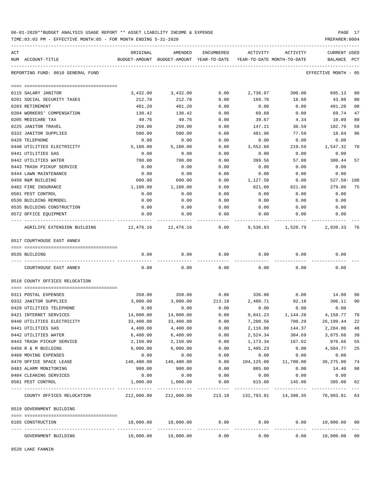| 06-01-2020**BUDGET ANALYSIS USAGE REPORT ** ASSET LIABILITY INCOME & EXPENSE | PAGE 17        |  |
|------------------------------------------------------------------------------|----------------|--|
| TIME:03:03 PM - EFFECTIVE MONTH:05 - FOR MONTH ENDING 5-31-2020              | PREPARER: 0004 |  |

| ACT | NUM ACCOUNT-TITLE                                 | ORIGINAL           | AMENDED<br>BUDGET-AMOUNT BUDGET-AMOUNT YEAR-TO-DATE YEAR-TO-DATE MONTH-TO-DATE | ENCUMBERED | ACTIVITY              | ACTIVITY                    | <b>CURRENT USED</b><br>BALANCE PCT |                |
|-----|---------------------------------------------------|--------------------|--------------------------------------------------------------------------------|------------|-----------------------|-----------------------------|------------------------------------|----------------|
|     |                                                   |                    |                                                                                |            |                       |                             |                                    |                |
|     | REPORTING FUND: 0010 GENERAL FUND                 |                    |                                                                                |            |                       |                             | EFFECTIVE MONTH - 05               |                |
|     |                                                   |                    |                                                                                | 0.00       |                       |                             |                                    | 80             |
|     | 0115 SALARY JANITOR<br>0201 SOCIAL SECURITY TAXES | 3,432.00<br>212.78 | 3,432.00<br>212.78                                                             | 0.00       | 2,736.87<br>169.70    | 300.00<br>18.60             | 695.13<br>43.08                    | 80             |
|     | 0203 RETIREMENT                                   | 401.20             | 401.20                                                                         | 0.00       | 0.00                  | 0.00                        | 401.20                             | 0 <sub>0</sub> |
|     | 0204 WORKERS' COMPENSATION                        | 130.42             | 130.42                                                                         | 0.00       | 60.68                 | 0.00                        | 69.74                              | 47             |
|     | 0205 MEDICARE TAX                                 | 49.76              | 49.76                                                                          | 0.00       | 39.67                 | 4.34                        | 10.09                              | 80             |
|     | 0225 JANITOR TRAVEL                               | 250.00             | 250.00                                                                         | 0.00       | 147.21                | 30.59                       | 102.79                             | 59             |
|     | 0332 JANITOR SUPPLIES                             | 500.00             | 500.00                                                                         | 0.00       | 481.96                | 77.59                       | 18.04                              | 96             |
|     | 0420 TELEPHONE                                    | 0.00               | 0.00                                                                           | 0.00       | 0.00                  | 0.00                        | 0.00                               |                |
|     | 0440 UTILITIES ELECTRICITY                        | 5,100.00           | 5,100.00                                                                       | 0.00       | 3,552.68              | 219.59                      | 1,547.32                           | 70             |
|     | 0441 UTILITIES GAS                                | 0.00               | 0.00                                                                           | 0.00       | 0.00                  | 0.00                        | 0.00                               |                |
|     | 0442 UTILITIES WATER                              | 700.00             | 700.00                                                                         | 0.00       | 399.56                | 57.08                       | 300.44                             | 57             |
|     | 0443 TRASH PICKUP SERVICE                         | 0.00               | 0.00                                                                           | 0.00       | 0.00                  | 0.00                        | 0.00                               |                |
|     | 0444 LAWN MAINTENANCE                             | 0.00               | 0.00                                                                           | 0.00       | 0.00                  | 0.00                        | 0.00                               |                |
|     | 0450 R&M BUILDING                                 | 600.00             | 600.00                                                                         | 0.00       | 1,127.50              | 0.00                        | $527.50 - 188$                     |                |
|     | 0482 FIRE INSURANCE                               | 1,100.00           | 1,100.00                                                                       | 0.00       | 821.00                | 821.00                      | 279.00                             | 75             |
|     | 0501 PEST CONTROL                                 | 0.00               | 0.00                                                                           | 0.00       | 0.00                  | 0.00                        | 0.00                               |                |
|     | 0530 BUILDING REMODEL                             | 0.00               | 0.00                                                                           | 0.00       | 0.00                  | 0.00                        | 0.00                               |                |
|     | 0535 BUILDING CONSTRUCTION                        | 0.00               | 0.00                                                                           | 0.00       | 0.00                  | 0.00                        | 0.00                               |                |
|     | 0572 OFFICE EQUIPMENT                             | 0.00               | 0.00                                                                           | 0.00       | 0.00                  | 0.00                        | 0.00                               |                |
|     | AGRILIFE EXTENSION BUILDING 12,476.16 12,476.16   |                    |                                                                                | 0.00       | 9,536.83              | 1,528.79                    | 2,939.33                           | 76             |
|     | 0517 COURTHOUSE EAST ANNEX                        |                    |                                                                                |            |                       |                             |                                    |                |
|     | 0535 BUILDING                                     | 0.00               | 0.00                                                                           | 0.00       | 0.00                  | 0.00                        | 0.00                               |                |
|     |                                                   |                    |                                                                                |            |                       |                             |                                    |                |
|     | COURTHOUSE EAST ANNEX                             | 0.00               | 0.00                                                                           | 0.00       | 0.00                  | 0.00                        | 0.00                               |                |
|     | 0518 COUNTY OFFICES RELOCATION                    |                    |                                                                                |            |                       |                             |                                    |                |
|     | 0311 POSTAL EXPENSES                              | 350.00             | 350.00                                                                         | 0.00       | 336.00                | 0.00                        | 14.00                              | 96             |
|     | 0332 JANITOR SUPPLIES                             | 3,000.00           | 3,000.00                                                                       | 213.18     | 2,480.71              | 92.18                       | 306.11                             | 90             |
|     | 0420 UTILITIES TELEPHONE                          | 0.00               | 0.00                                                                           | 0.00       | 0.00                  | 0.00                        | 0.00                               |                |
|     | 0421 INTERNET SERVICES                            | 14,000.00          | 14,000.00                                                                      | 0.00       | 9,841.23              | 1,144.20                    | 4,158.77                           | 70             |
|     | 0440 UTILITIES ELECTRICITY                        | 33,400.00          | 33,400.00                                                                      | 0.00       | 7,200.56              | 700.29                      | 26,199.44                          | 22             |
|     | 0441 UTILITIES GAS                                | 4,400.00           | 4,400.00                                                                       | 0.00       | 2,116.00              | 144.37                      | 2,284.00                           | 48             |
|     | 0442 UTILITIES WATER                              | 6,400.00           | 6,400.00                                                                       | 0.00       | 2,524.34              | 304.69                      | 3,875.66                           | 39             |
|     | 0443 TRASH PICKUP SERVICE                         | 2,150.00           | 2,150.00                                                                       | 0.00       | 1,173.34              | 167.62                      | 976.66                             | 55             |
|     | 0450 R & M BUILDING                               | 6,000.00           | 6,000.00                                                                       | 0.00       | 1,495.23              | 0.00                        | 4,504.77                           | 25             |
|     | 0460 MOVING EXPENSES                              | 0.00               | 0.00                                                                           | 0.00       | 0.00                  | 0.00                        | 0.00                               |                |
|     | 0470 OFFICE SPACE LEASE                           | 140,400.00         | 140,400.00                                                                     | 0.00       | 104,125.00            | 11,700.00                   | 36,275.00                          | 74             |
|     | 0483 ALARM MONITORING                             | 900.00             | 900.00                                                                         | 0.00       | 885.60                | 0.00                        | 14.40                              | 98             |
|     | 0484 CLEANING SERVICES                            | 0.00               | 0.00                                                                           | 0.00       | 0.00                  | 0.00                        | 0.00                               |                |
|     | 0501 PEST CONTROL                                 | 1,000.00           | 1,000.00                                                                       | 0.00       | 615.00                | 145.00                      | 385.00                             | 62             |
|     | COUNTY OFFICES RELOCATION                         |                    | 212,000.00 212,000.00                                                          |            |                       | 213.18 132,793.01 14,398.35 | 78,993.81 63                       |                |
|     | 0519 GOVERNMENT BUILDING                          |                    |                                                                                |            |                       |                             |                                    |                |
|     | 0165 CONSTRUCTION                                 | 10,000.00          | 10,000.00                                                                      | 0.00       | 0.00                  | 0.00                        | 10,000.00 00                       |                |
|     | GOVERNMENT BUILDING                               | 10,000.00          | 10,000.00                                                                      | 0.00       | _____________<br>0.00 | -----------<br>0.00         | ------------<br>10,000.00          | 0 <sub>0</sub> |

0520 LAKE FANNIN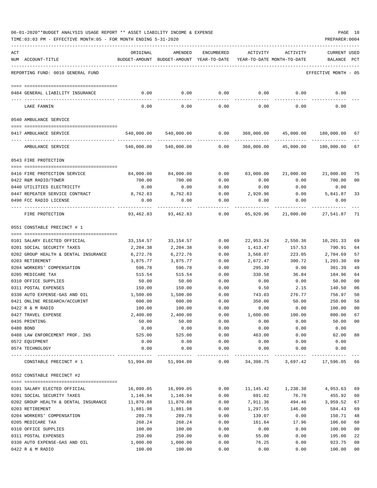| 06-01-2020**BUDGET ANALYSIS USAGE REPORT ** ASSET LIABILITY INCOME & EXPENSE |  |  |  |  | PAGE |  |
|------------------------------------------------------------------------------|--|--|--|--|------|--|
|                                                                              |  |  |  |  |      |  |

|     | TIME:03:03 PM - EFFECTIVE MONTH:05 - FOR MONTH ENDING 5-31-2020 |              |                                                                     |               |              |                                                   | PREPARER: 0004       |                |
|-----|-----------------------------------------------------------------|--------------|---------------------------------------------------------------------|---------------|--------------|---------------------------------------------------|----------------------|----------------|
| ACT |                                                                 | ORIGINAL     | AMENDED                                                             | ENCUMBERED    | ACTIVITY     | ACTIVITY                                          | <b>CURRENT USED</b>  |                |
|     | NUM ACCOUNT-TITLE                                               |              | BUDGET-AMOUNT BUDGET-AMOUNT YEAR-TO-DATE YEAR-TO-DATE MONTH-TO-DATE |               |              |                                                   | BALANCE              | $_{\rm PCT}$   |
|     | REPORTING FUND: 0010 GENERAL FUND                               |              |                                                                     |               |              |                                                   | EFFECTIVE MONTH - 05 |                |
|     | 0484 GENERAL LIABILITY INSURANCE                                | 0.00         | 0.00                                                                | 0.00          | 0.00         | 0.00                                              | 0.00                 |                |
|     |                                                                 |              |                                                                     |               |              |                                                   |                      |                |
|     | LAKE FANNIN                                                     | 0.00         | 0.00                                                                | 0.00          | 0.00         | 0.00                                              | 0.00                 |                |
|     | 0540 AMBULANCE SERVICE                                          |              |                                                                     |               |              |                                                   |                      |                |
|     | 0417 AMBULANCE SERVICE                                          |              | 540,000.00 540,000.00                                               |               |              | $0.00$ $360,000.00$ $45,000.00$ $180,000.00$ $67$ |                      |                |
|     | AMBULANCE SERVICE                                               | 540,000.00   | 540,000.00                                                          | 0.00          | 360,000.00   | 45,000.00                                         | 180,000.00           | 67             |
|     | 0543 FIRE PROTECTION                                            |              |                                                                     |               |              |                                                   |                      |                |
|     |                                                                 |              |                                                                     |               |              |                                                   |                      |                |
|     | 0416 FIRE PROTECTION SERVICE                                    | 84,000.00    | 84,000.00                                                           | 0.00          | 63,000.00    | 21,000.00                                         | 21,000.00            | 75             |
|     | 0422 R&M RADIO/TOWER                                            | 700.00       | 700.00                                                              | 0.00          | 0.00         | 0.00                                              | 700.00               | 00             |
|     | 0440 UTILITIES ELECTRICITY                                      | 0.00         | 0.00                                                                | 0.00          | 0.00         | 0.00                                              | 0.00                 |                |
|     | 0447 REPEATER SERVICE CONTRACT                                  | 8,762.83     | 8,762.83                                                            | 0.00          | 2,920.96     | 0.00                                              | 5,841.87             | 33             |
|     | 0490 FCC RADIO LICENSE                                          | 0.00         | 0.00                                                                | 0.00          | 0.00         | 0.00                                              | 0.00                 |                |
|     | FIRE PROTECTION                                                 | 93,462.83    | 93,462.83                                                           | 0.00          | 65,920.96    | 21,000.00                                         | 27,541.87            | -71            |
|     | 0551 CONSTABLE PRECINCT # 1                                     |              |                                                                     |               |              |                                                   |                      |                |
|     | 0101 SALARY ELECTED OFFICIAL                                    | 33,154.57    | 33,154.57                                                           | 0.00          | 22,953.24    | 2,550.36                                          | 10,201.33            | 69             |
|     | 0201 SOCIAL SECURITY TAXES                                      |              |                                                                     | 0.00          |              |                                                   |                      |                |
|     |                                                                 | 2,204.38     | 2,204.38                                                            |               | 1,413.47     | 157.53                                            | 790.91               | 64             |
|     | 0202 GROUP HEALTH & DENTAL INSURANCE                            | 6,272.76     | 6,272.76                                                            | 0.00          | 3,568.07     | 223.05                                            | 2,704.69             | 57             |
|     | 0203 RETIREMENT                                                 | 3,875.77     | 3,875.77                                                            | 0.00          | 2,672.47     | 300.72                                            | 1,203.30             | 69             |
|     | 0204 WORKERS' COMPENSATION                                      | 596.78       | 596.78                                                              | 0.00          | 295.39       | 0.00                                              | 301.39               | 49             |
|     | 0205 MEDICARE TAX                                               | 515.54       | 515.54                                                              | 0.00          | 330.58       | 36.84                                             | 184.96               | 64             |
|     | 0310 OFFICE SUPPLIES                                            | 50.00        | 50.00                                                               | 0.00          | 0.00         | 0.00                                              | 50.00                | 00             |
|     | 0311 POSTAL EXPENSES                                            | 150.00       | 150.00                                                              | 0.00          | 9.50         | 2.15                                              | 140.50               | 06             |
|     | 0330 AUTO EXPENSE-GAS AND OIL                                   | 1,500.00     | 1,500.00                                                            | 0.00          | 743.03       | 276.77                                            | 756.97               | 50             |
|     | 0421 ONLINE RESEARCH/ACCURINT                                   | 600.00       | 600.00                                                              | 0.00          | 350.00       | 50.00                                             | 250.00               | 58             |
|     | 0422 R & M RADIO                                                | 100.00       | 100.00                                                              | 0.00          | 0.00         | 0.00                                              | 100.00               | 0 <sub>0</sub> |
|     | 0427 TRAVEL EXPENSE                                             | 2,400.00     | 2,400.00                                                            | 0.00          | 1,600.00     | 100.00                                            | 800.00               | 67             |
|     | 0435 PRINTING                                                   | 50.00        | 50.00                                                               | 0.00          | 0.00         | 0.00                                              | 50.00                | 00             |
|     | 0480 BOND                                                       | 0.00         | 0.00                                                                | 0.00          | 0.00         | 0.00                                              | 0.00                 |                |
|     | 0488 LAW ENFORCEMENT PROF. INS                                  | 525.00       | 525.00                                                              | 0.00          | 463.00       | 0.00                                              | 62.00                | 88             |
|     | 0572 EQUIPMENT<br>0574 TECHNOLOGY                               | 0.00<br>0.00 | 0.00<br>0.00                                                        | 0.00<br>0.00  | 0.00<br>0.00 | 0.00<br>0.00                                      | 0.00<br>0.00         |                |
|     | CONSTABLE PRECINCT # 1                                          | 51,994.80    | 51,994.80                                                           | $---$<br>0.00 | 34,398.75    | 3,697.42                                          | 17,596.05 66         |                |
|     | 0552 CONSTABLE PRECINCT #2                                      |              |                                                                     |               |              |                                                   |                      |                |
|     |                                                                 |              |                                                                     |               |              |                                                   |                      |                |
|     | 0101 SALARY ELECTED OFFICIAL                                    | 16,099.05    | 16,099.05                                                           | 0.00          | 11,145.42    | 1,238.38                                          | 4,953.63             | 69             |
|     | 0201 SOCIAL SECURITY TAXES                                      | 1,146.94     | 1,146.94                                                            | 0.00          | 691.02       | 76.78                                             | 455.92               | 60             |
|     | 0202 GROUP HEALTH & DENTAL INSURANCE                            | 11,870.88    | 11,870.88                                                           | 0.00          | 7,911.36     | 494.46                                            | 3,959.52             | 67             |
|     | 0203 RETIREMENT                                                 | 1,881.98     | 1,881.98                                                            | 0.00          | 1,297.55     | 146.00                                            | 584.43               | 69             |
|     | 0204 WORKERS' COMPENSATION                                      | 289.78       | 289.78                                                              | 0.00          | 139.07       | 0.00                                              | 150.71               | 48             |
|     | 0205 MEDICARE TAX                                               | 268.24       | 268.24                                                              | 0.00          | 161.64       | 17.96                                             | 106.60               | 60             |
|     | 0310 OFFICE SUPPLIES                                            | 100.00       | 100.00                                                              | 0.00          | 0.00         | 0.00                                              | 100.00               | 00             |
|     | 0311 POSTAL EXPENSES                                            | 250.00       | 250.00                                                              | 0.00          | 55.00        | 0.00                                              | 195.00               | 22             |
|     | 0330 AUTO EXPENSE-GAS AND OIL                                   | 1,000.00     | 1,000.00                                                            | 0.00          | 76.25        | 0.00                                              | 923.75               | 08             |
|     | 0422 R & M RADIO                                                | 100.00       | 100.00                                                              | 0.00          | 0.00         | 0.00                                              | 100.00               | 00             |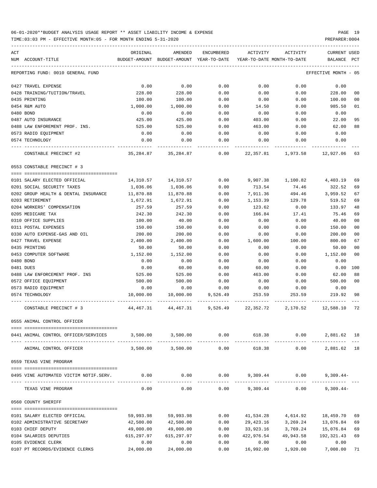| ACT |                                                            | ORIGINAL                | AMENDED                | ENCUMBERED   | ACTIVITY                | ACTIVITY                         | CURRENT USED            |          |
|-----|------------------------------------------------------------|-------------------------|------------------------|--------------|-------------------------|----------------------------------|-------------------------|----------|
| NUM | ACCOUNT-TITLE                                              | BUDGET-AMOUNT           | BUDGET-AMOUNT          | YEAR-TO-DATE |                         | YEAR-TO-DATE MONTH-TO-DATE       | BALANCE                 | PCT      |
|     | REPORTING FUND: 0010 GENERAL FUND                          |                         |                        |              |                         |                                  | EFFECTIVE MONTH         | - 05     |
|     | 0427 TRAVEL EXPENSE                                        | 0.00                    | 0.00                   | 0.00         | 0.00                    | 0.00                             | 0.00                    |          |
|     | 0428 TRAINING/TUITION/TRAVEL                               | 228.00                  | 228.00                 | 0.00         | 0.00                    | 0.00                             | 228.00                  | 00       |
|     | 0435 PRINTING                                              | 100.00                  | 100.00                 | 0.00         | 0.00                    | 0.00                             | 100.00                  | 00       |
|     | 0454 R&M AUTO                                              | 1,000.00                | 1,000.00               | 0.00         | 14.50                   | 0.00                             | 985.50                  | 01       |
|     | 0480 BOND                                                  | 0.00                    | 0.00                   | 0.00         | 0.00                    | 0.00                             | 0.00                    |          |
|     | 0487 AUTO INSURANCE                                        | 425.00                  | 425.00                 | 0.00         | 403.00                  | 0.00                             | 22.00                   | 95       |
|     | 0488 LAW ENFOREMENT PROF. INS.                             | 525.00                  | 525.00                 | 0.00         | 463.00                  | 0.00                             | 62.00                   | 88       |
|     | 0573 RADIO EQUIPMENT                                       | 0.00                    | 0.00                   | 0.00         | 0.00                    | 0.00                             | 0.00                    |          |
|     | 0574 TECHNOLOGY                                            | 0.00                    | 0.00                   | 0.00         | 0.00                    | 0.00                             | 0.00                    |          |
|     | CONSTABLE PRECINCT #2                                      | 35,284.87               | 35,284.87              | 0.00         | 22,357.81               | 1,973.58                         | 12,927.06               | 63       |
|     | 0553 CONSTABLE PRECINCT # 3                                |                         |                        |              |                         |                                  |                         |          |
|     |                                                            |                         |                        |              |                         |                                  |                         |          |
|     | 0101 SALARY ELECTED OFFICIAL<br>0201 SOCIAL SECURITY TAXES | 14,310.57<br>1,036.06   | 14,310.57<br>1,036.06  | 0.00<br>0.00 | 9,907.38<br>713.54      | 1,100.82<br>74.46                | 4,403.19<br>322.52      | 69<br>69 |
|     | 0202 GROUP HEALTH & DENTAL INSURANCE                       | 11,870.88               | 11,870.88              | 0.00         | 7,911.36                | 494.46                           | 3,959.52                | 67       |
|     | 0203 RETIREMENT                                            | 1,672.91                | 1,672.91               | 0.00         | 1,153.39                | 129.78                           | 519.52                  | 69       |
|     | 0204 WORKERS' COMPENSATION                                 | 257.59                  | 257.59                 | 0.00         | 123.62                  | 0.00                             | 133.97                  | 48       |
|     | 0205 MEDICARE TAX                                          | 242.30                  | 242.30                 | 0.00         | 166.84                  | 17.41                            | 75.46                   | 69       |
|     | 0310 OFFICE SUPPLIES                                       | 100.00                  | 40.00                  | 0.00         | 0.00                    | 0.00                             | 40.00                   | 00       |
|     | 0311 POSTAL EXPENSES                                       | 150.00                  | 150.00                 | 0.00         | 0.00                    | 0.00                             | 150.00                  | 00       |
|     | 0330 AUTO EXPENSE-GAS AND OIL                              | 200.00                  | 200.00                 | 0.00         | 0.00                    | 0.00                             | 200.00                  | 00       |
|     | 0427 TRAVEL EXPENSE                                        | 2,400.00                | 2,400.00               | 0.00         | 1,600.00                | 100.00                           | 800.00                  | 67       |
|     | 0435 PRINTING                                              | 50.00                   | 50.00                  | 0.00         | 0.00                    | 0.00                             | 50.00                   | 00       |
|     | 0453 COMPUTER SOFTWARE                                     | 1,152.00                | 1,152.00               | 0.00         | 0.00                    | 0.00                             | 1,152.00                | 00       |
|     | 0480 BOND                                                  | 0.00                    | 0.00                   | 0.00         | 0.00                    | 0.00                             | 0.00                    |          |
|     | 0481 DUES                                                  | 0.00                    | 60.00                  | 0.00         | 60.00                   | 0.00                             | 0.00                    | 100      |
|     | 0488 LAW ENFORCEMENT PROF. INS                             | 525.00                  | 525.00                 | 0.00         | 463.00                  | 0.00                             | 62.00                   | 88       |
|     | 0572 OFFICE EQUIPMENT                                      | 500.00                  | 500.00                 | 0.00         | 0.00                    | 0.00                             | 500.00                  | 00       |
|     | 0573 RADIO EQUIPMENT                                       | 0.00                    | 0.00                   | 0.00         | 0.00                    | 0.00                             | 0.00                    |          |
|     | 0574 TECHNOLOGY                                            | 10,000.00               | 10,000.00              | 9,526.49     | 253.59                  | 253.59                           | 219.92                  | 98       |
|     | CONSTABLE PRECINCT # 3                                     | 44,467.31               | 44,467.31              | 9,526.49     | 22,352.72               | 2,170.52                         | 12,588.10               | 72       |
|     | 0555 ANIMAL CONTROL OFFICER                                |                         |                        |              |                         |                                  |                         |          |
|     |                                                            |                         |                        |              |                         |                                  |                         |          |
|     | 0441 ANIMAL CONTROL OFFICER/SERVICES                       |                         | 3,500.00 3,500.00 0.00 |              |                         | 618.38<br>0.00                   | 2,881.62 18             |          |
|     | ANIMAL CONTROL OFFICER                                     | 3,500.00                | 3,500.00               | 0.00         | 618.38                  | 0.00                             | 2,881.62 18             |          |
|     | 0559 TEXAS VINE PROGRAM                                    |                         |                        |              |                         |                                  |                         |          |
|     | 0495 VINE AUTOMATED VICTIM NOTIF.SERV.                     | 0.00                    | 0.00                   |              |                         | $0.00$ 9,309.44 0.00 9,309.44    |                         |          |
|     | TEXAS VINE PROGRAM                                         | 0.00                    | 0.00                   | 0.00         | 9,309.44                | 0.00                             | $9,309.44-$             |          |
|     | 0560 COUNTY SHERIFF                                        |                         |                        |              |                         |                                  |                         |          |
|     |                                                            |                         |                        |              |                         |                                  |                         |          |
|     | 0101 SALARY ELECTED OFFICIAL                               | 59,993.98               | 59,993.98              | 0.00         |                         | 41,534.28   4,614.92   18,459.70 |                         | 69       |
|     | 0102 ADMINISTRATIVE SECRETARY                              | 42,500.00               | 42,500.00<br>49,000.00 | 0.00         |                         | 29,423.16 3,269.24 13,076.84     |                         | 69       |
|     | 0103 CHIEF DEPUTY<br>0104 SALARIES DEPUTIES                | 49,000.00<br>615,297.97 | 615,297.97             | 0.00<br>0.00 | 33,923.16<br>422,976.54 | 3,769.24<br>49,943.58            | 15,076.84<br>192,321.43 | 69<br>69 |
|     | 0105 EVIDENCE CLERK                                        | 0.00                    | 0.00                   | 0.00         | 0.00                    | 0.00                             | 0.00                    |          |
|     | 0107 PT RECORDS/EVIDENCE CLERKS                            | 24,000.00               | 24,000.00              | 0.00         | 16,992.00               | 1,920.00                         | 7,008.00                | 71       |
|     |                                                            |                         |                        |              |                         |                                  |                         |          |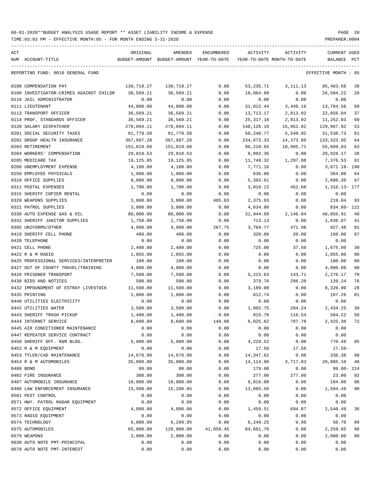| ACT |                                         | ORIGINAL              | AMENDED                                  | ENCUMBERED | ACTIVITY    | ACTIVITY                   | <b>CURRENT USED</b>  |                |
|-----|-----------------------------------------|-----------------------|------------------------------------------|------------|-------------|----------------------------|----------------------|----------------|
|     | NUM ACCOUNT-TITLE                       |                       | BUDGET-AMOUNT BUDGET-AMOUNT YEAR-TO-DATE |            |             | YEAR-TO-DATE MONTH-TO-DATE | BALANCE              | $_{\rm PCT}$   |
|     | REPORTING FUND: 0010 GENERAL FUND       |                       |                                          |            |             |                            | EFFECTIVE MONTH - 05 |                |
|     | 0108 COMPENSATION PAY                   | 138,719.27            | 138,719.27                               | 0.00       | 53,235.71   | 3,111.13                   | 85,483.56            | 38             |
|     | 0109 INVESTIGATOR-CRIMES AGAINST CHILDR | 36,569.21             | 36,569.21                                | 0.00       | 10,064.99   | 0.00                       | 26,504.22            | 28             |
|     | 0110 JAIL ADMINISTRATOR                 | 0.00                  | 0.00                                     | 0.00       | 0.00        | 0.00                       | 0.00                 |                |
|     | 0111 LIEUTENANT                         | 44,800.00             | 44,800.00                                | 0.00       | 31,015.44   | 3,446.16                   | 13,784.56            | 69             |
|     | 0113 TRANSPORT OFFICER                  | 36,569.21             | 36,569.21                                | 0.00       | 13,713.17   | 2,813.02                   | 22,856.04            | 37             |
|     | 0114 PROF. STANDARDS OFFICER            | 36,569.21             | 36,569.21                                | 0.00       | 25, 317. 18 | 2,813.02                   | 11,252.03            | 69             |
|     | 0120 SALARY DISPATCHER                  | 278,094.11            | 278,094.11                               | 0.00       | 148,126.19  | 15,951.82                  | 129,967.92           | 53             |
|     | 0201 SOCIAL SECURITY TAXES              | 81,779.50             | 81,779.50                                | 0.00       | 50,240.77   | 5,549.92                   | 31,538.73            | 61             |
|     | 0202 GROUP HEALTH INSURANCE             | 367,997.28            | 367,997.28                               | 0.00       | 234,673.33  | 14,373.85                  | 133,323.95           | 64             |
|     | 0203 RETIREMENT                         | 151,819.68            | 151,819.68                               | 0.00       | 96,210.65   | 10,805.71                  | 55,609.03            | 63             |
|     | 0204 WORKERS' COMPENSATION              | 29,018.53             | 29,018.53                                | 0.00       | 8,092.36    | 0.00                       | 20,926.17            | 28             |
|     | 0205 MEDICARE TAX                       | 19,125.85             | 19,125.85                                | 0.00       | 11,749.32   | 1,297.88                   | 7,376.53             | 61             |
|     | 0206 UNEMPLOYMENT EXPENSE               | 4,100.00              | 4,100.00                                 | 0.00       | 7,771.18    | 0.00                       | 3,671.18- 190        |                |
|     | 0250 EMPLOYEE PHYSICALS                 | 1,000.00              | 1,000.00                                 | 0.00       | 636.00      | 0.00                       | 364.00               | 64             |
|     | 0310 OFFICE SUPPLIES                    | 8,000.00              | 8,000.00                                 | 0.00       | 5,393.61    | 0.00                       | 2,606.39             | 67             |
|     | 0311 POSTAL EXPENSES                    | 1,700.00              | 1,700.00                                 | 0.00       | 3,016.13    | 452.60                     | 1,316.13- 177        |                |
|     | 0315 SHERIFF COPIER RENTAL              | 0.00                  | 0.00                                     | 0.00       | 0.00        | 0.00                       | 0.00                 |                |
|     | 0320 WEAPONS SUPPLIES                   | 3,000.00              | 3,000.00                                 | 405.03     | 2,375.93    | 0.00                       | 219.04               | 93             |
|     | 0321 PATROL SUPPLIES                    | 3,800.00              | 3,800.00                                 | 0.00       | 4,634.80    | 0.00                       | 834.80- 122          |                |
|     | 0330 AUTO EXPENSE GAS & OIL             |                       | 80,000.00                                | 0.00       | 31,944.09   | 2,146.04                   | 48,055.91            | 40             |
|     |                                         | 80,000.00<br>1,750.00 |                                          |            |             |                            |                      |                |
|     | 0332 SHERIFF JANITOR SUPPLIES           |                       | 1,750.00                                 | 0.00       | 713.13      | 0.00                       | 1,036.87             | 41             |
|     | 0395 UNIFORMS/OTHER                     | 4,900.00              | 4,900.00                                 | 267.75     | 3,704.77    | 471.98                     | 927.48               | 81             |
|     | 0419 SHERIFF CELL PHONE                 | 480.00                | 480.00                                   | 0.00       | 320.00      | 20.00                      | 160.00               | 67             |
|     | 0420 TELEPHONE                          | 0.00                  | 0.00                                     | 0.00       | 0.00        | 0.00                       | 0.00                 |                |
|     | 0421 CELL PHONE                         | 2,400.00              | 2,400.00                                 | 0.00       | 725.00      | 37.50                      | 1,675.00             | 30             |
|     | 0422 R & M RADIO                        | 1,055.00              | 1,055.00                                 | 0.00       | 0.00        | 0.00                       | 1,055.00             | 0 <sub>0</sub> |
|     | 0425 PROFESSIONAL SERVICES/INTERPRETER  | 100.00                | 100.00                                   | 0.00       | 0.00        | 0.00                       | 100.00               | 0 <sub>0</sub> |
|     | 0427 OUT OF COUNTY TRAVEL/TRAINING      | 4,000.00              | 4,000.00                                 | 0.00       | 0.00        | 0.00                       | 4,000.00             | 0 <sub>0</sub> |
|     | 0428 PRISONER TRANSPORT                 | 7,500.00              | 7,500.00                                 | 0.00       | 5,223.83    | 143.71                     | 2,276.17             | 70             |
|     | 0430 BIDS AND NOTICES                   | 500.00                | 500.00                                   | 0.00       | 379.76      | 286.20                     | 120.24               | 76             |
|     | 0432 IMPOUNDMENT OF ESTRAY LIVESTOCK    | 11,500.00             | 11,500.00                                | 0.00       | 3,180.00    | 0.00                       | 8,320.00             | 28             |
|     | 0435 PRINTING                           | 1,000.00              | 1,000.00                                 | 0.00       | 812.74      | 0.00                       | 187.26               | 81             |
|     | 0440 UTILITIES ELECTRICITY              | 0.00                  | 0.00                                     | 0.00       | 0.00        | 0.00                       | 0.00                 |                |
|     | 0442 UTILITIES WATER                    | 3,500.00              | 3,500.00                                 | 0.00       | 1,065.75    | 204.24                     | 2,434.25             | 30             |
|     | 0443 SHERIFF TRASH PICKUP               | 1,400.00              | 1,400.00                                 | 0.00       | 815.78      | 116.54                     | 584.22               | 58             |
|     | 0444 INTERNET SERVICE                   | 8,600.00              | 8,600.00                                 | 149.08     | 6,025.62    | 787.78                     | 2,425.30 72          |                |
|     | 0445 AIR CONDITIONER MAINTENANCE        | 0.00                  | 0.00                                     | 0.00       | 0.00        | 0.00                       | 0.00                 |                |
|     | 0447 REPEATER SERVICE CONTRACT          | 0.00                  | 0.00                                     | 0.00       | 0.00        | 0.00                       | 0.00                 |                |
|     | 0450 SHERIFF OFF. R&M BLDG.             | 5,000.00              | 5,000.00                                 | 0.00       | 4,229.52    | 0.00                       | 770.48               | 85             |
|     | 0452 R & M EQUIPMENT                    | 0.00                  | 0.00                                     | 0.00       | 17.56       | 17.56                      | $17.56-$             |                |
|     | 0453 TYLER/CAD MAINTENANCE              | 14,678.00             | 14,678.00                                | 0.00       | 14,347.62   | 0.00                       | 330.38               | 98             |
|     | 0454 R & M AUTOMOBILES                  | 35,000.00             | 35,000.00                                | 0.00       | 14, 114.90  | 3,717.83                   | 20,885.10            | 40             |
|     | 0480 BOND                               | 80.00                 | 80.00                                    | 0.00       | 179.00      | 0.00                       | $99.00 - 224$        |                |
|     | 0482 FIRE INSURANCE                     | 300.00                | 300.00                                   | 0.00       | 277.00      | 277.00                     | 23.00                | 92             |
|     | 0487 AUTOMOBILE INSURANCE               | 10,000.00             | 10,000.00                                | 0.00       | 9,816.00    | 0.00                       | 184.00               | 98             |
|     | 0488 LAW ENFORCEMENT INSURANCE          | 15,500.00             | 15,200.05                                | 0.00       | 13,605.56   | 0.00                       | 1,594.49             | 90             |
|     | 0501 PEST CONTROL                       | 0.00                  | 0.00                                     | 0.00       | 0.00        | 0.00                       | 0.00                 |                |
|     | 0571 HWY. PATROL RADAR EQUIPMENT        | 0.00                  | 0.00                                     | 0.00       | 0.00        | 0.00                       | 0.00                 |                |
|     | 0572 OFFICE EQUIPMENT                   | 4,000.00              | 4,000.00                                 | 0.00       | 1,459.51    | 694.87                     | 2,540.49             | 36             |
|     | 0573 RADIO EQUIPMENT                    | 0.00                  | 0.00                                     | 0.00       | 0.00        | 0.00                       | 0.00                 |                |
|     | 0574 TECHNOLOGY                         | 6,000.00              | 6,299.95                                 | 0.00       | 6,249.25    | 0.00                       | 50.70                | 99             |
|     | 0575 AUTOMOBILES                        | 85,000.00             | 128,000.00                               | 41,058.45  | 84,681.70   | 0.00                       | 2,259.85             | 98             |
|     | 0579 WEAPONS                            | 2,000.00              | 2,000.00                                 | 0.00       | 0.00        | 0.00                       | 2,000.00             | 0 <sub>0</sub> |
|     | 0630 AUTO NOTE PMT-PRINCIPAL            | 0.00                  | 0.00                                     | 0.00       | 0.00        | 0.00                       | 0.00                 |                |
|     | 0670 AUTO NOTE PMT-INTEREST             | 0.00                  | 0.00                                     | 0.00       | 0.00        | 0.00                       | 0.00                 |                |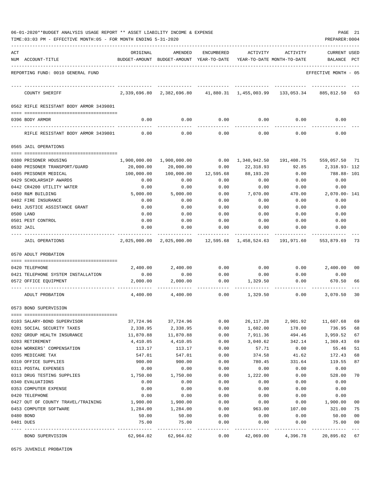|     | 06-01-2020**BUDGET ANALYSIS USAGE REPORT ** ASSET LIABILITY INCOME & EXPENSE<br>TIME: 03:03 PM - EFFECTIVE MONTH: 05 - FOR MONTH ENDING 5-31-2020 |            |                                                             |               |              |                                         | PAGE 21<br>PREPARER: 0004      |                |
|-----|---------------------------------------------------------------------------------------------------------------------------------------------------|------------|-------------------------------------------------------------|---------------|--------------|-----------------------------------------|--------------------------------|----------------|
| ACT | NUM ACCOUNT-TITLE                                                                                                                                 | ORIGINAL   | AMENDED<br>BUDGET-AMOUNT BUDGET-AMOUNT YEAR-TO-DATE         | ENCUMBERED    | ACTIVITY     | ACTIVITY<br>YEAR-TO-DATE MONTH-TO-DATE  | <b>CURRENT USED</b><br>BALANCE | PCT            |
|     | REPORTING FUND: 0010 GENERAL FUND                                                                                                                 |            |                                                             |               |              |                                         | EFFECTIVE MONTH - 05           |                |
|     | COUNTY SHERIFF                                                                                                                                    |            | 2,339,696.80 2,382,696.80 41,880.31 1,455,003.99 133,053.34 |               |              |                                         | 885,812.50                     | 63             |
|     | 0562 RIFLE RESISTANT BODY ARMOR 3439801                                                                                                           |            |                                                             |               |              |                                         |                                |                |
|     | 0396 BODY ARMOR                                                                                                                                   | 0.00       | 0.00                                                        | 0.00          | 0.00         | 0.00                                    | 0.00                           |                |
|     | RIFLE RESISTANT BODY ARMOR 3439801                                                                                                                | 0.00       | 0.00                                                        | 0.00          | 0.00         | 0.00                                    | 0.00                           |                |
|     | 0565 JAIL OPERATIONS                                                                                                                              |            |                                                             |               |              |                                         |                                |                |
|     | 0380 PRISONER HOUSING                                                                                                                             |            | 1,900,000.00 1,900,000.00                                   | 0.00          | 1,340,942.50 | 191,408.75                              | 559,057.50 71                  |                |
|     | 0400 PRISONER TRANSPORT/GUARD                                                                                                                     | 20,000.00  | 20,000.00                                                   | 0.00          | 22,318.93    | 92.85                                   | 2,318.93-112                   |                |
|     | 0405 PRISONER MEDICAL                                                                                                                             | 100,000.00 | 100,000.00                                                  | 12,595.68     | 88,193.20    | 0.00                                    | 788.88-101                     |                |
|     | 0429 SCHOLARSHIP AWARDS                                                                                                                           | 0.00       | 0.00                                                        | 0.00          | 0.00         | 0.00                                    | 0.00                           |                |
|     | 0442 CR4200 UTILITY WATER                                                                                                                         | 0.00       | 0.00                                                        | 0.00          | 0.00         | 0.00                                    | 0.00                           |                |
|     | 0450 R&M BUILDING                                                                                                                                 | 5,000.00   | 5,000.00                                                    | 0.00          | 7,070.00     | 470.00                                  | 2,070.00- 141                  |                |
|     | 0482 FIRE INSURANCE                                                                                                                               | 0.00       | 0.00                                                        | 0.00          | 0.00         | 0.00                                    | 0.00                           |                |
|     | 0491 JUSTICE ASSISTANCE GRANT                                                                                                                     | 0.00       | 0.00                                                        | 0.00          | 0.00         | 0.00                                    | 0.00                           |                |
|     | 0500 LAND                                                                                                                                         | 0.00       | 0.00                                                        | 0.00          | 0.00         | 0.00                                    | 0.00                           |                |
|     | 0501 PEST CONTROL                                                                                                                                 | 0.00       | 0.00                                                        | 0.00          | 0.00         | 0.00                                    | 0.00                           |                |
|     | 0532 JAIL                                                                                                                                         | 0.00       | 0.00                                                        | 0.00          | 0.00         | 0.00                                    | 0.00                           |                |
|     | JAIL OPERATIONS                                                                                                                                   |            | 2,025,000.00 2,025,000.00                                   |               |              | 12,595.68    1,458,524.63    191,971.60 | 553,879.69                     | -73            |
|     | 0570 ADULT PROBATION                                                                                                                              |            |                                                             |               |              |                                         |                                |                |
|     |                                                                                                                                                   |            |                                                             |               |              |                                         |                                |                |
|     | 0420 TELEPHONE                                                                                                                                    | 2,400.00   | 2,400.00                                                    | 0.00          | 0.00         | 0.00                                    | 2,400.00                       | 00             |
|     | 0421 TELEPHONE SYSTEM INSTALLATION                                                                                                                | 0.00       | 0.00                                                        | 0.00          | 0.00         | 0.00                                    | 0.00                           |                |
|     | 0572 OFFICE EQUIPMENT                                                                                                                             | 2,000.00   | 2,000.00                                                    | 0.00          | 1,329.50     | 0.00                                    | 670.50                         | 66             |
|     | ADULT PROBATION                                                                                                                                   | 4,400.00   | 4,400.00                                                    | 0.00          | 1,329.50     | 0.00                                    | 3,070.50                       | 30             |
|     | 0573 BOND SUPERVISION                                                                                                                             |            |                                                             |               |              |                                         |                                |                |
|     | 0103 SALARY-BOND SUPERVISOR                                                                                                                       | 37,724.96  | 37,724.96                                                   | 0.00          | 26, 117. 28  | 2,901.92                                | 11,607.68                      | 69             |
|     | 0201 SOCIAL SECURITY TAXES                                                                                                                        | 2,338.95   | 2,338.95                                                    | 0.00          | 1,602.00     | 178.00                                  | 736.95                         | 68             |
|     | 0202 GROUP HEALTH INSURANCE                                                                                                                       | 11,870.88  | 11,870.88                                                   | 0.00          | 7,911.36     | 494.46                                  | 3,959.52                       | 67             |
|     | 0203 RETIREMENT                                                                                                                                   | 4,410.05   | 4,410.05                                                    | 0.00          | 3,040.62     | 342.14                                  | 1,369.43                       | 69             |
|     | 0204 WORKERS' COMPENSATION                                                                                                                        | 113.17     | 113.17                                                      | 0.00          | 57.71        | 0.00                                    | 55.46                          | 51             |
|     | 0205 MEDICARE TAX                                                                                                                                 | 547.01     | 547.01                                                      | 0.00          | 374.58       | 41.62                                   | 172.43                         | 68             |
|     | 0310 OFFICE SUPPLIES                                                                                                                              | 900.00     | 900.00                                                      | 0.00          | 780.45       | 331.64                                  | 119.55                         | 87             |
|     | 0311 POSTAL EXPENSES                                                                                                                              | 0.00       | 0.00                                                        | 0.00          | 0.00         | 0.00                                    | 0.00                           |                |
|     | 0313 DRUG TESTING SUPPLIES                                                                                                                        | 1,750.00   | 1,750.00                                                    | 0.00          | 1,222.00     | 0.00                                    | 528.00                         | 70             |
|     | 0340 EVALUATIONS                                                                                                                                  | 0.00       | 0.00                                                        | 0.00          | 0.00         | 0.00                                    | 0.00                           |                |
|     | 0353 COMPUTER EXPENSE                                                                                                                             | 0.00       | 0.00                                                        | 0.00          | 0.00         | 0.00                                    | 0.00                           |                |
|     | 0420 TELEPHONE                                                                                                                                    | 0.00       | 0.00                                                        | 0.00          | 0.00         | 0.00                                    | 0.00                           |                |
|     | 0427 OUT OF COUNTY TRAVEL/TRAINING                                                                                                                | 1,900.00   | 1,900.00                                                    | 0.00          | 0.00         | 0.00                                    | 1,900.00                       | 00             |
|     | 0453 COMPUTER SOFTWARE                                                                                                                            | 1,284.00   | 1,284.00                                                    | 0.00          | 963.00       | 107.00                                  | 321.00                         | 75             |
|     | 0480 BOND                                                                                                                                         | 50.00      | 50.00                                                       | 0.00          | 0.00         | 0.00                                    | 50.00                          | 0 <sub>0</sub> |
|     | 0481 DUES                                                                                                                                         | 75.00      | 75.00                                                       | 0.00<br>----- | 0.00         | 0.00                                    | 75.00                          | 00<br>$---$    |
|     | BOND SUPERVISION                                                                                                                                  | 62,964.02  | 62,964.02                                                   | 0.00          | 42,069.00    | 4,396.78                                | 20,895.02                      | 67             |

0575 JUVENILE PROBATION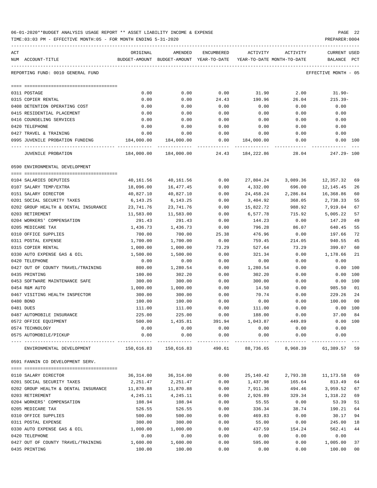| 06-01-2020**BUDGET ANALYSIS USAGE REPORT ** ASSET LIABILITY INCOME & EXPENSE | PAGE 22        |  |
|------------------------------------------------------------------------------|----------------|--|
| TIME:03:03 PM - EFFECTIVE MONTH:05 - FOR MONTH ENDING 5-31-2020              | PREPARER: 0004 |  |

| ACT |                                                                   | ORIGINAL   | AMENDED                                  | ENCUMBERED            | ACTIVITY                 | ACTIVITY                   | CURRENT USED         |                |
|-----|-------------------------------------------------------------------|------------|------------------------------------------|-----------------------|--------------------------|----------------------------|----------------------|----------------|
|     | NUM ACCOUNT-TITLE                                                 |            | BUDGET-AMOUNT BUDGET-AMOUNT YEAR-TO-DATE |                       |                          | YEAR-TO-DATE MONTH-TO-DATE | BALANCE PCT          |                |
|     | REPORTING FUND: 0010 GENERAL FUND                                 |            |                                          |                       |                          |                            | EFFECTIVE MONTH - 05 |                |
|     |                                                                   |            | 0.00                                     | 0.00                  | 31.90                    | 2.00                       | $31.90 -$            |                |
|     | 0311 POSTAGE                                                      | 0.00       |                                          |                       |                          |                            |                      |                |
|     | 0315 COPIER RENTAL                                                | 0.00       | 0.00                                     | 24.43                 | 190.96                   | 26.04                      | $215.39-$            |                |
|     | 0408 DETENTION OPERATING COST                                     | 0.00       | 0.00                                     | 0.00                  | 0.00                     | 0.00                       | 0.00                 |                |
|     | 0415 RESIDENTIAL PLACEMENT<br>0416 COUNSELING SERVICES            | 0.00       | 0.00                                     | 0.00                  | 0.00                     | 0.00                       | 0.00                 |                |
|     |                                                                   | 0.00       | 0.00                                     | 0.00                  | 0.00                     | 0.00                       | 0.00                 |                |
|     | 0420 TELEPHONE                                                    | 0.00       | 0.00                                     | 0.00                  | 0.00                     | 0.00                       | 0.00                 |                |
|     | 0427 TRAVEL & TRAINING                                            | 0.00       | 0.00                                     | 0.00                  | 0.00                     | 0.00                       | 0.00                 |                |
|     | 0995 JUVENILE PROBATION FUNDING<br>------------------------------ | 184,000.00 | 184,000.00                               | 0.00<br>------------- | 184,000.00<br>. <u>.</u> | 0.00                       | $0.00$ 100           |                |
|     | JUVENILE PROBATION                                                | 184,000.00 | 184,000.00                               |                       | 24.43 184,222.86         | 28.04                      | 247.29- 100          |                |
|     | 0590 ENVIRONMENTAL DEVELOPMENT                                    |            |                                          |                       |                          |                            |                      |                |
|     |                                                                   |            |                                          |                       |                          |                            |                      |                |
|     | 0104 SALARIES DEPUTIES                                            | 40,161.56  | 40,161.56                                | 0.00                  | 27,804.24                | 3,089.36                   | 12,357.32            | 69             |
|     | 0107 SALARY TEMP/EXTRA                                            | 18,096.00  | 16,477.45                                | 0.00                  | 4,332.00                 | 696.00                     | 12,145.45            | 26             |
|     | 0151 SALARY DIRECTOR                                              | 40,827.10  | 40,827.10                                | 0.00                  | 24,458.24                | 2,286.84                   | 16,368.86            | 60             |
|     | 0201 SOCIAL SECURITY TAXES                                        | 6,143.25   | 6,143.25                                 | 0.00                  | 3,404.92                 | 368.05                     | 2,738.33             | 55             |
|     | 0202 GROUP HEALTH & DENTAL INSURANCE                              | 23,741.76  | 23,741.76                                | 0.00                  | 15,822.72                | 988.92                     | 7,919.04             | 67             |
|     | 0203 RETIREMENT                                                   | 11,583.00  | 11,583.00                                | 0.00                  | 6,577.78                 | 715.92                     | 5,005.22             | 57             |
|     | 0204 WORKERS' COMPENSATION                                        | 291.43     | 291.43                                   | 0.00                  | 144.23                   | 0.00                       | 147.20               | 49             |
|     | 0205 MEDICARE TAX                                                 | 1,436.73   | 1,436.73                                 | 0.00                  | 796.28                   | 86.07                      | 640.45               | 55             |
|     | 0310 OFFICE SUPPLIES                                              | 700.00     | 700.00                                   | 25.38                 | 476.96                   | 0.00                       | 197.66               | 72             |
|     | 0311 POSTAL EXPENSE                                               | 1,700.00   | 1,700.00                                 | 0.00                  | 759.45                   | 214.05                     | 940.55               | 45             |
|     | 0315 COPIER RENTAL                                                | 1,000.00   | 1,000.00                                 | 73.29                 | 527.64                   | 73.29                      | 399.07               | 60             |
|     | 0330 AUTO EXPENSE GAS & OIL                                       | 1,500.00   | 1,500.00                                 | 0.00                  | 321.34                   | 0.00                       | 1,178.66             | 21             |
|     | 0420 TELEPHONE                                                    | 0.00       | 0.00                                     | 0.00                  | 0.00                     | 0.00                       | 0.00                 |                |
|     | 0427 OUT OF COUNTY TRAVEL/TRAINING                                | 800.00     | 1,280.54                                 | 0.00                  | 1,280.54                 | 0.00                       | 0.00                 | 100            |
|     | 0435 PRINTING                                                     | 100.00     | 302.20                                   | 0.00                  | 302.20                   | 0.00                       | 0.00                 | 100            |
|     | 0453 SOFTWARE MAINTENANCE SAFE                                    | 300.00     | 300.00                                   | 0.00                  | 300.00                   | 0.00                       | 0.00                 | 100            |
|     | 0454 R&M AUTO                                                     | 1,000.00   | 1,000.00                                 | 0.00                  | 14.50                    | 0.00                       | 985.50               | 01             |
|     | 0467 VISITING HEALTH INSPECTOR                                    | 300.00     | 300.00                                   | 0.00                  | 70.74                    | 0.00                       | 229.26               | 24             |
|     | 0480 BOND                                                         | 100.00     | 100.00                                   | 0.00                  | 0.00                     | 0.00                       | 100.00               | 0 <sub>0</sub> |
|     | 0481 DUES                                                         | 111.00     | 111.00                                   | 0.00                  | 111.00                   | 0.00                       | $0.00$ 100           |                |
|     | 0487 AUTOMOBILE INSURANCE                                         | 225.00     | 225.00                                   | 0.00                  | 188.00                   | 0.00                       | 37.00                | 84             |
|     | 0572 OFFICE EQUIPMENT                                             | 500.00     | 1,435.81                                 | 391.94                | 1,043.87                 | 449.89                     | 0.00 100             |                |
|     | 0574 TECHNOLOGY                                                   | 0.00       | 0.00                                     | 0.00                  | 0.00                     | 0.00                       | 0.00                 |                |
|     | 0575 AUTOMOBILE/PICKUP                                            | 0.00       | 0.00                                     | 0.00                  | 0.00<br>----------       | 0.00<br>-------------      | 0.00                 |                |
|     | ENVIRONMENTAL DEVELOPMENT                                         |            | 150,616.83 150,616.83                    | 490.61                | 88,736.65                | 8,968.39                   | 61,389.57            | 59             |
|     | 0591 FANNIN CO DEVELOPMENT SERV.                                  |            |                                          |                       |                          |                            |                      |                |
|     |                                                                   |            |                                          |                       |                          |                            |                      |                |
|     | 0110 SALARY DIRECTOR                                              | 36,314.00  | 36,314.00                                | 0.00                  | 25,140.42                |                            | 2,793.38 11,173.58   | 69             |
|     | 0201 SOCIAL SECURITY TAXES                                        | 2,251.47   | 2,251.47                                 | 0.00                  | 1,437.98                 | 165.64                     | 813.49               | 64             |
|     | 0202 GROUP HEALTH & DENTAL INSURANCE                              | 11,870.88  | 11,870.88                                | 0.00                  | 7,911.36                 | 494.46                     | 3,959.52             | 67             |
|     | 0203 RETIREMENT                                                   | 4,245.11   | 4,245.11                                 | 0.00                  | 2,926.89                 | 329.34                     | 1,318.22             | 69             |
|     | 0204 WORKERS' COMPENSATION                                        | 108.94     | 108.94                                   | 0.00                  | 55.55                    | 0.00                       | 53.39                | 51             |
|     | 0205 MEDICARE TAX                                                 | 526.55     | 526.55                                   | 0.00                  | 336.34                   | 38.74                      | 190.21               | 64             |
|     | 0310 OFFICE SUPPLIES                                              | 500.00     | 500.00                                   | 0.00                  | 469.83                   | 0.00                       | 30.17                | 94             |
|     | 0311 POSTAL EXPENSE                                               | 300.00     | 300.00                                   | 0.00                  | 55.00                    | 0.00                       | 245.00               | 18             |
|     | 0330 AUTO EXPENSE GAS & OIL                                       | 1,000.00   | 1,000.00                                 | 0.00                  | 437.59                   | 154.24                     | 562.41               | 44             |
|     | 0420 TELEPHONE                                                    | 0.00       | 0.00                                     | 0.00                  | 0.00                     | 0.00                       | 0.00                 |                |
|     | 0427 OUT OF COUNTY TRAVEL/TRAINING                                | 1,600.00   | 1,600.00                                 | 0.00                  | 595.00                   | 0.00                       | 1,005.00             | 37             |

0435 PRINTING 100.00 100.00 0.00 0.00 0.00 100.00 00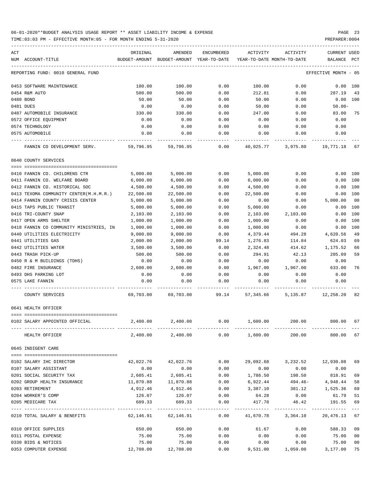| ACT<br>NUM ACCOUNT-TITLE                             | ORIGINAL         | AMENDED<br>BUDGET-AMOUNT BUDGET-AMOUNT YEAR-TO-DATE YEAR-TO-DATE MONTH-TO-DATE | ENCUMBERED   | ACTIVITY         | ACTIVITY                                                  | CURRENT USED<br>BALANCE | $_{\rm PCT}$    |
|------------------------------------------------------|------------------|--------------------------------------------------------------------------------|--------------|------------------|-----------------------------------------------------------|-------------------------|-----------------|
|                                                      |                  |                                                                                |              |                  |                                                           |                         |                 |
| REPORTING FUND: 0010 GENERAL FUND                    |                  |                                                                                |              |                  |                                                           | EFFECTIVE MONTH - 05    |                 |
| 0453 SOFTWARE MAINTENANCE                            | 100.00           | 100.00                                                                         | 0.00         | 100.00           | 0.00                                                      | 0.00 100                |                 |
| 0454 R&M AUTO                                        | 500.00           | 500.00                                                                         | 0.00         | 212.81           | 0.00                                                      | 287.19                  | - 43            |
| 0480 BOND                                            | 50.00            | 50.00                                                                          | 0.00         | 50.00            | 0.00                                                      | 0.00 100                |                 |
| 0481 DUES                                            | 0.00             | 0.00                                                                           | 0.00         | 50.00            | 0.00                                                      | 50.00-                  |                 |
| 0487 AUTOMOBILE INSURANCE                            | 330.00           | 330.00                                                                         | 0.00         | 247.00           | 0.00                                                      | 83.00 75                |                 |
| 0572 OFFICE EQUIPMENT                                | 0.00             | 0.00                                                                           | 0.00         | 0.00             | 0.00                                                      | 0.00                    |                 |
| 0574 TECHNOLOGY                                      | 0.00             | 0.00                                                                           | 0.00         | 0.00             | 0.00                                                      | 0.00                    |                 |
| 0575 AUTOMOBILE                                      | 0.00             | 0.00                                                                           | 0.00         | 0.00             | 0.00                                                      | 0.00                    |                 |
| FANNIN CO DEVELOPMENT SERV. 59,796.95 59,796.95 0.00 |                  |                                                                                |              |                  | 40,025.77 3,975.80 19,771.18                              |                         | 67              |
| 0640 COUNTY SERVICES                                 |                  |                                                                                |              |                  |                                                           |                         |                 |
| 0410 FANNIN CO. CHILDRENS CTR                        | 5,000.00         | 5,000.00                                                                       | 0.00         | 5,000.00         | 0.00                                                      | 0.00 100                |                 |
| 0411 FANNIN CO. WELFARE BOARD                        | 6,000.00         | 6,000.00                                                                       | 0.00         | 6,000.00         | 0.00                                                      | $0.00$ 100              |                 |
| 0412 FANNIN CO. HISTORICAL SOC                       | 4,500.00         | 4,500.00                                                                       | 0.00         | 4,500.00         | 0.00                                                      | 0.00 100                |                 |
| 0413 TEXOMA COMMUNITY CENTER(M.H.M.R.)               | 22,500.00        | 22,500.00                                                                      | 0.00         | 22,500.00        | 0.00                                                      | 0.00 100                |                 |
| 0414 FANNIN COUNTY CRISIS CENTER                     | 5,000.00         | 5,000.00                                                                       | 0.00         | 0.00             | 0.00                                                      | 5,000.00                | 00              |
| 0415 TAPS PUBLIC TRANSIT                             | 5,000.00         | 5,000.00                                                                       | 0.00         | 5,000.00         | 0.00                                                      | 0.00                    | 100             |
| 0416 TRI-COUNTY SNAP                                 | 2,103.00         | 2,103.00                                                                       | 0.00         | 2,103.00         | 2,103.00                                                  | 0.00                    | 100             |
|                                                      | 1,000.00         |                                                                                |              |                  |                                                           |                         |                 |
| 0417 OPEN ARMS SHELTER                               |                  | 1,000.00                                                                       | 0.00         | 1,000.00         | 0.00                                                      | 0.00                    | 100             |
| 0418 FANNIN CO COMMUNITY MINISTRIES, IN              | 1,000.00         | 1,000.00                                                                       | 0.00         | 1,000.00         | 0.00                                                      | 0.00 100                |                 |
| 0440 UTILITIES ELECTRICITY                           | 9,000.00         | 9,000.00                                                                       | 0.00         | 4,379.44         | 494.28                                                    | 4,620.56                | 49              |
| 0441 UTILITIES GAS                                   | 2,000.00         | 2,000.00                                                                       | 99.14        | 1,276.83         | 114.84                                                    | 624.03                  | 69              |
| 0442 UTILITIES WATER                                 | 3,500.00         | 3,500.00                                                                       | 0.00         | 2,324.48         | 414.62                                                    | 1,175.52                | 66              |
| 0443 TRASH PICK-UP                                   | 500.00           | 500.00                                                                         | 0.00         | 294.91           | 42.13                                                     | 205.09                  | 59              |
| 0450 R & M BUILDINGS (TDHS)                          | 0.00             | 0.00                                                                           | 0.00         | 0.00             | 0.00                                                      | 0.00                    |                 |
| 0482 FIRE INSURANCE                                  | 2,600.00         | 2,600.00                                                                       | 0.00         | 1,967.00         | 1,967.00                                                  | 633.00                  | 76              |
| 0493 DHS PARKING LOT                                 | 0.00             | 0.00                                                                           | 0.00         | 0.00             | 0.00                                                      | 0.00                    |                 |
| 0575 LAKE FANNIN                                     | 0.00             | 0.00                                                                           | 0.00         | 0.00             | 0.00                                                      | 0.00                    |                 |
| COUNTY SERVICES                                      |                  |                                                                                |              |                  | 69,703.00 69,703.00 99.14 57,345.66 5,135.87 12,258.20 82 |                         |                 |
| 0641 HEALTH OFFICER                                  |                  |                                                                                |              |                  |                                                           |                         |                 |
| 0102 SALARY APPOINTED OFFICIAL                       | 2,400.00         | 2,400.00                                                                       |              |                  | $0.00$ $1,600.00$ $200.00$ $800.00$ 67                    |                         |                 |
| HEALTH OFFICER                                       |                  | $2,400.00$ $2,400.00$ $0.00$ $1,600.00$                                        |              |                  | 200.00                                                    | 800.00 67               |                 |
| 0645 INDIGENT CARE                                   |                  |                                                                                |              |                  |                                                           |                         |                 |
| 0102 SALARY IHC DIRECTOR                             |                  |                                                                                | 0.00         |                  |                                                           |                         |                 |
| 0107 SALARY ASSISTANT                                |                  | 42,022.76 42,022.76                                                            |              |                  | 29,092.68 3,232.52 12,930.08                              |                         | 69              |
| 0201 SOCIAL SECURITY TAX                             | 0.00<br>2,605.41 | 0.00                                                                           | 0.00<br>0.00 | 0.00<br>1,786.50 | 0.00<br>198.50                                            | 0.00<br>818.91          |                 |
|                                                      |                  | 2,605.41                                                                       |              |                  |                                                           |                         | 69              |
| 0202 GROUP HEALTH INSURANCE                          | 11,870.88        | 11,870.88                                                                      | 0.00         | 6,922.44         | 494.46-                                                   | 4,948.44                | 58              |
| 0203 RETIREMENT                                      | 4,912.46         | 4,912.46                                                                       | 0.00         |                  | 3,387.10 381.12 1,525.36                                  |                         | 69              |
| 0204 WORKER'S COMP                                   | 126.07           | 126.07 0.00                                                                    |              |                  | 64.28 0.00                                                | 61.79                   | 51              |
| 0205 MEDICARE TAX                                    | 609.33           | 609.33                                                                         | 0.00         | 417.78           | 46.42 191.55                                              |                         | 69<br>$- - - -$ |
| 0210 TOTAL SALARY & BENEFITS                         |                  | 62,146.91 62,146.91                                                            | 0.00         |                  | 41,670.78 3,364.10 20,476.13 67                           |                         |                 |
| 0310 OFFICE SUPPLIES                                 | 650.00           | 650.00                                                                         | 0.00         |                  | 61.67 0.00 588.33 09                                      |                         |                 |
| 0311 POSTAL EXPENSE                                  | 75.00            | 75.00                                                                          | 0.00         | 0.00             | 0.00                                                      | 75.00                   | 00              |
| 0330 BIDS & NOTICES                                  | 75.00            | 75.00                                                                          | 0.00         | 0.00             | 0.00                                                      | 75.00                   | 00              |
| 0353 COMPUTER EXPENSE                                |                  | 12,708.00    12,708.00                                                         | 0.00         |                  |                                                           |                         | 75              |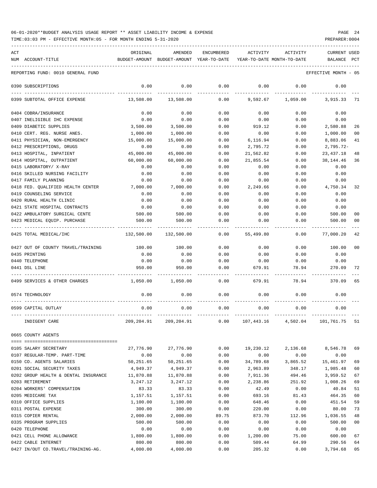TIME:03:03 PM - EFFECTIVE MONTH:05 - FOR MONTH ENDING 5-31-2020 PREPARER:0004

| ACT<br>NUM ACCOUNT-TITLE                              | ORIGINAL         | AMENDED<br>BUDGET-AMOUNT BUDGET-AMOUNT YEAR-TO-DATE | ENCUMBERED   | ACTIVITY         | ACTIVITY<br>YEAR-TO-DATE MONTH-TO-DATE | CURRENT USED<br>BALANCE PCT |                |
|-------------------------------------------------------|------------------|-----------------------------------------------------|--------------|------------------|----------------------------------------|-----------------------------|----------------|
| REPORTING FUND: 0010 GENERAL FUND                     |                  |                                                     |              |                  |                                        | EFFECTIVE MONTH - 05        |                |
|                                                       |                  |                                                     |              |                  |                                        |                             |                |
| 0390 SUBSCRIPTIONS                                    | 0.00             | 0.00                                                | 0.00         | 0.00             | 0.00                                   | 0.00                        |                |
| 0399 SUBTOTAL OFFICE EXPENSE                          | 13,508.00        | 13,508.00                                           | 0.00         | 9,592.67         | 1,059.00                               | 3,915.33                    | 71             |
| 0404 COBRA/INSURANCE                                  | 0.00             | 0.00                                                | 0.00         | 0.00             | 0.00                                   | 0.00                        |                |
| 0407 INELIGIBLE IHC EXPENSE                           | 0.00             | 0.00                                                | 0.00         | 0.00             | 0.00                                   | 0.00                        |                |
| 0409 DIABETIC SUPPLIES                                | 3,500.00         | 3,500.00                                            | 0.00         | 919.12           | 0.00                                   | 2,580.88                    | 26             |
| 0410 CERT. REG. NURSE ANES.                           | 1,000.00         | 1,000.00                                            | 0.00         | 0.00             | 0.00                                   | 1,000.00                    | 0 <sub>0</sub> |
| 0411 PHYSICIAN, NON-EMERGENCY                         | 15,000.00        | 15,000.00                                           | 0.00         | 6,116.94         | 0.00                                   | 8,883.06                    | 41             |
| 0412 PRESCRIPTIONS, DRUGS                             | 0.00             | 0.00                                                | 0.00         | 2,795.72         | 0.00                                   | $2,795.72-$                 |                |
| 0413 HOSPITAL, INPATIENT                              | 45,000.00        | 45,000.00                                           | 0.00         | 21,562.82        | 0.00                                   | 23, 437. 18                 | 48             |
| 0414 HOSPITAL, OUTPATIENT                             | 60,000.00        | 60,000.00                                           | 0.00         | 21,855.54        | 0.00                                   | 38, 144.46                  | 36             |
| 0415 LABORATORY/ X-RAY                                | 0.00             | 0.00                                                | 0.00         | 0.00             | 0.00                                   | 0.00                        |                |
| 0416 SKILLED NURSING FACILITY<br>0417 FAMILY PLANNING | 0.00             | 0.00                                                | 0.00         | 0.00             | 0.00                                   | 0.00                        |                |
| 0418 FED. QUALIFIED HEALTH CENTER                     | 0.00<br>7,000.00 | 0.00<br>7,000.00                                    | 0.00<br>0.00 | 0.00<br>2,249.66 | 0.00<br>0.00                           | 0.00<br>4,750.34            | 32             |
| 0419 COUNSELING SERVICE                               | 0.00             | 0.00                                                | 0.00         | 0.00             | 0.00                                   | 0.00                        |                |
| 0420 RURAL HEALTH CLINIC                              | 0.00             | 0.00                                                | 0.00         | 0.00             | 0.00                                   | 0.00                        |                |
| 0421 STATE HOSPITAL CONTRACTS                         | 0.00             | 0.00                                                | 0.00         | 0.00             | 0.00                                   | 0.00                        |                |
| 0422 AMBULATORY SURGICAL CENTE                        | 500.00           | 500.00                                              | 0.00         | 0.00             | 0.00                                   | 500.00                      | 00             |
| 0423 MEDICAL EQUIP. PURCHASE                          | 500.00           | 500.00                                              | 0.00         | 0.00             | 0.00                                   | 500.00                      | 0 <sub>0</sub> |
| 0425 TOTAL MEDICAL/IHC                                | 132,500.00       | 132,500.00                                          | 0.00         | 55,499.80        | 0.00                                   | 77,000.20                   | 42             |
| 0427 OUT OF COUNTY TRAVEL/TRAINING                    | 100.00           | 100.00                                              | 0.00         | 0.00             | 0.00                                   | 100.00                      | 0 <sub>0</sub> |
| 0435 PRINTING                                         | 0.00             | 0.00                                                | 0.00         | 0.00             | 0.00                                   | 0.00                        |                |
| 0440 TELEPHONE                                        | 0.00             | 0.00                                                | 0.00         | 0.00             | 0.00                                   | 0.00                        |                |
| 0441 DSL LINE                                         | 950.00           | 950.00                                              | 0.00         | 679.91           | 78.94                                  | 270.09                      | 72             |
| 0499 SERVICES & OTHER CHARGES                         | 1,050.00         | 1,050.00                                            | 0.00         | 679.91           | 78.94                                  | 370.09                      | 65             |
| 0574 TECHNOLOGY                                       | 0.00             | 0.00                                                | 0.00         | 0.00             | 0.00                                   | 0.00                        |                |
| 0599 CAPITAL OUTLAY                                   | 0.00             | 0.00                                                | 0.00         | 0.00             | 0.00                                   | 0.00                        |                |
| INDIGENT CARE                                         | 209,204.91       | 209,204.91                                          | 0.00         |                  | 107,443.16 4,502.04 101,761.75 51      |                             |                |
| 0665 COUNTY AGENTS                                    |                  |                                                     |              |                  |                                        |                             |                |
| 0105 SALARY SECRETARY                                 | 27,776.90        | 27,776.90                                           | 0.00         | 19,230.12        | 2,136.68                               | 8,546.78                    | 69             |
| 0107 REGULAR-TEMP. PART-TIME                          | 0.00             | 0.00                                                | 0.00         | 0.00             | 0.00                                   | 0.00                        |                |
| 0150 CO. AGENTS SALARIES                              | 50,251.65        | 50,251.65                                           | 0.00         | 34,789.68        | 3,865.52                               | 15,461.97                   | 69             |
| 0201 SOCIAL SECURITY TAXES                            | 4,949.37         | 4,949.37                                            | 0.00         | 2,963.89         | 348.17                                 | 1,985.48                    | 60             |
| 0202 GROUP HEALTH & DENTAL INSURANCE                  | 11,870.88        | 11,870.88                                           | 0.00         | 7,911.36         | 494.46                                 | 3,959.52                    | 67             |
| 0203 RETIREMENT                                       | 3,247.12         | 3,247.12                                            | 0.00         | 2,238.86         | 251.92                                 | 1,008.26                    | 69             |
| 0204 WORKERS' COMPENSATION                            | 83.33            | 83.33                                               | 0.00         | 42.49            | 0.00                                   | 40.84                       | 51             |
| 0205 MEDICARE TAX                                     | 1,157.51         | 1,157.51                                            | 0.00         | 693.16           | 81.43                                  | 464.35                      | 60             |
| 0310 OFFICE SUPPLIES                                  | 1,100.00         | 1,100.00                                            | 0.00         | 648.46           | 0.00                                   | 451.54                      | 59             |
| 0311 POSTAL EXPENSE                                   | 300.00           | 300.00                                              | 0.00         | 220.00           | 0.00                                   | 80.00                       | 73             |
| 0315 COPIER RENTAL                                    | 2,000.00         | 2,000.00                                            | 89.75        | 873.70           | 112.96                                 | 1,036.55                    | 48             |
| 0335 PROGRAM SUPPLIES                                 | 500.00           | 500.00                                              | 0.00         | 0.00             | 0.00                                   | 500.00                      | 0 <sub>0</sub> |
| 0420 TELEPHONE                                        | 0.00             | 0.00                                                | 0.00         | 0.00             | 0.00                                   | 0.00                        |                |
| 0421 CELL PHONE ALLOWANCE                             | 1,800.00         | 1,800.00                                            | 0.00         | 1,200.00         | 75.00                                  | 600.00                      | 67             |
| 0422 CABLE INTERNET                                   | 800.00           | 800.00                                              | 0.00         | 509.44           | 64.99                                  | 290.56                      | 64             |

0427 IN/OUT CO.TRAVEL/TRAINING-AG. 4,000.00 4,000.00 0.00 205.32 0.00 3,794.68 05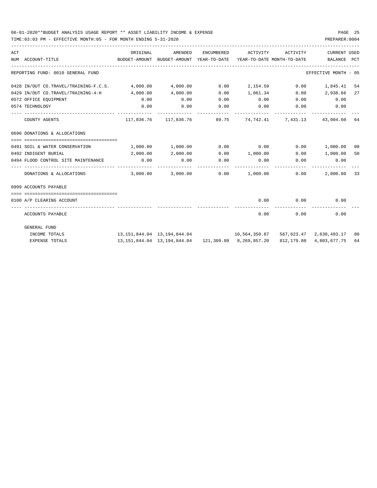TIME:03:03 PM - EFFECTIVE MONTH:05 - FOR MONTH ENDING 5-31-2020

| ACT | NUM ACCOUNT-TITLE                                       | ORIGINAL<br>BUDGET-AMOUNT BUDGET-AMOUNT YEAR-TO-DATE YEAR-TO-DATE MONTH-TO-DATE BALANCE PCT | AMENDED  | ENCUMBERED           | ACTIVITY ACTIVITY                                                    |                       | <b>CURRENT USED</b>          |    |
|-----|---------------------------------------------------------|---------------------------------------------------------------------------------------------|----------|----------------------|----------------------------------------------------------------------|-----------------------|------------------------------|----|
|     | REPORTING FUND: 0010 GENERAL FUND                       |                                                                                             |          |                      |                                                                      |                       | EFFECTIVE MONTH - 05         |    |
|     | 0428 IN/OUT CO.TRAVEL/TRAINING-F.C.S. 4,000.00 4,000.00 |                                                                                             |          |                      | $0.00$ 2,154.59 0.00                                                 |                       | 1,845.41 54                  |    |
|     | $0429$ IN/OUT CO.TRAVEL/TRAINING-4-H $4.000.00$         |                                                                                             | 4,000.00 | 0.00                 | 1,061.34 0.00 2,938.66                                               |                       |                              | 27 |
|     | 0572 OFFICE EQUIPMENT                                   | 0.00                                                                                        | 0.00     | 0.00                 | $0.00$ $0.00$ $0.00$ $0.00$                                          |                       |                              |    |
|     | 0574 TECHNOLOGY                                         | 0.00                                                                                        | 0.00     | 0.00<br>------------ | $0.00$ 0.00<br>.                                                     |                       | 0.00                         |    |
|     | COUNTY AGENTS                                           |                                                                                             |          |                      | 117,836.76 117,836.76 89.75 74,742.41 7,431.13 43,004.60 64          |                       |                              |    |
|     | 0696 DONATIONS & ALLOCATIONS                            |                                                                                             |          |                      |                                                                      |                       |                              |    |
|     |                                                         |                                                                                             |          |                      |                                                                      |                       |                              |    |
|     | 0491 SOIL & WATER CONSERVATION                          | $1,000.00$ $1,000.00$ $0.00$ $0.00$ $0.00$ $0.00$ $1,000.00$ $00$                           |          |                      |                                                                      |                       |                              |    |
|     | 0492 INDIGENT BURIAL                                    | 2,000.00                                                                                    | 2,000.00 |                      | $0.00$ $1,000.00$ $0.00$ $1,000.00$ $50$                             |                       |                              |    |
|     | 0494 FLOOD CONTROL SITE MAINTENANCE                     | 0.00                                                                                        | 0.00     | 0.00                 | 0.00<br>-------------                                                | 0.00<br>------------- | 0.00                         |    |
|     | DONATIONS & ALLOCATIONS                                 |                                                                                             |          |                      | $3,000.00$ $3,000.00$ $0.00$ $1,000.00$ $0.00$                       |                       | 2,000.00 33                  |    |
|     | 0999 ACCOUNTS PAYABLE                                   |                                                                                             |          |                      |                                                                      |                       |                              |    |
|     | 0100 A/P CLEARING ACCOUNT                               |                                                                                             |          |                      |                                                                      | $0.00$ $0.00$         | 0.00                         |    |
|     | ACCOUNTS PAYABLE                                        |                                                                                             |          |                      | 0.00                                                                 |                       | 0.00<br>0.00                 |    |
|     | <b>GENERAL FUND</b>                                     |                                                                                             |          |                      |                                                                      |                       |                              |    |
|     | INCOME TOTALS                                           | $13,151,844.04$ $13,194,844.04$ $10,564,350.87$                                             |          |                      |                                                                      |                       | 567,623.47 2,630,493.17 80   |    |
|     | <b>EXPENSE TOTALS</b>                                   |                                                                                             |          |                      | 13, 151, 844. 04   13, 194, 844. 04   121, 309. 09   8, 269, 857. 20 |                       | 812, 179, 80 4, 803, 677, 75 | 64 |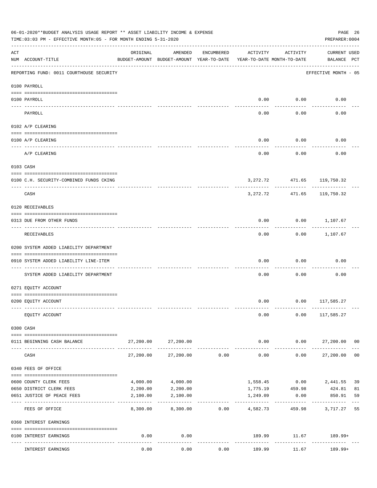|     | 06-01-2020**BUDGET ANALYSIS USAGE REPORT ** ASSET LIABILITY INCOME & EXPENSE<br>TIME: 03:03 PM - EFFECTIVE MONTH: 05 - FOR MONTH ENDING 5-31-2020 |                           |                                                     |            |                                        |                      | PAGE 26<br>PREPARER: 0004          |                |
|-----|---------------------------------------------------------------------------------------------------------------------------------------------------|---------------------------|-----------------------------------------------------|------------|----------------------------------------|----------------------|------------------------------------|----------------|
| ACT | NUM ACCOUNT-TITLE                                                                                                                                 | ORIGINAL                  | AMENDED<br>BUDGET-AMOUNT BUDGET-AMOUNT YEAR-TO-DATE | ENCUMBERED | ACTIVITY<br>YEAR-TO-DATE MONTH-TO-DATE | ACTIVITY             | <b>CURRENT USED</b><br>BALANCE PCT |                |
|     | REPORTING FUND: 0011 COURTHOUSE SECURITY                                                                                                          |                           |                                                     |            |                                        |                      | EFFECTIVE MONTH - 05               |                |
|     | 0100 PAYROLL                                                                                                                                      |                           |                                                     |            |                                        |                      |                                    |                |
|     | 0100 PAYROLL                                                                                                                                      |                           |                                                     |            | 0.00                                   | 0.00                 | 0.00                               |                |
|     | ---- ----<br>PAYROLL                                                                                                                              |                           |                                                     |            | 0.00                                   | 0.00                 | 0.00                               |                |
|     | 0102 A/P CLEARING                                                                                                                                 |                           |                                                     |            |                                        |                      |                                    |                |
|     | 0100 A/P CLEARING                                                                                                                                 |                           |                                                     |            | 0.00                                   | 0.00                 | 0.00                               |                |
|     | A/P CLEARING                                                                                                                                      |                           |                                                     |            | 0.00                                   | 0.00                 | 0.00                               |                |
|     | 0103 CASH                                                                                                                                         |                           |                                                     |            |                                        |                      |                                    |                |
|     | 0100 C.H. SECURITY-COMBINED FUNDS CKING                                                                                                           |                           |                                                     |            |                                        |                      | 3, 272. 72 471. 65 119, 750. 32    |                |
|     | CASH                                                                                                                                              |                           |                                                     |            | 3,272.72                               | ----------<br>471.65 | --------<br>119,750.32             |                |
|     | 0120 RECEIVABLES                                                                                                                                  |                           |                                                     |            |                                        |                      |                                    |                |
|     | 0313 DUE FROM OTHER FUNDS                                                                                                                         |                           |                                                     |            | 0.00                                   |                      | $0.00$ 1,107.67                    |                |
|     | RECEIVABLES                                                                                                                                       |                           |                                                     |            | 0.00                                   | ---------            | $0.00$ 1,107.67                    |                |
|     | 0200 SYSTEM ADDED LIABILITY DEPARTMENT                                                                                                            |                           |                                                     |            |                                        |                      |                                    |                |
|     | 0910 SYSTEM ADDED LIABILITY LINE-ITEM                                                                                                             |                           |                                                     |            | 0.00                                   | 0.00                 | 0.00                               |                |
|     | SYSTEM ADDED LIABILITY DEPARTMENT                                                                                                                 |                           |                                                     |            | 0.00                                   | 0.00                 | 0.00                               |                |
|     | 0271 EQUITY ACCOUNT                                                                                                                               |                           |                                                     |            |                                        |                      |                                    |                |
|     | 0200 EQUITY ACCOUNT                                                                                                                               |                           |                                                     |            |                                        |                      | $0.00$ $0.00$ $117,585.27$         |                |
|     | EQUITY ACCOUNT                                                                                                                                    |                           |                                                     |            | 0.00                                   |                      | $0.00$ 117,585.27                  |                |
|     | 0300 CASH                                                                                                                                         |                           |                                                     |            |                                        |                      |                                    |                |
|     | 0111 BEGINNING CASH BALANCE                                                                                                                       | 27,200.00                 | 27,200.00                                           |            | 0.00                                   |                      | $0.00$ 27,200.00 00                |                |
|     | CASH                                                                                                                                              | 27,200.00                 | 27,200.00                                           | 0.00       | ------------<br>0.00                   | ----------           | ------------<br>0.00<br>27,200.00  | 0 <sub>0</sub> |
|     | 0340 FEES OF OFFICE                                                                                                                               |                           |                                                     |            |                                        |                      |                                    |                |
|     | 0600 COUNTY CLERK FEES                                                                                                                            | 4,000.00                  | 4,000.00                                            |            |                                        | 1,558.45 0.00        | 2,441.55                           | 39             |
|     | 0650 DISTRICT CLERK FEES                                                                                                                          | 2,200.00                  | 2,200.00                                            |            |                                        | 1,775.19 459.98      | 424.81                             | 81             |
|     | 0651 JUSTICE OF PEACE FEES                                                                                                                        | 2,100.00<br>------------- | 2,100.00                                            |            | 1,249.09<br>-----------                | 0.00                 | 850.91                             | 59             |
|     | FEES OF OFFICE                                                                                                                                    | 8,300.00                  | 8,300.00                                            | 0.00       | 4,582.73                               |                      | 459.98 3,717.27                    | 55             |
|     | 0360 INTEREST EARNINGS                                                                                                                            |                           |                                                     |            |                                        |                      |                                    |                |
|     | 0100 INTEREST EARNINGS                                                                                                                            | 0.00                      | 0.00<br>$- - - - -$                                 |            |                                        | . <u>.</u> .         | 189.99 11.67 189.99+               |                |
|     | INTEREST EARNINGS                                                                                                                                 | 0.00                      | 0.00                                                | 0.00       | 189.99                                 | 11.67                | 189.99+                            |                |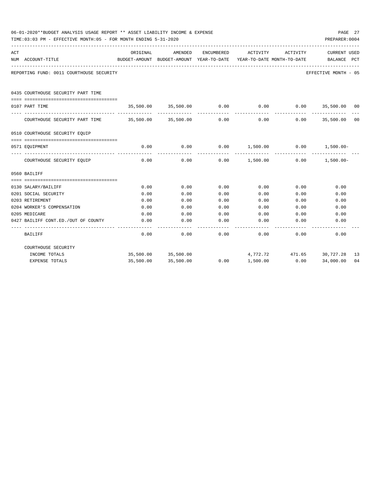|     | 06-01-2020**BUDGET ANALYSIS USAGE REPORT ** ASSET LIABILITY INCOME & EXPENSE<br>TIME: 03:03 PM - EFFECTIVE MONTH: 05 - FOR MONTH ENDING 5-31-2020 |          |                     |            |                                                                     |                 | PAGE 27<br>PREPARER: 0004 |    |
|-----|---------------------------------------------------------------------------------------------------------------------------------------------------|----------|---------------------|------------|---------------------------------------------------------------------|-----------------|---------------------------|----|
| ACT |                                                                                                                                                   | ORIGINAL | AMENDED             | ENCUMBERED | ACTIVITY                                                            | ACTIVITY        | <b>CURRENT USED</b>       |    |
|     | NUM ACCOUNT-TITLE                                                                                                                                 |          |                     |            | BUDGET-AMOUNT BUDGET-AMOUNT YEAR-TO-DATE YEAR-TO-DATE MONTH-TO-DATE |                 | BALANCE PCT               |    |
|     | REPORTING FUND: 0011 COURTHOUSE SECURITY                                                                                                          |          |                     |            |                                                                     |                 | EFFECTIVE MONTH - 05      |    |
|     | 0435 COURTHOUSE SECURITY PART TIME                                                                                                                |          |                     |            |                                                                     |                 |                           |    |
|     | 0107 PART TIME                                                                                                                                    |          |                     |            | $35,500.00$ $35,500.00$ $0.00$ $0.00$                               | 0.00            | 35,500.00 00              |    |
|     | COURTHOUSE SECURITY PART TIME 35,500.00 35,500.00                                                                                                 |          |                     | 0.00       | 0.00                                                                | 0.00            | 35,500.00 00              |    |
|     | 0510 COURTHOUSE SECURITY EQUIP                                                                                                                    |          |                     |            |                                                                     |                 |                           |    |
|     | 0571 EQUIPMENT                                                                                                                                    | 0.00     | 0.00                |            | $0.00$ $1,500.00$ $0.00$ $1,500.00$                                 |                 |                           |    |
|     | COURTHOUSE SECURITY EQUIP                                                                                                                         | 0.00     | 0.00                | 0.00       | 1,500.00                                                            | 0.00            | $1,500.00-$               |    |
|     | 0560 BAILIFF                                                                                                                                      |          |                     |            |                                                                     |                 |                           |    |
|     | 0130 SALARY/BAILIFF                                                                                                                               | 0.00     | 0.00                | 0.00       | 0.00                                                                | 0.00            | 0.00                      |    |
|     | 0201 SOCIAL SECURITY                                                                                                                              | 0.00     | 0.00                | 0.00       | 0.00                                                                | 0.00            | 0.00                      |    |
|     | 0203 RETIREMENT                                                                                                                                   | 0.00     | 0.00                | 0.00       | 0.00                                                                | 0.00            | 0.00                      |    |
|     | 0204 WORKER'S COMPENSATION                                                                                                                        | 0.00     | 0.00                | 0.00       | 0.00                                                                | 0.00            | 0.00                      |    |
|     | 0205 MEDICARE                                                                                                                                     | 0.00     | 0.00                | 0.00       | 0.00                                                                | 0.00            | 0.00                      |    |
|     | 0427 BAILIFF CONT.ED./OUT OF COUNTY                                                                                                               | 0.00     | 0.00                | 0.00       | 0.00                                                                | 0.00            | 0.00                      |    |
|     | BAILIFF                                                                                                                                           | 0.00     | 0.00                | 0.00       | 0.00                                                                | 0.00            | 0.00                      |    |
|     | COURTHOUSE SECURITY                                                                                                                               |          |                     |            |                                                                     |                 |                           |    |
|     | INCOME TOTALS                                                                                                                                     |          | 35,500.00 35,500.00 |            |                                                                     | 4,772.72 471.65 | 30,727.28                 | 13 |
|     | <b>EXPENSE TOTALS</b>                                                                                                                             |          | 35,500.00 35,500.00 | 0.00       | 1,500.00                                                            | 0.00            | 34,000.00                 | 04 |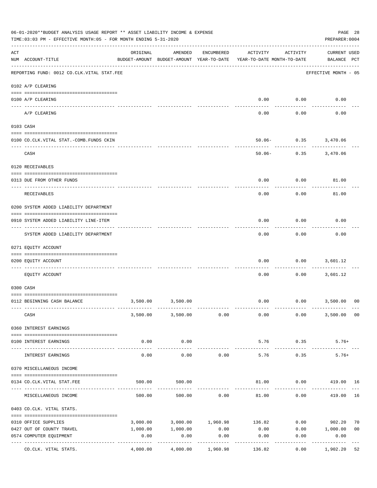|                | 06-01-2020**BUDGET ANALYSIS USAGE REPORT ** ASSET LIABILITY INCOME & EXPENSE<br>TIME: 03:03 PM - EFFECTIVE MONTH: 05 - FOR MONTH ENDING 5-31-2020 |                     |                                                     |            |                                        |                      | PAGE 28<br>PREPARER: 0004          |                |
|----------------|---------------------------------------------------------------------------------------------------------------------------------------------------|---------------------|-----------------------------------------------------|------------|----------------------------------------|----------------------|------------------------------------|----------------|
| $\mathtt{ACT}$ | NUM ACCOUNT-TITLE                                                                                                                                 | ORIGINAL            | AMENDED<br>BUDGET-AMOUNT BUDGET-AMOUNT YEAR-TO-DATE | ENCUMBERED | ACTIVITY<br>YEAR-TO-DATE MONTH-TO-DATE | ACTIVITY             | <b>CURRENT USED</b><br>BALANCE PCT |                |
|                | REPORTING FUND: 0012 CO.CLK.VITAL STAT.FEE                                                                                                        |                     |                                                     |            |                                        |                      | EFFECTIVE MONTH - 05               |                |
|                | 0102 A/P CLEARING                                                                                                                                 |                     |                                                     |            |                                        |                      |                                    |                |
|                | 0100 A/P CLEARING                                                                                                                                 |                     |                                                     |            | 0.00                                   | 0.00                 | 0.00                               |                |
|                | ---- ----------<br>A/P CLEARING                                                                                                                   |                     |                                                     |            | 0.00                                   | 0.00                 | 0.00                               |                |
|                | 0103 CASH                                                                                                                                         |                     |                                                     |            |                                        |                      |                                    |                |
|                | 0100 CO.CLK.VITAL STAT.-COMB.FUNDS CKIN                                                                                                           |                     |                                                     |            |                                        | 50.06- 0.35 3,470.06 |                                    |                |
|                | CASH                                                                                                                                              |                     |                                                     |            | $50.06 -$                              |                      | $0.35$ $3,470.06$                  |                |
|                | 0120 RECEIVABLES                                                                                                                                  |                     |                                                     |            |                                        |                      |                                    |                |
|                | 0313 DUE FROM OTHER FUNDS                                                                                                                         |                     |                                                     |            | 0.00                                   | 0.00                 | 81.00                              |                |
|                | RECEIVABLES                                                                                                                                       |                     |                                                     |            | 0.00                                   | 0.00                 | 81.00                              |                |
|                | 0200 SYSTEM ADDED LIABILITY DEPARTMENT                                                                                                            |                     |                                                     |            |                                        |                      |                                    |                |
|                | 0910 SYSTEM ADDED LIABILITY LINE-ITEM                                                                                                             |                     |                                                     |            | 0.00                                   | 0.00                 | 0.00                               |                |
|                | SYSTEM ADDED LIABILITY DEPARTMENT                                                                                                                 |                     |                                                     |            | 0.00                                   | 0.00                 | 0.00                               |                |
|                | 0271 EQUITY ACCOUNT                                                                                                                               |                     |                                                     |            |                                        |                      |                                    |                |
|                | 0200 EQUITY ACCOUNT                                                                                                                               |                     |                                                     |            | 0.00                                   | 0.00                 | 3,601.12                           |                |
|                | EQUITY ACCOUNT                                                                                                                                    |                     |                                                     |            | 0.00                                   | 0.00                 | 3,601.12                           |                |
|                | 0300 CASH                                                                                                                                         |                     |                                                     |            |                                        |                      |                                    |                |
|                | 0112 BEGINNING CASH BALANCE                                                                                                                       |                     | 3,500.00 3,500.00                                   |            |                                        |                      | $0.00$ $0.00$ $3,500.00$           | 0 <sup>0</sup> |
|                | CASH                                                                                                                                              |                     | 3,500.00 3,500.00                                   | 0.00       | 0.00                                   | 0.00                 | 3,500.00 00                        |                |
|                | 0360 INTEREST EARNINGS                                                                                                                            |                     |                                                     |            |                                        |                      |                                    |                |
|                | 0100 INTEREST EARNINGS                                                                                                                            | 0.00                | 0.00                                                |            | 5.76                                   | 0.35                 | $5.76+$                            |                |
|                | INTEREST EARNINGS                                                                                                                                 | $- - - - -$<br>0.00 | . <u>.</u> .<br>0.00                                | 0.00       | 5.76                                   | .<br>0.35            | $5.76+$                            |                |
|                | 0370 MISCELLANEOUS INCOME                                                                                                                         |                     |                                                     |            |                                        |                      |                                    |                |
|                | 0134 CO.CLK.VITAL STAT.FEE                                                                                                                        | 500.00              | 500.00                                              |            |                                        |                      | 81.00   0.00   419.00   16         |                |
|                | MISCELLANEOUS INCOME                                                                                                                              | 500.00              | 500.00                                              | 0.00       | 81.00                                  | 0.00                 | 419.00                             | 16             |
|                | 0403 CO.CLK. VITAL STATS.                                                                                                                         |                     |                                                     |            |                                        |                      |                                    |                |
|                | 0310 OFFICE SUPPLIES                                                                                                                              |                     |                                                     |            | 3,000.00 3,000.00 1,960.98 136.82      |                      | $0.00$ 902.20                      | 70             |
|                | 0427 OUT OF COUNTY TRAVEL                                                                                                                         | 1,000.00            | 1,000.00                                            | 0.00       | 0.00                                   |                      | $0.00$ 1,000.00                    | 0 <sub>0</sub> |
|                | 0574 COMPUTER EQUIPMENT                                                                                                                           | 0.00                | 0.00                                                | 0.00       | 0.00                                   | 0.00                 | 0.00                               |                |
|                | CO.CLK. VITAL STATS.                                                                                                                              | 4,000.00            | ----------<br>4,000.00                              | 1,960.98   | 136.82                                 | 0.00                 | ----------<br>1,902.20             | 52             |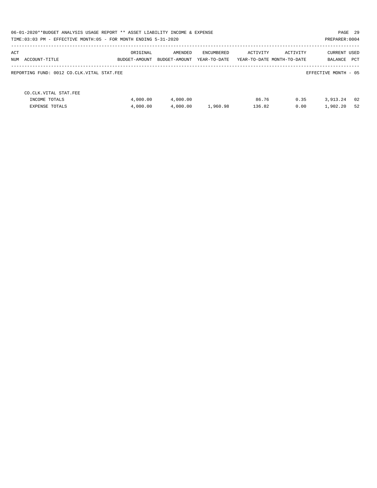|                                                                 | 06-01-2020**BUDGET ANALYSIS USAGE REPORT ** ASSET LIABILITY INCOME & EXPENSE<br>TIME: 03:03 PM - EFFECTIVE MONTH: 05 - FOR MONTH ENDING 5-31-2020<br>PREPARER: 0004 |                          |                            |                 |                                        |                                |          |  |  |
|-----------------------------------------------------------------|---------------------------------------------------------------------------------------------------------------------------------------------------------------------|--------------------------|----------------------------|-----------------|----------------------------------------|--------------------------------|----------|--|--|
| ACT<br>NUM ACCOUNT-TITLE                                        | ORIGINAL<br>BUDGET-AMOUNT                                                                                                                                           | AMENDED<br>BUDGET-AMOUNT | ENCUMBERED<br>YEAR-TO-DATE | ACTIVITY        | ACTIVITY<br>YEAR-TO-DATE MONTH-TO-DATE | <b>CURRENT USED</b><br>BALANCE | PCT      |  |  |
| REPORTING FUND: 0012 CO.CLK.VITAL STAT.FEE                      |                                                                                                                                                                     |                          |                            |                 |                                        | EFFECTIVE MONTH - 05           |          |  |  |
| CO.CLK.VITAL STAT.FEE<br>INCOME TOTALS<br><b>EXPENSE TOTALS</b> | 4,000.00<br>4,000.00                                                                                                                                                | 4,000.00<br>4,000.00     | 1,960.98                   | 86.76<br>136.82 | 0.35<br>0.00                           | 3,913.24<br>1,902.20           | 02<br>52 |  |  |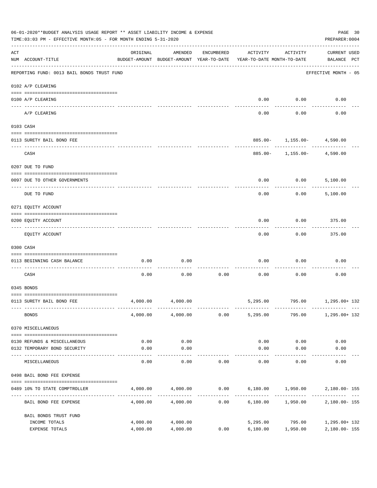|     | 06-01-2020**BUDGET ANALYSIS USAGE REPORT ** ASSET LIABILITY INCOME & EXPENSE<br>TIME: 03:03 PM - EFFECTIVE MONTH: 05 - FOR MONTH ENDING 5-31-2020 |                      |                      |            |                                                                                 |                                | PAGE 30<br>PREPARER: 0004          |  |
|-----|---------------------------------------------------------------------------------------------------------------------------------------------------|----------------------|----------------------|------------|---------------------------------------------------------------------------------|--------------------------------|------------------------------------|--|
| ACT | NUM ACCOUNT-TITLE                                                                                                                                 | ORIGINAL             | AMENDED              | ENCUMBERED | ACTIVITY<br>BUDGET-AMOUNT BUDGET-AMOUNT YEAR-TO-DATE YEAR-TO-DATE MONTH-TO-DATE | ACTIVITY                       | <b>CURRENT USED</b><br>BALANCE PCT |  |
|     | REPORTING FUND: 0013 BAIL BONDS TRUST FUND                                                                                                        |                      |                      |            |                                                                                 |                                | EFFECTIVE MONTH - 05               |  |
|     | 0102 A/P CLEARING                                                                                                                                 |                      |                      |            |                                                                                 |                                |                                    |  |
|     | 0100 A/P CLEARING                                                                                                                                 |                      |                      |            | 0.00                                                                            | 0.00                           | 0.00                               |  |
|     | ---- -------<br>A/P CLEARING                                                                                                                      |                      |                      |            | 0.00                                                                            | 0.00                           | 0.00                               |  |
|     | 0103 CASH                                                                                                                                         |                      |                      |            |                                                                                 |                                |                                    |  |
|     | 0113 SURETY BAIL BOND FEE                                                                                                                         |                      |                      |            |                                                                                 | $885.00 - 1,155.00 - 4,590.00$ |                                    |  |
|     | CASH                                                                                                                                              |                      |                      |            |                                                                                 | $885.00 - 1,155.00 - 4,590.00$ |                                    |  |
|     | 0207 DUE TO FUND                                                                                                                                  |                      |                      |            |                                                                                 |                                |                                    |  |
|     | 0097 DUE TO OTHER GOVERNMENTS                                                                                                                     |                      |                      |            | 0.00                                                                            | 0.00                           | 5,100.00                           |  |
|     | DUE TO FUND                                                                                                                                       |                      |                      |            | 0.00                                                                            | 0.00                           | 5,100.00                           |  |
|     | 0271 EQUITY ACCOUNT                                                                                                                               |                      |                      |            |                                                                                 |                                |                                    |  |
|     | 0200 EQUITY ACCOUNT                                                                                                                               |                      |                      |            | 0.00                                                                            | 0.00                           | 375.00                             |  |
|     | EQUITY ACCOUNT                                                                                                                                    |                      |                      |            | 0.00                                                                            | 0.00                           | 375.00                             |  |
|     | 0300 CASH                                                                                                                                         |                      |                      |            |                                                                                 |                                |                                    |  |
|     | 0113 BEGINNING CASH BALANCE                                                                                                                       | 0.00                 | 0.00                 |            | 0.00                                                                            | 0.00                           | 0.00                               |  |
|     | CASH                                                                                                                                              | 0.00                 | 0.00                 | 0.00       | 0.00                                                                            | 0.00                           | 0.00                               |  |
|     | 0345 BONDS                                                                                                                                        |                      |                      |            |                                                                                 |                                |                                    |  |
|     | 0113 SURETY BAIL BOND FEE                                                                                                                         | 4,000.00             | 4,000.00             |            |                                                                                 | 5,295.00 795.00 1,295.00 132   |                                    |  |
|     | <b>BONDS</b>                                                                                                                                      |                      | 4,000.00 4,000.00    | 0.00       | 5,295.00                                                                        | 795.00                         | 1,295.00+ 132                      |  |
|     | 0370 MISCELLANEOUS                                                                                                                                |                      |                      |            |                                                                                 |                                |                                    |  |
|     | 0130 REFUNDS & MISCELLANEOUS                                                                                                                      | 0.00                 | 0.00                 |            | 0.00                                                                            | 0.00                           | 0.00                               |  |
|     | 0132 TEMPORARY BOND SECURITY                                                                                                                      | 0.00                 | 0.00                 |            | 0.00                                                                            | 0.00                           | 0.00                               |  |
|     | MISCELLANEOUS                                                                                                                                     | 0.00                 | ----------<br>0.00   | 0.00       | 0.00                                                                            | ---------<br>0.00              | 0.00                               |  |
|     | 0498 BAIL BOND FEE EXPENSE                                                                                                                        |                      |                      |            |                                                                                 |                                |                                    |  |
|     | 0489 10% TO STATE COMPTROLLER                                                                                                                     |                      | 4,000.00 4,000.00    |            | $0.00$ 6,180.00 1,950.00 2,180.00-155                                           |                                |                                    |  |
|     | BAIL BOND FEE EXPENSE                                                                                                                             | 4,000.00             | 4,000.00             | 0.00       |                                                                                 | 6,180.00 1,950.00              | 2,180.00- 155                      |  |
|     | BAIL BONDS TRUST FUND                                                                                                                             |                      |                      |            |                                                                                 |                                |                                    |  |
|     | INCOME TOTALS<br>EXPENSE TOTALS                                                                                                                   | 4,000.00<br>4,000.00 | 4,000.00<br>4,000.00 | 0.00       | 6,180.00                                                                        | 5,295.00 795.00<br>1,950.00    | 1,295.00+ 132<br>2,180.00-155      |  |
|     |                                                                                                                                                   |                      |                      |            |                                                                                 |                                |                                    |  |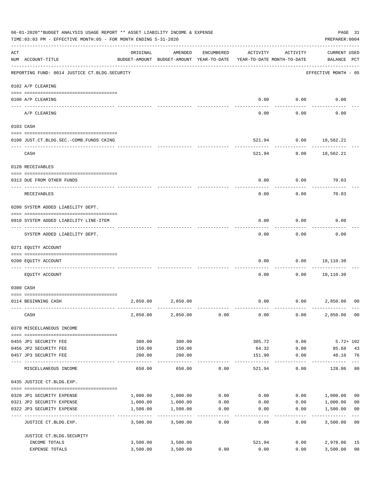|     | 06-01-2020**BUDGET ANALYSIS USAGE REPORT ** ASSET LIABILITY INCOME & EXPENSE<br>TIME:03:03 PM - EFFECTIVE MONTH:05 - FOR MONTH ENDING 5-31-2020 |          |                                                     |                    |                                        |                      | PREPARER: 0004                     | PAGE 31                 |
|-----|-------------------------------------------------------------------------------------------------------------------------------------------------|----------|-----------------------------------------------------|--------------------|----------------------------------------|----------------------|------------------------------------|-------------------------|
| ACT | NUM ACCOUNT-TITLE                                                                                                                               | ORIGINAL | AMENDED<br>BUDGET-AMOUNT BUDGET-AMOUNT YEAR-TO-DATE | ENCUMBERED         | ACTIVITY<br>YEAR-TO-DATE MONTH-TO-DATE | ACTIVITY             | <b>CURRENT USED</b><br>BALANCE PCT |                         |
|     | REPORTING FUND: 0014 JUSTICE CT. BLDG. SECURITY                                                                                                 |          |                                                     |                    |                                        |                      | EFFECTIVE MONTH - 05               |                         |
|     | 0102 A/P CLEARING                                                                                                                               |          |                                                     |                    |                                        |                      |                                    |                         |
|     | 0100 A/P CLEARING                                                                                                                               |          |                                                     |                    | 0.00                                   | 0.00                 | 0.00                               |                         |
|     | ---- ---------<br>A/P CLEARING                                                                                                                  |          |                                                     |                    | 0.00                                   | 0.00                 | 0.00                               |                         |
|     | 0103 CASH                                                                                                                                       |          |                                                     |                    |                                        |                      |                                    |                         |
|     | 0100 JUST.CT.BLDG.SEC.-COMB.FUNDS CKING                                                                                                         |          |                                                     |                    | 521.94                                 |                      | $0.00$ 18,562.21                   |                         |
|     | CASH                                                                                                                                            |          |                                                     |                    |                                        | 521.94<br>0.00       | 18,562.21                          |                         |
|     | 0120 RECEIVABLES                                                                                                                                |          |                                                     |                    |                                        |                      |                                    |                         |
|     | 0313 DUE FROM OTHER FUNDS                                                                                                                       |          |                                                     |                    | 0.00                                   | 0.00                 | 70.03                              |                         |
|     | RECEIVABLES                                                                                                                                     |          |                                                     |                    | 0.00                                   | 0.00                 | 70.03                              |                         |
|     | 0200 SYSTEM ADDED LIABILITY DEPT.                                                                                                               |          |                                                     |                    |                                        |                      |                                    |                         |
|     | 0910 SYSTEM ADDED LIABILITY LINE-ITEM                                                                                                           |          |                                                     |                    | 0.00                                   | 0.00                 | 0.00                               |                         |
|     | SYSTEM ADDED LIABILITY DEPT.                                                                                                                    |          |                                                     |                    | 0.00                                   | 0.00                 | 0.00                               |                         |
|     | 0271 EQUITY ACCOUNT                                                                                                                             |          |                                                     |                    |                                        |                      |                                    |                         |
|     | 0200 EQUITY ACCOUNT                                                                                                                             |          |                                                     |                    | 0.00                                   | 0.00                 | 18,110.30                          |                         |
|     | EQUITY ACCOUNT                                                                                                                                  |          |                                                     |                    | 0.00                                   | 0.00                 | 18,110.30                          |                         |
|     | 0300 CASH                                                                                                                                       |          |                                                     |                    |                                        |                      |                                    |                         |
|     | 0114 BEGINNING CASH                                                                                                                             | 2,850.00 | 2,850.00                                            |                    | 0.00                                   |                      | 0.00<br>2,850.00                   | 0 <sup>0</sup>          |
|     | CASH                                                                                                                                            |          | 2,850.00 2,850.00                                   | 0.00               | 0.00                                   | 0.00                 | 2,850.00 00                        |                         |
|     | 0370 MISCELLANEOUS INCOME                                                                                                                       |          |                                                     |                    |                                        |                      |                                    |                         |
|     | 0455 JP1 SECURITY FEE                                                                                                                           | 300.00   | 300.00                                              |                    | 305.72                                 | 0.00                 | $5.72 + 102$                       |                         |
|     | 0456 JP2 SECURITY FEE                                                                                                                           | 150.00   | 150.00                                              |                    | 64.32                                  | 0.00                 | 85.68                              | 43                      |
|     | 0457 JP3 SECURITY FEE                                                                                                                           | 200.00   | 200.00<br>-----------                               |                    | 151.90<br>--------                     | 0.00<br>------------ | 48.10<br>------------              | 76<br>$---$             |
|     | MISCELLANEOUS INCOME                                                                                                                            | 650.00   | 650.00                                              | 0.00               | 521.94                                 | 0.00                 | 128.06                             | 80                      |
|     | 0435 JUSTICE CT.BLDG.EXP.                                                                                                                       |          |                                                     |                    |                                        |                      |                                    |                         |
|     | 0320 JP1 SECURITY EXPENSE                                                                                                                       |          | 1,000.00 1,000.00                                   |                    | $0.00$ 0.00                            |                      | 0.00 1,000.00                      | 0 <sub>0</sub>          |
|     | 0321 JP2 SECURITY EXPENSE                                                                                                                       | 1,000.00 | 1,000.00                                            | 0.00               | 0.00                                   |                      | 0.00<br>1,000.00                   | 0 <sub>0</sub>          |
|     | 0322 JP3 SECURITY EXPENSE                                                                                                                       | 1,500.00 | 1,500.00<br>-----------                             | 0.00<br>---------- | 0.00                                   | 0.00                 | 1,500.00                           | 0 <sub>0</sub><br>$---$ |
|     | JUSTICE CT.BLDG.EXP.                                                                                                                            | 3,500.00 | 3,500.00                                            | 0.00               | 0.00                                   | 0.00                 | 3,500.00 00                        |                         |
|     | JUSTICE CT. BLDG. SECURITY                                                                                                                      |          |                                                     |                    |                                        |                      |                                    |                         |
|     | INCOME TOTALS                                                                                                                                   |          | 3,500.00 3,500.00                                   |                    | 521.94                                 |                      | 0.00<br>2,978.06                   | 15                      |
|     | EXPENSE TOTALS                                                                                                                                  | 3,500.00 | 3,500.00                                            | 0.00               | 0.00                                   | 0.00                 | 3,500.00                           | 0 <sub>0</sub>          |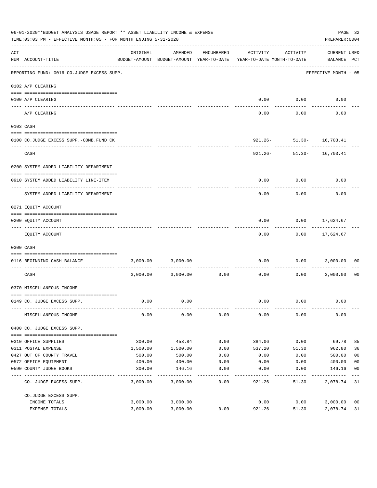|     | 06-01-2020**BUDGET ANALYSIS USAGE REPORT ** ASSET LIABILITY INCOME & EXPENSE<br>PAGE 32<br>PREPARER: 0004<br>TIME:03:03 PM - EFFECTIVE MONTH:05 - FOR MONTH ENDING 5-31-2020 |          |                                                     |               |                                        |                                           |                             |                |
|-----|------------------------------------------------------------------------------------------------------------------------------------------------------------------------------|----------|-----------------------------------------------------|---------------|----------------------------------------|-------------------------------------------|-----------------------------|----------------|
| ACT | NUM ACCOUNT-TITLE<br>--------------------------------------                                                                                                                  | ORIGINAL | AMENDED<br>BUDGET-AMOUNT BUDGET-AMOUNT YEAR-TO-DATE | ENCUMBERED    | ACTIVITY<br>YEAR-TO-DATE MONTH-TO-DATE | ACTIVITY                                  | CURRENT USED<br>BALANCE PCT |                |
|     | REPORTING FUND: 0016 CO.JUDGE EXCESS SUPP.                                                                                                                                   |          |                                                     |               |                                        |                                           | EFFECTIVE MONTH - 05        |                |
|     | 0102 A/P CLEARING                                                                                                                                                            |          |                                                     |               |                                        |                                           |                             |                |
|     | 0100 A/P CLEARING                                                                                                                                                            |          |                                                     |               |                                        | $0.00$ $0.00$                             | 0.00                        |                |
|     | ---- -------                                                                                                                                                                 |          |                                                     |               |                                        |                                           |                             |                |
|     | A/P CLEARING                                                                                                                                                                 |          |                                                     |               | 0.00                                   | 0.00                                      | 0.00                        |                |
|     | 0103 CASH                                                                                                                                                                    |          |                                                     |               |                                        |                                           |                             |                |
|     |                                                                                                                                                                              |          |                                                     |               |                                        |                                           |                             |                |
|     | 0100 CO.JUDGE EXCESS SUPP.-COMB.FUND CK                                                                                                                                      |          |                                                     |               |                                        | 921.26- 51.30- 16,703.41<br>------------- | --------------              |                |
|     | CASH                                                                                                                                                                         |          |                                                     |               |                                        | 921.26- 51.30- 16,703.41                  |                             |                |
|     | 0200 SYSTEM ADDED LIABILITY DEPARTMENT                                                                                                                                       |          |                                                     |               |                                        |                                           |                             |                |
|     |                                                                                                                                                                              |          |                                                     |               |                                        |                                           |                             |                |
|     | 0910 SYSTEM ADDED LIABILITY LINE-ITEM                                                                                                                                        |          |                                                     |               | 0.00                                   | 0.00                                      | 0.00                        |                |
|     | SYSTEM ADDED LIABILITY DEPARTMENT                                                                                                                                            |          |                                                     |               | 0.00                                   | 0.00                                      | 0.00                        |                |
|     | 0271 EQUITY ACCOUNT                                                                                                                                                          |          |                                                     |               |                                        |                                           |                             |                |
|     |                                                                                                                                                                              |          |                                                     |               |                                        |                                           |                             |                |
|     | 0200 EQUITY ACCOUNT                                                                                                                                                          |          |                                                     |               | 0.00                                   | $0.00$ 17,624.67                          | -----------                 |                |
|     | EQUITY ACCOUNT                                                                                                                                                               |          |                                                     |               | 0.00                                   |                                           | $0.00$ 17,624.67            |                |
|     | 0300 CASH                                                                                                                                                                    |          |                                                     |               |                                        |                                           |                             |                |
|     | 0116 BEGINNING CASH BALANCE                                                                                                                                                  |          | 3,000.00 3,000.00                                   |               | ------------- --------------           | -----------                               | $0.00$ $0.00$ $3,000.00$    | 00             |
|     | CASH                                                                                                                                                                         |          | 3,000.00 3,000.00                                   | 0.00          | 0.00                                   |                                           | $0.00$ 3,000.00             | 00             |
|     | 0370 MISCELLANEOUS INCOME                                                                                                                                                    |          |                                                     |               |                                        |                                           |                             |                |
|     |                                                                                                                                                                              |          |                                                     |               |                                        |                                           |                             |                |
|     | 0149 CO. JUDGE EXCESS SUPP.                                                                                                                                                  | 0.00     | 0.00                                                |               |                                        | $0.00$ $0.00$                             | 0.00                        |                |
|     | MISCELLANEOUS INCOME                                                                                                                                                         | 0.00     | 0.00                                                | 0.00          | 0.00                                   | 0.00                                      | 0.00                        |                |
|     | 0400 CO. JUDGE EXCESS SUPP.                                                                                                                                                  |          |                                                     |               |                                        |                                           |                             |                |
|     | 0310 OFFICE SUPPLIES                                                                                                                                                         | 300.00   | 453.84                                              | 0.00          | 384.06                                 | 0.00                                      | 69.78                       | 85             |
|     | 0311 POSTAL EXPENSE                                                                                                                                                          | 1,500.00 | 1,500.00                                            | 0.00          | 537.20                                 | 51.30                                     | 962.80                      | 36             |
|     | 0427 OUT OF COUNTY TRAVEL                                                                                                                                                    | 500.00   | 500.00                                              | 0.00          | 0.00                                   | 0.00                                      | 500.00                      | 0 <sub>0</sub> |
|     | 0572 OFFICE EQUIPMENT                                                                                                                                                        | 400.00   | 400.00                                              | 0.00          | 0.00                                   | 0.00                                      | 400.00                      | 0 <sub>0</sub> |
|     | 0590 COUNTY JUDGE BOOKS                                                                                                                                                      | 300.00   | 146.16                                              | 0.00          | 0.00                                   | 0.00                                      | 146.16                      | 0 <sub>0</sub> |
|     | CO. JUDGE EXCESS SUPP.                                                                                                                                                       | 3,000.00 | 3,000.00                                            | $---$<br>0.00 | 921.26                                 | 51.30                                     | 2,078.74 31                 |                |
|     | CO.JUDGE EXCESS SUPP.                                                                                                                                                        |          |                                                     |               |                                        |                                           |                             |                |
|     | INCOME TOTALS                                                                                                                                                                | 3,000.00 | 3,000.00                                            |               | 0.00                                   | 0.00                                      | 3,000.00                    | 0 <sub>0</sub> |
|     | EXPENSE TOTALS                                                                                                                                                               | 3,000.00 | 3,000.00                                            | 0.00          | 921.26                                 | 51.30                                     | 2,078.74                    | 31             |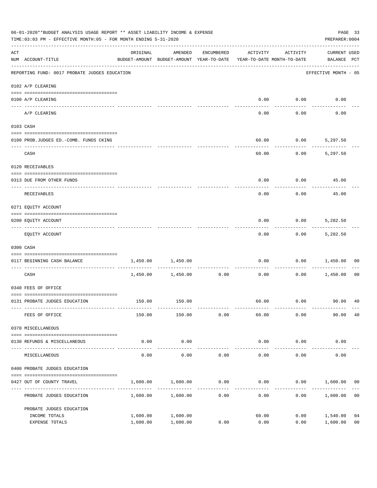|                    | 06-01-2020**BUDGET ANALYSIS USAGE REPORT ** ASSET LIABILITY INCOME & EXPENSE<br>TIME: 03:03 PM - EFFECTIVE MONTH: 05 - FOR MONTH ENDING 5-31-2020 |                                                                                 |                      |                     |                        |                     | PREPARER: 0004                     | PAGE 33              |
|--------------------|---------------------------------------------------------------------------------------------------------------------------------------------------|---------------------------------------------------------------------------------|----------------------|---------------------|------------------------|---------------------|------------------------------------|----------------------|
| $\mathop{\rm ACT}$ | NUM ACCOUNT-TITLE                                                                                                                                 | ORIGINAL<br>BUDGET-AMOUNT BUDGET-AMOUNT YEAR-TO-DATE YEAR-TO-DATE MONTH-TO-DATE | AMENDED              | ENCUMBERED          | ACTIVITY               | ACTIVITY            | <b>CURRENT USED</b><br>BALANCE PCT |                      |
|                    | REPORTING FUND: 0017 PROBATE JUDGES EDUCATION                                                                                                     |                                                                                 |                      |                     |                        |                     | EFFECTIVE MONTH - 05               |                      |
|                    | 0102 A/P CLEARING                                                                                                                                 |                                                                                 |                      |                     |                        |                     |                                    |                      |
|                    | 0100 A/P CLEARING                                                                                                                                 |                                                                                 |                      |                     | 0.00                   | 0.00                | 0.00                               |                      |
|                    | ---- --------<br>A/P CLEARING                                                                                                                     |                                                                                 |                      |                     | 0.00                   | 0.00                | 0.00                               |                      |
|                    | 0103 CASH                                                                                                                                         |                                                                                 |                      |                     |                        |                     |                                    |                      |
|                    | 0100 PROB.JUDGES ED.-COMB. FUNDS CKING                                                                                                            |                                                                                 |                      |                     | 60.00                  |                     | $0.00$ 5,297.50                    |                      |
|                    | CASH                                                                                                                                              |                                                                                 |                      |                     | 60.00                  | 0.00                | 5,297.50                           |                      |
|                    | 0120 RECEIVABLES                                                                                                                                  |                                                                                 |                      |                     |                        |                     |                                    |                      |
|                    | 0313 DUE FROM OTHER FUNDS                                                                                                                         |                                                                                 |                      |                     | 0.00                   |                     | $0.00$ 45.00                       |                      |
|                    | RECEIVABLES                                                                                                                                       |                                                                                 |                      |                     | 0.00                   | 0.00                | 45.00                              |                      |
|                    | 0271 EQUITY ACCOUNT                                                                                                                               |                                                                                 |                      |                     |                        |                     |                                    |                      |
|                    | 0200 EQUITY ACCOUNT                                                                                                                               |                                                                                 |                      |                     | 0.00                   | 0.00                | 5,282.50                           |                      |
|                    | EQUITY ACCOUNT                                                                                                                                    |                                                                                 |                      |                     | 0.00                   |                     | $0.00$ 5,282.50                    |                      |
|                    | 0300 CASH                                                                                                                                         |                                                                                 |                      |                     |                        |                     |                                    |                      |
|                    | 0117 BEGINNING CASH BALANCE                                                                                                                       | 1,450.00                                                                        | 1,450.00             |                     | 0.00                   | 0.00                | 1,450.00                           | 00                   |
|                    | CASH                                                                                                                                              |                                                                                 | 1,450.00 1,450.00    | -----------<br>0.00 | 0.00                   | 0.00                | 1,450.00                           | 00                   |
|                    | 0340 FEES OF OFFICE                                                                                                                               |                                                                                 |                      |                     |                        |                     |                                    |                      |
|                    | 0131 PROBATE JUDGES EDUCATION                                                                                                                     |                                                                                 | 150.00 150.00        |                     |                        |                     |                                    |                      |
|                    | FEES OF OFFICE                                                                                                                                    | 150.00                                                                          | 150.00               | 0.00                | 60.00                  | 0.00                | 90.00                              | 40                   |
|                    | 0370 MISCELLANEOUS                                                                                                                                |                                                                                 |                      |                     |                        |                     |                                    |                      |
|                    | 0130 REFUNDS & MISCELLANEOUS                                                                                                                      | 0.00                                                                            | 0.00                 |                     | 0.00                   | 0.00                | 0.00                               |                      |
|                    | MISCELLANEOUS                                                                                                                                     | 0.00                                                                            | -----------<br>0.00  | 0.00                | --------------<br>0.00 | -----------<br>0.00 | 0.00                               |                      |
|                    | 0400 PROBATE JUDGES EDUCATION                                                                                                                     |                                                                                 |                      |                     |                        |                     |                                    |                      |
|                    | 0427 OUT OF COUNTY TRAVEL                                                                                                                         | 1,600.00                                                                        | 1,600.00             | 0.00                | 0.00                   |                     | $0.00$ 1,600.00                    | 00                   |
|                    | PROBATE JUDGES EDUCATION                                                                                                                          |                                                                                 | 1,600.00 1,600.00    | 0.00                | 0.00                   |                     | 0.00<br>1,600.00                   | 0 <sub>0</sub>       |
|                    | PROBATE JUDGES EDUCATION                                                                                                                          |                                                                                 |                      |                     |                        |                     |                                    |                      |
|                    | INCOME TOTALS<br>EXPENSE TOTALS                                                                                                                   | 1,600.00<br>1,600.00                                                            | 1,600.00<br>1,600.00 | 0.00                | 60.00<br>0.00          | 0.00<br>0.00        | 1,540.00<br>1,600.00               | 04<br>0 <sub>0</sub> |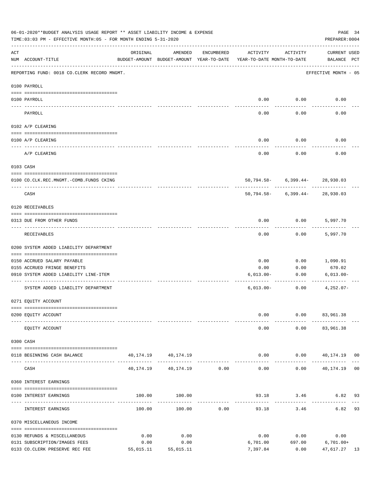|     | 06-01-2020**BUDGET ANALYSIS USAGE REPORT ** ASSET LIABILITY INCOME & EXPENSE<br>PAGE 34<br>TIME:03:03 PM - EFFECTIVE MONTH:05 - FOR MONTH ENDING 5-31-2020<br>PREPARER: 0004 |           |                                                     |               |                                        |                                                 |                                             |    |
|-----|------------------------------------------------------------------------------------------------------------------------------------------------------------------------------|-----------|-----------------------------------------------------|---------------|----------------------------------------|-------------------------------------------------|---------------------------------------------|----|
| ACT | NUM ACCOUNT-TITLE                                                                                                                                                            | ORIGINAL  | AMENDED<br>BUDGET-AMOUNT BUDGET-AMOUNT YEAR-TO-DATE | ENCUMBERED    | ACTIVITY<br>YEAR-TO-DATE MONTH-TO-DATE | ACTIVITY                                        | CURRENT USED<br>BALANCE PCT                 |    |
|     | REPORTING FUND: 0018 CO.CLERK RECORD MNGMT.                                                                                                                                  |           |                                                     |               |                                        |                                                 | EFFECTIVE MONTH - 05                        |    |
|     | 0100 PAYROLL                                                                                                                                                                 |           |                                                     |               |                                        |                                                 |                                             |    |
|     | 0100 PAYROLL                                                                                                                                                                 |           |                                                     |               |                                        | $0.00$ $0.00$                                   | 0.00                                        |    |
|     | PAYROLL                                                                                                                                                                      |           |                                                     |               | 0.00                                   | 0.00                                            | 0.00                                        |    |
|     | 0102 A/P CLEARING                                                                                                                                                            |           |                                                     |               |                                        |                                                 |                                             |    |
|     | 0100 A/P CLEARING                                                                                                                                                            |           |                                                     |               | 0.00                                   | 0.00                                            | 0.00                                        |    |
|     | A/P CLEARING                                                                                                                                                                 |           |                                                     |               | 0.00                                   | 0.00                                            | 0.00                                        |    |
|     | 0103 CASH                                                                                                                                                                    |           |                                                     |               |                                        |                                                 |                                             |    |
|     | 0100 CO.CLK.REC.MNGMT.-COMB.FUNDS CKING                                                                                                                                      |           |                                                     |               |                                        | 50,794.58- 6,399.44- 28,930.03                  |                                             |    |
|     | ---------------------------<br>CASH                                                                                                                                          |           |                                                     |               |                                        | ----------- -<br>50,794.58- 6,399.44- 28,930.03 |                                             |    |
|     | 0120 RECEIVABLES                                                                                                                                                             |           |                                                     |               |                                        |                                                 |                                             |    |
|     | 0313 DUE FROM OTHER FUNDS                                                                                                                                                    |           |                                                     |               | 0.00                                   | $0.00$ 5,997.70                                 |                                             |    |
|     | RECEIVABLES                                                                                                                                                                  |           |                                                     |               | 0.00                                   | 0.00                                            | 5,997.70                                    |    |
|     | 0200 SYSTEM ADDED LIABILITY DEPARTMENT                                                                                                                                       |           |                                                     |               |                                        |                                                 |                                             |    |
|     | 0150 ACCRUED SALARY PAYABLE                                                                                                                                                  |           |                                                     |               | 0.00                                   | 0.00                                            | 1,090.91                                    |    |
|     | 0155 ACCRUED FRINGE BENEFITS                                                                                                                                                 |           |                                                     |               | 0.00                                   | 0.00                                            | 670.02                                      |    |
|     | 0910 SYSTEM ADDED LIABILITY LINE-ITEM                                                                                                                                        |           |                                                     |               | $6,013.00-$                            | 0.00                                            | $6,013.00 -$                                |    |
|     | SYSTEM ADDED LIABILITY DEPARTMENT                                                                                                                                            |           |                                                     |               | $6,013.00-$                            | -------------<br>0.00                           | $4,252.07-$                                 |    |
|     | 0271 EQUITY ACCOUNT                                                                                                                                                          |           |                                                     |               |                                        |                                                 |                                             |    |
|     | 0200 EQUITY ACCOUNT                                                                                                                                                          |           |                                                     |               | 0.00                                   |                                                 | $0.00$ $83,961.38$                          |    |
|     | EQUITY ACCOUNT                                                                                                                                                               |           |                                                     |               | 0.00                                   |                                                 | $0.00$ $83,961.38$                          |    |
|     | 0300 CASH                                                                                                                                                                    |           |                                                     |               |                                        |                                                 |                                             |    |
|     | 0118 BEGINNING CASH BALANCE                                                                                                                                                  |           | 40, 174. 19 40, 174. 19                             |               |                                        |                                                 | $0.00$ 0.00 $40,174.19$ 00<br>------------- |    |
|     | CASH                                                                                                                                                                         |           | 40, 174. 19   40, 174. 19   0.00                    | _____________ | --------------<br>0.00                 | . <u>.</u>                                      | $0.00$ 40,174.19 00                         |    |
|     | 0360 INTEREST EARNINGS                                                                                                                                                       |           |                                                     |               |                                        |                                                 |                                             |    |
|     | 0100 INTEREST EARNINGS                                                                                                                                                       |           | 100.00 100.00                                       |               |                                        | 93.18 3.46                                      | 6.82 93                                     |    |
|     | INTEREST EARNINGS                                                                                                                                                            | 100.00    | 100.00                                              | 0.00          | 93.18                                  | 3.46                                            | 6.82 93                                     |    |
|     | 0370 MISCELLANEOUS INCOME                                                                                                                                                    |           |                                                     |               |                                        |                                                 |                                             |    |
|     | 0130 REFUNDS & MISCELLANEOUS                                                                                                                                                 | 0.00      | 0.00                                                |               | 0.00                                   | 0.00                                            | 0.00                                        |    |
|     | 0131 SUBSCRIPTION/IMAGES FEES                                                                                                                                                | 0.00      | 0.00                                                |               | 6,701.00                               |                                                 | 697.00 6,701.00+                            |    |
|     | 0133 CO.CLERK PRESERVE REC FEE                                                                                                                                               | 55,015.11 | 55,015.11                                           |               | 7,397.84                               | 0.00                                            | 47,617.27                                   | 13 |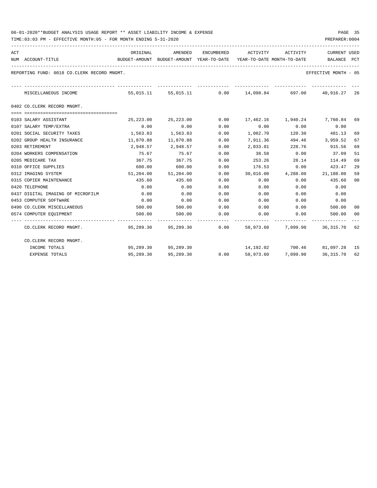| 06-01-2020**BUDGET ANALYSIS USAGE REPORT ** ASSET LIABILITY INCOME & EXPENSE | PAGE |  |
|------------------------------------------------------------------------------|------|--|
|------------------------------------------------------------------------------|------|--|

TIME:03:03 PM - EFFECTIVE MONTH:05 - FOR MONTH ENDING 5-31-2020

| ACT |                                             | ORIGINAL                                                            | AMENDED                  |      | ENCUMBERED ACTIVITY ACTIVITY                           |               | <b>CURRENT USED</b>               |    |
|-----|---------------------------------------------|---------------------------------------------------------------------|--------------------------|------|--------------------------------------------------------|---------------|-----------------------------------|----|
|     | NUM ACCOUNT-TITLE                           | BUDGET-AMOUNT BUDGET-AMOUNT YEAR-TO-DATE YEAR-TO-DATE MONTH-TO-DATE |                          |      |                                                        |               | BALANCE PCT                       |    |
|     | REPORTING FUND: 0018 CO.CLERK RECORD MNGMT. |                                                                     |                          |      |                                                        |               | EFFECTIVE MONTH - 05              |    |
|     | MISCELLANEOUS INCOME                        |                                                                     |                          |      | 55,015.11 55,015.11 0.00 14,098.84 697.00 40,916.27 26 |               |                                   |    |
|     | 0402 CO.CLERK RECORD MNGMT.                 |                                                                     |                          |      |                                                        |               |                                   |    |
|     |                                             |                                                                     |                          |      |                                                        |               |                                   |    |
|     | 0103 SALARY ASSISTANT                       | 25,223.00                                                           | 25,223.00                | 0.00 |                                                        |               | 17,462.16  1,940.24  7,760.84  69 |    |
|     | 0107 SALARY TEMP/EXTRA                      | 0.00                                                                | 0.00                     | 0.00 |                                                        | $0.00$ $0.00$ | 0.00                              |    |
|     | 0201 SOCIAL SECURITY TAXES                  |                                                                     | 1,563.83 1,563.83        | 0.00 | 1,082.70                                               | 120.30        | 481.13                            | 69 |
|     | 0202 GROUP HEALTH INSURANCE                 | 11,870.88                                                           | 11,870.88                | 0.00 | 7,911.36                                               |               | 494.46 3,959.52                   | 67 |
|     | 0203 RETIREMENT                             |                                                                     | 2,948.57 2,948.57        | 0.00 | 2,033.01                                               |               | 228.76 915.56                     | 69 |
|     | 0204 WORKERS COMPENSATION                   | 75.67                                                               | 75.67                    | 0.00 | 38.58                                                  | 0.00          | 37.09                             | 51 |
|     | 0205 MEDICARE TAX                           | 367.75                                                              | 367.75                   | 0.00 | 253.26                                                 | 28.14         | 114.49                            | 69 |
|     | 0310 OFFICE SUPPLIES                        | 600.00                                                              | 600.00                   | 0.00 | $176.53$ 0.00                                          |               | 423.47                            | 29 |
|     | 0312 IMAGING SYSTEM                         |                                                                     | 51,204.00 51,204.00      | 0.00 | 30,016.00  4,288.00  21,188.00                         |               |                                   | 59 |
|     | 0315 COPIER MAINTENANCE                     | 435.60                                                              | 435.60                   | 0.00 | 0.00                                                   | 0.00          | 435.60                            | 00 |
|     | 0420 TELEPHONE                              | 0.00                                                                | 0.00                     | 0.00 | 0.00                                                   | 0.00          | 0.00                              |    |
|     | 0437 DIGITAL IMAGING OF MICROFILM           | 0.00                                                                | 0.00                     | 0.00 | 0.00                                                   | 0.00          | 0.00                              |    |
|     | 0453 COMPUTER SOFTWARE                      | 0.00                                                                | 0.00                     | 0.00 | 0.00                                                   | 0.00          | 0.00                              |    |
|     | 0490 CO. CLERK MISCELLANEOUS                |                                                                     | 500.00 500.00            | 0.00 | $0.00$ 0.00                                            |               | 500.00                            | 00 |
|     | 0574 COMPUTER EQUIPMENT                     | 500.00                                                              | 500.00                   | 0.00 | 0.00                                                   | 0.00          | 500.00                            | 00 |
|     | CO.CLERK RECORD MNGMT.                      |                                                                     | 95,289.30 95,289.30 0.00 |      |                                                        |               | 58,973.60 7,099.90 36,315.70 62   |    |
|     | CO.CLERK RECORD MNGMT.                      |                                                                     |                          |      |                                                        |               |                                   |    |
|     | INCOME TOTALS                               |                                                                     | 95,289.30 95,289.30      |      |                                                        |               | 14, 192.02 700.46 81, 097.28 15   |    |
|     | <b>EXPENSE TOTALS</b>                       | 95,289.30                                                           | 95,289.30                | 0.00 | 58,973.60                                              | 7,099.90      | 36,315.70 62                      |    |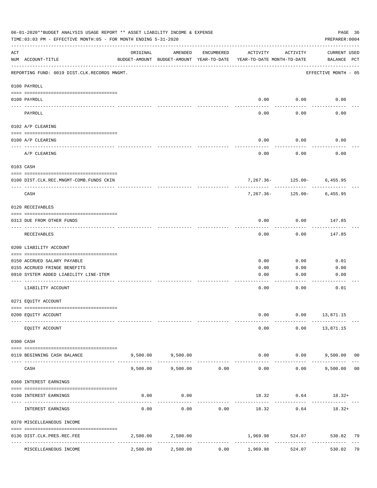|                    | 06-01-2020**BUDGET ANALYSIS USAGE REPORT ** ASSET LIABILITY INCOME & EXPENSE<br>TIME: 03:03 PM - EFFECTIVE MONTH: 05 - FOR MONTH ENDING 5-31-2020 |          |                                                     |              |                                        |                                | PAGE 36<br>PREPARER: 0004                   |    |
|--------------------|---------------------------------------------------------------------------------------------------------------------------------------------------|----------|-----------------------------------------------------|--------------|----------------------------------------|--------------------------------|---------------------------------------------|----|
| $\mathop{\rm ACT}$ | NUM ACCOUNT-TITLE                                                                                                                                 | ORIGINAL | AMENDED<br>BUDGET-AMOUNT BUDGET-AMOUNT YEAR-TO-DATE | ENCUMBERED   | ACTIVITY<br>YEAR-TO-DATE MONTH-TO-DATE | ACTIVITY                       | CURRENT USED<br>BALANCE PCT                 |    |
|                    | REPORTING FUND: 0019 DIST.CLK.RECORDS MNGMT.                                                                                                      |          |                                                     |              |                                        |                                | EFFECTIVE MONTH - 05                        |    |
|                    | 0100 PAYROLL                                                                                                                                      |          |                                                     |              |                                        |                                |                                             |    |
|                    | 0100 PAYROLL                                                                                                                                      |          |                                                     |              |                                        | $0.00$ 0.00                    | 0.00                                        |    |
|                    | PAYROLL                                                                                                                                           |          |                                                     |              | 0.00                                   | 0.00                           | 0.00                                        |    |
|                    | 0102 A/P CLEARING                                                                                                                                 |          |                                                     |              |                                        |                                |                                             |    |
|                    | 0100 A/P CLEARING                                                                                                                                 |          |                                                     |              | 0.00                                   | 0.00                           | 0.00                                        |    |
|                    | A/P CLEARING                                                                                                                                      |          |                                                     |              | 0.00                                   | 0.00                           | 0.00                                        |    |
|                    | 0103 CASH                                                                                                                                         |          |                                                     |              |                                        |                                |                                             |    |
|                    | 0100 DIST.CLK.REC.MNGMT-COMB.FUNDS CKIN                                                                                                           |          |                                                     |              |                                        | $7,267.36 - 125.00 - 6,455.95$ |                                             |    |
|                    | CASH                                                                                                                                              |          |                                                     |              | 7,267.36-                              | ------------                   | $125.00 - 6,455.95$                         |    |
|                    | 0120 RECEIVABLES                                                                                                                                  |          |                                                     |              |                                        |                                |                                             |    |
|                    | 0313 DUE FROM OTHER FUNDS                                                                                                                         |          |                                                     |              | 0.00                                   | 0.00                           | 147.85                                      |    |
|                    | RECEIVABLES                                                                                                                                       |          |                                                     |              | 0.00                                   | 0.00                           | 147.85                                      |    |
|                    | 0200 LIABILITY ACCOUNT                                                                                                                            |          |                                                     |              |                                        |                                |                                             |    |
|                    | 0150 ACCRUED SALARY PAYABLE                                                                                                                       |          |                                                     |              | 0.00                                   | 0.00                           | 0.01                                        |    |
|                    | 0155 ACCRUED FRINGE BENEFITS                                                                                                                      |          |                                                     |              | 0.00                                   | 0.00                           | 0.00                                        |    |
|                    | 0910 SYSTEM ADDED LIABILITY LINE-ITEM                                                                                                             |          |                                                     |              | 0.00                                   | 0.00                           | 0.00                                        |    |
|                    | LIABILITY ACCOUNT                                                                                                                                 |          |                                                     |              | 0.00                                   | 0.00                           | 0.01                                        |    |
|                    | 0271 EQUITY ACCOUNT                                                                                                                               |          |                                                     |              |                                        |                                |                                             |    |
|                    |                                                                                                                                                   |          |                                                     |              |                                        |                                |                                             |    |
|                    | 0200 EQUITY ACCOUNT                                                                                                                               |          |                                                     |              | 0.00                                   |                                | $0.00$ 13,871.15                            |    |
|                    | EQUITY ACCOUNT                                                                                                                                    |          |                                                     |              | 0.00                                   |                                | $0.00$ 13,871.15                            |    |
|                    | 0300 CASH                                                                                                                                         |          |                                                     |              |                                        |                                |                                             |    |
|                    | 0119 BEGINNING CASH BALANCE                                                                                                                       |          | 9,500.00 9,500.00                                   | -----------  | --------------                         | ----------                     | $0.00$ $0.00$ $9,500.00$ 00<br>------------ |    |
|                    | CASH                                                                                                                                              |          | 9,500.00 9,500.00                                   | 0.00         | 0.00                                   | 0.00                           | 9,500.00 00                                 |    |
|                    | 0360 INTEREST EARNINGS                                                                                                                            |          |                                                     |              |                                        |                                |                                             |    |
|                    |                                                                                                                                                   |          |                                                     |              |                                        |                                |                                             |    |
|                    | 0100 INTEREST EARNINGS                                                                                                                            | 0.00     | 0.00                                                |              | -------------                          | $18.32$ 0.64 $18.32+$          |                                             |    |
|                    | INTEREST EARNINGS                                                                                                                                 | 0.00     | 0.00                                                | 0.00         | 18.32                                  | 0.64                           | $18.32+$                                    |    |
|                    | 0370 MISCELLEANEOUS INCOME                                                                                                                        |          |                                                     |              |                                        |                                |                                             |    |
|                    | 0136 DIST.CLK.PRES.REC.FEE                                                                                                                        |          | 2,500.00 2,500.00                                   |              | 1,969.98                               | 524.07                         | 530.02                                      | 79 |
|                    | MISCELLEANEOUS INCOME                                                                                                                             | 2,500.00 | 2,500.00                                            | ------------ | $0.00$ 1,969.98                        | -------------<br>524.07        | 530.02 79                                   |    |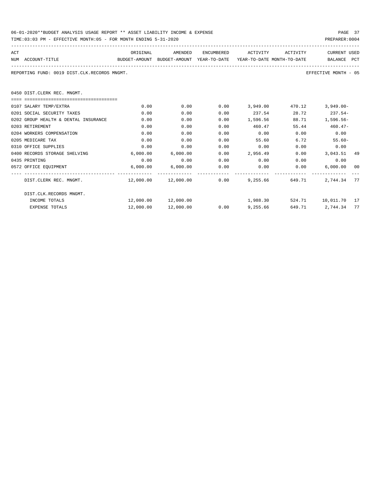| 06-01-2020**BUDGET ANALYSIS USAGE REPORT ** ASSET LIABILITY INCOME & EXPENSE | PAGE 37        |
|------------------------------------------------------------------------------|----------------|
|                                                                              |                |
| TIME:03:03 PM - EFFECTIVE MONTH:05 - FOR MONTH ENDING 5-31-2020              | PREPARER: 0004 |

| ACT |                                              | ORIGINAL                                                            | AMENDED                               | ENCUMBERED | ACTIVITY        | ACTIVITY | <b>CURRENT USED</b>     |    |
|-----|----------------------------------------------|---------------------------------------------------------------------|---------------------------------------|------------|-----------------|----------|-------------------------|----|
|     | NUM ACCOUNT-TITLE                            | BUDGET-AMOUNT BUDGET-AMOUNT YEAR-TO-DATE YEAR-TO-DATE_MONTH-TO-DATE |                                       |            |                 |          | BALANCE PCT             |    |
|     | REPORTING FUND: 0019 DIST.CLK.RECORDS MNGMT. |                                                                     |                                       |            |                 |          | EFFECTIVE MONTH - 05    |    |
|     | 0450 DIST. CLERK REC. MNGMT.                 |                                                                     |                                       |            |                 |          |                         |    |
|     | -0000000000000000000000000000000000000       |                                                                     |                                       |            |                 |          |                         |    |
|     | 0107 SALARY TEMP/EXTRA                       | 0.00                                                                | 0.00                                  |            | $0.00$ 3,949.00 | 470.12   | $3.949.00 -$            |    |
|     | 0201 SOCIAL SECURITY TAXES                   | 0.00                                                                | 0.00                                  | 0.00       | 237.54          | 28.72    | $237.54-$               |    |
|     | 0202 GROUP HEALTH & DENTAL INSURANCE         | 0.00                                                                | 0.00                                  | 0.00       | 1,596.56        | 88.71    | $1.596.56 -$            |    |
|     | 0203 RETIREMENT                              | 0.00                                                                | 0.00                                  | 0.00       | 460.47          | 55.44    | 460.47-                 |    |
|     | 0204 WORKERS COMPENSATION                    | 0.00                                                                | 0.00                                  | 0.00       | 0.00            | 0.00     | 0.00                    |    |
|     | 0205 MEDICARE TAX                            | 0.00                                                                | 0.00                                  | 0.00       | 55.60           | 6.72     | $55.60 -$               |    |
|     | 0310 OFFICE SUPPLIES                         | 0.00                                                                | 0.00                                  | 0.00       | 0.00            | 0.00     | 0.00                    |    |
|     | 0400 RECORDS STORAGE SHELVING                | 6,000.00                                                            | 6,000.00                              | 0.00       | 2,956.49        |          | 0.00<br>3,043.51 49     |    |
|     | 0435 PRINTING                                | 0.00                                                                | 0.00                                  | 0.00       | 0.00            | 0.00     | 0.00                    |    |
|     | 0572 OFFICE EQUIPMENT                        |                                                                     | 6,000.00 6,000.00                     | 0.00       | 0.00            | 0.00     | 6,000.00                | 00 |
|     | DIST.CLERK REC. MNGMT.                       |                                                                     | $12,000.00$ $12,000.00$ 0.00 9,255.66 |            |                 | 649.71   | 2,744.34 77             |    |
|     | DIST.CLK.RECORDS MNGMT.                      |                                                                     |                                       |            |                 |          |                         |    |
|     | INCOME TOTALS                                |                                                                     |                                       |            | 1,988.30        |          | 524.71   10,011.70   17 |    |
|     | <b>EXPENSE TOTALS</b>                        | 12,000.00                                                           | 12,000.00                             | 0.00       | 9,255.66        | 649.71   | 2,744.34                | 77 |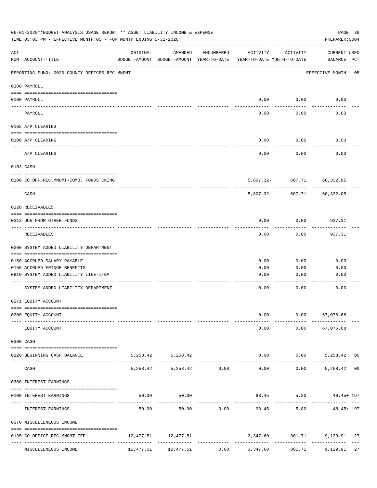|                    | 06-01-2020**BUDGET ANALYSIS USAGE REPORT ** ASSET LIABILITY INCOME & EXPENSE<br>TIME:03:03 PM - EFFECTIVE MONTH:05 - FOR MONTH ENDING 5-31-2020 |          |                                                     |              |                                        |                      | PREPARER: 0004                               | PAGE 38 |
|--------------------|-------------------------------------------------------------------------------------------------------------------------------------------------|----------|-----------------------------------------------------|--------------|----------------------------------------|----------------------|----------------------------------------------|---------|
| $\mathop{\rm ACT}$ | NUM ACCOUNT-TITLE                                                                                                                               | ORIGINAL | AMENDED<br>BUDGET-AMOUNT BUDGET-AMOUNT YEAR-TO-DATE | ENCUMBERED   | ACTIVITY<br>YEAR-TO-DATE MONTH-TO-DATE | ACTIVITY             | CURRENT USED<br>BALANCE PCT                  |         |
|                    | REPORTING FUND: 0020 COUNTY OFFICES REC.MNGMT.                                                                                                  |          |                                                     |              |                                        |                      | EFFECTIVE MONTH - 05                         |         |
|                    | 0100 PAYROLL                                                                                                                                    |          |                                                     |              |                                        |                      |                                              |         |
|                    | 0100 PAYROLL                                                                                                                                    |          |                                                     |              |                                        | $0.00$ $0.00$        | 0.00                                         |         |
|                    | PAYROLL                                                                                                                                         |          |                                                     |              | 0.00                                   | 0.00                 | 0.00                                         |         |
|                    | 0102 A/P CLEARING                                                                                                                               |          |                                                     |              |                                        |                      |                                              |         |
|                    | 0100 A/P CLEARING                                                                                                                               |          |                                                     |              | 0.00                                   | 0.00                 | 0.00                                         |         |
|                    | A/P CLEARING                                                                                                                                    |          |                                                     |              | 0.00                                   | 0.00                 | 0.00                                         |         |
|                    | 0103 CASH                                                                                                                                       |          |                                                     |              |                                        |                      |                                              |         |
|                    | 0100 CO.OFF.REC.MNGMT-COMB. FUNDS CKING                                                                                                         |          |                                                     |              |                                        |                      | 5,807.32- 607.71 60,332.05                   |         |
|                    | CASH                                                                                                                                            |          |                                                     |              | 5,807.32-                              | ----------<br>607.71 | -------<br>60,332.05                         |         |
|                    | 0120 RECEIVABLES                                                                                                                                |          |                                                     |              |                                        |                      |                                              |         |
|                    | 0313 DUE FROM OTHER FUNDS                                                                                                                       |          |                                                     |              | 0.00                                   | 0.00                 | 937.31                                       |         |
|                    | RECEIVABLES                                                                                                                                     |          |                                                     |              | 0.00                                   | 0.00                 | 937.31                                       |         |
|                    | 0200 SYSTEM ADDED LIABILITY DEPARTMENT                                                                                                          |          |                                                     |              |                                        |                      |                                              |         |
|                    | 0150 ACCRUED SALARY PAYABLE                                                                                                                     |          |                                                     |              | 0.00                                   | 0.00                 | 0.00                                         |         |
|                    | 0155 ACCRUED FRINGE BENEFITS                                                                                                                    |          |                                                     |              | 0.00                                   | 0.00                 | 0.00                                         |         |
|                    | 0910 SYSTEM ADDED LIABILITY LINE-ITEM                                                                                                           |          |                                                     |              | 0.00                                   | 0.00                 | 0.00                                         |         |
|                    | SYSTEM ADDED LIABILITY DEPARTMENT                                                                                                               |          |                                                     |              | 0.00                                   | 0.00                 | 0.00                                         |         |
|                    | 0271 EQUITY ACCOUNT                                                                                                                             |          |                                                     |              |                                        |                      |                                              |         |
|                    | 0200 EQUITY ACCOUNT                                                                                                                             |          |                                                     |              | 0.00                                   |                      | $0.00$ 67,076.68                             |         |
|                    | EQUITY ACCOUNT                                                                                                                                  |          |                                                     |              |                                        | 0.00                 | $0.00$ 67,076.68                             |         |
|                    | 0300 CASH                                                                                                                                       |          |                                                     |              |                                        |                      |                                              |         |
|                    | 0120 BEGINNING CASH BALANCE                                                                                                                     |          | 5, 258.42 5, 258.42                                 |              |                                        |                      | $0.00$ $0.00$ $5,258.42$ 00<br>------------- |         |
| $- - - - -$        | CASH                                                                                                                                            |          | 5,258.42 5,258.42 0.00                              | ------------ | --------------<br>0.00                 | ------------         | $0.00$ $5,258.42$ 00                         |         |
|                    | 0360 INTEREST EARNINGS                                                                                                                          |          |                                                     |              |                                        |                      |                                              |         |
|                    | 0100 INTEREST EARNINGS                                                                                                                          |          | 50.00<br>50.00                                      |              |                                        |                      | 98.45 5.80 48.45 + 197                       |         |
|                    | INTEREST EARNINGS                                                                                                                               | 50.00    |                                                     | 50.00 0.00   | --------------<br>98.45                | -----------<br>5.80  | 48.45+ 197                                   |         |
|                    | 0370 MISCELLENEOUS INCOME                                                                                                                       |          |                                                     |              |                                        |                      |                                              |         |
|                    | 0135 CO.OFFICE REC.MNGMT.FEE                                                                                                                    |          | 12,477.51 12,477.51                                 |              |                                        |                      | 3,347.60 801.71 9,129.91 27                  |         |
|                    | MISCELLENEOUS INCOME                                                                                                                            |          | 12,477.51 12,477.51                                 | 0.00         | 3,347.60                               |                      | 801.71 9,129.91 27                           |         |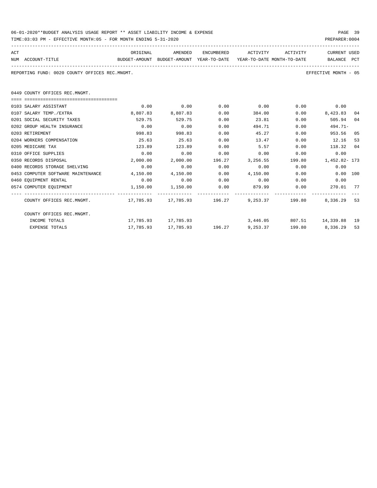| 06-01-2020**BUDGET ANALYSIS USAGE REPORT ** ASSET LIABILITY INCOME & EXPENSE | PAGE 39        |  |
|------------------------------------------------------------------------------|----------------|--|
| TIME:03:03 PM - EFFECTIVE MONTH:05 - FOR MONTH ENDING 5-31-2020              | PREPARER: 0004 |  |

| ACT<br>NUM ACCOUNT-TITLE                                             | ORIGINAL<br>BUDGET-AMOUNT BUDGET-AMOUNT YEAR-TO-DATE YEAR-TO-DATE MONTH-TO-DATE | AMENDED                                                         |      | ENCUMBERED ACTIVITY ACTIVITY |        | CURRENT USED<br>BALANCE PCT                  |    |
|----------------------------------------------------------------------|---------------------------------------------------------------------------------|-----------------------------------------------------------------|------|------------------------------|--------|----------------------------------------------|----|
| REPORTING FUND: 0020 COUNTY OFFICES REC.MNGMT.                       |                                                                                 |                                                                 |      |                              |        | EFFECTIVE MONTH - 05                         |    |
| 0449 COUNTY OFFICES REC.MNGMT.                                       |                                                                                 |                                                                 |      |                              |        |                                              |    |
| ===================================                                  |                                                                                 |                                                                 |      |                              |        |                                              |    |
| 0103 SALARY ASSISTANT                                                | 0.00                                                                            | 0.00                                                            | 0.00 | 0.00                         |        | $0.00$ 0.00                                  |    |
| 0107 SALARY TEMP./EXTRA                                              | 8,807.83                                                                        | 8,807.83                                                        | 0.00 |                              | 384.00 | 0.00<br>8,423.83                             | 04 |
| 0201 SOCIAL SECURITY TAXES                                           | 529.75                                                                          | 529.75                                                          | 0.00 | 23.81                        | 0.00   | 505.94                                       | 04 |
| 0202 GROUP HEALTH INSURANCE                                          | 0.00                                                                            | 0.00                                                            | 0.00 | 494.71                       | 0.00   | $494.71-$                                    |    |
| 0203 RETIREMENT                                                      | 998.83                                                                          | 998.83                                                          | 0.00 | 45.27                        | 0.00   | 953.56                                       | 05 |
| 0204 WORKERS COMPENSATION                                            | 25.63                                                                           | 25.63                                                           | 0.00 | 13.47                        | 0.00   | 12.16                                        | 53 |
| 0205 MEDICARE TAX                                                    | 123.89                                                                          | 123.89                                                          | 0.00 | 5.57                         | 0.00   | 118.32 04                                    |    |
| 0310 OFFICE SUPPLIES                                                 | 0.00                                                                            | 0.00                                                            | 0.00 | 0.00                         | 0.00   | 0.00                                         |    |
| 0350 RECORDS DISPOSAL                                                | 2,000.00                                                                        |                                                                 |      |                              |        | 2,000.00 196.27 3,256.55 199.80 1,452.82-173 |    |
| 0400 RECORDS STORAGE SHELVING                                        | 0.00                                                                            | 0.00                                                            | 0.00 | 0.00                         | 0.00   | 0.00                                         |    |
| 0453 COMPUTER SOFTWARE MAINTENANCE 4,150.00                          |                                                                                 | 4,150.00                                                        |      | $0.00 \t 4.150.00 \t 0.00$   |        | 0.00 100                                     |    |
| 0460 EQUIPMENT RENTAL                                                | 0.00                                                                            | 0.00                                                            |      |                              |        | $0.00$ $0.00$ $0.00$ $0.00$ $0.00$           |    |
| 0574 COMPUTER EQUIPMENT                                              | $1,150.00$ $1,150.00$                                                           |                                                                 | 0.00 |                              |        |                                              |    |
| COUNTY OFFICES REC.MNGMT. 17,785.93 17,785.93 196.27 9,253.37 199.80 |                                                                                 |                                                                 |      |                              |        | 8,336.29                                     | 53 |
| COUNTY OFFICES REC.MNGMT.                                            |                                                                                 |                                                                 |      |                              |        |                                              |    |
| INCOME TOTALS                                                        |                                                                                 | 17,785.93 17,785.93                                             |      |                              |        | 3,446.05 807.51 14,339.88 19                 |    |
| EXPENSE TOTALS                                                       |                                                                                 | $17,785.93$ $17,785.93$ $196.27$ $9,253.37$ $199.80$ $8,336.29$ |      |                              |        |                                              | 53 |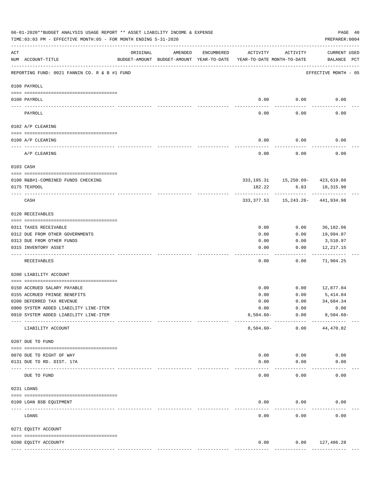|     | 06-01-2020**BUDGET ANALYSIS USAGE REPORT ** ASSET LIABILITY INCOME & EXPENSE<br>TIME: 03:03 PM - EFFECTIVE MONTH: 05 - FOR MONTH ENDING 5-31-2020 |                            |         |            |                                                                                 |                                                   | PAGE 40<br>PREPARER: 0004          |  |
|-----|---------------------------------------------------------------------------------------------------------------------------------------------------|----------------------------|---------|------------|---------------------------------------------------------------------------------|---------------------------------------------------|------------------------------------|--|
| ACT | NUM ACCOUNT-TITLE                                                                                                                                 | ORIGINAL                   | AMENDED | ENCUMBERED | ACTIVITY<br>BUDGET-AMOUNT BUDGET-AMOUNT YEAR-TO-DATE YEAR-TO-DATE MONTH-TO-DATE | ACTIVITY                                          | <b>CURRENT USED</b><br>BALANCE PCT |  |
|     | REPORTING FUND: 0021 FANNIN CO. R & B #1 FUND                                                                                                     |                            |         |            |                                                                                 |                                                   | EFFECTIVE MONTH - 05               |  |
|     | 0100 PAYROLL                                                                                                                                      |                            |         |            |                                                                                 |                                                   |                                    |  |
|     | 0100 PAYROLL<br>---- ----                                                                                                                         |                            |         |            | 0.00<br>$---$                                                                   | 0.00<br>-------                                   | 0.00                               |  |
|     | PAYROLL                                                                                                                                           |                            |         |            | 0.00                                                                            | 0.00                                              | 0.00                               |  |
|     | 0102 A/P CLEARING                                                                                                                                 |                            |         |            |                                                                                 |                                                   |                                    |  |
|     | 0100 A/P CLEARING                                                                                                                                 |                            |         |            | 0.00                                                                            | 0.00                                              | 0.00                               |  |
|     | A/P CLEARING                                                                                                                                      |                            |         |            | 0.00                                                                            | 0.00                                              | 0.00                               |  |
|     | 0103 CASH                                                                                                                                         |                            |         |            |                                                                                 |                                                   |                                    |  |
|     |                                                                                                                                                   |                            |         |            |                                                                                 |                                                   |                                    |  |
|     | 0100 R&B#1-COMBINED FUNDS CHECKING<br>0175 TEXPOOL                                                                                                |                            |         |            | 182.22                                                                          | 333, 195. 31 15, 250. 09 - 423, 619. 08<br>6.83   | 18,315.90                          |  |
|     | CASH                                                                                                                                              |                            |         |            |                                                                                 | ----------<br>333, 377.53 15, 243.26- 441, 934.98 |                                    |  |
|     | 0120 RECEIVABLES                                                                                                                                  |                            |         |            |                                                                                 |                                                   |                                    |  |
|     | 0311 TAXES RECEIVABLE                                                                                                                             |                            |         |            | 0.00                                                                            | 0.00                                              | 36,182.06                          |  |
|     | 0312 DUE FROM OTHER GOVERNMENTS                                                                                                                   |                            |         |            | 0.00                                                                            | 0.00                                              | 19,994.07                          |  |
|     | 0313 DUE FROM OTHER FUNDS                                                                                                                         |                            |         |            | 0.00                                                                            | 0.00                                              | 3,510.97                           |  |
|     | 0315 INVENTORY ASSET                                                                                                                              |                            |         |            | 0.00<br>----                                                                    | 0.00<br>-----                                     | 12,217.15<br>----------            |  |
|     | RECEIVABLES                                                                                                                                       |                            |         |            | 0.00                                                                            | 0.00                                              | 71,904.25                          |  |
|     | 0200 LIABILITY ACCOUNT                                                                                                                            |                            |         |            |                                                                                 |                                                   |                                    |  |
|     | 0150 ACCRUED SALARY PAYABLE                                                                                                                       |                            |         |            | 0.00                                                                            | 0.00                                              | 12,877.04                          |  |
|     | 0155 ACCRUED FRINGE BENEFITS                                                                                                                      |                            |         |            | 0.00                                                                            | 0.00                                              | 5,414.04                           |  |
|     | 0200 DEFERRED TAX REVENUE                                                                                                                         |                            |         |            | 0.00                                                                            | 0.00                                              | 34,684.34                          |  |
|     | 0900 SYSTEM ADDED LIABILITY LINE-ITEM                                                                                                             |                            |         |            | 0.00                                                                            | 0.00                                              | 0.00                               |  |
|     | 0910 SYSTEM ADDED LIABILITY LINE-ITEM                                                                                                             |                            |         |            | $8,504.60 -$                                                                    | 0.00<br>----------                                | $8,504.60 -$                       |  |
|     | LIABILITY ACCOUNT                                                                                                                                 |                            |         |            | $8,504.60 -$                                                                    | 0.00                                              | 44,470.82                          |  |
|     | 0207 DUE TO FUND                                                                                                                                  |                            |         |            |                                                                                 |                                                   |                                    |  |
|     | 0070 DUE TO RIGHT OF WAY                                                                                                                          |                            |         |            | 0.00                                                                            | 0.00                                              | 0.00                               |  |
|     | 0131 DUE TO RD. DIST. 17A                                                                                                                         |                            |         |            | 0.00                                                                            | 0.00                                              | 0.00                               |  |
|     | DUE TO FUND                                                                                                                                       | ------------ ------------- |         |            | 0.00                                                                            | 0.00                                              | 0.00                               |  |
|     | 0231 LOANS                                                                                                                                        |                            |         |            |                                                                                 |                                                   |                                    |  |
|     | 0100 LOAN BSB EQUIPMENT                                                                                                                           |                            |         |            | 0.00                                                                            | 0.00                                              | 0.00                               |  |
|     | LOANS                                                                                                                                             |                            |         |            | 0.00                                                                            | 0.00                                              | 0.00                               |  |
|     | 0271 EQUITY ACCOUNT                                                                                                                               |                            |         |            |                                                                                 |                                                   |                                    |  |
|     |                                                                                                                                                   |                            |         |            |                                                                                 |                                                   |                                    |  |
|     | 0200 EQUITY ACCOUNTY                                                                                                                              |                            |         |            | 0.00<br>-------------                                                           | 0.00<br>-------------                             | 127,486.28<br>--------------       |  |
|     |                                                                                                                                                   |                            |         |            |                                                                                 |                                                   |                                    |  |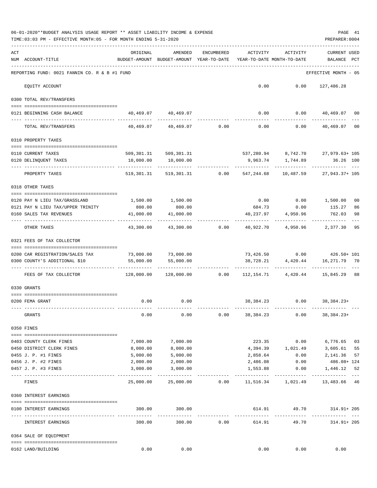| ACT<br>ORIGINAL<br>AMENDED<br>ENCUMBERED<br>ACTIVITY<br>ACTIVITY<br><b>CURRENT USED</b><br>BUDGET-AMOUNT BUDGET-AMOUNT YEAR-TO-DATE<br>NUM ACCOUNT-TITLE<br>YEAR-TO-DATE MONTH-TO-DATE<br>BALANCE PCT<br>REPORTING FUND: 0021 FANNIN CO. R & B #1 FUND<br>EFFECTIVE MONTH - 05<br>$0.00$ $0.00$ $127,486.28$<br>EQUITY ACCOUNT<br>0300 TOTAL REV/TRANSFERS<br>$0.00$ $0.00$ $40,469.07$ 00<br>40,469.07 40,469.07<br>0121 BEGINNING CASH BALANCE<br>$40,469.07$ $40,469.07$ $0.00$ $0.00$ $0.00$<br>TOTAL REV/TRANSFERS<br>40,469.07<br>00<br>0310 PROPERTY TAXES<br>537,280.94 8,742.70 27,979.63+105<br>509,301.31 509,301.31<br>0110 CURRENT TAXES<br>10,000.00<br>0120 DELINQUENT TAXES<br>10,000.00<br>9,963.74 1,744.89<br>36.26 100<br>------------<br>------------ ---<br>PROPERTY TAXES<br>519,301.31 519,301.31 0.00 547,244.68 10,487.59 27,943.37+ 105<br>0318 OTHER TAXES<br>$0.00$ $0.00$ $1,500.00$<br>1,500.00 1,500.00<br>0120 PAY N LIEU TAX/GRASSLAND<br>00<br>0121 PAY N LIEU TAX/UPPER TRINITY<br>800.00<br>800.00<br>684.73 0.00<br>115.27<br>86<br>41,000.00<br>41,000.00<br>40,237.97<br>4,950.96<br>762.03<br>98<br>0160 SALES TAX REVENUES<br>----------<br>43,300.00<br>43,300.00 0.00<br>40,922.70  4,950.96  2,377.30<br>95<br>OTHER TAXES<br>0321 FEES OF TAX COLLECTOR<br>73,426.50 0.00 426.50+ 101<br>73,000.00 73,000.00<br>0200 CAR REGISTRATION/SALES TAX<br>55,000.00<br>38,728.21 4,420.44<br>16,271.79 70<br>0300 COUNTY'S ADDITIONAL \$10<br>55,000.00<br>-------------<br>128,000.00 128,000.00      0.00      112,154.71      4,420.44      15,845.29    88<br>FEES OF TAX COLLECTOR<br>0330 GRANTS<br>$0.00$ 0.00<br>38, 384. 23 0.00 38, 384. 23+<br>0200 FEMA GRANT<br>GRANTS<br>0.00<br>0.00<br>0.00<br>38,384.23<br>0.00<br>$38,384.23+$<br>0350 FINES<br>7,000.00<br>223.35<br>0.00<br>6,776.65 03<br>7,000.00<br>0403 COUNTY CLERK FINES<br>0450 DISTRICT CLERK FINES<br>8,000.00<br>4,394.39 1,021.49 3,605.61<br>8,000.00<br>55<br>0455 J. P. #1 FINES<br>5,000.00<br>$0.00$ 2,141.36<br>5,000.00<br>2,858.64<br>57<br>486.08+ 124<br>2,000.00<br>0456 J. P. #2 FINES<br>2,000.00<br>2,486.08<br>0.00<br>3,000.00<br>0457 J. P. #3 FINES<br>3,000.00<br>1,553.88<br>0.00<br>1,446.12<br>52<br>$- - -$<br>25,000.00<br>25,000.00<br>$0.00$ 11,516.34 1,021.49 13,483.66 46<br>FINES<br>0360 INTEREST EARNINGS<br>614.91 49.70<br>0100 INTEREST EARNINGS<br>300.00 300.00<br>314.91+ 205<br>300.00<br>0.00<br>49.70<br>INTEREST EARNINGS<br>300.00<br>614.91<br>314.91+ 205<br>0364 SALE OF EQUIPMENT<br>0162 LAND/BUILDING<br>0.00<br>0.00<br>0.00<br>0.00<br>0.00 | 06-01-2020**BUDGET ANALYSIS USAGE REPORT ** ASSET LIABILITY INCOME & EXPENSE<br>TIME: 03:03 PM - EFFECTIVE MONTH: 05 - FOR MONTH ENDING 5-31-2020 |  |  | PAGE 41<br>PREPARER: 0004 |  |
|----------------------------------------------------------------------------------------------------------------------------------------------------------------------------------------------------------------------------------------------------------------------------------------------------------------------------------------------------------------------------------------------------------------------------------------------------------------------------------------------------------------------------------------------------------------------------------------------------------------------------------------------------------------------------------------------------------------------------------------------------------------------------------------------------------------------------------------------------------------------------------------------------------------------------------------------------------------------------------------------------------------------------------------------------------------------------------------------------------------------------------------------------------------------------------------------------------------------------------------------------------------------------------------------------------------------------------------------------------------------------------------------------------------------------------------------------------------------------------------------------------------------------------------------------------------------------------------------------------------------------------------------------------------------------------------------------------------------------------------------------------------------------------------------------------------------------------------------------------------------------------------------------------------------------------------------------------------------------------------------------------------------------------------------------------------------------------------------------------------------------------------------------------------------------------------------------------------------------------------------------------------------------------------------------------------------------------------------------------------------------------------------------------------------------------------------------------------------------------------------------------------------------------------------------------------------------------------------------------------------|---------------------------------------------------------------------------------------------------------------------------------------------------|--|--|---------------------------|--|
|                                                                                                                                                                                                                                                                                                                                                                                                                                                                                                                                                                                                                                                                                                                                                                                                                                                                                                                                                                                                                                                                                                                                                                                                                                                                                                                                                                                                                                                                                                                                                                                                                                                                                                                                                                                                                                                                                                                                                                                                                                                                                                                                                                                                                                                                                                                                                                                                                                                                                                                                                                                                                      |                                                                                                                                                   |  |  |                           |  |
|                                                                                                                                                                                                                                                                                                                                                                                                                                                                                                                                                                                                                                                                                                                                                                                                                                                                                                                                                                                                                                                                                                                                                                                                                                                                                                                                                                                                                                                                                                                                                                                                                                                                                                                                                                                                                                                                                                                                                                                                                                                                                                                                                                                                                                                                                                                                                                                                                                                                                                                                                                                                                      |                                                                                                                                                   |  |  |                           |  |
|                                                                                                                                                                                                                                                                                                                                                                                                                                                                                                                                                                                                                                                                                                                                                                                                                                                                                                                                                                                                                                                                                                                                                                                                                                                                                                                                                                                                                                                                                                                                                                                                                                                                                                                                                                                                                                                                                                                                                                                                                                                                                                                                                                                                                                                                                                                                                                                                                                                                                                                                                                                                                      |                                                                                                                                                   |  |  |                           |  |
|                                                                                                                                                                                                                                                                                                                                                                                                                                                                                                                                                                                                                                                                                                                                                                                                                                                                                                                                                                                                                                                                                                                                                                                                                                                                                                                                                                                                                                                                                                                                                                                                                                                                                                                                                                                                                                                                                                                                                                                                                                                                                                                                                                                                                                                                                                                                                                                                                                                                                                                                                                                                                      |                                                                                                                                                   |  |  |                           |  |
|                                                                                                                                                                                                                                                                                                                                                                                                                                                                                                                                                                                                                                                                                                                                                                                                                                                                                                                                                                                                                                                                                                                                                                                                                                                                                                                                                                                                                                                                                                                                                                                                                                                                                                                                                                                                                                                                                                                                                                                                                                                                                                                                                                                                                                                                                                                                                                                                                                                                                                                                                                                                                      |                                                                                                                                                   |  |  |                           |  |
|                                                                                                                                                                                                                                                                                                                                                                                                                                                                                                                                                                                                                                                                                                                                                                                                                                                                                                                                                                                                                                                                                                                                                                                                                                                                                                                                                                                                                                                                                                                                                                                                                                                                                                                                                                                                                                                                                                                                                                                                                                                                                                                                                                                                                                                                                                                                                                                                                                                                                                                                                                                                                      |                                                                                                                                                   |  |  |                           |  |
|                                                                                                                                                                                                                                                                                                                                                                                                                                                                                                                                                                                                                                                                                                                                                                                                                                                                                                                                                                                                                                                                                                                                                                                                                                                                                                                                                                                                                                                                                                                                                                                                                                                                                                                                                                                                                                                                                                                                                                                                                                                                                                                                                                                                                                                                                                                                                                                                                                                                                                                                                                                                                      |                                                                                                                                                   |  |  |                           |  |
|                                                                                                                                                                                                                                                                                                                                                                                                                                                                                                                                                                                                                                                                                                                                                                                                                                                                                                                                                                                                                                                                                                                                                                                                                                                                                                                                                                                                                                                                                                                                                                                                                                                                                                                                                                                                                                                                                                                                                                                                                                                                                                                                                                                                                                                                                                                                                                                                                                                                                                                                                                                                                      |                                                                                                                                                   |  |  |                           |  |
|                                                                                                                                                                                                                                                                                                                                                                                                                                                                                                                                                                                                                                                                                                                                                                                                                                                                                                                                                                                                                                                                                                                                                                                                                                                                                                                                                                                                                                                                                                                                                                                                                                                                                                                                                                                                                                                                                                                                                                                                                                                                                                                                                                                                                                                                                                                                                                                                                                                                                                                                                                                                                      |                                                                                                                                                   |  |  |                           |  |
|                                                                                                                                                                                                                                                                                                                                                                                                                                                                                                                                                                                                                                                                                                                                                                                                                                                                                                                                                                                                                                                                                                                                                                                                                                                                                                                                                                                                                                                                                                                                                                                                                                                                                                                                                                                                                                                                                                                                                                                                                                                                                                                                                                                                                                                                                                                                                                                                                                                                                                                                                                                                                      |                                                                                                                                                   |  |  |                           |  |
|                                                                                                                                                                                                                                                                                                                                                                                                                                                                                                                                                                                                                                                                                                                                                                                                                                                                                                                                                                                                                                                                                                                                                                                                                                                                                                                                                                                                                                                                                                                                                                                                                                                                                                                                                                                                                                                                                                                                                                                                                                                                                                                                                                                                                                                                                                                                                                                                                                                                                                                                                                                                                      |                                                                                                                                                   |  |  |                           |  |
|                                                                                                                                                                                                                                                                                                                                                                                                                                                                                                                                                                                                                                                                                                                                                                                                                                                                                                                                                                                                                                                                                                                                                                                                                                                                                                                                                                                                                                                                                                                                                                                                                                                                                                                                                                                                                                                                                                                                                                                                                                                                                                                                                                                                                                                                                                                                                                                                                                                                                                                                                                                                                      |                                                                                                                                                   |  |  |                           |  |
|                                                                                                                                                                                                                                                                                                                                                                                                                                                                                                                                                                                                                                                                                                                                                                                                                                                                                                                                                                                                                                                                                                                                                                                                                                                                                                                                                                                                                                                                                                                                                                                                                                                                                                                                                                                                                                                                                                                                                                                                                                                                                                                                                                                                                                                                                                                                                                                                                                                                                                                                                                                                                      |                                                                                                                                                   |  |  |                           |  |
|                                                                                                                                                                                                                                                                                                                                                                                                                                                                                                                                                                                                                                                                                                                                                                                                                                                                                                                                                                                                                                                                                                                                                                                                                                                                                                                                                                                                                                                                                                                                                                                                                                                                                                                                                                                                                                                                                                                                                                                                                                                                                                                                                                                                                                                                                                                                                                                                                                                                                                                                                                                                                      |                                                                                                                                                   |  |  |                           |  |
|                                                                                                                                                                                                                                                                                                                                                                                                                                                                                                                                                                                                                                                                                                                                                                                                                                                                                                                                                                                                                                                                                                                                                                                                                                                                                                                                                                                                                                                                                                                                                                                                                                                                                                                                                                                                                                                                                                                                                                                                                                                                                                                                                                                                                                                                                                                                                                                                                                                                                                                                                                                                                      |                                                                                                                                                   |  |  |                           |  |
|                                                                                                                                                                                                                                                                                                                                                                                                                                                                                                                                                                                                                                                                                                                                                                                                                                                                                                                                                                                                                                                                                                                                                                                                                                                                                                                                                                                                                                                                                                                                                                                                                                                                                                                                                                                                                                                                                                                                                                                                                                                                                                                                                                                                                                                                                                                                                                                                                                                                                                                                                                                                                      |                                                                                                                                                   |  |  |                           |  |
|                                                                                                                                                                                                                                                                                                                                                                                                                                                                                                                                                                                                                                                                                                                                                                                                                                                                                                                                                                                                                                                                                                                                                                                                                                                                                                                                                                                                                                                                                                                                                                                                                                                                                                                                                                                                                                                                                                                                                                                                                                                                                                                                                                                                                                                                                                                                                                                                                                                                                                                                                                                                                      |                                                                                                                                                   |  |  |                           |  |
|                                                                                                                                                                                                                                                                                                                                                                                                                                                                                                                                                                                                                                                                                                                                                                                                                                                                                                                                                                                                                                                                                                                                                                                                                                                                                                                                                                                                                                                                                                                                                                                                                                                                                                                                                                                                                                                                                                                                                                                                                                                                                                                                                                                                                                                                                                                                                                                                                                                                                                                                                                                                                      |                                                                                                                                                   |  |  |                           |  |
|                                                                                                                                                                                                                                                                                                                                                                                                                                                                                                                                                                                                                                                                                                                                                                                                                                                                                                                                                                                                                                                                                                                                                                                                                                                                                                                                                                                                                                                                                                                                                                                                                                                                                                                                                                                                                                                                                                                                                                                                                                                                                                                                                                                                                                                                                                                                                                                                                                                                                                                                                                                                                      |                                                                                                                                                   |  |  |                           |  |
|                                                                                                                                                                                                                                                                                                                                                                                                                                                                                                                                                                                                                                                                                                                                                                                                                                                                                                                                                                                                                                                                                                                                                                                                                                                                                                                                                                                                                                                                                                                                                                                                                                                                                                                                                                                                                                                                                                                                                                                                                                                                                                                                                                                                                                                                                                                                                                                                                                                                                                                                                                                                                      |                                                                                                                                                   |  |  |                           |  |
|                                                                                                                                                                                                                                                                                                                                                                                                                                                                                                                                                                                                                                                                                                                                                                                                                                                                                                                                                                                                                                                                                                                                                                                                                                                                                                                                                                                                                                                                                                                                                                                                                                                                                                                                                                                                                                                                                                                                                                                                                                                                                                                                                                                                                                                                                                                                                                                                                                                                                                                                                                                                                      |                                                                                                                                                   |  |  |                           |  |
|                                                                                                                                                                                                                                                                                                                                                                                                                                                                                                                                                                                                                                                                                                                                                                                                                                                                                                                                                                                                                                                                                                                                                                                                                                                                                                                                                                                                                                                                                                                                                                                                                                                                                                                                                                                                                                                                                                                                                                                                                                                                                                                                                                                                                                                                                                                                                                                                                                                                                                                                                                                                                      |                                                                                                                                                   |  |  |                           |  |
|                                                                                                                                                                                                                                                                                                                                                                                                                                                                                                                                                                                                                                                                                                                                                                                                                                                                                                                                                                                                                                                                                                                                                                                                                                                                                                                                                                                                                                                                                                                                                                                                                                                                                                                                                                                                                                                                                                                                                                                                                                                                                                                                                                                                                                                                                                                                                                                                                                                                                                                                                                                                                      |                                                                                                                                                   |  |  |                           |  |
|                                                                                                                                                                                                                                                                                                                                                                                                                                                                                                                                                                                                                                                                                                                                                                                                                                                                                                                                                                                                                                                                                                                                                                                                                                                                                                                                                                                                                                                                                                                                                                                                                                                                                                                                                                                                                                                                                                                                                                                                                                                                                                                                                                                                                                                                                                                                                                                                                                                                                                                                                                                                                      |                                                                                                                                                   |  |  |                           |  |
|                                                                                                                                                                                                                                                                                                                                                                                                                                                                                                                                                                                                                                                                                                                                                                                                                                                                                                                                                                                                                                                                                                                                                                                                                                                                                                                                                                                                                                                                                                                                                                                                                                                                                                                                                                                                                                                                                                                                                                                                                                                                                                                                                                                                                                                                                                                                                                                                                                                                                                                                                                                                                      |                                                                                                                                                   |  |  |                           |  |
|                                                                                                                                                                                                                                                                                                                                                                                                                                                                                                                                                                                                                                                                                                                                                                                                                                                                                                                                                                                                                                                                                                                                                                                                                                                                                                                                                                                                                                                                                                                                                                                                                                                                                                                                                                                                                                                                                                                                                                                                                                                                                                                                                                                                                                                                                                                                                                                                                                                                                                                                                                                                                      |                                                                                                                                                   |  |  |                           |  |
|                                                                                                                                                                                                                                                                                                                                                                                                                                                                                                                                                                                                                                                                                                                                                                                                                                                                                                                                                                                                                                                                                                                                                                                                                                                                                                                                                                                                                                                                                                                                                                                                                                                                                                                                                                                                                                                                                                                                                                                                                                                                                                                                                                                                                                                                                                                                                                                                                                                                                                                                                                                                                      |                                                                                                                                                   |  |  |                           |  |
|                                                                                                                                                                                                                                                                                                                                                                                                                                                                                                                                                                                                                                                                                                                                                                                                                                                                                                                                                                                                                                                                                                                                                                                                                                                                                                                                                                                                                                                                                                                                                                                                                                                                                                                                                                                                                                                                                                                                                                                                                                                                                                                                                                                                                                                                                                                                                                                                                                                                                                                                                                                                                      |                                                                                                                                                   |  |  |                           |  |
|                                                                                                                                                                                                                                                                                                                                                                                                                                                                                                                                                                                                                                                                                                                                                                                                                                                                                                                                                                                                                                                                                                                                                                                                                                                                                                                                                                                                                                                                                                                                                                                                                                                                                                                                                                                                                                                                                                                                                                                                                                                                                                                                                                                                                                                                                                                                                                                                                                                                                                                                                                                                                      |                                                                                                                                                   |  |  |                           |  |
|                                                                                                                                                                                                                                                                                                                                                                                                                                                                                                                                                                                                                                                                                                                                                                                                                                                                                                                                                                                                                                                                                                                                                                                                                                                                                                                                                                                                                                                                                                                                                                                                                                                                                                                                                                                                                                                                                                                                                                                                                                                                                                                                                                                                                                                                                                                                                                                                                                                                                                                                                                                                                      |                                                                                                                                                   |  |  |                           |  |
|                                                                                                                                                                                                                                                                                                                                                                                                                                                                                                                                                                                                                                                                                                                                                                                                                                                                                                                                                                                                                                                                                                                                                                                                                                                                                                                                                                                                                                                                                                                                                                                                                                                                                                                                                                                                                                                                                                                                                                                                                                                                                                                                                                                                                                                                                                                                                                                                                                                                                                                                                                                                                      |                                                                                                                                                   |  |  |                           |  |
|                                                                                                                                                                                                                                                                                                                                                                                                                                                                                                                                                                                                                                                                                                                                                                                                                                                                                                                                                                                                                                                                                                                                                                                                                                                                                                                                                                                                                                                                                                                                                                                                                                                                                                                                                                                                                                                                                                                                                                                                                                                                                                                                                                                                                                                                                                                                                                                                                                                                                                                                                                                                                      |                                                                                                                                                   |  |  |                           |  |
|                                                                                                                                                                                                                                                                                                                                                                                                                                                                                                                                                                                                                                                                                                                                                                                                                                                                                                                                                                                                                                                                                                                                                                                                                                                                                                                                                                                                                                                                                                                                                                                                                                                                                                                                                                                                                                                                                                                                                                                                                                                                                                                                                                                                                                                                                                                                                                                                                                                                                                                                                                                                                      |                                                                                                                                                   |  |  |                           |  |
|                                                                                                                                                                                                                                                                                                                                                                                                                                                                                                                                                                                                                                                                                                                                                                                                                                                                                                                                                                                                                                                                                                                                                                                                                                                                                                                                                                                                                                                                                                                                                                                                                                                                                                                                                                                                                                                                                                                                                                                                                                                                                                                                                                                                                                                                                                                                                                                                                                                                                                                                                                                                                      |                                                                                                                                                   |  |  |                           |  |
|                                                                                                                                                                                                                                                                                                                                                                                                                                                                                                                                                                                                                                                                                                                                                                                                                                                                                                                                                                                                                                                                                                                                                                                                                                                                                                                                                                                                                                                                                                                                                                                                                                                                                                                                                                                                                                                                                                                                                                                                                                                                                                                                                                                                                                                                                                                                                                                                                                                                                                                                                                                                                      |                                                                                                                                                   |  |  |                           |  |
|                                                                                                                                                                                                                                                                                                                                                                                                                                                                                                                                                                                                                                                                                                                                                                                                                                                                                                                                                                                                                                                                                                                                                                                                                                                                                                                                                                                                                                                                                                                                                                                                                                                                                                                                                                                                                                                                                                                                                                                                                                                                                                                                                                                                                                                                                                                                                                                                                                                                                                                                                                                                                      |                                                                                                                                                   |  |  |                           |  |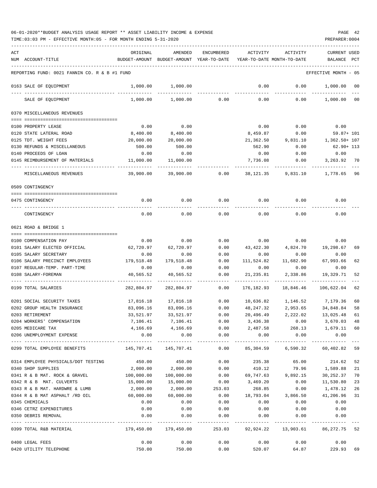| ACT                  |                                               | ORIGINAL      | AMENDED                    | <b>ENCUMBERED</b>     | ACTIVITY                   | <b>ACTIVITY</b>          | <b>CURRENT USED</b>  |     |
|----------------------|-----------------------------------------------|---------------|----------------------------|-----------------------|----------------------------|--------------------------|----------------------|-----|
| NUM ACCOUNT-TITLE    |                                               | BUDGET-AMOUNT | BUDGET-AMOUNT              | YEAR-TO-DATE          | YEAR-TO-DATE MONTH-TO-DATE |                          | BALANCE              | PCT |
|                      | REPORTING FUND: 0021 FANNIN CO. R & B #1 FUND |               |                            |                       |                            |                          | EFFECTIVE MONTH - 05 |     |
|                      | 0163 SALE OF EQUIPMENT                        | 1,000.00      | 1,000.00                   |                       | 0.00                       | 0.00                     | 1,000.00             | 00  |
|                      | SALE OF EQUIPMENT                             | 1,000.00      | 1,000.00                   | 0.00                  | 0.00                       | 0.00                     | 1,000.00             | 00  |
|                      | 0370 MISCELLANEOUS REVENUES                   |               |                            |                       |                            |                          |                      |     |
|                      |                                               |               |                            |                       |                            |                          |                      |     |
| 0100 PROPERTY LEASE  |                                               | 0.00          | 0.00                       |                       | 0.00                       | 0.00                     | 0.00                 |     |
|                      | 0120 STATE LATERAL ROAD                       | 8,400.00      | 8,400.00                   |                       | 8,459.87                   | 0.00                     | $59.87 + 101$        |     |
|                      | 0125 TDT. WEIGHT FEES                         | 20,000.00     | 20,000.00                  |                       | 21,362.50                  | 9,831.10                 | 1,362.50+ 107        |     |
|                      | 0130 REFUNDS & MISCELLANEOUS                  | 500.00        | 500.00                     |                       | 562.90                     | 0.00                     | $62.90 + 113$        |     |
|                      | 0140 PROCEEDS OF LOAN                         | 0.00          | 0.00                       |                       | 0.00                       | 0.00                     | 0.00                 |     |
|                      | 0145 REIMBURSEMENT OF MATERIALS               | 11,000.00     | 11,000.00                  |                       | 7,736.08                   | 0.00                     | 3,263.92             | 70  |
|                      | MISCELLANEOUS REVENUES                        | 39,900.00     | 39,900.00                  | 0.00                  | 38, 121.35                 | 9,831.10                 | 1,778.65             | 96  |
| 0509 CONTINGENCY     |                                               |               |                            |                       |                            |                          |                      |     |
|                      |                                               |               |                            |                       |                            |                          |                      |     |
| 0475 CONTINGENCY     |                                               | 0.00          | 0.00                       | 0.00                  | 0.00                       | 0.00                     | 0.00                 |     |
|                      | CONTINGENCY                                   | 0.00          | 0.00                       | 0.00                  | 0.00                       | 0.00                     | 0.00                 |     |
| 0621 ROAD & BRIDGE 1 |                                               |               |                            |                       |                            |                          |                      |     |
|                      |                                               |               |                            |                       |                            |                          |                      |     |
|                      | 0100 COMPENSATION PAY                         | 0.00          | 0.00                       | 0.00                  | 0.00                       | 0.00                     | 0.00                 |     |
|                      | 0101 SALARY ELECTED OFFICIAL                  | 62,720.97     | 62,720.97                  | 0.00                  | 43,422.30                  | 4,824.70                 | 19,298.67            | 69  |
|                      | 0105 SALARY SECRETARY                         | 0.00          | 0.00                       | 0.00                  | 0.00                       | 0.00                     | 0.00                 |     |
|                      | 0106 SALARY PRECINCT EMPLOYEES                | 179,518.48    | 179,518.48                 | 0.00                  | 111,524.82                 | 11,682.90                | 67,993.66            | 62  |
|                      | 0107 REGULAR-TEMP. PART-TIME                  | 0.00          | 0.00                       | 0.00                  | 0.00                       | 0.00                     | 0.00                 |     |
| 0108 SALARY-FOREMAN  |                                               | 40,565.52     | 40,565.52                  | 0.00                  | 21, 235.81                 | 2,338.86                 | 19,329.71            | 52  |
| 0199 TOTAL SALARIES  |                                               | 282,804.97    | 282,804.97                 | 0.00                  | 176, 182.93                | 18,846.46                | 106,622.04           | 62  |
|                      | 0201 SOCIAL SECURITY TAXES                    | 17,816.18     | 17,816.18                  | 0.00                  | 10,636.82                  | 1,146.52                 | 7,179.36             | 60  |
|                      | 0202 GROUP HEALTH INSURANCE                   | 83,096.16     | 83,096.16                  | 0.00                  | 48,247.32                  | 2,953.65                 | 34,848.84            | 58  |
| 0203 RETIREMENT      |                                               | 33,521.97     | 33,521.97                  | 0.00                  | 20,496.49                  | 2,222.02                 | 13,025.48            | 61  |
|                      | 0204 WORKERS' COMPENSATION                    | 7,106.41      | 7,106.41                   | 0.00                  | 3,436.38                   | 0.00                     | 3,670.03             | 48  |
| 0205 MEDICARE TAX    |                                               | 4,166.69      | 4,166.69                   | 0.00                  | 2,487.58                   | 268.13                   | 1,679.11 60          |     |
|                      | 0206 UNEMPLOYMENT EXPENSE                     | 0.00          | 0.00                       | 0.00                  | 0.00                       | 0.00                     | 0.00                 |     |
|                      | 0299 TOTAL EMPLOYEE BENEFITS                  | 145,707.41    | ------------<br>145,707.41 | -----------<br>0.00   | -----------<br>85,304.59   | ------------<br>6,590.32 | .<br>60,402.82       | 59  |
|                      | 0314 EMPLOYEE PHYSICALS/DOT TESTING           | 450.00        | 450.00                     | 0.00                  | 235.38                     | 65.00                    | 214.62               | 52  |
| 0340 SHOP SUPPLIES   |                                               | 2,000.00      | 2,000.00                   | 0.00                  | 410.12                     | 79.96                    | 1,589.88             | 21  |
|                      | 0341 R & B MAT. ROCK & GRAVEL                 | 100,000.00    | 100,000.00                 | 0.00                  | 69,747.63                  | 9,892.15                 | 30,252.37            | 70  |
|                      | 0342 R & B MAT. CULVERTS                      | 15,000.00     | 15,000.00                  | 0.00                  | 3,469.20                   | 0.00                     | 11,530.80            | 23  |
|                      | 0343 R & B MAT. HARDWRE & LUMB                | 2,000.00      | 2,000.00                   | 253.03                | 268.85                     | 0.00                     | 1,478.12             | 26  |
|                      | 0344 R & B MAT ASPHALT /RD OIL                | 60,000.00     | 60,000.00                  | 0.00                  | 18,793.04                  | 3,866.50                 | 41,206.96            | 31  |
| 0345 CHEMICALS       |                                               | 0.00          | 0.00                       | 0.00                  | 0.00                       | 0.00                     | 0.00                 |     |
|                      | 0346 CETRZ EXPENDITURES                       | 0.00          | 0.00                       | 0.00                  | 0.00                       | 0.00                     | 0.00                 |     |
| 0350 DEBRIS REMOVAL  |                                               | 0.00          | 0.00                       | 0.00<br>$- - - - - -$ | 0.00                       | 0.00                     | 0.00                 |     |
|                      | 0399 TOTAL R&B MATERIAL                       | 179,450.00    | 179,450.00                 | 253.03                | 92,924.22                  | 13,903.61                | 86, 272. 75 52       |     |
| 0400 LEGAL FEES      |                                               | 0.00          | 0.00                       | 0.00                  | 0.00                       | 0.00                     | 0.00                 |     |
|                      | 0420 UTILITY TELEPHONE                        | 750.00        | 750.00                     | 0.00                  | 520.07                     | 64.87                    | 229.93 69            |     |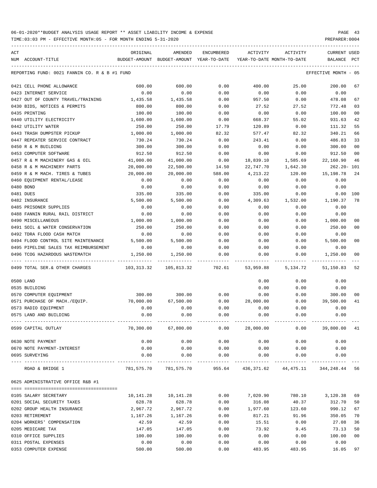| ACT |                                               | ORIGINAL   | AMENDED                                  | ENCUMBERED           | ACTIVITY                             | ACTIVITY                                                        | <b>CURRENT USED</b>  |                |
|-----|-----------------------------------------------|------------|------------------------------------------|----------------------|--------------------------------------|-----------------------------------------------------------------|----------------------|----------------|
|     | NUM ACCOUNT-TITLE                             |            | BUDGET-AMOUNT BUDGET-AMOUNT YEAR-TO-DATE |                      | YEAR-TO-DATE MONTH-TO-DATE           |                                                                 | BALANCE              | PCT            |
|     | REPORTING FUND: 0021 FANNIN CO. R & B #1 FUND |            |                                          |                      |                                      |                                                                 | EFFECTIVE MONTH - 05 |                |
|     | 0421 CELL PHONE ALLOWANCE                     | 600.00     | 600.00                                   | 0.00                 | 400.00                               | 25.00                                                           | 200.00               | 67             |
|     | 0423 INTERNET SERVICE                         | 0.00       | 0.00                                     | 0.00                 | 0.00                                 | 0.00                                                            | 0.00                 |                |
|     | 0427 OUT OF COUNTY TRAVEL/TRAINING            | 1,435.58   | 1,435.58                                 | 0.00                 | 957.50                               | 0.00                                                            | 478.08               | 67             |
|     | 0430 BIDS, NOTICES & PERMITS                  | 800.00     | 800.00                                   | 0.00                 | 27.52                                | 27.52                                                           | 772.48               | 03             |
|     | 0435 PRINTING                                 | 100.00     | 100.00                                   | 0.00                 | 0.00                                 | 0.00                                                            | 100.00               | 00             |
|     | 0440 UTILITY ELECTRICITY                      | 1,600.00   | 1,600.00                                 | 0.00                 | 668.37                               | 55.02                                                           | 931.63               | 42             |
|     | 0442 UTILITY WATER                            | 250.00     | 250.00                                   | 17.79                | 120.89                               | 0.00                                                            | 111.32               | 55             |
|     | 0443 TRASH DUMPSTER PICKUP                    | 1,000.00   | 1,000.00                                 | 82.32                | 577.47                               | 82.32                                                           | 340.21               | 66             |
|     | 0447 REPEATER SERVICE CONTRACT                | 730.24     | 730.24                                   | 0.00                 | 243.41                               | 0.00                                                            | 486.83               | 33             |
|     | 0450 R & M BUILDING                           | 300.00     | 300.00                                   | 0.00                 | 0.00                                 | 0.00                                                            | 300.00               | 0 <sub>0</sub> |
|     | 0453 COMPUTER SOFTWARE                        | 912.50     | 912.50                                   | 0.00                 | 0.00                                 | 0.00                                                            | 912.50               | 00             |
|     | 0457 R & M MACHINERY GAS & OIL                | 41,000.00  | 41,000.00                                | 0.00                 | 18,839.10                            | 1,585.69                                                        | 22,160.90            | 46             |
|     | 0458 R & M MACHINERY PARTS                    | 20,000.00  | 22,500.00                                | 14.50                | 22,747.70                            | 1,642.30                                                        | $262.20 - 101$       |                |
|     | 0459 R & M MACH. TIRES & TUBES                | 20,000.00  | 20,000.00                                | 588.00               | 4,213.22                             | 120.00                                                          | 15, 198. 78          | 24             |
|     | 0460 EQUIPMENT RENTAL/LEASE                   | 0.00       | 0.00                                     | 0.00                 | 0.00                                 | 0.00                                                            | 0.00                 |                |
|     | 0480 BOND                                     | 0.00       | 0.00                                     | 0.00                 | 0.00                                 | 0.00                                                            | 0.00                 |                |
|     | 0481 DUES                                     | 335.00     | 335.00                                   | 0.00                 | 335.00                               | 0.00                                                            | 0.00                 | 100            |
|     | 0482 INSURANCE                                | 5,500.00   | 5,500.00                                 | 0.00                 | 4,309.63                             | 1,532.00                                                        | 1,190.37             | 78             |
|     | 0485 PRISONER SUPPLIES                        | 0.00       | 0.00                                     | 0.00                 | 0.00                                 | 0.00                                                            | 0.00                 |                |
|     | 0488 FANNIN RURAL RAIL DISTRICT               | 0.00       | 0.00                                     | 0.00                 | 0.00                                 | 0.00                                                            | 0.00                 |                |
|     | 0490 MISCELLANEOUS                            | 1,000.00   | 1,000.00                                 | 0.00                 | 0.00                                 | 0.00                                                            | 1,000.00             | 00             |
|     | 0491 SOIL & WATER CONSERVATION                | 250.00     | 250.00                                   | 0.00                 | 0.00                                 | 0.00                                                            | 250.00               | 00             |
|     | 0492 TDRA FLOOD CASH MATCH                    | 0.00       | 0.00                                     | 0.00                 | 0.00                                 | 0.00                                                            | 0.00                 |                |
|     | 0494 FLOOD CONTROL SITE MAINTENANCE           | 5,500.00   | 5,500.00                                 | 0.00                 | 0.00                                 | 0.00                                                            | 5,500.00             | 00             |
|     | 0495 PIPELINE SALES TAX REIMBURSEMENT         | 0.00       | 0.00                                     | 0.00                 | 0.00                                 | 0.00                                                            | 0.00                 |                |
|     | 0496 TCOG HAZARDOUS WASTEMATCH                | 1,250.00   | 1,250.00                                 | 0.00                 | 0.00                                 | 0.00                                                            | 1,250.00             | 00             |
|     | 0499 TOTAL SER. & OTHER CHARGES               | 103,313.32 | 105,813.32                               | 702.61               | 53,959.88                            | 5,134.72                                                        | 51,150.83            | 52             |
|     | 0500 LAND                                     |            |                                          |                      | 0.00                                 | 0.00                                                            | 0.00                 |                |
|     | 0535 BUILDING                                 |            |                                          |                      | 0.00                                 | 0.00                                                            | 0.00                 |                |
|     | 0570 COMPUTER EQUIPMENT                       | 300.00     | 300.00                                   | 0.00                 | 0.00                                 | 0.00                                                            | 300.00               | 00             |
|     | 0571 PURCHASE OF MACH./EQUIP.                 | 70,000.00  | 67,500.00                                | 0.00                 | 28,000.00                            | 0.00                                                            | 39,500.00            | 41             |
|     | 0573 RADIO EQUIPMENT                          | 0.00       | 0.00                                     | 0.00                 | 0.00                                 | 0.00                                                            | 0.00                 |                |
|     | 0575 LAND AND BUILDING                        | 0.00       | 0.00                                     | 0.00                 | 0.00                                 | 0.00                                                            | 0.00                 |                |
|     | 0599 CAPITAL OUTLAY                           |            |                                          |                      | $70,300.00$ 67,800.00 0.00 28,000.00 |                                                                 | $0.00$ 39,800.00 41  |                |
|     | 0630 NOTE PAYMENT                             | 0.00       | 0.00                                     | 0.00                 | 0.00                                 | 0.00                                                            | 0.00                 |                |
|     | 0670 NOTE PAYMENT-INTEREST                    | 0.00       | 0.00                                     | 0.00                 | 0.00                                 | 0.00                                                            | 0.00                 |                |
|     | 0695 SURVEYING                                | 0.00       | 0.00                                     | 0.00<br>____________ | 0.00                                 | 0.00                                                            | 0.00                 |                |
|     | ROAD & BRIDGE 1                               |            |                                          |                      |                                      | 781,575.70 781,575.70 955.64 436,371.62 44,475.11 344,248.44 56 |                      |                |
|     | 0625 ADMINISTRATIVE OFFICE R&B #1             |            |                                          |                      |                                      |                                                                 |                      |                |
|     | 0105 SALARY SECRETARY                         |            | 10, 141. 28   10, 141. 28                | 0.00                 |                                      | 7,020.90 780.10 3,120.38                                        |                      | 69             |
|     | 0201 SOCIAL SECURITY TAXES                    | 628.78     | 628.78                                   | 0.00                 | 316.08                               | 40.37                                                           | 312.70               | 50             |
|     | 0202 GROUP HEALTH INSURANCE                   | 2,967.72   | 2,967.72                                 | 0.00                 | 1,977.60                             | 123.60                                                          | 990.12               | 67             |
|     | 0203 RETIREMENT                               | 1,167.26   | 1,167.26                                 | 0.00                 | 817.21                               | 91.96                                                           | 350.05               | 70             |
|     | 0204 WORKERS' COMPENSATION                    | 42.59      | 42.59                                    | 0.00                 | 15.51                                | 0.00                                                            | 27.08                | 36             |
|     | 0205 MEDICARE TAX                             | 147.05     | 147.05                                   | 0.00                 | 73.92                                | 9.45                                                            | 73.13                | 50             |
|     | 0310 OFFICE SUPPLIES                          | 100.00     | 100.00                                   | 0.00                 | 0.00                                 | 0.00                                                            | 100.00               | 00             |
|     | 0311 POSTAL EXPENSES                          | 0.00       | 0.00                                     | 0.00                 | 0.00                                 | 0.00                                                            | 0.00                 |                |
|     | 0353 COMPUTER EXPENSE                         | 500.00     | 500.00                                   | 0.00                 | 483.95                               | 483.95                                                          | 16.05                | 97             |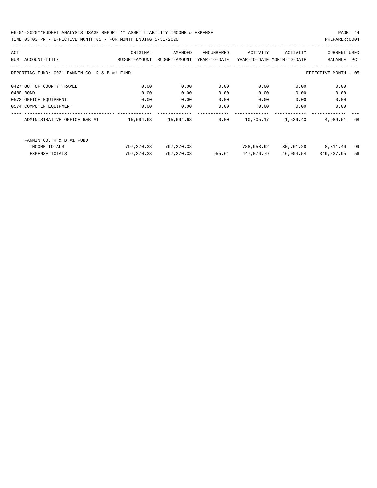TIME:03:03 PM - EFFECTIVE MONTH:05 - FOR MONTH ENDING 5-31-2020

| ACT |                                                                      | ORIGINAL            | AMENDED       | ENCUMBERED   | ACTIVITY                   | ACTIVITY           | <b>CURRENT USED</b>  |     |
|-----|----------------------------------------------------------------------|---------------------|---------------|--------------|----------------------------|--------------------|----------------------|-----|
|     | NUM ACCOUNT-TITLE                                                    | BUDGET-AMOUNT       | BUDGET-AMOUNT | YEAR-TO-DATE | YEAR-TO-DATE MONTH-TO-DATE |                    | BALANCE PCT          |     |
|     | REPORTING FUND: 0021 FANNIN CO. R & B #1 FUND                        |                     |               |              |                            |                    | EFFECTIVE MONTH - 05 |     |
|     | 0427 OUT OF COUNTY TRAVEL                                            | 0.00                | 0.00          | 0.00         | 0.00                       | 0.00               | 0.00                 |     |
|     | 0480 BOND                                                            | 0.00                | 0.00          | 0.00         | 0.00                       | 0.00               | 0.00                 |     |
|     | 0572 OFFICE EQUIPMENT                                                | 0.00                | 0.00          | 0.00         | 0.00                       | 0.00               | 0.00                 |     |
|     | 0574 COMPUTER EQUIPMENT                                              | 0.00                | 0.00          | 0.00         | 0.00                       | 0.00               | 0.00                 |     |
|     | ------------------------------------<br>ADMINISTRATIVE OFFICE R&B #1 | 15,694.68 15,694.68 |               | 0.00         |                            | 10,705.17 1,529.43 | 4,989.51             | 68  |
|     | FANNIN CO. R & B #1 FUND                                             |                     |               |              |                            |                    |                      |     |
|     | INCOME TOTALS                                                        | 797,270.38          | 797,270.38    |              | 788,958.92                 |                    | 30,761.28 8,311.46   | -99 |
|     | <b>EXPENSE TOTALS</b>                                                | 797,270.38          | 797,270.38    | 955.64       | 447,076.79                 | 46,004.54          | 349,237.95           | 56  |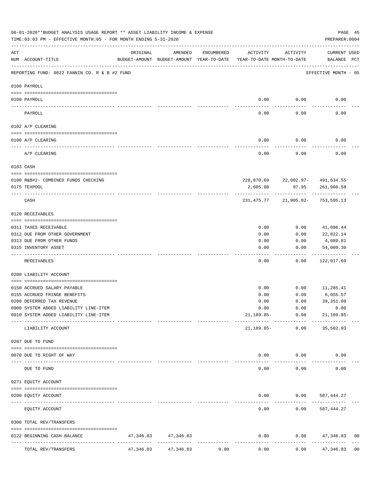|           | 06-01-2020**BUDGET ANALYSIS USAGE REPORT ** ASSET LIABILITY INCOME & EXPENSE<br>TIME: 03:03 PM - EFFECTIVE MONTH: 05 - FOR MONTH ENDING 5-31-2020 |           |                                                     |            |                                        |                                  | PREPARER: 0004              | PAGE 45        |
|-----------|---------------------------------------------------------------------------------------------------------------------------------------------------|-----------|-----------------------------------------------------|------------|----------------------------------------|----------------------------------|-----------------------------|----------------|
| ACT       | NUM ACCOUNT-TITLE                                                                                                                                 | ORIGINAL  | AMENDED<br>BUDGET-AMOUNT BUDGET-AMOUNT YEAR-TO-DATE | ENCUMBERED | ACTIVITY<br>YEAR-TO-DATE MONTH-TO-DATE | ACTIVITY                         | CURRENT USED<br>BALANCE PCT |                |
|           | REPORTING FUND: 0022 FANNIN CO. R & B #2 FUND                                                                                                     |           |                                                     |            |                                        |                                  | EFFECTIVE MONTH - 05        |                |
|           | 0100 PAYROLL                                                                                                                                      |           |                                                     |            |                                        |                                  |                             |                |
|           | 0100 PAYROLL                                                                                                                                      |           |                                                     |            | 0.00                                   | 0.00                             | 0.00                        |                |
|           | PAYROLL                                                                                                                                           |           |                                                     |            | 0.00                                   | 0.00                             | 0.00                        |                |
|           | 0102 A/P CLEARING                                                                                                                                 |           |                                                     |            |                                        |                                  |                             |                |
|           | 0100 A/P CLEARING                                                                                                                                 |           |                                                     |            | 0.00                                   | 0.00                             | 0.00                        |                |
|           | A/P CLEARING                                                                                                                                      |           |                                                     |            | 0.00                                   | 0.00                             | 0.00                        |                |
|           | 0103 CASH                                                                                                                                         |           |                                                     |            |                                        |                                  |                             |                |
|           | 0100 R&B#2- COMBINED FUNDS CHECKING                                                                                                               |           |                                                     |            |                                        |                                  |                             |                |
|           | 0175 TEXPOOL                                                                                                                                      |           |                                                     |            | 2,605.08                               | 228,870.69 22,002.97- 491,634.55 | 97.95 261,960.58            |                |
|           | CASH                                                                                                                                              |           |                                                     |            | 231,475.77                             | .<br>21,905.02-753,595.13        |                             |                |
|           | 0120 RECEIVABLES                                                                                                                                  |           |                                                     |            |                                        |                                  |                             |                |
|           | 0311 TAXES RECEIVABLE                                                                                                                             |           |                                                     |            | 0.00                                   | 0.00                             | 41,096.44                   |                |
|           | 0312 DUE FROM OTHER GOVERNMENT                                                                                                                    |           |                                                     |            | 0.00                                   | 0.00                             | 22,822.14                   |                |
|           | 0313 DUE FROM OTHER FUNDS                                                                                                                         |           |                                                     |            | 0.00                                   | 0.00                             | 4,089.81                    |                |
|           | 0315 INVENTORY ASSET                                                                                                                              |           |                                                     |            | 0.00                                   | 0.00                             | 54,009.30<br>----------     |                |
|           | RECEIVABLES                                                                                                                                       |           |                                                     |            | 0.00                                   | 0.00                             | 122,017.69                  |                |
|           | 0200 LIABILITY ACCOUNT                                                                                                                            |           |                                                     |            |                                        |                                  |                             |                |
|           | 0150 ACCRUED SALARY PAYABLE                                                                                                                       |           |                                                     |            | 0.00                                   | 0.00                             | 11,285.41                   |                |
|           | 0155 ACCRUED FRINGE BENEFITS                                                                                                                      |           |                                                     |            | 0.00                                   | 0.00                             | 6,055.57                    |                |
|           | 0200 DEFERRED TAX REVENUE                                                                                                                         |           |                                                     |            | 0.00                                   | 0.00                             | 39, 351.80                  |                |
|           | 0900 SYSTEM ADDED LIABILITY LINE-ITEM                                                                                                             |           |                                                     |            | 0.00                                   | 0.00                             | 0.00                        |                |
|           | 0910 SYSTEM ADDED LIABILITY LINE-ITEM                                                                                                             |           |                                                     |            |                                        | 21,189.85- 0.00                  | $21,189.85-$                |                |
|           | LIABILITY ACCOUNT                                                                                                                                 |           |                                                     |            | 21,189.85-                             | 0.00                             | 35,502.93                   |                |
|           | 0207 DUE TO FUND                                                                                                                                  |           |                                                     |            |                                        |                                  |                             |                |
|           | 0070 DUE TO RIGHT OF WAY                                                                                                                          |           |                                                     |            |                                        | $0.00$ $0.00$                    | 0.00                        |                |
| $- - - -$ | DUE TO FUND                                                                                                                                       |           | --------------                                      |            | $- - - - -$<br>0.00                    | . <u>.</u> .<br>0.00             | 0.00                        |                |
|           | 0271 EQUITY ACCOUNT                                                                                                                               |           |                                                     |            |                                        |                                  |                             |                |
|           | 0200 EQUITY ACCOUNT                                                                                                                               |           |                                                     |            |                                        | $0.00$ $0.00$ $587,444.27$       |                             |                |
|           | EQUITY ACCOUNT                                                                                                                                    |           |                                                     |            | -----<br>0.00                          | 0.00                             | 587,444.27                  |                |
|           | 0300 TOTAL REV/TRANSFERS                                                                                                                          |           |                                                     |            |                                        |                                  |                             |                |
|           | 0122 BEGINNING CASH BALANCE                                                                                                                       |           | 47, 346.83 47, 346.83                               |            | 0.00                                   |                                  | $0.00$ $47,346.83$          | 0 <sub>0</sub> |
|           | TOTAL REV/TRANSFERS                                                                                                                               | 47,346.83 | 47,346.83                                           | 0.00       | 0.00                                   | 0.00                             | 47,346.83                   | 0 <sub>0</sub> |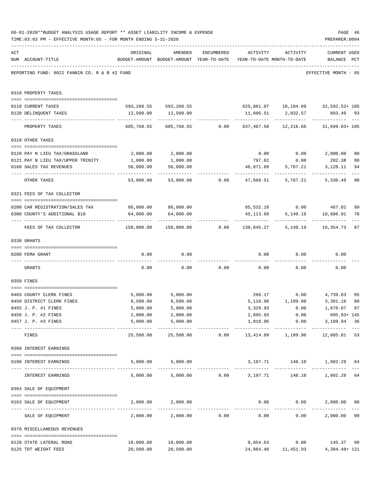|     | 06-01-2020**BUDGET ANALYSIS USAGE REPORT ** ASSET LIABILITY INCOME & EXPENSE<br>TIME: 03:03 PM - EFFECTIVE MONTH: 05 - FOR MONTH ENDING 5-31-2020 |                                         |                                                                                |            |                                    |                           | PAGE 46<br>PREPARER: 0004                                                       |                |
|-----|---------------------------------------------------------------------------------------------------------------------------------------------------|-----------------------------------------|--------------------------------------------------------------------------------|------------|------------------------------------|---------------------------|---------------------------------------------------------------------------------|----------------|
| ACT | NUM ACCOUNT-TITLE                                                                                                                                 | ORIGINAL                                | AMENDED<br>BUDGET-AMOUNT BUDGET-AMOUNT YEAR-TO-DATE YEAR-TO-DATE MONTH-TO-DATE | ENCUMBERED |                                    | ACTIVITY ACTIVITY         | <b>CURRENT USED</b><br>BALANCE PCT                                              |                |
|     | REPORTING FUND: 0022 FANNIN CO. R & B #2 FUND                                                                                                     |                                         |                                                                                |            |                                    |                           | EFFECTIVE MONTH - 05                                                            |                |
|     | 0310 PROPERTY TAXES                                                                                                                               |                                         |                                                                                |            |                                    |                           |                                                                                 |                |
|     | 0110 CURRENT TAXES                                                                                                                                |                                         |                                                                                |            |                                    |                           | 593,268.55 593,268.55 625,861.07 10,184.09 32,592.52+105                        |                |
|     | 0120 DELINQUENT TAXES                                                                                                                             |                                         | 12,500.00   12,500.00                                                          |            |                                    |                           | 11,606.51 2,032.57 893.49 93                                                    |                |
|     | PROPERTY TAXES                                                                                                                                    | 605,768.55                              |                                                                                |            |                                    | ------------ ------------ | ------------------                                                              |                |
|     | 0318 OTHER TAXES                                                                                                                                  |                                         |                                                                                |            |                                    |                           |                                                                                 |                |
|     |                                                                                                                                                   |                                         |                                                                                |            |                                    |                           |                                                                                 |                |
|     | 0120 PAY N LIEU TAX/GRASSLAND                                                                                                                     | 2,000.00                                | 2,000.00                                                                       |            |                                    |                           | $0.00$ $0.00$ $2,000.00$                                                        | 0 <sub>0</sub> |
|     | 0121 PAY N LIEU TAX/UPPER TRINITY                                                                                                                 | 1,000.00                                | 1,000.00                                                                       |            | 797.62                             | 0.00                      | 202.38                                                                          | 80             |
|     | 0160 SALES TAX REVENUES                                                                                                                           | 50,000.00<br>------------ ------------- | 50,000.00                                                                      |            |                                    | 46,871.89 5,767.21        | 3,128.11<br>-----------                                                         | 94             |
|     | OTHER TAXES                                                                                                                                       | 53,000.00                               |                                                                                |            |                                    |                           | 5,330.49                                                                        | 90             |
|     | 0321 FEES OF TAX COLLECTOR                                                                                                                        |                                         |                                                                                |            |                                    |                           |                                                                                 |                |
|     |                                                                                                                                                   | 86,000.00 86,000.00                     |                                                                                |            |                                    |                           |                                                                                 |                |
|     | 0200 CAR REGISTRATION/SALES TAX<br>0300 COUNTY'S ADDITIONAL \$10                                                                                  | 64,000.00                               | 64,000.00                                                                      |            | 45,113.09                          |                           | 85,532.18 0.00 467.82<br>5, 149.19 18, 886.91                                   | 99<br>70       |
|     | FEES OF TAX COLLECTOR                                                                                                                             |                                         |                                                                                |            |                                    |                           | _____________<br>$150,000.00$ $150,000.00$ 0.00 $130,645.27$ 5,149.19 19,354.73 | 87             |
|     | 0330 GRANTS                                                                                                                                       |                                         |                                                                                |            |                                    |                           |                                                                                 |                |
|     |                                                                                                                                                   |                                         |                                                                                |            |                                    |                           |                                                                                 |                |
|     | 0200 FEMA GRANT                                                                                                                                   | 0.00                                    | 0.00                                                                           |            |                                    | $0.00$ $0.00$             | 0.00                                                                            |                |
|     | GRANTS                                                                                                                                            | 0.00                                    |                                                                                |            | $0.00$ $0.00$ $0.00$ $0.00$ $0.00$ |                           | 0.00                                                                            |                |
|     | 0350 FINES                                                                                                                                        |                                         |                                                                                |            |                                    |                           |                                                                                 |                |
|     | 0403 COUNTY CLERK FINES                                                                                                                           | 5,000.00                                | 5,000.00                                                                       |            |                                    |                           | 260.17 0.00 4,739.83                                                            | 0 <sub>5</sub> |
|     | 0450 DISTRICT CLERK FINES                                                                                                                         | 8,500.00                                | 8,500.00                                                                       |            |                                    | 5, 118.90 1, 189.90       | 3,381.10                                                                        | 60             |
|     | 0455 J. P. #1 FINES                                                                                                                               | 5,000.00                                | 5,000.00                                                                       |            | 3,329.93                           | 0.00                      | 1,670.07 67                                                                     |                |
|     | 0456 J. P. #2 FINES                                                                                                                               | 2,000.00                                | 2,000.00                                                                       |            | 2,895.93                           | 0.00                      | 895.93+ 145                                                                     |                |
|     | 0457 J. P. #3 FINES                                                                                                                               | 5,000.00                                | 5,000.00<br>. <u>.</u>                                                         |            |                                    |                           | 1,810.06   0.00   3,189.94   36<br>-------------                                |                |
|     | FINES                                                                                                                                             | 25,500.00                               |                                                                                |            |                                    |                           | 25,500.00   0.00   13,414.99   1,189.90   12,085.01                             | 53             |
|     | 0360 INTEREST EARNINGS                                                                                                                            |                                         |                                                                                |            |                                    |                           |                                                                                 |                |
|     | 0100 INTEREST EARNINGS                                                                                                                            |                                         | 5,000.00 5,000.00                                                              |            |                                    |                           | 3,197.71 148.10 1,802.29 64                                                     |                |
|     | ---------------------------------- --<br>INTEREST EARNINGS                                                                                        |                                         |                                                                                |            |                                    |                           | 5,000.00 5,000.00 0.00 3,197.71 148.10 1,802.29 64                              |                |
|     | 0364 SALE OF EQUIPMENT                                                                                                                            |                                         |                                                                                |            |                                    |                           |                                                                                 |                |
|     | --------------------------------------<br>0163 SALE OF EQUIPMENT                                                                                  |                                         | 2,000.00 2,000.00                                                              |            |                                    | $0.00$ $0.00$             | 2,000.00 00                                                                     |                |
|     | SALE OF EQUIPMENT                                                                                                                                 |                                         | $2,000.00$ $2,000.00$ $0.00$                                                   |            | 0.00                               | 0.00                      | -------------<br>2,000.00 00                                                    |                |
|     | 0370 MISCELLANEOUS REVENUES                                                                                                                       |                                         |                                                                                |            |                                    |                           |                                                                                 |                |
|     | 0120 STATE LATERAL ROAD                                                                                                                           | 10,000.00                               | 10,000.00                                                                      |            | 9,854.63                           |                           | $0.00$ 145.37                                                                   | 99             |
|     | 0125 TDT WEIGHT FEES                                                                                                                              | 20,500.00                               | 20,500.00                                                                      |            |                                    |                           | 24,884.48   11,451.93   4,384.48+ 121                                           |                |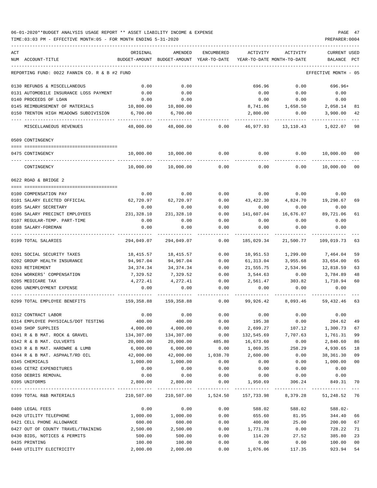### 06-01-2020\*\*BUDGET ANALYSIS USAGE REPORT \*\* ASSET LIABILITY INCOME & EXPENSE PAGE 47 TIME:03:03 PM - EFFECTIVE MONTH:05 - FOR MONTH ENDING 5-31-2020 PREPARER:0004

| ACT                                           | ORIGINAL      | AMENDED            | <b>ENCUMBERED</b> | ACTIVITY        | ACTIVITY                                                        | <b>CURRENT USED</b>  |     |
|-----------------------------------------------|---------------|--------------------|-------------------|-----------------|-----------------------------------------------------------------|----------------------|-----|
| NUM ACCOUNT-TITLE                             | BUDGET-AMOUNT | BUDGET-AMOUNT      | YEAR-TO-DATE      |                 | YEAR-TO-DATE MONTH-TO-DATE                                      | BALANCE              | PCT |
| REPORTING FUND: 0022 FANNIN CO. R & B #2 FUND |               |                    |                   |                 |                                                                 | EFFECTIVE MONTH - 05 |     |
| 0130 REFUNDS & MISCELLANEOUS                  | 0.00          | 0.00               |                   | 696.96          | 0.00                                                            | 696.96+              |     |
| 0131 AUTOMOBILE INSURANCE LOSS PAYMENT        | 0.00          | 0.00               |                   | 0.00            | 0.00                                                            | 0.00                 |     |
| 0140 PROCEEDS OF LOAN                         | 0.00          | 0.00               |                   | 0.00            | 0.00                                                            | 0.00                 |     |
| 0145 REIMBURSEMENT OF MATERIALS               | 10,800.00     | 10,800.00          |                   | 8,741.86        | 1,658.50                                                        | 2,058.14             | 81  |
| 0150 TRENTON HIGH MEADOWS SUBDIVISION         | 6,700.00      | 6,700.00           |                   | 2,800.00        | 0.00                                                            | 3,900.00             | 42  |
| MISCELLANEOUS REVENUES                        | 48,000.00     | 48,000.00          | 0.00              | 46,977.93       | 13,110.43                                                       | 1,022.07             | 98  |
| 0509 CONTINGENCY                              |               |                    |                   |                 |                                                                 |                      |     |
| 0475 CONTINGENCY                              | 10,000.00     | 10,000.00          | 0.00              | 0.00            | 0.00                                                            | 10,000.00            | 00  |
| CONTINGENCY                                   | 10,000.00     | 10,000.00          | 0.00              | 0.00            | 0.00                                                            | 10,000.00            | 00  |
| 0622 ROAD & BRIDGE 2                          |               |                    |                   |                 |                                                                 |                      |     |
| 0100 COMPENSATION PAY                         | 0.00          | 0.00               | 0.00              |                 | $0.00$ 0.00                                                     | 0.00                 |     |
| 0101 SALARY ELECTED OFFICIAL                  | 62,720.97     | 62,720.97          | 0.00              | 43,422.30       | 4,824.70                                                        | 19,298.67            | 69  |
| 0105 SALARY SECRETARY                         | 0.00          | 0.00               | 0.00              | 0.00            | 0.00                                                            | 0.00                 |     |
| 0106 SALARY PRECINCT EMPLOYEES                | 231,328.10    | 231,328.10         | 0.00              | 141,607.04      | 16,676.07                                                       | 89,721.06            | 61  |
| 0107 REGULAR-TEMP. PART-TIME                  | 0.00          | 0.00               | 0.00              | 0.00            | 0.00                                                            | 0.00                 |     |
| 0108 SALARY-FOREMAN                           | 0.00          | 0.00               | 0.00              | 0.00            | 0.00                                                            | 0.00                 |     |
| 0199 TOTAL SALARIES                           | 294,049.07    | 294,049.07         | ----<br>0.00      | 185,029.34      | 21,500.77                                                       | 109,019.73           | 63  |
| 0201 SOCIAL SECURITY TAXES                    | 18,415.57     | 18,415.57          | 0.00              | 10,951.53       | 1,299.00                                                        | 7,464.04             | 59  |
| 0202 GROUP HEALTH INSURANCE                   | 94,967.04     | 94,967.04          | 0.00              | 61,313.04       | 3,955.68                                                        | 33,654.00            | 65  |
| 0203 RETIREMENT                               | 34,374.34     | 34, 374. 34        | 0.00              | 21,555.75       | 2,534.96                                                        | 12,818.59            | 63  |
| 0204 WORKERS' COMPENSATION                    | 7,329.52      | 7,329.52           | 0.00              | 3,544.63        | 0.00                                                            | 3,784.89             | 48  |
| 0205 MEDICARE TAX                             | 4,272.41      | 4,272.41           | 0.00              | 2,561.47        | 303.82                                                          | 1,710.94             | 60  |
| 0206 UNEMPLOYMENT EXPENSE                     | 0.00          | 0.00               | 0.00              | 0.00            | 0.00                                                            | 0.00                 |     |
| 0299 TOTAL EMPLOYEE BENEFITS                  | 159,358.88    | 159,358.88         | 0.00              | 99,926.42       | 8,093.46                                                        | 59,432.46            | 63  |
| 0312 CONTRACT LABOR                           | 0.00          | 0.00               | 0.00              | 0.00            | 0.00                                                            | 0.00                 |     |
| 0314 EMPLOYEE PHYSICALS/DOT TESTING           | 400.00        | 400.00             | 0.00              | 195.38          | 0.00                                                            | 204.62               | 49  |
| 0340 SHOP SUPPLIES                            | 4,000.00      | 4,000.00           | 0.00              | 2,699.27        | 107.12                                                          | 1,300.73             | 67  |
| 0341 R & B MAT. ROCK & GRAVEL                 | 134,307.00    | 134,307.00         | 0.00              | 132,545.69      | 7,707.63                                                        | 1,761.31             | 99  |
| 0342 R & B MAT. CULVERTS                      | 20,000.00     | 20,000.00          | 485.80            | 16,673.60       | 0.00                                                            | 2,840.60             | 86  |
| 0343 R & B MAT. HARDWRE & LUMB                | 6,000.00      | 6,000.00           |                   | $0.00$ 1,069.35 | 258.29                                                          | 4,930.65             | 18  |
| 0344 R & B MAT. ASPHALT/RD OIL                | 42,000.00     | 42,000.00 1,038.70 |                   | 2,600.00        | 0.00                                                            | 38,361.30            | 09  |
| 0345 CHEMICALS                                | 1,000.00      | 1,000.00           | 0.00              | 0.00            | 0.00                                                            | 1,000.00             | 00  |
| 0346 CETRZ EXPENDITURES                       | 0.00          | 0.00               | 0.00              | 0.00            | 0.00                                                            | 0.00                 |     |
| 0350 DEBRIS REMOVAL                           | 0.00          | 0.00               | 0.00              | 0.00            | 0.00                                                            | 0.00                 |     |
| 0395 UNIFORMS                                 | 2,800.00      | 2,800.00           |                   |                 | $0.00$ 1,950.69 306.24                                          | 849.31               | 70  |
| 0399 TOTAL R&B MATERIALS                      |               |                    |                   |                 | 210,507.00 210,507.00 1,524.50 157,733.98 8,379.28 51,248.52 76 |                      |     |
| 0400 LEGAL FEES                               | 0.00          | 0.00               | 0.00              | 588.02          | 588.02                                                          | 588.02-              |     |
| 0420 UTILITY TELEPHONE                        | 1,000.00      | 1,000.00           | 0.00              | 655.60          | 81.95                                                           | 344.40               | 66  |
| 0421 CELL PHONE ALLOWANCE                     | 600.00        | 600.00             | 0.00              | 400.00          | 25.00                                                           | 200.00               | 67  |
| 0427 OUT OF COUNTY TRAVEL/TRAINING            | 2,500.00      | 2,500.00           | 0.00              | 1,771.78        | 0.00                                                            | 728.22               | 71  |
| 0430 BIDS, NOTICES & PERMITS                  | 500.00        | 500.00             | 0.00              | 114.20          | 27.52                                                           | 385.80               | 23  |
| 0435 PRINTING                                 | 100.00        | 100.00             | 0.00              | 0.00            | 0.00                                                            | 100.00               | 00  |
| 0440 UTILITY ELECTRICITY                      | 2,000.00      | 2,000.00           | 0.00              | 1,076.06        | 117.35                                                          | 923.94               | 54  |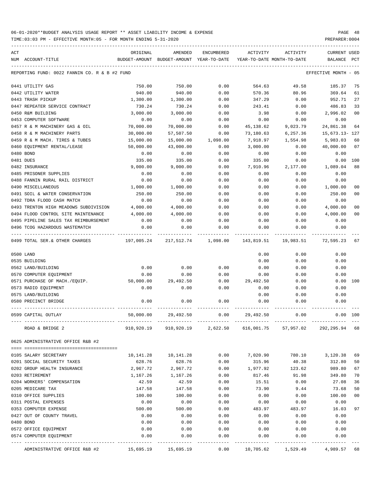| ACT |                                               | ORIGINAL   | AMENDED                                                           | <b>ENCUMBERED</b>    | ACTIVITY                   | ACTIVITY  | <b>CURRENT USED</b>  |                |
|-----|-----------------------------------------------|------------|-------------------------------------------------------------------|----------------------|----------------------------|-----------|----------------------|----------------|
|     | NUM ACCOUNT-TITLE                             |            | BUDGET-AMOUNT BUDGET-AMOUNT YEAR-TO-DATE                          |                      | YEAR-TO-DATE MONTH-TO-DATE |           | <b>BALANCE</b>       | PCT            |
|     | REPORTING FUND: 0022 FANNIN CO. R & B #2 FUND |            |                                                                   |                      |                            |           | EFFECTIVE MONTH - 05 |                |
|     | 0441 UTILITY GAS                              | 750.00     | 750.00                                                            | 0.00                 | 564.63                     | 49.58     | 185.37               | 75             |
|     | 0442 UTILITY WATER                            | 940.00     | 940.00                                                            | 0.00                 | 570.36                     | 80.96     | 369.64               | 61             |
|     | 0443 TRASH PICKUP                             | 1,300.00   | 1,300.00                                                          | 0.00                 | 347.29                     | 0.00      | 952.71               | 27             |
|     | 0447 REPEATER SERVICE CONTRACT                | 730.24     | 730.24                                                            | 0.00                 | 243.41                     | 0.00      | 486.83               | 33             |
|     | 0450 R&M BUILDING                             | 3,000.00   | 3,000.00                                                          | 0.00                 | 3.98                       | 0.00      | 2,996.02             | 0 <sup>0</sup> |
|     | 0453 COMPUTER SOFTWARE                        | 0.00       | 0.00                                                              | 0.00                 | 0.00                       | 0.00      | 0.00                 |                |
|     | 0457 R & M MACHINERY GAS & OIL                | 70,000.00  | 70,000.00                                                         | 0.00                 | 45,138.62                  | 9,023.79  | 24,861.38            | 64             |
|     | 0458 R & M MACHINERY PARTS                    | 30,000.00  | 57,507.50                                                         | 0.00                 | 73,180.63                  | 6,257.36  | 15,673.13- 127       |                |
|     | 0459 R & M MACH. TIRES & TUBES                | 15,000.00  | 15,000.00                                                         | 1,098.00             | 7,918.97                   | 1,554.98  | 5,983.03             | 60             |
|     | 0460 EQUIPMENT RENTAL/LEASE                   | 50,000.00  | 43,000.00                                                         | 0.00                 | 3,000.00                   | 0.00      | 40,000.00            | 07             |
|     | 0480 BOND                                     | 0.00       | 0.00                                                              | 0.00                 | 0.00                       | 0.00      | 0.00                 |                |
|     | 0481 DUES                                     | 335.00     | 335.00                                                            | 0.00                 | 335.00                     | 0.00      | 0.00                 | 100            |
|     | 0482 INSURANCE                                | 9,000.00   | 9,000.00                                                          | 0.00                 | 7,910.96                   | 2,177.00  | 1,089.04             | 88             |
|     | 0485 PRISONER SUPPLIES                        | 0.00       | 0.00                                                              | 0.00                 | 0.00                       | 0.00      | 0.00                 |                |
|     | 0488 FANNIN RURAL RAIL DISTRICT               | 0.00       | 0.00                                                              | 0.00                 | 0.00                       | 0.00      | 0.00                 |                |
|     | 0490 MISCELLANEOUS                            | 1,000.00   | 1,000.00                                                          | 0.00                 | 0.00                       | 0.00      | 1,000.00             | 00             |
|     | 0491 SOIL & WATER CONSERVATION                | 250.00     | 250.00                                                            | 0.00                 | 0.00                       | 0.00      | 250.00               | 00             |
|     | 0492 TDRA FLOOD CASH MATCH                    | 0.00       | 0.00                                                              | 0.00                 | 0.00                       | 0.00      | 0.00                 |                |
|     | 0493 TRENTON HIGH MEADOWS SUBDIVISION         | 4,000.00   | 4,000.00                                                          | 0.00                 | 0.00                       | 0.00      | 4,000.00             | 00             |
|     | 0494 FLOOD CONTROL SITE MAINTENANCE           | 4,000.00   | 4,000.00                                                          | 0.00                 | 0.00                       | 0.00      | 4,000.00             | 0 <sup>0</sup> |
|     | 0495 PIPELINE SALES TAX REIMBURSEMENT         | 0.00       | 0.00                                                              | 0.00                 | 0.00                       | 0.00      | 0.00                 |                |
|     | 0496 TCOG HAZARDOUS WASTEMATCH                | 0.00       | 0.00                                                              | 0.00                 | 0.00                       | 0.00      | 0.00                 |                |
|     | 0499 TOTAL SER.& OTHER CHARGES                | 197,005.24 | 217,512.74                                                        | 1,098.00             | 143,819.51                 | 19,983.51 | 72,595.23            | 67             |
|     | 0500 LAND                                     |            |                                                                   |                      | 0.00                       | 0.00      | 0.00                 |                |
|     | 0535 BUILDING                                 |            |                                                                   |                      | 0.00                       | 0.00      | 0.00                 |                |
|     | 0562 LAND/BUILDING                            | 0.00       | 0.00                                                              | 0.00                 | 0.00                       | 0.00      | 0.00                 |                |
|     | 0570 COMPUTER EQUIPMENT                       | 0.00       | 0.00                                                              | 0.00                 | 0.00                       | 0.00      | 0.00                 |                |
|     | 0571 PURCHASE OF MACH./EQUIP.                 | 50,000.00  | 29,492.50                                                         | 0.00                 | 29,492.50                  | 0.00      | 0.00                 | 100            |
|     | 0573 RADIO EQUIPMENT                          | 0.00       | 0.00                                                              | 0.00                 | 0.00                       | 0.00      | 0.00                 |                |
|     | 0575 LAND/BUILDING                            |            |                                                                   |                      | 0.00                       | 0.00      | 0.00                 |                |
|     | 0580 PRECINCT BRIDGE                          | 0.00       | 0.00                                                              | 0.00                 | 0.00                       | 0.00      | 0.00                 |                |
|     | 0599 CAPITAL OUTLAY                           | 50,000.00  | 29,492.50                                                         | 0.00                 | 29,492.50                  | 0.00      | 0.00                 | 100            |
|     | ROAD & BRIDGE 2                               |            | 910,920.19 910,920.19 2,622.50 616,001.75 57,957.02 292,295.94 68 |                      |                            |           |                      |                |
|     | 0625 ADMINISTRATIVE OFFICE R&B #2             |            |                                                                   |                      |                            |           |                      |                |
|     | 0105 SALARY SECRETARY                         | 10,141.28  | 10,141.28                                                         | 0.00                 | 7,020.90                   |           | 780.10 3,120.38      | 69             |
|     | 0201 SOCIAL SECURITY TAXES                    | 628.76     | 628.76                                                            | 0.00                 | 315.96                     | 40.38     | 312.80               | 50             |
|     | 0202 GROUP HEALTH INSURANCE                   | 2,967.72   | 2,967.72                                                          | 0.00                 | 1,977.92                   | 123.62    | 989.80               | 67             |
|     | 0203 RETIREMENT                               | 1,167.26   | 1,167.26                                                          | 0.00                 | 817.46                     | 91.98     | 349.80               | 70             |
|     | 0204 WORKERS' COMPENSATION                    | 42.59      | 42.59                                                             | 0.00                 | 15.51                      | 0.00      | 27.08                | 36             |
|     | 0205 MEDICARE TAX                             | 147.58     | 147.58                                                            | 0.00                 | 73.90                      | 9.44      | 73.68                | 50             |
|     | 0310 OFFICE SUPPLIES                          | 100.00     | 100.00                                                            | 0.00                 | 0.00                       | 0.00      | 100.00               | 00             |
|     | 0311 POSTAL EXPENSES                          | 0.00       | 0.00                                                              | 0.00                 | 0.00                       | 0.00      | 0.00                 |                |
|     | 0353 COMPUTER EXPENSE                         | 500.00     | 500.00                                                            | 0.00                 | 483.97                     | 483.97    | 16.03                | 97             |
|     | 0427 OUT OF COUNTY TRAVEL                     | 0.00       | 0.00                                                              | 0.00                 | 0.00                       | 0.00      | 0.00                 |                |
|     | 0480 BOND                                     | 0.00       | 0.00                                                              | 0.00                 | 0.00                       | 0.00      | 0.00                 |                |
|     | 0572 OFFICE EQUIPMENT                         | 0.00       | 0.00                                                              | 0.00                 | 0.00                       | 0.00      | 0.00                 |                |
|     | 0574 COMPUTER EQUIPMENT                       | 0.00       | 0.00                                                              | 0.00                 | 0.00                       | 0.00      | 0.00                 |                |
|     | ADMINISTRATIVE OFFICE R&B #2                  | 15,695.19  | 15,695.19                                                         | . <u>.</u> .<br>0.00 | 10,705.62                  | 1,529.49  | 4,989.57             | 68             |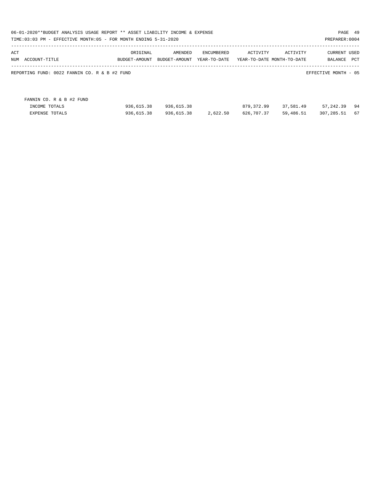| 06-01-2020**BUDGET ANALYSIS USAGE REPORT ** ASSET LIABILITY INCOME & EXPENSE<br>PAGE 49<br>TIME:03:03 PM - EFFECTIVE MONTH:05 - FOR MONTH ENDING 5-31-2020<br>PREPARER: 0004 |               |               |              |                            |           |                      |     |  |  |
|------------------------------------------------------------------------------------------------------------------------------------------------------------------------------|---------------|---------------|--------------|----------------------------|-----------|----------------------|-----|--|--|
| ACT                                                                                                                                                                          | ORIGINAL      | AMENDED       | ENCUMBERED   | ACTIVITY                   | ACTIVITY  | <b>CURRENT USED</b>  |     |  |  |
| NUM ACCOUNT-TITLE                                                                                                                                                            | BUDGET-AMOUNT | BUDGET-AMOUNT | YEAR-TO-DATE | YEAR-TO-DATE MONTH-TO-DATE |           | BALANCE              | PCT |  |  |
| REPORTING FUND: 0022 FANNIN CO. R & B #2 FUND                                                                                                                                |               |               |              |                            |           | EFFECTIVE MONTH - 05 |     |  |  |
| FANNIN CO. R & B #2 FUND                                                                                                                                                     |               |               |              |                            |           |                      |     |  |  |
| INCOME TOTALS                                                                                                                                                                | 936,615.38    | 936,615.38    |              | 879,372.99                 | 37,581.49 | 57,242.39            | 94  |  |  |
| <b>EXPENSE TOTALS</b>                                                                                                                                                        | 936,615.38    | 936,615.38    | 2,622.50     | 626,707.37                 | 59,486.51 | 307, 285.51          | 67  |  |  |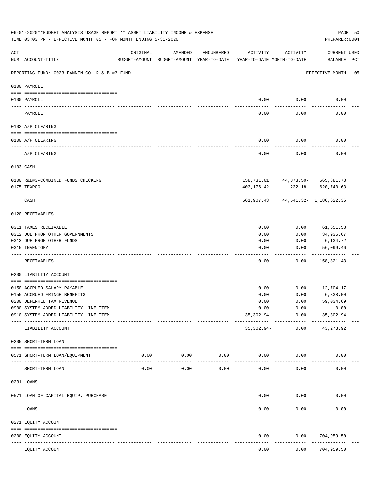|     | 06-01-2020**BUDGET ANALYSIS USAGE REPORT ** ASSET LIABILITY INCOME & EXPENSE<br>TIME: 03:03 PM - EFFECTIVE MONTH: 05 - FOR MONTH ENDING 5-31-2020 |          |                                                                                |                     |              |                                | PREPARER: 0004                                     | PAGE 50 |
|-----|---------------------------------------------------------------------------------------------------------------------------------------------------|----------|--------------------------------------------------------------------------------|---------------------|--------------|--------------------------------|----------------------------------------------------|---------|
| ACT | NUM ACCOUNT-TITLE                                                                                                                                 | ORIGINAL | AMENDED<br>BUDGET-AMOUNT BUDGET-AMOUNT YEAR-TO-DATE YEAR-TO-DATE MONTH-TO-DATE | ENCUMBERED          | ACTIVITY     | ACTIVITY                       | <b>CURRENT USED</b><br>BALANCE PCT                 |         |
|     | REPORTING FUND: 0023 FANNIN CO. R & B #3 FUND                                                                                                     |          |                                                                                |                     |              |                                | EFFECTIVE MONTH - 05                               |         |
|     | 0100 PAYROLL                                                                                                                                      |          |                                                                                |                     |              |                                |                                                    |         |
|     | 0100 PAYROLL                                                                                                                                      |          |                                                                                |                     | 0.00         | 0.00                           | 0.00                                               |         |
|     | PAYROLL                                                                                                                                           |          |                                                                                |                     | 0.00         | 0.00                           | 0.00                                               |         |
|     | 0102 A/P CLEARING                                                                                                                                 |          |                                                                                |                     |              |                                |                                                    |         |
|     | 0100 A/P CLEARING                                                                                                                                 |          |                                                                                |                     | 0.00         | 0.00                           | 0.00                                               |         |
|     | A/P CLEARING                                                                                                                                      |          |                                                                                |                     | 0.00         | 0.00                           | 0.00                                               |         |
|     | 0103 CASH                                                                                                                                         |          |                                                                                |                     |              |                                |                                                    |         |
|     |                                                                                                                                                   |          |                                                                                |                     |              |                                |                                                    |         |
|     | 0100 R&B#3-COMBINED FUNDS CHECKING<br>0175 TEXPOOL                                                                                                |          |                                                                                |                     | 403,176.42   | 232.18                         | 158, 731.01 44, 873.50 - 565, 881.73<br>620,740.63 |         |
|     |                                                                                                                                                   |          |                                                                                |                     |              |                                |                                                    |         |
|     | CASH                                                                                                                                              |          |                                                                                |                     |              |                                | 561,907.43 44,641.32- 1,186,622.36                 |         |
|     | 0120 RECEIVABLES                                                                                                                                  |          |                                                                                |                     |              |                                |                                                    |         |
|     | 0311 TAXES RECEIVABLE                                                                                                                             |          |                                                                                |                     | 0.00         | 0.00                           | 61,651.58                                          |         |
|     | 0312 DUE FROM OTHER GOVERNMENTS                                                                                                                   |          |                                                                                |                     | 0.00         | 0.00                           | 34,935.67                                          |         |
|     | 0313 DUE FROM OTHER FUNDS                                                                                                                         |          |                                                                                |                     | 0.00         | 0.00                           | 6,134.72                                           |         |
|     | 0315 INVENTORY                                                                                                                                    |          |                                                                                |                     | 0.00         | 0.00                           | 56,099.46<br>----------                            |         |
|     | RECEIVABLES                                                                                                                                       |          |                                                                                |                     | 0.00         | 0.00                           | 158,821.43                                         |         |
|     | 0200 LIABILITY ACCOUNT                                                                                                                            |          |                                                                                |                     |              |                                |                                                    |         |
|     |                                                                                                                                                   |          |                                                                                |                     |              |                                |                                                    |         |
|     | 0150 ACCRUED SALARY PAYABLE                                                                                                                       |          |                                                                                |                     | 0.00         | 0.00                           | 12,704.17                                          |         |
|     | 0155 ACCRUED FRINGE BENEFITS<br>0200 DEFERRED TAX REVENUE                                                                                         |          |                                                                                |                     | 0.00<br>0.00 | 0.00<br>0.00                   | 6,838.00<br>59,034.69                              |         |
|     | 0900 SYSTEM ADDED LIABILITY LINE-ITEM                                                                                                             |          |                                                                                |                     | 0.00         | 0.00                           | 0.00                                               |         |
|     | 0910 SYSTEM ADDED LIABILITY LINE-ITEM                                                                                                             |          |                                                                                |                     | $35,302.94-$ | 0.00                           | $35,302.94-$                                       |         |
|     | LIABILITY ACCOUNT                                                                                                                                 |          |                                                                                |                     | 35,302.94-   | --------- ------------<br>0.00 | -------------<br>43, 273. 92                       |         |
|     | 0205 SHORT-TERM LOAN                                                                                                                              |          |                                                                                |                     |              |                                |                                                    |         |
|     | 0571 SHORT-TERM LOAN/EQUIPMENT                                                                                                                    | 0.00     | 0.00<br>-----------                                                            | 0.00<br>----------- | 0.00         | 0.00                           | 0.00                                               |         |
|     | SHORT-TERM LOAN                                                                                                                                   | 0.00     | 0.00                                                                           | 0.00                | 0.00         | 0.00                           | 0.00                                               |         |
|     | 0231 LOANS                                                                                                                                        |          |                                                                                |                     |              |                                |                                                    |         |
|     | 0571 LOAN OF CAPITAL EQUIP. PURCHASE                                                                                                              |          |                                                                                |                     | 0.00         | 0.00                           | 0.00                                               |         |
|     |                                                                                                                                                   |          |                                                                                |                     |              |                                |                                                    |         |
|     | LOANS                                                                                                                                             |          |                                                                                |                     | 0.00         | 0.00                           | 0.00                                               |         |
|     | 0271 EQUITY ACCOUNT                                                                                                                               |          |                                                                                |                     |              |                                |                                                    |         |
|     | 0200 EQUITY ACCOUNT<br>---- -----------<br>--------------------- -----------                                                                      |          | -------------                                                                  |                     | 0.00         | 0.00                           | 704,959.50<br>---------                            |         |
|     | EQUITY ACCOUNT                                                                                                                                    |          |                                                                                |                     | 0.00         | 0.00                           | 704,959.50                                         |         |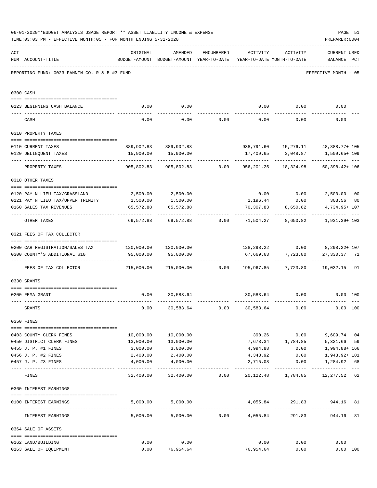|     | 06-01-2020**BUDGET ANALYSIS USAGE REPORT ** ASSET LIABILITY INCOME & EXPENSE<br>TIME: 03:03 PM - EFFECTIVE MONTH: 05 - FOR MONTH ENDING 5-31-2020 |                                                                         |                                                                                |                                    |                              |                          | PREPARER: 0004                                                       | PAGE 51 |
|-----|---------------------------------------------------------------------------------------------------------------------------------------------------|-------------------------------------------------------------------------|--------------------------------------------------------------------------------|------------------------------------|------------------------------|--------------------------|----------------------------------------------------------------------|---------|
| ACT | NUM ACCOUNT-TITLE                                                                                                                                 | ORIGINAL                                                                | AMENDED<br>BUDGET-AMOUNT BUDGET-AMOUNT YEAR-TO-DATE YEAR-TO-DATE MONTH-TO-DATE |                                    | ENCUMBERED ACTIVITY ACTIVITY |                          | <b>CURRENT USED</b><br>BALANCE PCT                                   |         |
|     | REPORTING FUND: 0023 FANNIN CO. R & B #3 FUND                                                                                                     |                                                                         |                                                                                |                                    |                              |                          | EFFECTIVE MONTH - 05                                                 |         |
|     | 0300 CASH                                                                                                                                         |                                                                         |                                                                                |                                    |                              |                          |                                                                      |         |
|     | 0123 BEGINNING CASH BALANCE                                                                                                                       | 0.00                                                                    | 0.00                                                                           |                                    |                              |                          | $0.00$ $0.00$ $0.00$ $0.00$                                          |         |
|     | CASH                                                                                                                                              | 0.00                                                                    |                                                                                | $0.00$ $0.00$ $0.00$ $0.00$ $0.00$ |                              |                          | 0.00                                                                 |         |
|     | 0310 PROPERTY TAXES                                                                                                                               |                                                                         |                                                                                |                                    |                              |                          |                                                                      |         |
|     |                                                                                                                                                   |                                                                         |                                                                                |                                    |                              |                          |                                                                      |         |
|     | 0110 CURRENT TAXES                                                                                                                                |                                                                         | 889,902.83 889,902.83                                                          |                                    |                              |                          | 938,791.60  15,276.11  48,888.77+ 105                                |         |
|     | 0120 DELINQUENT TAXES                                                                                                                             |                                                                         | 15,900.00   15,900.00<br>.                                                     |                                    |                              |                          | 17,409.65 3,048.87 1,509.65+109<br>------------ ---                  |         |
|     | PROPERTY TAXES                                                                                                                                    | 905,802.83                                                              |                                                                                | 905,802.83 0.00                    |                              | 956, 201. 25 18, 324. 98 | $50,398.42+106$                                                      |         |
|     | 0318 OTHER TAXES                                                                                                                                  |                                                                         |                                                                                |                                    |                              |                          |                                                                      |         |
|     | 0120 PAY N LIEU TAX/GRASSLAND 2,500.00 2,500.00                                                                                                   |                                                                         |                                                                                |                                    |                              |                          | $0.00$ $0.00$ $2,500.00$ $00$                                        |         |
|     | 0121 PAY N LIEU TAX/UPPER TRINITY 1,500.00                                                                                                        |                                                                         | 1,500.00                                                                       |                                    |                              | 1, 196.44 0.00           | 303.56                                                               | 80      |
|     | 0160 SALES TAX REVENUES                                                                                                                           | 65,572.88                                                               | 65,572.88                                                                      |                                    |                              | 70,307.83 8,650.82       | 4,734.95+ 107                                                        |         |
|     | OTHER TAXES                                                                                                                                       |                                                                         |                                                                                |                                    |                              |                          | 69,572.88 69,572.88 0.00 71,504.27 8,650.82 1,931.39+ 103            |         |
|     | 0321 FEES OF TAX COLLECTOR                                                                                                                        |                                                                         |                                                                                |                                    |                              |                          |                                                                      |         |
|     |                                                                                                                                                   |                                                                         |                                                                                |                                    |                              |                          |                                                                      |         |
|     | 0200 CAR REGISTRATION/SALES TAX 120,000.00 120,000.00<br>0300 COUNTY'S ADDITIONAL \$10                                                            | 95,000.00                                                               | 95,000.00                                                                      |                                    |                              | 67,669.63 7,723.80       | 128,298.22   0.00   8,298.22+ 107<br>27,330.37 71                    |         |
|     |                                                                                                                                                   |                                                                         |                                                                                |                                    |                              |                          |                                                                      |         |
|     | FEES OF TAX COLLECTOR                                                                                                                             | 215,000.00   215,000.00      0.00   195,967.85    7,723.80    19,032.15 |                                                                                |                                    |                              |                          |                                                                      | 91      |
|     | 0330 GRANTS                                                                                                                                       |                                                                         |                                                                                |                                    |                              |                          |                                                                      |         |
|     | 0200 FEMA GRANT                                                                                                                                   |                                                                         | $0.00$ 30,583.64                                                               |                                    |                              | 30,583.64 0.00           | $0.00$ 100                                                           |         |
|     | GRANTS                                                                                                                                            | 0.00                                                                    |                                                                                | 30,583.64 0.00                     | 30,583.64                    | 0.00                     | 0.00 100                                                             |         |
|     | 0350 FINES                                                                                                                                        |                                                                         |                                                                                |                                    |                              |                          |                                                                      |         |
|     | 0403 COUNTY CLERK FINES                                                                                                                           |                                                                         | 10,000.00 10,000.00                                                            |                                    |                              | 390.26 0.00              | 9,609.74 04                                                          |         |
|     | 0450 DISTRICT CLERK FINES                                                                                                                         | 13,000.00                                                               | 13,000.00                                                                      |                                    |                              | 7,678.34 1,784.85        | 5,321.66                                                             | 59      |
|     | 0455 J. P. #1 FINES                                                                                                                               | 3,000.00                                                                | 3,000.00                                                                       |                                    | 4,994.88                     |                          | 1,994.88+ 166<br>0.00                                                |         |
|     | 0456 J. P. #2 FINES                                                                                                                               | 2,400.00                                                                | 2,400.00                                                                       |                                    | 4,343.92                     | 0.00                     | 1,943.92+ 181                                                        |         |
|     | 0457 J. P. #3 FINES                                                                                                                               | 4,000.00                                                                | 4,000.00                                                                       |                                    | 2,715.08                     | 0.00<br>----------       | 1,284.92 68                                                          |         |
|     | FINES                                                                                                                                             |                                                                         |                                                                                |                                    |                              |                          | $32,400.00$ $32,400.00$ $0.00$ $20,122.48$ $1,784.85$ $12,277.52$ 62 |         |
|     | 0360 INTEREST EARNINGS                                                                                                                            |                                                                         |                                                                                |                                    |                              |                          |                                                                      |         |
|     |                                                                                                                                                   |                                                                         |                                                                                |                                    |                              |                          |                                                                      |         |
|     | 0100 INTEREST EARNINGS                                                                                                                            |                                                                         | 5,000.00 5,000.00                                                              |                                    |                              |                          | 4,055.84 291.83 944.16 81<br>-------------                           |         |
|     | INTEREST EARNINGS                                                                                                                                 |                                                                         | $5,000.00$ $5,000.00$ $0.00$ $4,055.84$                                        |                                    |                              |                          | 291.83 944.16                                                        | 81      |
|     | 0364 SALE OF ASSETS                                                                                                                               |                                                                         |                                                                                |                                    |                              |                          |                                                                      |         |
|     | 0162 LAND/BUILDING                                                                                                                                | 0.00                                                                    | 0.00                                                                           |                                    | 0.00                         | 0.00                     | 0.00                                                                 |         |
|     | 0163 SALE OF EQUIPMENT                                                                                                                            |                                                                         | $0.00$ 76,954.64                                                               |                                    |                              | 76,954.64 0.00           | 0.00 100                                                             |         |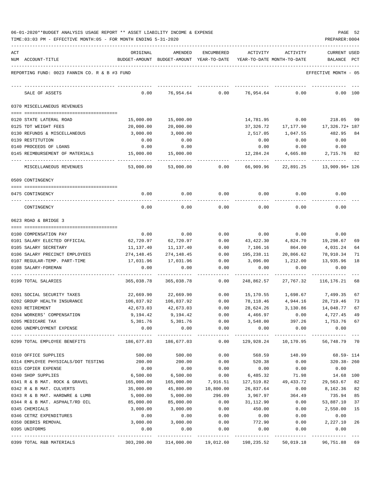|  | 06-01-2020**BUDGET ANALYSIS USAGE REPORT ** ASSET LIABILITY INCOME & EXPENSE |  |  | PAGE | - 52 |
|--|------------------------------------------------------------------------------|--|--|------|------|
|  |                                                                              |  |  |      |      |

TIME:03:03 PM - EFFECTIVE MONTH:05 - FOR MONTH ENDING 5-31-2020

| ACT |                                                       | ORIGINAL          | AMENDED                                                             | ENCUMBERED    | ACTIVITY          | ACTIVITY         | <b>CURRENT USED</b>                              |           |
|-----|-------------------------------------------------------|-------------------|---------------------------------------------------------------------|---------------|-------------------|------------------|--------------------------------------------------|-----------|
|     | NUM ACCOUNT-TITLE                                     |                   | BUDGET-AMOUNT BUDGET-AMOUNT YEAR-TO-DATE YEAR-TO-DATE MONTH-TO-DATE |               |                   |                  | BALANCE PCT                                      |           |
|     |                                                       |                   |                                                                     |               |                   |                  |                                                  |           |
|     | REPORTING FUND: 0023 FANNIN CO. R & B #3 FUND         |                   |                                                                     |               |                   |                  | EFFECTIVE MONTH - 05                             |           |
|     |                                                       |                   |                                                                     |               |                   |                  |                                                  |           |
|     | SALE OF ASSETS                                        | 0.00              | 76,954.64                                                           | 0.00          | 76,954.64         | 0.00             | 0.00 100                                         |           |
|     |                                                       |                   |                                                                     |               |                   |                  |                                                  |           |
|     | 0370 MISCELLANEOUS REVENUES                           |                   |                                                                     |               |                   |                  |                                                  |           |
|     |                                                       |                   |                                                                     |               |                   |                  |                                                  |           |
|     | 0120 STATE LATERAL ROAD                               | 15,000.00         | 15,000.00                                                           |               | 14,781.95         | 0.00             | 218.05                                           | -99       |
|     | 0125 TDT WEIGHT FEES                                  | 20,000.00         | 20,000.00                                                           |               | 37,326.72         | 17,177.90        | 17,326.72+ 187                                   |           |
|     | 0130 REFUNDS & MISCELLANEOUS                          | 3,000.00          | 3,000.00                                                            |               | 2,517.05          | 1,047.55         | 482.95                                           | 84        |
|     | 0139 RESTITUTION                                      | 0.00              | 0.00                                                                |               | 0.00              | 0.00             | 0.00                                             |           |
|     | 0140 PROCEEDS OF LOANS                                | 0.00              | 0.00                                                                |               | 0.00              | 0.00             | 0.00                                             |           |
|     | 0145 REIMBURSEMENT OF MATERIALS                       | 15,000.00         | 15,000.00                                                           |               | 12,284.24         | 4,665.80         | 2,715.76 82                                      |           |
|     |                                                       |                   |                                                                     |               |                   |                  |                                                  |           |
|     | MISCELLANEOUS REVENUES                                | 53,000.00         | 53,000.00                                                           | 0.00          | 66,909.96         |                  | 22,891.25 13,909.96+126                          |           |
|     | 0509 CONTINGENCY                                      |                   |                                                                     |               |                   |                  |                                                  |           |
|     |                                                       |                   |                                                                     |               |                   |                  |                                                  |           |
|     | 0475 CONTINGENCY                                      | 0.00              | 0.00                                                                | 0.00          | 0.00              | 0.00             | 0.00                                             |           |
|     |                                                       |                   |                                                                     |               |                   |                  |                                                  |           |
|     | CONTINGENCY                                           | 0.00              | 0.00                                                                | 0.00          | 0.00              | 0.00             | 0.00                                             |           |
|     |                                                       |                   |                                                                     |               |                   |                  |                                                  |           |
|     | 0623 ROAD & BRIDGE 3                                  |                   |                                                                     |               |                   |                  |                                                  |           |
|     |                                                       |                   |                                                                     |               |                   |                  |                                                  |           |
|     | 0100 COMPENSATION PAY<br>0101 SALARY ELECTED OFFICIAL | 0.00<br>62,720.97 | 0.00<br>62,720.97                                                   | 0.00<br>0.00  | 0.00<br>43,422.30 | 0.00<br>4,824.70 | 0.00<br>19,298.67                                | 69        |
|     | 0105 SALARY SECRETARY                                 | 11,137.40         | 11,137.40                                                           | 0.00          | 7,106.16          | 864.00           | 4,031.24                                         | 64        |
|     | 0106 SALARY PRECINCT EMPLOYEES                        | 274,148.45        | 274,148.45                                                          | 0.00          | 195,238.11        | 20,866.62        | 78,910.34                                        | 71        |
|     | 0107 REGULAR-TEMP. PART-TIME                          | 17,031.96         | 17,031.96                                                           | 0.00          | 3,096.00          | 1,212.00         | 13,935.96                                        | 18        |
|     | 0108 SALARY-FOREMAN                                   | 0.00              | 0.00                                                                | 0.00          | 0.00              | 0.00             | 0.00                                             |           |
|     |                                                       |                   |                                                                     |               |                   |                  |                                                  |           |
|     | 0199 TOTAL SALARIES                                   | 365,038.78        | 365,038.78                                                          | 0.00          | 248,862.57        | 27,767.32        | 116,176.21                                       | 68        |
|     |                                                       |                   |                                                                     |               |                   |                  |                                                  |           |
|     | 0201 SOCIAL SECURITY TAXES                            | 22,669.90         | 22,669.90                                                           | 0.00          | 15,170.55         |                  | 1,698.67 7,499.35                                | 67        |
|     | 0202 GROUP HEALTH INSURANCE                           | 106,837.92        | 106,837.92                                                          | 0.00          | 78,118.46         | 4,944.16         | 28,719.46                                        | 73        |
|     | 0203 RETIREMENT                                       | 42,673.03         | 42,673.03                                                           | 0.00          | 28,624.26         | 3,130.86         | 14,048.77                                        | 67        |
|     | 0204 WORKERS' COMPENSATION                            | 9,194.42          | 9,194.42                                                            | 0.00          | 4,466.97          | 0.00             | 4,727.45                                         | 49        |
|     | 0205 MEDICARE TAX                                     |                   | 5,301.76 5,301.76                                                   | 0.00          | 3,548.00          |                  | 397.26 1,753.76 67                               |           |
|     | 0206 UNEMPLOYMENT EXPENSE                             | 0.00              | 0.00                                                                | 0.00          | 0.00              | 0.00             | 0.00                                             |           |
|     | 0299 TOTAL EMPLOYEE BENEFITS                          |                   | -------------<br>186,677.03 186,677.03                              | -----------   | ------------      | ------------     | $0.00$ $129,928.24$ $10,170.95$ $56,748.79$ $70$ |           |
|     |                                                       |                   |                                                                     |               |                   |                  |                                                  |           |
|     | 0310 OFFICE SUPPLIES                                  | 500.00            | 500.00                                                              | 0.00          | 568.59            | 148.99           | 68.59- 114                                       |           |
|     | 0314 EMPLOYEE PHYSICALS/DOT TESTING                   | 200.00            | 200.00                                                              | 0.00          | 520.38            | 0.00             | 320.38-260                                       |           |
|     | 0315 COPIER EXPENSE                                   | 0.00              | 0.00                                                                | 0.00          | 0.00              | 0.00             | 0.00                                             |           |
|     | 0340 SHOP SUPPLIES                                    | 6,500.00          | 6,500.00                                                            | 0.00          | 6,485.32          | 71.98            | 14.68 100                                        |           |
|     | 0341 R & B MAT. ROCK & GRAVEL                         | 165,000.00        | 165,000.00                                                          | 7,916.51      |                   |                  | 127,519.82 49,433.72 29,563.67 82                |           |
|     | 0342 R & B MAT. CULVERTS                              | 35,000.00         | 45,800.00                                                           | 10,800.00     | 26,837.64         | 0.00             | 8,162.36 82                                      |           |
|     | 0343 R & B MAT. HARDWRE & LUMB                        | 5,000.00          | 5,000.00                                                            | 296.09        | 3,967.97          | 364.49           | 735.94                                           | 85        |
|     | 0344 R & B MAT. ASPHALT/RD OIL                        | 85,000.00         | 85,000.00                                                           | 0.00          | 31,112.90         | 0.00             | 53,887.10                                        | 37        |
|     | 0345 CHEMICALS                                        | 3,000.00          | 3,000.00                                                            | 0.00          | 450.00            | 0.00             | 2,550.00                                         | 15        |
|     | 0346 CETRZ EXPENDITURES                               | 0.00              | 0.00                                                                | 0.00          | 0.00              | 0.00             | 0.00                                             |           |
|     | 0350 DEBRIS REMOVAL                                   | 3,000.00          | 3,000.00                                                            | 0.00          | 772.90            | 0.00             | 2,227.10                                         | 26        |
|     | 0395 UNIFORMS                                         | 0.00              | 0.00                                                                | 0.00          | 0.00              | 0.00             | 0.00                                             |           |
|     |                                                       |                   |                                                                     | _____________ |                   |                  | -------------                                    | $- - - -$ |
|     | 0399 TOTAL R&B MATERIALS                              |                   | 303,200.00 314,000.00 19,012.60 198,235.52 50,019.18 96,751.88 69   |               |                   |                  |                                                  |           |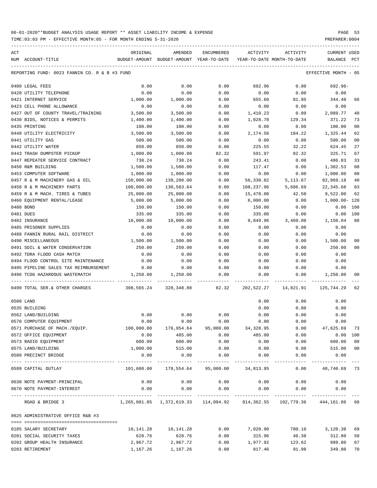| ACT | NUM ACCOUNT-TITLE                             | ORIGINAL<br>BUDGET-AMOUNT BUDGET-AMOUNT YEAR-TO-DATE                     | AMENDED                                           | ENCUMBERED            | ACTIVITY<br>YEAR-TO-DATE MONTH-TO-DATE | ACTIVITY | CURRENT USED<br>BALANCE | PCT |
|-----|-----------------------------------------------|--------------------------------------------------------------------------|---------------------------------------------------|-----------------------|----------------------------------------|----------|-------------------------|-----|
|     | REPORTING FUND: 0023 FANNIN CO. R & B #3 FUND |                                                                          |                                                   |                       |                                        |          | EFFECTIVE MONTH - 05    |     |
|     | 0400 LEGAL FEES                               | 0.00                                                                     | 0.00                                              | 0.00                  | 692.96                                 | 0.00     | 692.96-                 |     |
|     | 0420 UTILITY TELEPHONE                        | 0.00                                                                     | 0.00                                              | 0.00                  | 0.00                                   | 0.00     | 0.00                    |     |
|     | 0421 INTERNET SERVICE                         | 1,000.00                                                                 | 1,000.00                                          | 0.00                  | 655.60                                 | 81.95    | 344.40                  | 66  |
|     | 0423 CELL PHONE ALLOWANCE                     | 0.00                                                                     | 0.00                                              | 0.00                  | 0.00                                   | 0.00     | 0.00                    |     |
|     | 0427 OUT OF COUNTY TRAVEL/TRAINING            | 3,500.00                                                                 | 3,500.00                                          | 0.00                  | 1,410.23                               | 0.00     | 2,089.77                | 40  |
|     | 0430 BIDS, NOTICES & PERMITS                  | 1,400.00                                                                 | 1,400.00                                          | 0.00                  | 1,028.78                               | 129.34   | 371.22                  | 73  |
|     | 0435 PRINTING                                 | 100.00                                                                   | 100.00                                            | 0.00                  | 0.00                                   | 0.00     | 100.00                  | 00  |
|     | 0440 UTILITY ELECTRICITY                      | 3,500.00                                                                 | 3,500.00                                          | 0.00                  | 2,174.56                               | 184.22   | 1,325.44                | 62  |
|     | 0441 UTILITY GAS                              | 500.00                                                                   | 500.00                                            | 0.00                  | 0.00                                   | 0.00     | 500.00                  | 00  |
|     | 0442 UTILITY WATER                            | 850.00                                                                   | 850.00                                            | 0.00                  | 225.55                                 | 32.22    | 624.45                  | 27  |
|     | 0443 TRASH DUMPSTER PICKUP                    | 1,000.00                                                                 | 1,000.00                                          | 82.32                 | 591.97                                 | 82.32    | 325.71                  | 67  |
|     | 0447 REPEATER SERVICE CONTRACT                | 730.24                                                                   | 730.24                                            | 0.00                  | 243.41                                 | 0.00     | 486.83                  | 33  |
|     | 0450 R&M BUILDING                             | 1,500.00                                                                 | 1,500.00                                          | 0.00                  | 117.47                                 | 0.00     | 1,382.53                | 08  |
|     | 0453 COMPUTER SOFTWARE                        | 1,000.00                                                                 | 1,000.00                                          | 0.00                  | 0.00                                   | 0.00     | 1,000.00                | 00  |
|     | 0457 R & M MACHINERY GAS & OIL                | 150,000.00                                                               | 139,200.00                                        | 0.00                  | 56,330.82                              | 5,113.67 | 82,869.18               | 40  |
|     | 0458 R & M MACHINERY PARTS                    | 100,000.00                                                               | 130,583.64                                        | 0.00                  | 108,237.96                             | 5,686.69 | 22,345.68               | 83  |
|     | 0459 R & M MACH. TIRES & TUBES                | 25,000.00                                                                | 25,000.00                                         | 0.00                  | 15,478.00                              | 42.50    | 9,522.00                | 62  |
|     | 0460 EOUIPMENT RENTAL/LEASE                   | 5,000.00                                                                 | 5,000.00                                          | 0.00                  | 6,000.00                               | 0.00     | 1,000.00- 120           |     |
|     | 0480 BOND                                     | 150.00                                                                   | 150.00                                            | 0.00                  | 150.00                                 | 0.00     | 0.00                    | 100 |
|     | 0481 DUES                                     | 335.00                                                                   | 335.00                                            | 0.00                  | 335.00                                 | 0.00     | 0.00                    | 100 |
|     | 0482 INSURANCE                                | 10,000.00                                                                | 10,000.00                                         | 0.00                  | 8,849.96                               | 3,469.00 | 1,150.04                | 88  |
|     | 0485 PRISONER SUPPLIES                        | 0.00                                                                     | 0.00                                              | 0.00                  | 0.00                                   | 0.00     | 0.00                    |     |
|     | 0488 FANNIN RURAL RAIL DISTRICT               | 0.00                                                                     | 0.00                                              | 0.00                  | 0.00                                   | 0.00     | 0.00                    |     |
|     | 0490 MISCELLANEOUS                            | 1,500.00                                                                 | 1,500.00                                          | 0.00                  | 0.00                                   | 0.00     | 1,500.00                | 00  |
|     | 0491 SOIL & WATER CONSERVATION                | 250.00                                                                   | 250.00                                            | 0.00                  | 0.00                                   | 0.00     | 250.00                  | 00  |
|     | 0492 TDRA FLOOD CASH MATCH                    | 0.00                                                                     | 0.00                                              | 0.00                  | 0.00                                   | 0.00     | 0.00                    |     |
|     | 0494 FLOOD CONTROL SITE MAINTENANCE           | 0.00                                                                     | 0.00                                              | 0.00                  | 0.00                                   | 0.00     | 0.00                    |     |
|     | 0495 PIPELINE SALES TAX REIMBURSEMENT         | 0.00                                                                     | 0.00                                              | 0.00                  | 0.00                                   | 0.00     | 0.00                    |     |
|     | 0496 TCOG HAZARDOUS WASTEMATCH                | 1,250.00                                                                 | 1,250.00                                          | 0.00                  | 0.00                                   | 0.00     | 1,250.00                | 00  |
|     | 0499 TOTAL SER.& OTHER CHARGES                | 308,565.24   328,348.88     82.32   202,522.27   14,821.91   125,744.29  |                                                   |                       |                                        |          |                         | 62  |
|     | 0500 LAND                                     |                                                                          |                                                   |                       | 0.00                                   | 0.00     | 0.00                    |     |
|     | 0535 BUILDING                                 |                                                                          |                                                   |                       | 0.00                                   | 0.00     | 0.00                    |     |
|     | 0562 LAND/BUILDING                            | 0.00                                                                     | 0.00                                              | 0.00                  | 0.00                                   | 0.00     | 0.00                    |     |
|     | 0570 COMPUTER EQUIPMENT                       | 0.00                                                                     | 0.00                                              | 0.00                  | 0.00                                   | 0.00     | 0.00                    |     |
|     | 0571 PURCHASE OF MACH./EQUIP.                 | 100,000.00                                                               | 176,954.64                                        |                       | 95,000.00 34,328.95                    |          | $0.00$ $47,625.69$      | 73  |
|     | 0572 OFFICE EQUIPMENT                         | 0.00                                                                     | 485.00                                            | 0.00                  | 485.00                                 | 0.00     | $0.00$ 100              |     |
|     | 0573 RADIO EQUIPMENT                          | 600.00                                                                   | 600.00                                            | 0.00                  | 0.00                                   | 0.00     | 600.00                  | 00  |
|     | 0575 LAND/BUILDING                            | 1,000.00                                                                 | 515.00                                            | 0.00                  | 0.00                                   | 0.00     | 515.00 00               |     |
|     | 0580 PRECINCT BRIDGE                          | 0.00                                                                     | 0.00<br>--------------                            | 0.00<br>_____________ | 0.00                                   | 0.00     | 0.00                    |     |
|     | 0599 CAPITAL OUTLAY                           |                                                                          | $101,600.00$ $178,554.64$ $95,000.00$ $34,813.95$ |                       |                                        | 0.00     | 48,740.69 73            |     |
|     | 0630 NOTE PAYMENT-PRINCIPAL                   | 0.00                                                                     | 0.00                                              | 0.00                  | 0.00                                   | 0.00     | 0.00                    |     |
|     | 0670 NOTE PAYMENT-INTEREST                    | 0.00                                                                     | 0.00                                              | 0.00                  | 0.00                                   | 0.00     | 0.00                    |     |
|     | ROAD & BRIDGE 3                               | 1,265,081.05 1,372,619.33 114,094.92 814,362.55 102,779.36 444,161.86 68 |                                                   |                       |                                        |          |                         |     |
|     | 0625 ADMINISTRATIVE OFFICE R&B #3             |                                                                          |                                                   |                       |                                        |          |                         |     |
|     |                                               |                                                                          |                                                   |                       |                                        |          |                         |     |
|     | 0105 SALARY SECRETARY                         | 10,141.28                                                                | 10,141.28                                         | 0.00                  | 7,020.90                               |          | 780.10 3,120.38         | 69  |
|     | 0201 SOCIAL SECURITY TAXES                    | 628.76                                                                   | 628.76                                            | 0.00                  | 315.96                                 | 40.38    | 312.80                  | 50  |
|     | 0202 GROUP HEALTH INSURANCE                   | 2,967.72                                                                 | 2,967.72                                          | 0.00                  | 1,977.92                               | 123.62   | 989.80                  | 67  |
|     | 0203 RETIREMENT                               | 1,167.26                                                                 | 1,167.26                                          | 0.00                  | 817.46                                 | 91.98    | 349.80                  | 70  |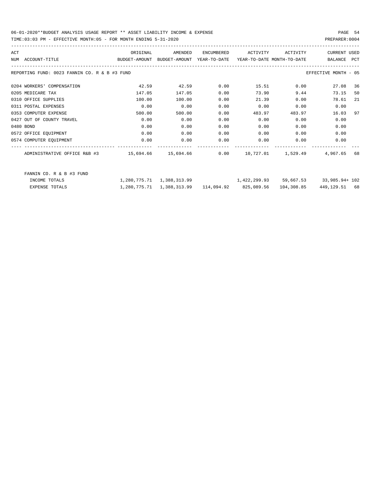### 06-01-2020\*\*BUDGET ANALYSIS USAGE REPORT \*\* ASSET LIABILITY INCOME & EXPENSE PAGE 54 TIME:03:03 PM - EFFECTIVE MONTH:05 - FOR MONTH ENDING 5-31-2020 PREPARER:0004

| ACT |                                               | ORIGINAL                                                            | AMENDED                   | ENCUMBERED | ACTIVITY     | ACTIVITY | <b>CURRENT USED</b>      |     |
|-----|-----------------------------------------------|---------------------------------------------------------------------|---------------------------|------------|--------------|----------|--------------------------|-----|
|     | NUM ACCOUNT-TITLE                             | BUDGET-AMOUNT BUDGET-AMOUNT YEAR-TO-DATE YEAR-TO-DATE_MONTH-TO-DATE |                           |            |              |          | BALANCE                  | PCT |
|     | REPORTING FUND: 0023 FANNIN CO. R & B #3 FUND |                                                                     |                           |            |              |          | EFFECTIVE MONTH - 05     |     |
|     | 0204 WORKERS' COMPENSATION                    | 42.59                                                               | 42.59                     | 0.00       | 15.51        | 0.00     | 27.08                    | 36  |
|     | 0205 MEDICARE TAX                             | 147.05                                                              | 147.05                    | 0.00       | 73.90        | 9.44     | 73.15                    | 50  |
|     | 0310 OFFICE SUPPLIES                          | 100.00                                                              | 100.00                    | 0.00       | 21.39        | 0.00     | 78.61                    | 21  |
|     | 0311 POSTAL EXPENSES                          | 0.00                                                                | 0.00                      | 0.00       | 0.00         | 0.00     | 0.00                     |     |
|     | 0353 COMPUTER EXPENSE                         | 500.00                                                              | 500.00                    | 0.00       | 483.97       | 483.97   | 16.03                    | 97  |
|     | 0427 OUT OF COUNTY TRAVEL                     | 0.00                                                                | 0.00                      | 0.00       | 0.00         | 0.00     | 0.00                     |     |
|     | 0480 BOND                                     | 0.00                                                                | 0.00                      | 0.00       | 0.00         | 0.00     | 0.00                     |     |
|     | 0572 OFFICE EQUIPMENT                         | 0.00                                                                | 0.00                      | 0.00       | 0.00         | 0.00     | 0.00                     |     |
|     | 0574 COMPUTER EQUIPMENT                       | 0.00                                                                | 0.00                      | 0.00       | 0.00         | 0.00     | 0.00                     |     |
|     |                                               |                                                                     |                           |            |              |          | 4,967.65                 | 68  |
|     | FANNIN CO. R & B #3 FUND                      |                                                                     |                           |            |              |          |                          |     |
|     | INCOME TOTALS                                 |                                                                     | 1,280,775.71 1,388,313.99 |            | 1,422,299.93 |          | 59,667.53 33,985.94+ 102 |     |

| EXPENSE TOTALS | $1.280.775.71$ $1.388.313.99$ $114.094.92$ $825.089.56$ $104.308.85$ |  | 449,129.51 68 |  |
|----------------|----------------------------------------------------------------------|--|---------------|--|
|                |                                                                      |  |               |  |
|                |                                                                      |  |               |  |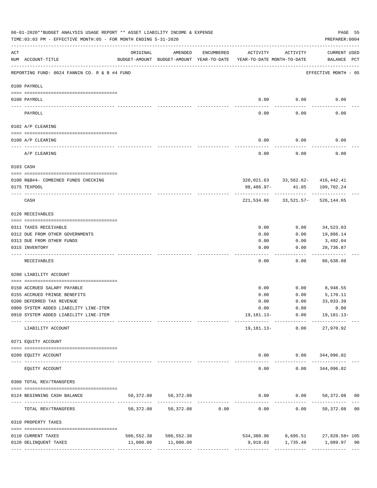|     | 06-01-2020**BUDGET ANALYSIS USAGE REPORT ** ASSET LIABILITY INCOME & EXPENSE<br>TIME: 03:03 PM - EFFECTIVE MONTH: 05 - FOR MONTH ENDING 5-31-2020 |                                |                                                     |                               |                                        |                       | PREPARER: 0004                                                           | PAGE 55 |
|-----|---------------------------------------------------------------------------------------------------------------------------------------------------|--------------------------------|-----------------------------------------------------|-------------------------------|----------------------------------------|-----------------------|--------------------------------------------------------------------------|---------|
| ACT | NUM ACCOUNT-TITLE                                                                                                                                 | ORIGINAL                       | AMENDED<br>BUDGET-AMOUNT BUDGET-AMOUNT YEAR-TO-DATE | ENCUMBERED                    | ACTIVITY<br>YEAR-TO-DATE MONTH-TO-DATE | ACTIVITY              | <b>CURRENT USED</b><br>BALANCE PCT                                       |         |
|     | REPORTING FUND: 0024 FANNIN CO. R & B #4 FUND                                                                                                     |                                |                                                     |                               |                                        |                       | EFFECTIVE MONTH - 05                                                     |         |
|     | 0100 PAYROLL                                                                                                                                      |                                |                                                     |                               |                                        |                       |                                                                          |         |
|     | 0100 PAYROLL                                                                                                                                      |                                |                                                     |                               | 0.00                                   | 0.00                  | 0.00                                                                     |         |
|     | PAYROLL                                                                                                                                           |                                |                                                     |                               | 0.00                                   | 0.00                  | 0.00                                                                     |         |
|     | 0102 A/P CLEARING                                                                                                                                 |                                |                                                     |                               |                                        |                       |                                                                          |         |
|     | 0100 A/P CLEARING                                                                                                                                 |                                |                                                     |                               | 0.00                                   | 0.00                  | 0.00                                                                     |         |
|     | A/P CLEARING                                                                                                                                      |                                |                                                     |                               | -------<br>0.00                        | 0.00                  | 0.00                                                                     |         |
|     | 0103 CASH                                                                                                                                         |                                |                                                     |                               |                                        |                       |                                                                          |         |
|     | 0100 R&B#4- COMBINED FUNDS CHECKING                                                                                                               |                                |                                                     |                               |                                        |                       | 320,021.63 33,562.62- 416,442.41                                         |         |
|     | 0175 TEXPOOL                                                                                                                                      |                                |                                                     |                               | 98,486.97-                             | 41.05                 | 109,702.24                                                               |         |
|     | CASH                                                                                                                                              |                                |                                                     |                               |                                        | 221,534.66 33,521.57- | 526,144.65                                                               |         |
|     | 0120 RECEIVABLES                                                                                                                                  |                                |                                                     |                               |                                        |                       |                                                                          |         |
|     | 0311 TAXES RECEIVABLE                                                                                                                             |                                |                                                     |                               | 0.00                                   | 0.00                  | 34,523.03                                                                |         |
|     | 0312 DUE FROM OTHER GOVERNMENTS                                                                                                                   |                                |                                                     |                               | 0.00                                   | 0.00                  | 19,886.14                                                                |         |
|     | 0313 DUE FROM OTHER FUNDS                                                                                                                         |                                |                                                     |                               | 0.00                                   | 0.00                  | 3,492.04                                                                 |         |
|     | 0315 INVENTORY                                                                                                                                    |                                |                                                     |                               | 0.00                                   | 0.00                  | 28,736.87<br>$- - - - -$                                                 |         |
|     | RECEIVABLES                                                                                                                                       |                                |                                                     |                               | 0.00                                   | 0.00                  | 86,638.08                                                                |         |
|     | 0200 LIABILITY ACCOUNT                                                                                                                            |                                |                                                     |                               |                                        |                       |                                                                          |         |
|     | 0150 ACCRUED SALARY PAYABLE                                                                                                                       |                                |                                                     |                               | 0.00                                   | 0.00                  | 8,948.55                                                                 |         |
|     | 0155 ACCRUED FRINGE BENEFITS                                                                                                                      |                                |                                                     |                               | 0.00                                   | 0.00                  | 5,170.11                                                                 |         |
|     | 0200 DEFERRED TAX REVENUE                                                                                                                         |                                |                                                     |                               | 0.00                                   | 0.00                  | 33,033.39                                                                |         |
|     | 0900 SYSTEM ADDED LIABILITY LINE-ITEM                                                                                                             |                                |                                                     |                               |                                        |                       | $0.00$ $0.00$ $0.00$ $0.00$                                              |         |
|     | 0910 SYSTEM ADDED LIABILITY LINE-ITEM                                                                                                             | -------- ------------- ------- |                                                     |                               |                                        |                       | 19, 181.13 - 0.00 19, 181.13 -                                           |         |
|     | LIABILITY ACCOUNT                                                                                                                                 |                                |                                                     |                               |                                        | 19,181.13- 0.00       | 27,970.92                                                                |         |
|     | 0271 EQUITY ACCOUNT                                                                                                                               |                                |                                                     |                               |                                        |                       |                                                                          |         |
|     | 0200 EQUITY ACCOUNT                                                                                                                               |                                |                                                     |                               |                                        |                       | $0.00$ $0.00$ $344,096.02$                                               |         |
|     | EOUITY ACCOUNT                                                                                                                                    |                                |                                                     |                               | 0.00                                   |                       | -------------------------<br>$0.00$ $344,096.02$                         |         |
|     | 0300 TOTAL REV/TRANSFERS                                                                                                                          |                                |                                                     |                               |                                        |                       |                                                                          |         |
|     | 0124 BEGINNING CASH BALANCE                                                                                                                       | 50,372.08                      | 50,372.08                                           |                               |                                        |                       | $0.00$ $0.00$ $50,372.08$ 00                                             |         |
|     | TOTAL REV/TRANSFERS                                                                                                                               | 50,372.08                      |                                                     | ----------------------------- |                                        | -------------         | --------------<br>$50,372.08$ $0.00$ $0.00$ $0.00$ $0.00$ $50,372.08$ 00 |         |
|     | 0310 PROPERTY TAXES                                                                                                                               |                                |                                                     |                               |                                        |                       |                                                                          |         |
|     |                                                                                                                                                   |                                | 506,552.38 506,552.38                               |                               |                                        |                       |                                                                          |         |
|     | 0110 CURRENT TAXES<br>0120 DELINQUENT TAXES                                                                                                       |                                | 11,000.00 11,000.00                                 |                               |                                        | 9,910.03 1,735.48     | 534,380.96 8,695.51 27,828.58+105<br>1,089.97 90                         |         |
|     |                                                                                                                                                   |                                |                                                     |                               |                                        |                       |                                                                          |         |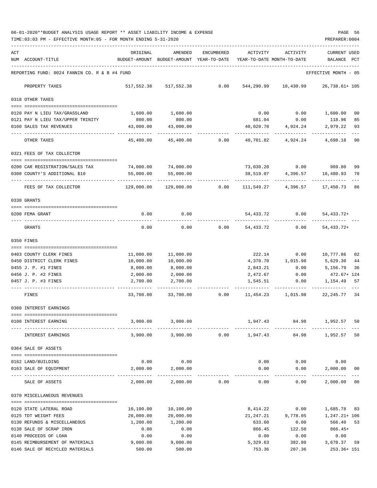06-01-2020\*\*BUDGET ANALYSIS USAGE REPORT \*\* ASSET LIABILITY INCOME & EXPENSE PAGE 56 TIME:03:03 PM - EFFECTIVE MONTH:05 - FOR MONTH ENDING 5-31-2020 PREPARER:0004

| ACT | NUM ACCOUNT-TITLE                                              | ORIGINAL               | AMENDED<br>BUDGET-AMOUNT BUDGET-AMOUNT YEAR-TO-DATE | ENCUMBERED | ACTIVITY           | ACTIVITY<br>YEAR-TO-DATE MONTH-TO-DATE | <b>CURRENT USED</b><br>BALANCE | PCT      |
|-----|----------------------------------------------------------------|------------------------|-----------------------------------------------------|------------|--------------------|----------------------------------------|--------------------------------|----------|
|     | REPORTING FUND: 0024 FANNIN CO. R & B #4 FUND                  |                        |                                                     |            |                    |                                        | EFFECTIVE MONTH - 05           |          |
|     | PROPERTY TAXES                                                 | 517,552.38             | 517,552.38                                          | 0.00       | 544,290.99         | 10,430.99                              | 26,738.61+ 105                 |          |
|     | 0318 OTHER TAXES                                               |                        |                                                     |            |                    |                                        |                                |          |
|     | 0120 PAY N LIEU TAX/GRASSLAND                                  | 1,600.00               | 1,600.00                                            |            | 0.00               | 0.00                                   | 1,600.00                       | 00       |
|     | 0121 PAY N LIEU TAX/UPPER TRINITY                              | 800.00                 | 800.00                                              |            | 681.04             | 0.00                                   | 118.96                         | 85       |
|     | 0160 SALES TAX REVENUES                                        | 43,000.00              | 43,000.00                                           |            | 40,020.78          | 4,924.24                               | 2,979.22                       | 93       |
|     | OTHER TAXES                                                    | 45,400.00              | 45,400.00                                           | 0.00       | 40,701.82          | 4,924.24                               | 4,698.18                       | 90       |
|     | 0321 FEES OF TAX COLLECTOR                                     |                        |                                                     |            |                    |                                        |                                |          |
|     | 0200 CAR REGISTRATION/SALES TAX                                | 74,000.00              | 74,000.00                                           |            |                    | 73,030.20 0.00                         | 969.80                         | 99       |
|     | 0300 COUNTY'S ADDITIONAL \$10                                  | 55,000.00              | 55,000.00                                           |            | 38,519.07          | 4,396.57                               | 16,480.93                      | 70       |
|     |                                                                |                        |                                                     |            |                    |                                        |                                |          |
|     | FEES OF TAX COLLECTOR                                          | 129,000.00             | 129,000.00                                          | 0.00       | 111,549.27         | 4,396.57                               | 17,450.73                      | 86       |
|     | 0330 GRANTS                                                    |                        |                                                     |            |                    |                                        |                                |          |
|     | 0200 FEMA GRANT                                                | 0.00                   | 0.00                                                |            | 54,433.72          | 0.00                                   | 54, 433. 72+                   |          |
|     | GRANTS                                                         | 0.00                   | 0.00                                                | 0.00       | 54,433.72          | 0.00                                   | $54, 433.72+$                  |          |
|     | 0350 FINES                                                     |                        |                                                     |            |                    |                                        |                                |          |
|     |                                                                |                        |                                                     |            |                    |                                        |                                |          |
|     | 0403 COUNTY CLERK FINES<br>0450 DISTRICT CLERK FINES           | 11,000.00<br>10,000.00 | 11,000.00<br>10,000.00                              |            | 222.14<br>4,370.70 | 0.00<br>1,015.98                       | 10,777.86<br>5,629.30          | 02<br>44 |
|     | 0455 J. P. #1 FINES                                            | 8,000.00               | 8,000.00                                            |            | 2,843.21           | 0.00                                   | 5,156.79                       | 36       |
|     | 0456 J. P. #2 FINES                                            | 2,000.00               | 2,000.00                                            |            | 2,472.67           | 0.00                                   | 472.67+ 124                    |          |
|     | 0457 J. P. #3 FINES                                            | 2,700.00               | 2,700.00                                            |            | 1,545.51           | 0.00                                   | 1,154.49                       | 57       |
|     | FINES                                                          | 33,700.00              | 33,700.00                                           | 0.00       | 11,454.23          | 1,015.98                               | 22, 245.77 34                  |          |
|     | 0360 INTEREST EARNINGS                                         |                        |                                                     |            |                    |                                        |                                |          |
|     | -------------------------------------<br>0100 INTEREST EARNING | 3,900.00               | 3,900.00                                            |            | 1,947.43           | 84.98                                  | 1,952.57                       | 50       |
|     | INTEREST EARNINGS                                              |                        | 3,900.00 3,900.00                                   | 0.00       | 1,947.43           | 84.98                                  | 1,952.57 50                    |          |
|     | 0364 SALE OF ASSETS                                            |                        |                                                     |            |                    |                                        |                                |          |
|     |                                                                |                        |                                                     |            |                    |                                        |                                |          |
|     | 0162 LAND/BUILDING                                             | 0.00                   | 0.00                                                |            | 0.00               | 0.00                                   | 0.00                           |          |
|     | 0163 SALE OF EQUIPMENT<br>--- --------------                   | 2,000.00               | 2,000.00                                            |            | 0.00               | 0.00<br>-----                          | 2,000.00 00<br>----------      |          |
|     | SALE OF ASSETS                                                 | 2,000.00               | 2,000.00                                            | 0.00       | 0.00               | 0.00                                   | 2,000.00                       | $00\,$   |
|     | 0370 MISCELLANEOUS REVENUES                                    |                        |                                                     |            |                    |                                        |                                |          |
|     | 0120 STATE LATERAL ROAD                                        | 10,100.00              | 10,100.00                                           |            | 8,414.22           | 0.00                                   | 1,685.78 83                    |          |
|     | 0125 TDT WEIGHT FEES                                           | 20,000.00              | 20,000.00                                           |            | 21,247.21          | 9,778.05                               | $1,247.21+106$                 |          |
|     | 0130 REFUNDS & MISCELLANEOUS                                   | 1,200.00               | 1,200.00                                            |            | 633.60             | 0.00                                   | 566.40 53                      |          |
|     | 0138 SALE OF SCRAP IRON                                        | 0.00                   | 0.00                                                |            | 866.45             | 122.50                                 | 866.45+                        |          |
|     | 0140 PROCEEDS OF LOAN                                          | 0.00                   | 0.00                                                |            | 0.00               | 0.00                                   | 0.00                           |          |
|     | 0145 REIMBURSEMENT OF MATERIALS                                | 9,000.00               | 9,000.00                                            |            | 5,329.63           | 382.80                                 | 3,670.37 59                    |          |
|     | 0146 SALE OF RECYCLED MATERIALS                                | 500.00                 | 500.00                                              |            | 753.36             | 207.36                                 | 253.36+ 151                    |          |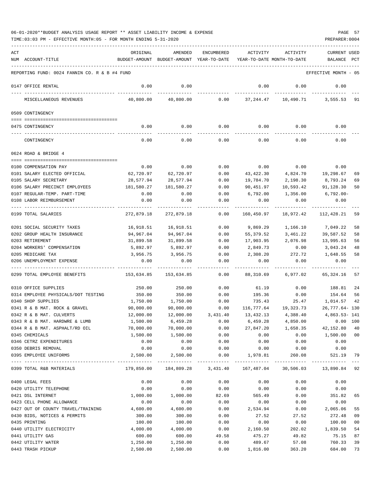| ACT | NUM ACCOUNT-TITLE                                     | ORIGINAL          | AMENDED<br>BUDGET-AMOUNT BUDGET-AMOUNT YEAR-TO-DATE | <b>ENCUMBERED</b> | ACTIVITY<br>YEAR-TO-DATE MONTH-TO-DATE | ACTIVITY                               | CURRENT USED<br>BALANCE | $_{\rm PCT}$ |
|-----|-------------------------------------------------------|-------------------|-----------------------------------------------------|-------------------|----------------------------------------|----------------------------------------|-------------------------|--------------|
|     | REPORTING FUND: 0024 FANNIN CO. R & B #4 FUND         |                   |                                                     |                   |                                        |                                        | EFFECTIVE MONTH - 05    |              |
|     | 0147 OFFICE RENTAL                                    | 0.00              | 0.00                                                |                   | 0.00                                   | 0.00                                   | 0.00                    |              |
|     | MISCELLANEOUS REVENUES                                | 40,800.00         | 40,800.00                                           |                   | $0.00$ 37,244.47                       |                                        | 10,490.71 3,555.53 91   |              |
|     | 0509 CONTINGENCY                                      |                   |                                                     |                   |                                        |                                        |                         |              |
|     | 0475 CONTINGENCY                                      | 0.00              | 0.00                                                | 0.00              |                                        | $0.00$ 0.00                            | 0.00                    |              |
|     | CONTINGENCY                                           | 0.00              | 0.00                                                | 0.00              | 0.00                                   | 0.00                                   | 0.00                    |              |
|     | 0624 ROAD & BRIDGE 4                                  |                   |                                                     |                   |                                        |                                        |                         |              |
|     |                                                       |                   |                                                     |                   |                                        |                                        |                         |              |
|     | 0100 COMPENSATION PAY                                 | 0.00<br>62,720.97 | 0.00                                                | 0.00              | 0.00<br>43,422.30                      | 0.00                                   | 0.00                    |              |
|     | 0101 SALARY ELECTED OFFICIAL<br>0105 SALARY SECRETARY | 28,577.94         | 62,720.97<br>28,577.94                              | 0.00<br>0.00      | 19,784.70                              | 4,824.70<br>2,198.30                   | 19,298.67<br>8,793.24   | 69<br>69     |
|     | 0106 SALARY PRECINCT EMPLOYEES                        | 181,580.27        | 181,580.27                                          | 0.00              | 90,451.97                              | 10,593.42                              | 91,128.30               | 50           |
|     | 0107 REGULAR-TEMP. PART-TIME                          | 0.00              | 0.00                                                | 0.00              | 6,792.00                               | 1,356.00                               | 6,792.00-               |              |
|     | 0108 LABOR REIMBURSEMENT                              | 0.00              | 0.00                                                | 0.00              | 0.00                                   | 0.00                                   | 0.00                    |              |
|     |                                                       |                   |                                                     |                   |                                        |                                        |                         |              |
|     | 0199 TOTAL SALARIES                                   | 272,879.18        | 272,879.18                                          | 0.00              | 160,450.97                             | 18,972.42                              | 112,428.21              | 59           |
|     | 0201 SOCIAL SECURITY TAXES                            | 16,918.51         | 16,918.51                                           | 0.00              | 9,869.29                               | 1,166.10                               | 7,049.22                | 58           |
|     | 0202 GROUP HEALTH INSURANCE                           | 94,967.04         | 94,967.04                                           | 0.00              | 55,379.52                              | 3,461.22                               | 39,587.52               | 58           |
|     | 0203 RETIREMENT                                       | 31,899.58         | 31,899.58                                           | 0.00              | 17,903.95                              | 2,076.98                               | 13,995.63               | 56           |
|     | 0204 WORKERS' COMPENSATION                            | 5,892.97          | 5,892.97                                            | 0.00              | 2,849.73                               | 0.00                                   | 3,043.24                | 48           |
|     | 0205 MEDICARE TAX                                     | 3,956.75          | 3,956.75                                            | 0.00              | 2,308.20                               | 272.72                                 | 1,648.55                | 58           |
|     | 0206 UNEMPLOYMENT EXPENSE                             | 0.00              | 0.00                                                | 0.00              | 0.00                                   | 0.00                                   | 0.00                    |              |
|     | 0299 TOTAL EMPLOYEE BENEFITS                          | 153,634.85        | 153,634.85                                          | - - - - -<br>0.00 | 88,310.69                              | 6,977.02                               | 65,324.16               | 57           |
|     | 0310 OFFICE SUPPLIES                                  | 250.00            | 250.00                                              | 0.00              | 61.19                                  | 0.00                                   | 188.81                  | 24           |
|     | 0314 EMPLOYEE PHYSICALS/DOT TESTING                   | 350.00            | 350.00                                              | 0.00              | 195.36                                 | 0.00                                   | 154.64                  | 56           |
|     | 0340 SHOP SUPPLIES                                    | 1,750.00          | 1,750.00                                            | 0.00              |                                        | 735.43<br>25.47                        | 1,014.57                | 42           |
|     | 0341 R & B MAT. ROCK & GRAVEL                         | 90,000.00         | 90,000.00                                           | 0.00              |                                        | 116,777.64 19,323.73                   | 26,777.64-130           |              |
|     | 0342 R & B MAT. CULVERTS                              | 12,000.00         | 12,000.00                                           | 3,431.40          | 13,432.13                              | 4,388.40                               | 4,863.53-141            |              |
|     | 0343 R & B MAT. HARDWRE & LUMB                        | 1,500.00          | 6,459.28                                            | 0.00              | 6,459.28                               | 4,850.00                               | 0.00 100                |              |
|     | 0344 R & B MAT. ASPHALT/RD OIL                        | 70,000.00         | 70,000.00                                           | 0.00              | 27,847.20                              | 1,658.35                               | 42,152.80               | 40           |
|     | 0345 CHEMICALS                                        | 1,500.00          | 1,500.00                                            | 0.00              | 0.00                                   | 0.00                                   | 1,500.00 00             |              |
|     | 0346 CETRZ EXPENDITURES                               | 0.00              | 0.00                                                | 0.00              | 0.00                                   | 0.00                                   | 0.00                    |              |
|     | 0350 DEBRIS REMOVAL                                   | 0.00              | 0.00                                                | 0.00              | 0.00                                   | 0.00                                   | 0.00                    |              |
|     | 0395 EMPLOYEE UNIFORMS                                | 2,500.00          | 2,500.00                                            | 0.00              | 1,978.81                               | 260.08<br>---------------------------- | 521.19                  | 79           |
|     | 0399 TOTAL R&B MATERIALS                              | 179,850.00        | 184,809.28                                          | 3,431.40          | 167,487.04                             | 30,506.03                              | 13,890.84 92            |              |
|     | 0400 LEGAL FEES                                       | 0.00              | 0.00                                                | 0.00              | 0.00                                   | 0.00                                   | 0.00                    |              |
|     | 0420 UTILITY TELEPHONE                                | 0.00              | 0.00                                                | 0.00              | 0.00                                   | 0.00                                   | 0.00                    |              |
|     | 0421 DSL INTERNET                                     | 1,000.00          | 1,000.00                                            | 82.69             | 565.49                                 | 0.00                                   | 351.82                  | 65           |
|     | 0423 CELL PHONE ALLOWANCE                             | 0.00              | 0.00                                                | 0.00              | 0.00                                   | 0.00                                   | 0.00                    |              |
|     | 0427 OUT OF COUNTY TRAVEL/TRAINING                    | 4,600.00          | 4,600.00                                            | 0.00              | 2,534.94                               | 0.00                                   | 2,065.06                | 55           |
|     | 0430 BIDS, NOTICES & PERMITS                          | 300.00            | 300.00                                              | 0.00              | 27.52                                  | 27.52                                  | 272.48                  | 09           |
|     | 0435 PRINTING                                         | 100.00            | 100.00                                              | 0.00              | 0.00                                   | 0.00                                   | 100.00                  | 00           |
|     | 0440 UTILITY ELECTRICITY                              | 4,000.00          | 4,000.00                                            | 0.00              | 2,160.50                               | 202.02                                 | 1,839.50                | 54           |
|     | 0441 UTILITY GAS                                      | 600.00            | 600.00                                              | 49.58             | 475.27                                 | 49.82                                  | 75.15                   | 87           |
|     | 0442 UTILITY WATER                                    | 1,250.00          | 1,250.00                                            | 0.00              | 489.67                                 | 57.08                                  | 760.33                  | 39           |
|     | 0443 TRASH PICKUP                                     | 2,500.00          | 2,500.00                                            | 0.00              | 1,816.00                               | 363.20                                 | 684.00                  | 73           |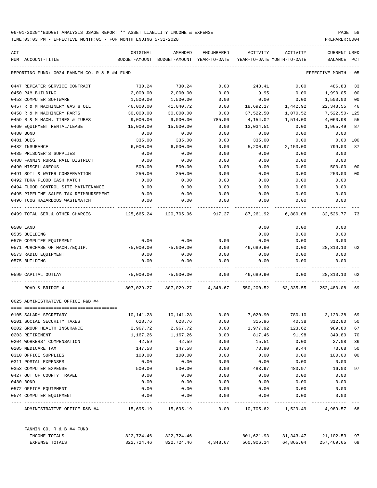| ACT |                                                  | ORIGINAL     | AMENDED                                  | ENCUMBERED   | ACTIVITY     | ACTIVITY                           | CURRENT USED    |                |
|-----|--------------------------------------------------|--------------|------------------------------------------|--------------|--------------|------------------------------------|-----------------|----------------|
|     | NUM ACCOUNT-TITLE                                |              | BUDGET-AMOUNT BUDGET-AMOUNT YEAR-TO-DATE |              |              | YEAR-TO-DATE MONTH-TO-DATE         | BALANCE         | PCT            |
|     | REPORTING FUND: 0024 FANNIN CO. R & B #4 FUND    |              |                                          |              |              |                                    | EFFECTIVE MONTH | - 05           |
|     | 0447 REPEATER SERVICE CONTRACT                   | 730.24       | 730.24                                   | 0.00         | 243.41       | 0.00                               | 486.83          | 33             |
|     | 0450 R&M BUILDING                                | 2,000.00     | 2,000.00                                 | 0.00         | 9.95         | 0.00                               | 1,990.05        | 0 <sub>0</sub> |
|     | 0453 COMPUTER SOFTWARE                           | 1,500.00     | 1,500.00                                 | 0.00         | 0.00         | 0.00                               | 1,500.00        | 00             |
|     | 0457 R & M MACHINERY GAS & OIL                   | 46,000.00    | 41,040.72                                | 0.00         | 18,692.17    | 1,442.92                           | 22,348.55       | 46             |
|     | 0458 R & M MACHINERY PARTS                       | 30,000.00    | 30,000.00                                | 0.00         | 37,522.50    | 1,070.52                           | 7,522.50- 125   |                |
|     | 0459 R & M MACH. TIRES & TUBES                   | 9,000.00     | 9,000.00                                 | 785.00       | 4,154.02     | 1,514.00                           | 4,060.98        | 55             |
|     | 0460 EOUIPMENT RENTAL/LEASE                      | 15,000.00    | 15,000.00                                | 0.00         | 13,034.51    | 0.00                               | 1,965.49        | 87             |
|     | 0480 BOND                                        | 0.00         | 0.00                                     | 0.00         | 0.00         | 0.00                               | 0.00            |                |
|     | 0481 DUES                                        | 335.00       | 335.00                                   | 0.00         | 335.00       | 0.00                               | 0.00            | 100            |
|     | 0482 INSURANCE                                   | 6,000.00     | 6,000.00                                 | 0.00         | 5,200.97     | 2,153.00                           | 799.03          | 87             |
|     | 0485 PRISONER'S SUPPLIES                         | 0.00         | 0.00                                     | 0.00         | 0.00         | 0.00                               | 0.00            |                |
|     | 0488 FANNIN RURAL RAIL DISTRICT                  | 0.00         | 0.00                                     | 0.00         | 0.00         | 0.00                               | 0.00            |                |
|     | 0490 MISCELLANEOUS                               | 500.00       | 500.00                                   | 0.00         | 0.00         | 0.00                               | 500.00          | 00             |
|     | 0491 SOIL & WATER CONSERVATION                   | 250.00       | 250.00                                   | 0.00         | 0.00         | 0.00                               | 250.00          | 00             |
|     | 0492 TDRA FLOOD CASH MATCH                       | 0.00         | 0.00                                     | 0.00         | 0.00         | 0.00                               | 0.00            |                |
|     | 0494 FLOOD CONTROL SITE MAINTENANCE              | 0.00         | 0.00                                     | 0.00         | 0.00         | 0.00                               | 0.00            |                |
|     | 0495 PIPELINE SALES TAX REIMBURSEMENT            | 0.00         | 0.00                                     | 0.00         | 0.00         | 0.00                               | 0.00            |                |
|     | 0496 TCOG HAZARDOUS WASTEMATCH                   | 0.00         | 0.00                                     | 0.00         | 0.00         | 0.00                               | 0.00            |                |
|     | 0499 TOTAL SER. & OTHER CHARGES                  |              | 125,665.24 120,705.96 917.27 87,261.92   |              |              | 6,880.08                           | 32,526.77       | -73            |
|     | 0500 LAND                                        |              |                                          |              | 0.00         | 0.00                               | 0.00            |                |
|     | 0535 BUILDING                                    |              |                                          |              | 0.00         | 0.00                               | 0.00            |                |
|     | 0570 COMPUTER EQUIPMENT                          | 0.00         | 0.00                                     | 0.00         | 0.00         | 0.00                               | 0.00            |                |
|     | 0571 PURCHASE OF MACH./EQUIP.                    | 75,000.00    | 75,000.00                                | 0.00         | 46,689.90    | 0.00                               | 28,310.10       | 62             |
|     | 0573 RADIO EQUIPMENT                             | 0.00         | 0.00                                     | 0.00         | 0.00         | 0.00                               | 0.00            |                |
|     | 0575 BUILDING                                    | 0.00         | 0.00                                     | 0.00         | 0.00         | 0.00                               | 0.00            |                |
|     | 0599 CAPITAL OUTLAY                              | 75,000.00    | 75,000.00                                | 0.00         | 46,689.90    | 0.00                               | 28,310.10       | 62             |
|     | ROAD & BRIDGE 4                                  |              | 807,029.27 807,029.27 4,348.67           |              |              | 550, 200.52 63, 335.55 252, 480.08 |                 | 69             |
|     | 0625 ADMINISTRATIVE OFFICE R&B #4                |              |                                          |              |              |                                    |                 |                |
|     |                                                  |              |                                          |              |              |                                    |                 |                |
|     | 0105 SALARY SECRETARY                            | 10,141.28    | 10,141.28                                | 0.00         | 7,020.90     | 780.10                             | 3,120.38        | 69             |
|     | 0201 SOCIAL SECURITY TAXES                       | 628.76       | 628.76                                   | 0.00         | 315.96       | 40.38                              | 312.80          | 50             |
|     | 0202 GROUP HEALTH INSURANCE                      | 2,967.72     | 2,967.72                                 | 0.00         | 1,977.92     | 123.62                             | 989.80          | 67             |
|     | 0203 RETIREMENT                                  | 1,167.26     | 1,167.26                                 | 0.00         | 817.46       | 91.98                              | 349.80          | 70             |
|     | 0204 WORKERS' COMPENSATION                       | 42.59        | 42.59                                    | 0.00         | 15.51        | 0.00                               | 27.08           | 36             |
|     | 0205 MEDICARE TAX                                | 147.58       | 147.58                                   | 0.00         | 73.90        | 9.44                               | 73.68           | 50             |
|     | 0310 OFFICE SUPPLIES                             | 100.00       | 100.00                                   | 0.00         | 0.00         | 0.00                               | 100.00          | 00             |
|     | 0311 POSTAL EXPENSES                             | 0.00         | 0.00                                     | 0.00         | 0.00         | 0.00                               | 0.00            |                |
|     | 0353 COMPUTER EXPENSE                            | 500.00       | 500.00                                   | 0.00         | 483.97       | 483.97                             | 16.03           | 97             |
|     | 0427 OUT OF COUNTY TRAVEL                        | 0.00         | 0.00                                     | 0.00         | 0.00         | 0.00                               | 0.00            |                |
|     | 0480 BOND                                        | 0.00         | 0.00                                     | 0.00         | 0.00         | 0.00                               | 0.00            |                |
|     | 0572 OFFICE EQUIPMENT<br>0574 COMPUTER EQUIPMENT | 0.00<br>0.00 | 0.00<br>0.00                             | 0.00<br>0.00 | 0.00<br>0.00 | 0.00<br>0.00                       | 0.00<br>0.00    |                |
|     |                                                  |              |                                          |              |              |                                    |                 |                |
|     | ADMINISTRATIVE OFFICE R&B #4                     |              |                                          | 0.00         |              | 10,705.62 1,529.49                 | 4,989.57 68     |                |
|     | FANNIN CO. R & B #4 FUND                         |              |                                          |              |              |                                    |                 |                |
|     | INCOME TOTALS                                    | 822,724.46   | 822,724.46                               |              | 801,621.93   | 31,343.47                          | 21,102.53 97    |                |
|     | EXPENSE TOTALS                                   | 822,724.46   | 822,724.46                               | 4,348.67     | 560,906.14   | 64,865.04                          | 257,469.65      | 69             |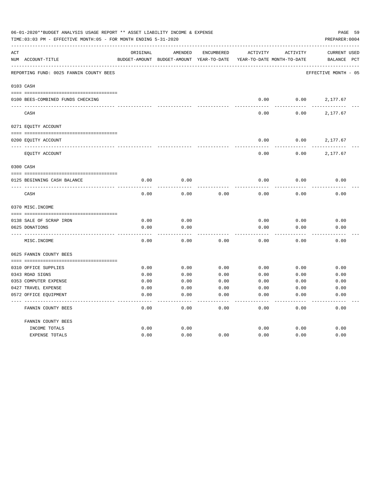|     | 06-01-2020**BUDGET ANALYSIS USAGE REPORT ** ASSET LIABILITY INCOME & EXPENSE<br>TIME: 03:03 PM - EFFECTIVE MONTH: 05 - FOR MONTH ENDING 5-31-2020 |               |                            |                   |                            |                 | PAGE 59<br>PREPARER: 0004 |
|-----|---------------------------------------------------------------------------------------------------------------------------------------------------|---------------|----------------------------|-------------------|----------------------------|-----------------|---------------------------|
| ACT |                                                                                                                                                   | ORIGINAL      | AMENDED                    | <b>ENCUMBERED</b> | ACTIVITY                   | <b>ACTIVITY</b> | <b>CURRENT USED</b>       |
|     | NUM ACCOUNT-TITLE                                                                                                                                 | BUDGET-AMOUNT | BUDGET-AMOUNT YEAR-TO-DATE |                   | YEAR-TO-DATE MONTH-TO-DATE |                 | BALANCE PCT               |
|     | REPORTING FUND: 0025 FANNIN COUNTY BEES                                                                                                           |               |                            |                   |                            |                 | EFFECTIVE MONTH - 05      |
|     | 0103 CASH                                                                                                                                         |               |                            |                   |                            |                 |                           |
|     | 0100 BEES-COMBINED FUNDS CHECKING                                                                                                                 |               |                            |                   | 0.00                       | 0.00            | 2,177.67                  |
|     | CASH                                                                                                                                              |               |                            |                   | 0.00                       | 0.00            | 2,177.67                  |
|     | 0271 EQUITY ACCOUNT                                                                                                                               |               |                            |                   |                            |                 |                           |
|     |                                                                                                                                                   |               |                            |                   |                            |                 |                           |
|     | 0200 EQUITY ACCOUNT                                                                                                                               |               |                            |                   | 0.00                       | 0.00            | 2,177.67                  |
|     | EQUITY ACCOUNT                                                                                                                                    |               |                            |                   | 0.00                       | 0.00            | 2,177.67                  |
|     | 0300 CASH                                                                                                                                         |               |                            |                   |                            |                 |                           |
|     |                                                                                                                                                   |               |                            |                   |                            |                 |                           |
|     | 0125 BEGINNING CASH BALANCE                                                                                                                       | 0.00          | 0.00                       |                   | 0.00                       | 0.00            | 0.00                      |
|     | CASH                                                                                                                                              | 0.00          | 0.00                       | 0.00              | 0.00                       | 0.00            | 0.00                      |
|     | 0370 MISC. INCOME                                                                                                                                 |               |                            |                   |                            |                 |                           |
|     |                                                                                                                                                   |               |                            |                   |                            |                 |                           |
|     | 0138 SALE OF SCRAP IRON                                                                                                                           | 0.00          | 0.00                       |                   | 0.00                       | 0.00            | 0.00                      |
|     | 0625 DONATIONS                                                                                                                                    | 0.00          | 0.00                       |                   | 0.00                       | 0.00            | 0.00                      |
|     | MISC. INCOME                                                                                                                                      | 0.00          | 0.00                       | 0.00              | 0.00                       | 0.00            | 0.00                      |
|     | 0625 FANNIN COUNTY BEES                                                                                                                           |               |                            |                   |                            |                 |                           |
|     | 0310 OFFICE SUPPLIES                                                                                                                              | 0.00          | 0.00                       | 0.00              | 0.00                       | 0.00            | 0.00                      |
|     | 0343 ROAD SIGNS                                                                                                                                   | 0.00          | 0.00                       | 0.00              | 0.00                       | 0.00            | 0.00                      |
|     | 0353 COMPUTER EXPENSE                                                                                                                             | 0.00          | 0.00                       | 0.00              | 0.00                       | 0.00            | 0.00                      |
|     | 0427 TRAVEL EXPENSE                                                                                                                               | 0.00          | 0.00                       | 0.00              | 0.00                       | 0.00            | 0.00                      |
|     | 0572 OFFICE EQUIPMENT                                                                                                                             | 0.00          | 0.00                       | 0.00              | 0.00                       | 0.00            | 0.00                      |
|     | FANNIN COUNTY BEES                                                                                                                                | 0.00          | 0.00                       | 0.00              | 0.00                       | 0.00            | 0.00                      |
|     | FANNIN COUNTY BEES                                                                                                                                |               |                            |                   |                            |                 |                           |
|     | INCOME TOTALS                                                                                                                                     | 0.00          | 0.00                       |                   | 0.00                       | 0.00            | 0.00                      |
|     | <b>EXPENSE TOTALS</b>                                                                                                                             | 0.00          | 0.00                       | 0.00              | 0.00                       | 0.00            | 0.00                      |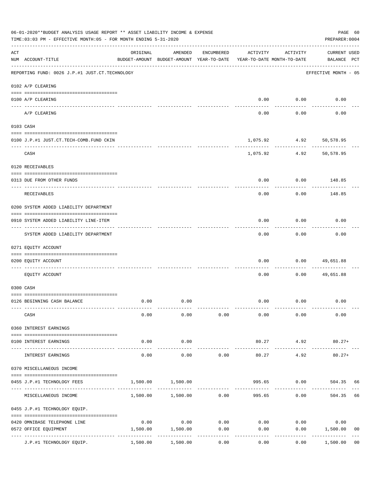|     | 06-01-2020**BUDGET ANALYSIS USAGE REPORT ** ASSET LIABILITY INCOME & EXPENSE<br>TIME: 03:03 PM - EFFECTIVE MONTH: 05 - FOR MONTH ENDING 5-31-2020 |                     |                                                     |                   |          |                                        | PAGE 60<br>PREPARER: 0004          |                |
|-----|---------------------------------------------------------------------------------------------------------------------------------------------------|---------------------|-----------------------------------------------------|-------------------|----------|----------------------------------------|------------------------------------|----------------|
| ACT | NUM ACCOUNT-TITLE                                                                                                                                 | ORIGINAL            | AMENDED<br>BUDGET-AMOUNT BUDGET-AMOUNT YEAR-TO-DATE | ENCUMBERED        | ACTIVITY | ACTIVITY<br>YEAR-TO-DATE MONTH-TO-DATE | <b>CURRENT USED</b><br>BALANCE PCT |                |
|     | REPORTING FUND: 0026 J.P.#1 JUST.CT.TECHNOLOGY                                                                                                    |                     |                                                     |                   |          |                                        | EFFECTIVE MONTH - 05               |                |
|     | 0102 A/P CLEARING                                                                                                                                 |                     |                                                     |                   |          |                                        |                                    |                |
|     | 0100 A/P CLEARING                                                                                                                                 |                     |                                                     |                   | 0.00     | 0.00                                   | 0.00                               |                |
|     | A/P CLEARING                                                                                                                                      |                     |                                                     |                   | 0.00     | 0.00                                   | 0.00                               |                |
|     | 0103 CASH                                                                                                                                         |                     |                                                     |                   |          |                                        |                                    |                |
|     |                                                                                                                                                   |                     |                                                     |                   |          |                                        |                                    |                |
|     | 0100 J.P.#1 JUST.CT.TECH-COMB.FUND CKIN                                                                                                           |                     |                                                     |                   |          | 1,075.92 4.92<br>----------            | 50,578.95                          |                |
|     | CASH                                                                                                                                              |                     |                                                     |                   | 1,075.92 | 4.92                                   | 50,578.95                          |                |
|     | 0120 RECEIVABLES                                                                                                                                  |                     |                                                     |                   |          |                                        |                                    |                |
|     | 0313 DUE FROM OTHER FUNDS                                                                                                                         |                     |                                                     |                   | 0.00     | 0.00                                   | 148.85                             |                |
|     | RECEIVABLES                                                                                                                                       |                     |                                                     |                   | 0.00     | 0.00                                   | 148.85                             |                |
|     | 0200 SYSTEM ADDED LIABILITY DEPARTMENT                                                                                                            |                     |                                                     |                   |          |                                        |                                    |                |
|     | 0910 SYSTEM ADDED LIABILITY LINE-ITEM                                                                                                             |                     |                                                     |                   | 0.00     | 0.00                                   | 0.00                               |                |
|     | ------------------------<br>SYSTEM ADDED LIABILITY DEPARTMENT                                                                                     |                     |                                                     |                   | 0.00     | --------<br>0.00                       | 0.00                               |                |
|     | 0271 EQUITY ACCOUNT                                                                                                                               |                     |                                                     |                   |          |                                        |                                    |                |
|     | 0200 EQUITY ACCOUNT                                                                                                                               |                     |                                                     |                   | 0.00     | 0.00                                   | 49,651.88                          |                |
|     |                                                                                                                                                   |                     |                                                     |                   |          |                                        |                                    |                |
|     | EQUITY ACCOUNT                                                                                                                                    |                     |                                                     |                   | 0.00     | 0.00                                   | 49,651.88                          |                |
|     | 0300 CASH                                                                                                                                         |                     |                                                     |                   |          |                                        |                                    |                |
|     |                                                                                                                                                   |                     |                                                     |                   |          |                                        |                                    |                |
|     | 0126 BEGINNING CASH BALANCE                                                                                                                       | 0.00                | 0.00                                                |                   |          | $0.00$ $0.00$                          | 0.00                               |                |
|     | CASH                                                                                                                                              | 0.00                | 0.00                                                | 0.00              | 0.00     | 0.00                                   | 0.00                               |                |
|     | 0360 INTEREST EARNINGS                                                                                                                            |                     |                                                     |                   |          |                                        |                                    |                |
|     | 0100 INTEREST EARNINGS                                                                                                                            | 0.00                | 0.00                                                |                   | 80.27    | 4.92                                   | $80.27+$                           |                |
|     | INTEREST EARNINGS                                                                                                                                 | $- - - - -$<br>0.00 | ---------<br>0.00                                   | 0.00              | 80.27    | ---------<br>4.92                      | $80.27+$                           |                |
|     | 0370 MISCELLANEOUS INCOME                                                                                                                         |                     |                                                     |                   |          |                                        |                                    |                |
|     |                                                                                                                                                   |                     |                                                     |                   |          |                                        |                                    |                |
|     | 0455 J.P.#1 TECHNOLOGY FEES                                                                                                                       | 1,500.00            | 1,500.00                                            |                   | 995.65   |                                        | 0.00 504.35 66                     |                |
|     | MISCELLANEOUS INCOME                                                                                                                              |                     | $1,500.00$ $1,500.00$ $0.00$ $995.65$               |                   |          | 0.00                                   | 504.35                             | 66             |
|     | 0455 J.P.#1 TECHNOLOGY EQUIP.                                                                                                                     |                     |                                                     |                   |          |                                        |                                    |                |
|     | 0420 OMNIBASE TELEPHONE LINE                                                                                                                      | 0.00                | 0.00                                                | 0.00              | 0.00     | 0.00                                   | 0.00                               |                |
|     | 0572 OFFICE EQUIPMENT                                                                                                                             | 1,500.00            | 1,500.00                                            | 0.00              | 0.00     | 0.00                                   | 1,500.00                           | 0 <sub>0</sub> |
|     | ---------------------- --------------<br>J.P.#1 TECHNOLOGY EQUIP.                                                                                 | 1,500.00            | -----------<br>1,500.00                             | ---------<br>0.00 | 0.00     | 0.00                                   | 1,500.00                           | 0 <sub>0</sub> |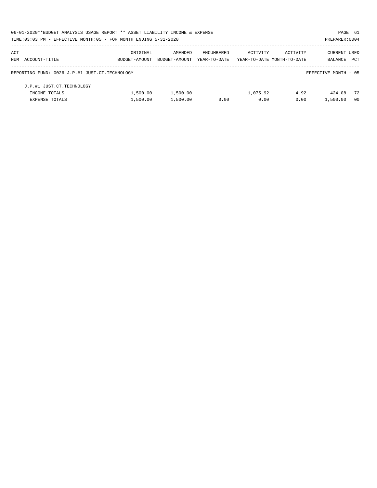| 06-01-2020**BUDGET ANALYSIS USAGE REPORT ** ASSET LIABILITY INCOME & EXPENSE |               |               |              |                            |          | PAGE 61              |                |
|------------------------------------------------------------------------------|---------------|---------------|--------------|----------------------------|----------|----------------------|----------------|
| TIME: 03:03 PM - EFFECTIVE MONTH: 05 - FOR MONTH ENDING 5-31-2020            |               |               |              |                            |          | PREPARER: 0004       |                |
| ACT                                                                          | ORIGINAL      | AMENDED       | ENCUMBERED   | ACTIVITY                   | ACTIVITY | <b>CURRENT USED</b>  |                |
| NUM ACCOUNT-TITLE                                                            | BUDGET-AMOUNT | BUDGET-AMOUNT | YEAR-TO-DATE | YEAR-TO-DATE MONTH-TO-DATE |          | <b>BALANCE</b>       | <b>PCT</b>     |
| REPORTING FUND: 0026 J.P.#1 JUST.CT.TECHNOLOGY                               |               |               |              |                            |          | EFFECTIVE MONTH - 05 |                |
| J.P.#1 JUST.CT.TECHNOLOGY                                                    |               |               |              |                            |          |                      |                |
| INCOME TOTALS                                                                | 1,500.00      | 1,500.00      |              | 1,075.92                   | 4.92     | 424.08               | 72             |
| EXPENSE TOTALS                                                               | 1,500.00      | 1,500.00      | 0.00         | 0.00                       | 0.00     | 1,500.00             | 0 <sub>0</sub> |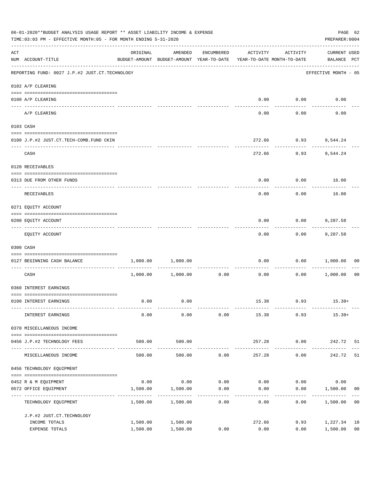|     | 06-01-2020**BUDGET ANALYSIS USAGE REPORT ** ASSET LIABILITY INCOME & EXPENSE<br>TIME: 03:03 PM - EFFECTIVE MONTH: 05 - FOR MONTH ENDING 5-31-2020                                                                                                                                                                                                                                                                                                                                                                                     |          |                                                                                |                    |          |                      |                                    |                |  |
|-----|---------------------------------------------------------------------------------------------------------------------------------------------------------------------------------------------------------------------------------------------------------------------------------------------------------------------------------------------------------------------------------------------------------------------------------------------------------------------------------------------------------------------------------------|----------|--------------------------------------------------------------------------------|--------------------|----------|----------------------|------------------------------------|----------------|--|
| ACT | NUM ACCOUNT-TITLE                                                                                                                                                                                                                                                                                                                                                                                                                                                                                                                     | ORIGINAL | AMENDED<br>BUDGET-AMOUNT BUDGET-AMOUNT YEAR-TO-DATE YEAR-TO-DATE MONTH-TO-DATE | ENCUMBERED         | ACTIVITY | ACTIVITY             | <b>CURRENT USED</b><br>BALANCE PCT |                |  |
|     | REPORTING FUND: 0027 J.P.#2 JUST.CT.TECHNOLOGY                                                                                                                                                                                                                                                                                                                                                                                                                                                                                        |          |                                                                                |                    |          |                      | EFFECTIVE MONTH - 05               |                |  |
|     | 0102 A/P CLEARING                                                                                                                                                                                                                                                                                                                                                                                                                                                                                                                     |          |                                                                                |                    |          |                      |                                    |                |  |
|     | 0100 A/P CLEARING                                                                                                                                                                                                                                                                                                                                                                                                                                                                                                                     |          |                                                                                |                    |          | $0.00$ $0.00$        | 0.00                               |                |  |
|     | A/P CLEARING                                                                                                                                                                                                                                                                                                                                                                                                                                                                                                                          |          |                                                                                |                    | 0.00     | 0.00                 | 0.00                               |                |  |
|     | 0103 CASH                                                                                                                                                                                                                                                                                                                                                                                                                                                                                                                             |          |                                                                                |                    |          |                      |                                    |                |  |
|     | 0100 J.P.#2 JUST.CT.TECH-COMB.FUND CKIN                                                                                                                                                                                                                                                                                                                                                                                                                                                                                               |          |                                                                                |                    |          | 272.66 0.93 9,544.24 |                                    |                |  |
|     | CASH                                                                                                                                                                                                                                                                                                                                                                                                                                                                                                                                  |          |                                                                                |                    | 272.66   | -----------          | $0.93$ 9,544.24                    |                |  |
|     | 0120 RECEIVABLES                                                                                                                                                                                                                                                                                                                                                                                                                                                                                                                      |          |                                                                                |                    |          |                      |                                    |                |  |
|     | 0313 DUE FROM OTHER FUNDS                                                                                                                                                                                                                                                                                                                                                                                                                                                                                                             |          |                                                                                |                    | 0.00     |                      | $0.00$ 16.00                       |                |  |
|     | RECEIVABLES                                                                                                                                                                                                                                                                                                                                                                                                                                                                                                                           |          |                                                                                |                    | 0.00     | 0.00                 | 16.00                              |                |  |
|     | 0271 EQUITY ACCOUNT                                                                                                                                                                                                                                                                                                                                                                                                                                                                                                                   |          |                                                                                |                    |          |                      |                                    |                |  |
|     | 0200 EQUITY ACCOUNT                                                                                                                                                                                                                                                                                                                                                                                                                                                                                                                   |          |                                                                                |                    | 0.00     | 0.00                 | 9,287.58                           |                |  |
|     | EQUITY ACCOUNT                                                                                                                                                                                                                                                                                                                                                                                                                                                                                                                        |          |                                                                                |                    | 0.00     | ---------<br>0.00    | 9,287.58                           |                |  |
|     | 0300 CASH                                                                                                                                                                                                                                                                                                                                                                                                                                                                                                                             |          |                                                                                |                    |          |                      |                                    |                |  |
|     | $\begin{minipage}{0.03\textwidth} \centering \begin{tabular}{ l l l } \hline \texttt{0.03\textwidth} \centering \end{tabular} \end{minipage} \begin{minipage}{0.03\textwidth} \centering \begin{tabular}{ l l l } \hline \texttt{0.03\textwidth} \centering \end{tabular} \end{minipage} \end{minipage} \begin{minipage}{0.03\textwidth} \centering \begin{tabular}{ l l l l } \hline \texttt{0.03\textwidth} \centering \end{tabular} \end{minipage} \end{minipage} \begin{minipage}{0.03\textwidth}$<br>0127 BEGINNING CASH BALANCE | 1,000.00 | 1,000.00                                                                       |                    | 0.00     |                      | 0.00 1,000.00                      | 00             |  |
|     | ----------------------------- ----<br>CASH                                                                                                                                                                                                                                                                                                                                                                                                                                                                                            |          | 1,000.00 1,000.00                                                              | 0.00               | 0.00     |                      | $0.00$ 1,000.00                    | 0 <sub>0</sub> |  |
|     | 0360 INTEREST EARNINGS                                                                                                                                                                                                                                                                                                                                                                                                                                                                                                                |          |                                                                                |                    |          |                      |                                    |                |  |
|     | 0100 INTEREST EARNINGS                                                                                                                                                                                                                                                                                                                                                                                                                                                                                                                | 0.00     | 0.00                                                                           |                    |          |                      | $15.38$ 0.93 $15.38+$              |                |  |
|     | INTEREST EARNINGS                                                                                                                                                                                                                                                                                                                                                                                                                                                                                                                     | 0.00     | 0.00                                                                           | 0.00               | 15.38    | 0.93                 | $15.38+$                           |                |  |
|     | 0370 MISCELLANEOUS INCOME                                                                                                                                                                                                                                                                                                                                                                                                                                                                                                             |          |                                                                                |                    |          |                      |                                    |                |  |
|     | 0456 J.P.#2 TECHNOLOGY FEES                                                                                                                                                                                                                                                                                                                                                                                                                                                                                                           | 500.00   | 500.00                                                                         |                    | 257.28   | 0.00                 | 242.72 51                          |                |  |
|     | MISCELLANEOUS INCOME                                                                                                                                                                                                                                                                                                                                                                                                                                                                                                                  | 500.00   | . <u>.</u> .<br>500.00                                                         | 0.00               | 257.28   | ---------<br>0.00    | 242.72                             | 51             |  |
|     | 0456 TECHNOLOGY EQUIPMENT                                                                                                                                                                                                                                                                                                                                                                                                                                                                                                             |          |                                                                                |                    |          |                      |                                    |                |  |
|     |                                                                                                                                                                                                                                                                                                                                                                                                                                                                                                                                       |          |                                                                                |                    |          |                      |                                    |                |  |
|     | 0452 R & M EQUIPMENT                                                                                                                                                                                                                                                                                                                                                                                                                                                                                                                  | 0.00     | 0.00                                                                           | 0.00               | 0.00     | 0.00                 | 0.00                               |                |  |
|     | 0572 OFFICE EQUIPMENT<br>-----------------                                                                                                                                                                                                                                                                                                                                                                                                                                                                                            | 1,500.00 | 1,500.00                                                                       | 0.00<br>---------- | 0.00     | 0.00                 | 1,500.00                           | 00             |  |
|     | TECHNOLOGY EQUIPMENT                                                                                                                                                                                                                                                                                                                                                                                                                                                                                                                  | 1,500.00 | 1,500.00                                                                       | 0.00               | 0.00     | 0.00                 | 1,500.00                           | 0 <sub>0</sub> |  |
|     | J.P.#2 JUST.CT.TECHNOLOGY                                                                                                                                                                                                                                                                                                                                                                                                                                                                                                             |          |                                                                                |                    |          |                      |                                    |                |  |
|     | INCOME TOTALS                                                                                                                                                                                                                                                                                                                                                                                                                                                                                                                         | 1,500.00 | 1,500.00                                                                       |                    | 272.66   | 0.93                 | 1,227.34                           | 18             |  |
|     | EXPENSE TOTALS                                                                                                                                                                                                                                                                                                                                                                                                                                                                                                                        | 1,500.00 | 1,500.00                                                                       | 0.00               | 0.00     | 0.00                 | 1,500.00                           | 0 <sub>0</sub> |  |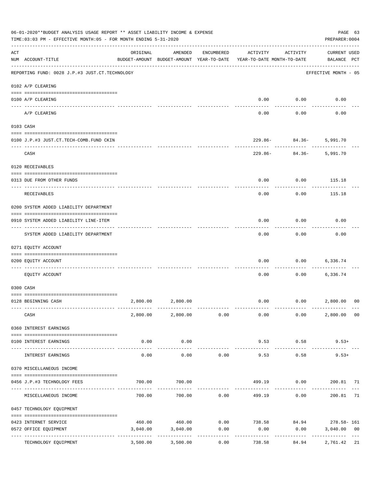|     | 06-01-2020**BUDGET ANALYSIS USAGE REPORT ** ASSET LIABILITY INCOME & EXPENSE<br>TIME: 03:03 PM - EFFECTIVE MONTH: 05 - FOR MONTH ENDING 5-31-2020 |          |                                                     |                     |                                        |                                                                  | PAGE 63<br>PREPARER: 0004          |                |
|-----|---------------------------------------------------------------------------------------------------------------------------------------------------|----------|-----------------------------------------------------|---------------------|----------------------------------------|------------------------------------------------------------------|------------------------------------|----------------|
| ACT | NUM ACCOUNT-TITLE                                                                                                                                 | ORIGINAL | AMENDED<br>BUDGET-AMOUNT BUDGET-AMOUNT YEAR-TO-DATE | ENCUMBERED          | ACTIVITY<br>YEAR-TO-DATE MONTH-TO-DATE | ACTIVITY                                                         | <b>CURRENT USED</b><br>BALANCE PCT |                |
|     | ------------------------------------<br>REPORTING FUND: 0028 J.P.#3 JUST.CT.TECHNOLOGY                                                            |          |                                                     |                     |                                        |                                                                  | EFFECTIVE MONTH - 05               |                |
|     | 0102 A/P CLEARING                                                                                                                                 |          |                                                     |                     |                                        |                                                                  |                                    |                |
|     | 0100 A/P CLEARING                                                                                                                                 |          |                                                     |                     | 0.00                                   | 0.00                                                             | 0.00                               |                |
|     | ---- ---------<br>A/P CLEARING                                                                                                                    |          |                                                     |                     | 0.00                                   | 0.00                                                             | 0.00                               |                |
|     | 0103 CASH                                                                                                                                         |          |                                                     |                     |                                        |                                                                  |                                    |                |
|     | 0100 J.P.#3 JUST.CT.TECH-COMB.FUND CKIN                                                                                                           |          |                                                     |                     |                                        | 229.86- 84.36- 5,991.70                                          |                                    |                |
|     | CASH                                                                                                                                              |          |                                                     |                     |                                        | ---------<br>$229.86 - 84.36 -$                                  | 5,991.70                           |                |
|     | 0120 RECEIVABLES                                                                                                                                  |          |                                                     |                     |                                        |                                                                  |                                    |                |
|     | 0313 DUE FROM OTHER FUNDS                                                                                                                         |          |                                                     |                     | 0.00                                   | 0.00                                                             | 115.18                             |                |
|     | RECEIVABLES                                                                                                                                       |          |                                                     |                     | 0.00                                   | 0.00                                                             | 115.18                             |                |
|     | 0200 SYSTEM ADDED LIABILITY DEPARTMENT                                                                                                            |          |                                                     |                     |                                        |                                                                  |                                    |                |
|     | 0910 SYSTEM ADDED LIABILITY LINE-ITEM                                                                                                             |          |                                                     |                     | 0.00                                   | 0.00                                                             | 0.00                               |                |
|     | SYSTEM ADDED LIABILITY DEPARTMENT                                                                                                                 |          |                                                     |                     | 0.00                                   | 0.00                                                             | 0.00                               |                |
|     | 0271 EQUITY ACCOUNT                                                                                                                               |          |                                                     |                     |                                        |                                                                  |                                    |                |
|     | 0200 EQUITY ACCOUNT                                                                                                                               |          |                                                     |                     | 0.00                                   | 0.00                                                             | 6,336.74                           |                |
|     | EOUITY ACCOUNT                                                                                                                                    |          |                                                     |                     | 0.00                                   | 0.00                                                             | 6,336.74                           |                |
|     | 0300 CASH                                                                                                                                         |          |                                                     |                     |                                        |                                                                  |                                    |                |
|     | 0128 BEGINNING CASH                                                                                                                               |          | 2,800.00 2,800.00                                   |                     | 0.00                                   | 0.00 2,800.00                                                    |                                    | 0 <sup>0</sup> |
|     | CASH                                                                                                                                              |          |                                                     |                     |                                        | $2,800.00$ $2,800.00$ $0.00$ $0.00$ $0.00$ $0.00$                | 2,800.00 00                        |                |
|     | 0360 INTEREST EARNINGS                                                                                                                            |          |                                                     |                     |                                        |                                                                  |                                    |                |
|     | 0100 INTEREST EARNINGS                                                                                                                            | 0.00     | 0.00                                                |                     | 9.53                                   | 0.58                                                             | $9.53+$                            |                |
|     | INTEREST EARNINGS                                                                                                                                 | 0.00     | 0.00                                                | 0.00                | 9.53                                   | 0.58                                                             | $9.53+$                            |                |
|     | 0370 MISCELLANEOUS INCOME                                                                                                                         |          |                                                     |                     |                                        |                                                                  |                                    |                |
|     | 0456 J.P.#3 TECHNOLOGY FEES                                                                                                                       | 700.00   | 700.00                                              |                     |                                        | 499.19   0.00   200.81   71                                      |                                    |                |
|     | ------------------ ---<br>MISCELLANEOUS INCOME                                                                                                    | 700.00   |                                                     | .<br>700.00 0.00    |                                        | ---------<br>499.19 0.00                                         | . <u>.</u><br>200.81               | 71             |
|     | 0457 TECHNOLOGY EQUIPMENT                                                                                                                         |          |                                                     |                     |                                        |                                                                  |                                    |                |
|     |                                                                                                                                                   |          |                                                     |                     |                                        |                                                                  |                                    |                |
|     | 0423 INTERNET SERVICE<br>0572 OFFICE EQUIPMENT                                                                                                    | 3,040.00 | 3,040.00                                            | 0.00                | 0.00                                   | $460.00$ $460.00$ $0.00$ $738.58$ $84.94$ $278.58 - 161$<br>0.00 | 3,040.00                           | 0 <sub>0</sub> |
|     | TECHNOLOGY EQUIPMENT                                                                                                                              | 3,500.00 | -------------<br>3,500.00                           | -----------<br>0.00 | ------------<br>738.58                 | ------------<br>84.94                                            | 2,761.42 21                        |                |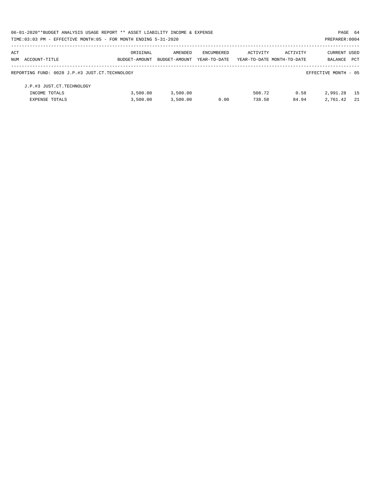|     | 06-01-2020**BUDGET ANALYSIS USAGE REPORT ** ASSET LIABILITY INCOME & EXPENSE |               |               |              |                            |          | PAGE 64              |      |
|-----|------------------------------------------------------------------------------|---------------|---------------|--------------|----------------------------|----------|----------------------|------|
|     | TIME: 03:03 PM - EFFECTIVE MONTH: 05 - FOR MONTH ENDING 5-31-2020            |               |               |              |                            |          | PREPARER: 0004       |      |
| ACT |                                                                              | ORIGINAL      | AMENDED       | ENCUMBERED   | ACTIVITY                   | ACTIVITY | CURRENT USED         |      |
|     | NUM ACCOUNT-TITLE                                                            | BUDGET-AMOUNT | BUDGET-AMOUNT | YEAR-TO-DATE | YEAR-TO-DATE MONTH-TO-DATE |          | BALANCE              | PCT  |
|     | REPORTING FUND: 0028 J.P.#3 JUST.CT.TECHNOLOGY                               |               |               |              |                            |          | EFFECTIVE MONTH - 05 |      |
|     | J.P.#3 JUST.CT.TECHNOLOGY                                                    |               |               |              |                            |          |                      |      |
|     | INCOME TOTALS                                                                | 3,500.00      | 3,500.00      |              | 508.72                     | 0.58     | 2,991.28             | - 15 |
|     | <b>EXPENSE TOTALS</b>                                                        | 3,500.00      | 3,500.00      | 0.00         | 738.58                     | 84.94    | 2,761.42             | - 21 |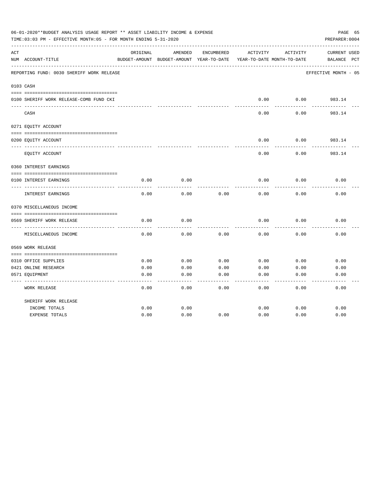|     | 06-01-2020**BUDGET ANALYSIS USAGE REPORT ** ASSET LIABILITY INCOME & EXPENSE<br>TIME:03:03 PM - EFFECTIVE MONTH:05 - FOR MONTH ENDING 5-31-2020 |          |                                          |            |          |                            | PAGE 65<br>PREPARER: 0004 |
|-----|-------------------------------------------------------------------------------------------------------------------------------------------------|----------|------------------------------------------|------------|----------|----------------------------|---------------------------|
| ACT |                                                                                                                                                 | ORIGINAL | AMENDED                                  | ENCUMBERED | ACTIVITY | ACTIVITY                   | <b>CURRENT USED</b>       |
|     | NUM ACCOUNT-TITLE                                                                                                                               |          | BUDGET-AMOUNT BUDGET-AMOUNT YEAR-TO-DATE |            |          | YEAR-TO-DATE MONTH-TO-DATE | $_{\rm PCT}$<br>BALANCE   |
|     | REPORTING FUND: 0030 SHERIFF WORK RELEASE                                                                                                       |          |                                          |            |          |                            | EFFECTIVE MONTH - 05      |
|     | 0103 CASH                                                                                                                                       |          |                                          |            |          |                            |                           |
|     |                                                                                                                                                 |          |                                          |            |          |                            |                           |
|     | 0100 SHERIFF WORK RELEASE-COMB FUND CKI                                                                                                         |          |                                          |            | 0.00     | 0.00                       | 983.14                    |
|     | CASH                                                                                                                                            |          |                                          |            | 0.00     | 0.00                       | 983.14                    |
|     | 0271 EQUITY ACCOUNT                                                                                                                             |          |                                          |            |          |                            |                           |
|     | 0200 EQUITY ACCOUNT                                                                                                                             |          |                                          |            | 0.00     | 0.00                       | 983.14                    |
|     | EQUITY ACCOUNT                                                                                                                                  |          |                                          |            | 0.00     | 0.00                       | 983.14                    |
|     | 0360 INTEREST EARNINGS                                                                                                                          |          |                                          |            |          |                            |                           |
|     |                                                                                                                                                 |          |                                          |            |          |                            |                           |
|     | 0100 INTEREST EARNINGS                                                                                                                          | 0.00     | 0.00                                     |            | 0.00     | 0.00                       | 0.00                      |
|     | <b>INTEREST EARNINGS</b>                                                                                                                        | 0.00     | 0.00                                     | 0.00       | 0.00     | 0.00                       | 0.00                      |
|     | 0370 MISCELLANEOUS INCOME                                                                                                                       |          |                                          |            |          |                            |                           |
|     |                                                                                                                                                 |          |                                          |            |          |                            |                           |
|     | 0569 SHERIFF WORK RELEASE                                                                                                                       | 0.00     | 0.00                                     |            | 0.00     | 0.00                       | 0.00                      |
|     | MISCELLANEOUS INCOME                                                                                                                            | 0.00     | 0.00                                     | 0.00       | 0.00     | 0.00                       | 0.00                      |
|     | 0569 WORK RELEASE                                                                                                                               |          |                                          |            |          |                            |                           |
|     |                                                                                                                                                 |          |                                          |            |          |                            |                           |
|     | 0310 OFFICE SUPPLIES                                                                                                                            | 0.00     | 0.00                                     | 0.00       | 0.00     | 0.00                       | 0.00                      |
|     | 0421 ONLINE RESEARCH                                                                                                                            | 0.00     | 0.00                                     | 0.00       | 0.00     | 0.00                       | 0.00                      |
|     | 0571 EQUIPMENT                                                                                                                                  | 0.00     | 0.00                                     | 0.00       | 0.00     | 0.00                       | 0.00                      |
|     | <b>WORK RELEASE</b>                                                                                                                             | 0.00     | 0.00                                     | 0.00       | 0.00     | 0.00                       | 0.00                      |
|     | SHERIFF WORK RELEASE                                                                                                                            |          |                                          |            |          |                            |                           |
|     | INCOME TOTALS                                                                                                                                   | 0.00     | 0.00                                     |            | 0.00     | 0.00                       | 0.00                      |
|     | <b>EXPENSE TOTALS</b>                                                                                                                           | 0.00     | 0.00                                     | 0.00       | 0.00     | 0.00                       | 0.00                      |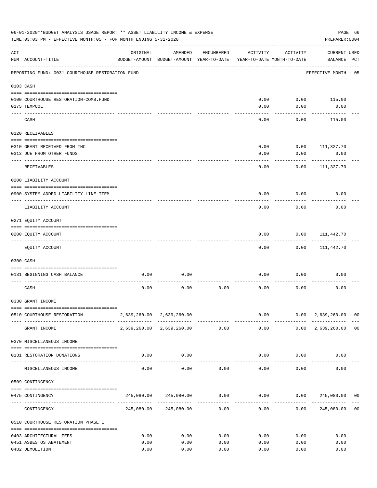|           | 06-01-2020**BUDGET ANALYSIS USAGE REPORT ** ASSET LIABILITY INCOME & EXPENSE<br>TIME: 03:03 PM - EFFECTIVE MONTH: 05 - FOR MONTH ENDING 5-31-2020 |                                           |                                                     |            |              |                                        | PREPARER: 0004                                                                   | PAGE 66 |
|-----------|---------------------------------------------------------------------------------------------------------------------------------------------------|-------------------------------------------|-----------------------------------------------------|------------|--------------|----------------------------------------|----------------------------------------------------------------------------------|---------|
| ACT       | NUM ACCOUNT-TITLE                                                                                                                                 | ORIGINAL                                  | AMENDED<br>BUDGET-AMOUNT BUDGET-AMOUNT YEAR-TO-DATE | ENCUMBERED | ACTIVITY     | ACTIVITY<br>YEAR-TO-DATE MONTH-TO-DATE | <b>CURRENT USED</b><br>BALANCE PCT                                               |         |
|           | REPORTING FUND: 0031 COURTHOUSE RESTORATION FUND                                                                                                  |                                           |                                                     |            |              |                                        | EFFECTIVE MONTH - 05                                                             |         |
| 0103 CASH |                                                                                                                                                   |                                           |                                                     |            |              |                                        |                                                                                  |         |
|           |                                                                                                                                                   |                                           |                                                     |            |              |                                        |                                                                                  |         |
|           | 0100 COURTHOUSE RESTORATION-COMB.FUND                                                                                                             |                                           |                                                     |            | 0.00         | 0.00                                   | 115.00                                                                           |         |
|           | 0175 TEXPOOL                                                                                                                                      |                                           |                                                     |            | 0.00         | 0.00                                   | 0.00                                                                             |         |
|           | CASH                                                                                                                                              |                                           |                                                     |            | 0.00         | 0.00                                   | 115.00                                                                           |         |
|           | 0120 RECEIVABLES                                                                                                                                  |                                           |                                                     |            |              |                                        |                                                                                  |         |
|           | 0310 GRANT RECEIVED FROM THC                                                                                                                      |                                           |                                                     |            | 0.00         | 0.00                                   | 111,327.70                                                                       |         |
|           | 0313 DUE FROM OTHER FUNDS                                                                                                                         |                                           |                                                     |            | 0.00         | 0.00                                   | 0.00                                                                             |         |
|           |                                                                                                                                                   |                                           |                                                     |            |              |                                        |                                                                                  |         |
|           | RECEIVABLES                                                                                                                                       |                                           |                                                     |            | 0.00         | 0.00                                   | 111,327.70                                                                       |         |
|           | 0200 LIABILITY ACCOUNT                                                                                                                            |                                           |                                                     |            |              |                                        |                                                                                  |         |
|           | 0900 SYSTEM ADDED LIABILITY LINE-ITEM                                                                                                             |                                           |                                                     |            | 0.00         | 0.00                                   | 0.00                                                                             |         |
|           | LIABILITY ACCOUNT                                                                                                                                 |                                           |                                                     |            | 0.00         | 0.00                                   | 0.00                                                                             |         |
|           | 0271 EQUITY ACCOUNT                                                                                                                               |                                           |                                                     |            |              |                                        |                                                                                  |         |
|           |                                                                                                                                                   |                                           |                                                     |            |              |                                        |                                                                                  |         |
|           | 0200 EQUITY ACCOUNT                                                                                                                               |                                           |                                                     |            | 0.00         | 0.00                                   | 111,442.70                                                                       |         |
|           | EQUITY ACCOUNT                                                                                                                                    |                                           |                                                     |            | 0.00         | 0.00                                   | 111,442.70                                                                       |         |
|           | 0300 CASH                                                                                                                                         |                                           |                                                     |            |              |                                        |                                                                                  |         |
|           | 0131 BEGINNING CASH BALANCE                                                                                                                       | 0.00                                      | 0.00                                                |            | 0.00         | 0.00                                   | 0.00                                                                             |         |
|           | CASH                                                                                                                                              | 0.00                                      | 0.00                                                | 0.00       | 0.00         | 0.00                                   | 0.00                                                                             |         |
|           | 0330 GRANT INCOME                                                                                                                                 |                                           |                                                     |            |              |                                        |                                                                                  |         |
|           |                                                                                                                                                   |                                           |                                                     |            |              |                                        |                                                                                  |         |
|           | 0510 COURTHOUSE RESTORATION                                                                                                                       |                                           | 2,639,260.00 2,639,260.00                           |            |              | -------------                          | $0.00$ $0.00$ $2,639,260.00$ 00<br>--------------                                |         |
|           | GRANT INCOME                                                                                                                                      |                                           | 2,639,260.00 2,639,260.00 0.00                      |            | 0.00         |                                        | $0.00 \quad 2,639,260.00 \quad 00$                                               |         |
|           | 0370 MISCELLANEOUS INCOME                                                                                                                         |                                           |                                                     |            |              |                                        |                                                                                  |         |
|           | 0131 RESTORATION DONATIONS                                                                                                                        | 0.00                                      | 0.00                                                |            |              | $0.00$ $0.00$                          | 0.00                                                                             |         |
|           | MISCELLANEOUS INCOME                                                                                                                              | ------------------- -------------<br>0.00 | 0.00                                                | 0.00       |              | 0.00<br>0.00                           | 0.00                                                                             |         |
|           | 0509 CONTINGENCY                                                                                                                                  |                                           |                                                     |            |              |                                        |                                                                                  |         |
|           |                                                                                                                                                   |                                           |                                                     |            |              |                                        |                                                                                  |         |
|           | 0475 CONTINGENCY                                                                                                                                  |                                           |                                                     |            | ------------ | -----------                            | $245,080.00$ $245,080.00$ $0.00$ $0.00$ $0.00$ $245,080.00$ $00$<br>------------ |         |
|           | CONTINGENCY                                                                                                                                       |                                           | 245,080.00 245,080.00                               | 0.00       | 0.00         | 0.00                                   | 245,080.00                                                                       | 00      |
|           | 0510 COURTHOUSE RESTORATION PHASE 1                                                                                                               |                                           |                                                     |            |              |                                        |                                                                                  |         |
|           | 0403 ARCHITECTURAL FEES                                                                                                                           | 0.00                                      | 0.00                                                | 0.00       | 0.00         | 0.00                                   | 0.00                                                                             |         |
|           | 0451 ASBESTOS ABATEMENT                                                                                                                           | 0.00                                      | 0.00                                                | 0.00       | 0.00         | 0.00                                   | 0.00                                                                             |         |
|           | 0482 DEMOLITION                                                                                                                                   | 0.00                                      | 0.00                                                | 0.00       | 0.00         | 0.00                                   | 0.00                                                                             |         |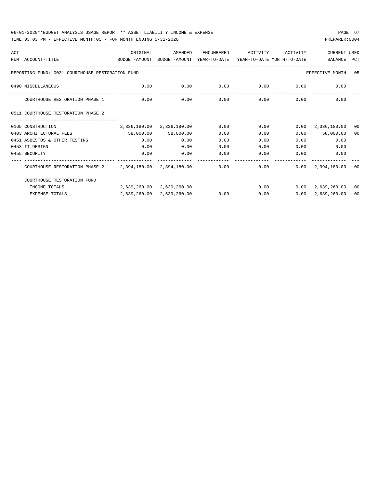TIME:03:03 PM - EFFECTIVE MONTH:05 - FOR MONTH ENDING 5-31-2020

| ACT |                                                                                          | ORIGINAL     | AMENDED                              | ENCUMBERED                  | ACTIVITY | ACTIVITY          | <b>CURRENT USED</b>               |    |
|-----|------------------------------------------------------------------------------------------|--------------|--------------------------------------|-----------------------------|----------|-------------------|-----------------------------------|----|
|     | NUM ACCOUNT-TITLE<br>BUDGET-AMOUNT BUDGET-AMOUNT YEAR-TO-DATE YEAR-TO-DATE_MONTH-TO-DATE |              |                                      |                             |          |                   | BALANCE PCT                       |    |
|     | REPORTING FUND: 0031 COURTHOUSE RESTORATION FUND                                         |              |                                      |                             |          |                   | EFFECTIVE MONTH - 05              |    |
|     | 0490 MISCELLANEOUS                                                                       | 0.00         | 0.00                                 | $0.00$ $0.00$ $0.00$ $0.00$ |          |                   | 0.00                              |    |
|     | COURTHOUSE RESTORATION PHASE 1                                                           | 0.00         | 0.00                                 | 0.00                        |          | $0.00$ and $0.00$ | 0.00<br>0.00                      |    |
|     | 0511 COURTHOUSE RESTORATION PHASE 2                                                      |              |                                      |                             |          |                   |                                   |    |
|     | ==================================                                                       |              |                                      |                             |          |                   |                                   |    |
|     | 0165 CONSTRUCTION                                                                        |              | $2,336,180.00$ $2,336,180.00$ $0.00$ |                             | 0.00     |                   | $0.00 \quad 2,336,180.00$         | 00 |
|     | 0403 ARCHITECTURAL FEES                                                                  |              | 58,000.00 58,000.00                  | 0.00                        | 0.00     |                   | 58,000.00<br>0.00                 | 00 |
|     | 0451 ASBESTOS & OTHER TESTING                                                            | 0.00         | 0.00                                 | 0.00                        | 0.00     |                   | 0.00<br>0.00                      |    |
|     | 0453 IT DESIGN                                                                           | 0.00         | 0.00                                 | 0.00                        | 0.00     |                   | 0.00<br>0.00                      |    |
|     | 0455 SECURITY                                                                            | 0.00         | 0.00                                 | 0.00                        | 0.00     | 0.00              | 0.00                              |    |
|     | COURTHOUSE RESTORATION PHASE 2 2,394,180.00 2,394,180.00                                 |              |                                      | 0.00                        |          | ------------      | $0.00$ $0.00$ $2.394.180.00$ $00$ |    |
|     | COURTHOUSE RESTORATION FUND                                                              |              |                                      |                             |          |                   |                                   |    |
|     | INCOME TOTALS                                                                            |              | 2,639,260.00 2,639,260.00            |                             |          |                   | $0.00$ $0.00$ $2.639.260.00$ 00   |    |
|     | <b>EXPENSE TOTALS</b>                                                                    | 2,639,260.00 | 2,639,260.00                         | 0.00                        | 0.00     | 0.00              | 2,639,260.00                      | 00 |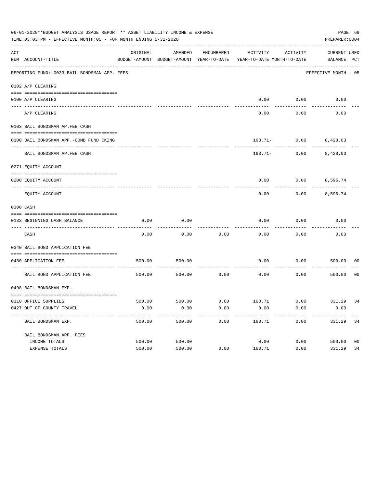| 06-01-2020**BUDGET ANALYSIS USAGE REPORT ** ASSET LIABILITY INCOME & EXPENSE<br>PAGE 68<br>TIME: 03:03 PM - EFFECTIVE MONTH: 05 - FOR MONTH ENDING 5-31-2020<br>PREPARER: 0004 |                                              |          |         |            |                                                                                 |                 |                             |                |
|--------------------------------------------------------------------------------------------------------------------------------------------------------------------------------|----------------------------------------------|----------|---------|------------|---------------------------------------------------------------------------------|-----------------|-----------------------------|----------------|
| ACT                                                                                                                                                                            | NUM ACCOUNT-TITLE                            | ORIGINAL | AMENDED | ENCUMBERED | ACTIVITY<br>BUDGET-AMOUNT BUDGET-AMOUNT YEAR-TO-DATE YEAR-TO-DATE MONTH-TO-DATE | ACTIVITY        | CURRENT USED<br>BALANCE PCT |                |
|                                                                                                                                                                                | REPORTING FUND: 0033 BAIL BONDSMAN APP. FEES |          |         |            |                                                                                 |                 | EFFECTIVE MONTH - 05        |                |
|                                                                                                                                                                                | 0102 A/P CLEARING                            |          |         |            |                                                                                 |                 |                             |                |
|                                                                                                                                                                                | 0100 A/P CLEARING                            |          |         |            | 0.00                                                                            | 0.00            | 0.00                        |                |
|                                                                                                                                                                                | ---- --------<br>A/P CLEARING                |          |         |            | 0.00                                                                            | 0.00            | 0.00                        |                |
|                                                                                                                                                                                | 0103 BAIL BONDSMAN AP.FEE CASH               |          |         |            |                                                                                 |                 |                             |                |
|                                                                                                                                                                                | 0100 BAIL BONDSMAN APP.-COMB FUND CKING      |          |         |            | 168.71-                                                                         | $0.00$ 8,428.03 |                             |                |
|                                                                                                                                                                                | BAIL BONDSMAN AP.FEE CASH                    |          |         |            | $168.71 -$                                                                      | 0.00            | 8,428.03                    |                |
|                                                                                                                                                                                | 0271 EQUITY ACCOUNT                          |          |         |            |                                                                                 |                 |                             |                |
|                                                                                                                                                                                | 0200 EQUITY ACCOUNT                          |          |         |            | 0.00                                                                            | $0.00$ 8,596.74 |                             |                |
|                                                                                                                                                                                | EQUITY ACCOUNT                               |          |         |            | 0.00                                                                            | 0.00            | 8,596.74                    |                |
|                                                                                                                                                                                | 0300 CASH                                    |          |         |            |                                                                                 |                 |                             |                |
|                                                                                                                                                                                | 0133 BEGINNING CASH BALANCE                  | 0.00     | 0.00    |            | 0.00                                                                            | 0.00            | 0.00                        |                |
|                                                                                                                                                                                | CASH                                         | 0.00     | 0.00    | 0.00       | 0.00                                                                            | 0.00            | 0.00                        |                |
|                                                                                                                                                                                | 0340 BAIL BOND APPLICATION FEE               |          |         |            |                                                                                 |                 |                             |                |
|                                                                                                                                                                                | 0480 APPLICATION FEE                         | 500.00   | 500.00  |            | 0.00                                                                            | 0.00            | 500.00                      | 00             |
|                                                                                                                                                                                | BAIL BOND APPLICATION FEE                    | 500.00   | 500.00  | 0.00       | 0.00                                                                            | 0.00            | 500.00                      | 0 <sub>0</sub> |
|                                                                                                                                                                                | 0498 BAIL BONDSMAN EXP.                      |          |         |            |                                                                                 |                 |                             |                |
|                                                                                                                                                                                | 0310 OFFICE SUPPLIES                         |          |         |            | 500.00 500.00 6.00 168.71 0.00 331.29 34                                        |                 |                             |                |
|                                                                                                                                                                                | 0427 OUT OF COUNTY TRAVEL                    | 0.00     | 0.00    | 0.00       | 0.00                                                                            | 0.00            | 0.00                        |                |
|                                                                                                                                                                                | BAIL BONDSMAN EXP.                           | 500.00   | 500.00  | 0.00       | 168.71                                                                          | 0.00            | 331.29                      | 34             |
|                                                                                                                                                                                | BAIL BONDSMAN APP. FEES                      |          |         |            |                                                                                 |                 |                             |                |
|                                                                                                                                                                                | INCOME TOTALS                                | 500.00   | 500.00  |            | 0.00                                                                            | 0.00            | 500.00                      | 0 <sub>0</sub> |
|                                                                                                                                                                                | EXPENSE TOTALS                               | 500.00   | 500.00  | 0.00       | 168.71                                                                          | 0.00            | 331.29                      | 34             |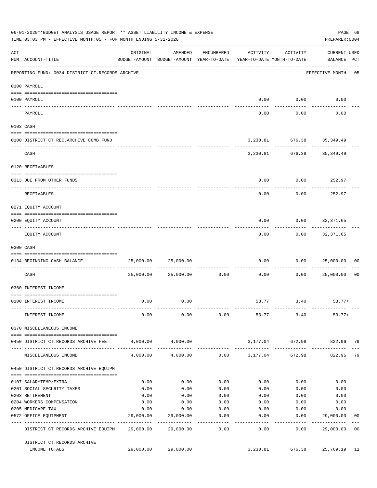|     | 06-01-2020**BUDGET ANALYSIS USAGE REPORT ** ASSET LIABILITY INCOME & EXPENSE<br>PAGE 69<br>TIME: 03:03 PM - EFFECTIVE MONTH: 05 - FOR MONTH ENDING 5-31-2020<br>PREPARER: 0004 |           |                                                                                |                     |                 |                                                            |                                    |                |
|-----|--------------------------------------------------------------------------------------------------------------------------------------------------------------------------------|-----------|--------------------------------------------------------------------------------|---------------------|-----------------|------------------------------------------------------------|------------------------------------|----------------|
| ACT | NUM ACCOUNT-TITLE                                                                                                                                                              | ORIGINAL  | AMENDED<br>BUDGET-AMOUNT BUDGET-AMOUNT YEAR-TO-DATE YEAR-TO-DATE MONTH-TO-DATE | ENCUMBERED          | ACTIVITY        | ACTIVITY                                                   | <b>CURRENT USED</b><br>BALANCE PCT |                |
|     | REPORTING FUND: 0034 DISTRICT CT.RECORDS ARCHIVE                                                                                                                               |           |                                                                                |                     |                 |                                                            | EFFECTIVE MONTH - 05               |                |
|     | 0100 PAYROLL                                                                                                                                                                   |           |                                                                                |                     |                 |                                                            |                                    |                |
|     |                                                                                                                                                                                |           |                                                                                |                     |                 |                                                            |                                    |                |
|     | 0100 PAYROLL<br>--------------------------- --------<br>---- -------                                                                                                           |           |                                                                                |                     |                 | $0.00$ $0.00$<br>----------                                | 0.00                               |                |
|     | PAYROLL                                                                                                                                                                        |           |                                                                                |                     | 0.00            | 0.00                                                       | 0.00                               |                |
|     | 0103 CASH                                                                                                                                                                      |           |                                                                                |                     |                 |                                                            |                                    |                |
|     | 0100 DISTRICT CT.REC.ARCHIVE COMB.FUND                                                                                                                                         |           |                                                                                |                     |                 | 3, 230.81 676.38 35, 349.49                                |                                    |                |
|     | CASH                                                                                                                                                                           |           |                                                                                |                     |                 | ------------- -------------<br>3, 230.81 676.38 35, 349.49 |                                    |                |
|     | 0120 RECEIVABLES                                                                                                                                                               |           |                                                                                |                     |                 |                                                            |                                    |                |
|     | 0313 DUE FROM OTHER FUNDS                                                                                                                                                      |           |                                                                                |                     | 0.00            | $0.00$ 252.97                                              |                                    |                |
|     | RECEIVABLES                                                                                                                                                                    |           |                                                                                |                     | 0.00            | 0.00                                                       | 252.97                             |                |
|     | 0271 EQUITY ACCOUNT                                                                                                                                                            |           |                                                                                |                     |                 |                                                            |                                    |                |
|     | 0200 EQUITY ACCOUNT                                                                                                                                                            |           |                                                                                |                     | 0.00            | $0.00$ 32,371.65                                           |                                    |                |
|     | EQUITY ACCOUNT                                                                                                                                                                 |           |                                                                                |                     | -------<br>0.00 | ---------                                                  | ------------<br>$0.00$ 32,371.65   |                |
|     | 0300 CASH                                                                                                                                                                      |           |                                                                                |                     |                 |                                                            |                                    |                |
|     | 0134 BEGINNING CASH BALANCE                                                                                                                                                    | 25,000.00 | 25,000.00                                                                      |                     | 0.00            |                                                            | 0.000025,000.00                    | 0 <sub>0</sub> |
|     | ------------------------------ -------<br>CASH                                                                                                                                 |           | 25,000.00 25,000.00                                                            | 0.00                | 0.00            | 0.00                                                       | 25,000.00                          | 0 <sub>0</sub> |
|     | 0360 INTEREST INCOME                                                                                                                                                           |           |                                                                                |                     |                 |                                                            |                                    |                |
|     | 0100 INTEREST INCOME                                                                                                                                                           | 0.00      | 0.00                                                                           |                     |                 | 53.77 3.40                                                 | $53.77+$                           |                |
|     | INTEREST INCOME                                                                                                                                                                | 0.00      | 0.00                                                                           | 0.00                |                 | 53.77 3.40                                                 | $53.77+$                           |                |
|     | 0370 MISCELLANEOUS INCOME                                                                                                                                                      |           |                                                                                |                     |                 |                                                            |                                    |                |
|     | 0450 DISTRICT CT.RECORDS ARCHIVE FEE                                                                                                                                           |           | 4,000.00 4,000.00                                                              |                     |                 | 3,177.04 672.98                                            | 822.96 79                          |                |
|     | MISCELLANEOUS INCOME                                                                                                                                                           | 4,000.00  | 4,000.00                                                                       |                     | $0.00$ 3,177.04 | 672.98                                                     | 822.96                             | 79             |
|     | 0450 DISTRICT CT.RECORDS ARCHIVE EQUIPM                                                                                                                                        |           |                                                                                |                     |                 |                                                            |                                    |                |
|     | 0107 SALARYTEMP/EXTRA                                                                                                                                                          | 0.00      | 0.00                                                                           | 0.00                | 0.00            | 0.00                                                       | 0.00                               |                |
|     | 0201 SOCIAL SECURITY TAXES                                                                                                                                                     | 0.00      | 0.00                                                                           | 0.00                | 0.00            | 0.00                                                       | 0.00                               |                |
|     | 0203 RETIREMENT                                                                                                                                                                | 0.00      | 0.00                                                                           | 0.00                | 0.00            | 0.00                                                       | 0.00                               |                |
|     | 0204 WORKERS COMPENSATION                                                                                                                                                      | 0.00      | 0.00                                                                           | 0.00                | 0.00            | 0.00                                                       | 0.00                               |                |
|     | 0205 MEDICARE TAX                                                                                                                                                              | 0.00      | 0.00                                                                           | 0.00                | 0.00            | 0.00                                                       | 0.00                               |                |
|     | 0572 OFFICE EQUIPMENT                                                                                                                                                          | 29,000.00 | 29,000.00                                                                      | 0.00                | 0.00            | 0.00                                                       | 29,000.00                          | 00             |
|     | DISTRICT CT.RECORDS ARCHIVE EQUIPM 29,000.00                                                                                                                                   |           | . _ _ _ _ _ _ _ _ _ _ _<br>29,000.00                                           | -----------<br>0.00 | ------<br>0.00  | ---------<br>0.00                                          | -----------<br>29,000.00           | 0 <sub>0</sub> |
|     | DISTRICT CT.RECORDS ARCHIVE                                                                                                                                                    |           |                                                                                |                     |                 |                                                            |                                    |                |
|     | INCOME TOTALS                                                                                                                                                                  | 29,000.00 | 29,000.00                                                                      |                     | 3,230.81        | 676.38                                                     | 25,769.19                          | 11             |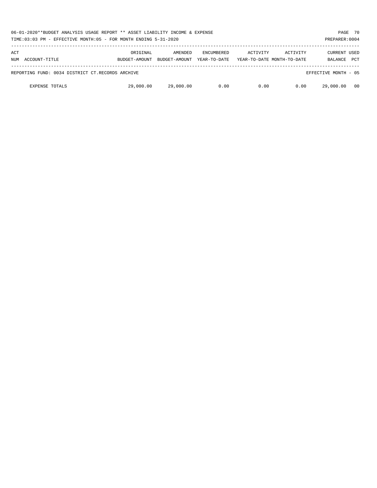| 06-01-2020**BUDGET ANALYSIS USAGE REPORT ** ASSET LIABILITY INCOME & EXPENSE<br>TIME:03:03 PM - EFFECTIVE MONTH:05 - FOR MONTH ENDING 5-31-2020 |                           |                          |                                   |          |                                        |                                       | PAGE 70<br>PREPARER: 0004 |
|-------------------------------------------------------------------------------------------------------------------------------------------------|---------------------------|--------------------------|-----------------------------------|----------|----------------------------------------|---------------------------------------|---------------------------|
| ACT<br>ACCOUNT-TITLE<br>NUM                                                                                                                     | ORIGINAL<br>BUDGET-AMOUNT | AMENDED<br>BUDGET-AMOUNT | <b>ENCUMBERED</b><br>YEAR-TO-DATE | ACTIVITY | ACTIVITY<br>YEAR-TO-DATE MONTH-TO-DATE | <b>CURRENT USED</b><br><b>BALANCE</b> | <b>PCT</b>                |
| REPORTING FUND: 0034 DISTRICT CT.RECORDS ARCHIVE                                                                                                |                           |                          |                                   |          |                                        | EFFECTIVE MONTH - 05                  |                           |
| <b>EXPENSE TOTALS</b>                                                                                                                           | 29,000.00                 | 29,000.00                | 0.00                              | 0.00     | 0.00                                   | 29,000.00                             | - 00                      |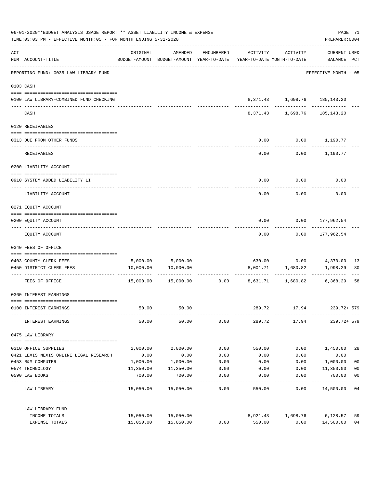| 06-01-2020**BUDGET ANALYSIS USAGE REPORT ** ASSET LIABILITY INCOME & EXPENSE<br>TIME: 03:03 PM - EFFECTIVE MONTH: 05 - FOR MONTH ENDING 5-31-2020 |                                         |           |                                                                                |                 |          |                         | PREPARER: 0004                             | PAGE 71        |  |
|---------------------------------------------------------------------------------------------------------------------------------------------------|-----------------------------------------|-----------|--------------------------------------------------------------------------------|-----------------|----------|-------------------------|--------------------------------------------|----------------|--|
| ACT                                                                                                                                               | NUM ACCOUNT-TITLE                       | ORIGINAL  | AMENDED<br>BUDGET-AMOUNT BUDGET-AMOUNT YEAR-TO-DATE YEAR-TO-DATE MONTH-TO-DATE | ENCUMBERED      | ACTIVITY | ACTIVITY                | <b>CURRENT USED</b><br>BALANCE PCT         |                |  |
|                                                                                                                                                   | REPORTING FUND: 0035 LAW LIBRARY FUND   |           |                                                                                |                 |          |                         | EFFECTIVE MONTH - 05                       |                |  |
|                                                                                                                                                   | 0103 CASH                               |           |                                                                                |                 |          |                         |                                            |                |  |
|                                                                                                                                                   | 0100 LAW LIBRARY-COMBINED FUND CHECKING |           |                                                                                |                 |          | ------------ ---------- | 8,371.43 1,698.76 185,143.20               |                |  |
|                                                                                                                                                   | CASH                                    |           |                                                                                |                 |          |                         | 8,371.43 1,698.76 185,143.20               |                |  |
|                                                                                                                                                   | 0120 RECEIVABLES                        |           |                                                                                |                 |          |                         |                                            |                |  |
|                                                                                                                                                   | 0313 DUE FROM OTHER FUNDS               |           |                                                                                |                 | 0.00     |                         | $0.00$ 1,190.77                            |                |  |
|                                                                                                                                                   | RECEIVABLES                             |           |                                                                                |                 | 0.00     |                         | $0.00$ 1,190.77                            |                |  |
|                                                                                                                                                   | 0200 LIABILITY ACCOUNT                  |           |                                                                                |                 |          |                         |                                            |                |  |
|                                                                                                                                                   | 0910 SYSTEM ADDED LIABILITY LI          |           |                                                                                |                 | 0.00     | 0.00                    | 0.00                                       |                |  |
|                                                                                                                                                   | LIABILITY ACCOUNT                       |           |                                                                                |                 | 0.00     | 0.00                    | 0.00                                       |                |  |
|                                                                                                                                                   | 0271 EQUITY ACCOUNT                     |           |                                                                                |                 |          |                         |                                            |                |  |
|                                                                                                                                                   | 0200 EQUITY ACCOUNT                     |           |                                                                                |                 | 0.00     |                         | $0.00$ 177,962.54<br>. _ _ _ _ _ _ _ _ _ _ |                |  |
|                                                                                                                                                   | EQUITY ACCOUNT                          |           |                                                                                |                 |          |                         | $0.00$ $0.00$ $177,962.54$                 |                |  |
|                                                                                                                                                   | 0340 FEES OF OFFICE                     |           |                                                                                |                 |          |                         |                                            |                |  |
|                                                                                                                                                   | 0403 COUNTY CLERK FEES                  |           | 5,000.00 5,000.00                                                              |                 |          |                         |                                            | 13             |  |
|                                                                                                                                                   | 0450 DISTRICT CLERK FEES                | 10,000.00 | 10,000.00                                                                      |                 |          | 8,001.71 1,680.82       | 1,998.29                                   | 80             |  |
|                                                                                                                                                   | ------------------- --------------      |           |                                                                                |                 |          |                         |                                            |                |  |
|                                                                                                                                                   | FEES OF OFFICE                          |           | 15,000.00 15,000.00                                                            | 0.00            |          |                         | 8,631.71 1,680.82 6,368.29                 | 58             |  |
|                                                                                                                                                   | 0360 INTEREST EARNINGS                  |           |                                                                                |                 |          |                         |                                            |                |  |
|                                                                                                                                                   | 0100 INTEREST EARNINGS                  | 50.00     | 50.00                                                                          |                 | 289.72   | 17.94                   | 239.72+ 579                                |                |  |
|                                                                                                                                                   | INTEREST EARNINGS                       | 50.00     | 50.00                                                                          | 0.00            | 289.72   | 17.94                   | $239.72 + 579$                             |                |  |
|                                                                                                                                                   | 0475 LAW LIBRARY                        |           |                                                                                |                 |          |                         |                                            |                |  |
|                                                                                                                                                   | 0310 OFFICE SUPPLIES                    | 2,000.00  | 2,000.00                                                                       | 0.00            | 550.00   | 0.00                    | 1,450.00                                   | 28             |  |
|                                                                                                                                                   | 0421 LEXIS NEXIS ONLINE LEGAL RESEARCH  | 0.00      | 0.00                                                                           | 0.00            | 0.00     | 0.00                    | 0.00                                       |                |  |
|                                                                                                                                                   | 0453 R&M COMPUTER                       | 1,000.00  | 1,000.00                                                                       | 0.00            | 0.00     | 0.00                    | 1,000.00                                   | 0 <sub>0</sub> |  |
|                                                                                                                                                   | 0574 TECHNOLOGY                         | 11,350.00 | 11,350.00                                                                      | 0.00            | 0.00     | 0.00                    | 11,350.00                                  | 0 <sub>0</sub> |  |
|                                                                                                                                                   | 0590 LAW BOOKS                          | 700.00    | 700.00                                                                         | 0.00            | 0.00     | 0.00                    | 700.00                                     | 0 <sub>0</sub> |  |
|                                                                                                                                                   | LAW LIBRARY                             |           | 15,050.00 15,050.00                                                            | -------<br>0.00 | 550.00   | 0.00                    | ---------<br>14,500.00                     | $- - -$<br>04  |  |
|                                                                                                                                                   | LAW LIBRARY FUND                        |           |                                                                                |                 |          |                         |                                            |                |  |
|                                                                                                                                                   | INCOME TOTALS                           |           | 15,050.00 15,050.00                                                            |                 | 8,921.43 | 1,698.76                | 6,128.57                                   | 59             |  |
|                                                                                                                                                   | EXPENSE TOTALS                          | 15,050.00 | 15,050.00                                                                      | 0.00            | 550.00   | 0.00                    | 14,500.00                                  | 04             |  |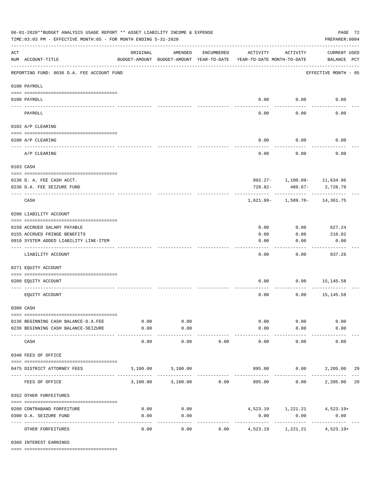| 06-01-2020**BUDGET ANALYSIS USAGE REPORT ** ASSET LIABILITY INCOME & EXPENSE<br>TIME: 03:03 PM - EFFECTIVE MONTH: 05 - FOR MONTH ENDING 5-31-2020 |                                            |                                                      |                     |            |                                        |                                   |                                    |     |  |
|---------------------------------------------------------------------------------------------------------------------------------------------------|--------------------------------------------|------------------------------------------------------|---------------------|------------|----------------------------------------|-----------------------------------|------------------------------------|-----|--|
| $\mathop{\rm ACT}$                                                                                                                                | NUM ACCOUNT-TITLE                          | ORIGINAL<br>BUDGET-AMOUNT BUDGET-AMOUNT YEAR-TO-DATE | AMENDED             | ENCUMBERED | ACTIVITY<br>YEAR-TO-DATE MONTH-TO-DATE | ACTIVITY                          | <b>CURRENT USED</b><br>BALANCE PCT |     |  |
|                                                                                                                                                   | REPORTING FUND: 0036 D.A. FEE ACCOUNT FUND |                                                      |                     |            |                                        |                                   | EFFECTIVE MONTH - 05               |     |  |
|                                                                                                                                                   | 0100 PAYROLL                               |                                                      |                     |            |                                        |                                   |                                    |     |  |
|                                                                                                                                                   | 0100 PAYROLL                               |                                                      |                     |            |                                        | $0.00$ 0.00                       | 0.00                               |     |  |
| ---- ---                                                                                                                                          | PAYROLL                                    |                                                      |                     |            | 0.00                                   | 0.00                              | 0.00                               |     |  |
|                                                                                                                                                   | 0102 A/P CLEARING                          |                                                      |                     |            |                                        |                                   |                                    |     |  |
|                                                                                                                                                   | 0100 A/P CLEARING                          |                                                      |                     |            | 0.00                                   | 0.00                              | 0.00                               |     |  |
|                                                                                                                                                   | A/P CLEARING                               |                                                      |                     |            | 0.00                                   | 0.00                              | 0.00                               |     |  |
|                                                                                                                                                   | 0103 CASH                                  |                                                      |                     |            |                                        |                                   |                                    |     |  |
|                                                                                                                                                   | 0136 D. A. FEE CASH ACCT.                  |                                                      |                     |            |                                        | 892.27- 1,100.09- 11,634.96       |                                    |     |  |
|                                                                                                                                                   | 0236 D.A. FEE SEIZURE FUND                 |                                                      |                     |            | 728.82-                                | 489.67-                           | 2,726.79                           |     |  |
|                                                                                                                                                   | CASH                                       |                                                      |                     |            |                                        | $1,621.09 - 1,589.76 - 14,361.75$ |                                    |     |  |
|                                                                                                                                                   | 0200 LIABILITY ACCOUNT                     |                                                      |                     |            |                                        |                                   |                                    |     |  |
|                                                                                                                                                   | 0150 ACCRUED SALARY PAYABLE                |                                                      |                     |            | 0.00                                   | 0.00                              | 627.24                             |     |  |
|                                                                                                                                                   | 0155 ACCRUED FRINGE BENEFITS               |                                                      |                     |            | 0.00                                   | 0.00                              | 210.02                             |     |  |
|                                                                                                                                                   | 0910 SYSTEM ADDED LIABILITY LINE-ITEM      |                                                      |                     |            | 0.00                                   | 0.00                              | 0.00                               |     |  |
|                                                                                                                                                   | LIABILITY ACCOUNT                          |                                                      |                     |            | 0.00                                   | 0.00                              | 837.26                             |     |  |
|                                                                                                                                                   | 0271 EQUITY ACCOUNT                        |                                                      |                     |            |                                        |                                   |                                    |     |  |
|                                                                                                                                                   | 0200 EQUITY ACCOUNT                        |                                                      |                     |            | 0.00                                   |                                   | $0.00$ 15,145.58                   |     |  |
|                                                                                                                                                   | EQUITY ACCOUNT                             |                                                      |                     |            | 0.00                                   | 0.00                              | 15,145.58                          |     |  |
|                                                                                                                                                   | 0300 CASH                                  |                                                      |                     |            |                                        |                                   |                                    |     |  |
|                                                                                                                                                   | 0136 BEGINNING CASH BALANCE-D.A.FEE        | 0.00                                                 | 0.00                |            |                                        | 0.00<br>0.00                      | 0.00                               |     |  |
|                                                                                                                                                   | 0236 BEGINNING CASH BALANCE-SEIZURE        | 0.00<br>-----                                        | 0.00<br>----------  |            | 0.00                                   | 0.00                              | 0.00                               |     |  |
|                                                                                                                                                   | CASH                                       | 0.00                                                 | 0.00                | 0.00       | 0.00                                   | 0.00                              | 0.00                               |     |  |
|                                                                                                                                                   | 0340 FEES OF OFFICE                        |                                                      |                     |            |                                        |                                   |                                    |     |  |
|                                                                                                                                                   | 0475 DISTRICT ATTORNEY FEES                |                                                      | 3,100.00 3,100.00   |            |                                        |                                   | 895.00 0.00 2,205.00               | -29 |  |
|                                                                                                                                                   | FEES OF OFFICE                             |                                                      | 3,100.00 3,100.00   | 0.00       | 895.00                                 | 0.00                              | 2,205.00 29                        |     |  |
|                                                                                                                                                   | 0352 OTHER FORFEITURES                     |                                                      |                     |            |                                        |                                   |                                    |     |  |
|                                                                                                                                                   | 0200 CONTRABAND FORFEITURE                 | 0.00                                                 | 0.00                |            |                                        |                                   | $4,523.19$ $1,221.21$ $4,523.19+$  |     |  |
|                                                                                                                                                   | 0300 D.A. SEIZURE FUND                     | 0.00                                                 | 0.00                |            | 0.00                                   | 0.00                              | 0.00                               |     |  |
|                                                                                                                                                   | OTHER FORFEITURES                          | 0.00                                                 | $- - - - -$<br>0.00 | 0.00       | 4,523.19                               | ------------<br>1,221.21          | -------------<br>$4,523.19+$       |     |  |

0360 INTEREST EARNINGS

==== ===================================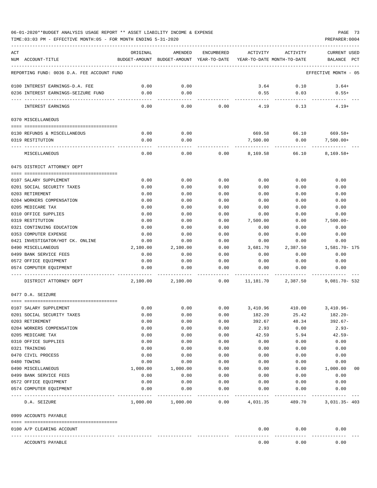## 06-01-2020\*\*BUDGET ANALYSIS USAGE REPORT \*\* ASSET LIABILITY INCOME & EXPENSE PAGE 73

TIME:03:03 PM - EFFECTIVE MONTH:05 - FOR MONTH ENDING 5-31-2020 PREPARER:0004

| ACT                                                  | ORIGINAL         | AMENDED                                                             | ENCUMBERED   | ACTIVITY           | ACTIVITY           | <b>CURRENT USED</b>    |
|------------------------------------------------------|------------------|---------------------------------------------------------------------|--------------|--------------------|--------------------|------------------------|
| NUM ACCOUNT-TITLE                                    |                  | BUDGET-AMOUNT BUDGET-AMOUNT YEAR-TO-DATE YEAR-TO-DATE MONTH-TO-DATE |              |                    |                    | BALANCE<br>PCT         |
| REPORTING FUND: 0036 D.A. FEE ACCOUNT FUND           |                  |                                                                     |              |                    |                    | EFFECTIVE MONTH - 05   |
| 0100 INTEREST EARNINGS-D.A. FEE                      | 0.00             | 0.00                                                                |              | 3.64               | 0.10               | $3.64+$                |
| 0236 INTEREST EARNINGS-SEIZURE FUND                  | 0.00             | 0.00                                                                |              | 0.55               | 0.03               | $0.55+$                |
| INTEREST EARNINGS                                    | 0.00             | $- - - -$<br>0.00                                                   | 0.00         | 4.19               | 0.13               | $4.19+$                |
| 0370 MISCELLANEOUS                                   |                  |                                                                     |              |                    |                    |                        |
|                                                      |                  |                                                                     |              |                    |                    |                        |
| 0130 REFUNDS & MISCELLANEOUS<br>0319 RESTITUTION     | 0.00<br>0.00     | 0.00<br>0.00                                                        |              | 669.58<br>7,500.00 | 66.10<br>0.00      | 669.58+<br>$7,500.00+$ |
|                                                      |                  |                                                                     |              |                    |                    |                        |
| MISCELLANEOUS                                        | 0.00             | 0.00                                                                | 0.00         |                    | 8,169.58 66.10     | $8,169.58+$            |
| 0475 DISTRICT ATTORNEY DEPT                          |                  |                                                                     |              |                    |                    |                        |
|                                                      |                  |                                                                     |              |                    |                    |                        |
| 0107 SALARY SUPPLEMENT<br>0201 SOCIAL SECURITY TAXES | 0.00<br>0.00     | 0.00<br>0.00                                                        | 0.00<br>0.00 | 0.00<br>0.00       | 0.00<br>0.00       | 0.00<br>0.00           |
| 0203 RETIREMENT                                      | 0.00             | 0.00                                                                | 0.00         | 0.00               | 0.00               | 0.00                   |
| 0204 WORKERS COMPENSATION                            | 0.00             | 0.00                                                                | 0.00         | 0.00               | 0.00               | 0.00                   |
| 0205 MEDICARE TAX                                    | 0.00             | 0.00                                                                | 0.00         | 0.00               | 0.00               | 0.00                   |
| 0310 OFFICE SUPPLIES                                 | 0.00             | 0.00                                                                | 0.00         | 0.00               | 0.00               | 0.00                   |
| 0319 RESTITUTION                                     | 0.00             | 0.00                                                                | 0.00         | 7,500.00           | 0.00               | $7,500.00 -$           |
| 0321 CONTINUING EDUCATION                            | 0.00             | 0.00                                                                | 0.00         | 0.00               | 0.00               | 0.00                   |
| 0353 COMPUTER EXPENSE                                | 0.00             | 0.00                                                                | 0.00         | 0.00               | 0.00               | 0.00                   |
| 0421 INVESTIGATOR/HOT CK. ONLINE                     | 0.00             | 0.00                                                                | 0.00         | 0.00               | 0.00               | 0.00                   |
| 0490 MISCELLANEOUS                                   | 2,100.00         | 2,100.00                                                            | 0.00         | 3,681.70           | 2,387.50           | 1,581.70- 175          |
| 0499 BANK SERVICE FEES                               | 0.00             | 0.00                                                                | 0.00         | 0.00               | 0.00               | 0.00                   |
| 0572 OFFICE EQUIPMENT                                | 0.00             | 0.00                                                                | 0.00         | 0.00               | 0.00               | 0.00                   |
| 0574 COMPUTER EOUIPMENT                              | 0.00             | 0.00                                                                | 0.00         | 0.00               | 0.00               | 0.00                   |
| DISTRICT ATTORNEY DEPT                               | 2,100.00         | 2,100.00                                                            | 0.00         | 11,181.70          | 2,387.50           | $9,081.70 - 532$       |
| 0477 D.A. SEIZURE                                    |                  |                                                                     |              |                    |                    |                        |
| 0107 SALARY SUPPLEMENT                               | 0.00             | 0.00                                                                | 0.00         |                    | 3,410.96 410.00    | 3,410.96-              |
| 0201 SOCIAL SECURITY TAXES                           | 0.00             | 0.00                                                                | 0.00         | 182.20             | 25.42              | 182.20-                |
| 0203 RETIREMENT                                      | 0.00             | 0.00                                                                | 0.00         | 392.67             | 48.34              | $392.67 -$             |
| 0204 WORKERS COMPENSATION                            | 0.00             | 0.00                                                                | 0.00         | 2.93               | 0.00               | $2.93-$                |
| 0205 MEDICARE TAX                                    | 0.00             | 0.00                                                                | 0.00         | 42.59              | 5.94               | $42.59-$               |
| 0310 OFFICE SUPPLIES                                 | 0.00             | 0.00                                                                | 0.00         | 0.00               | 0.00               | 0.00                   |
| 0321 TRAINING                                        | 0.00             | 0.00                                                                | 0.00         | 0.00               | 0.00               | 0.00                   |
| 0470 CIVIL PROCESS                                   | 0.00             | 0.00                                                                | 0.00         | 0.00               | 0.00               | 0.00                   |
| 0480 TOWING                                          | 0.00             | 0.00<br>1,000.00                                                    | 0.00         | 0.00               | 0.00               | 0.00                   |
| 0490 MISCELLANEOUS<br>0499 BANK SERVICE FEES         | 1,000.00<br>0.00 | 0.00                                                                | 0.00<br>0.00 | 0.00<br>0.00       | 0.00<br>0.00       | 1,000.00<br>00<br>0.00 |
| 0572 OFFICE EQUIPMENT                                | 0.00             | 0.00                                                                | 0.00         | 0.00               | 0.00               | 0.00                   |
| 0574 COMPUTER EQUIPMENT                              | 0.00             | 0.00                                                                | 0.00         | 0.00               | 0.00               | 0.00                   |
| D.A. SEIZURE                                         |                  | 1,000.00 1,000.00                                                   | 0.00         | 4,031.35           | 489.70             | 3,031.35- 403          |
| 0999 ACCOUNTS PAYABLE                                |                  |                                                                     |              |                    |                    |                        |
| 0100 A/P CLEARING ACCOUNT<br>---------------         |                  |                                                                     |              | 0.00               | 0.00<br>---------- | 0.00                   |
| ACCOUNTS PAYABLE                                     |                  |                                                                     |              | 0.00               | 0.00               | 0.00                   |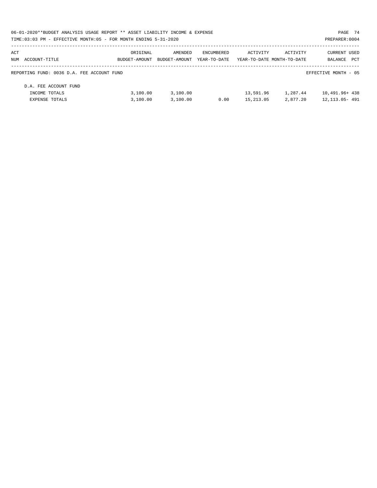| 06-01-2020**BUDGET ANALYSIS USAGE REPORT ** ASSET LIABILITY INCOME & EXPENSE |               |               |              |                            |          | PAGE 74               |
|------------------------------------------------------------------------------|---------------|---------------|--------------|----------------------------|----------|-----------------------|
| TIME: 03:03 PM - EFFECTIVE MONTH: 05 - FOR MONTH ENDING 5-31-2020            |               |               |              |                            |          | PREPARER: 0004        |
| ACT                                                                          | ORIGINAL      | AMENDED       | ENCUMBERED   | ACTIVITY                   | ACTIVITY | <b>CURRENT USED</b>   |
| NUM ACCOUNT-TITLE                                                            | BUDGET-AMOUNT | BUDGET-AMOUNT | YEAR-TO-DATE | YEAR-TO-DATE MONTH-TO-DATE |          | <b>PCT</b><br>BALANCE |
| REPORTING FUND: 0036 D.A. FEE ACCOUNT FUND                                   |               |               |              |                            |          | EFFECTIVE MONTH - 05  |
| D.A. FEE ACCOUNT FUND                                                        |               |               |              |                            |          |                       |
| INCOME TOTALS                                                                | 3,100.00      | 3,100.00      |              | 13,591.96                  | 1,287.44 | 10,491.96+ 438        |
| EXPENSE TOTALS                                                               | 3.100.00      | 3,100.00      | 0.00         | 15, 213, 05                | 2,877.20 | 12, 113, 05 - 491     |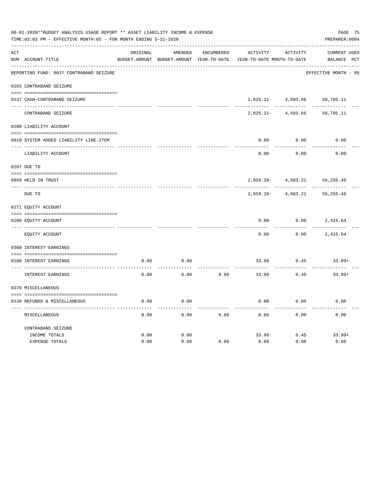| 06-01-2020**BUDGET ANALYSIS USAGE REPORT ** ASSET LIABILITY INCOME & EXPENSE<br>TIME: 03:03 PM - EFFECTIVE MONTH: 05 - FOR MONTH ENDING 5-31-2020 |                                         |          |                                          |                   |                            |                 |                      |  |  |
|---------------------------------------------------------------------------------------------------------------------------------------------------|-----------------------------------------|----------|------------------------------------------|-------------------|----------------------------|-----------------|----------------------|--|--|
| ACT                                                                                                                                               |                                         | ORIGINAL | AMENDED                                  | <b>ENCUMBERED</b> | ACTIVITY                   | <b>ACTIVITY</b> | CURRENT USED         |  |  |
|                                                                                                                                                   | NUM ACCOUNT-TITLE                       |          | BUDGET-AMOUNT BUDGET-AMOUNT YEAR-TO-DATE |                   | YEAR-TO-DATE MONTH-TO-DATE |                 | BALANCE PCT          |  |  |
|                                                                                                                                                   | REPORTING FUND: 0037 CONTRABAND SEIZURE |          |                                          |                   |                            |                 | EFFECTIVE MONTH - 05 |  |  |
|                                                                                                                                                   | 0103 CONTRABAND SEIZURE                 |          |                                          |                   |                            |                 |                      |  |  |
|                                                                                                                                                   | 0137 CASH-CONTRABAND SEIZURE            |          |                                          |                   | $2,825.21-$                | 4,683.66        | 58,705.11            |  |  |
|                                                                                                                                                   | CONTRABAND SEIZURE                      |          |                                          |                   | $2,825.21-$                | 4,683.66        | 58,705.11            |  |  |
|                                                                                                                                                   | 0200 LIABILITY ACCOUNT                  |          |                                          |                   |                            |                 |                      |  |  |
|                                                                                                                                                   | 0910 SYSTEM ADDED LIABILITY LINE-ITEM   |          |                                          |                   | 0.00                       | 0.00            | 0.00                 |  |  |
|                                                                                                                                                   | LIABILITY ACCOUNT                       |          |                                          |                   | 0.00                       | 0.00            | 0.00                 |  |  |
|                                                                                                                                                   | 0207 DUE TO                             |          |                                          |                   |                            |                 |                      |  |  |
|                                                                                                                                                   | 0099 HELD IN TRUST                      |          |                                          |                   | $2,859.20 -$               | 4,683.21        | 56, 255.48           |  |  |
| $- - - - - - -$                                                                                                                                   | DUE TO                                  |          |                                          |                   | $2,859.20 -$               | 4,683.21        | 56,255.48            |  |  |
|                                                                                                                                                   | 0271 EQUITY ACCOUNT                     |          |                                          |                   |                            |                 |                      |  |  |
|                                                                                                                                                   | 0200 EQUITY ACCOUNT                     |          |                                          |                   | 0.00                       | 0.00            | 2,415.64             |  |  |
|                                                                                                                                                   | EQUITY ACCOUNT                          |          |                                          |                   | 0.00                       | 0.00            | 2,415.64             |  |  |
|                                                                                                                                                   | 0360 INTEREST EARNINGS                  |          |                                          |                   |                            |                 |                      |  |  |
|                                                                                                                                                   | 0100 INTEREST EARNINGS                  | 0.00     | 0.00                                     |                   | 33.99                      | 0.45            | $33.99+$             |  |  |
|                                                                                                                                                   | INTEREST EARNINGS                       | 0.00     | 0.00                                     | 0.00              | 33.99                      | 0.45            | $33.99+$             |  |  |
|                                                                                                                                                   | 0370 MISCELLANEOUS                      |          |                                          |                   |                            |                 |                      |  |  |
|                                                                                                                                                   | 0130 REFUNDS & MISCELLANEOUS            | 0.00     | 0.00                                     |                   | 0.00                       | 0.00            | 0.00                 |  |  |
|                                                                                                                                                   | MISCELLANEOUS                           | 0.00     | 0.00                                     | 0.00              | 0.00                       | 0.00            | 0.00                 |  |  |
|                                                                                                                                                   | CONTRABAND SEIZURE<br>INCOME TOTALS     | 0.00     | 0.00                                     |                   | 33.99                      | 0.45            | $33.99+$             |  |  |
|                                                                                                                                                   | EXPENSE TOTALS                          | 0.00     | 0.00                                     | 0.00              | 0.00                       | 0.00            | 0.00                 |  |  |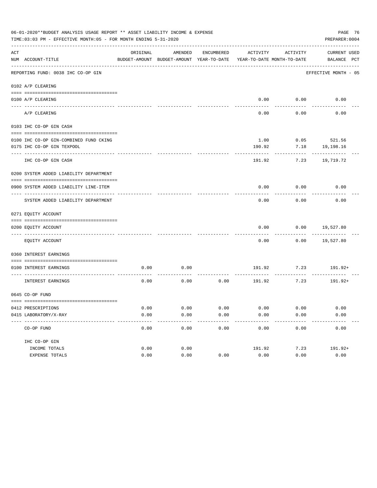|     | 06-01-2020**BUDGET ANALYSIS USAGE REPORT ** ASSET LIABILITY INCOME & EXPENSE<br>TIME: 03:03 PM - EFFECTIVE MONTH: 05 - FOR MONTH ENDING 5-31-2020 |          |                                                     |               |                   |                                        |                             |  |  |
|-----|---------------------------------------------------------------------------------------------------------------------------------------------------|----------|-----------------------------------------------------|---------------|-------------------|----------------------------------------|-----------------------------|--|--|
| ACT | NUM ACCOUNT-TITLE                                                                                                                                 | ORIGINAL | AMENDED<br>BUDGET-AMOUNT BUDGET-AMOUNT YEAR-TO-DATE | ENCUMBERED    | ACTIVITY          | ACTIVITY<br>YEAR-TO-DATE MONTH-TO-DATE | CURRENT USED<br>BALANCE PCT |  |  |
|     | REPORTING FUND: 0038 IHC CO-OP GIN                                                                                                                |          |                                                     |               |                   |                                        | EFFECTIVE MONTH - 05        |  |  |
|     | 0102 A/P CLEARING                                                                                                                                 |          |                                                     |               |                   |                                        |                             |  |  |
|     |                                                                                                                                                   |          |                                                     |               |                   |                                        |                             |  |  |
|     | 0100 A/P CLEARING                                                                                                                                 |          |                                                     |               |                   | $0.00$ $0.00$                          | 0.00                        |  |  |
|     | A/P CLEARING                                                                                                                                      |          |                                                     |               | 0.00              | 0.00                                   | 0.00                        |  |  |
|     | 0103 IHC CO-OP GIN CASH                                                                                                                           |          |                                                     |               |                   |                                        |                             |  |  |
|     | 0100 IHC CO-OP GIN-COMBINED FUND CKING                                                                                                            |          |                                                     |               | 1.00              |                                        | 0.05 521.56                 |  |  |
|     | 0175 IHC CO-OP GIN TEXPOOL                                                                                                                        |          |                                                     |               | 190.92            | 7.18                                   | 19,198.16                   |  |  |
|     | -------------                                                                                                                                     |          |                                                     |               |                   |                                        |                             |  |  |
|     | IHC CO-OP GIN CASH                                                                                                                                |          |                                                     |               | 191.92            | 7.23                                   | 19,719.72                   |  |  |
|     | 0200 SYSTEM ADDED LIABILITY DEPARTMENT                                                                                                            |          |                                                     |               |                   |                                        |                             |  |  |
|     | 0900 SYSTEM ADDED LIABILITY LINE-ITEM                                                                                                             |          |                                                     |               | 0.00              | 0.00                                   | 0.00                        |  |  |
|     | SYSTEM ADDED LIABILITY DEPARTMENT                                                                                                                 |          |                                                     |               | 0.00              | 0.00                                   | 0.00                        |  |  |
|     | 0271 EQUITY ACCOUNT                                                                                                                               |          |                                                     |               |                   |                                        |                             |  |  |
|     | 0200 EQUITY ACCOUNT                                                                                                                               |          |                                                     |               | 0.00              | 0.00                                   | 19,527.80                   |  |  |
|     | EQUITY ACCOUNT                                                                                                                                    |          |                                                     |               | 0.00              | 0.00                                   | 19,527.80                   |  |  |
|     | 0360 INTEREST EARNINGS                                                                                                                            |          |                                                     |               |                   |                                        |                             |  |  |
|     | 0100 INTEREST EARNINGS                                                                                                                            | 0.00     | 0.00                                                |               | 191.92            |                                        | $7.23$ $191.92+$            |  |  |
|     | INTEREST EARNINGS                                                                                                                                 | 0.00     | 0.00                                                | 0.00          | 191.92            | 7.23                                   | 191.92+                     |  |  |
|     | 0645 CO-OP FUND                                                                                                                                   |          |                                                     |               |                   |                                        |                             |  |  |
|     | 0412 PRESCRIPTIONS                                                                                                                                | 0.00     | 0.00                                                | 0.00          | 0.00              | 0.00                                   | 0.00                        |  |  |
|     | 0415 LABORATORY/X-RAY                                                                                                                             | 0.00     | 0.00                                                | 0.00          | 0.00              | 0.00                                   | 0.00                        |  |  |
|     | -------------------------------------<br>CO-OP FUND                                                                                               | 0.00     | $- - - - -$<br>0.00                                 | -----<br>0.00 | ---------<br>0.00 | ---------<br>0.00                      | ----------<br>0.00          |  |  |
|     | IHC CO-OP GIN                                                                                                                                     |          |                                                     |               |                   |                                        |                             |  |  |
|     | INCOME TOTALS                                                                                                                                     | 0.00     | 0.00                                                |               | 191.92            | 7.23                                   | 191.92+                     |  |  |
|     | EXPENSE TOTALS                                                                                                                                    | 0.00     | 0.00                                                | 0.00          | 0.00              | 0.00                                   | 0.00                        |  |  |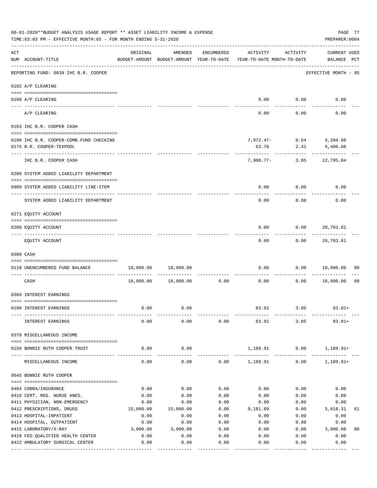| 06-01-2020**BUDGET ANALYSIS USAGE REPORT ** ASSET LIABILITY INCOME & EXPENSE<br>TIME: 03:03 PM - EFFECTIVE MONTH: 05 - FOR MONTH ENDING 5-31-2020 |                                                   | PAGE 77<br>PREPARER: 0004                            |                       |                     |                                        |                   |                                        |                |
|---------------------------------------------------------------------------------------------------------------------------------------------------|---------------------------------------------------|------------------------------------------------------|-----------------------|---------------------|----------------------------------------|-------------------|----------------------------------------|----------------|
| ACT                                                                                                                                               | NUM ACCOUNT-TITLE<br>---------------------------- | ORIGINAL<br>BUDGET-AMOUNT BUDGET-AMOUNT YEAR-TO-DATE | AMENDED               | ENCUMBERED          | ACTIVITY<br>YEAR-TO-DATE MONTH-TO-DATE | ACTIVITY          | <b>CURRENT USED</b><br>BALANCE PCT     |                |
|                                                                                                                                                   | REPORTING FUND: 0039 IHC B.R. COOPER              |                                                      |                       |                     |                                        |                   | EFFECTIVE MONTH - 05                   |                |
|                                                                                                                                                   | 0102 A/P CLEARING                                 |                                                      |                       |                     |                                        |                   |                                        |                |
|                                                                                                                                                   | 0100 A/P CLEARING                                 |                                                      |                       |                     | 0.00                                   | 0.00              | 0.00                                   |                |
|                                                                                                                                                   | ---- ---------<br>A/P CLEARING                    |                                                      |                       |                     | 0.00                                   | 0.00              | 0.00                                   |                |
|                                                                                                                                                   | 0103 IHC B.R. COOPER CASH                         |                                                      |                       |                     |                                        |                   |                                        |                |
|                                                                                                                                                   | 0100 IHC B.R. COOPER-COMB.FUND CHECKING           |                                                      |                       |                     |                                        |                   | 7,972.47- 0.64 6,394.96                |                |
|                                                                                                                                                   | 0175 B.R. COOPER-TEXPOOL                          |                                                      |                       |                     | 63.70                                  |                   | 2.41 6,400.08                          |                |
|                                                                                                                                                   | -----------------<br>IHC B.R. COOPER CASH         |                                                      |                       |                     | --------                               | ----------        | . <u>.</u><br>7,908.77- 3.05 12,795.04 |                |
|                                                                                                                                                   | 0200 SYSTEM ADDED LIABILITY DEPARTMENT            |                                                      |                       |                     |                                        |                   |                                        |                |
|                                                                                                                                                   | 0900 SYSTEM ADDED LIABILITY LINE-ITEM             |                                                      |                       |                     | 0.00                                   | 0.00              | 0.00                                   |                |
|                                                                                                                                                   | SYSTEM ADDED LIABILITY DEPARTMENT                 |                                                      |                       |                     | 0.00                                   | 0.00              | 0.00                                   |                |
|                                                                                                                                                   | 0271 EQUITY ACCOUNT                               |                                                      |                       |                     |                                        |                   |                                        |                |
|                                                                                                                                                   | 0200 EQUITY ACCOUNT                               |                                                      |                       |                     | 0.00                                   | 0.00              | 20,703.81                              |                |
|                                                                                                                                                   | EQUITY ACCOUNT                                    |                                                      |                       |                     | 0.00                                   |                   | 0.00 20,703.81                         |                |
|                                                                                                                                                   | 0300 CASH                                         |                                                      |                       |                     |                                        |                   |                                        |                |
|                                                                                                                                                   | 0110 UNENCUMBERED FUND BALANCE                    |                                                      | 18,000.00 18,000.00   |                     | 0.00                                   |                   | $0.00$ 18,000.00                       | 00             |
|                                                                                                                                                   |                                                   |                                                      |                       |                     | ------------ -------------             |                   |                                        |                |
|                                                                                                                                                   | CASH                                              | 18,000.00                                            | 18,000.00             | 0.00                | 0.00                                   | 0.00              | 18,000.00                              | 0 <sub>0</sub> |
|                                                                                                                                                   | 0360 INTEREST EARNINGS                            |                                                      |                       |                     |                                        |                   |                                        |                |
|                                                                                                                                                   | 0100 INTEREST EARNINGS                            | 0.00                                                 | 0.00                  |                     | 83.01                                  | 3.05              | $83.01+$                               |                |
|                                                                                                                                                   | INTEREST EARNINGS                                 | 0.00                                                 | 0.00                  | 0.00                | 83.01                                  | 3.05              | $83.01+$                               |                |
|                                                                                                                                                   | 0370 MISCELLANEOUS INCOME                         |                                                      |                       |                     |                                        |                   |                                        |                |
|                                                                                                                                                   | 0150 BONNIE RUTH COOPER TRUST                     | 0.00                                                 | 0.00                  |                     | 1,189.91                               | 0.00              | $1,189.91+$                            |                |
|                                                                                                                                                   | MISCELLANEOUS INCOME                              | 0.00                                                 | $- - - - -$<br>0.00   | 0.00                | -------------<br>1,189.91              | 0.00              | $1,189.91+$                            |                |
|                                                                                                                                                   | 0645 BONNIE RUTH COOPER                           |                                                      |                       |                     |                                        |                   |                                        |                |
|                                                                                                                                                   | 0404 COBRA/INSURANCE                              | 0.00                                                 | 0.00                  | 0.00                | 0.00                                   | 0.00              | 0.00                                   |                |
|                                                                                                                                                   | 0410 CERT. REG. NURSE ANES.                       | 0.00                                                 | 0.00                  | 0.00                | 0.00                                   | 0.00              | 0.00                                   |                |
|                                                                                                                                                   | 0411 PHYSICIAN, NON-EMERGENCY                     | 0.00                                                 | 0.00                  | 0.00                | 0.00                                   | 0.00              | 0.00                                   |                |
|                                                                                                                                                   | 0412 PRESCRIPTIONS, DRUGS                         | 15,000.00                                            | 15,000.00             | 0.00                | 9,181.69                               | 0.00              | 5,818.31                               | 61             |
|                                                                                                                                                   | 0413 HOSPITAL-INPATIENT                           | 0.00                                                 | 0.00                  | 0.00                | 0.00                                   | 0.00              | 0.00                                   |                |
|                                                                                                                                                   | 0414 HOSPITAL, OUTPATIENT                         | 0.00                                                 | 0.00                  | 0.00                | 0.00                                   | 0.00              | 0.00                                   |                |
|                                                                                                                                                   | 0415 LABORATORY/X-RAY                             | 3,000.00                                             | 3,000.00              | 0.00                | 0.00                                   | 0.00              | 3,000.00                               | 0 <sub>0</sub> |
|                                                                                                                                                   | 0418 FED. QUALIFIED HEALTH CENTER                 | 0.00                                                 | 0.00                  | 0.00                | 0.00                                   | 0.00              | 0.00                                   |                |
|                                                                                                                                                   | 0422 AMBULATORY SURGICAL CENTER                   | 0.00                                                 | 0.00<br>------------- | 0.00<br>----------- | 0.00<br>---------                      | 0.00<br>--------- | 0.00<br>----------                     |                |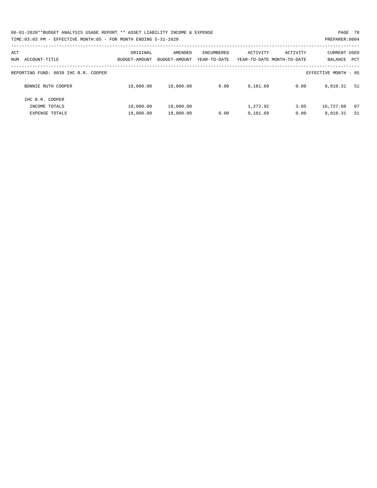| 06-01-2020**BUDGET ANALYSIS USAGE REPORT ** ASSET LIABILITY INCOME & EXPENSE | PAGE 78        |
|------------------------------------------------------------------------------|----------------|
| TIME:03:03 PM - EFFECTIVE MONTH:05 - FOR MONTH ENDING 5-31-2020              | PREPARER: 0004 |

| ACT<br>ACCOUNT-TITLE<br>NUM          | ORIGINAL<br>BUDGET-AMOUNT | AMENDED<br>BUDGET-AMOUNT | ENCUMBERED<br>YEAR-TO-DATE | ACTIVITY | ACTIVITY<br>YEAR-TO-DATE MONTH-TO-DATE | <b>CURRENT USED</b><br>BALANCE<br>PCT |  |
|--------------------------------------|---------------------------|--------------------------|----------------------------|----------|----------------------------------------|---------------------------------------|--|
| REPORTING FUND: 0039 IHC B.R. COOPER |                           |                          |                            |          |                                        | EFFECTIVE MONTH - 05                  |  |
| BONNIE RUTH COOPER                   | 18,000.00                 | 18,000.00                | 0.00                       | 9,181.69 | 0.00                                   | 8,818.31<br>51                        |  |
| IHC B.R. COOPER                      |                           |                          |                            |          |                                        |                                       |  |
| INCOME TOTALS                        | 18,000.00                 | 18,000.00                |                            | 1,272.92 | 3.05                                   | 16,727.08<br>07                       |  |
| EXPENSE TOTALS                       | 18,000.00                 | 18,000.00                | 0.00                       | 9,181.69 | 0.00                                   | 8,818.31<br>51                        |  |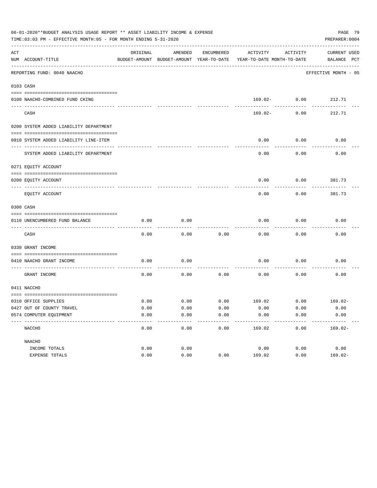|     | TIME:03:03 PM - EFFECTIVE MONTH:05 - FOR MONTH ENDING 5-31-2020 |          |         |            |                                                                     |                 | PREPARER: 0004          |  |
|-----|-----------------------------------------------------------------|----------|---------|------------|---------------------------------------------------------------------|-----------------|-------------------------|--|
| ACT |                                                                 | ORIGINAL | AMENDED | ENCUMBERED | ACTIVITY                                                            | ACTIVITY        | CURRENT USED            |  |
|     | NUM ACCOUNT-TITLE<br>----------------------------               |          |         |            | BUDGET-AMOUNT BUDGET-AMOUNT YEAR-TO-DATE YEAR-TO-DATE MONTH-TO-DATE |                 | BALANCE PCT             |  |
|     | REPORTING FUND: 0040 NAACHO                                     |          |         |            |                                                                     |                 | EFFECTIVE MONTH - 05    |  |
|     | 0103 CASH                                                       |          |         |            |                                                                     |                 |                         |  |
|     |                                                                 |          |         |            |                                                                     |                 |                         |  |
|     | 0100 NAACHO-COMBINED FUND CKING                                 |          |         |            |                                                                     | $169.02 - 0.00$ | 212.71                  |  |
|     | CASH                                                            |          |         |            | 169.02-                                                             | 0.00            | 212.71                  |  |
|     | 0200 SYSTEM ADDED LIABILITY DEPARTMENT                          |          |         |            |                                                                     |                 |                         |  |
|     | 0910 SYSTEM ADDED LIABILITY LINE-ITEM                           |          |         |            | 0.00                                                                | 0.00            | 0.00                    |  |
|     | SYSTEM ADDED LIABILITY DEPARTMENT                               |          |         |            | 0.00                                                                | 0.00            | 0.00                    |  |
|     | 0271 EQUITY ACCOUNT                                             |          |         |            |                                                                     |                 |                         |  |
|     |                                                                 |          |         |            |                                                                     |                 |                         |  |
|     | 0200 EQUITY ACCOUNT<br>--------------------- --------           |          |         |            | 0.00                                                                | 0.00            | 381.73                  |  |
|     | EQUITY ACCOUNT                                                  |          |         |            | 0.00                                                                | 0.00            | 381.73                  |  |
|     | 0300 CASH                                                       |          |         |            |                                                                     |                 |                         |  |
|     | 0110 UNENCUMBERED FUND BALANCE                                  | 0.00     | 0.00    |            | 0.00                                                                | 0.00            | 0.00                    |  |
|     | CASH                                                            | 0.00     | 0.00    | 0.00       | 0.00                                                                | 0.00            | 0.00                    |  |
|     | 0330 GRANT INCOME                                               |          |         |            |                                                                     |                 |                         |  |
|     | 0410 NAACHO GRANT INCOME<br>_____________________               | 0.00     | 0.00    |            | 0.00                                                                | 0.00            | 0.00                    |  |
|     | GRANT INCOME                                                    | 0.00     | 0.00    | 0.00       | 0.00                                                                | 0.00            | 0.00                    |  |
|     | 0411 NACCHO                                                     |          |         |            |                                                                     |                 |                         |  |
|     | 0310 OFFICE SUPPLIES                                            | 0.00     | 0.00    |            | $0.00$ $169.02$ $0.00$ $169.02$                                     |                 |                         |  |
|     | 0427 OUT OF COUNTY TRAVEL                                       | 0.00     | 0.00    | 0.00       | 0.00                                                                | 0.00            | 0.00                    |  |
|     | 0574 COMPUTER EOUIPMENT                                         | 0.00     | 0.00    | 0.00       | 0.00                                                                | 0.00            | 0.00                    |  |
|     | NACCHO                                                          | 0.00     | 0.00    | 0.00       | ---------<br>169.02                                                 | 0.00            | ---------<br>$169.02 -$ |  |
|     | NAACHO                                                          |          |         |            |                                                                     |                 |                         |  |
|     | INCOME TOTALS                                                   | 0.00     | 0.00    |            | 0.00                                                                | 0.00            | 0.00                    |  |
|     | EXPENSE TOTALS                                                  | 0.00     | 0.00    | 0.00       | 169.02                                                              | 0.00            | $169.02 -$              |  |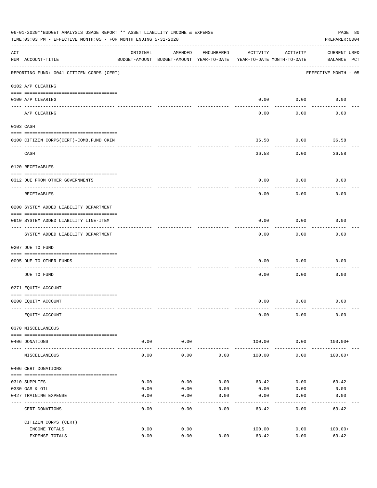|     | 06-01-2020**BUDGET ANALYSIS USAGE REPORT ** ASSET LIABILITY INCOME & EXPENSE<br>PAGE 80<br>TIME: 03:03 PM - EFFECTIVE MONTH: 05 - FOR MONTH ENDING 5-31-2020<br>PREPARER: 0004 |                  |                                                     |                     |                                        |                     |                                    |  |  |  |  |
|-----|--------------------------------------------------------------------------------------------------------------------------------------------------------------------------------|------------------|-----------------------------------------------------|---------------------|----------------------------------------|---------------------|------------------------------------|--|--|--|--|
| ACT | NUM ACCOUNT-TITLE                                                                                                                                                              | ORIGINAL         | AMENDED<br>BUDGET-AMOUNT BUDGET-AMOUNT YEAR-TO-DATE | ENCUMBERED          | ACTIVITY<br>YEAR-TO-DATE MONTH-TO-DATE | ACTIVITY            | <b>CURRENT USED</b><br>BALANCE PCT |  |  |  |  |
|     | REPORTING FUND: 0041 CITIZEN CORPS (CERT)                                                                                                                                      |                  |                                                     |                     |                                        |                     | EFFECTIVE MONTH - 05               |  |  |  |  |
|     | 0102 A/P CLEARING                                                                                                                                                              |                  |                                                     |                     |                                        |                     |                                    |  |  |  |  |
|     | 0100 A/P CLEARING                                                                                                                                                              |                  |                                                     |                     | 0.00                                   | 0.00                | 0.00                               |  |  |  |  |
|     | A/P CLEARING                                                                                                                                                                   |                  |                                                     |                     | 0.00                                   | 0.00                | 0.00                               |  |  |  |  |
|     | 0103 CASH                                                                                                                                                                      |                  |                                                     |                     |                                        |                     |                                    |  |  |  |  |
|     | 0100 CITIZEN CORPS (CERT)-COMB. FUND CKIN                                                                                                                                      |                  |                                                     |                     | 36.58                                  | 0.00                | 36.58                              |  |  |  |  |
|     | CASH                                                                                                                                                                           |                  |                                                     |                     | 36.58                                  | 0.00                | 36.58                              |  |  |  |  |
|     | 0120 RECEIVABLES                                                                                                                                                               |                  |                                                     |                     |                                        |                     |                                    |  |  |  |  |
|     | 0312 DUE FROM OTHER GOVERNMENTS                                                                                                                                                |                  |                                                     |                     | 0.00                                   | 0.00                | 0.00                               |  |  |  |  |
|     | RECEIVABLES                                                                                                                                                                    |                  |                                                     |                     | 0.00                                   | 0.00                | 0.00                               |  |  |  |  |
|     | 0200 SYSTEM ADDED LIABILITY DEPARTMENT                                                                                                                                         |                  |                                                     |                     |                                        |                     |                                    |  |  |  |  |
|     | 0910 SYSTEM ADDED LIABILITY LINE-ITEM                                                                                                                                          |                  |                                                     |                     | 0.00                                   | 0.00                | 0.00                               |  |  |  |  |
|     | SYSTEM ADDED LIABILITY DEPARTMENT                                                                                                                                              |                  |                                                     |                     | 0.00                                   | 0.00                | 0.00                               |  |  |  |  |
|     | 0207 DUE TO FUND                                                                                                                                                               |                  |                                                     |                     |                                        |                     |                                    |  |  |  |  |
|     | 0095 DUE TO OTHER FUNDS                                                                                                                                                        |                  |                                                     |                     | 0.00                                   | 0.00                | 0.00                               |  |  |  |  |
|     | DUE TO FUND                                                                                                                                                                    |                  |                                                     |                     | 0.00                                   | 0.00                | 0.00                               |  |  |  |  |
|     | 0271 EQUITY ACCOUNT                                                                                                                                                            |                  |                                                     |                     |                                        |                     |                                    |  |  |  |  |
|     | 0200 EQUITY ACCOUNT                                                                                                                                                            |                  |                                                     |                     | 0.00                                   | 0.00                | 0.00                               |  |  |  |  |
|     | EQUITY ACCOUNT                                                                                                                                                                 |                  |                                                     |                     | 0.00                                   | 0.00                | 0.00                               |  |  |  |  |
|     | 0370 MISCELLANEOUS                                                                                                                                                             |                  |                                                     |                     |                                        |                     |                                    |  |  |  |  |
|     | 0406 DONATIONS                                                                                                                                                                 | 0.00             | 0.00                                                |                     | 100.00                                 | 0.00                | $100.00+$                          |  |  |  |  |
|     | MISCELLANEOUS                                                                                                                                                                  | --------<br>0.00 | ----------<br>0.00                                  | 0.00                | 100.00                                 | ----------<br>0.00  | $100.00 +$                         |  |  |  |  |
|     | 0406 CERT DONATIONS                                                                                                                                                            |                  |                                                     |                     |                                        |                     |                                    |  |  |  |  |
|     |                                                                                                                                                                                |                  |                                                     |                     |                                        |                     |                                    |  |  |  |  |
|     | 0310 SUPPLIES                                                                                                                                                                  | 0.00             | 0.00                                                | 0.00                | 63.42                                  | 0.00                | $63.42-$                           |  |  |  |  |
|     | 0330 GAS & OIL<br>0427 TRAINING EXPENSE                                                                                                                                        | 0.00<br>0.00     | 0.00<br>0.00                                        | 0.00<br>0.00        | 0.00<br>0.00                           | 0.00<br>0.00        | 0.00<br>0.00                       |  |  |  |  |
|     | CERT DONATIONS                                                                                                                                                                 | 0.00             | 0.00                                                | $- - - - -$<br>0.00 | --------<br>63.42                      | $- - - - -$<br>0.00 | ---------<br>$63.42-$              |  |  |  |  |
|     | CITIZEN CORPS (CERT)                                                                                                                                                           |                  |                                                     |                     |                                        |                     |                                    |  |  |  |  |
|     | INCOME TOTALS                                                                                                                                                                  | 0.00             | 0.00                                                |                     | 100.00                                 | 0.00                | $100.00+$                          |  |  |  |  |
|     | EXPENSE TOTALS                                                                                                                                                                 | 0.00             | 0.00                                                | 0.00                | 63.42                                  | 0.00                | $63.42-$                           |  |  |  |  |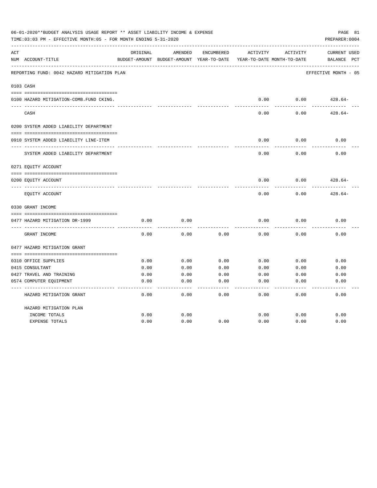| 06-01-2020**BUDGET ANALYSIS USAGE REPORT ** ASSET LIABILITY INCOME & EXPENSE<br>TIME: 03:03 PM - EFFECTIVE MONTH: 05 - FOR MONTH ENDING 5-31-2020<br>PREPARER: 0004 |                                             |          |                                                     |            |          |                                        |                                                |  |
|---------------------------------------------------------------------------------------------------------------------------------------------------------------------|---------------------------------------------|----------|-----------------------------------------------------|------------|----------|----------------------------------------|------------------------------------------------|--|
| ACT                                                                                                                                                                 | NUM ACCOUNT-TITLE                           | ORIGINAL | AMENDED<br>BUDGET-AMOUNT BUDGET-AMOUNT YEAR-TO-DATE | ENCUMBERED | ACTIVITY | ACTIVITY<br>YEAR-TO-DATE MONTH-TO-DATE | <b>CURRENT USED</b><br>$_{\rm PCT}$<br>BALANCE |  |
|                                                                                                                                                                     | REPORTING FUND: 0042 HAZARD MITIGATION PLAN |          |                                                     |            |          |                                        | EFFECTIVE MONTH - 05                           |  |
|                                                                                                                                                                     | 0103 CASH                                   |          |                                                     |            |          |                                        |                                                |  |
|                                                                                                                                                                     | 0100 HAZARD MITIGATION-COMB.FUND CKING.     |          |                                                     |            | 0.00     | 0.00                                   | $428.64-$                                      |  |
|                                                                                                                                                                     | CASH                                        |          |                                                     |            | 0.00     | 0.00                                   | $428.64-$                                      |  |
|                                                                                                                                                                     | 0200 SYSTEM ADDED LIABILITY DEPARTMENT      |          |                                                     |            |          |                                        |                                                |  |
|                                                                                                                                                                     | 0910 SYSTEM ADDED LIABILITY LINE-ITEM       |          |                                                     |            | 0.00     | 0.00                                   | 0.00                                           |  |
|                                                                                                                                                                     | SYSTEM ADDED LIABILITY DEPARTMENT           |          |                                                     |            | 0.00     | 0.00                                   | 0.00                                           |  |
|                                                                                                                                                                     | 0271 EQUITY ACCOUNT                         |          |                                                     |            |          |                                        |                                                |  |
|                                                                                                                                                                     | 0200 EQUITY ACCOUNT                         |          |                                                     |            | 0.00     | 0.00                                   | $428.64-$                                      |  |
|                                                                                                                                                                     | EQUITY ACCOUNT                              |          |                                                     |            | 0.00     | 0.00                                   | $428.64-$                                      |  |
|                                                                                                                                                                     | 0330 GRANT INCOME                           |          |                                                     |            |          |                                        |                                                |  |
|                                                                                                                                                                     | 0477 HAZARD MITIGATION DR-1999              | 0.00     | 0.00                                                |            | 0.00     | 0.00                                   | 0.00                                           |  |
|                                                                                                                                                                     | GRANT INCOME                                | 0.00     | 0.00                                                | 0.00       | 0.00     | 0.00                                   | 0.00                                           |  |
|                                                                                                                                                                     | 0477 HAZARD MITIGATION GRANT                |          |                                                     |            |          |                                        |                                                |  |
|                                                                                                                                                                     | 0310 OFFICE SUPPLIES                        | 0.00     | 0.00                                                | 0.00       | 0.00     | 0.00                                   | 0.00                                           |  |
|                                                                                                                                                                     | 0415 CONSULTANT                             | 0.00     | 0.00                                                | 0.00       | 0.00     | 0.00                                   | 0.00                                           |  |
|                                                                                                                                                                     | 0427 TRAVEL AND TRAINING                    | 0.00     | 0.00                                                | 0.00       | 0.00     | 0.00                                   | 0.00                                           |  |
|                                                                                                                                                                     | 0574 COMPUTER EQUIPMENT                     | 0.00     | 0.00                                                | 0.00       | 0.00     | 0.00                                   | 0.00                                           |  |
|                                                                                                                                                                     |                                             |          |                                                     |            |          |                                        |                                                |  |
|                                                                                                                                                                     | HAZARD MITIGATION GRANT                     | 0.00     | 0.00                                                | 0.00       | 0.00     | 0.00                                   | 0.00                                           |  |
|                                                                                                                                                                     | HAZARD MITIGATION PLAN                      |          |                                                     |            |          |                                        |                                                |  |
|                                                                                                                                                                     | INCOME TOTALS                               | 0.00     | 0.00                                                |            | 0.00     | 0.00                                   | 0.00                                           |  |
|                                                                                                                                                                     | <b>EXPENSE TOTALS</b>                       | 0.00     | 0.00                                                | 0.00       | 0.00     | 0.00                                   | 0.00                                           |  |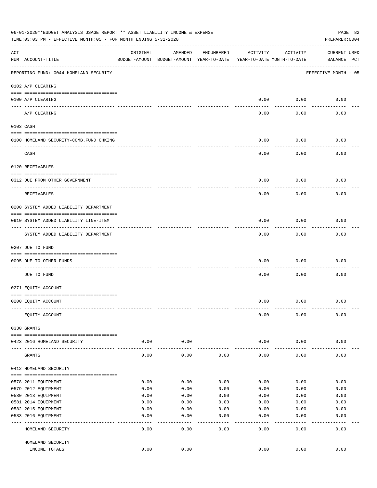| 06-01-2020**BUDGET ANALYSIS USAGE REPORT ** ASSET LIABILITY INCOME & EXPENSE<br>PAGE 82<br>TIME: 03:03 PM - EFFECTIVE MONTH: 05 - FOR MONTH ENDING 5-31-2020<br>PREPARER: 0004 |                                          |          |                                                     |            |                                        |               |                                    |  |  |
|--------------------------------------------------------------------------------------------------------------------------------------------------------------------------------|------------------------------------------|----------|-----------------------------------------------------|------------|----------------------------------------|---------------|------------------------------------|--|--|
| ACT                                                                                                                                                                            | NUM ACCOUNT-TITLE                        | ORIGINAL | AMENDED<br>BUDGET-AMOUNT BUDGET-AMOUNT YEAR-TO-DATE | ENCUMBERED | ACTIVITY<br>YEAR-TO-DATE MONTH-TO-DATE | ACTIVITY      | <b>CURRENT USED</b><br>BALANCE PCT |  |  |
|                                                                                                                                                                                | REPORTING FUND: 0044 HOMELAND SECURITY   |          |                                                     |            |                                        |               | EFFECTIVE MONTH - 05               |  |  |
|                                                                                                                                                                                | 0102 A/P CLEARING                        |          |                                                     |            |                                        |               |                                    |  |  |
|                                                                                                                                                                                | 0100 A/P CLEARING                        |          |                                                     |            | 0.00                                   | 0.00          | 0.00                               |  |  |
|                                                                                                                                                                                | ____ _________<br>A/P CLEARING           |          |                                                     |            | 0.00                                   | 0.00          | 0.00                               |  |  |
|                                                                                                                                                                                | 0103 CASH                                |          |                                                     |            |                                        |               |                                    |  |  |
|                                                                                                                                                                                | 0100 HOMELAND SECURITY-COMB. FUND CHKING |          |                                                     |            | 0.00                                   | 0.00          | 0.00                               |  |  |
|                                                                                                                                                                                | ------------------------------<br>CASH   |          |                                                     |            | 0.00                                   | 0.00          | 0.00                               |  |  |
|                                                                                                                                                                                | 0120 RECEIVABLES                         |          |                                                     |            |                                        |               |                                    |  |  |
|                                                                                                                                                                                | 0312 DUE FROM OTHER GOVERNMENT           |          |                                                     |            | 0.00                                   | 0.00          | 0.00                               |  |  |
|                                                                                                                                                                                | RECEIVABLES                              |          |                                                     |            | 0.00                                   | 0.00          | 0.00                               |  |  |
|                                                                                                                                                                                | 0200 SYSTEM ADDED LIABILITY DEPARTMENT   |          |                                                     |            |                                        |               |                                    |  |  |
|                                                                                                                                                                                | 0910 SYSTEM ADDED LIABILITY LINE-ITEM    |          |                                                     |            | 0.00                                   | 0.00          | 0.00                               |  |  |
|                                                                                                                                                                                | SYSTEM ADDED LIABILITY DEPARTMENT        |          |                                                     |            | 0.00                                   | 0.00          | 0.00                               |  |  |
|                                                                                                                                                                                | 0207 DUE TO FUND                         |          |                                                     |            |                                        |               |                                    |  |  |
|                                                                                                                                                                                | 0095 DUE TO OTHER FUNDS                  |          |                                                     |            | 0.00                                   | 0.00          | 0.00                               |  |  |
|                                                                                                                                                                                | DUE TO FUND                              |          |                                                     |            | 0.00                                   | 0.00          | 0.00                               |  |  |
|                                                                                                                                                                                | 0271 EQUITY ACCOUNT                      |          |                                                     |            |                                        |               |                                    |  |  |
|                                                                                                                                                                                | 0200 EQUITY ACCOUNT                      |          |                                                     |            | 0.00                                   | 0.00          | 0.00                               |  |  |
|                                                                                                                                                                                | EQUITY ACCOUNT                           |          |                                                     |            | 0.00                                   | 0.00          | 0.00                               |  |  |
|                                                                                                                                                                                | 0330 GRANTS                              |          |                                                     |            |                                        |               |                                    |  |  |
|                                                                                                                                                                                | 0423 2016 HOMELAND SECURITY              | 0.00     | 0.00                                                |            | 0.00                                   | 0.00          | 0.00                               |  |  |
|                                                                                                                                                                                | GRANTS                                   | 0.00     | 0.00                                                | 0.00       | 0.00                                   | 0.00          | 0.00                               |  |  |
|                                                                                                                                                                                | 0412 HOMELAND SECURITY                   |          |                                                     |            |                                        |               |                                    |  |  |
|                                                                                                                                                                                | 0578 2011 EQUIPMENT                      | 0.00     | 0.00                                                | 0.00       | 0.00                                   | 0.00          | 0.00                               |  |  |
|                                                                                                                                                                                | 0579 2012 EQUIPMENT                      | 0.00     | 0.00                                                | 0.00       | 0.00                                   | 0.00          | 0.00                               |  |  |
|                                                                                                                                                                                | 0580 2013 EQUIPMENT                      | 0.00     | 0.00                                                | 0.00       | 0.00                                   | 0.00          | 0.00                               |  |  |
|                                                                                                                                                                                | 0581 2014 EQUIPMENT                      | 0.00     | 0.00                                                | 0.00       | 0.00                                   | 0.00          | 0.00                               |  |  |
|                                                                                                                                                                                | 0582 2015 EQUIPMENT                      | 0.00     | 0.00                                                | 0.00       | 0.00                                   | 0.00          | 0.00                               |  |  |
|                                                                                                                                                                                | 0583 2016 EQUIPMENT                      | 0.00     | 0.00                                                | 0.00       | 0.00                                   | 0.00          | 0.00                               |  |  |
|                                                                                                                                                                                | HOMELAND SECURITY                        | 0.00     | 0.00                                                | 0.00       | 0.00                                   | $---$<br>0.00 | 0.00                               |  |  |
|                                                                                                                                                                                | HOMELAND SECURITY                        |          |                                                     |            |                                        |               |                                    |  |  |
|                                                                                                                                                                                | INCOME TOTALS                            | 0.00     | 0.00                                                |            | 0.00                                   | 0.00          | 0.00                               |  |  |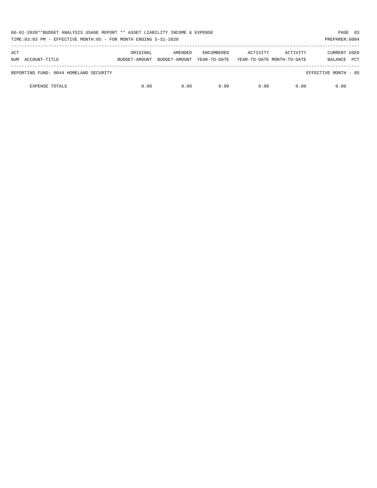| 06-01-2020**BUDGET ANALYSIS USAGE REPORT ** ASSET LIABILITY INCOME & EXPENSE<br>TIME:03:03 PM - EFFECTIVE MONTH:05 - FOR MONTH ENDING 5-31-2020 |               |               |                   |                            |          |                       |  |  |
|-------------------------------------------------------------------------------------------------------------------------------------------------|---------------|---------------|-------------------|----------------------------|----------|-----------------------|--|--|
| ACT                                                                                                                                             | ORIGINAL      | AMENDED       | <b>ENCUMBERED</b> | ACTIVITY                   | ACTIVITY | CURRENT USED          |  |  |
| NUM ACCOUNT-TITLE                                                                                                                               | BUDGET-AMOUNT | BUDGET-AMOUNT | YEAR-TO-DATE      | YEAR-TO-DATE MONTH-TO-DATE |          | <b>PCT</b><br>BALANCE |  |  |
| REPORTING FUND: 0044 HOMELAND SECURITY                                                                                                          |               |               |                   |                            |          | EFFECTIVE MONTH - 05  |  |  |
| <b>EXPENSE TOTALS</b>                                                                                                                           | 0.00          | 0.00          | 0.00              | 0.00                       | 0.00     | 0.00                  |  |  |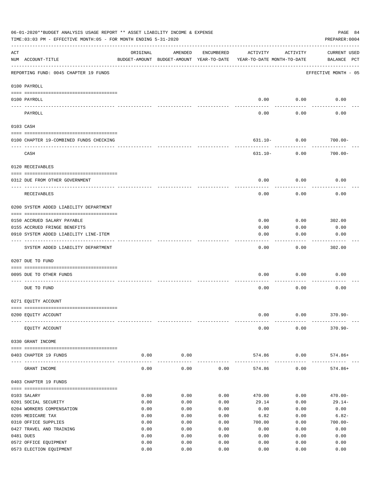| 06-01-2020**BUDGET ANALYSIS USAGE REPORT ** ASSET LIABILITY INCOME & EXPENSE<br>PAGE 84<br>TIME: 03:03 PM - EFFECTIVE MONTH: 05 - FOR MONTH ENDING 5-31-2020<br>PREPARER: 0004 |                                         |              |                                                     |            |                                        |                      |                                    |  |  |  |
|--------------------------------------------------------------------------------------------------------------------------------------------------------------------------------|-----------------------------------------|--------------|-----------------------------------------------------|------------|----------------------------------------|----------------------|------------------------------------|--|--|--|
| ACT                                                                                                                                                                            | NUM ACCOUNT-TITLE                       | ORIGINAL     | AMENDED<br>BUDGET-AMOUNT BUDGET-AMOUNT YEAR-TO-DATE | ENCUMBERED | ACTIVITY<br>YEAR-TO-DATE MONTH-TO-DATE | ACTIVITY             | <b>CURRENT USED</b><br>BALANCE PCT |  |  |  |
|                                                                                                                                                                                | REPORTING FUND: 0045 CHAPTER 19 FUNDS   |              |                                                     |            |                                        |                      | EFFECTIVE MONTH - 05               |  |  |  |
|                                                                                                                                                                                | 0100 PAYROLL                            |              |                                                     |            |                                        |                      |                                    |  |  |  |
|                                                                                                                                                                                | 0100 PAYROLL                            |              |                                                     |            | 0.00                                   | 0.00                 | 0.00                               |  |  |  |
|                                                                                                                                                                                | ---- ------<br>PAYROLL                  |              |                                                     |            | 0.00                                   | 0.00                 | 0.00                               |  |  |  |
|                                                                                                                                                                                | 0103 CASH                               |              |                                                     |            |                                        |                      |                                    |  |  |  |
|                                                                                                                                                                                | 0100 CHAPTER 19-COMBINED FUNDS CHECKING |              |                                                     |            | 631.10- 0.00                           |                      | $700.00 -$                         |  |  |  |
|                                                                                                                                                                                | CASH                                    |              |                                                     |            | 631.10-                                | 0.00                 | $700.00 -$                         |  |  |  |
|                                                                                                                                                                                | 0120 RECEIVABLES                        |              |                                                     |            |                                        |                      |                                    |  |  |  |
|                                                                                                                                                                                | 0312 DUE FROM OTHER GOVERNMENT          |              |                                                     |            | 0.00                                   | 0.00                 | 0.00                               |  |  |  |
|                                                                                                                                                                                | RECEIVABLES                             |              |                                                     |            | 0.00                                   | 0.00                 | 0.00                               |  |  |  |
|                                                                                                                                                                                | 0200 SYSTEM ADDED LIABILITY DEPARTMENT  |              |                                                     |            |                                        |                      |                                    |  |  |  |
|                                                                                                                                                                                |                                         |              |                                                     |            |                                        |                      |                                    |  |  |  |
|                                                                                                                                                                                | 0150 ACCRUED SALARY PAYABLE             |              |                                                     |            | 0.00                                   | 0.00                 | 302.00                             |  |  |  |
|                                                                                                                                                                                | 0155 ACCRUED FRINGE BENEFITS            |              |                                                     |            | 0.00                                   | 0.00                 | 0.00                               |  |  |  |
|                                                                                                                                                                                | 0910 SYSTEM ADDED LIABILITY LINE-ITEM   |              |                                                     |            | 0.00                                   | 0.00                 | 0.00                               |  |  |  |
|                                                                                                                                                                                | SYSTEM ADDED LIABILITY DEPARTMENT       |              |                                                     |            | 0.00                                   | 0.00                 | 302.00                             |  |  |  |
|                                                                                                                                                                                | 0207 DUE TO FUND                        |              |                                                     |            |                                        |                      |                                    |  |  |  |
|                                                                                                                                                                                | 0095 DUE TO OTHER FUNDS                 |              |                                                     |            | 0.00                                   | 0.00                 | 0.00                               |  |  |  |
|                                                                                                                                                                                | DUE TO FUND                             |              |                                                     |            | 0.00                                   | 0.00                 | 0.00                               |  |  |  |
|                                                                                                                                                                                | 0271 EQUITY ACCOUNT                     |              |                                                     |            |                                        |                      |                                    |  |  |  |
|                                                                                                                                                                                |                                         |              |                                                     |            |                                        |                      |                                    |  |  |  |
|                                                                                                                                                                                | 0200 EQUITY ACCOUNT                     |              |                                                     |            | 0.00                                   | 0.00                 | $370.90 -$                         |  |  |  |
|                                                                                                                                                                                | EQUITY ACCOUNT                          |              |                                                     |            | 0.00                                   | 0.00                 | $370.90 -$                         |  |  |  |
|                                                                                                                                                                                | 0330 GRANT INCOME                       |              |                                                     |            |                                        |                      |                                    |  |  |  |
|                                                                                                                                                                                | 0403 CHAPTER 19 FUNDS                   | 0.00         | 0.00                                                |            | 574.86                                 | 0.00                 | 574.86+                            |  |  |  |
|                                                                                                                                                                                | GRANT INCOME                            | 0.00         | -----------<br>0.00                                 | 0.00       | -------------<br>574.86                | ------------<br>0.00 | $574.86+$                          |  |  |  |
|                                                                                                                                                                                | 0403 CHAPTER 19 FUNDS                   |              |                                                     |            |                                        |                      |                                    |  |  |  |
|                                                                                                                                                                                | 0103 SALARY                             |              | 0.00                                                | 0.00       |                                        |                      |                                    |  |  |  |
|                                                                                                                                                                                | 0201 SOCIAL SECURITY                    | 0.00<br>0.00 | 0.00                                                | 0.00       | 470.00<br>29.14                        | 0.00<br>0.00         | $470.00 -$<br>$29.14-$             |  |  |  |
|                                                                                                                                                                                | 0204 WORKERS COMPENSATION               | 0.00         | 0.00                                                | 0.00       | 0.00                                   | 0.00                 | 0.00                               |  |  |  |
|                                                                                                                                                                                | 0205 MEDICARE TAX                       | 0.00         | 0.00                                                | 0.00       | 6.82                                   | 0.00                 | $6.82-$                            |  |  |  |
|                                                                                                                                                                                | 0310 OFFICE SUPPLIES                    | 0.00         | 0.00                                                | 0.00       | 700.00                                 | 0.00                 | $700.00 -$                         |  |  |  |
|                                                                                                                                                                                | 0427 TRAVEL AND TRAINING                | 0.00         | 0.00                                                | 0.00       | 0.00                                   | 0.00                 | 0.00                               |  |  |  |
|                                                                                                                                                                                | 0481 DUES                               | 0.00         | 0.00                                                | 0.00       | 0.00                                   | 0.00                 | 0.00                               |  |  |  |
|                                                                                                                                                                                | 0572 OFFICE EQUIPMENT                   | 0.00         | 0.00                                                | 0.00       | 0.00                                   | 0.00                 | 0.00                               |  |  |  |
|                                                                                                                                                                                | 0573 ELECTION EQUIPMENT                 | 0.00         | 0.00                                                | 0.00       | 0.00                                   | 0.00                 | 0.00                               |  |  |  |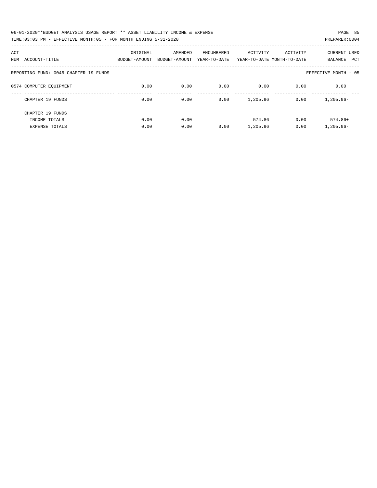| 06-01-2020**BUDGET ANALYSIS USAGE REPORT ** ASSET LIABILITY INCOME & EXPENSE | PAGE 85        |
|------------------------------------------------------------------------------|----------------|
| TIME:03:03 PM - EFFECTIVE MONTH:05 - FOR MONTH ENDING 5-31-2020              | PREPARER: 0004 |

| ACT                                   | ORIGINAL      | AMENDED       | <b>ENCUMBERED</b> | ACTIVITY | ACTIVITY                   | <b>CURRENT USED</b>   |
|---------------------------------------|---------------|---------------|-------------------|----------|----------------------------|-----------------------|
| ACCOUNT-TITLE<br>NUM                  | BUDGET-AMOUNT | BUDGET-AMOUNT | YEAR-TO-DATE      |          | YEAR-TO-DATE MONTH-TO-DATE | <b>PCT</b><br>BALANCE |
| REPORTING FUND: 0045 CHAPTER 19 FUNDS |               |               |                   |          |                            | EFFECTIVE MONTH - 05  |
| 0574 COMPUTER EQUIPMENT               | 0.00          | 0.00          | 0.00              | 0.00     | 0.00                       | 0.00                  |
| CHAPTER 19 FUNDS                      | 0.00          | 0.00          | 0.00              | 1,205.96 | 0.00                       | $1.205.96 -$          |
| CHAPTER 19 FUNDS                      |               |               |                   |          |                            |                       |
| INCOME TOTALS                         | 0.00          | 0.00          |                   | 574.86   | 0.00                       | $574.86+$             |
| <b>EXPENSE TOTALS</b>                 | 0.00          | 0.00          | 0.00              | 1,205.96 | 0.00                       | $1,205.96 -$          |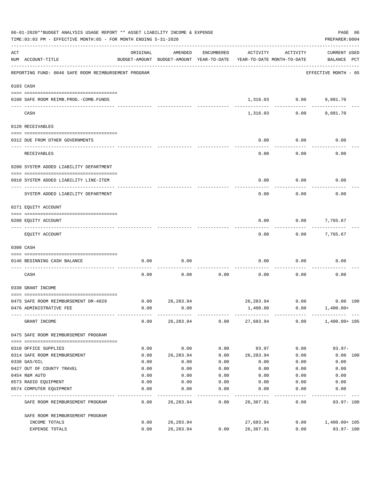| 06-01-2020**BUDGET ANALYSIS USAGE REPORT ** ASSET LIABILITY INCOME & EXPENSE<br>TIME: 03:03 PM - EFFECTIVE MONTH: 05 - FOR MONTH ENDING 5-31-2020 |                                                      |              |                                                     |            |                                        |               |                                    |          |  |
|---------------------------------------------------------------------------------------------------------------------------------------------------|------------------------------------------------------|--------------|-----------------------------------------------------|------------|----------------------------------------|---------------|------------------------------------|----------|--|
| ACT                                                                                                                                               | NUM ACCOUNT-TITLE                                    | ORIGINAL     | AMENDED<br>BUDGET-AMOUNT BUDGET-AMOUNT YEAR-TO-DATE | ENCUMBERED | ACTIVITY<br>YEAR-TO-DATE MONTH-TO-DATE | ACTIVITY      | <b>CURRENT USED</b><br>BALANCE PCT |          |  |
|                                                                                                                                                   | REPORTING FUND: 0046 SAFE ROOM REIMBURSEMENT PROGRAM |              |                                                     |            |                                        |               | EFFECTIVE MONTH - 05               |          |  |
| 0103 CASH                                                                                                                                         |                                                      |              |                                                     |            |                                        |               |                                    |          |  |
|                                                                                                                                                   | 0100 SAFE ROOM REIMB.PROG.-COMB.FUNDS                |              |                                                     |            |                                        | 1,316.03 0.00 | 9,081.70                           |          |  |
|                                                                                                                                                   | CASH                                                 |              |                                                     |            | 1,316.03                               | 0.00          | 9,081.70                           |          |  |
|                                                                                                                                                   | 0120 RECEIVABLES                                     |              |                                                     |            |                                        |               |                                    |          |  |
|                                                                                                                                                   | 0312 DUE FROM OTHER GOVERNMENTS                      |              |                                                     |            | 0.00                                   | 0.00          | 0.00                               |          |  |
|                                                                                                                                                   | RECEIVABLES                                          |              |                                                     |            | 0.00                                   | 0.00          | 0.00                               |          |  |
|                                                                                                                                                   | 0200 SYSTEM ADDED LIABILITY DEPARTMENT               |              |                                                     |            |                                        |               |                                    |          |  |
|                                                                                                                                                   | 0910 SYSTEM ADDED LIABILITY LINE-ITEM                |              |                                                     |            | 0.00                                   | 0.00          | 0.00                               |          |  |
|                                                                                                                                                   | SYSTEM ADDED LIABILITY DEPARTMENT                    |              |                                                     |            | 0.00                                   | 0.00          | 0.00                               |          |  |
|                                                                                                                                                   | 0271 EQUITY ACCOUNT                                  |              |                                                     |            |                                        |               |                                    |          |  |
|                                                                                                                                                   | 0200 EQUITY ACCOUNT                                  |              |                                                     |            | 0.00                                   | 0.00          | 7,765.67                           |          |  |
|                                                                                                                                                   | EQUITY ACCOUNT                                       |              |                                                     |            | 0.00                                   | 0.00          | 7,765.67                           |          |  |
| 0300 CASH                                                                                                                                         |                                                      |              |                                                     |            |                                        |               |                                    |          |  |
|                                                                                                                                                   | 0146 BEGINNING CASH BALANCE                          | 0.00         | 0.00                                                |            | 0.00                                   | 0.00          | 0.00                               |          |  |
|                                                                                                                                                   | CASH                                                 | 0.00         | 0.00                                                | 0.00       | 0.00                                   | 0.00          | 0.00                               |          |  |
|                                                                                                                                                   | 0330 GRANT INCOME                                    |              |                                                     |            |                                        |               |                                    |          |  |
|                                                                                                                                                   | 0475 SAFE ROOM REIMBURSEMENT DR-4029                 | 0.00         | 26, 283.94                                          |            | 26,283.94                              | 0.00          |                                    | 0.00 100 |  |
|                                                                                                                                                   | 0476 ADMINISTRATIVE FEE                              | 0.00         | 0.00                                                |            | 1,400.00                               | 0.00          | $1,400.00+$                        |          |  |
|                                                                                                                                                   | GRANT INCOME                                         |              | 0.00 26,283.94                                      |            |                                        |               | $0.00$ 27,683.94 0.00 1,400.00+105 |          |  |
|                                                                                                                                                   | 0475 SAFE ROOM REIMBURSEMENT PROGRAM                 |              |                                                     |            |                                        |               |                                    |          |  |
|                                                                                                                                                   | 0310 OFFICE SUPPLIES                                 | 0.00         | 0.00                                                | 0.00       | 83.97                                  | 0.00          | $83.97 -$                          |          |  |
|                                                                                                                                                   | 0314 SAFE ROOM REIMBURSEMENT                         | 0.00         | 26,283.94                                           | 0.00       | 26,283.94                              | 0.00          |                                    | 0.00 100 |  |
|                                                                                                                                                   | 0330 GAS/OIL                                         | 0.00         | 0.00                                                | 0.00       | 0.00                                   | 0.00          | 0.00                               |          |  |
|                                                                                                                                                   | 0427 OUT OF COUNTY TRAVEL                            | 0.00         | 0.00                                                | 0.00       | 0.00                                   | 0.00          | 0.00                               |          |  |
|                                                                                                                                                   | 0454 R&M AUTO                                        | 0.00         | 0.00                                                | 0.00       | 0.00                                   | 0.00          | 0.00                               |          |  |
|                                                                                                                                                   | 0573 RADIO EQUIPMENT                                 | 0.00         | 0.00                                                | 0.00       | 0.00                                   | 0.00          | 0.00                               |          |  |
|                                                                                                                                                   | 0574 COMPUTER EQUIPMENT                              | 0.00         | 0.00                                                | 0.00       | 0.00                                   | 0.00          | 0.00                               |          |  |
|                                                                                                                                                   | SAFE ROOM REIMBURSEMENT PROGRAM                      | 0.00         | 26,283.94                                           | 0.00       | 26,367.91                              | 0.00          | 83.97- 100                         |          |  |
|                                                                                                                                                   | SAFE ROOM REIMBURSEMENT PROGRAM                      |              |                                                     |            |                                        |               |                                    |          |  |
|                                                                                                                                                   | INCOME TOTALS<br>EXPENSE TOTALS                      | 0.00<br>0.00 | 26,283.94<br>26, 283.94                             | 0.00       | 27,683.94<br>26,367.91                 | 0.00<br>0.00  | 1,400.00+ 105<br>83.97-100         |          |  |
|                                                                                                                                                   |                                                      |              |                                                     |            |                                        |               |                                    |          |  |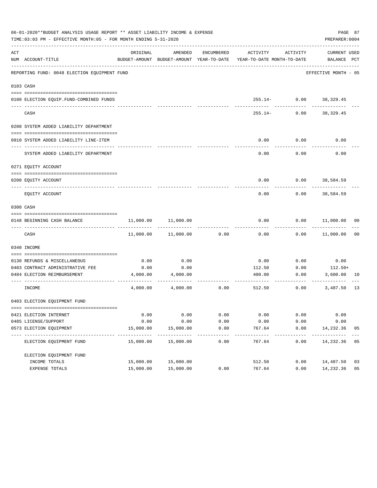|     | 06-01-2020**BUDGET ANALYSIS USAGE REPORT ** ASSET LIABILITY INCOME & EXPENSE<br>TIME: 03:03 PM - EFFECTIVE MONTH: 05 - FOR MONTH ENDING 5-31-2020 |                                          |                            |                     |                            |                           | PAGE 87<br>PREPARER: 0004   |    |
|-----|---------------------------------------------------------------------------------------------------------------------------------------------------|------------------------------------------|----------------------------|---------------------|----------------------------|---------------------------|-----------------------------|----|
| ACT |                                                                                                                                                   | ORIGINAL                                 | AMENDED                    | ENCUMBERED          | ACTIVITY                   | ACTIVITY                  | CURRENT USED                |    |
|     | NUM ACCOUNT-TITLE                                                                                                                                 | BUDGET-AMOUNT BUDGET-AMOUNT YEAR-TO-DATE |                            |                     | YEAR-TO-DATE MONTH-TO-DATE |                           | BALANCE PCT                 |    |
|     | REPORTING FUND: 0048 ELECTION EQUIPMENT FUND                                                                                                      |                                          |                            |                     |                            |                           | EFFECTIVE MONTH - 05        |    |
|     | 0103 CASH                                                                                                                                         |                                          |                            |                     |                            |                           |                             |    |
|     |                                                                                                                                                   |                                          |                            |                     |                            |                           |                             |    |
|     | 0100 ELECTION EQUIP.FUND-COMBINED FUNDS                                                                                                           |                                          |                            |                     |                            | $255.14 - 0.00$ 38,329.45 |                             |    |
|     | --------------------------<br>CASH                                                                                                                |                                          |                            |                     | $255.14-$                  | 0.00                      | 38,329.45                   |    |
|     | 0200 SYSTEM ADDED LIABILITY DEPARTMENT                                                                                                            |                                          |                            |                     |                            |                           |                             |    |
|     | 0910 SYSTEM ADDED LIABILITY LINE-ITEM                                                                                                             |                                          |                            |                     | 0.00                       | 0.00                      | 0.00                        |    |
|     |                                                                                                                                                   |                                          |                            |                     |                            |                           |                             |    |
|     | SYSTEM ADDED LIABILITY DEPARTMENT                                                                                                                 |                                          |                            |                     | 0.00                       | 0.00                      | 0.00                        |    |
|     | 0271 EQUITY ACCOUNT                                                                                                                               |                                          |                            |                     |                            |                           |                             |    |
|     | 0200 EQUITY ACCOUNT                                                                                                                               |                                          |                            |                     | 0.00                       |                           | $0.00$ 38,584.59            |    |
|     | EOUITY ACCOUNT                                                                                                                                    |                                          |                            |                     | 0.00                       | 0.00                      | -----------<br>38,584.59    |    |
|     | 0300 CASH                                                                                                                                         |                                          |                            |                     |                            |                           |                             |    |
|     | 0148 BEGINNING CASH BALANCE                                                                                                                       | 11,000.00                                | 11,000.00                  |                     | 0.00                       |                           | $0.00$ $11,000.00$ 00       |    |
|     | CASH                                                                                                                                              |                                          | 11,000.00    11,000.00     | 0.00                | 0.00                       |                           | $0.00$ 11,000.00            | 00 |
|     | 0340 INCOME                                                                                                                                       |                                          |                            |                     |                            |                           |                             |    |
|     |                                                                                                                                                   |                                          |                            |                     |                            |                           |                             |    |
|     | 0130 REFUNDS & MISCELLANEOUS                                                                                                                      | 0.00                                     | 0.00                       |                     | 0.00                       | 0.00                      | 0.00                        |    |
|     | 0403 CONTRACT ADMINISTRATIVE FEE                                                                                                                  | 0.00                                     | 0.00                       |                     | 112.50                     | 0.00                      | $112.50+$                   |    |
|     | 0484 ELECTION REIMBURSEMENT                                                                                                                       | 4,000.00                                 | 4,000.00                   |                     | 400.00                     | 0.00                      | 3,600.00 10<br>------------ |    |
|     | INCOME                                                                                                                                            |                                          | 4,000.00 4,000.00          | 0.00                | 512.50                     | 0.00                      | 3,487.50                    | 13 |
|     | 0403 ELECTION EQUIPMENT FUND                                                                                                                      |                                          |                            |                     |                            |                           |                             |    |
|     |                                                                                                                                                   |                                          |                            |                     |                            |                           |                             |    |
|     | 0421 ELECTION INTERNET                                                                                                                            | 0.00                                     | 0.00                       | 0.00                | 0.00                       | 0.00                      | 0.00                        |    |
|     | 0485 LICENSE/SUPPORT                                                                                                                              | 0.00                                     | 0.00                       | 0.00                | 0.00                       | 0.00                      | 0.00                        |    |
|     | 0573 ELECTION EQUIPMENT                                                                                                                           | 15,000.00                                | 15,000.00<br>------------- | 0.00<br>----------- | 767.64                     | 0.00                      | 14,232.36<br>------------   | 05 |
|     | ELECTION EQUIPMENT FUND                                                                                                                           | 15,000.00                                | 15,000.00                  | 0.00                | --------<br>767.64         | ---------<br>0.00         | 14,232.36 05                |    |
|     | ELECTION EQUIPMENT FUND                                                                                                                           |                                          |                            |                     |                            |                           |                             |    |
|     | INCOME TOTALS                                                                                                                                     | 15,000.00                                | 15,000.00                  |                     | 512.50                     | 0.00                      | 14,487.50                   | 03 |
|     | EXPENSE TOTALS                                                                                                                                    | 15,000.00                                | 15,000.00                  | 0.00                | 767.64                     | 0.00                      | 14,232.36                   | 05 |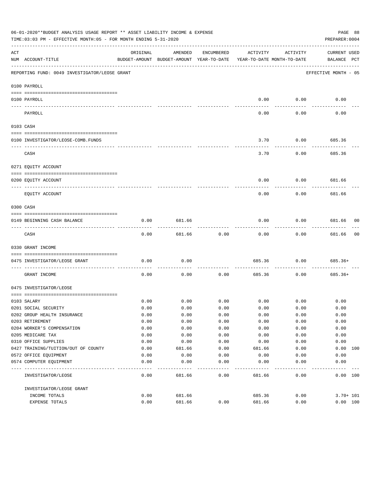|                     | 06-01-2020**BUDGET ANALYSIS USAGE REPORT ** ASSET LIABILITY INCOME & EXPENSE<br>PAGE 88<br>TIME:03:03 PM - EFFECTIVE MONTH:05 - FOR MONTH ENDING 5-31-2020<br>PREPARER: 0004 |          |                                                     |            |                                        |             |                                    |    |  |  |
|---------------------|------------------------------------------------------------------------------------------------------------------------------------------------------------------------------|----------|-----------------------------------------------------|------------|----------------------------------------|-------------|------------------------------------|----|--|--|
| ACT                 | NUM ACCOUNT-TITLE                                                                                                                                                            | ORIGINAL | AMENDED<br>BUDGET-AMOUNT BUDGET-AMOUNT YEAR-TO-DATE | ENCUMBERED | ACTIVITY<br>YEAR-TO-DATE MONTH-TO-DATE | ACTIVITY    | <b>CURRENT USED</b><br>BALANCE PCT |    |  |  |
|                     | REPORTING FUND: 0049 INVESTIGATOR/LEOSE GRANT                                                                                                                                |          |                                                     |            |                                        |             | EFFECTIVE MONTH - 05               |    |  |  |
|                     | 0100 PAYROLL                                                                                                                                                                 |          |                                                     |            |                                        |             |                                    |    |  |  |
|                     | 0100 PAYROLL                                                                                                                                                                 |          |                                                     |            | 0.00                                   | 0.00        | 0.00                               |    |  |  |
| $- - - - - - - - -$ | PAYROLL                                                                                                                                                                      |          |                                                     |            | 0.00                                   | 0.00        | 0.00                               |    |  |  |
|                     | 0103 CASH                                                                                                                                                                    |          |                                                     |            |                                        |             |                                    |    |  |  |
|                     | 0100 INVESTIGATOR/LEOSE-COMB.FUNDS                                                                                                                                           |          |                                                     |            | 3.70                                   | 0.00        | 685.36                             |    |  |  |
|                     | CASH                                                                                                                                                                         |          |                                                     |            | 3.70                                   | 0.00        | 685.36                             |    |  |  |
|                     | 0271 EQUITY ACCOUNT                                                                                                                                                          |          |                                                     |            |                                        |             |                                    |    |  |  |
|                     | 0200 EQUITY ACCOUNT<br>---- -----------<br>---------------------- --------                                                                                                   |          |                                                     |            | 0.00                                   | 0.00        | 681.66                             |    |  |  |
|                     | EQUITY ACCOUNT                                                                                                                                                               |          |                                                     |            | 0.00                                   | 0.00        | 681.66                             |    |  |  |
|                     | 0300 CASH                                                                                                                                                                    |          |                                                     |            |                                        |             |                                    |    |  |  |
|                     | 0149 BEGINNING CASH BALANCE                                                                                                                                                  | 0.00     | 681.66                                              |            | 0.00                                   | 0.00        | 681.66 00<br>---------             |    |  |  |
|                     | CASH                                                                                                                                                                         | 0.00     | 681.66                                              | 0.00       | 0.00                                   | 0.00        | 681.66                             | 00 |  |  |
|                     | 0330 GRANT INCOME                                                                                                                                                            |          |                                                     |            |                                        |             |                                    |    |  |  |
|                     | 0475 INVESTIGATOR/LEOSE GRANT                                                                                                                                                | 0.00     | 0.00                                                |            | 685.36                                 | 0.00        | $685.36+$                          |    |  |  |
|                     | GRANT INCOME                                                                                                                                                                 | 0.00     | 0.00                                                | 0.00       | 685.36                                 | 0.00        | $685.36+$                          |    |  |  |
|                     | 0475 INVESTIGATOR/LEOSE                                                                                                                                                      |          |                                                     |            |                                        |             |                                    |    |  |  |
|                     | 0103 SALARY                                                                                                                                                                  | 0.00     | 0.00                                                | 0.00       |                                        | $0.00$ 0.00 | 0.00                               |    |  |  |
|                     | 0201 SOCIAL SECURITY                                                                                                                                                         | 0.00     | 0.00                                                | 0.00       | 0.00                                   | 0.00        | 0.00                               |    |  |  |
|                     | 0202 GROUP HEALTH INSURANCE                                                                                                                                                  | 0.00     | 0.00                                                | 0.00       | 0.00                                   | 0.00        | 0.00                               |    |  |  |
|                     | 0203 RETIREMENT                                                                                                                                                              | 0.00     | 0.00                                                | 0.00       | 0.00                                   | 0.00        | 0.00                               |    |  |  |
|                     | 0204 WORKER'S COMPENSATION                                                                                                                                                   | 0.00     | 0.00                                                | 0.00       | 0.00                                   | 0.00        | 0.00                               |    |  |  |
|                     | 0205 MEDICARE TAX                                                                                                                                                            | 0.00     | 0.00                                                | 0.00       | 0.00                                   | 0.00        | 0.00                               |    |  |  |
|                     | 0310 OFFICE SUPPLIES                                                                                                                                                         | 0.00     | 0.00                                                | 0.00       | 0.00                                   | 0.00        | 0.00                               |    |  |  |
|                     | 0427 TRAINING/TUITION/OUT OF COUNTY                                                                                                                                          | 0.00     | 681.66                                              | 0.00       | 681.66                                 | 0.00        | 0.00 100                           |    |  |  |
|                     | 0572 OFFICE EQUIPMENT                                                                                                                                                        | 0.00     | 0.00                                                | 0.00       | 0.00                                   | 0.00        | 0.00                               |    |  |  |
| $---$               | 0574 COMPUTER EQUIPMENT<br>--------------                                                                                                                                    | 0.00     | 0.00                                                | 0.00       | 0.00                                   | 0.00        | 0.00                               |    |  |  |
|                     | INVESTIGATOR/LEOSE                                                                                                                                                           | 0.00     | 681.66                                              | 0.00       | 681.66                                 | 0.00        | 0.00 100                           |    |  |  |
|                     | INVESTIGATOR/LEOSE GRANT                                                                                                                                                     |          |                                                     |            |                                        |             |                                    |    |  |  |
|                     | INCOME TOTALS                                                                                                                                                                | 0.00     | 681.66                                              |            | 685.36                                 | 0.00        | $3.70 + 101$                       |    |  |  |
|                     | EXPENSE TOTALS                                                                                                                                                               | 0.00     | 681.66                                              | 0.00       | 681.66                                 | 0.00        | 0.00 100                           |    |  |  |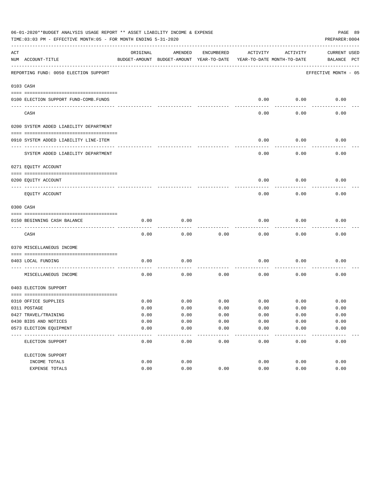|     | 06-01-2020**BUDGET ANALYSIS USAGE REPORT ** ASSET LIABILITY INCOME & EXPENSE<br>PAGE 89<br>TIME: 03:03 PM - EFFECTIVE MONTH: 05 - FOR MONTH ENDING 5-31-2020<br>PREPARER: 0004 |          |                                                     |            |                                        |          |                                    |  |  |  |  |  |
|-----|--------------------------------------------------------------------------------------------------------------------------------------------------------------------------------|----------|-----------------------------------------------------|------------|----------------------------------------|----------|------------------------------------|--|--|--|--|--|
| ACT | NUM ACCOUNT-TITLE                                                                                                                                                              | ORIGINAL | AMENDED<br>BUDGET-AMOUNT BUDGET-AMOUNT YEAR-TO-DATE | ENCUMBERED | ACTIVITY<br>YEAR-TO-DATE MONTH-TO-DATE | ACTIVITY | <b>CURRENT USED</b><br>BALANCE PCT |  |  |  |  |  |
|     | REPORTING FUND: 0050 ELECTION SUPPORT                                                                                                                                          |          |                                                     |            |                                        |          | EFFECTIVE MONTH - 05               |  |  |  |  |  |
|     | 0103 CASH                                                                                                                                                                      |          |                                                     |            |                                        |          |                                    |  |  |  |  |  |
|     | 0100 ELECTION SUPPORT FUND-COMB.FUNDS                                                                                                                                          |          |                                                     |            | 0.00                                   | 0.00     | 0.00                               |  |  |  |  |  |
|     | CASH                                                                                                                                                                           |          |                                                     |            | 0.00                                   | 0.00     | 0.00                               |  |  |  |  |  |
|     | 0200 SYSTEM ADDED LIABILITY DEPARTMENT                                                                                                                                         |          |                                                     |            |                                        |          |                                    |  |  |  |  |  |
|     | 0910 SYSTEM ADDED LIABILITY LINE-ITEM                                                                                                                                          |          |                                                     |            | 0.00                                   | 0.00     | 0.00                               |  |  |  |  |  |
|     | SYSTEM ADDED LIABILITY DEPARTMENT                                                                                                                                              |          |                                                     |            | 0.00                                   | 0.00     | 0.00                               |  |  |  |  |  |
|     | 0271 EQUITY ACCOUNT                                                                                                                                                            |          |                                                     |            |                                        |          |                                    |  |  |  |  |  |
|     | 0200 EQUITY ACCOUNT                                                                                                                                                            |          |                                                     |            | 0.00                                   | 0.00     | 0.00                               |  |  |  |  |  |
|     | EQUITY ACCOUNT                                                                                                                                                                 |          |                                                     |            | 0.00                                   | 0.00     | 0.00                               |  |  |  |  |  |
|     | 0300 CASH                                                                                                                                                                      |          |                                                     |            |                                        |          |                                    |  |  |  |  |  |
|     | 0150 BEGINNING CASH BALANCE                                                                                                                                                    | 0.00     | 0.00                                                |            | 0.00                                   | 0.00     | 0.00                               |  |  |  |  |  |
|     | CASH                                                                                                                                                                           | 0.00     | 0.00                                                | 0.00       | 0.00                                   | 0.00     | 0.00                               |  |  |  |  |  |
|     | 0370 MISCELLANEOUS INCOME                                                                                                                                                      |          |                                                     |            |                                        |          |                                    |  |  |  |  |  |
|     | 0403 LOCAL FUNDING                                                                                                                                                             | 0.00     | 0.00                                                |            | 0.00                                   | 0.00     | 0.00                               |  |  |  |  |  |
|     | MISCELLANEOUS INCOME                                                                                                                                                           | 0.00     | 0.00                                                | 0.00       | 0.00                                   | 0.00     | 0.00                               |  |  |  |  |  |
|     | 0403 ELECTION SUPPORT                                                                                                                                                          |          |                                                     |            |                                        |          |                                    |  |  |  |  |  |
|     | 0310 OFFICE SUPPLIES                                                                                                                                                           | 0.00     | 0.00                                                | 0.00       | 0.00                                   | 0.00     | 0.00                               |  |  |  |  |  |
|     | 0311 POSTAGE                                                                                                                                                                   | 0.00     | 0.00                                                | 0.00       | 0.00                                   | 0.00     | 0.00                               |  |  |  |  |  |
|     | 0427 TRAVEL/TRAINING                                                                                                                                                           | 0.00     | 0.00                                                | 0.00       | 0.00                                   | 0.00     | 0.00                               |  |  |  |  |  |
|     | 0430 BIDS AND NOTICES                                                                                                                                                          | 0.00     | 0.00                                                | 0.00       | 0.00                                   | 0.00     | 0.00                               |  |  |  |  |  |
|     | 0573 ELECTION EQUIPMENT                                                                                                                                                        | 0.00     | 0.00                                                | 0.00       | 0.00                                   | 0.00     | 0.00                               |  |  |  |  |  |
|     | ELECTION SUPPORT                                                                                                                                                               | 0.00     | 0.00                                                | 0.00       | 0.00                                   | 0.00     | 0.00                               |  |  |  |  |  |
|     | ELECTION SUPPORT                                                                                                                                                               |          |                                                     |            |                                        |          |                                    |  |  |  |  |  |
|     | INCOME TOTALS                                                                                                                                                                  | 0.00     | 0.00                                                |            | 0.00                                   | 0.00     | 0.00                               |  |  |  |  |  |
|     | EXPENSE TOTALS                                                                                                                                                                 | 0.00     | 0.00                                                | 0.00       | 0.00                                   | 0.00     | 0.00                               |  |  |  |  |  |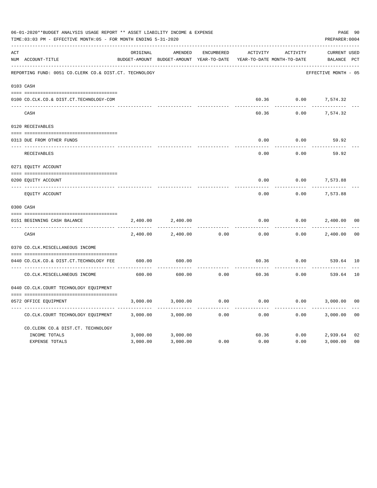|     | 06-01-2020**BUDGET ANALYSIS USAGE REPORT ** ASSET LIABILITY INCOME & EXPENSE<br>PREPARER: 0004<br>TIME: 03:03 PM - EFFECTIVE MONTH: 05 - FOR MONTH ENDING 5-31-2020 |          |                                                     |                   |                                        |          |                                    |                |  |  |
|-----|---------------------------------------------------------------------------------------------------------------------------------------------------------------------|----------|-----------------------------------------------------|-------------------|----------------------------------------|----------|------------------------------------|----------------|--|--|
| ACT | NUM ACCOUNT-TITLE                                                                                                                                                   | ORIGINAL | AMENDED<br>BUDGET-AMOUNT BUDGET-AMOUNT YEAR-TO-DATE | <b>ENCUMBERED</b> | ACTIVITY<br>YEAR-TO-DATE MONTH-TO-DATE | ACTIVITY | <b>CURRENT USED</b><br>BALANCE PCT |                |  |  |
|     | REPORTING FUND: 0051 CO.CLERK CO.& DIST.CT. TECHNOLOGY                                                                                                              |          |                                                     |                   |                                        |          | EFFECTIVE MONTH - 05               |                |  |  |
|     | 0103 CASH                                                                                                                                                           |          |                                                     |                   |                                        |          |                                    |                |  |  |
|     | 0100 CO.CLK.CO.& DIST.CT.TECHNOLOGY-COM                                                                                                                             |          |                                                     |                   | 60.36                                  | 0.00     | 7,574.32                           |                |  |  |
|     | CASH                                                                                                                                                                |          |                                                     |                   | 60.36                                  | 0.00     | 7,574.32                           |                |  |  |
|     | 0120 RECEIVABLES                                                                                                                                                    |          |                                                     |                   |                                        |          |                                    |                |  |  |
|     | 0313 DUE FROM OTHER FUNDS                                                                                                                                           |          |                                                     |                   | 0.00                                   | 0.00     | 59.92                              |                |  |  |
|     | RECEIVABLES                                                                                                                                                         |          |                                                     |                   | 0.00                                   | 0.00     | 59.92                              |                |  |  |
|     | 0271 EQUITY ACCOUNT                                                                                                                                                 |          |                                                     |                   |                                        |          |                                    |                |  |  |
|     | 0200 EQUITY ACCOUNT                                                                                                                                                 |          |                                                     |                   | 0.00                                   | 0.00     | 7,573.88                           |                |  |  |
|     | ---- -----------<br>EQUITY ACCOUNT                                                                                                                                  |          |                                                     |                   | 0.00                                   | 0.00     | 7,573.88                           |                |  |  |
|     | 0300 CASH                                                                                                                                                           |          |                                                     |                   |                                        |          |                                    |                |  |  |
|     | 0151 BEGINNING CASH BALANCE                                                                                                                                         | 2,400.00 | 2,400.00                                            |                   | 0.00                                   | 0.00     | 2,400.00                           | 0 <sub>0</sub> |  |  |
|     | CASH                                                                                                                                                                | 2,400.00 | 2,400.00                                            | 0.00              | 0.00                                   | 0.00     | 2,400.00                           | 0 <sub>0</sub> |  |  |
|     | 0370 CO.CLK.MISCELLANEOUS INCOME                                                                                                                                    |          |                                                     |                   |                                        |          |                                    |                |  |  |
|     | 0440 CO.CLK.CO.& DIST.CT.TECHNOLOGY FEE                                                                                                                             | 600.00   | 600.00                                              |                   | 60.36                                  | 0.00     | 539.64 10                          |                |  |  |
|     | CO. CLK. MISCELLANEOUS INCOME                                                                                                                                       | 600.00   | 600.00                                              | 0.00              | 60.36                                  | 0.00     | 539.64                             | 10             |  |  |
|     | 0440 CO.CLK.COURT TECHNOLOGY EQUIPMENT                                                                                                                              |          |                                                     |                   |                                        |          |                                    |                |  |  |
|     | 0572 OFFICE EOUIPMENT                                                                                                                                               | 3,000.00 | 3,000.00                                            | 0.00              | 0.00                                   | 0.00     | 3,000.00                           | 0 <sub>0</sub> |  |  |
|     | CO.CLK.COURT TECHNOLOGY EQUIPMENT                                                                                                                                   | 3,000.00 | 3,000.00                                            | 0.00              | 0.00                                   | 0.00     | 3,000.00                           | 0 <sub>0</sub> |  |  |
|     | CO.CLERK CO.& DIST.CT. TECHNOLOGY                                                                                                                                   |          |                                                     |                   |                                        |          |                                    |                |  |  |
|     | INCOME TOTALS                                                                                                                                                       | 3,000.00 | 3,000.00                                            |                   | 60.36                                  | 0.00     | 2,939.64                           | 02             |  |  |
|     | <b>EXPENSE TOTALS</b>                                                                                                                                               | 3,000.00 | 3,000.00                                            | 0.00              | 0.00                                   | 0.00     | 3,000.00                           | 0 <sub>0</sub> |  |  |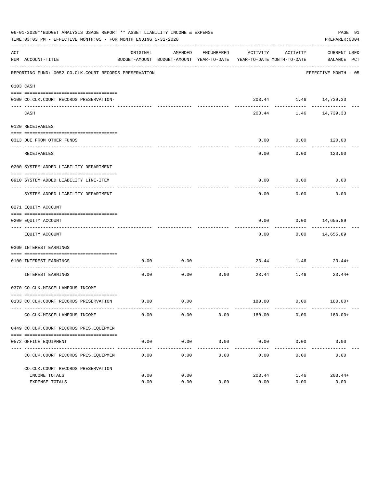| 06-01-2020**BUDGET ANALYSIS USAGE REPORT ** ASSET LIABILITY INCOME & EXPENSE<br>PAGE 91<br>TIME: 03:03 PM - EFFECTIVE MONTH: 05 - FOR MONTH ENDING 5-31-2020<br>PREPARER: 0004 |                                                        |                     |           |                    |                                                                                 |                                                                 |                                               |  |  |  |
|--------------------------------------------------------------------------------------------------------------------------------------------------------------------------------|--------------------------------------------------------|---------------------|-----------|--------------------|---------------------------------------------------------------------------------|-----------------------------------------------------------------|-----------------------------------------------|--|--|--|
| ACT                                                                                                                                                                            | NUM ACCOUNT-TITLE                                      | ORIGINAL            | AMENDED   | ENCUMBERED         | ACTIVITY<br>BUDGET-AMOUNT BUDGET-AMOUNT YEAR-TO-DATE YEAR-TO-DATE MONTH-TO-DATE | ACTIVITY                                                        | CURRENT USED<br>BALANCE PCT                   |  |  |  |
|                                                                                                                                                                                | REPORTING FUND: 0052 CO.CLK.COURT RECORDS PRESERVATION |                     |           |                    |                                                                                 |                                                                 | ---------------------<br>EFFECTIVE MONTH - 05 |  |  |  |
|                                                                                                                                                                                | 0103 CASH                                              |                     |           |                    |                                                                                 |                                                                 |                                               |  |  |  |
|                                                                                                                                                                                | 0100 CO.CLK.COURT RECORDS PRESERVATION-                |                     |           |                    |                                                                                 | 203.44 1.46 14,739.33                                           |                                               |  |  |  |
|                                                                                                                                                                                | CASH                                                   |                     |           |                    |                                                                                 | ----------- ------------ -------------<br>203.44 1.46 14,739.33 |                                               |  |  |  |
|                                                                                                                                                                                | 0120 RECEIVABLES                                       |                     |           |                    |                                                                                 |                                                                 |                                               |  |  |  |
|                                                                                                                                                                                |                                                        |                     |           |                    |                                                                                 |                                                                 |                                               |  |  |  |
|                                                                                                                                                                                | 0313 DUE FROM OTHER FUNDS                              |                     |           |                    | 0.00                                                                            | $0.00$ 120.00<br>----------                                     |                                               |  |  |  |
|                                                                                                                                                                                | RECEIVABLES                                            |                     |           |                    | 0.00                                                                            | 0.00                                                            | 120.00                                        |  |  |  |
|                                                                                                                                                                                | 0200 SYSTEM ADDED LIABILITY DEPARTMENT                 |                     |           |                    |                                                                                 |                                                                 |                                               |  |  |  |
|                                                                                                                                                                                | 0910 SYSTEM ADDED LIABILITY LINE-ITEM                  |                     |           |                    | 0.00                                                                            | 0.00                                                            | 0.00                                          |  |  |  |
|                                                                                                                                                                                | SYSTEM ADDED LIABILITY DEPARTMENT                      |                     |           |                    | 0.00                                                                            | 0.00                                                            | 0.00                                          |  |  |  |
|                                                                                                                                                                                | 0271 EQUITY ACCOUNT                                    |                     |           |                    |                                                                                 |                                                                 |                                               |  |  |  |
|                                                                                                                                                                                | 0200 EQUITY ACCOUNT                                    |                     |           |                    | 0.00                                                                            | $0.00$ 14,655.89                                                |                                               |  |  |  |
|                                                                                                                                                                                | EQUITY ACCOUNT                                         |                     |           |                    | ----------<br>0.00                                                              | . <u>.</u>                                                      | ------------<br>$0.00$ 14,655.89              |  |  |  |
|                                                                                                                                                                                | 0360 INTEREST EARNINGS                                 |                     |           |                    |                                                                                 |                                                                 |                                               |  |  |  |
|                                                                                                                                                                                |                                                        |                     |           |                    |                                                                                 |                                                                 |                                               |  |  |  |
|                                                                                                                                                                                | 0100 INTEREST EARNINGS                                 | 0.00                | 0.00      |                    |                                                                                 |                                                                 | $23.44$ 1.46 $23.44+$                         |  |  |  |
|                                                                                                                                                                                | INTEREST EARNINGS                                      | 0.00                | 0.00      | 0.00               | 23.44                                                                           | 1.46                                                            | $23.44+$                                      |  |  |  |
|                                                                                                                                                                                | 0370 CO.CLK.MISCELLANEOUS INCOME                       |                     |           |                    |                                                                                 |                                                                 |                                               |  |  |  |
|                                                                                                                                                                                | 0133 CO.CLK.COURT RECORDS PRESERVATION                 | 0.00                | 0.00      |                    |                                                                                 |                                                                 | 180.00   0.00   180.00+                       |  |  |  |
|                                                                                                                                                                                | CO. CLK. MISCELLANEOUS INCOME                          | 0.00                | 0.00      | 0.00               | 180.00                                                                          | 0.00                                                            | $180.00+$                                     |  |  |  |
|                                                                                                                                                                                | 0449 CO.CLK.COURT RECORDS PRES.EQUIPMEN                |                     |           |                    |                                                                                 |                                                                 |                                               |  |  |  |
|                                                                                                                                                                                |                                                        |                     |           |                    |                                                                                 |                                                                 |                                               |  |  |  |
|                                                                                                                                                                                | 0572 OFFICE EQUIPMENT                                  | 0.00<br>----------- | 0.00<br>. | 0.00<br>---------- | 0.00<br>____________                                                            | 0.00<br>------------                                            | 0.00                                          |  |  |  |
|                                                                                                                                                                                | CO. CLK. COURT RECORDS PRES. EOUIPMEN                  | 0.00                | 0.00      | 0.00               | 0.00                                                                            | 0.00                                                            | 0.00                                          |  |  |  |
|                                                                                                                                                                                | CO. CLK. COURT RECORDS PRESERVATION                    |                     |           |                    |                                                                                 |                                                                 |                                               |  |  |  |
|                                                                                                                                                                                | INCOME TOTALS                                          | 0.00                | 0.00      |                    | 203.44                                                                          | 1.46                                                            | $203.44+$                                     |  |  |  |
|                                                                                                                                                                                | <b>EXPENSE TOTALS</b>                                  | 0.00                | 0.00      | 0.00               | 0.00                                                                            | 0.00                                                            | 0.00                                          |  |  |  |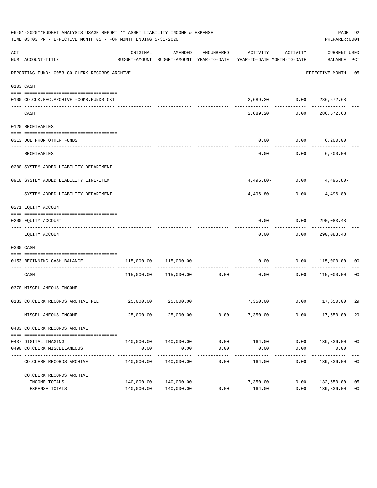|     | 06-01-2020**BUDGET ANALYSIS USAGE REPORT ** ASSET LIABILITY INCOME & EXPENSE<br>PAGE 92<br>TIME:03:03 PM - EFFECTIVE MONTH:05 - FOR MONTH ENDING 5-31-2020<br>PREPARER: 0004 |            |                                  |                      |                                                                                 |                      |                                   |                |  |  |  |  |
|-----|------------------------------------------------------------------------------------------------------------------------------------------------------------------------------|------------|----------------------------------|----------------------|---------------------------------------------------------------------------------|----------------------|-----------------------------------|----------------|--|--|--|--|
| ACT | NUM ACCOUNT-TITLE                                                                                                                                                            | ORIGINAL   | AMENDED                          | ENCUMBERED           | ACTIVITY<br>BUDGET-AMOUNT BUDGET-AMOUNT YEAR-TO-DATE YEAR-TO-DATE MONTH-TO-DATE | ACTIVITY             | CURRENT USED<br>BALANCE PCT       |                |  |  |  |  |
|     | REPORTING FUND: 0053 CO.CLERK RECORDS ARCHIVE                                                                                                                                |            |                                  |                      |                                                                                 |                      | EFFECTIVE MONTH - 05              |                |  |  |  |  |
|     | 0103 CASH                                                                                                                                                                    |            |                                  |                      |                                                                                 |                      |                                   |                |  |  |  |  |
|     | 0100 CO.CLK.REC.ARCHIVE -COMB.FUNDS CKI                                                                                                                                      |            |                                  |                      |                                                                                 |                      | 2,689.20   0.00   286,572.68      |                |  |  |  |  |
|     | CASH                                                                                                                                                                         |            |                                  |                      | 2,689.20                                                                        | 0.00                 | -------------<br>286,572.68       |                |  |  |  |  |
|     | 0120 RECEIVABLES                                                                                                                                                             |            |                                  |                      |                                                                                 |                      |                                   |                |  |  |  |  |
|     | 0313 DUE FROM OTHER FUNDS                                                                                                                                                    |            |                                  |                      | 0.00                                                                            |                      | $0.00$ 6,200.00                   |                |  |  |  |  |
|     | RECEIVABLES                                                                                                                                                                  |            |                                  |                      | 0.00                                                                            |                      | $0.00$ 6,200.00                   |                |  |  |  |  |
|     | 0200 SYSTEM ADDED LIABILITY DEPARTMENT                                                                                                                                       |            |                                  |                      |                                                                                 |                      |                                   |                |  |  |  |  |
|     | 0910 SYSTEM ADDED LIABILITY LINE-ITEM                                                                                                                                        |            |                                  |                      |                                                                                 |                      | $4,496.80 - 0.00$ $4,496.80 -$    |                |  |  |  |  |
|     | SYSTEM ADDED LIABILITY DEPARTMENT                                                                                                                                            |            |                                  |                      | $4.496.80-$                                                                     |                      | -------------<br>$0.00$ 4,496.80- |                |  |  |  |  |
|     | 0271 EQUITY ACCOUNT                                                                                                                                                          |            |                                  |                      |                                                                                 |                      |                                   |                |  |  |  |  |
|     | 0200 EQUITY ACCOUNT                                                                                                                                                          |            |                                  |                      |                                                                                 |                      | $0.00$ $0.00$ $290,083.48$        |                |  |  |  |  |
|     | EQUITY ACCOUNT                                                                                                                                                               |            |                                  |                      | ---------<br>0.00                                                               | ---------            | -------------<br>0.00 290,083.48  |                |  |  |  |  |
|     | 0300 CASH                                                                                                                                                                    |            |                                  |                      |                                                                                 |                      |                                   |                |  |  |  |  |
|     | 0153 BEGINNING CASH BALANCE                                                                                                                                                  |            | 115,000.00 115,000.00            |                      |                                                                                 |                      | $0.00$ $0.00$ $115,000.00$ 00     |                |  |  |  |  |
|     | CASH                                                                                                                                                                         |            | 115,000.00    115,000.00    0.00 |                      | 0.00                                                                            | -----------<br>0.00  | 115,000.00 00                     |                |  |  |  |  |
|     | 0370 MISCELLANEOUS INCOME                                                                                                                                                    |            |                                  |                      |                                                                                 |                      |                                   |                |  |  |  |  |
|     | 0133 CO.CLERK RECORDS ARCHIVE FEE 25,000.00 25,000.00                                                                                                                        |            |                                  |                      |                                                                                 |                      | 7,350.00   0.00   17,650.00       | 29             |  |  |  |  |
|     | MISCELLANEOUS INCOME                                                                                                                                                         | 25,000.00  | 25,000.00                        | 0.00                 | 7,350.00                                                                        | 0.00                 | 17,650.00                         | 29             |  |  |  |  |
|     | 0403 CO. CLERK RECORDS ARCHIVE                                                                                                                                               |            |                                  |                      |                                                                                 |                      |                                   |                |  |  |  |  |
|     |                                                                                                                                                                              |            |                                  |                      |                                                                                 |                      |                                   |                |  |  |  |  |
|     | 0437 DIGITAL IMAGING<br>0490 CO. CLERK MISCELLANEOUS                                                                                                                         | 0.00       | 140,000.00 140,000.00<br>0.00    | 0.00<br>0.00         | 164.00<br>0.00                                                                  | 0.00                 | $0.00$ 139,836.00 00<br>0.00      |                |  |  |  |  |
|     | CO. CLERK RECORDS ARCHIVE                                                                                                                                                    | 140,000.00 | --------------<br>140,000.00     | ------------<br>0.00 | ------------<br>164.00                                                          | ------------<br>0.00 | -----------<br>139,836.00         | 0 <sub>0</sub> |  |  |  |  |
|     | CO. CLERK RECORDS ARCHIVE                                                                                                                                                    |            |                                  |                      |                                                                                 |                      |                                   |                |  |  |  |  |
|     | INCOME TOTALS                                                                                                                                                                | 140,000.00 | 140,000.00                       |                      | 7,350.00                                                                        | 0.00                 | 132,650.00                        | 05             |  |  |  |  |
|     | EXPENSE TOTALS                                                                                                                                                               |            | 140,000.00 140,000.00            | 0.00                 | 164.00                                                                          | 0.00                 | 139,836.00                        | 0 <sub>0</sub> |  |  |  |  |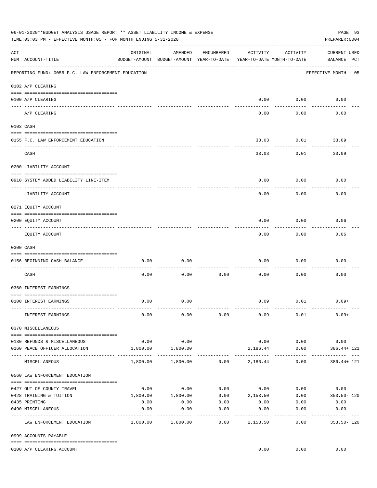| 06-01-2020**BUDGET ANALYSIS USAGE REPORT ** ASSET LIABILITY INCOME & EXPENSE<br>PAGE 93<br>PREPARER: 0004<br>TIME:03:03 PM - EFFECTIVE MONTH:05 - FOR MONTH ENDING 5-31-2020 |                                                     |          |                                                     |                   |                                        |                  |                                                               |  |  |  |
|------------------------------------------------------------------------------------------------------------------------------------------------------------------------------|-----------------------------------------------------|----------|-----------------------------------------------------|-------------------|----------------------------------------|------------------|---------------------------------------------------------------|--|--|--|
| ACT                                                                                                                                                                          | NUM ACCOUNT-TITLE                                   | ORIGINAL | AMENDED<br>BUDGET-AMOUNT BUDGET-AMOUNT YEAR-TO-DATE | ENCUMBERED        | ACTIVITY<br>YEAR-TO-DATE MONTH-TO-DATE | ACTIVITY         | <b>CURRENT USED</b><br>BALANCE PCT                            |  |  |  |
|                                                                                                                                                                              | REPORTING FUND: 0055 F.C. LAW ENFORCEMENT EDUCATION |          |                                                     |                   |                                        |                  | EFFECTIVE MONTH - 05                                          |  |  |  |
|                                                                                                                                                                              | 0102 A/P CLEARING                                   |          |                                                     |                   |                                        |                  |                                                               |  |  |  |
|                                                                                                                                                                              | 0100 A/P CLEARING                                   |          |                                                     |                   | 0.00                                   | 0.00             | 0.00                                                          |  |  |  |
|                                                                                                                                                                              | A/P CLEARING                                        |          |                                                     |                   | 0.00                                   | 0.00             | 0.00                                                          |  |  |  |
|                                                                                                                                                                              | 0103 CASH                                           |          |                                                     |                   |                                        |                  |                                                               |  |  |  |
|                                                                                                                                                                              | 0155 F.C. LAW ENFORCEMENT EDUCATION                 |          |                                                     |                   | 33.03                                  | 0.01             | 33.09                                                         |  |  |  |
|                                                                                                                                                                              | CASH                                                |          |                                                     |                   | 33.03                                  | 0.01             | 33.09                                                         |  |  |  |
|                                                                                                                                                                              | 0200 LIABILITY ACCOUNT                              |          |                                                     |                   |                                        |                  |                                                               |  |  |  |
|                                                                                                                                                                              | 0910 SYSTEM ADDED LIABILITY LINE-ITEM               |          |                                                     |                   | 0.00                                   | 0.00             | 0.00                                                          |  |  |  |
|                                                                                                                                                                              | LIABILITY ACCOUNT                                   |          |                                                     |                   | 0.00                                   | 0.00             | 0.00                                                          |  |  |  |
|                                                                                                                                                                              | 0271 EQUITY ACCOUNT                                 |          |                                                     |                   |                                        |                  |                                                               |  |  |  |
|                                                                                                                                                                              | 0200 EQUITY ACCOUNT                                 |          |                                                     |                   | 0.00                                   | 0.00             | 0.06                                                          |  |  |  |
|                                                                                                                                                                              | EQUITY ACCOUNT                                      |          |                                                     |                   | 0.00                                   | --------<br>0.00 | 0.06                                                          |  |  |  |
|                                                                                                                                                                              | 0300 CASH                                           |          |                                                     |                   |                                        |                  |                                                               |  |  |  |
|                                                                                                                                                                              | 0156 BEGINNING CASH BALANCE                         | 0.00     | 0.00                                                |                   | 0.00                                   | 0.00             | 0.00                                                          |  |  |  |
|                                                                                                                                                                              | -----------------------<br>CASH                     | 0.00     | 0.00                                                | 0.00              | 0.00                                   | 0.00             | 0.00                                                          |  |  |  |
|                                                                                                                                                                              | 0360 INTEREST EARNINGS                              |          |                                                     |                   |                                        |                  |                                                               |  |  |  |
|                                                                                                                                                                              | 0100 INTEREST EARNINGS                              | 0.00     | 0.00                                                |                   | 0.09                                   | 0.01             | $0.09+$                                                       |  |  |  |
|                                                                                                                                                                              | INTEREST EARNINGS                                   | 0.00     | 0.00                                                | 0.00              | 0.09                                   | 0.01             | $0.09+$                                                       |  |  |  |
|                                                                                                                                                                              | 0370 MISCELLANEOUS                                  |          |                                                     |                   |                                        |                  |                                                               |  |  |  |
|                                                                                                                                                                              | 0130 REFUNDS & MISCELLANEOUS                        | 0.00     | 0.00                                                |                   |                                        | $0.00$ 0.00      | 0.00                                                          |  |  |  |
|                                                                                                                                                                              | 0160 PEACE OFFICER ALLOCATION                       | 1,800.00 | 1,800.00                                            |                   | 2,186.44                               | 0.00             | $386.44 + 121$                                                |  |  |  |
|                                                                                                                                                                              | MISCELLANEOUS                                       |          | $1,800.00$ $1,800.00$ $0.00$ $2,186.44$             |                   |                                        | 0.00             | $386.44 + 121$                                                |  |  |  |
|                                                                                                                                                                              | 0560 LAW ENFORCEMENT EDUCATION                      |          |                                                     |                   |                                        |                  |                                                               |  |  |  |
|                                                                                                                                                                              | 0427 OUT OF COUNTY TRAVEL                           |          | $0.00$ 0.00                                         |                   |                                        |                  | $0.00$ $0.00$ $0.00$ $0.00$ $0.00$                            |  |  |  |
|                                                                                                                                                                              | 0428 TRAINING & TUITION                             |          |                                                     |                   |                                        |                  | $1,800.00$ $1,800.00$ $0.00$ $2,153.50$ $0.00$ $353.50 - 120$ |  |  |  |
|                                                                                                                                                                              | 0435 PRINTING                                       | 0.00     | 0.00                                                | 0.00              |                                        | $0.00$ 0.00      | 0.00                                                          |  |  |  |
|                                                                                                                                                                              | 0490 MISCELLANEOUS                                  | 0.00     | 0.00                                                | 0.00<br>--------- | 0.00<br>----------                     | 0.00             | 0.00<br>---------- -                                          |  |  |  |
|                                                                                                                                                                              | LAW ENFORCEMENT EDUCATION                           |          |                                                     | 0.00              | 2,153.50                               | 0.00             | 353.50- 120                                                   |  |  |  |
|                                                                                                                                                                              | 0999 ACCOUNTS PAYABLE                               |          |                                                     |                   |                                        |                  |                                                               |  |  |  |
|                                                                                                                                                                              | 0100 A/P CLEARING ACCOUNT                           |          |                                                     |                   | 0.00                                   | 0.00             | 0.00                                                          |  |  |  |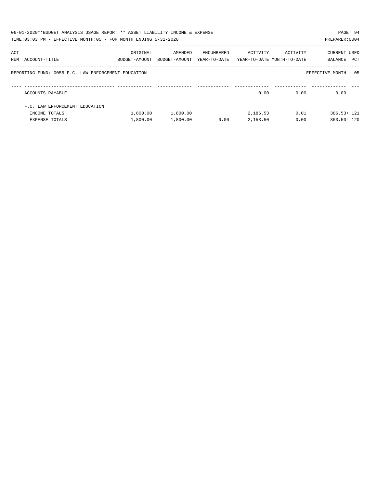|     | 06-01-2020**BUDGET ANALYSIS USAGE REPORT ** ASSET LIABILITY INCOME & EXPENSE<br>PAGE 94<br>TIME: 03:03 PM - EFFECTIVE MONTH: 05 - FOR MONTH ENDING 5-31-2020<br>PREPARER: 0004 |               |               |            |                                         |          |                      |  |  |  |  |
|-----|--------------------------------------------------------------------------------------------------------------------------------------------------------------------------------|---------------|---------------|------------|-----------------------------------------|----------|----------------------|--|--|--|--|
|     |                                                                                                                                                                                |               |               |            |                                         |          |                      |  |  |  |  |
| ACT |                                                                                                                                                                                | ORIGINAL      | AMENDED       | ENCUMBERED | ACTIVITY                                | ACTIVITY | CURRENT USED         |  |  |  |  |
|     | NUM ACCOUNT-TITLE                                                                                                                                                              | BUDGET-AMOUNT | BUDGET-AMOUNT |            | YEAR-TO-DATE YEAR-TO-DATE MONTH-TO-DATE |          | PCT<br>BALANCE       |  |  |  |  |
|     | REPORTING FUND: 0055 F.C. LAW ENFORCEMENT EDUCATION                                                                                                                            |               |               |            |                                         |          | EFFECTIVE MONTH - 05 |  |  |  |  |
|     | ACCOUNTS PAYABLE                                                                                                                                                               |               |               |            | 0.00                                    | 0.00     | 0.00                 |  |  |  |  |
|     | F.C. LAW ENFORCEMENT EDUCATION                                                                                                                                                 |               |               |            |                                         |          |                      |  |  |  |  |
|     | INCOME TOTALS                                                                                                                                                                  | 1,800.00      | 1,800.00      |            | 2,186.53                                | 0.01     | $386.53 + 121$       |  |  |  |  |
|     | <b>EXPENSE TOTALS</b>                                                                                                                                                          | 1,800.00      | 1,800.00      | 0.00       | 2,153.50                                | 0.00     | $353.50 - 120$       |  |  |  |  |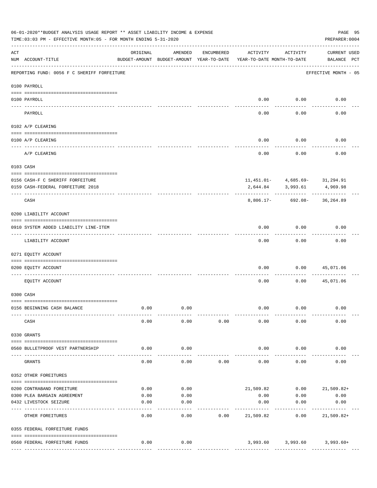|           | 06-01-2020**BUDGET ANALYSIS USAGE REPORT ** ASSET LIABILITY INCOME & EXPENSE<br>TIME: 03:03 PM - EFFECTIVE MONTH: 05 - FOR MONTH ENDING 5-31-2020 |              |                                                     |            |                                        |              | PAGE 95<br>PREPARER: 0004                      |  |
|-----------|---------------------------------------------------------------------------------------------------------------------------------------------------|--------------|-----------------------------------------------------|------------|----------------------------------------|--------------|------------------------------------------------|--|
| ACT       | NUM ACCOUNT-TITLE                                                                                                                                 | ORIGINAL     | AMENDED<br>BUDGET-AMOUNT BUDGET-AMOUNT YEAR-TO-DATE | ENCUMBERED | ACTIVITY<br>YEAR-TO-DATE MONTH-TO-DATE | ACTIVITY     | <b>CURRENT USED</b><br>BALANCE PCT             |  |
|           | REPORTING FUND: 0056 F C SHERIFF FORFEITURE                                                                                                       |              |                                                     |            |                                        |              | EFFECTIVE MONTH - 05                           |  |
|           | 0100 PAYROLL                                                                                                                                      |              |                                                     |            |                                        |              |                                                |  |
|           |                                                                                                                                                   |              |                                                     |            |                                        |              |                                                |  |
| ---- ---- | 0100 PAYROLL                                                                                                                                      |              |                                                     |            | 0.00                                   | 0.00         | 0.00                                           |  |
|           | PAYROLL                                                                                                                                           |              |                                                     |            | 0.00                                   | 0.00         | 0.00                                           |  |
|           | 0102 A/P CLEARING                                                                                                                                 |              |                                                     |            |                                        |              |                                                |  |
|           | 0100 A/P CLEARING                                                                                                                                 |              |                                                     |            | 0.00                                   | 0.00         | 0.00                                           |  |
|           |                                                                                                                                                   |              |                                                     |            |                                        |              |                                                |  |
|           | A/P CLEARING                                                                                                                                      |              |                                                     |            | 0.00                                   | 0.00         | 0.00                                           |  |
|           | 0103 CASH                                                                                                                                         |              |                                                     |            |                                        |              |                                                |  |
|           |                                                                                                                                                   |              |                                                     |            |                                        |              |                                                |  |
|           | 0156 CASH-F C SHERIFF FORFEITURE<br>0159 CASH-FEDERAL FORFEITURE 2018                                                                             |              |                                                     |            | 2,644.84                               | 3,993.61     | $11,451.01 - 4,685.69 - 31,294.91$<br>4,969.98 |  |
|           | CASH                                                                                                                                              |              |                                                     |            |                                        |              | 8,806.17- 692.08- 36,264.89                    |  |
|           | 0200 LIABILITY ACCOUNT                                                                                                                            |              |                                                     |            |                                        |              |                                                |  |
|           | 0910 SYSTEM ADDED LIABILITY LINE-ITEM                                                                                                             |              |                                                     |            | 0.00                                   | 0.00         | 0.00                                           |  |
|           | LIABILITY ACCOUNT                                                                                                                                 |              |                                                     |            | 0.00                                   | 0.00         | 0.00                                           |  |
|           | 0271 EQUITY ACCOUNT                                                                                                                               |              |                                                     |            |                                        |              |                                                |  |
|           | 0200 EQUITY ACCOUNT                                                                                                                               |              |                                                     |            | 0.00                                   | 0.00         | 45,071.06                                      |  |
|           | EQUITY ACCOUNT                                                                                                                                    |              |                                                     |            | 0.00                                   | 0.00         | 45,071.06                                      |  |
|           | 0300 CASH                                                                                                                                         |              |                                                     |            |                                        |              |                                                |  |
|           | 0156 BEGINNING CASH BALANCE                                                                                                                       | 0.00         | 0.00                                                |            | 0.00                                   | 0.00         | 0.00                                           |  |
|           | CASH                                                                                                                                              | 0.00         | 0.00                                                | 0.00       | 0.00                                   | 0.00         | 0.00                                           |  |
|           | 0330 GRANTS                                                                                                                                       |              |                                                     |            |                                        |              |                                                |  |
|           | 0560 BULLETPROOF VEST PARTNERSHIP                                                                                                                 | 0.00         | 0.00                                                |            | 0.00                                   | 0.00         | 0.00                                           |  |
|           | GRANTS                                                                                                                                            | 0.00         | 0.00                                                | 0.00       | 0.00                                   | 0.00         | 0.00                                           |  |
|           | 0352 OTHER FOREITURES                                                                                                                             |              |                                                     |            |                                        |              |                                                |  |
|           |                                                                                                                                                   |              |                                                     |            |                                        |              |                                                |  |
|           | 0200 CONTRABAND FOREITURE<br>0300 PLEA BARGAIN AGREEMENT                                                                                          | 0.00<br>0.00 | 0.00<br>0.00                                        |            | 21,509.82<br>0.00                      | 0.00<br>0.00 | 21,509.82+<br>0.00                             |  |
|           | 0432 LIVESTOCK SEIZURE                                                                                                                            | 0.00         | 0.00                                                |            | 0.00                                   | 0.00         | 0.00                                           |  |
|           | OTHER FOREITURES                                                                                                                                  | 0.00         | 0.00                                                | 0.00       | 21,509.82                              | 0.00         | $21,509.82+$                                   |  |
|           | 0355 FEDERAL FORFEITURE FUNDS                                                                                                                     |              |                                                     |            |                                        |              |                                                |  |
|           |                                                                                                                                                   |              |                                                     |            |                                        |              |                                                |  |
|           | 0560 FEDERAL FORFEITURE FUNDS                                                                                                                     | 0.00         | 0.00                                                |            |                                        | ------------ | 3,993.60 3,993.60 3,993.60+<br>-------------   |  |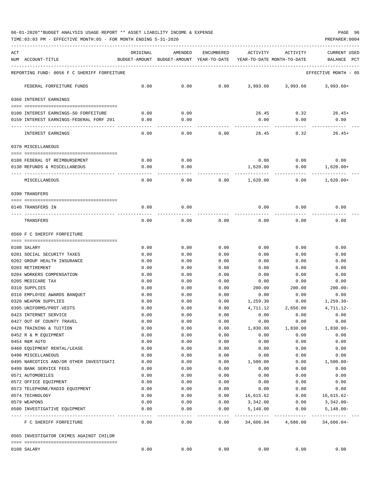06-01-2020\*\*BUDGET ANALYSIS USAGE REPORT \*\* ASSET LIABILITY INCOME & EXPENSE PAGE 96

TIME:03:03 PM - EFFECTIVE MONTH:05 - FOR MONTH ENDING 5-31-2020

| ACT                                                  | ORIGINAL       | AMENDED                                  | ENCUMBERED           | ACTIVITY                   | ACTIVITY                          | <b>CURRENT USED</b>         |
|------------------------------------------------------|----------------|------------------------------------------|----------------------|----------------------------|-----------------------------------|-----------------------------|
| NUM ACCOUNT-TITLE                                    |                | BUDGET-AMOUNT BUDGET-AMOUNT YEAR-TO-DATE |                      | YEAR-TO-DATE MONTH-TO-DATE |                                   | PCT<br>BALANCE              |
| REPORTING FUND: 0056 F C SHERIFF FORFEITURE          |                |                                          |                      |                            |                                   | EFFECTIVE MONTH - 05        |
|                                                      |                |                                          |                      |                            |                                   |                             |
| FEDERAL FORFEITURE FUNDS                             | 0.00           | 0.00                                     | 0.00                 |                            | 3,993.60 3,993.60                 | 3,993.60+                   |
| 0360 INTEREST EARNINGS                               |                |                                          |                      |                            |                                   |                             |
|                                                      |                |                                          |                      |                            |                                   |                             |
| 0100 INTEREST EARNINGS-SO FORFEITURE                 | 0.00           | 0.00                                     |                      | 26.45                      | 0.32                              | $26.45+$                    |
| 0159 INTEREST EARNINGS-FEDERAL FORF 201              | 0.00           | 0.00                                     |                      | 0.00                       | 0.00                              | 0.00                        |
| INTEREST EARNINGS                                    | 0.00           | 0.00                                     | 0.00                 | 26.45                      | 0.32                              | $26.45+$                    |
| 0370 MISCELLANEOUS                                   |                |                                          |                      |                            |                                   |                             |
| 0108 FEDERAL OT REIMBURSEMENT                        | 0.00           | 0.00                                     |                      | 0.00                       | 0.00                              | 0.00                        |
| 0130 REFUNDS & MISCELLANEOUS                         | 0.00           | 0.00                                     |                      | 1,620.00                   | 0.00                              | $1,620.00+$                 |
|                                                      |                |                                          |                      |                            |                                   |                             |
| MISCELLANEOUS                                        | 0.00           | 0.00                                     | 0.00                 | 1,620.00                   | 0.00                              | $1,620.00+$                 |
| 0390 TRANSFERS                                       |                |                                          |                      |                            |                                   |                             |
| 0140 TRANSFERS IN                                    | 0.00           | 0.00                                     |                      | 0.00                       | 0.00                              | 0.00                        |
|                                                      |                |                                          |                      |                            |                                   |                             |
| TRANSFERS                                            | 0.00           | 0.00                                     | 0.00                 | 0.00                       | 0.00                              | 0.00                        |
| 0560 F C SHERIFF FORFEITURE                          |                |                                          |                      |                            |                                   |                             |
|                                                      |                |                                          |                      |                            |                                   |                             |
| 0108 SALARY                                          | 0.00           | 0.00                                     | 0.00                 | 0.00                       | 0.00                              | 0.00                        |
| 0201 SOCIAL SECURITY TAXES                           | 0.00           | 0.00                                     | 0.00                 | 0.00                       | 0.00                              | 0.00                        |
| 0202 GROUP HEALTH INSURANCE                          | 0.00           | 0.00                                     | 0.00                 | 0.00                       | 0.00                              | 0.00                        |
| 0203 RETIREMENT                                      | 0.00           | 0.00                                     | 0.00                 | 0.00                       | 0.00                              | 0.00                        |
| 0204 WORKERS COMPENSATION                            | 0.00           | 0.00                                     | 0.00                 | 0.00                       | 0.00                              | 0.00                        |
| 0205 MEDICARE TAX                                    | 0.00           | 0.00                                     | 0.00                 | 0.00                       | 0.00                              | 0.00                        |
| 0310 SUPPLIES                                        | 0.00           | 0.00                                     | 0.00                 | 200.00                     | 200.00                            | $200.00 -$                  |
| 0316 EMPLOYEE AWARDS BANQUET<br>0320 WEAPON SUPPLIES | 0.00           | 0.00                                     | 0.00                 | 0.00                       | 0.00                              | 0.00                        |
| 0395 UNIFORMS/PROT.VESTS                             | 0.00<br>0.00   | 0.00<br>0.00                             | 0.00<br>0.00         | 1,259.30<br>4,711.12       | 0.00<br>2,656.00                  | $1,259.30-$<br>4,711.12-    |
| 0423 INTERNET SERVICE                                | 0.00           | 0.00                                     | 0.00                 | 0.00                       | 0.00                              | 0.00                        |
| 0427 OUT OF COUNTY TRAVEL                            | 0.00           | 0.00                                     | 0.00                 | 0.00                       | 0.00                              | 0.00                        |
| 0428 TRAINING & TUITION                              | 0.00           | 0.00                                     | 0.00                 | 1,830.00                   | 1,830.00                          | $1,830.00 -$                |
| 0452 R & M EQUIPMENT                                 | 0.00           | 0.00                                     | 0.00                 | 0.00                       | 0.00                              | 0.00                        |
| 0454 R&M AUTO                                        | 0.00           | 0.00                                     | 0.00                 | 0.00                       | 0.00                              | 0.00                        |
| 0460 EQUIPMENT RENTAL/LEASE                          | 0.00           | 0.00                                     | 0.00                 | 0.00                       | 0.00                              | 0.00                        |
| 0490 MISCELLANEOUS                                   | 0.00           | 0.00                                     | 0.00                 | 0.00                       | 0.00                              | 0.00                        |
| 0495 NARCOTICS AND/OR OTHER INVESTIGATI              | 0.00           | 0.00                                     | 0.00                 | 1,500.00                   | 0.00                              | $1,500.00-$                 |
| 0499 BANK SERVICE FEES                               | 0.00           | 0.00                                     | 0.00                 | 0.00                       | 0.00                              | 0.00                        |
| 0571 AUTOMOBILES                                     | 0.00           | 0.00                                     | 0.00                 | 0.00                       | 0.00                              | 0.00                        |
| 0572 OFFICE EQUIPMENT                                | 0.00           | 0.00                                     | 0.00                 | 0.00                       | 0.00                              | 0.00                        |
| 0573 TELEPHONE/RADIO EQUIPMENT                       | 0.00           | 0.00                                     | 0.00                 | 0.00                       | 0.00                              | 0.00                        |
| 0574 TECHNOLOGY                                      | 0.00           | 0.00                                     | 0.00                 | 16,615.62                  | 0.00                              | $16,615.62-$                |
| 0579 WEAPONS                                         | 0.00           | 0.00                                     | 0.00                 | 3,342.00                   | 0.00                              | 3,342.00-                   |
| 0580 INVESTIGATIVE EQUIPMENT<br>-------------------- | 0.00<br>------ | 0.00<br>-----                            | 0.00<br>. <u>.</u> . | 5,148.00                   | 0.00<br>------------ ------------ | $5,148.00 -$<br>----------- |
| F C SHERIFF FORFEITURE                               | 0.00           | 0.00                                     | 0.00                 |                            | 34,606.04 4,686.00 34,606.04-     |                             |
| 0565 INVESTIGATOR CRIMES AGAINST CHILDR              |                |                                          |                      |                            |                                   |                             |
| 0108 SALARY                                          | 0.00           | 0.00                                     | 0.00                 | 0.00                       | 0.00                              | 0.00                        |
|                                                      |                |                                          |                      |                            |                                   |                             |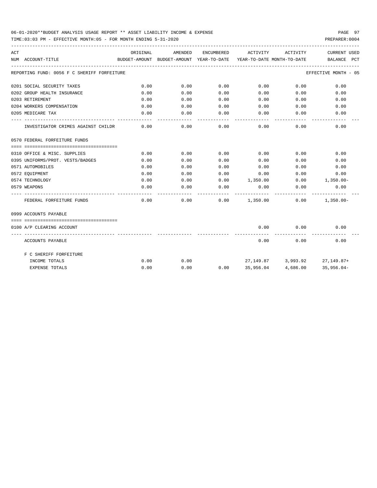## 06-01-2020\*\*BUDGET ANALYSIS USAGE REPORT \*\* ASSET LIABILITY INCOME & EXPENSE PAGE 97

TIME:03:03 PM - EFFECTIVE MONTH:05 - FOR MONTH ENDING 5-31-2020 PREPARER:0004

| ACT |                                             | ORIGINAL | AMENDED                                  | ENCUMBERED | ACTIVITY                             | ACTIVITY                         | CURRENT USED         |
|-----|---------------------------------------------|----------|------------------------------------------|------------|--------------------------------------|----------------------------------|----------------------|
|     | NUM ACCOUNT-TITLE                           |          | BUDGET-AMOUNT BUDGET-AMOUNT YEAR-TO-DATE |            | YEAR-TO-DATE MONTH-TO-DATE           |                                  | BALANCE PCT          |
|     | REPORTING FUND: 0056 F C SHERIFF FORFEITURE |          |                                          |            |                                      |                                  | EFFECTIVE MONTH - 05 |
|     | 0201 SOCIAL SECURITY TAXES                  | 0.00     | 0.00                                     | 0.00       | 0.00                                 | 0.00                             | 0.00                 |
|     | 0202 GROUP HEALTH INSURANCE                 | 0.00     | 0.00                                     | 0.00       | 0.00                                 | 0.00                             | 0.00                 |
|     | 0203 RETIREMENT                             | 0.00     | 0.00                                     | 0.00       | 0.00                                 | 0.00                             | 0.00                 |
|     | 0204 WORKERS COMPENSATION                   | 0.00     | 0.00                                     | 0.00       |                                      | 0.00<br>0.00                     | 0.00                 |
|     | 0205 MEDICARE TAX                           | 0.00     | 0.00                                     | 0.00       | 0.00                                 | 0.00                             | 0.00                 |
|     | INVESTIGATOR CRIMES AGAINST CHILDR          | 0.00     | 0.00                                     | 0.00       | 0.00                                 | 0.00                             | 0.00                 |
|     | 0570 FEDERAL FORFEITURE FUNDS               |          |                                          |            |                                      |                                  |                      |
|     |                                             |          |                                          |            |                                      |                                  |                      |
|     | 0310 OFFICE & MISC. SUPPLIES                | 0.00     | 0.00                                     | 0.00       | 0.00                                 | 0.00                             | 0.00                 |
|     | 0395 UNIFORMS/PROT. VESTS/BADGES            | 0.00     | 0.00                                     | 0.00       | 0.00                                 | 0.00                             | 0.00                 |
|     | 0571 AUTOMOBILES                            | 0.00     | 0.00                                     | 0.00       | 0.00                                 | 0.00                             | 0.00                 |
|     | 0572 EOUIPMENT                              | 0.00     | 0.00                                     | 0.00       | 0.00                                 | 0.00                             | 0.00                 |
|     | 0574 TECHNOLOGY                             | 0.00     | 0.00                                     |            | $0.00$ 1,350.00                      |                                  | $0.00$ 1,350.00-     |
|     | 0579 WEAPONS                                | 0.00     | 0.00                                     | 0.00       | 0.00                                 | 0.00                             | 0.00                 |
|     | FEDERAL FORFEITURE FUNDS                    | 0.00     | 0.00                                     |            | $0.00$ $1,350.00$ $0.00$ $1,350.00$  |                                  |                      |
|     | 0999 ACCOUNTS PAYABLE                       |          |                                          |            |                                      |                                  |                      |
|     |                                             |          |                                          |            |                                      |                                  |                      |
|     | 0100 A/P CLEARING ACCOUNT                   |          |                                          |            | 0.00                                 | 0.00                             | 0.00                 |
|     | ACCOUNTS PAYABLE                            |          |                                          |            | 0.00                                 | 0.00                             | 0.00                 |
|     | F C SHERIFF FORFEITURE                      |          |                                          |            |                                      |                                  |                      |
|     | INCOME TOTALS                               | 0.00     | 0.00                                     |            |                                      | 27, 149.87 3, 993.92 27, 149.87+ |                      |
|     | <b>EXPENSE TOTALS</b>                       | 0.00     | 0.00                                     |            | $0.00$ 35,956.04 4,686.00 35,956.04- |                                  |                      |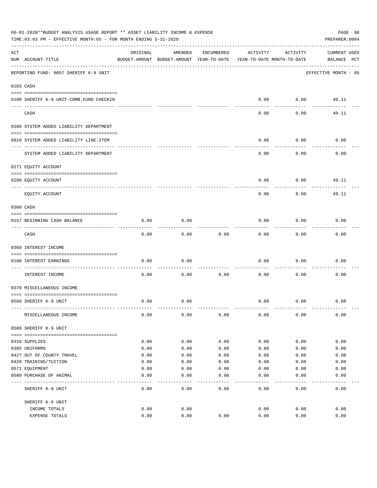|     | 06-01-2020**BUDGET ANALYSIS USAGE REPORT ** ASSET LIABILITY INCOME & EXPENSE<br>TIME: 03:03 PM - EFFECTIVE MONTH: 05 - FOR MONTH ENDING 5-31-2020 |              |                                                     |              |                                        |              | PAGE 98<br>PREPARER: 0004   |
|-----|---------------------------------------------------------------------------------------------------------------------------------------------------|--------------|-----------------------------------------------------|--------------|----------------------------------------|--------------|-----------------------------|
| ACT | NUM ACCOUNT-TITLE                                                                                                                                 | ORIGINAL     | AMENDED<br>BUDGET-AMOUNT BUDGET-AMOUNT YEAR-TO-DATE | ENCUMBERED   | ACTIVITY<br>YEAR-TO-DATE MONTH-TO-DATE | ACTIVITY     | CURRENT USED<br>BALANCE PCT |
|     | REPORTING FUND: 0057 SHERIFF K-9 UNIT                                                                                                             |              |                                                     |              |                                        |              | EFFECTIVE MONTH - 05        |
|     | 0103 CASH                                                                                                                                         |              |                                                     |              |                                        |              |                             |
|     |                                                                                                                                                   |              |                                                     |              |                                        |              |                             |
|     | 0100 SHERIFF K-9 UNIT-COMB. FUND CHECKIN                                                                                                          |              |                                                     |              | 0.00                                   | 0.00         | 49.11                       |
|     | CASH                                                                                                                                              |              |                                                     |              | 0.00                                   | 0.00         | 49.11                       |
|     | 0200 SYSTEM ADDED LIABILITY DEPARTMENT                                                                                                            |              |                                                     |              |                                        |              |                             |
|     | 0910 SYSTEM ADDED LIABILITY LINE-ITEM                                                                                                             |              |                                                     |              | 0.00                                   | 0.00         | 0.00                        |
|     | SYSTEM ADDED LIABILITY DEPARTMENT                                                                                                                 |              |                                                     |              | 0.00                                   | 0.00         | 0.00                        |
|     | 0271 EQUITY ACCOUNT                                                                                                                               |              |                                                     |              |                                        |              |                             |
|     | 0200 EQUITY ACCOUNT                                                                                                                               |              |                                                     |              | 0.00                                   | 0.00         | 49.11                       |
|     | EQUITY ACCOUNT                                                                                                                                    |              |                                                     |              | 0.00                                   | 0.00         | 49.11                       |
|     | 0300 CASH                                                                                                                                         |              |                                                     |              |                                        |              |                             |
|     | 0157 BEGINNING CASH BALANCE                                                                                                                       | 0.00         | 0.00                                                |              | 0.00                                   | 0.00         | 0.00                        |
|     | CASH                                                                                                                                              | 0.00         | 0.00                                                | 0.00         | 0.00                                   | 0.00         | 0.00                        |
|     | 0360 INTEREST INCOME                                                                                                                              |              |                                                     |              |                                        |              |                             |
|     |                                                                                                                                                   |              |                                                     |              |                                        |              |                             |
|     | 0100 INTEREST EARNINGS<br>-----------------                                                                                                       | 0.00         | 0.00                                                |              | 0.00                                   | 0.00         | 0.00                        |
|     | INTEREST INCOME                                                                                                                                   | 0.00         | 0.00                                                | 0.00         | 0.00                                   | 0.00         | 0.00                        |
|     | 0370 MISCELLANEOUS INCOME                                                                                                                         |              |                                                     |              |                                        |              |                             |
|     | 0560 SHERIFF K-9 UNIT                                                                                                                             | 0.00         | 0.00                                                |              | 0.00                                   | 0.00         | 0.00                        |
|     | MISCELLANEOUS INCOME                                                                                                                              | 0.00         | 0.00                                                | 0.00         | 0.00                                   | 0.00         | 0.00                        |
|     | 0560 SHERIFF K-9 UNIT                                                                                                                             |              |                                                     |              |                                        |              |                             |
|     |                                                                                                                                                   |              |                                                     |              |                                        |              |                             |
|     | 0310 SUPPLIES                                                                                                                                     | 0.00         | 0.00                                                | 0.00         | 0.00                                   | 0.00         | 0.00                        |
|     | 0395 UNIFORMS<br>0427 OUT OF COUNTY TRAVEL                                                                                                        | 0.00<br>0.00 | 0.00<br>0.00                                        | 0.00<br>0.00 | 0.00<br>0.00                           | 0.00<br>0.00 | 0.00<br>0.00                |
|     | 0428 TRAINING/TUITION                                                                                                                             | 0.00         | 0.00                                                | 0.00         | 0.00                                   | 0.00         | 0.00                        |
|     | 0571 EQUIPMENT                                                                                                                                    | 0.00         | 0.00                                                | 0.00         | 0.00                                   | 0.00         | 0.00                        |
|     | 0580 PURCHASE OF ANIMAL                                                                                                                           | 0.00         | 0.00                                                | 0.00         | 0.00                                   | 0.00         | 0.00                        |
|     | SHERIFF K-9 UNIT                                                                                                                                  | 0.00         | ----<br>0.00                                        | ----<br>0.00 | 0.00                                   | 0.00         | 0.00                        |
|     | SHERIFF K-9 UNIT                                                                                                                                  |              |                                                     |              |                                        |              |                             |
|     | INCOME TOTALS                                                                                                                                     | 0.00         | 0.00                                                |              | 0.00                                   | 0.00         | 0.00                        |
|     | EXPENSE TOTALS                                                                                                                                    | 0.00         | 0.00                                                | 0.00         | 0.00                                   | 0.00         | 0.00                        |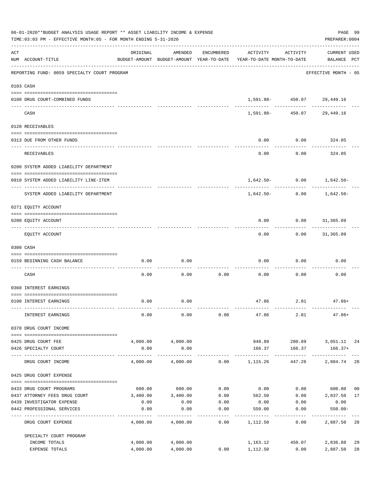|     | 06-01-2020**BUDGET ANALYSIS USAGE REPORT ** ASSET LIABILITY INCOME & EXPENSE<br>TIME: 03:03 PM - EFFECTIVE MONTH: 05 - FOR MONTH ENDING 5-31-2020 |          |                               |                  |                                                                                 |                             | PAGE 99<br>PREPARER: 0004          |          |
|-----|---------------------------------------------------------------------------------------------------------------------------------------------------|----------|-------------------------------|------------------|---------------------------------------------------------------------------------|-----------------------------|------------------------------------|----------|
| ACT | NUM ACCOUNT-TITLE                                                                                                                                 | ORIGINAL | AMENDED                       | ENCUMBERED       | ACTIVITY<br>BUDGET-AMOUNT BUDGET-AMOUNT YEAR-TO-DATE YEAR-TO-DATE MONTH-TO-DATE | ACTIVITY                    | <b>CURRENT USED</b><br>BALANCE PCT |          |
|     | --------------------------------------<br>REPORTING FUND: 0059 SPECIALTY COURT PROGRAM                                                            |          |                               |                  |                                                                                 |                             | EFFECTIVE MONTH - 05               |          |
|     | 0103 CASH                                                                                                                                         |          |                               |                  |                                                                                 |                             |                                    |          |
|     | 0100 DRUG COURT-COMBINED FUNDS                                                                                                                    |          |                               |                  |                                                                                 | 1,591.88- 450.07 29,449.16  |                                    |          |
|     | CASH                                                                                                                                              |          |                               |                  | 1,591.88-                                                                       | __ ____________<br>450.07   | 29,449.16                          |          |
|     | 0120 RECEIVABLES                                                                                                                                  |          |                               |                  |                                                                                 |                             |                                    |          |
|     | 0313 DUE FROM OTHER FUNDS                                                                                                                         |          |                               |                  | 0.00                                                                            | 0.00                        | 324.05                             |          |
|     | RECEIVABLES                                                                                                                                       |          |                               |                  | 0.00                                                                            | 0.00                        | 324.05                             |          |
|     | 0200 SYSTEM ADDED LIABILITY DEPARTMENT                                                                                                            |          |                               |                  |                                                                                 |                             |                                    |          |
|     | 0910 SYSTEM ADDED LIABILITY LINE-ITEM                                                                                                             |          |                               |                  |                                                                                 | $1,642.50 - 0.00$ 1,642.50- |                                    |          |
|     | SYSTEM ADDED LIABILITY DEPARTMENT                                                                                                                 |          |                               |                  | 1,642.50-                                                                       | 0.00                        | 1,642.50-                          |          |
|     | 0271 EQUITY ACCOUNT                                                                                                                               |          |                               |                  |                                                                                 |                             |                                    |          |
|     | 0200 EQUITY ACCOUNT                                                                                                                               |          |                               |                  | 0.00                                                                            | $0.00$ 31,365.09            |                                    |          |
|     | EQUITY ACCOUNT                                                                                                                                    |          |                               |                  | 0.00                                                                            |                             | $0.00$ 31,365.09                   |          |
|     | 0300 CASH                                                                                                                                         |          |                               |                  |                                                                                 |                             |                                    |          |
|     | 0159 BEGINNING CASH BALANCE                                                                                                                       | 0.00     | 0.00                          |                  | 0.00                                                                            | 0.00                        | 0.00                               |          |
|     | CASH                                                                                                                                              | 0.00     | 0.00                          | 0.00             | 0.00                                                                            | 0.00                        | 0.00                               |          |
|     | 0360 INTEREST EARNINGS                                                                                                                            |          |                               |                  |                                                                                 |                             |                                    |          |
|     | 0100 INTEREST EARNINGS                                                                                                                            | 0.00     | 0.00                          |                  |                                                                                 | 47.86 2.81                  | 47.86+                             |          |
|     | INTEREST EARNINGS                                                                                                                                 | 0.00     | 0.00                          | 0.00             | 47.86                                                                           | 2.81                        | $47.86+$                           |          |
|     | 0370 DRUG COURT INCOME                                                                                                                            |          |                               |                  |                                                                                 |                             |                                    |          |
|     | 0425 DRUG COURT FEE                                                                                                                               |          | 4,000.00 4,000.00             |                  | 948.89                                                                          |                             | 280.89 3,051.11 24                 |          |
|     | 0426 SPECIALTY COURT                                                                                                                              | 0.00     | 0.00                          |                  | 166.37                                                                          | 166.37                      | $166.37+$                          |          |
|     | DRUG COURT INCOME                                                                                                                                 | 4,000.00 |                               |                  |                                                                                 | 447.26                      | 2,884.74 28                        |          |
|     | 0425 DRUG COURT EXPENSE                                                                                                                           |          |                               |                  |                                                                                 |                             |                                    |          |
|     | 0433 DRUG COURT PROGRAMS                                                                                                                          |          | 600.00 600.00                 |                  | $0.00$ $0.00$ $0.00$ $0.00$ $600.00$                                            |                             |                                    | 00       |
|     | 0437 ATTORNEY FEES DRUG COURT                                                                                                                     |          | 3,400.00 3,400.00             | 0.00             | 562.50 0.00 2,837.50                                                            |                             |                                    | 17       |
|     | 0439 INVESTIGATOR EXPENSE                                                                                                                         | 0.00     | 0.00                          | 0.00             |                                                                                 | $0.00$ 0.00                 | 0.00                               |          |
|     | 0442 PROFESSIONAL SERVICES<br>----------------- -------------                                                                                     | 0.00     | 0.00                          | 0.00<br>-------- | 550.00                                                                          | 0.00                        | $550.00 -$                         |          |
|     | DRUG COURT EXPENSE                                                                                                                                | 4,000.00 | 4,000.00                      | 0.00             | 1,112.50                                                                        | 0.00                        | 2,887.50 28                        |          |
|     | SPECIALTY COURT PROGRAM                                                                                                                           |          |                               |                  |                                                                                 |                             |                                    |          |
|     | INCOME TOTALS<br>EXPENSE TOTALS                                                                                                                   | 4,000.00 | 4,000.00 4,000.00<br>4,000.00 | 0.00             | 1,112.50                                                                        | 1,163.12 450.07<br>0.00     | 2,836.88<br>2,887.50               | 29<br>28 |
|     |                                                                                                                                                   |          |                               |                  |                                                                                 |                             |                                    |          |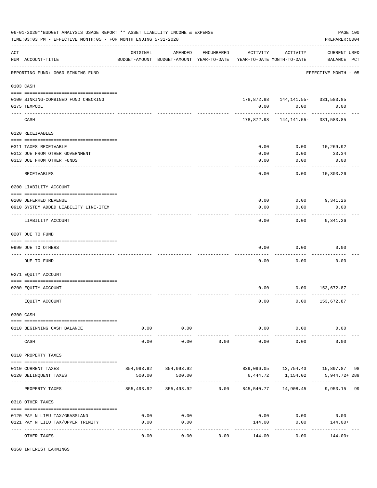|     | 06-01-2020**BUDGET ANALYSIS USAGE REPORT ** ASSET LIABILITY INCOME & EXPENSE<br>TIME: 03:03 PM - EFFECTIVE MONTH: 05 - FOR MONTH ENDING 5-31-2020 |                  |                                 |            |                                                                                 |                                       | PAGE 100<br>PREPARER: 0004         |  |
|-----|---------------------------------------------------------------------------------------------------------------------------------------------------|------------------|---------------------------------|------------|---------------------------------------------------------------------------------|---------------------------------------|------------------------------------|--|
| ACT | NUM ACCOUNT-TITLE                                                                                                                                 | ORIGINAL         | AMENDED                         | ENCUMBERED | ACTIVITY<br>BUDGET-AMOUNT BUDGET-AMOUNT YEAR-TO-DATE YEAR-TO-DATE MONTH-TO-DATE | ACTIVITY                              | <b>CURRENT USED</b><br>BALANCE PCT |  |
|     | REPORTING FUND: 0060 SINKING FUND                                                                                                                 |                  |                                 |            |                                                                                 |                                       | EFFECTIVE MONTH - 05               |  |
|     | 0103 CASH                                                                                                                                         |                  |                                 |            |                                                                                 |                                       |                                    |  |
|     |                                                                                                                                                   |                  |                                 |            |                                                                                 |                                       |                                    |  |
|     | 0100 SINKING-COMBINED FUND CHECKING                                                                                                               |                  |                                 |            |                                                                                 | 178,872.98   144,141.55-   331,583.85 |                                    |  |
|     | 0175 TEXPOOL                                                                                                                                      |                  |                                 |            | 0.00                                                                            | 0.00                                  | 0.00                               |  |
|     | CASH                                                                                                                                              |                  |                                 |            |                                                                                 | 178,872.98  144,141.55-  331,583.85   |                                    |  |
|     | 0120 RECEIVABLES                                                                                                                                  |                  |                                 |            |                                                                                 |                                       |                                    |  |
|     |                                                                                                                                                   |                  |                                 |            |                                                                                 |                                       |                                    |  |
|     | 0311 TAXES RECEIVABLE                                                                                                                             |                  |                                 |            | 0.00                                                                            | 0.00                                  | 10,269.92                          |  |
|     | 0312 DUE FROM OTHER GOVERNMENT                                                                                                                    |                  |                                 |            | 0.00                                                                            | 0.00                                  | 33.34                              |  |
|     | 0313 DUE FROM OTHER FUNDS                                                                                                                         |                  |                                 |            | 0.00                                                                            | 0.00                                  | 0.00                               |  |
|     | RECEIVABLES                                                                                                                                       |                  |                                 |            | 0.00                                                                            | 0.00                                  | ----------<br>10,303.26            |  |
|     | 0200 LIABILITY ACCOUNT                                                                                                                            |                  |                                 |            |                                                                                 |                                       |                                    |  |
|     |                                                                                                                                                   |                  |                                 |            |                                                                                 |                                       |                                    |  |
|     | 0200 DEFERRED REVENUE                                                                                                                             |                  |                                 |            | 0.00                                                                            | $0.00$ 9,341.26                       |                                    |  |
|     | 0910 SYSTEM ADDED LIABILITY LINE-ITEM                                                                                                             |                  |                                 |            | 0.00                                                                            | 0.00                                  | 0.00                               |  |
|     | LIABILITY ACCOUNT                                                                                                                                 |                  |                                 |            | 0.00                                                                            | 0.00                                  | 9,341.26                           |  |
|     | 0207 DUE TO FUND                                                                                                                                  |                  |                                 |            |                                                                                 |                                       |                                    |  |
|     | 0990 DUE TO OTHERS                                                                                                                                |                  |                                 |            | 0.00                                                                            | 0.00                                  | 0.00                               |  |
|     | DUE TO FUND                                                                                                                                       |                  |                                 |            | 0.00                                                                            | 0.00                                  | 0.00                               |  |
|     | 0271 EQUITY ACCOUNT                                                                                                                               |                  |                                 |            |                                                                                 |                                       |                                    |  |
|     |                                                                                                                                                   |                  |                                 |            |                                                                                 |                                       |                                    |  |
|     | 0200 EQUITY ACCOUNT                                                                                                                               |                  |                                 |            | 0.00                                                                            | 0.00                                  | 153,672.87                         |  |
|     | EQUITY ACCOUNT                                                                                                                                    |                  |                                 |            | 0.00                                                                            | 0.00                                  | 153,672.87                         |  |
|     | 0300 CASH                                                                                                                                         |                  |                                 |            |                                                                                 |                                       |                                    |  |
|     |                                                                                                                                                   |                  |                                 |            |                                                                                 |                                       |                                    |  |
|     | 0110 BEGINNING CASH BALANCE                                                                                                                       | 0.00<br>-------- | 0.00<br>----------              |            | . <u>.</u> .                                                                    | $0.00$ 0.00<br>----------             | 0.00                               |  |
|     | CASH                                                                                                                                              | 0.00             | 0.00                            | 0.00       | 0.00                                                                            | 0.00                                  | 0.00                               |  |
|     | 0310 PROPERTY TAXES                                                                                                                               |                  |                                 |            |                                                                                 |                                       |                                    |  |
|     |                                                                                                                                                   |                  |                                 |            |                                                                                 |                                       |                                    |  |
|     | 0110 CURRENT TAXES                                                                                                                                |                  | 854,993.92 854,993.92<br>500.00 |            |                                                                                 | 839,096.05  13,754.43  15,897.87  98  |                                    |  |
|     | 0120 DELINQUENT TAXES                                                                                                                             | 500.00           |                                 |            | 6,444.72                                                                        | 1,154.02                              | 5,944.72+289                       |  |
|     | PROPERTY TAXES                                                                                                                                    |                  |                                 |            | 855,493.92 855,493.92 0.00 845,540.77 14,908.45 9,953.15 99                     |                                       |                                    |  |
|     | 0318 OTHER TAXES                                                                                                                                  |                  |                                 |            |                                                                                 |                                       |                                    |  |
|     | 0120 PAY N LIEU TAX/GRASSLAND                                                                                                                     | 0.00             | 0.00                            |            | 0.00                                                                            |                                       | $0.00$ 0.00                        |  |
|     | 0121 PAY N LIEU TAX/UPPER TRINITY                                                                                                                 | 0.00             | 0.00                            |            | 144.00                                                                          | 0.00                                  | 144.00+                            |  |
|     |                                                                                                                                                   |                  | ----------                      |            |                                                                                 | ----------                            |                                    |  |
|     | OTHER TAXES                                                                                                                                       | 0.00             | 0.00                            | 0.00       | 144.00                                                                          | 0.00                                  | $144.00+$                          |  |

0360 INTEREST EARNINGS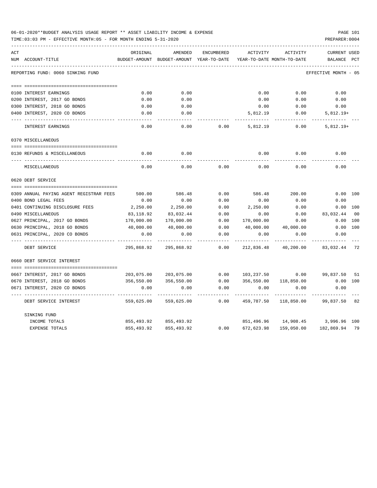| 06-01-2020**BUDGET ANALYSIS USAGE REPORT ** ASSET LIABILITY INCOME & EXPENSE | PAGE 101       |
|------------------------------------------------------------------------------|----------------|
| TIME:03:03 PM - EFFECTIVE MONTH:05 - FOR MONTH ENDING 5-31-2020              | PREPARER: 0004 |

| ACT |                                         | ORIGINAL   | AMENDED                                  | ENCUMBERED | ACTIVITY   | ACTIVITY                           | <b>CURRENT USED</b>  |     |
|-----|-----------------------------------------|------------|------------------------------------------|------------|------------|------------------------------------|----------------------|-----|
|     | NUM ACCOUNT-TITLE                       |            | BUDGET-AMOUNT BUDGET-AMOUNT YEAR-TO-DATE |            |            | YEAR-TO-DATE MONTH-TO-DATE         | BALANCE              | PCT |
|     |                                         |            |                                          |            |            |                                    |                      |     |
|     | REPORTING FUND: 0060 SINKING FUND       |            |                                          |            |            |                                    | EFFECTIVE MONTH - 05 |     |
|     |                                         |            |                                          |            |            |                                    |                      |     |
|     | 0100 INTEREST EARNINGS                  | 0.00       | 0.00                                     |            | 0.00       | 0.00                               | 0.00                 |     |
|     | 0200 INTEREST, 2017 GO BONDS            | 0.00       | 0.00                                     |            | 0.00       | 0.00                               | 0.00                 |     |
|     | 0300 INTEREST, 2018 GO BONDS            | 0.00       | 0.00                                     |            | 0.00       | 0.00                               | 0.00                 |     |
|     | 0400 INTEREST, 2020 CO BONDS            | 0.00       | 0.00                                     |            | 5,812.19   | 0.00                               | $5,812.19+$          |     |
|     | INTEREST EARNINGS                       | 0.00       | 0.00                                     | 0.00       | 5,812.19   | 0.00                               | $5,812.19+$          |     |
|     | 0370 MISCELLANEOUS                      |            |                                          |            |            |                                    |                      |     |
|     |                                         |            |                                          |            |            |                                    |                      |     |
|     | 0130 REFUNDS & MISCELLANEOUS            | 0.00       | 0.00                                     |            |            | $0.00$ $0.00$ $0.00$               |                      |     |
|     | MISCELLANEOUS                           | 0.00       | 0.00                                     | 0.00       | 0.00       | 0.00                               | 0.00                 |     |
|     | 0620 DEBT SERVICE                       |            |                                          |            |            |                                    |                      |     |
|     |                                         |            |                                          |            |            |                                    |                      |     |
|     | 0309 ANNUAL PAYING AGENT REGISTRAR FEES | 500.00     | 586.48                                   | 0.00       | 586.48     | 200.00                             | 0.00 100             |     |
|     | 0400 BOND LEGAL FEES                    | 0.00       | 0.00                                     | 0.00       | 0.00       | 0.00                               | 0.00                 |     |
|     | 0401 CONTINUING DISCLOSURE FEES         | 2,250.00   | 2,250.00                                 | 0.00       | 2,250.00   | 0.00                               | 0.00 100             |     |
|     | 0490 MISCELLANEOUS                      | 83,118.92  | 83,032.44                                | 0.00       | 0.00       | 0.00                               | 83,032.44 00         |     |
|     | 0627 PRINCIPAL, 2017 GO BONDS           | 170,000.00 | 170,000.00                               | 0.00       | 170,000.00 | 0.00                               | 0.00 100             |     |
|     | 0630 PRINCIPAL, 2018 GO BONDS           | 40,000.00  | 40,000.00                                | 0.00       | 40,000.00  | 40,000.00                          | 0.00 100             |     |
|     | 0631 PRINCIPAL, 2020 CO BONDS           | 0.00       | 0.00                                     | 0.00       | 0.00       | 0.00                               | 0.00                 |     |
|     | DEBT SERVICE                            | 295,868.92 | 295,868.92                               | 0.00       | 212,836.48 | 40,200.00                          | 83,032.44 72         |     |
|     | 0660 DEBT SERVICE INTEREST              |            |                                          |            |            |                                    |                      |     |
|     | 0667 INTEREST, 2017 GO BONDS            |            | 203,075.00 203,075.00                    | 0.00       |            | 103,237.50   0.00   99,837.50   51 |                      |     |
|     | 0670 INTEREST, 2018 GO BONDS            | 356,550.00 | 356,550.00                               | 0.00       | 356,550.00 | 118,850.00                         | $0.00$ 100           |     |
|     | 0671 INTEREST, 2020 CO BONDS            | 0.00       | 0.00                                     | 0.00       | 0.00       | 0.00                               | 0.00                 |     |
|     | DEBT SERVICE INTEREST                   | 559,625.00 | 559,625.00                               | 0.00       | 459,787.50 | 118,850.00                         | 99,837.50 82         |     |
|     | SINKING FUND                            |            |                                          |            |            |                                    |                      |     |
|     | INCOME TOTALS                           |            | 855,493.92 855,493.92                    |            |            | 851,496.96 14,908.45               | 3,996.96 100         |     |
|     | <b>EXPENSE TOTALS</b>                   | 855,493.92 | 855,493.92                               | 0.00       | 672,623.98 | 159,050.00                         | 182,869.94           | 79  |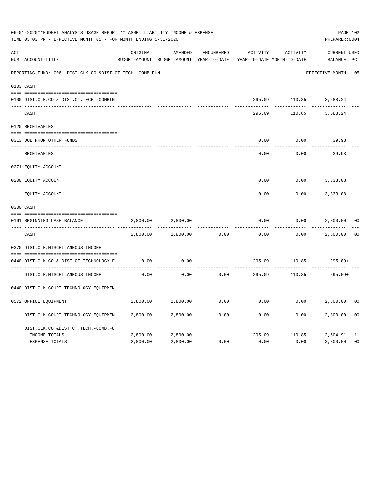|     | 06-01-2020**BUDGET ANALYSIS USAGE REPORT ** ASSET LIABILITY INCOME & EXPENSE<br>TIME:03:03 PM - EFFECTIVE MONTH:05 - FOR MONTH ENDING 5-31-2020 |          |                                                     |            |          |                                        | PAGE 102<br>PREPARER: 0004         |                |
|-----|-------------------------------------------------------------------------------------------------------------------------------------------------|----------|-----------------------------------------------------|------------|----------|----------------------------------------|------------------------------------|----------------|
| ACT | NUM ACCOUNT-TITLE                                                                                                                               | ORIGINAL | AMENDED<br>BUDGET-AMOUNT BUDGET-AMOUNT YEAR-TO-DATE | ENCUMBERED | ACTIVITY | ACTIVITY<br>YEAR-TO-DATE MONTH-TO-DATE | <b>CURRENT USED</b><br>BALANCE PCT |                |
|     | REPORTING FUND: 0061 DIST.CLK.CO.&DIST.CT.TECH.-COMB.FUN                                                                                        |          |                                                     |            |          |                                        | EFFECTIVE MONTH - 05               |                |
|     | 0103 CASH                                                                                                                                       |          |                                                     |            |          |                                        |                                    |                |
|     | 0100 DIST.CLK.CO.& DIST.CT.TECH.-COMBIN                                                                                                         |          |                                                     |            |          |                                        | 295.09 110.85 3,588.24             |                |
|     | CASH                                                                                                                                            |          |                                                     |            | 295.09   | 110.85                                 | 3,588.24                           |                |
|     | 0120 RECEIVABLES                                                                                                                                |          |                                                     |            |          |                                        |                                    |                |
|     | 0313 DUE FROM OTHER FUNDS                                                                                                                       |          |                                                     |            | 0.00     | 0.00                                   | 39.93                              |                |
|     | RECEIVABLES                                                                                                                                     |          |                                                     |            | 0.00     | 0.00                                   | 39.93                              |                |
|     | 0271 EQUITY ACCOUNT                                                                                                                             |          |                                                     |            |          |                                        |                                    |                |
|     | 0200 EQUITY ACCOUNT                                                                                                                             |          |                                                     |            | 0.00     | 0.00                                   | 3,333.08                           |                |
|     | ---- -----------<br>EQUITY ACCOUNT                                                                                                              |          |                                                     |            | 0.00     | 0.00                                   | 3,333.08                           |                |
|     | 0300 CASH                                                                                                                                       |          |                                                     |            |          |                                        |                                    |                |
|     | 0161 BEGINNING CASH BALANCE                                                                                                                     | 2,800.00 | 2,800.00                                            |            | 0.00     | 0.00                                   | 2,800.00                           | 0 <sub>0</sub> |
|     | CASH                                                                                                                                            | 2,800.00 | 2,800.00                                            | 0.00       | 0.00     | 0.00                                   | 2,800.00                           | 0 <sup>0</sup> |
|     | 0370 DIST.CLK.MISCELLANEOUS INCOME                                                                                                              |          |                                                     |            |          |                                        |                                    |                |
|     | 0440 DIST.CLK.CO.& DIST.CT.TECHNOLOGY F                                                                                                         | 0.00     | 0.00                                                |            | 295.09   | 110.85                                 | $295.09+$                          |                |
|     | DIST.CLK.MISCELLANEOUS INCOME                                                                                                                   | 0.00     | 0.00                                                | 0.00       | 295.09   | 110.85                                 | 295.09+                            |                |
|     | 0440 DIST.CLK.COURT TECHNOLOGY EQUIPMEN                                                                                                         |          |                                                     |            |          |                                        |                                    |                |
|     | 0572 OFFICE EOUIPMENT                                                                                                                           | 2,800.00 | 2,800.00                                            | 0.00       | 0.00     | 0.00                                   | 2,800.00                           | 0 <sub>0</sub> |
|     | DIST.CLK.COURT TECHNOLOGY EQUIPMEN                                                                                                              | 2,800.00 | 2,800.00                                            | 0.00       | 0.00     | 0.00                                   | 2,800.00                           | 0 <sub>0</sub> |
|     | DIST.CLK.CO.&DIST.CT.TECH.-COMB.FU                                                                                                              |          |                                                     |            |          |                                        |                                    |                |
|     | INCOME TOTALS                                                                                                                                   | 2,800.00 | 2,800.00                                            |            | 295.09   | 110.85                                 | 2,504.91                           | 11             |
|     | <b>EXPENSE TOTALS</b>                                                                                                                           | 2,800.00 | 2,800.00                                            | 0.00       | 0.00     | 0.00                                   | 2,800.00                           | 0 <sub>0</sub> |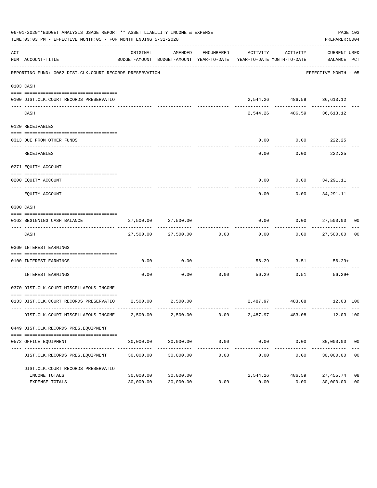|     | 06-01-2020**BUDGET ANALYSIS USAGE REPORT ** ASSET LIABILITY INCOME & EXPENSE<br>TIME:03:03 PM - EFFECTIVE MONTH:05 - FOR MONTH ENDING 5-31-2020 |                        |                          |            |                                                                                 |                                           | PREPARER: 0004              | PAGE 103       |
|-----|-------------------------------------------------------------------------------------------------------------------------------------------------|------------------------|--------------------------|------------|---------------------------------------------------------------------------------|-------------------------------------------|-----------------------------|----------------|
| ACT | NUM ACCOUNT-TITLE                                                                                                                               | ORIGINAL               | AMENDED                  | ENCUMBERED | ACTIVITY<br>BUDGET-AMOUNT BUDGET-AMOUNT YEAR-TO-DATE YEAR-TO-DATE MONTH-TO-DATE | ACTIVITY                                  | CURRENT USED<br>BALANCE PCT |                |
|     | REPORTING FUND: 0062 DIST.CLK.COURT RECORDS PRESERVATION                                                                                        |                        |                          |            |                                                                                 |                                           | EFFECTIVE MONTH - 05        |                |
|     | 0103 CASH                                                                                                                                       |                        |                          |            |                                                                                 |                                           |                             |                |
|     | 0100 DIST.CLK.COURT RECORDS PRESERVATIO                                                                                                         |                        |                          |            |                                                                                 | 2,544.26 486.59 36,613.12                 |                             |                |
|     | CASH                                                                                                                                            |                        | -------------            |            |                                                                                 | ------------<br>2,544.26 486.59 36,613.12 | . _ _ _ _ _ _ _ _ _         |                |
|     | 0120 RECEIVABLES                                                                                                                                |                        |                          |            |                                                                                 |                                           |                             |                |
|     | 0313 DUE FROM OTHER FUNDS                                                                                                                       |                        |                          |            | 0.00                                                                            | $0.00$ 222.25                             |                             |                |
|     | <b>RECEIVABLES</b>                                                                                                                              |                        |                          |            | 0.00                                                                            | ---------<br>0.00                         | ----------<br>222.25        |                |
|     | 0271 EQUITY ACCOUNT                                                                                                                             |                        |                          |            |                                                                                 |                                           |                             |                |
|     | 0200 EQUITY ACCOUNT                                                                                                                             |                        |                          |            |                                                                                 | $0.00$ $0.00$ $34.291.11$                 |                             |                |
|     | EQUITY ACCOUNT                                                                                                                                  |                        |                          |            | 0.00                                                                            | 0.00                                      | 34,291.11                   |                |
|     | 0300 CASH                                                                                                                                       |                        |                          |            |                                                                                 |                                           |                             |                |
|     | 0162 BEGINNING CASH BALANCE                                                                                                                     |                        | 27,500.00 27,500.00      |            | 0.00                                                                            | $0.00$ 27,500.00 00                       |                             |                |
|     | CASH                                                                                                                                            |                        | 27,500.00 27,500.00 0.00 |            | 0.00                                                                            |                                           | $0.00$ 27,500.00 00         |                |
|     | 0360 INTEREST EARNINGS                                                                                                                          |                        |                          |            |                                                                                 |                                           |                             |                |
|     | 0100 INTEREST EARNINGS                                                                                                                          | 0.00                   | 0.00                     |            |                                                                                 | 56.29 3.51                                | $56.29+$                    |                |
|     | -------------------- --------------<br>INTEREST EARNINGS                                                                                        | 0.00                   | 0.00                     | 0.00       |                                                                                 | 56.29 3.51                                | 56.29+                      |                |
|     | 0370 DIST.CLK.COURT MISCELLAEOUS INCOME                                                                                                         |                        |                          |            |                                                                                 |                                           |                             |                |
|     | 0133 DIST.CLK.COURT RECORDS PRESERVATIO 2,500.00 2,500.00                                                                                       |                        |                          |            |                                                                                 | 2,487.97 483.08 12.03 100                 |                             |                |
|     | DIST.CLK.COURT MISCELLAEOUS INCOME                                                                                                              | 2,500.00               | 2,500.00                 | 0.00       | 2,487.97                                                                        | 483.08                                    | 12.03 100                   |                |
|     | 0449 DIST.CLK.RECORDS PRES.EQUIPMENT                                                                                                            |                        |                          |            |                                                                                 |                                           |                             |                |
|     | 0572 OFFICE EQUIPMENT                                                                                                                           | 30,000.00              | 30,000.00                | 0.00       | 0.00<br>--------------                                                          | 0.00                                      | 30,000.00 00                |                |
|     | DIST.CLK.RECORDS PRES.EQUIPMENT                                                                                                                 | 30,000.00              | 30,000.00                | 0.00       | 0.00                                                                            | 0.00                                      | 30,000.00                   | 0 <sub>0</sub> |
|     | DIST.CLK.COURT RECORDS PRESERVATIO                                                                                                              |                        |                          |            |                                                                                 |                                           |                             |                |
|     | INCOME TOTALS<br>EXPENSE TOTALS                                                                                                                 | 30,000.00<br>30,000.00 | 30,000.00<br>30,000.00   | 0.00       | 2,544.26<br>0.00                                                                | 486.59<br>0.00                            | 27,455.74 08<br>30,000.00   | 0 <sub>0</sub> |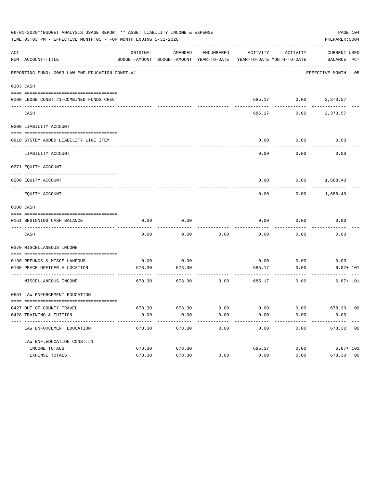|     | 06-01-2020**BUDGET ANALYSIS USAGE REPORT ** ASSET LIABILITY INCOME & EXPENSE<br>PAGE 104<br>TIME:03:03 PM - EFFECTIVE MONTH:05 - FOR MONTH ENDING 5-31-2020<br>PREPARER: 0004 |          |                                                     |            |                            |                   |                             |  |  |  |  |  |
|-----|-------------------------------------------------------------------------------------------------------------------------------------------------------------------------------|----------|-----------------------------------------------------|------------|----------------------------|-------------------|-----------------------------|--|--|--|--|--|
| ACT | NUM ACCOUNT-TITLE                                                                                                                                                             | ORIGINAL | AMENDED<br>BUDGET-AMOUNT BUDGET-AMOUNT YEAR-TO-DATE | ENCUMBERED | YEAR-TO-DATE MONTH-TO-DATE | ACTIVITY ACTIVITY | CURRENT USED<br>BALANCE PCT |  |  |  |  |  |
|     | REPORTING FUND: 0063 LAW ENF. EDUCATION CONST.#1                                                                                                                              |          |                                                     |            |                            |                   | EFFECTIVE MONTH - 05        |  |  |  |  |  |
|     | 0103 CASH                                                                                                                                                                     |          |                                                     |            |                            |                   |                             |  |  |  |  |  |
|     | 0100 LEOSE CONST.#1-COMBINED FUNDS CHEC                                                                                                                                       |          |                                                     |            |                            |                   | 685.17 0.00 2,373.57        |  |  |  |  |  |
|     | CASH                                                                                                                                                                          |          |                                                     |            | 685.17                     | 0.00              | 2,373.57                    |  |  |  |  |  |
|     | 0200 LIABILITY ACCOUNT                                                                                                                                                        |          |                                                     |            |                            |                   |                             |  |  |  |  |  |
|     | 0910 SYSTEM ADDED LIABILITY LINE ITEM                                                                                                                                         |          |                                                     |            | 0.00                       | 0.00              | 0.00                        |  |  |  |  |  |
|     | LIABILITY ACCOUNT                                                                                                                                                             |          |                                                     |            | 0.00                       | 0.00              | 0.00                        |  |  |  |  |  |
|     | 0271 EQUITY ACCOUNT                                                                                                                                                           |          |                                                     |            |                            |                   |                             |  |  |  |  |  |
|     | 0200 EQUITY ACCOUNT                                                                                                                                                           |          |                                                     |            | 0.00                       | 0.00              | 1,688.40                    |  |  |  |  |  |
|     | EQUITY ACCOUNT                                                                                                                                                                |          |                                                     |            | 0.00                       | 0.00              | 1,688.40                    |  |  |  |  |  |
|     | 0300 CASH                                                                                                                                                                     |          |                                                     |            |                            |                   |                             |  |  |  |  |  |
|     | 0151 BEGINNING CASH BALANCE                                                                                                                                                   | 0.00     | 0.00                                                |            | 0.00                       | 0.00              | 0.00                        |  |  |  |  |  |
|     | CASH                                                                                                                                                                          | 0.00     | 0.00                                                | 0.00       | 0.00                       | 0.00              | 0.00                        |  |  |  |  |  |
|     | 0370 MISCELLANEOUS INCOME                                                                                                                                                     |          |                                                     |            |                            |                   |                             |  |  |  |  |  |
|     | 0130 REFUNDS & MISCELLANEOUS                                                                                                                                                  | 0.00     | 0.00                                                |            | 0.00                       | 0.00              | 0.00                        |  |  |  |  |  |
|     | 0160 PEACE OFFICER ALLOCATION                                                                                                                                                 | 678.30   | 678.30                                              |            | 685.17                     | 0.00              | $6.87 + 101$                |  |  |  |  |  |
|     | MISCELLANEOUS INCOME                                                                                                                                                          | 678.30   | 678.30                                              | 0.00       | 685.17                     | 0.00              | $6.87 + 101$                |  |  |  |  |  |
|     | 0551 LAW ENFORCEMENT EDUCATION                                                                                                                                                |          |                                                     |            |                            |                   |                             |  |  |  |  |  |
|     | 0427 OUT OF COUNTY TRAVEL                                                                                                                                                     |          | 678.30 678.30                                       | 0.00       | 0.00                       | 0.00              | 678.30 00                   |  |  |  |  |  |
|     | 0428 TRAINING & TUITION                                                                                                                                                       | 0.00     | 0.00                                                | 0.00       | 0.00                       | 0.00              | 0.00                        |  |  |  |  |  |
|     | ----------------------------------<br>LAW ENFORCEMENT EDUCATION                                                                                                               | 678.30   | 678.30                                              | 0.00       | 0.00                       | 0.00              | 678.30 00                   |  |  |  |  |  |
|     | LAW ENF. EDUCATION CONST. #1                                                                                                                                                  |          |                                                     |            |                            |                   |                             |  |  |  |  |  |
|     | INCOME TOTALS                                                                                                                                                                 | 678.30   | 678.30                                              |            | 685.17                     | 0.00              | $6.87 + 101$                |  |  |  |  |  |
|     | EXPENSE TOTALS                                                                                                                                                                | 678.30   | 678.30                                              | 0.00       | 0.00                       | 0.00              | 678.30 00                   |  |  |  |  |  |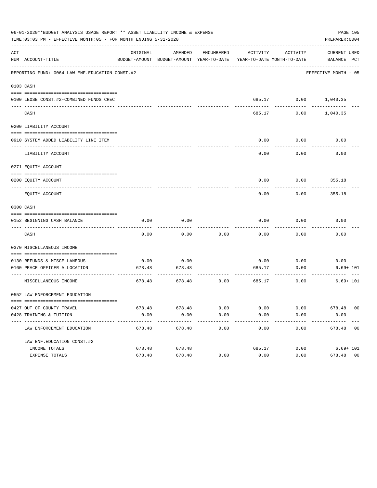| 06-01-2020**BUDGET ANALYSIS USAGE REPORT ** ASSET LIABILITY INCOME & EXPENSE<br>PAGE 105<br>TIME:03:03 PM - EFFECTIVE MONTH:05 - FOR MONTH ENDING 5-31-2020<br>PREPARER: 0004 |                                                                |                 |                                                     |            |                         |                                                 |                             |  |
|-------------------------------------------------------------------------------------------------------------------------------------------------------------------------------|----------------------------------------------------------------|-----------------|-----------------------------------------------------|------------|-------------------------|-------------------------------------------------|-----------------------------|--|
| ACT                                                                                                                                                                           | NUM ACCOUNT-TITLE                                              | ORIGINAL        | AMENDED<br>BUDGET-AMOUNT BUDGET-AMOUNT YEAR-TO-DATE | ENCUMBERED |                         | ACTIVITY ACTIVITY<br>YEAR-TO-DATE MONTH-TO-DATE | CURRENT USED<br>BALANCE PCT |  |
|                                                                                                                                                                               | REPORTING FUND: 0064 LAW ENF. EDUCATION CONST.#2               |                 |                                                     |            |                         |                                                 | EFFECTIVE MONTH - 05        |  |
|                                                                                                                                                                               | 0103 CASH                                                      |                 |                                                     |            |                         |                                                 |                             |  |
|                                                                                                                                                                               | 0100 LEOSE CONST.#2-COMBINED FUNDS CHEC                        |                 |                                                     |            |                         |                                                 | 685.17 0.00 1,040.35        |  |
|                                                                                                                                                                               | CASH                                                           |                 |                                                     |            | 685.17                  | 0.00                                            | 1,040.35                    |  |
|                                                                                                                                                                               | 0200 LIABILITY ACCOUNT                                         |                 |                                                     |            |                         |                                                 |                             |  |
|                                                                                                                                                                               | 0910 SYSTEM ADDED LIABILITY LINE ITEM                          |                 |                                                     |            | 0.00                    | 0.00                                            | 0.00                        |  |
|                                                                                                                                                                               | LIABILITY ACCOUNT                                              |                 |                                                     |            | 0.00                    | 0.00                                            | 0.00                        |  |
|                                                                                                                                                                               | 0271 EQUITY ACCOUNT                                            |                 |                                                     |            |                         |                                                 |                             |  |
|                                                                                                                                                                               | 0200 EQUITY ACCOUNT                                            |                 |                                                     |            | 0.00                    |                                                 | $0.00$ 355.18               |  |
|                                                                                                                                                                               | EQUITY ACCOUNT                                                 |                 |                                                     |            | 0.00                    | 0.00                                            | 355.18                      |  |
|                                                                                                                                                                               | 0300 CASH                                                      |                 |                                                     |            |                         |                                                 |                             |  |
|                                                                                                                                                                               | 0152 BEGINNING CASH BALANCE                                    | 0.00            | 0.00                                                |            | 0.00                    | 0.00                                            | 0.00                        |  |
|                                                                                                                                                                               | CASH                                                           | 0.00            | 0.00                                                | 0.00       | 0.00                    | 0.00                                            | 0.00                        |  |
|                                                                                                                                                                               | 0370 MISCELLANEOUS INCOME                                      |                 |                                                     |            |                         |                                                 |                             |  |
|                                                                                                                                                                               | 0130 REFUNDS & MISCELLANEOUS                                   | 0.00            | 0.00                                                |            | 0.00                    | 0.00                                            | 0.00                        |  |
|                                                                                                                                                                               | 0160 PEACE OFFICER ALLOCATION                                  | 678.48          | 678.48                                              |            | 685.17<br>------------- | 0.00                                            | $6.69 + 101$                |  |
|                                                                                                                                                                               | MISCELLANEOUS INCOME                                           | 678.48          | 678.48                                              | 0.00       | 685.17                  | 0.00                                            | $6.69 + 101$                |  |
|                                                                                                                                                                               | 0552 LAW ENFORCEMENT EDUCATION                                 |                 |                                                     |            |                         |                                                 |                             |  |
|                                                                                                                                                                               | 0427 OUT OF COUNTY TRAVEL                                      |                 | 678.48 678.48                                       | 0.00       | 0.00                    | 0.00                                            | 678.48 00                   |  |
|                                                                                                                                                                               | 0428 TRAINING & TUITION<br>----------------------------------- | 0.00<br>------- | 0.00                                                | 0.00       | 0.00                    | 0.00                                            | 0.00                        |  |
|                                                                                                                                                                               | LAW ENFORCEMENT EDUCATION                                      | 678.48          | 678.48                                              | 0.00       | 0.00                    | 0.00                                            | 678.48 00                   |  |
|                                                                                                                                                                               | LAW ENF. EDUCATION CONST. #2                                   |                 |                                                     |            |                         |                                                 |                             |  |
|                                                                                                                                                                               | INCOME TOTALS                                                  | 678.48          | 678.48                                              |            | 685.17                  | 0.00                                            | $6.69 + 101$                |  |
|                                                                                                                                                                               | EXPENSE TOTALS                                                 | 678.48          | 678.48                                              | 0.00       | 0.00                    | 0.00                                            | 678.48 00                   |  |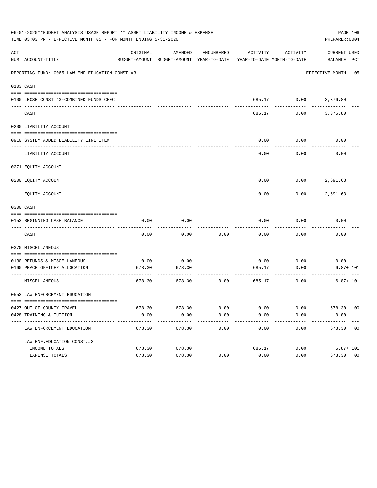| 06-01-2020**BUDGET ANALYSIS USAGE REPORT ** ASSET LIABILITY INCOME & EXPENSE<br>PAGE 106<br>TIME: 03:03 PM - EFFECTIVE MONTH: 05 - FOR MONTH ENDING 5-31-2020<br>PREPARER: 0004 |                                                           |                |                                                                                            |              |                         |                              |                          |  |
|---------------------------------------------------------------------------------------------------------------------------------------------------------------------------------|-----------------------------------------------------------|----------------|--------------------------------------------------------------------------------------------|--------------|-------------------------|------------------------------|--------------------------|--|
| ACT                                                                                                                                                                             | NUM ACCOUNT-TITLE                                         | ORIGINAL       | AMENDED<br>BUDGET-AMOUNT BUDGET-AMOUNT YEAR-TO-DATE YEAR-TO-DATE MONTH-TO-DATE BALANCE PCT |              |                         | ENCUMBERED ACTIVITY ACTIVITY | CURRENT USED             |  |
|                                                                                                                                                                                 | REPORTING FUND: 0065 LAW ENF. EDUCATION CONST. #3         |                |                                                                                            |              |                         |                              | EFFECTIVE MONTH - 05     |  |
|                                                                                                                                                                                 | 0103 CASH                                                 |                |                                                                                            |              |                         |                              |                          |  |
|                                                                                                                                                                                 | 0100 LEOSE CONST.#3-COMBINED FUNDS CHEC                   |                |                                                                                            |              |                         |                              | 685.17 0.00 3,376.80     |  |
|                                                                                                                                                                                 | -----------------------------<br>CASH                     |                |                                                                                            |              | 685.17                  |                              | $0.00$ 3,376.80          |  |
|                                                                                                                                                                                 | 0200 LIABILITY ACCOUNT                                    |                |                                                                                            |              |                         |                              |                          |  |
|                                                                                                                                                                                 | 0910 SYSTEM ADDED LIABILITY LINE ITEM                     |                |                                                                                            |              | 0.00                    | 0.00                         | 0.00                     |  |
|                                                                                                                                                                                 | LIABILITY ACCOUNT                                         |                |                                                                                            |              | 0.00                    | 0.00                         | 0.00                     |  |
|                                                                                                                                                                                 | 0271 EQUITY ACCOUNT                                       |                |                                                                                            |              |                         |                              |                          |  |
|                                                                                                                                                                                 | 0200 EQUITY ACCOUNT                                       |                |                                                                                            |              |                         |                              | $0.00$ $0.00$ $2,691.63$ |  |
|                                                                                                                                                                                 | EQUITY ACCOUNT                                            |                |                                                                                            |              | 0.00                    | 0.00                         | 2,691.63                 |  |
|                                                                                                                                                                                 | 0300 CASH                                                 |                |                                                                                            |              |                         |                              |                          |  |
|                                                                                                                                                                                 | 0153 BEGINNING CASH BALANCE                               | 0.00           | 0.00                                                                                       |              | 0.00                    | 0.00                         | 0.00                     |  |
|                                                                                                                                                                                 | CASH                                                      | 0.00           | 0.00                                                                                       | 0.00         | 0.00                    | 0.00                         | 0.00                     |  |
|                                                                                                                                                                                 | 0370 MISCELLANEOUS                                        |                |                                                                                            |              |                         |                              |                          |  |
|                                                                                                                                                                                 | 0130 REFUNDS & MISCELLANEOUS                              | 0.00           | 0.00                                                                                       |              | 0.00                    | 0.00                         | 0.00                     |  |
|                                                                                                                                                                                 | 0160 PEACE OFFICER ALLOCATION                             | 678.30         | 678.30                                                                                     |              | 685.17<br>------------- | 0.00<br>---------            | $6.87 + 101$             |  |
|                                                                                                                                                                                 | MISCELLANEOUS                                             | 678.30         | 678.30                                                                                     | 0.00         | 685.17                  | 0.00                         | $6.87 + 101$             |  |
|                                                                                                                                                                                 | 0553 LAW ENFORCEMENT EDUCATION                            |                |                                                                                            |              |                         |                              |                          |  |
|                                                                                                                                                                                 |                                                           |                |                                                                                            |              |                         |                              |                          |  |
|                                                                                                                                                                                 | 0427 OUT OF COUNTY TRAVEL<br>0428 TRAINING & TUITION      | 678.30<br>0.00 | 678.30<br>0.00                                                                             | 0.00<br>0.00 | 0.00<br>0.00            | 0.00<br>0.00                 | 678.30 00<br>0.00        |  |
|                                                                                                                                                                                 | ----------------------------<br>LAW ENFORCEMENT EDUCATION | 678.30         | 678.30                                                                                     | 0.00         | 0.00                    | 0.00                         | 678.30 00                |  |
|                                                                                                                                                                                 | LAW ENF. EDUCATION CONST. #3                              |                |                                                                                            |              |                         |                              |                          |  |
|                                                                                                                                                                                 | INCOME TOTALS                                             | 678.30         | 678.30                                                                                     |              | 685.17                  | 0.00                         | $6.87 + 101$             |  |
|                                                                                                                                                                                 | EXPENSE TOTALS                                            | 678.30         | 678.30                                                                                     | 0.00         | 0.00                    | 0.00                         | 678.30 00                |  |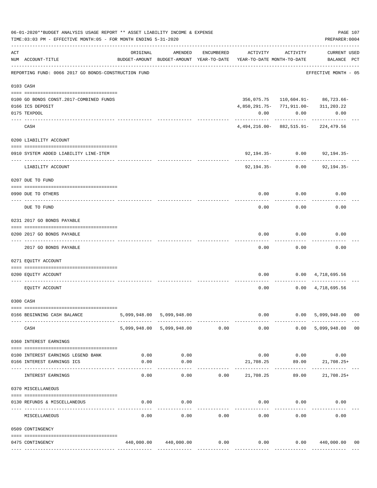|     | 06-01-2020**BUDGET ANALYSIS USAGE REPORT ** ASSET LIABILITY INCOME & EXPENSE<br>TIME: 03:03 PM - EFFECTIVE MONTH: 05 - FOR MONTH ENDING 5-31-2020 |                                                      |                           |            |                                          |                    |                                              |    |
|-----|---------------------------------------------------------------------------------------------------------------------------------------------------|------------------------------------------------------|---------------------------|------------|------------------------------------------|--------------------|----------------------------------------------|----|
| ACT | NUM ACCOUNT-TITLE                                                                                                                                 | ORIGINAL<br>BUDGET-AMOUNT BUDGET-AMOUNT YEAR-TO-DATE | AMENDED                   | ENCUMBERED | YEAR-TO-DATE MONTH-TO-DATE               | ACTIVITY ACTIVITY  | <b>CURRENT USED</b><br>BALANCE PCT           |    |
|     | REPORTING FUND: 0066 2017 GO BONDS-CONSTRUCTION FUND                                                                                              |                                                      |                           |            |                                          |                    | ----------------<br>EFFECTIVE MONTH - 05     |    |
|     | 0103 CASH                                                                                                                                         |                                                      |                           |            |                                          |                    |                                              |    |
|     | 0100 GO BONDS CONST.2017-COMBINED FUNDS                                                                                                           |                                                      |                           |            |                                          |                    | 356,075.75    110,604.91-    86,723.66-      |    |
|     | 0166 ICS DEPOSIT                                                                                                                                  |                                                      |                           |            | 4,850,291.75- 771,911.00- 311,203.22     |                    |                                              |    |
|     | 0175 TEXPOOL                                                                                                                                      |                                                      |                           |            | 0.00                                     | 0.00               | 0.00                                         |    |
|     | CASH                                                                                                                                              |                                                      |                           |            | $4,494,216.00 - 882,515.91 - 224,479.56$ | ----------         |                                              |    |
|     | 0200 LIABILITY ACCOUNT                                                                                                                            |                                                      |                           |            |                                          |                    |                                              |    |
|     |                                                                                                                                                   |                                                      |                           |            |                                          |                    |                                              |    |
|     | 0910 SYSTEM ADDED LIABILITY LINE-ITEM<br>---- ------------------                                                                                  |                                                      |                           |            |                                          | $92,194.35 - 0.00$ | 92,194.35-                                   |    |
|     | LIABILITY ACCOUNT                                                                                                                                 |                                                      |                           |            | 92,194.35-                               | 0.00               | $92, 194.35 -$                               |    |
|     | 0207 DUE TO FUND                                                                                                                                  |                                                      |                           |            |                                          |                    |                                              |    |
|     | 0990 DUE TO OTHERS                                                                                                                                |                                                      |                           |            | 0.00                                     | 0.00               | 0.00                                         |    |
|     | DUE TO FUND                                                                                                                                       |                                                      |                           |            | 0.00                                     | 0.00               | 0.00                                         |    |
|     | 0231 2017 GO BONDS PAYABLE                                                                                                                        |                                                      |                           |            |                                          |                    |                                              |    |
|     | 0200 2017 GO BONDS PAYABLE                                                                                                                        |                                                      |                           |            | 0.00                                     | 0.00               | 0.00                                         |    |
|     | 2017 GO BONDS PAYABLE                                                                                                                             |                                                      |                           |            | 0.00                                     | 0.00               | 0.00                                         |    |
|     | 0271 EQUITY ACCOUNT                                                                                                                               |                                                      |                           |            |                                          |                    |                                              |    |
|     | 0200 EQUITY ACCOUNT                                                                                                                               |                                                      |                           |            | 0.00                                     |                    | $0.00 \quad 4,718,695.56$                    |    |
|     | EQUITY ACCOUNT                                                                                                                                    |                                                      |                           |            | 0.00                                     |                    | $0.00 \quad 4,718,695.56$                    |    |
|     | 0300 CASH                                                                                                                                         |                                                      |                           |            |                                          |                    |                                              |    |
|     | 0166 BEGINNING CASH BALANCE                                                                                                                       |                                                      | 5,099,948.00 5,099,948.00 |            |                                          | 0.00<br>0.00       | 5,099,948.00 00                              |    |
|     | CASH                                                                                                                                              |                                                      | 5,099,948.00 5,099,948.00 | 0.00       | 0.00                                     |                    | 0.00 5,099,948.00                            | 00 |
|     | 0360 INTEREST EARNINGS                                                                                                                            |                                                      |                           |            |                                          |                    |                                              |    |
|     |                                                                                                                                                   |                                                      |                           |            |                                          |                    |                                              |    |
|     | 0100 INTEREST EARNINGS LEGEND BANK<br>0166 INTEREST EARNINGS ICS                                                                                  | 0.00<br>0.00                                         | 0.00<br>0.00              |            | 21,708.25                                |                    | $0.00$ $0.00$ $0.00$<br>$89.00$ $21,708.25+$ |    |
|     | INTEREST EARNINGS                                                                                                                                 | 0.00                                                 | 0.00                      | 0.00       | 21,708.25                                | 89.00              | 21,708.25+                                   |    |
|     | 0370 MISCELLANEOUS                                                                                                                                |                                                      |                           |            |                                          |                    |                                              |    |
|     |                                                                                                                                                   |                                                      |                           |            |                                          |                    |                                              |    |
|     | 0130 REFUNDS & MISCELLANEOUS                                                                                                                      | 0.00                                                 | 0.00<br>----------        |            | 0.00                                     | 0.00               | 0.00                                         |    |
|     | MISCELLANEOUS                                                                                                                                     | 0.00                                                 | 0.00                      | 0.00       | 0.00                                     | 0.00               | 0.00                                         |    |
|     | 0509 CONTINGENCY                                                                                                                                  |                                                      |                           |            |                                          |                    |                                              |    |
|     | 0475 CONTINGENCY                                                                                                                                  |                                                      | 440,000.00 440,000.00     | 0.00       | 0.00                                     |                    | $0.00$ 440,000.00 00                         |    |
|     |                                                                                                                                                   |                                                      |                           |            |                                          |                    |                                              |    |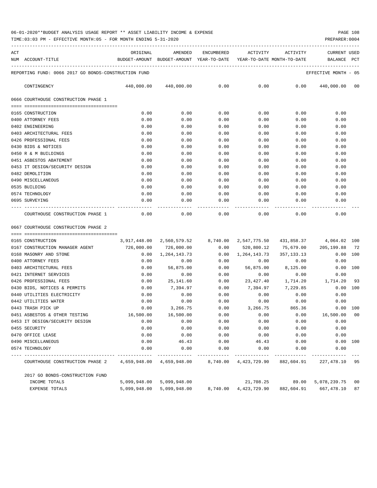| ACT |                                                                                                                                                                    |      |                            |      |             | ORIGINAL AMENDED ENCUMBERED ACTIVITY ACTIVITY                       | CURRENT USED                                                            |
|-----|--------------------------------------------------------------------------------------------------------------------------------------------------------------------|------|----------------------------|------|-------------|---------------------------------------------------------------------|-------------------------------------------------------------------------|
|     | NUM ACCOUNT-TITLE                                                                                                                                                  |      |                            |      |             | BUDGET-AMOUNT BUDGET-AMOUNT YEAR-TO-DATE YEAR-TO-DATE MONTH-TO-DATE | BALANCE PCT                                                             |
|     | REPORTING FUND: 0066 2017 GO BONDS-CONSTRUCTION FUND                                                                                                               |      |                            |      |             |                                                                     | EFFECTIVE MONTH - 05                                                    |
|     | CONTINGENCY                                                                                                                                                        |      | 440,000.00 440,000.00 0.00 |      |             |                                                                     | $0.00$ $0.00$ $440,000.00$ 00                                           |
|     | 0666 COURTHOUSE CONSTRUCTION PHASE 1                                                                                                                               |      |                            |      |             |                                                                     |                                                                         |
|     |                                                                                                                                                                    |      |                            |      |             |                                                                     |                                                                         |
|     | 0165 CONSTRUCTION                                                                                                                                                  | 0.00 | 0.00                       | 0.00 | 0.00        | 0.00                                                                | 0.00                                                                    |
|     | 0400 ATTORNEY FEES                                                                                                                                                 | 0.00 | 0.00                       | 0.00 | 0.00        | 0.00                                                                | 0.00                                                                    |
|     | 0402 ENGINEERING                                                                                                                                                   | 0.00 | 0.00                       | 0.00 | 0.00        | 0.00                                                                | 0.00                                                                    |
|     | 0403 ARCHITECTURAL FEES                                                                                                                                            | 0.00 | 0.00                       | 0.00 | 0.00        | 0.00                                                                | 0.00                                                                    |
|     | 0426 PROFESSIONAL FEES                                                                                                                                             | 0.00 | 0.00                       | 0.00 | 0.00        | 0.00                                                                | 0.00                                                                    |
|     | 0430 BIDS & NOTICES                                                                                                                                                | 0.00 | 0.00                       | 0.00 | 0.00        | 0.00                                                                | 0.00                                                                    |
|     | 0450 R & M BUILDINGS                                                                                                                                               | 0.00 | 0.00                       | 0.00 | 0.00        | 0.00                                                                | 0.00                                                                    |
|     | 0451 ASBESTOS ABATEMENT                                                                                                                                            | 0.00 | 0.00                       | 0.00 | 0.00        | 0.00                                                                | 0.00                                                                    |
|     | 0453 IT DESIGN/SECURITY DESIGN                                                                                                                                     | 0.00 | 0.00                       | 0.00 | 0.00        | 0.00                                                                | 0.00                                                                    |
|     | 0482 DEMOLITION                                                                                                                                                    | 0.00 | 0.00                       | 0.00 | 0.00        | 0.00                                                                | 0.00                                                                    |
|     | 0490 MISCELLANEOUS                                                                                                                                                 | 0.00 | 0.00                       | 0.00 | 0.00        | 0.00                                                                | 0.00                                                                    |
|     | 0535 BUILDING                                                                                                                                                      | 0.00 | 0.00                       | 0.00 |             | 0.00<br>0.00                                                        | 0.00                                                                    |
|     | 0574 TECHNOLOGY                                                                                                                                                    | 0.00 | 0.00                       | 0.00 | 0.00        | 0.00                                                                | 0.00                                                                    |
|     | 0695 SURVEYING                                                                                                                                                     | 0.00 | 0.00                       |      | $0.00$ 0.00 |                                                                     | 0.00<br>0.00                                                            |
|     |                                                                                                                                                                    |      |                            |      |             |                                                                     |                                                                         |
|     | $\texttt{COUNTHOUSE CONSTRUCTION PHASE 1} \quad \texttt{0.00} \quad \texttt{0.00} \quad \texttt{0.00} \quad \texttt{0.00} \quad \texttt{0.00} \quad \texttt{0.00}$ |      |                            |      |             |                                                                     | 0.00                                                                    |
|     | 0667 COURTHOUSE CONSTRUCTION PHASE 2                                                                                                                               |      |                            |      |             |                                                                     |                                                                         |
|     |                                                                                                                                                                    |      |                            |      |             |                                                                     |                                                                         |
|     | 0165 CONSTRUCTION                                                                                                                                                  |      |                            |      |             |                                                                     | 3,917,448.00 2,560,579.52 8,740.00 2,547,775.50 431,858.37 4,064.02 100 |

|                                 | 3,917,448.00                                                                                                                                                                                                                                                                                                                                                                                                                                      | 2,560,579.52 | 8,740.00                                   | 2,547,775.50                |        | 4,064.02 100                           |                                                                                                                                                                                                                                                                                                                                                                                                                 |
|---------------------------------|---------------------------------------------------------------------------------------------------------------------------------------------------------------------------------------------------------------------------------------------------------------------------------------------------------------------------------------------------------------------------------------------------------------------------------------------------|--------------|--------------------------------------------|-----------------------------|--------|----------------------------------------|-----------------------------------------------------------------------------------------------------------------------------------------------------------------------------------------------------------------------------------------------------------------------------------------------------------------------------------------------------------------------------------------------------------------|
|                                 |                                                                                                                                                                                                                                                                                                                                                                                                                                                   | 726,000.00   | 0.00                                       | 520,800.12                  |        | 205,199.88                             | 72                                                                                                                                                                                                                                                                                                                                                                                                              |
|                                 | 0.00                                                                                                                                                                                                                                                                                                                                                                                                                                              |              | 0.00                                       | 1,264,143.73                |        |                                        |                                                                                                                                                                                                                                                                                                                                                                                                                 |
|                                 | 0.00                                                                                                                                                                                                                                                                                                                                                                                                                                              | 0.00         | 0.00                                       | 0.00                        | 0.00   | 0.00                                   |                                                                                                                                                                                                                                                                                                                                                                                                                 |
|                                 | 0.00                                                                                                                                                                                                                                                                                                                                                                                                                                              | 56,875.00    | 0.00                                       |                             |        |                                        |                                                                                                                                                                                                                                                                                                                                                                                                                 |
|                                 | 0.00                                                                                                                                                                                                                                                                                                                                                                                                                                              | 0.00         | 0.00                                       | 0.00                        | 0.00   | 0.00                                   |                                                                                                                                                                                                                                                                                                                                                                                                                 |
|                                 | 0.00                                                                                                                                                                                                                                                                                                                                                                                                                                              | 25,141.60    | 0.00                                       | 23,427.40                   |        |                                        |                                                                                                                                                                                                                                                                                                                                                                                                                 |
|                                 | 0.00                                                                                                                                                                                                                                                                                                                                                                                                                                              |              | 0.00                                       |                             |        |                                        |                                                                                                                                                                                                                                                                                                                                                                                                                 |
|                                 | 0.00                                                                                                                                                                                                                                                                                                                                                                                                                                              | 0.00         | 0.00                                       | 0.00                        | 0.00   | 0.00                                   |                                                                                                                                                                                                                                                                                                                                                                                                                 |
|                                 | 0.00                                                                                                                                                                                                                                                                                                                                                                                                                                              | 0.00         | 0.00                                       | 0.00                        | 0.00   | 0.00                                   |                                                                                                                                                                                                                                                                                                                                                                                                                 |
|                                 | 0.00                                                                                                                                                                                                                                                                                                                                                                                                                                              | 3,266.75     | 0.00                                       |                             | 865.36 |                                        |                                                                                                                                                                                                                                                                                                                                                                                                                 |
|                                 | 16,500.00                                                                                                                                                                                                                                                                                                                                                                                                                                         | 16,500.00    | 0.00                                       | 0.00                        | 0.00   |                                        |                                                                                                                                                                                                                                                                                                                                                                                                                 |
|                                 | 0.00                                                                                                                                                                                                                                                                                                                                                                                                                                              | 0.00         | 0.00                                       | 0.00                        | 0.00   | 0.00                                   |                                                                                                                                                                                                                                                                                                                                                                                                                 |
|                                 | 0.00                                                                                                                                                                                                                                                                                                                                                                                                                                              | 0.00         | 0.00                                       | 0.00                        | 0.00   | 0.00                                   |                                                                                                                                                                                                                                                                                                                                                                                                                 |
|                                 | 0.00                                                                                                                                                                                                                                                                                                                                                                                                                                              | 0.00         | 0.00                                       | 0.00                        | 0.00   | 0.00                                   |                                                                                                                                                                                                                                                                                                                                                                                                                 |
|                                 | 0.00                                                                                                                                                                                                                                                                                                                                                                                                                                              | 46.43        | 0.00                                       | 46.43                       | 0.00   |                                        |                                                                                                                                                                                                                                                                                                                                                                                                                 |
|                                 | 0.00                                                                                                                                                                                                                                                                                                                                                                                                                                              | 0.00         | 0.00                                       |                             | 0.00   | 0.00                                   |                                                                                                                                                                                                                                                                                                                                                                                                                 |
|                                 |                                                                                                                                                                                                                                                                                                                                                                                                                                                   |              |                                            |                             |        |                                        |                                                                                                                                                                                                                                                                                                                                                                                                                 |
| 2017 GO BONDS-CONSTRUCTION FUND |                                                                                                                                                                                                                                                                                                                                                                                                                                                   |              |                                            |                             |        |                                        |                                                                                                                                                                                                                                                                                                                                                                                                                 |
| INCOME TOTALS                   |                                                                                                                                                                                                                                                                                                                                                                                                                                                   |              |                                            |                             |        |                                        |                                                                                                                                                                                                                                                                                                                                                                                                                 |
| <b>EXPENSE TOTALS</b>           |                                                                                                                                                                                                                                                                                                                                                                                                                                                   |              |                                            |                             |        |                                        | 87                                                                                                                                                                                                                                                                                                                                                                                                              |
|                                 | UI65 CONSTRUCTION<br>0167 CONSTRUCTION MANAGER AGENT<br>0168 MASONRY AND STONE<br>0400 ATTORNEY FEES<br>0403 ARCHITECTURAL FEES<br>0421 INTERNET SERVICES<br>0426 PROFESSIONAL FEES<br>0430 BIDS, NOTICES & PERMITS<br>0440 UTILITIES ELECTRICITY<br>0442 UTILITIES WATER<br>0443 TRASH PICK UP<br>0451 ASBESTOS & OTHER TESTING<br>0453 IT DESIGN/SECURITY DESIGN<br>0455 SECURITY<br>0470 OFFICE LEASE<br>0490 MISCELLANEOUS<br>0574 TECHNOLOGY |              | 726,000.00<br>5,099,948.00<br>5,099,948.00 | 1, 264, 143. 73<br>7,394.97 |        | 56,875.00 8,125.00<br>3,266.75<br>0.00 | 431,858.37<br>75,679.00<br>357, 133. 13<br>$0.00$ 100<br>0.00 100<br>1,714.20    1,714.20    93<br>$0.00$ 100<br>7,394.97 7,229.85<br>0.00 100<br>16,500.00 00<br>$0.00$ 100<br>COURTHOUSE CONSTRUCTION PHASE 2 4,659,948.00 4,659,948.00 8,740.00 4,423,729.90 882,604.91 227,478.10 95<br>$5,099,948.00$ $21,708.25$ 89.00<br>5,078,239.75 00<br>5,099,948.00  8,740.00  4,423,729.90  882,604.91  667,478.10 |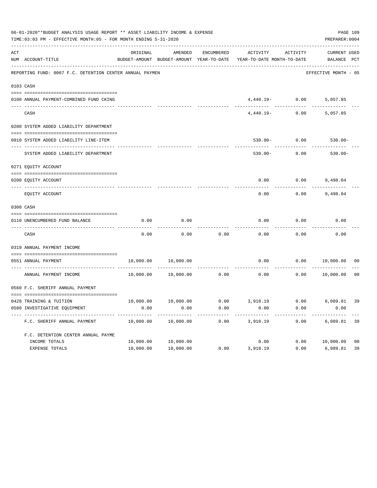| 06-01-2020**BUDGET ANALYSIS USAGE REPORT ** ASSET LIABILITY INCOME & EXPENSE<br>TIME: 03:03 PM - EFFECTIVE MONTH: 05 - FOR MONTH ENDING 5-31-2020 |                                                          |           |                                          |                   |                            |                   |                      |                |  |
|---------------------------------------------------------------------------------------------------------------------------------------------------|----------------------------------------------------------|-----------|------------------------------------------|-------------------|----------------------------|-------------------|----------------------|----------------|--|
| ACT                                                                                                                                               |                                                          | ORIGINAL  | AMENDED                                  | <b>ENCUMBERED</b> | ACTIVITY                   | ACTIVITY          | <b>CURRENT USED</b>  |                |  |
|                                                                                                                                                   | NUM ACCOUNT-TITLE                                        |           | BUDGET-AMOUNT BUDGET-AMOUNT YEAR-TO-DATE |                   | YEAR-TO-DATE MONTH-TO-DATE |                   | BALANCE PCT          |                |  |
|                                                                                                                                                   | REPORTING FUND: 0067 F.C. DETENTION CENTER ANNUAL PAYMEN |           |                                          |                   |                            |                   | EFFECTIVE MONTH - 05 |                |  |
|                                                                                                                                                   | 0103 CASH                                                |           |                                          |                   |                            |                   |                      |                |  |
|                                                                                                                                                   | 0100 ANNUAL PAYMENT-COMBINED FUND CKING                  |           |                                          |                   |                            | $4,440.19 - 0.00$ | 5,057.85             |                |  |
|                                                                                                                                                   | CASH                                                     |           |                                          |                   | $4,440.19-$                | 0.00              | 5,057.85             |                |  |
|                                                                                                                                                   | 0200 SYSTEM ADDED LIABILITY DEPARTMENT                   |           |                                          |                   |                            |                   |                      |                |  |
|                                                                                                                                                   | 0910 SYSTEM ADDED LIABILITY LINE-ITEM                    |           |                                          |                   | $530.00 -$                 | 0.00              | $530.00 -$           |                |  |
|                                                                                                                                                   | SYSTEM ADDED LIABILITY DEPARTMENT                        |           |                                          |                   | $530.00 -$                 | 0.00              | $530.00 -$           |                |  |
|                                                                                                                                                   | 0271 EQUITY ACCOUNT                                      |           |                                          |                   |                            |                   |                      |                |  |
|                                                                                                                                                   | 0200 EQUITY ACCOUNT                                      |           |                                          |                   | 0.00                       | 0.00              | 9,498.04             |                |  |
|                                                                                                                                                   | EQUITY ACCOUNT                                           |           |                                          |                   | 0.00                       | 0.00              | 9,498.04             |                |  |
|                                                                                                                                                   | 0300 CASH                                                |           |                                          |                   |                            |                   |                      |                |  |
|                                                                                                                                                   | 0110 UNENCUMBERED FUND BALANCE                           | 0.00      | 0.00                                     |                   | 0.00                       | 0.00              | 0.00                 |                |  |
|                                                                                                                                                   | CASH                                                     | 0.00      | 0.00                                     | 0.00              | 0.00                       | 0.00              | 0.00                 |                |  |
|                                                                                                                                                   | 0319 ANNUAL PAYMENT INCOME                               |           |                                          |                   |                            |                   |                      |                |  |
|                                                                                                                                                   | 0551 ANNUAL PAYMENT                                      | 10,000.00 | 10,000.00                                |                   | 0.00                       | 0.00              | 10,000.00            | 00             |  |
|                                                                                                                                                   | ---- -------------------------<br>ANNUAL PAYMENT INCOME  | 10,000.00 | 10,000.00                                | 0.00              | 0.00                       | 0.00              | 10,000.00            | 0 <sub>0</sub> |  |
|                                                                                                                                                   | 0560 F.C. SHERIFF ANNUAL PAYMENT                         |           |                                          |                   |                            |                   |                      |                |  |
|                                                                                                                                                   | 0428 TRAINING & TUITION                                  | 10,000.00 | 10,000.00                                | 0.00              | 3,910.19                   | 0.00              | 6,089.81             | 39             |  |
|                                                                                                                                                   | 0580 INVESTIGATIVE EQUIPMENT                             | 0.00      | 0.00                                     | 0.00              | 0.00                       | 0.00              | 0.00                 |                |  |
|                                                                                                                                                   | F.C. SHERIFF ANNUAL PAYMENT                              | 10,000.00 | 10,000.00                                | 0.00              | 3,910.19                   | 0.00              | 6,089.81             | 39             |  |
|                                                                                                                                                   | F.C. DETENTION CENTER ANNUAL PAYME                       |           |                                          |                   |                            |                   |                      |                |  |
|                                                                                                                                                   | INCOME TOTALS                                            | 10,000.00 | 10,000.00                                |                   | 0.00                       | 0.00              | 10,000.00            | 0 <sub>0</sub> |  |
|                                                                                                                                                   | EXPENSE TOTALS                                           | 10,000.00 | 10,000.00                                | 0.00              | 3,910.19                   | 0.00              | 6,089.81             | 39             |  |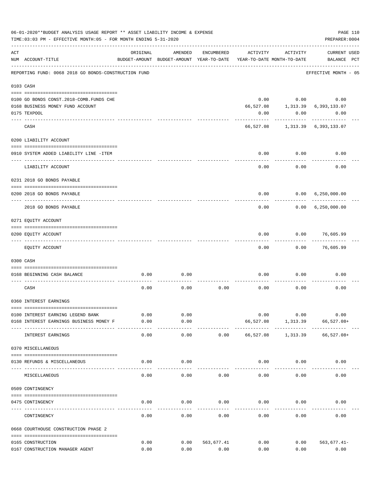|     | 06-01-2020**BUDGET ANALYSIS USAGE REPORT ** ASSET LIABILITY INCOME & EXPENSE<br>PAGE 110<br>TIME: 03:03 PM - EFFECTIVE MONTH: 05 - FOR MONTH ENDING 5-31-2020<br>PREPARER: 0004 |              |                                                     |            |                                        |                  |                                    |  |  |  |  |
|-----|---------------------------------------------------------------------------------------------------------------------------------------------------------------------------------|--------------|-----------------------------------------------------|------------|----------------------------------------|------------------|------------------------------------|--|--|--|--|
| ACT | NUM ACCOUNT-TITLE                                                                                                                                                               | ORIGINAL     | AMENDED<br>BUDGET-AMOUNT BUDGET-AMOUNT YEAR-TO-DATE | ENCUMBERED | ACTIVITY<br>YEAR-TO-DATE MONTH-TO-DATE | ACTIVITY         | <b>CURRENT USED</b><br>BALANCE PCT |  |  |  |  |
|     | REPORTING FUND: 0068 2018 GO BONDS-CONSTRUCTION FUND                                                                                                                            |              |                                                     |            |                                        |                  | EFFECTIVE MONTH - 05               |  |  |  |  |
|     | 0103 CASH                                                                                                                                                                       |              |                                                     |            |                                        |                  |                                    |  |  |  |  |
|     |                                                                                                                                                                                 |              |                                                     |            |                                        |                  |                                    |  |  |  |  |
|     | 0100 GO BONDS CONST. 2018-COMB. FUNDS CHE                                                                                                                                       |              |                                                     |            |                                        | $0.00$ 0.00      | 0.00                               |  |  |  |  |
|     | 0168 BUSINESS MONEY FUND ACCOUNT                                                                                                                                                |              |                                                     |            | 66,527.08                              |                  | 1, 313.39 6, 393, 133.07           |  |  |  |  |
|     | 0175 TEXPOOL                                                                                                                                                                    |              |                                                     |            | 0.00                                   | 0.00             | 0.00                               |  |  |  |  |
|     | CASH                                                                                                                                                                            |              |                                                     |            |                                        | ----------       | 66,527.08 1,313.39 6,393,133.07    |  |  |  |  |
|     | 0200 LIABILITY ACCOUNT                                                                                                                                                          |              |                                                     |            |                                        |                  |                                    |  |  |  |  |
|     | 0910 SYSTEM ADDED LIABILITY LINE -ITEM                                                                                                                                          |              |                                                     |            |                                        | $0.00$ 0.00      | 0.00                               |  |  |  |  |
|     | LIABILITY ACCOUNT                                                                                                                                                               |              |                                                     |            | 0.00                                   | .<br>0.00        | 0.00                               |  |  |  |  |
|     | 0231 2018 GO BONDS PAYABLE                                                                                                                                                      |              |                                                     |            |                                        |                  |                                    |  |  |  |  |
|     | 0200 2018 GO BONDS PAYABLE                                                                                                                                                      |              |                                                     |            | 0.00                                   |                  | 0.00 6,250,000.00                  |  |  |  |  |
|     | 2018 GO BONDS PAYABLE                                                                                                                                                           |              |                                                     |            | 0.00                                   | . <u>.</u> .     | 0.00 6,250,000.00                  |  |  |  |  |
|     | 0271 EQUITY ACCOUNT                                                                                                                                                             |              |                                                     |            |                                        |                  |                                    |  |  |  |  |
|     |                                                                                                                                                                                 |              |                                                     |            |                                        |                  |                                    |  |  |  |  |
|     | 0200 EQUITY ACCOUNT                                                                                                                                                             |              |                                                     |            | 0.00                                   |                  | $0.00$ 76,605.99                   |  |  |  |  |
|     | EQUITY ACCOUNT                                                                                                                                                                  |              |                                                     |            | 0.00                                   | 0.00             | 76,605.99                          |  |  |  |  |
|     | 0300 CASH                                                                                                                                                                       |              |                                                     |            |                                        |                  |                                    |  |  |  |  |
|     | 0168 BEGINNING CASH BALANCE                                                                                                                                                     | 0.00         | 0.00                                                |            | 0.00                                   | 0.00             | 0.00                               |  |  |  |  |
|     | CASH                                                                                                                                                                            | 0.00         | 0.00                                                | 0.00       | 0.00                                   | 0.00             | 0.00                               |  |  |  |  |
|     | 0360 INTEREST EARNINGS                                                                                                                                                          |              |                                                     |            |                                        |                  |                                    |  |  |  |  |
|     |                                                                                                                                                                                 |              |                                                     |            |                                        |                  |                                    |  |  |  |  |
|     | 0100 INTEREST EARNING LEGEND BANK<br>0168 INTEREST EARNINGS BUSINESS MONEY F                                                                                                    | 0.00<br>0.00 | 0.00<br>0.00                                        |            | 0.00<br>66,527.08                      | 0.00<br>1,313.39 | 0.00<br>$66,527.08+$               |  |  |  |  |
|     | INTEREST EARNINGS                                                                                                                                                               | 0.00         | $- - - -$<br>0.00                                   | 0.00       | 66,527.08                              | 1,313.39         | $66,527.08+$                       |  |  |  |  |
|     | 0370 MISCELLANEOUS                                                                                                                                                              |              |                                                     |            |                                        |                  |                                    |  |  |  |  |
|     | 0130 REFUNDS & MISCELLANEOUS                                                                                                                                                    | 0.00         | 0.00                                                |            | 0.00                                   | 0.00             | 0.00                               |  |  |  |  |
|     | MISCELLANEOUS                                                                                                                                                                   | 0.00         | 0.00                                                | 0.00       | 0.00                                   | 0.00             | 0.00                               |  |  |  |  |
|     | 0509 CONTINGENCY                                                                                                                                                                |              |                                                     |            |                                        |                  |                                    |  |  |  |  |
|     |                                                                                                                                                                                 |              |                                                     |            |                                        |                  |                                    |  |  |  |  |
|     | 0475 CONTINGENCY                                                                                                                                                                | 0.00         | 0.00                                                | 0.00       | 0.00                                   | 0.00             | 0.00                               |  |  |  |  |
|     | CONTINGENCY                                                                                                                                                                     | 0.00         | 0.00                                                | 0.00       | 0.00                                   | 0.00             | 0.00                               |  |  |  |  |
|     | 0668 COURTHOUSE CONSTRUCTION PHASE 2                                                                                                                                            |              |                                                     |            |                                        |                  |                                    |  |  |  |  |
|     | 0165 CONSTRUCTION                                                                                                                                                               | 0.00         | 0.00                                                | 563,677.41 | 0.00                                   | 0.00             | $563,677.41-$                      |  |  |  |  |
|     | 0167 CONSTRUCTION MANAGER AGENT                                                                                                                                                 | 0.00         | 0.00                                                | 0.00       | 0.00                                   | 0.00             | 0.00                               |  |  |  |  |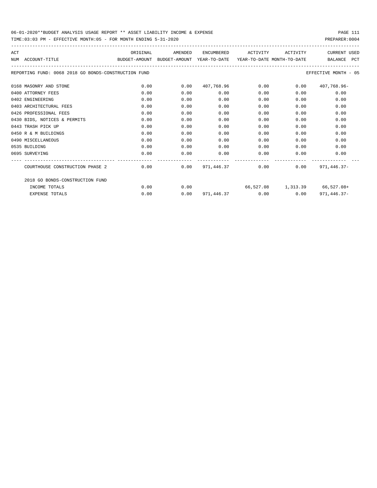| ACT |                                                      | ORIGINAL | AMENDED                                                             | ENCUMBERED                        | ACTIVITY | ACTIVITY     | <b>CURRENT USED</b>           |
|-----|------------------------------------------------------|----------|---------------------------------------------------------------------|-----------------------------------|----------|--------------|-------------------------------|
|     | NUM ACCOUNT-TITLE                                    |          | BUDGET-AMOUNT BUDGET-AMOUNT YEAR-TO-DATE YEAR-TO-DATE MONTH-TO-DATE |                                   |          |              | BALANCE PCT                   |
|     | REPORTING FUND: 0068 2018 GO BONDS-CONSTRUCTION FUND |          |                                                                     |                                   |          |              | EFFECTIVE MONTH - 05          |
|     | 0168 MASONRY AND STONE                               | 0.00     | 0.00                                                                | 407,768.96                        | 0.00     | 0.00         | 407,768.96-                   |
|     | 0400 ATTORNEY FEES                                   | 0.00     | 0.00                                                                | 0.00                              | 0.00     | 0.00         | 0.00                          |
|     | 0402 ENGINEERING                                     | 0.00     | 0.00                                                                | 0.00                              | 0.00     | 0.00         | 0.00                          |
|     | 0403 ARCHITECTURAL FEES                              | 0.00     | 0.00                                                                | 0.00                              | 0.00     | 0.00         | 0.00                          |
|     | 0426 PROFESSIONAL FEES                               | 0.00     | 0.00                                                                | 0.00                              | 0.00     | 0.00         | 0.00                          |
|     | 0430 BIDS, NOTICES & PERMITS                         | 0.00     | 0.00                                                                | 0.00                              | 0.00     | 0.00         | 0.00                          |
|     | 0443 TRASH PICK UP                                   | 0.00     | 0.00                                                                | 0.00                              | 0.00     | 0.00         | 0.00                          |
|     | 0450 R & M BUILDINGS                                 | 0.00     | 0.00                                                                | 0.00                              | 0.00     | 0.00         | 0.00                          |
|     | 0490 MISCELLANEOUS                                   | 0.00     | 0.00                                                                | 0.00                              | 0.00     | 0.00         | 0.00                          |
|     | 0535 BUILDING                                        | 0.00     | 0.00                                                                | 0.00                              | 0.00     | 0.00         | 0.00                          |
|     | 0695 SURVEYING                                       | 0.00     | 0.00                                                                | 0.00                              | 0.00     | 0.00         | 0.00                          |
|     | COURTHOUSE CONSTRUCTION PHASE 2                      | 0.00     | --------------                                                      | $0.00$ $971.446.37$ $0.00$ $0.00$ |          |              | $971,446.37-$                 |
|     | 2018 GO BONDS-CONSTRUCTION FUND                      |          |                                                                     |                                   |          |              |                               |
|     | INCOME TOTALS                                        | 0.00     | 0.00                                                                |                                   |          |              | 66,527.08 1,313.39 66,527.08+ |
|     | <b>EXPENSE TOTALS</b>                                | 0.00     | 0.00                                                                | 971,446.37                        |          | 0.00<br>0.00 | $971, 446.37 -$               |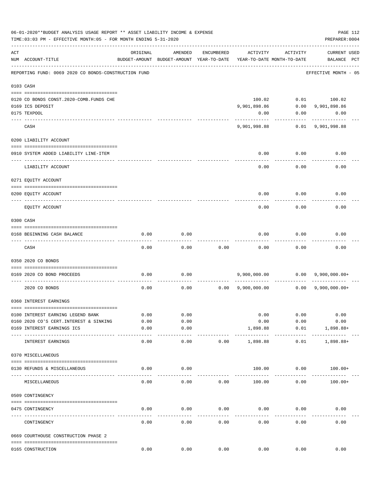|     | 06-01-2020**BUDGET ANALYSIS USAGE REPORT ** ASSET LIABILITY INCOME & EXPENSE<br>PAGE 112<br>TIME:03:03 PM - EFFECTIVE MONTH:05 - FOR MONTH ENDING 5-31-2020<br>PREPARER: 0004 |               |                                                     |                      |                           |                                        |                                                 |  |  |  |  |  |
|-----|-------------------------------------------------------------------------------------------------------------------------------------------------------------------------------|---------------|-----------------------------------------------------|----------------------|---------------------------|----------------------------------------|-------------------------------------------------|--|--|--|--|--|
| ACT | NUM ACCOUNT-TITLE                                                                                                                                                             | ORIGINAL      | AMENDED<br>BUDGET-AMOUNT BUDGET-AMOUNT YEAR-TO-DATE | ENCUMBERED           | ACTIVITY                  | ACTIVITY<br>YEAR-TO-DATE MONTH-TO-DATE | <b>CURRENT USED</b><br>BALANCE PCT              |  |  |  |  |  |
|     | REPORTING FUND: 0069 2020 CO BONDS-CONSTRUCTION FUND                                                                                                                          |               |                                                     |                      |                           |                                        | EFFECTIVE MONTH - 05                            |  |  |  |  |  |
|     | 0103 CASH                                                                                                                                                                     |               |                                                     |                      |                           |                                        |                                                 |  |  |  |  |  |
|     |                                                                                                                                                                               |               |                                                     |                      |                           |                                        |                                                 |  |  |  |  |  |
|     | 0120 CO BONDS CONST. 2020-COMB. FUNDS CHE                                                                                                                                     |               |                                                     |                      | 100.02                    |                                        | $0.01$ 100.02                                   |  |  |  |  |  |
|     | 0169 ICS DEPOSIT                                                                                                                                                              |               |                                                     |                      | 9,901,898.86              |                                        | $0.00$ 9,901,898.86                             |  |  |  |  |  |
|     | 0175 TEXPOOL                                                                                                                                                                  |               |                                                     |                      | 0.00                      |                                        | $0.00$ 0.00                                     |  |  |  |  |  |
|     | CASH                                                                                                                                                                          |               |                                                     |                      |                           |                                        | 9,901,998.88 0.01 9,901,998.88                  |  |  |  |  |  |
|     | 0200 LIABILITY ACCOUNT                                                                                                                                                        |               |                                                     |                      |                           |                                        |                                                 |  |  |  |  |  |
|     |                                                                                                                                                                               |               |                                                     |                      |                           |                                        |                                                 |  |  |  |  |  |
|     | 0910 SYSTEM ADDED LIABILITY LINE-ITEM                                                                                                                                         |               |                                                     |                      | 0.00                      | 0.00                                   | 0.00                                            |  |  |  |  |  |
|     | LIABILITY ACCOUNT                                                                                                                                                             |               |                                                     |                      | 0.00                      | 0.00                                   | 0.00                                            |  |  |  |  |  |
|     | 0271 EQUITY ACCOUNT                                                                                                                                                           |               |                                                     |                      |                           |                                        |                                                 |  |  |  |  |  |
|     | 0200 EQUITY ACCOUNT                                                                                                                                                           |               |                                                     |                      | 0.00                      | 0.00                                   | 0.00                                            |  |  |  |  |  |
|     | EQUITY ACCOUNT                                                                                                                                                                |               |                                                     |                      | 0.00                      | 0.00                                   | 0.00                                            |  |  |  |  |  |
|     | 0300 CASH                                                                                                                                                                     |               |                                                     |                      |                           |                                        |                                                 |  |  |  |  |  |
|     |                                                                                                                                                                               |               |                                                     |                      |                           |                                        |                                                 |  |  |  |  |  |
|     | 0168 BEGINNING CASH BALANCE<br>-------------------------------                                                                                                                | 0.00          | 0.00                                                |                      | 0.00                      | 0.00                                   | 0.00                                            |  |  |  |  |  |
|     | CASH                                                                                                                                                                          | 0.00          | 0.00                                                | 0.00                 | 0.00                      | 0.00                                   | 0.00                                            |  |  |  |  |  |
|     | 0350 2020 CO BONDS                                                                                                                                                            |               |                                                     |                      |                           |                                        |                                                 |  |  |  |  |  |
|     | 0169 2020 CO BOND PROCEEDS                                                                                                                                                    | 0.00          | 0.00                                                |                      |                           |                                        |                                                 |  |  |  |  |  |
|     | 2020 CO BONDS                                                                                                                                                                 | 0.00          | 0.00                                                |                      |                           |                                        | $0.00 \t 9,900,000.00 \t 0.00 \t 9,900,000.00+$ |  |  |  |  |  |
|     | 0360 INTEREST EARNINGS                                                                                                                                                        |               |                                                     |                      |                           |                                        |                                                 |  |  |  |  |  |
|     |                                                                                                                                                                               |               |                                                     |                      |                           |                                        |                                                 |  |  |  |  |  |
|     | 0100 INTEREST EARNING LEGEND BANK                                                                                                                                             | 0.00          | 0.00                                                |                      | 0.00                      | 0.00                                   | 0.00                                            |  |  |  |  |  |
|     | 0160 2020 CO'S CERT. INTEREST & SINKING                                                                                                                                       | 0.00          | 0.00                                                |                      | 0.00                      | 0.00                                   | 0.00                                            |  |  |  |  |  |
|     | 0169 INTEREST EARNINGS ICS                                                                                                                                                    | 0.00          | 0.00                                                |                      | 1,898.88                  | 0.01                                   | 1,898.88+                                       |  |  |  |  |  |
|     | ---- ------------------<br>INTEREST EARNINGS                                                                                                                                  | -----<br>0.00 | $- - - - -$<br>0.00                                 | 0.00                 | -------------<br>1,898.88 | -----------<br>0.01                    | .<br>1,898.88+                                  |  |  |  |  |  |
|     | 0370 MISCELLANEOUS                                                                                                                                                            |               |                                                     |                      |                           |                                        |                                                 |  |  |  |  |  |
|     |                                                                                                                                                                               |               |                                                     |                      |                           |                                        |                                                 |  |  |  |  |  |
|     | 0130 REFUNDS & MISCELLANEOUS                                                                                                                                                  | 0.00          | 0.00                                                |                      | 100.00                    | 0.00                                   | $100.00+$                                       |  |  |  |  |  |
|     | MISCELLANEOUS                                                                                                                                                                 | 0.00          | 0.00                                                | 0.00                 | 100.00                    | 0.00                                   | $100.00+$                                       |  |  |  |  |  |
|     | 0509 CONTINGENCY                                                                                                                                                              |               |                                                     |                      |                           |                                        |                                                 |  |  |  |  |  |
|     | 0475 CONTINGENCY                                                                                                                                                              | 0.00          | 0.00                                                | 0.00                 | 0.00                      | 0.00                                   | 0.00                                            |  |  |  |  |  |
|     | ----- --------<br>CONTINGENCY                                                                                                                                                 | 0.00          | 0.00                                                | 0.00                 | 0.00                      | 0.00                                   | 0.00                                            |  |  |  |  |  |
|     | 0669 COURTHOUSE CONSTRUCTION PHASE 2                                                                                                                                          |               |                                                     |                      |                           |                                        |                                                 |  |  |  |  |  |
|     | 0165 CONSTRUCTION                                                                                                                                                             | 0.00          |                                                     | $0.00$ $0.00$ $0.00$ |                           | 0.00                                   | 0.00                                            |  |  |  |  |  |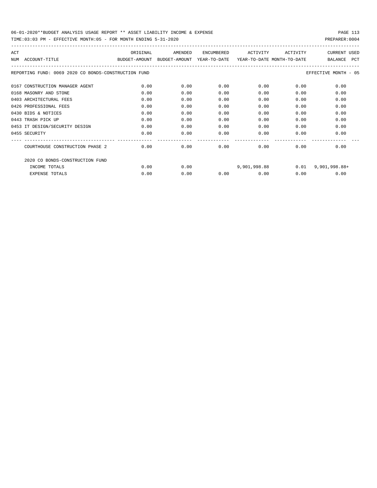| ACT<br>NUM | ACCOUNT-TITLE                                        | ORIGINAL<br>BUDGET-AMOUNT | AMENDED<br>BUDGET-AMOUNT | ENCUMBERED<br>YEAR-TO-DATE | ACTIVITY<br>YEAR-TO-DATE MONTH-TO-DATE | ACTIVITY | <b>CURRENT USED</b><br><b>PCT</b><br><b>BALANCE</b> |
|------------|------------------------------------------------------|---------------------------|--------------------------|----------------------------|----------------------------------------|----------|-----------------------------------------------------|
|            | REPORTING FUND: 0069 2020 CO BONDS-CONSTRUCTION FUND |                           |                          |                            |                                        |          | EFFECTIVE MONTH - 05                                |
|            | 0167 CONSTRUCTION MANAGER AGENT                      | 0.00                      | 0.00                     | 0.00                       | 0.00                                   | 0.00     | 0.00                                                |
|            | 0168 MASONRY AND STONE                               | 0.00                      | 0.00                     | 0.00                       | 0.00                                   | 0.00     | 0.00                                                |
|            | 0403 ARCHITECTURAL FEES                              | 0.00                      | 0.00                     | 0.00                       | 0.00                                   | 0.00     | 0.00                                                |
|            | 0426 PROFESSIONAL FEES                               | 0.00                      | 0.00                     | 0.00                       | 0.00                                   | 0.00     | 0.00                                                |
|            | 0430 BIDS & NOTICES                                  | 0.00                      | 0.00                     | 0.00                       | 0.00                                   | 0.00     | 0.00                                                |
|            | 0443 TRASH PICK UP                                   | 0.00                      | 0.00                     | 0.00                       | 0.00                                   | 0.00     | 0.00                                                |
|            | 0453 IT DESIGN/SECURITY DESIGN                       | 0.00                      | 0.00                     | 0.00                       | 0.00                                   | 0.00     | 0.00                                                |
|            | 0455 SECURITY                                        | 0.00                      | 0.00                     | 0.00                       | 0.00                                   | 0.00     | 0.00                                                |
|            | COURTHOUSE CONSTRUCTION PHASE 2                      | 0.00                      | 0.00                     | 0.00                       | 0.00                                   | 0.00     | 0.00                                                |
|            | 2020 CO BONDS-CONSTRUCTION FUND                      |                           |                          |                            |                                        |          |                                                     |
|            | INCOME TOTALS                                        | 0.00                      | 0.00                     |                            | 9,901,998.88                           |          | $0.01$ 9,901,998.88+                                |
|            | <b>EXPENSE TOTALS</b>                                | 0.00                      | 0.00                     | 0.00                       | 0.00                                   | 0.00     | 0.00                                                |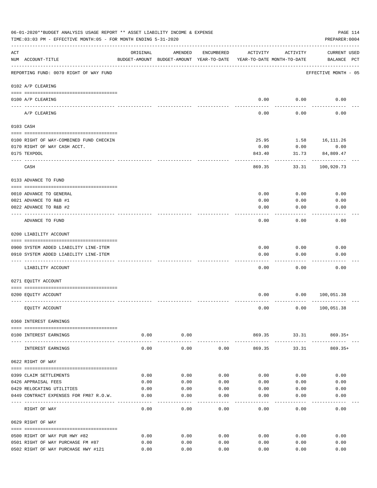|     | 06-01-2020**BUDGET ANALYSIS USAGE REPORT ** ASSET LIABILITY INCOME & EXPENSE<br>TIME: 03:03 PM - EFFECTIVE MONTH: 05 - FOR MONTH ENDING 5-31-2020 |                    |                                                                                |              |              |                        | PAGE 114<br>PREPARER: 0004         |
|-----|---------------------------------------------------------------------------------------------------------------------------------------------------|--------------------|--------------------------------------------------------------------------------|--------------|--------------|------------------------|------------------------------------|
| ACT | NUM ACCOUNT-TITLE                                                                                                                                 | ORIGINAL           | AMENDED<br>BUDGET-AMOUNT BUDGET-AMOUNT YEAR-TO-DATE YEAR-TO-DATE MONTH-TO-DATE | ENCUMBERED   | ACTIVITY     | ACTIVITY               | <b>CURRENT USED</b><br>BALANCE PCT |
|     | REPORTING FUND: 0070 RIGHT OF WAY FUND                                                                                                            |                    |                                                                                |              |              |                        | EFFECTIVE MONTH - 05               |
|     | 0102 A/P CLEARING                                                                                                                                 |                    |                                                                                |              |              |                        |                                    |
|     | 0100 A/P CLEARING<br>---- --------                                                                                                                |                    |                                                                                |              |              | $0.00$ 0.00            | 0.00                               |
|     | A/P CLEARING                                                                                                                                      |                    |                                                                                |              | 0.00         | 0.00                   | 0.00                               |
|     | 0103 CASH                                                                                                                                         |                    |                                                                                |              |              |                        |                                    |
|     | 0100 RIGHT OF WAY-COMBINED FUND CHECKIN                                                                                                           |                    |                                                                                |              | 25.95        |                        | 1.58 16, 111.26                    |
|     | 0170 RIGHT OF WAY CASH ACCT.                                                                                                                      |                    |                                                                                |              | 0.00         | 0.00                   | 0.00                               |
|     | 0175 TEXPOOL                                                                                                                                      |                    |                                                                                |              | 843.40       | 31.73                  | 84,809.47                          |
|     | CASH                                                                                                                                              |                    |                                                                                |              | 869.35       | 33.31                  | ----------<br>100,920.73           |
|     | 0133 ADVANCE TO FUND                                                                                                                              |                    |                                                                                |              |              |                        |                                    |
|     | 0010 ADVANCE TO GENERAL                                                                                                                           |                    |                                                                                |              | 0.00         | 0.00                   | 0.00                               |
|     | 0021 ADVANCE TO R&B #1                                                                                                                            |                    |                                                                                |              | 0.00         | 0.00                   | 0.00                               |
|     | 0022 ADVANCE TO R&B #2                                                                                                                            |                    |                                                                                |              | 0.00         | 0.00                   | 0.00                               |
|     |                                                                                                                                                   |                    |                                                                                |              |              |                        |                                    |
|     | ADVANCE TO FUND                                                                                                                                   |                    |                                                                                |              | 0.00         | 0.00                   | 0.00                               |
|     | 0200 LIABILITY ACCOUNT                                                                                                                            |                    |                                                                                |              |              |                        |                                    |
|     |                                                                                                                                                   |                    |                                                                                |              |              |                        |                                    |
|     | 0900 SYSTEM ADDED LIABILITY LINE-ITEM<br>0910 SYSTEM ADDED LIABILITY LINE-ITEM                                                                    |                    |                                                                                |              | 0.00<br>0.00 | 0.00<br>0.00           | 0.00<br>0.00                       |
|     |                                                                                                                                                   |                    |                                                                                |              |              |                        |                                    |
|     | LIABILITY ACCOUNT                                                                                                                                 |                    |                                                                                |              | 0.00         | 0.00                   | 0.00                               |
|     | 0271 EQUITY ACCOUNT                                                                                                                               |                    |                                                                                |              |              |                        |                                    |
|     | 0200 EQUITY ACCOUNT                                                                                                                               |                    |                                                                                |              | 0.00         |                        | 0.00 100,051.38                    |
|     | EQUITY ACCOUNT                                                                                                                                    |                    |                                                                                |              | 0.00         |                        | 0.00 100, 051.38                   |
|     | 0360 INTEREST EARNINGS                                                                                                                            |                    |                                                                                |              |              |                        |                                    |
|     | 0100 INTEREST EARNINGS                                                                                                                            | 0.00               | 0.00                                                                           |              |              |                        | 869.35 33.31 869.35+               |
|     | INTEREST EARNINGS                                                                                                                                 | ----------<br>0.00 | . <u>.</u> .<br>0.00                                                           | 0.00         | .<br>869.35  | -------------<br>33.31 | 869.35+                            |
|     | 0622 RIGHT OF WAY                                                                                                                                 |                    |                                                                                |              |              |                        |                                    |
|     |                                                                                                                                                   |                    |                                                                                |              |              |                        |                                    |
|     | 0399 CLAIM SETTLEMENTS                                                                                                                            | 0.00               | 0.00                                                                           | 0.00         | 0.00         | 0.00                   | 0.00                               |
|     | 0426 APPRAISAL FEES<br>0429 RELOCATING UTILITIES                                                                                                  | 0.00<br>0.00       | 0.00<br>0.00                                                                   | 0.00<br>0.00 | 0.00<br>0.00 | 0.00<br>0.00           | 0.00<br>0.00                       |
|     | 0449 CONTRACT EXPENSES FOR FM87 R.O.W.                                                                                                            | 0.00               | 0.00                                                                           | 0.00         | 0.00         | 0.00                   | 0.00                               |
|     |                                                                                                                                                   |                    |                                                                                |              |              |                        |                                    |
|     | RIGHT OF WAY                                                                                                                                      | 0.00               | 0.00                                                                           | 0.00         | 0.00         | 0.00                   | 0.00                               |
|     | 0629 RIGHT OF WAY                                                                                                                                 |                    |                                                                                |              |              |                        |                                    |
|     | 0500 RIGHT OF WAY PUR HWY #82                                                                                                                     | 0.00               | 0.00                                                                           | 0.00         | 0.00         | 0.00                   | 0.00                               |
|     | 0501 RIGHT OF WAY PURCHASE FM #87                                                                                                                 | 0.00               | 0.00                                                                           | 0.00         | 0.00         | 0.00                   | 0.00                               |
|     | 0502 RIGHT OF WAY PURCHASE HWY #121                                                                                                               | 0.00               | 0.00                                                                           | 0.00         | 0.00         | 0.00                   | 0.00                               |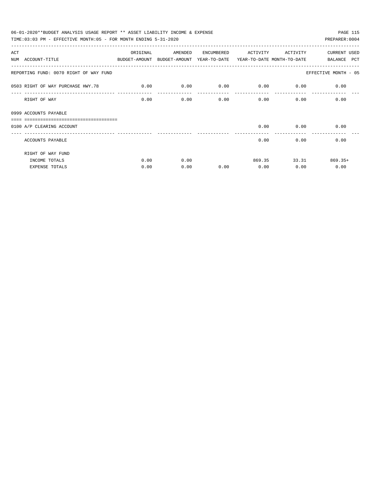| 06-01-2020**BUDGET ANALYSIS USAGE REPORT ** ASSET LIABILITY INCOME & EXPENSE             |             |         |            |             |                              | PAGE 115             |
|------------------------------------------------------------------------------------------|-------------|---------|------------|-------------|------------------------------|----------------------|
| TIME: $03:03$ PM - EFFECTIVE MONTH: $05$ - FOR MONTH ENDING $5-31-2020$                  |             |         |            |             |                              | PREPARER: 0004       |
| ACT                                                                                      | ORIGINAL    | AMENDED | ENCUMBERED | ACTIVITY    | ACTIVITY                     | CURRENT USED         |
| NUM ACCOUNT-TITLE<br>BUDGET-AMOUNT BUDGET-AMOUNT YEAR-TO-DATE YEAR-TO-DATE_MONTH-TO-DATE |             |         |            |             |                              | BALANCE PCT          |
| REPORTING FUND: 0070 RIGHT OF WAY FUND                                                   |             |         |            |             |                              | EFFECTIVE MONTH - 05 |
| 0503 RIGHT OF WAY PURCHASE HWY.78                                                        | $\sim$ 0.00 | 0.00    | 0.00       | $0.00$ 0.00 |                              | 0.00                 |
| RIGHT OF WAY                                                                             | 0.00        | 0.00    | 0.00       |             | 0.00                         | 0.00<br>0.00         |
| 0999 ACCOUNTS PAYABLE<br>=============================                                   |             |         |            |             |                              |                      |
| 0100 A/P CLEARING ACCOUNT                                                                |             |         |            |             | $0.00$ 0.00<br>------------- | 0.00                 |
| ACCOUNTS PAYABLE                                                                         |             |         |            | 0.00        | 0.00                         | 0.00                 |
| RIGHT OF WAY FUND                                                                        |             |         |            |             |                              |                      |
| INCOME TOTALS                                                                            | 0.00        | 0.00    |            |             | 869.35 33.31                 | $869.35+$            |
| <b>EXPENSE TOTALS</b>                                                                    | 0.00        | 0.00    | 0.00       | 0.00        | 0.00                         | 0.00                 |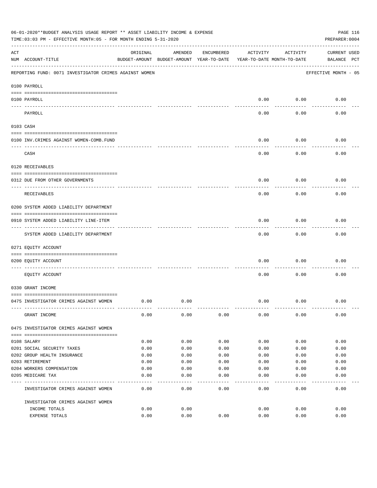|     | 06-01-2020**BUDGET ANALYSIS USAGE REPORT ** ASSET LIABILITY INCOME & EXPENSE<br>TIME: 03:03 PM - EFFECTIVE MONTH: 05 - FOR MONTH ENDING 5-31-2020 |          |                                                     |            |                                        |          | PAGE 116<br>PREPARER: 0004         |
|-----|---------------------------------------------------------------------------------------------------------------------------------------------------|----------|-----------------------------------------------------|------------|----------------------------------------|----------|------------------------------------|
| ACT | NUM ACCOUNT-TITLE                                                                                                                                 | ORIGINAL | AMENDED<br>BUDGET-AMOUNT BUDGET-AMOUNT YEAR-TO-DATE | ENCUMBERED | ACTIVITY<br>YEAR-TO-DATE MONTH-TO-DATE | ACTIVITY | <b>CURRENT USED</b><br>BALANCE PCT |
|     | REPORTING FUND: 0071 INVESTIGATOR CRIMES AGAINST WOMEN                                                                                            |          |                                                     |            |                                        |          | EFFECTIVE MONTH - 05               |
|     | 0100 PAYROLL                                                                                                                                      |          |                                                     |            |                                        |          |                                    |
|     | 0100 PAYROLL<br>---- ----                                                                                                                         |          |                                                     |            | 0.00                                   | 0.00     | 0.00                               |
|     | PAYROLL                                                                                                                                           |          |                                                     |            | 0.00                                   | 0.00     | 0.00                               |
|     | 0103 CASH                                                                                                                                         |          |                                                     |            |                                        |          |                                    |
|     | 0100 INV. CRIMES AGAINST WOMEN-COMB. FUND                                                                                                         |          |                                                     |            | 0.00                                   | 0.00     | 0.00                               |
|     | CASH                                                                                                                                              |          |                                                     |            | 0.00                                   | 0.00     | 0.00                               |
|     | 0120 RECEIVABLES                                                                                                                                  |          |                                                     |            |                                        |          |                                    |
|     | 0312 DUE FROM OTHER GOVERNMENTS                                                                                                                   |          |                                                     |            | 0.00                                   | 0.00     | 0.00                               |
|     | RECEIVABLES                                                                                                                                       |          |                                                     |            | 0.00                                   | 0.00     | 0.00                               |
|     | 0200 SYSTEM ADDED LIABILITY DEPARTMENT                                                                                                            |          |                                                     |            |                                        |          |                                    |
|     | 0910 SYSTEM ADDED LIABILITY LINE-ITEM                                                                                                             |          |                                                     |            | 0.00                                   | 0.00     | 0.00                               |
|     | SYSTEM ADDED LIABILITY DEPARTMENT                                                                                                                 |          |                                                     |            | 0.00                                   | 0.00     | 0.00                               |
|     | 0271 EQUITY ACCOUNT                                                                                                                               |          |                                                     |            |                                        |          |                                    |
|     | 0200 EQUITY ACCOUNT                                                                                                                               |          |                                                     |            | 0.00                                   | 0.00     | 0.00                               |
|     | EQUITY ACCOUNT                                                                                                                                    |          |                                                     |            | 0.00                                   | 0.00     | 0.00                               |
|     | 0330 GRANT INCOME                                                                                                                                 |          |                                                     |            |                                        |          |                                    |
|     | 0475 INVESTIGATOR CRIMES AGAINST WOMEN                                                                                                            | 0.00     | 0.00                                                |            | 0.00                                   | 0.00     | 0.00                               |
|     | GRANT INCOME                                                                                                                                      | 0.00     | 0.00                                                | 0.00       | 0.00                                   | 0.00     | 0.00                               |
|     | 0475 INVESTIGATOR CRIMES AGAINST WOMEN                                                                                                            |          |                                                     |            |                                        |          |                                    |
|     | 0108 SALARY                                                                                                                                       | 0.00     | 0.00                                                | 0.00       | 0.00                                   | 0.00     | 0.00                               |
|     | 0201 SOCIAL SECURITY TAXES                                                                                                                        | 0.00     | 0.00                                                | 0.00       | 0.00                                   | 0.00     | 0.00                               |
|     | 0202 GROUP HEALTH INSURANCE                                                                                                                       | 0.00     | 0.00                                                | 0.00       | 0.00                                   | 0.00     | 0.00                               |
|     | 0203 RETIREMENT                                                                                                                                   | 0.00     | 0.00                                                | 0.00       | 0.00                                   | 0.00     | 0.00                               |
|     | 0204 WORKERS COMPENSATION                                                                                                                         | 0.00     | 0.00                                                | 0.00       | 0.00                                   | 0.00     | 0.00                               |
|     | 0205 MEDICARE TAX                                                                                                                                 | 0.00     | 0.00                                                | 0.00       | 0.00                                   | 0.00     | 0.00                               |
|     | INVESTIGATOR CRIMES AGAINST WOMEN                                                                                                                 | 0.00     | 0.00                                                | 0.00       | 0.00                                   | 0.00     | 0.00                               |
|     | INVESTIGATOR CRIMES AGAINST WOMEN                                                                                                                 |          |                                                     |            |                                        |          |                                    |
|     | INCOME TOTALS                                                                                                                                     | 0.00     | 0.00                                                |            | 0.00                                   | 0.00     | 0.00                               |
|     | EXPENSE TOTALS                                                                                                                                    | 0.00     | 0.00                                                | 0.00       | 0.00                                   | 0.00     | 0.00                               |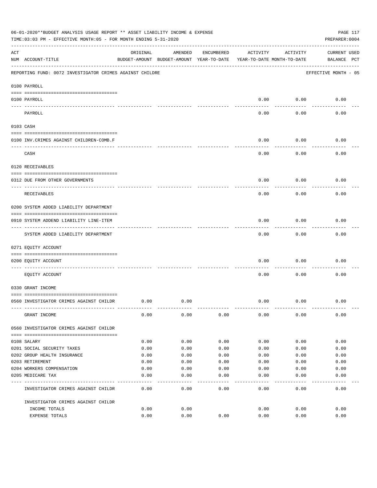|     | 06-01-2020**BUDGET ANALYSIS USAGE REPORT ** ASSET LIABILITY INCOME & EXPENSE<br>TIME: 03:03 PM - EFFECTIVE MONTH: 05 - FOR MONTH ENDING 5-31-2020 |          |                                                     |            |          |                                        | PAGE 117<br>PREPARER: 0004         |
|-----|---------------------------------------------------------------------------------------------------------------------------------------------------|----------|-----------------------------------------------------|------------|----------|----------------------------------------|------------------------------------|
| ACT | NUM ACCOUNT-TITLE                                                                                                                                 | ORIGINAL | AMENDED<br>BUDGET-AMOUNT BUDGET-AMOUNT YEAR-TO-DATE | ENCUMBERED | ACTIVITY | ACTIVITY<br>YEAR-TO-DATE MONTH-TO-DATE | <b>CURRENT USED</b><br>BALANCE PCT |
|     | REPORTING FUND: 0072 INVESTIGATOR CRIMES AGAINST CHILDRE                                                                                          |          |                                                     |            |          |                                        | EFFECTIVE MONTH - 05               |
|     | 0100 PAYROLL                                                                                                                                      |          |                                                     |            |          |                                        |                                    |
|     | 0100 PAYROLL                                                                                                                                      |          |                                                     |            | 0.00     | 0.00                                   | 0.00                               |
|     | ---- ----<br>PAYROLL                                                                                                                              |          |                                                     |            | 0.00     | 0.00                                   | 0.00                               |
|     | 0103 CASH                                                                                                                                         |          |                                                     |            |          |                                        |                                    |
|     | 0100 INV. CRIMES AGAINST CHILDREN-COMB.F                                                                                                          |          |                                                     |            | 0.00     | 0.00                                   | 0.00                               |
|     | CASH                                                                                                                                              |          |                                                     |            | 0.00     | 0.00                                   | 0.00                               |
|     | 0120 RECEIVABLES                                                                                                                                  |          |                                                     |            |          |                                        |                                    |
|     | 0312 DUE FROM OTHER GOVERNMENTS                                                                                                                   |          |                                                     |            | 0.00     | 0.00                                   | 0.00                               |
|     | RECEIVABLES                                                                                                                                       |          |                                                     |            | 0.00     | 0.00                                   | 0.00                               |
|     | 0200 SYSTEM ADDED LIABILITY DEPARTMENT                                                                                                            |          |                                                     |            |          |                                        |                                    |
|     | 0910 SYSTEM ADDEND LIABILITY LINE-ITEM                                                                                                            |          |                                                     |            | 0.00     | 0.00                                   | 0.00                               |
|     | SYSTEM ADDED LIABILITY DEPARTMENT                                                                                                                 |          |                                                     |            | 0.00     | 0.00                                   | 0.00                               |
|     | 0271 EQUITY ACCOUNT                                                                                                                               |          |                                                     |            |          |                                        |                                    |
|     | 0200 EQUITY ACCOUNT                                                                                                                               |          |                                                     |            | 0.00     | 0.00                                   | 0.00                               |
|     | EQUITY ACCOUNT                                                                                                                                    |          |                                                     |            | 0.00     | 0.00                                   | 0.00                               |
|     | 0330 GRANT INCOME                                                                                                                                 |          |                                                     |            |          |                                        |                                    |
|     | 0560 INVESTIGATOR CRIMES AGAINST CHILDR                                                                                                           | 0.00     | 0.00                                                |            | 0.00     | 0.00                                   | 0.00                               |
|     | GRANT INCOME                                                                                                                                      | 0.00     | 0.00                                                | 0.00       | 0.00     | 0.00                                   | 0.00                               |
|     | 0560 INVESTIGATOR CRIMES AGAINST CHILDR                                                                                                           |          |                                                     |            |          |                                        |                                    |
|     | 0108 SALARY                                                                                                                                       | 0.00     | 0.00                                                | 0.00       | 0.00     | 0.00                                   | 0.00                               |
|     | 0201 SOCIAL SECURITY TAXES                                                                                                                        | 0.00     | 0.00                                                | 0.00       | 0.00     | 0.00                                   | 0.00                               |
|     | 0202 GROUP HEALTH INSURANCE                                                                                                                       | 0.00     | 0.00                                                | 0.00       | 0.00     | 0.00                                   | 0.00                               |
|     | 0203 RETIREMENT                                                                                                                                   | 0.00     | 0.00                                                | 0.00       | 0.00     | 0.00                                   | 0.00                               |
|     | 0204 WORKERS COMPENSATION                                                                                                                         | 0.00     | 0.00                                                | 0.00       | 0.00     | 0.00                                   | 0.00                               |
|     | 0205 MEDICARE TAX                                                                                                                                 | 0.00     | 0.00<br>----                                        | 0.00       | 0.00     | 0.00                                   | 0.00                               |
|     | INVESTIGATOR CRIMES AGAINST CHILDR                                                                                                                | 0.00     | 0.00                                                | 0.00       | 0.00     | 0.00                                   | 0.00                               |
|     | INVESTIGATOR CRIMES AGAINST CHILDR                                                                                                                |          |                                                     |            |          |                                        |                                    |
|     | INCOME TOTALS                                                                                                                                     | 0.00     | 0.00                                                |            | 0.00     | 0.00                                   | 0.00                               |
|     | EXPENSE TOTALS                                                                                                                                    | 0.00     | 0.00                                                | 0.00       | 0.00     | 0.00                                   | 0.00                               |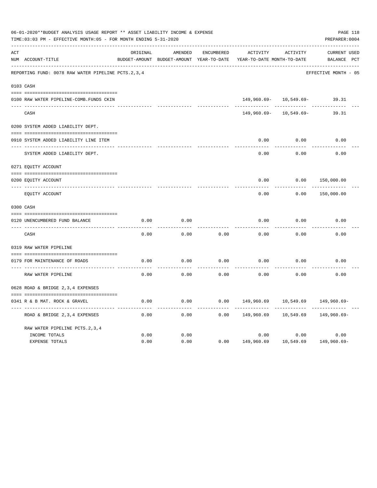|     | 06-01-2020**BUDGET ANALYSIS USAGE REPORT ** ASSET LIABILITY INCOME & EXPENSE<br>TIME: 03:03 PM - EFFECTIVE MONTH: 05 - FOR MONTH ENDING 5-31-2020 |          |                                                     |            |                                        |                            | PAGE 118<br>PREPARER: 0004         |  |
|-----|---------------------------------------------------------------------------------------------------------------------------------------------------|----------|-----------------------------------------------------|------------|----------------------------------------|----------------------------|------------------------------------|--|
| ACT | NUM ACCOUNT-TITLE                                                                                                                                 | ORIGINAL | AMENDED<br>BUDGET-AMOUNT BUDGET-AMOUNT YEAR-TO-DATE | ENCUMBERED | ACTIVITY<br>YEAR-TO-DATE MONTH-TO-DATE | ACTIVITY                   | <b>CURRENT USED</b><br>BALANCE PCT |  |
|     | REPORTING FUND: 0078 RAW WATER PIPELINE PCTS.2,3,4                                                                                                |          |                                                     |            |                                        |                            | EFFECTIVE MONTH - 05               |  |
|     | 0103 CASH                                                                                                                                         |          |                                                     |            |                                        |                            |                                    |  |
|     | 0100 RAW WATER PIPELINE-COMB.FUNDS CKIN                                                                                                           |          |                                                     |            |                                        | $149,960.69 - 10,549.69 -$ | 39.31                              |  |
|     | CASH                                                                                                                                              |          |                                                     |            | 149,960.69-                            | 10,549.69-                 | 39.31                              |  |
|     | 0200 SYSTEM ADDED LIABILITY DEPT.                                                                                                                 |          |                                                     |            |                                        |                            |                                    |  |
|     | 0910 SYSTEM ADDED LIABILITY LINE ITEM                                                                                                             |          |                                                     |            | 0.00                                   | 0.00                       | 0.00                               |  |
|     | SYSTEM ADDED LIABILITY DEPT.                                                                                                                      |          |                                                     |            | 0.00                                   | 0.00                       | 0.00                               |  |
|     | 0271 EQUITY ACCOUNT                                                                                                                               |          |                                                     |            |                                        |                            |                                    |  |
|     | 0200 EQUITY ACCOUNT                                                                                                                               |          |                                                     |            | 0.00                                   | 0.00                       | 150,000.00                         |  |
|     | ---- -----------<br>EQUITY ACCOUNT                                                                                                                |          |                                                     |            | 0.00                                   | 0.00                       | 150,000.00                         |  |
|     | 0300 CASH                                                                                                                                         |          |                                                     |            |                                        |                            |                                    |  |
|     | 0120 UNENCUMBERED FUND BALANCE                                                                                                                    | 0.00     | 0.00                                                |            | 0.00                                   | 0.00                       | 0.00                               |  |
|     | CASH                                                                                                                                              | 0.00     | 0.00                                                | 0.00       | 0.00                                   | 0.00                       | 0.00                               |  |
|     | 0319 RAW WATER PIPELINE                                                                                                                           |          |                                                     |            |                                        |                            |                                    |  |
|     | 0179 FOR MAINTENANCE OF ROADS                                                                                                                     | 0.00     | 0.00                                                | 0.00       | 0.00                                   | 0.00                       | 0.00                               |  |
|     | RAW WATER PIPELINE                                                                                                                                | 0.00     | 0.00                                                | 0.00       | 0.00                                   | 0.00                       | 0.00                               |  |
|     | 0628 ROAD & BRIDGE 2,3,4 EXPENSES                                                                                                                 |          |                                                     |            |                                        |                            |                                    |  |
|     | 0341 R & B MAT. ROCK & GRAVEL                                                                                                                     | 0.00     | 0.00                                                | 0.00       | 149,960.69                             | 10,549.69                  | 149,960.69-                        |  |
|     | ROAD & BRIDGE 2,3,4 EXPENSES                                                                                                                      | 0.00     | 0.00                                                | 0.00       | 149,960.69                             | 10,549.69                  | 149,960.69-                        |  |
|     | RAW WATER PIPELINE PCTS. 2, 3, 4                                                                                                                  |          |                                                     |            |                                        |                            |                                    |  |
|     | INCOME TOTALS                                                                                                                                     | 0.00     | 0.00                                                |            | 0.00                                   | 0.00                       | 0.00                               |  |
|     | <b>EXPENSE TOTALS</b>                                                                                                                             | 0.00     | 0.00                                                | 0.00       | 149,960.69                             | 10,549.69                  | 149,960.69-                        |  |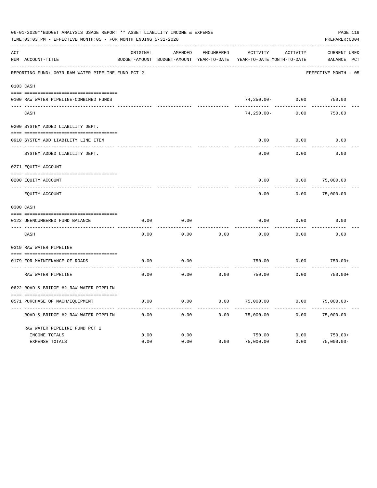|     | 06-01-2020**BUDGET ANALYSIS USAGE REPORT ** ASSET LIABILITY INCOME & EXPENSE<br>TIME: 03:03 PM - EFFECTIVE MONTH: 05 - FOR MONTH ENDING 5-31-2020 |          |                                                     |                   |                                               |          | PAGE 119<br>PREPARER: 0004            |
|-----|---------------------------------------------------------------------------------------------------------------------------------------------------|----------|-----------------------------------------------------|-------------------|-----------------------------------------------|----------|---------------------------------------|
| ACT | NUM ACCOUNT-TITLE                                                                                                                                 | ORIGINAL | AMENDED<br>BUDGET-AMOUNT BUDGET-AMOUNT YEAR-TO-DATE | <b>ENCUMBERED</b> | <b>ACTIVITY</b><br>YEAR-TO-DATE MONTH-TO-DATE | ACTIVITY | <b>CURRENT USED</b><br>PCT<br>BALANCE |
|     | REPORTING FUND: 0079 RAW WATER PIPELINE FUND PCT 2                                                                                                |          |                                                     |                   |                                               |          | EFFECTIVE MONTH - 05                  |
|     | 0103 CASH                                                                                                                                         |          |                                                     |                   |                                               |          |                                       |
|     | 0100 RAW WATER PIPELINE-COMBINED FUNDS                                                                                                            |          |                                                     |                   | $74,250.00 -$                                 | 0.00     | 750.00                                |
|     | CASH                                                                                                                                              |          |                                                     |                   | $74, 250.00 -$                                | 0.00     | 750.00                                |
|     | 0200 SYSTEM ADDED LIABILITY DEPT.                                                                                                                 |          |                                                     |                   |                                               |          |                                       |
|     | 0910 SYSTEM ADD LIABILITY LINE ITEM                                                                                                               |          |                                                     |                   | 0.00                                          | 0.00     | 0.00                                  |
|     | SYSTEM ADDED LIABILITY DEPT.                                                                                                                      |          |                                                     |                   | 0.00                                          | 0.00     | 0.00                                  |
|     | 0271 EQUITY ACCOUNT                                                                                                                               |          |                                                     |                   |                                               |          |                                       |
|     | 0200 EQUITY ACCOUNT                                                                                                                               |          |                                                     |                   | 0.00                                          | 0.00     | 75,000.00                             |
|     | EQUITY ACCOUNT                                                                                                                                    |          |                                                     |                   | 0.00                                          | 0.00     | 75,000.00                             |
|     | 0300 CASH                                                                                                                                         |          |                                                     |                   |                                               |          |                                       |
|     | 0122 UNENCUMBERED FUND BALANCE                                                                                                                    | 0.00     | 0.00                                                |                   | 0.00                                          | 0.00     | 0.00                                  |
|     | CASH                                                                                                                                              | 0.00     | 0.00                                                | 0.00              | 0.00                                          | 0.00     | 0.00                                  |
|     | 0319 RAW WATER PIPELINE                                                                                                                           |          |                                                     |                   |                                               |          |                                       |
|     | 0179 FOR MAINTENANCE OF ROADS                                                                                                                     | 0.00     | 0.00                                                |                   | 750.00                                        | 0.00     | $750.00+$                             |
|     | RAW WATER PIPELINE                                                                                                                                | 0.00     | 0.00                                                | 0.00              | 750.00                                        | 0.00     | $750.00+$                             |
|     | 0622 ROAD & BRIDGE #2 RAW WATER PIPELIN                                                                                                           |          |                                                     |                   |                                               |          |                                       |
|     | 0571 PURCHASE OF MACH/EQUIPMENT                                                                                                                   | 0.00     | 0.00                                                | 0.00              | 75,000.00                                     | 0.00     | $75,000.00-$                          |
|     | ROAD & BRIDGE #2 RAW WATER PIPELIN                                                                                                                | 0.00     | 0.00                                                | 0.00              | 75,000.00                                     | 0.00     | $75,000.00-$                          |
|     | RAW WATER PIPELINE FUND PCT 2                                                                                                                     |          |                                                     |                   |                                               |          |                                       |
|     | INCOME TOTALS                                                                                                                                     | 0.00     | 0.00                                                |                   | 750.00                                        | 0.00     | $750.00+$                             |
|     | <b>EXPENSE TOTALS</b>                                                                                                                             | 0.00     | 0.00                                                | 0.00              | 75,000.00                                     | 0.00     | $75,000.00-$                          |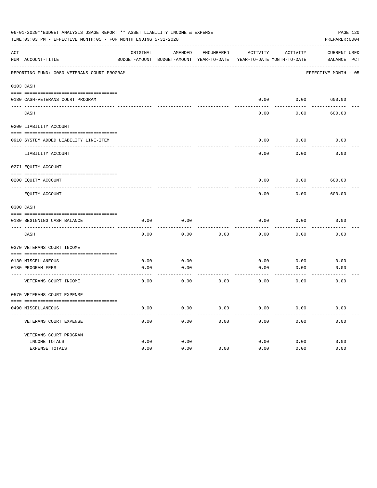|     | 06-01-2020**BUDGET ANALYSIS USAGE REPORT ** ASSET LIABILITY INCOME & EXPENSE<br>TIME: 03:03 PM - EFFECTIVE MONTH: 05 - FOR MONTH ENDING 5-31-2020 |          |                 |            |                                                                     |          | PAGE 120<br>PREPARER: 0004 |
|-----|---------------------------------------------------------------------------------------------------------------------------------------------------|----------|-----------------|------------|---------------------------------------------------------------------|----------|----------------------------|
| ACT |                                                                                                                                                   | ORIGINAL | AMENDED         | ENCUMBERED | ACTIVITY                                                            | ACTIVITY | CURRENT USED               |
|     | NUM ACCOUNT-TITLE                                                                                                                                 |          |                 |            | BUDGET-AMOUNT BUDGET-AMOUNT YEAR-TO-DATE YEAR-TO-DATE MONTH-TO-DATE |          | BALANCE PCT                |
|     | REPORTING FUND: 0080 VETERANS COURT PROGRAM                                                                                                       |          |                 |            |                                                                     |          | EFFECTIVE MONTH - 05       |
|     | 0103 CASH                                                                                                                                         |          |                 |            |                                                                     |          |                            |
|     |                                                                                                                                                   |          |                 |            | 0.00                                                                | 0.00     | 600.00                     |
|     | 0180 CASH-VETERANS COURT PROGRAM                                                                                                                  |          |                 |            |                                                                     |          |                            |
|     | CASH                                                                                                                                              |          |                 |            | 0.00                                                                | 0.00     | 600.00                     |
|     | 0200 LIABILITY ACCOUNT                                                                                                                            |          |                 |            |                                                                     |          |                            |
|     | 0910 SYSTEM ADDED LIABILITY LINE-ITEM                                                                                                             |          |                 |            | 0.00                                                                | 0.00     | 0.00                       |
|     | LIABILITY ACCOUNT                                                                                                                                 |          |                 |            | 0.00                                                                | 0.00     | 0.00                       |
|     | 0271 EQUITY ACCOUNT                                                                                                                               |          |                 |            |                                                                     |          |                            |
|     |                                                                                                                                                   |          |                 |            |                                                                     |          |                            |
|     | 0200 EQUITY ACCOUNT                                                                                                                               |          |                 |            | 0.00                                                                | 0.00     | 600.00                     |
|     | EQUITY ACCOUNT                                                                                                                                    |          |                 |            | 0.00                                                                | 0.00     | 600.00                     |
|     | 0300 CASH                                                                                                                                         |          |                 |            |                                                                     |          |                            |
|     | 0180 BEGINNING CASH BALANCE                                                                                                                       | 0.00     | 0.00            |            | 0.00                                                                | 0.00     | 0.00                       |
|     | CASH                                                                                                                                              | 0.00     | 0.00            | 0.00       | 0.00                                                                | 0.00     | 0.00                       |
|     | 0370 VETERANS COURT INCOME                                                                                                                        |          |                 |            |                                                                     |          |                            |
|     | 0130 MISCELLANEOUS                                                                                                                                | 0.00     | 0.00            |            | 0.00                                                                | 0.00     | 0.00                       |
|     | 0180 PROGRAM FEES                                                                                                                                 | 0.00     | 0.00            |            | 0.00                                                                | 0.00     | 0.00                       |
|     | ------------------------ ---<br>VETERANS COURT INCOME                                                                                             | 0.00     | -------<br>0.00 | 0.00       | 0.00                                                                | 0.00     | 0.00                       |
|     | 0570 VETERANS COURT EXPENSE                                                                                                                       |          |                 |            |                                                                     |          |                            |
|     | 0490 MISCELLANEOUS                                                                                                                                | 0.00     | 0.00            | 0.00       | 0.00                                                                | 0.00     | 0.00                       |
|     | VETERANS COURT EXPENSE                                                                                                                            | 0.00     | 0.00            | 0.00       | 0.00                                                                | 0.00     | 0.00                       |
|     | VETERANS COURT PROGRAM                                                                                                                            |          |                 |            |                                                                     |          |                            |
|     | INCOME TOTALS                                                                                                                                     | 0.00     | 0.00            |            | 0.00                                                                | 0.00     | 0.00                       |
|     | EXPENSE TOTALS                                                                                                                                    | 0.00     | 0.00            | 0.00       | 0.00                                                                | 0.00     | 0.00                       |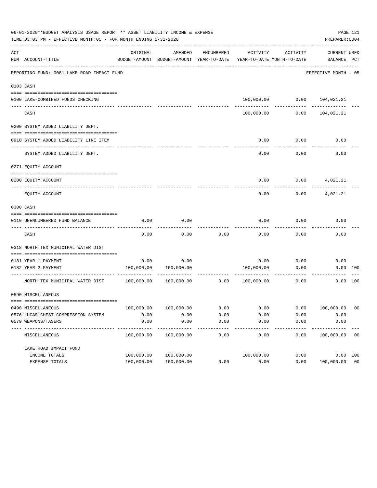|     | 06-01-2020**BUDGET ANALYSIS USAGE REPORT ** ASSET LIABILITY INCOME & EXPENSE<br>TIME: 03:03 PM - EFFECTIVE MONTH: 05 - FOR MONTH ENDING 5-31-2020 |                            |                                                     |                  |                     |                                        | PREPARER: 0004                 | PAGE 121 |
|-----|---------------------------------------------------------------------------------------------------------------------------------------------------|----------------------------|-----------------------------------------------------|------------------|---------------------|----------------------------------------|--------------------------------|----------|
| ACT | NUM ACCOUNT-TITLE                                                                                                                                 | ORIGINAL                   | AMENDED<br>BUDGET-AMOUNT BUDGET-AMOUNT YEAR-TO-DATE | ENCUMBERED       | ACTIVITY            | ACTIVITY<br>YEAR-TO-DATE MONTH-TO-DATE | CURRENT USED<br>BALANCE PCT    |          |
|     | REPORTING FUND: 0081 LAKE ROAD IMPACT FUND                                                                                                        |                            |                                                     |                  |                     |                                        | EFFECTIVE MONTH - 05           |          |
|     | 0103 CASH                                                                                                                                         |                            |                                                     |                  |                     |                                        |                                |          |
|     |                                                                                                                                                   |                            |                                                     |                  |                     |                                        |                                |          |
|     | 0100 LAKE-COMBINED FUNDS CHECKING                                                                                                                 |                            |                                                     |                  |                     |                                        | 100,000.00   0.00   104,021.21 |          |
|     | CASH                                                                                                                                              |                            |                                                     |                  | 100,000.00          | 0.00                                   | 104,021.21                     |          |
|     | 0200 SYSTEM ADDED LIABILITY DEPT.                                                                                                                 |                            |                                                     |                  |                     |                                        |                                |          |
|     |                                                                                                                                                   |                            |                                                     |                  |                     |                                        |                                |          |
|     | 0910 SYSTEM ADDED LIABILITY LINE ITEM                                                                                                             |                            |                                                     |                  | 0.00                | 0.00                                   | 0.00                           |          |
|     | SYSTEM ADDED LIABILITY DEPT.                                                                                                                      |                            |                                                     |                  | 0.00                | 0.00                                   | 0.00                           |          |
|     | 0271 EQUITY ACCOUNT                                                                                                                               |                            |                                                     |                  |                     |                                        |                                |          |
|     | 0200 EOUITY ACCOUNT                                                                                                                               |                            |                                                     |                  | 0.00                | 0.00                                   | 4,021.21                       |          |
|     | EQUITY ACCOUNT                                                                                                                                    |                            |                                                     |                  | 0.00                | 0.00                                   | 4,021.21                       |          |
|     | 0300 CASH                                                                                                                                         |                            |                                                     |                  |                     |                                        |                                |          |
|     |                                                                                                                                                   |                            |                                                     |                  |                     |                                        |                                |          |
|     | 0110 UNENCUMBERED FUND BALANCE                                                                                                                    | 0.00                       | 0.00                                                |                  | 0.00                | 0.00                                   | 0.00                           |          |
|     | CASH                                                                                                                                              | 0.00                       | 0.00                                                | 0.00             | 0.00                | 0.00                                   | 0.00                           |          |
|     | 0318 NORTH TEX MUNICIPAL WATER DIST                                                                                                               |                            |                                                     |                  |                     |                                        |                                |          |
|     |                                                                                                                                                   |                            |                                                     |                  |                     |                                        |                                |          |
|     | 0181 YEAR 1 PAYMENT                                                                                                                               | 0.00                       | 0.00                                                |                  | 0.00                | 0.00                                   | 0.00                           |          |
|     | 0182 YEAR 2 PAYMENT                                                                                                                               | 100,000.00                 | 100,000.00                                          |                  | 100,000.00          | 0.00                                   |                                | 0.00 100 |
|     | NORTH TEX MUNICIPAL WATER DIST 100,000.00                                                                                                         |                            | 100,000.00                                          | 0.00             | 100,000.00          | 0.00                                   |                                | 0.00 100 |
|     | 0590 MISCELLANEOUS                                                                                                                                |                            |                                                     |                  |                     |                                        |                                |          |
|     | 0490 MISCELLANEOUS                                                                                                                                | 100,000.00                 | 100,000.00                                          |                  |                     |                                        | 100,000.00                     | - 00     |
|     | 0576 LUCAS CHEST COMPRESSION SYSTEM                                                                                                               | 0.00                       | 0.00                                                | 0.00<br>0.00     | 0.00<br>0.00        | 0.00<br>0.00                           | 0.00                           |          |
|     | 0579 WEAPONS/TASERS                                                                                                                               | 0.00                       | 0.00                                                | 0.00             | 0.00                | 0.00                                   | 0.00                           |          |
|     | .<br>MISCELLANEOUS                                                                                                                                | ------------<br>100,000.00 | -----------<br>100,000.00                           | $------$<br>0.00 | $- - - - -$<br>0.00 | $- - - - -$<br>0.00                    | -----------<br>100,000.00      | 00       |
|     | LAKE ROAD IMPACT FUND                                                                                                                             |                            |                                                     |                  |                     |                                        |                                |          |
|     | INCOME TOTALS                                                                                                                                     | 100,000.00                 | 100,000.00                                          |                  | 100,000.00          | 0.00                                   |                                | 0.00 100 |
|     | EXPENSE TOTALS                                                                                                                                    | 100,000.00                 | 100,000.00                                          | 0.00             | 0.00                | 0.00                                   | 100,000.00 00                  |          |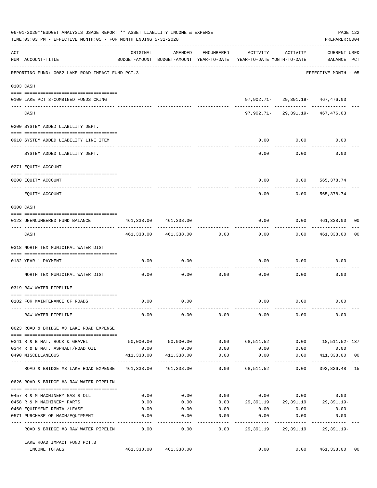|     | 06-01-2020**BUDGET ANALYSIS USAGE REPORT ** ASSET LIABILITY INCOME & EXPENSE<br>TIME:03:03 PM - EFFECTIVE MONTH:05 - FOR MONTH ENDING 5-31-2020 |                                                  |                                                     |                |                                        |                                       | PREPARER: 0004                | PAGE 122 |
|-----|-------------------------------------------------------------------------------------------------------------------------------------------------|--------------------------------------------------|-----------------------------------------------------|----------------|----------------------------------------|---------------------------------------|-------------------------------|----------|
| ACT | NUM ACCOUNT-TITLE                                                                                                                               | ORIGINAL                                         | AMENDED<br>BUDGET-AMOUNT BUDGET-AMOUNT YEAR-TO-DATE | ENCUMBERED     | ACTIVITY<br>YEAR-TO-DATE MONTH-TO-DATE | ACTIVITY                              | CURRENT USED<br>BALANCE PCT   |          |
|     | REPORTING FUND: 0082 LAKE ROAD IMPACT FUND PCT.3                                                                                                |                                                  |                                                     |                |                                        |                                       | EFFECTIVE MONTH - 05          |          |
|     | 0103 CASH                                                                                                                                       |                                                  |                                                     |                |                                        |                                       |                               |          |
|     | 0100 LAKE PCT 3-COMBINED FUNDS CKING                                                                                                            |                                                  |                                                     |                |                                        | 97,902.71-29,391.19-467,476.03        |                               |          |
|     | CASH                                                                                                                                            |                                                  |                                                     |                |                                        | 97,902.71-29,391.19-467,476.03        |                               |          |
|     | 0200 SYSTEM ADDED LIABILITY DEPT.                                                                                                               |                                                  |                                                     |                |                                        |                                       |                               |          |
|     | 0910 SYSTEM ADDED LIABILITY LINE ITEM                                                                                                           |                                                  |                                                     |                | 0.00                                   | 0.00                                  | 0.00                          |          |
|     | SYSTEM ADDED LIABILITY DEPT.                                                                                                                    |                                                  |                                                     |                | 0.00                                   | 0.00                                  | 0.00                          |          |
|     | 0271 EQUITY ACCOUNT                                                                                                                             |                                                  |                                                     |                |                                        |                                       |                               |          |
|     | 0200 EQUITY ACCOUNT                                                                                                                             |                                                  |                                                     |                | 0.00                                   |                                       | $0.00$ 565,378.74             |          |
|     | -------------------- --------<br>EQUITY ACCOUNT                                                                                                 |                                                  |                                                     |                | 0.00                                   | 0.00                                  | ---------<br>565,378.74       |          |
|     | 0300 CASH                                                                                                                                       |                                                  |                                                     |                |                                        |                                       |                               |          |
|     | 0123 UNENCUMBERED FUND BALANCE                                                                                                                  | 461,338.00                                       | 461,338.00                                          |                | 0.00                                   |                                       | 0.0000461,338.00000           |          |
|     | CASH                                                                                                                                            |                                                  | 461,338.00 461,338.00                               | 0.00           | 0.00                                   |                                       | $0.00$ $461,338.00$           | 00       |
|     | 0318 NORTH TEX MUNICIPAL WATER DIST                                                                                                             |                                                  |                                                     |                |                                        |                                       |                               |          |
|     | 0182 YEAR 1 PAYMENT<br>----------------------------------                                                                                       | 0.00                                             | 0.00                                                |                | 0.00                                   | 0.00                                  | 0.00                          |          |
|     | NORTH TEX MUNICIPAL WATER DIST                                                                                                                  | 0.00                                             | 0.00                                                | 0.00           | 0.00                                   | 0.00                                  | 0.00                          |          |
|     | 0319 RAW WATER PIPELINE                                                                                                                         |                                                  |                                                     |                |                                        |                                       |                               |          |
|     | 0182 FOR MAINTENANCE OF ROADS                                                                                                                   | 0.00                                             | 0.00                                                |                |                                        | $0.00$ $0.00$                         | 0.00                          |          |
|     | RAW WATER PIPELINE                                                                                                                              | 0.00                                             | 0.00                                                | 0.00           | 0.00                                   | 0.00                                  | 0.00                          |          |
|     | 0623 ROAD & BRIDGE #3 LAKE ROAD EXPENSE                                                                                                         |                                                  |                                                     |                |                                        |                                       |                               |          |
|     | 0341 R & B MAT. ROCK & GRAVEL                                                                                                                   |                                                  | 50,000.00 50,000.00                                 |                | $0.00$ 68,511.52                       | 0.00                                  | 18,511.52- 137                |          |
|     | 0344 R & B MAT. ASPHALT/ROAD OIL                                                                                                                | 0.00                                             | 0.00                                                | 0.00           | 0.00                                   | 0.00                                  | 0.00                          |          |
|     | 0490 MISCELLANEOUS                                                                                                                              | 411,338.00<br>------ ------------- ------------- | 411,338.00                                          | 0.00<br>------ | 0.00                                   | 0.00<br>---------                     | 411,338.00 00<br>------------ |          |
|     | ROAD & BRIDGE #3 LAKE ROAD EXPENSE                                                                                                              |                                                  | 461,338.00 461,338.00                               | 0.00           | 68,511.52                              | 0.00                                  | 392,826.48 15                 |          |
|     | 0626 ROAD & BRIDGE #3 RAW WATER PIPELIN                                                                                                         |                                                  |                                                     |                |                                        |                                       |                               |          |
|     | 0457 R & M MACHINERY GAS & OIL                                                                                                                  | 0.00                                             | 0.00                                                |                |                                        | $0.00$ $0.00$ $0.00$                  | 0.00                          |          |
|     | 0458 R & M MACHINERY PARTS                                                                                                                      | 0.00                                             | 0.00                                                |                |                                        | $0.00$ 29,391.19 29,391.19 29,391.19- |                               |          |
|     | 0460 EQUIPMENT RENTAL/LEASE                                                                                                                     | 0.00                                             | 0.00                                                | 0.00           | 0.00                                   | 0.00                                  | 0.00                          |          |
|     | 0571 PURCHASE OF MACH/EQUIPMENT                                                                                                                 | 0.00                                             | 0.00                                                | 0.00           | 0.00                                   | 0.00                                  | 0.00                          |          |
|     | ROAD & BRIDGE #3 RAW WATER PIPELIN                                                                                                              | 0.00                                             | 0.00                                                | 0.00           | 29,391.19                              | 29,391.19                             | $29,391.19-$                  |          |
|     | LAKE ROAD IMPACT FUND PCT.3<br>INCOME TOTALS                                                                                                    |                                                  | 461,338.00 461,338.00                               |                | 0.00                                   | 0.00                                  | 461,338.00                    | 00       |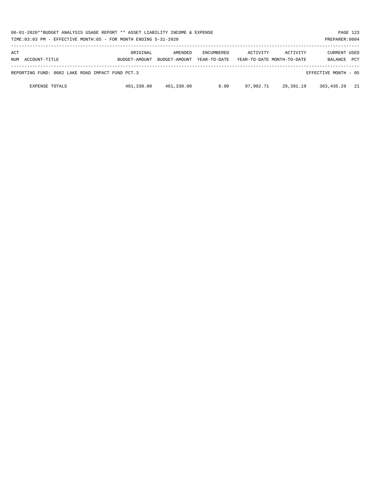| 06-01-2020**BUDGET ANALYSIS USAGE REPORT ** ASSET LIABILITY INCOME & EXPENSE<br>PAGE 123<br>TIME:03:03 PM - EFFECTIVE MONTH:05 - FOR MONTH ENDING 5-31-2020<br>PREPARER: 0004 |                           |                          |                                   |           |                                        |                                |            |  |  |
|-------------------------------------------------------------------------------------------------------------------------------------------------------------------------------|---------------------------|--------------------------|-----------------------------------|-----------|----------------------------------------|--------------------------------|------------|--|--|
| ACT<br>NUM ACCOUNT-TITLE                                                                                                                                                      | ORIGINAL<br>BUDGET-AMOUNT | AMENDED<br>BUDGET-AMOUNT | <b>ENCUMBERED</b><br>YEAR-TO-DATE | ACTIVITY  | ACTIVITY<br>YEAR-TO-DATE MONTH-TO-DATE | <b>CURRENT USED</b><br>BALANCE | <b>PCT</b> |  |  |
| REPORTING FUND: 0082 LAKE ROAD IMPACT FUND PCT.3                                                                                                                              |                           |                          |                                   |           |                                        | EFFECTIVE MONTH - 05           |            |  |  |
| <b>EXPENSE TOTALS</b>                                                                                                                                                         | 461,338.00                | 461,338.00               | 0.00                              | 97,902.71 | 29,391.19                              | 363,435.29                     | 21         |  |  |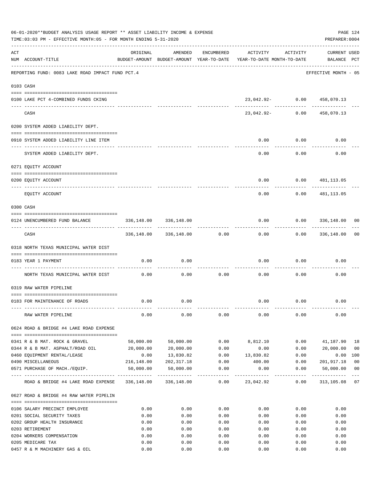|     | 06-01-2020**BUDGET ANALYSIS USAGE REPORT ** ASSET LIABILITY INCOME & EXPENSE<br>TIME: 03:03 PM - EFFECTIVE MONTH: 05 - FOR MONTH ENDING 5-31-2020 |            |                       |                     |                                                                                 |          | PAGE 124<br>PREPARER: 0004         |                |
|-----|---------------------------------------------------------------------------------------------------------------------------------------------------|------------|-----------------------|---------------------|---------------------------------------------------------------------------------|----------|------------------------------------|----------------|
| ACT | NUM ACCOUNT-TITLE                                                                                                                                 | ORIGINAL   | AMENDED               | ENCUMBERED          | ACTIVITY<br>BUDGET-AMOUNT BUDGET-AMOUNT YEAR-TO-DATE YEAR-TO-DATE MONTH-TO-DATE | ACTIVITY | <b>CURRENT USED</b><br>BALANCE PCT |                |
|     | REPORTING FUND: 0083 LAKE ROAD IMPACT FUND PCT.4                                                                                                  |            |                       |                     |                                                                                 |          | EFFECTIVE MONTH - 05               |                |
|     | 0103 CASH                                                                                                                                         |            |                       |                     |                                                                                 |          |                                    |                |
|     | 0100 LAKE PCT 4-COMBINED FUNDS CKING                                                                                                              |            |                       |                     | 23,042.92- 0.00                                                                 |          | 458,070.13                         |                |
|     | CASH                                                                                                                                              |            |                       |                     | 23,042.92-                                                                      | 0.00     | 458,070.13                         |                |
|     | 0200 SYSTEM ADDED LIABILITY DEPT.                                                                                                                 |            |                       |                     |                                                                                 |          |                                    |                |
|     | 0910 SYSTEM ADDED LIABILITY LINE ITEM                                                                                                             |            |                       |                     | 0.00                                                                            | 0.00     | 0.00                               |                |
|     | SYSTEM ADDED LIABILITY DEPT.                                                                                                                      |            |                       |                     | 0.00                                                                            | 0.00     | 0.00                               |                |
|     | 0271 EQUITY ACCOUNT                                                                                                                               |            |                       |                     |                                                                                 |          |                                    |                |
|     | 0200 EQUITY ACCOUNT                                                                                                                               |            |                       |                     | 0.00                                                                            | 0.00     | 481,113.05                         |                |
|     | EQUITY ACCOUNT                                                                                                                                    |            |                       |                     | 0.00                                                                            | 0.00     | 481,113.05                         |                |
|     | 0300 CASH                                                                                                                                         |            |                       |                     |                                                                                 |          |                                    |                |
|     | 0124 UNENCUMBERED FUND BALANCE                                                                                                                    | 336,148.00 | 336,148.00            |                     | 0.00                                                                            | 0.00     | 336,148.00                         | 00             |
|     | CASH                                                                                                                                              |            | 336,148.00 336,148.00 | 0.00                | 0.00                                                                            | 0.00     | 336,148.00                         | 00             |
|     | 0318 NORTH TEXAS MUNICIPAL WATER DIST                                                                                                             |            |                       |                     |                                                                                 |          |                                    |                |
|     | 0183 YEAR 1 PAYMENT                                                                                                                               | 0.00       | 0.00                  |                     | 0.00                                                                            | 0.00     | 0.00                               |                |
|     | NORTH TEXAS MUNICIPAL WATER DIST                                                                                                                  | 0.00       | 0.00                  | 0.00                | 0.00                                                                            | 0.00     | 0.00                               |                |
|     | 0319 RAW WATER PIPELINE                                                                                                                           |            |                       |                     |                                                                                 |          |                                    |                |
|     | 0183 FOR MAINTENANCE OF ROADS                                                                                                                     | 0.00       | 0.00                  |                     | 0.00                                                                            | 0.00     | 0.00                               |                |
|     |                                                                                                                                                   |            |                       |                     |                                                                                 |          |                                    |                |
|     | RAW WATER PIPELINE                                                                                                                                | 0.00       | 0.00                  | 0.00                | 0.00                                                                            | 0.00     | 0.00                               |                |
|     | 0624 ROAD & BRIDGE #4 LAKE ROAD EXPENSE                                                                                                           |            |                       |                     |                                                                                 |          |                                    |                |
|     | 0341 R & B MAT. ROCK & GRAVEL                                                                                                                     | 50,000.00  | 50,000.00             | 0.00                | 8,812.10                                                                        | 0.00     | 41,187.90                          | 18             |
|     | 0344 R & B MAT. ASPHALT/ROAD OIL                                                                                                                  | 20,000.00  | 20,000.00             | 0.00                | 0.00                                                                            | 0.00     | 20,000.00                          | 0 <sub>0</sub> |
|     | 0460 EQUIPMENT RENTAL/LEASE                                                                                                                       | 0.00       | 13,830.82             | 0.00                | 13,830.82                                                                       | 0.00     | 0.00                               | 100            |
|     | 0490 MISCELLANEOUS                                                                                                                                | 216,148.00 | 202, 317.18           | 0.00                | 400.00                                                                          | 0.00     | 201,917.18                         | 0 <sub>0</sub> |
|     | 0571 PURCHASE OF MACH./EQUIP.                                                                                                                     | 50,000.00  | 50,000.00             | 0.00<br>----------- | 0.00                                                                            | 0.00     | 50,000.00<br>. <u>.</u> .          | 0 <sub>0</sub> |
|     | ROAD & BRIDGE #4 LAKE ROAD EXPENSE 336,148.00 336,148.00                                                                                          |            |                       | 0.00                | 23,042.92                                                                       | 0.00     | 313,105.08                         | 07             |
|     | 0627 ROAD & BRIDGE #4 RAW WATER PIPELIN                                                                                                           |            |                       |                     |                                                                                 |          |                                    |                |
|     | 0106 SALARY PRECINCT EMPLOYEE                                                                                                                     | 0.00       | 0.00                  | 0.00                | 0.00                                                                            | 0.00     | 0.00                               |                |
|     | 0201 SOCIAL SECURITY TAXES                                                                                                                        | 0.00       | 0.00                  | 0.00                | 0.00                                                                            | 0.00     | 0.00                               |                |
|     | 0202 GROUP HEALTH INSURANCE                                                                                                                       | 0.00       | 0.00                  | 0.00                | 0.00                                                                            | 0.00     | 0.00                               |                |
|     | 0203 RETIREMENT                                                                                                                                   | 0.00       | 0.00                  | 0.00                | 0.00                                                                            | 0.00     | 0.00                               |                |
|     | 0204 WORKERS COMPENSATION                                                                                                                         | 0.00       | 0.00                  | 0.00                | 0.00                                                                            | 0.00     | 0.00                               |                |
|     | 0205 MEDICARE TAX                                                                                                                                 | 0.00       | 0.00                  | 0.00                | 0.00                                                                            | 0.00     | 0.00                               |                |
|     | 0457 R & M MACHINERY GAS & OIL                                                                                                                    | 0.00       | 0.00                  | 0.00                | 0.00                                                                            | 0.00     | 0.00                               |                |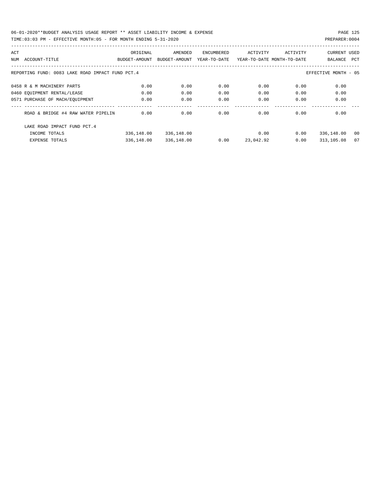| ACT |                                                  | ORIGINAL      | AMENDED       | ENCUMBERED   | ACTIVITY                   | ACTIVITY | <b>CURRENT USED</b>  |     |
|-----|--------------------------------------------------|---------------|---------------|--------------|----------------------------|----------|----------------------|-----|
| NUM | ACCOUNT-TITLE                                    | BUDGET-AMOUNT | BUDGET-AMOUNT | YEAR-TO-DATE | YEAR-TO-DATE MONTH-TO-DATE |          | BALANCE              | PCT |
|     |                                                  |               |               |              |                            |          |                      |     |
|     | REPORTING FUND: 0083 LAKE ROAD IMPACT FUND PCT.4 |               |               |              |                            |          | EFFECTIVE MONTH - 05 |     |
|     | 0458 R & M MACHINERY PARTS                       | 0.00          | 0.00          | 0.00         | 0.00                       | 0.00     | 0.00                 |     |
|     |                                                  |               |               |              |                            |          |                      |     |
|     | 0460 EQUIPMENT RENTAL/LEASE                      | 0.00          | 0.00          | 0.00         | 0.00                       | 0.00     | 0.00                 |     |
|     | 0571 PURCHASE OF MACH/EOUIPMENT                  | 0.00          | 0.00          | 0.00         | 0.00                       | 0.00     | 0.00                 |     |
|     |                                                  |               |               |              |                            |          |                      |     |
|     | ROAD & BRIDGE #4 RAW WATER PIPELIN               | 0.00          | 0.00          | 0.00         | 0.00                       | 0.00     | 0.00                 |     |
|     | LAKE ROAD IMPACT FUND PCT. 4                     |               |               |              |                            |          |                      |     |
|     |                                                  |               |               |              |                            |          |                      |     |
|     | INCOME TOTALS                                    | 336,148.00    | 336,148.00    |              | 0.00                       | 0.00     | 336,148.00           | 00  |
|     | <b>EXPENSE TOTALS</b>                            | 336,148.00    | 336,148.00    | 0.00         | 23,042.92                  | 0.00     | 313,105.08           | 07  |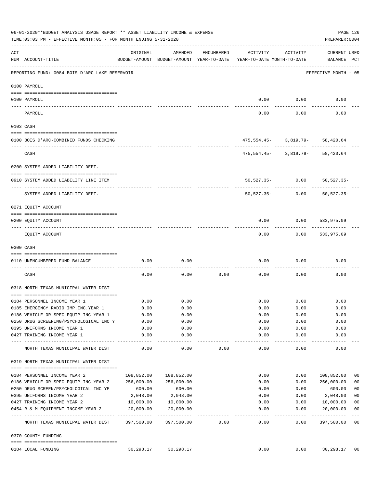|          | 06-01-2020**BUDGET ANALYSIS USAGE REPORT ** ASSET LIABILITY INCOME & EXPENSE<br>TIME:03:03 PM - EFFECTIVE MONTH:05 - FOR MONTH ENDING 5-31-2020 |                       |                                                     |            |                                        |                                     | PREPARER: 0004                     | PAGE 126                 |
|----------|-------------------------------------------------------------------------------------------------------------------------------------------------|-----------------------|-----------------------------------------------------|------------|----------------------------------------|-------------------------------------|------------------------------------|--------------------------|
| ACT      | NUM ACCOUNT-TITLE                                                                                                                               | ORIGINAL              | AMENDED<br>BUDGET-AMOUNT BUDGET-AMOUNT YEAR-TO-DATE | ENCUMBERED | ACTIVITY<br>YEAR-TO-DATE MONTH-TO-DATE | ACTIVITY                            | <b>CURRENT USED</b><br>BALANCE PCT |                          |
|          | REPORTING FUND: 0084 BOIS D'ARC LAKE RESERVOIR                                                                                                  |                       |                                                     |            |                                        |                                     | EFFECTIVE MONTH - 05               |                          |
|          | 0100 PAYROLL                                                                                                                                    |                       |                                                     |            |                                        |                                     |                                    |                          |
|          | 0100 PAYROLL                                                                                                                                    |                       |                                                     |            |                                        | $0.00$ $0.00$                       | 0.00                               |                          |
| ---- --- | PAYROLL                                                                                                                                         |                       |                                                     |            | 0.00                                   | 0.00                                | 0.00                               |                          |
|          | 0103 CASH                                                                                                                                       |                       |                                                     |            |                                        |                                     |                                    |                          |
|          | 0100 BOIS D'ARC-COMBINED FUNDS CHECKING                                                                                                         |                       |                                                     |            |                                        | $475,554.45 - 3,819.79 - 58,420.64$ |                                    |                          |
|          | CASH                                                                                                                                            |                       |                                                     |            |                                        | $475,554.45 - 3,819.79 - 58,420.64$ |                                    |                          |
|          | 0200 SYSTEM ADDED LIABILITY DEPT.                                                                                                               |                       |                                                     |            |                                        |                                     |                                    |                          |
|          | 0910 SYSTEM ADDED LIABILITY LINE ITEM                                                                                                           |                       |                                                     |            |                                        | 50,527.35- 0.00 50,527.35-          |                                    |                          |
|          | SYSTEM ADDED LIABILITY DEPT.                                                                                                                    |                       |                                                     |            | 50,527.35-                             | 0.00                                | $50, 527.35 -$                     |                          |
|          | 0271 EQUITY ACCOUNT                                                                                                                             |                       |                                                     |            |                                        |                                     |                                    |                          |
|          | 0200 EQUITY ACCOUNT                                                                                                                             |                       |                                                     |            | 0.00                                   | $0.00$ 533,975.09                   |                                    |                          |
|          | EQUITY ACCOUNT                                                                                                                                  |                       |                                                     |            | 0.00                                   |                                     | $0.00$ 533,975.09                  |                          |
|          | 0300 CASH                                                                                                                                       |                       |                                                     |            |                                        |                                     |                                    |                          |
|          | 0110 UNENCUMBERED FUND BALANCE                                                                                                                  | 0.00                  | 0.00                                                |            | 0.00                                   | 0.00                                | 0.00                               |                          |
|          | CASH                                                                                                                                            | 0.00                  | 0.00                                                | 0.00       | 0.00                                   | 0.00                                | 0.00                               |                          |
|          | 0318 NORTH TEXAS MUNICIPAL WATER DIST                                                                                                           |                       |                                                     |            |                                        |                                     |                                    |                          |
|          | 0184 PERSONNEL INCOME YEAR 1                                                                                                                    | 0.00                  | 0.00                                                |            |                                        | $0.00$ $0.00$                       | 0.00                               |                          |
|          | 0185 EMERGENCY RADIO IMP.INC.YEAR 1                                                                                                             | 0.00                  | 0.00                                                |            | 0.00                                   | 0.00                                | 0.00                               |                          |
|          | 0186 VEHICLE OR SPEC EQUIP INC YEAR 1                                                                                                           | 0.00                  | 0.00                                                |            | 0.00                                   | 0.00                                | 0.00                               |                          |
|          | 0250 DRUG SCREENING/PSYCHOLOGICAL INC Y                                                                                                         | 0.00                  | 0.00                                                |            | 0.00                                   | 0.00                                | 0.00                               |                          |
|          | 0395 UNIFORMS INCOME YEAR 1                                                                                                                     | 0.00                  | 0.00                                                |            | 0.00                                   | 0.00                                | 0.00                               |                          |
|          | 0427 TRAINING INCOME YEAR 1                                                                                                                     | 0.00<br>------------- | 0.00<br>$- - - - - - - - \end{array}$               |            | 0.00<br>$- - - - - -$                  | 0.00<br>-------                     | 0.00                               |                          |
|          | NORTH TEXAS MUNICIPAL WATER DIST                                                                                                                | 0.00                  | 0.00                                                | 0.00       | 0.00                                   | 0.00                                | 0.00                               |                          |
|          | 0319 NORTH TEXAS MUNICIPAL WATER DIST                                                                                                           |                       |                                                     |            |                                        |                                     |                                    |                          |
|          | 0184 PERSONNEL INCOME YEAR 2                                                                                                                    | 108,852.00            | 108,852.00                                          |            | 0.00                                   | 0.00                                | 108,852.00                         | 00                       |
|          | 0186 VEHICLE OR SPEC EQUIP INC YEAR 2                                                                                                           | 256,000.00            | 256,000.00                                          |            | 0.00                                   | 0.00                                | 256,000.00                         | 0 <sub>0</sub>           |
|          | 0250 DRUG SCREEN/PSYCHOLOGICAL INC YE                                                                                                           | 600.00                | 600.00                                              |            | 0.00                                   | 0.00                                | 600.00                             | 0 <sub>0</sub>           |
|          | 0395 UNIFORMS INCOME YEAR 2                                                                                                                     | 2,048.00              | 2,048.00                                            |            | 0.00                                   | 0.00                                | 2,048.00                           | 0 <sub>0</sub>           |
|          | 0427 TRAINING INCOME YEAR 2                                                                                                                     | 10,000.00             | 10,000.00                                           |            | 0.00                                   | 0.00                                | 10,000.00                          | 0 <sub>0</sub>           |
|          | 0454 R & M EQUIPMENT INCOME YEAR 2                                                                                                              | 20,000.00             | 20,000.00                                           |            | 0.00                                   | 0.00                                | 20,000.00                          | 0 <sub>0</sub>           |
|          | NORTH TEXAS MUNICIPAL WATER DIST 397,500.00 397,500.00                                                                                          |                       |                                                     | 0.00       | $- - - - -$<br>0.00                    | -------<br>0.00                     | ----------<br>397,500.00           | $---$<br>$\overline{00}$ |
|          | 0370 COUNTY FUNDING                                                                                                                             |                       |                                                     |            |                                        |                                     |                                    |                          |
|          | 0184 LOCAL FUNDING                                                                                                                              | 30,298.17             | 30,298.17                                           |            | 0.00                                   | 0.00                                | 30,298.17                          | 00                       |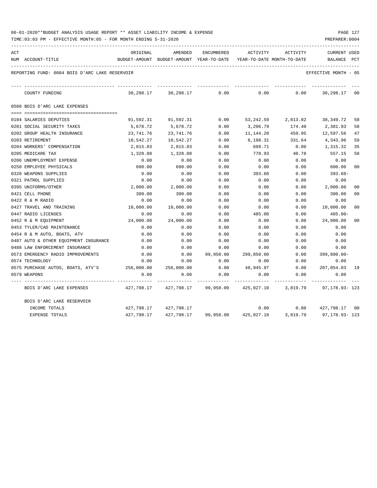| 06-01-2020**BUDGET ANALYSIS USAGE REPORT ** ASSET LIABILITY INCOME & EXPENSE |  |  |  | PAGE 127 |  |
|------------------------------------------------------------------------------|--|--|--|----------|--|
|                                                                              |  |  |  |          |  |

| ACT | NUM ACCOUNT-TITLE                              | ORIGINAL   | AMENDED<br>BUDGET-AMOUNT BUDGET-AMOUNT YEAR-TO-DATE | ENCUMBERED | ACTIVITY<br>YEAR-TO-DATE MONTH-TO-DATE | ACTIVITY | <b>CURRENT USED</b><br>BALANCE                                                 | $_{\rm PCT}$   |
|-----|------------------------------------------------|------------|-----------------------------------------------------|------------|----------------------------------------|----------|--------------------------------------------------------------------------------|----------------|
|     |                                                |            |                                                     |            |                                        |          |                                                                                |                |
|     | REPORTING FUND: 0084 BOIS D'ARC LAKE RESERVOIR |            |                                                     |            |                                        |          | EFFECTIVE MONTH - 05                                                           |                |
|     | COUNTY FUNDING                                 |            | 30,298.17 30,298.17 0.00                            |            | 0.00                                   |          | $0.00$ 30,298.17 00                                                            |                |
|     | 0560 BOIS D'ARC LAKE EXPENSES                  |            |                                                     |            |                                        |          |                                                                                |                |
|     |                                                |            |                                                     |            |                                        |          |                                                                                |                |
|     | 0104 SALARIES DEPUTIES                         | 91,592.31  | 91,592.31                                           | 0.00       |                                        |          | 53, 242.59 2, 813.02 38, 349.72                                                | 58             |
|     | 0201 SOCIAL SECURITY TAXES                     | 5,678.72   | 5,678.72                                            | 0.00       | 3,296.79                               | 174.40   | 2,381.93                                                                       | 58             |
|     | 0202 GROUP HEALTH INSURANCE                    | 23,741.76  | 23,741.76                                           | 0.00       | 11,144.20                              | 459.95   | 12,597.56                                                                      | 47             |
|     | 0203 RETIREMENT                                | 10,542.27  | 10,542.27                                           | 0.00       | 6,198.31                               | 331.64   | 4,343.96                                                                       | 59             |
|     | 0204 WORKERS' COMPENSATION                     | 2,015.03   | 2,015.03                                            | 0.00       | 699.71                                 | 0.00     | 1,315.32                                                                       | 35             |
|     | 0205 MEDICARE TAX                              | 1,328.08   | 1,328.08                                            | 0.00       | 770.93                                 | 40.78    | 557.15                                                                         | 58             |
|     | 0206 UNEMPLOYMENT EXPENSE                      | 0.00       | 0.00                                                | 0.00       | 0.00                                   | 0.00     | 0.00                                                                           |                |
|     | 0250 EMPLOYEE PHYSICALS                        | 600.00     | 600.00                                              | 0.00       | 0.00                                   | 0.00     | 600.00                                                                         | 00             |
|     | 0320 WEAPONS SUPPLIES                          | 0.00       | 0.00                                                | 0.00       | 393.60                                 | 0.00     | 393.60-                                                                        |                |
|     | 0321 PATROL SUPPLIES                           | 0.00       | 0.00                                                | 0.00       | 0.00                                   | 0.00     | 0.00                                                                           |                |
|     | 0395 UNIFORMS/OTHER                            | 2,000.00   | 2,000.00                                            | 0.00       | 0.00                                   | 0.00     | 2,000.00                                                                       | 0 <sup>0</sup> |
|     | 0421 CELL PHONE                                | 300.00     | 300.00                                              | 0.00       | 0.00                                   | 0.00     | 300.00                                                                         | 00             |
|     | 0422 R & M RADIO                               | 0.00       | 0.00                                                | 0.00       | 0.00                                   | 0.00     | 0.00                                                                           |                |
|     | 0427 TRAVEL AND TRAINING                       | 10,000.00  | 10,000.00                                           | 0.00       | 0.00                                   | 0.00     | 10,000.00                                                                      | 0 <sup>0</sup> |
|     | 0447 RADIO LICENSES                            | 0.00       | 0.00                                                | 0.00       | 485.00                                 | 0.00     | 485.00-                                                                        |                |
|     | 0452 R & M EQUIPMENT                           | 24,000.00  | 24,000.00                                           | 0.00       | 0.00                                   | 0.00     | 24,000.00                                                                      | 00             |
|     | 0453 TYLER/CAD MAINTENANCE                     | 0.00       | 0.00                                                | 0.00       | 0.00                                   | 0.00     | 0.00                                                                           |                |
|     | 0454 R & M AUTO, BOATS, ATV                    | 0.00       | 0.00                                                | 0.00       | 0.00                                   | 0.00     | 0.00                                                                           |                |
|     | 0487 AUTO & OTHER EQUIPMENT INSURANCE          | 0.00       | 0.00                                                | 0.00       | 0.00                                   | 0.00     | 0.00                                                                           |                |
|     | 0488 LAW ENFORCEMENT INSURANCE                 | 0.00       | 0.00                                                | 0.00       | 0.00                                   | 0.00     | 0.00                                                                           |                |
|     | 0573 EMERGENCY RADIO IMPROVEMENTS              | 0.00       | 0.00                                                | 99,950.00  | 299,850.00                             | 0.00     | $399,800.00 -$                                                                 |                |
|     | 0574 TECHNOLOGY                                | 0.00       | 0.00                                                | 0.00       | 0.00                                   | 0.00     | 0.00                                                                           |                |
|     | 0575 PURCHASE AUTOS, BOATS, ATV'S              | 256,000.00 | 256,000.00                                          | 0.00       | 48,945.97                              | 0.00     | 207,054.03 19                                                                  |                |
|     | 0579 WEAPONS                                   | 0.00       | 0.00                                                | 0.00       | 0.00                                   | 0.00     | 0.00                                                                           |                |
|     | BOIS D'ARC LAKE EXPENSES                       |            |                                                     |            |                                        |          | 427,798.17   427,798.17   99,950.00   425,027.10    3,819.79    97,178.93- 123 |                |
|     | BOIS D'ARC LAKE RESERVOIR                      |            |                                                     |            |                                        |          |                                                                                |                |
|     | INCOME TOTALS                                  |            | 427,798.17 427,798.17                               |            | 0.00                                   |          | $0.00$ $427,798.17$ 00                                                         |                |
|     | <b>EXPENSE TOTALS</b>                          |            |                                                     |            |                                        |          | 427,798.17  427,798.17  99,950.00  425,027.10  3,819.79  97,178.93-123         |                |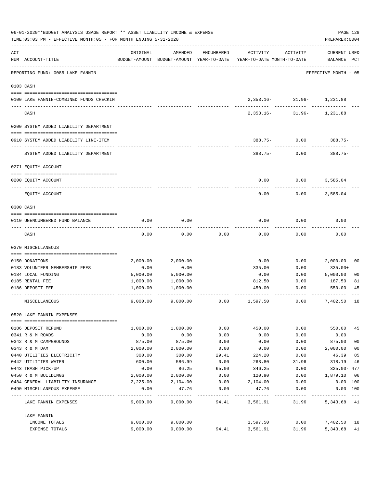|     | 06-01-2020**BUDGET ANALYSIS USAGE REPORT ** ASSET LIABILITY INCOME & EXPENSE<br>TIME: 03:03 PM - EFFECTIVE MONTH: 05 - FOR MONTH ENDING 5-31-2020 |          |          |            |                                                                                 |                                           | PREPARER: 0004                     | PAGE 128       |
|-----|---------------------------------------------------------------------------------------------------------------------------------------------------|----------|----------|------------|---------------------------------------------------------------------------------|-------------------------------------------|------------------------------------|----------------|
| ACT | NUM ACCOUNT-TITLE                                                                                                                                 | ORIGINAL | AMENDED  | ENCUMBERED | ACTIVITY<br>BUDGET-AMOUNT BUDGET-AMOUNT YEAR-TO-DATE YEAR-TO-DATE MONTH-TO-DATE | ACTIVITY                                  | <b>CURRENT USED</b><br>BALANCE PCT |                |
|     | REPORTING FUND: 0085 LAKE FANNIN                                                                                                                  |          |          |            |                                                                                 |                                           | EFFECTIVE MONTH - 05               |                |
|     | 0103 CASH                                                                                                                                         |          |          |            |                                                                                 |                                           |                                    |                |
|     | 0100 LAKE FANNIN-COMBINED FUNDS CHECKIN                                                                                                           |          |          |            |                                                                                 | 2,353.16- 31.96- 1,231.88<br>------------ |                                    |                |
|     | CASH                                                                                                                                              |          |          |            |                                                                                 | 2,353.16- 31.96- 1,231.88                 |                                    |                |
|     | 0200 SYSTEM ADDED LIABILITY DEPARTMENT                                                                                                            |          |          |            |                                                                                 |                                           |                                    |                |
|     | 0910 SYSTEM ADDED LIABILITY LINE-ITEM                                                                                                             |          |          |            |                                                                                 | 388.75- 0.00 388.75-                      |                                    |                |
|     | SYSTEM ADDED LIABILITY DEPARTMENT                                                                                                                 |          |          |            | $388.75 - 0.00$                                                                 |                                           | $388.75-$                          |                |
|     | 0271 EQUITY ACCOUNT                                                                                                                               |          |          |            |                                                                                 |                                           |                                    |                |
|     | 0200 EQUITY ACCOUNT                                                                                                                               |          |          |            | 0.00                                                                            | 0.00                                      | 3,585.04                           |                |
|     | EQUITY ACCOUNT                                                                                                                                    |          |          |            | 0.00                                                                            | 0.00                                      | 3,585.04                           |                |
|     | 0300 CASH                                                                                                                                         |          |          |            |                                                                                 |                                           |                                    |                |
|     | 0110 UNENCUMBERED FUND BALANCE                                                                                                                    | 0.00     | 0.00     |            | 0.00                                                                            | 0.00                                      | 0.00                               |                |
|     | CASH                                                                                                                                              | 0.00     | 0.00     | 0.00       | 0.00                                                                            | 0.00                                      | 0.00                               |                |
|     | 0370 MISCELLANEOUS                                                                                                                                |          |          |            |                                                                                 |                                           |                                    |                |
|     | 0150 DONATIONS                                                                                                                                    | 2,000.00 | 2,000.00 |            | 0.00                                                                            | 0.00                                      | 2,000.00                           | 00             |
|     | 0183 VOLUNTEER MEMBERSHIP FEES                                                                                                                    | 0.00     | 0.00     |            | 335.00                                                                          | 0.00                                      | 335.00+                            |                |
|     | 0184 LOCAL FUNDING                                                                                                                                | 5,000.00 | 5,000.00 |            | 0.00                                                                            | 0.00                                      | 5,000.00                           | 0 <sub>0</sub> |
|     | 0185 RENTAL FEE                                                                                                                                   | 1,000.00 | 1,000.00 |            | 812.50                                                                          | 0.00                                      | 187.50                             | 81             |
|     | 0186 DEPOSIT FEE                                                                                                                                  | 1,000.00 | 1,000.00 |            | 450.00                                                                          | 0.00                                      | 550.00                             | 45             |
|     | MISCELLANEOUS                                                                                                                                     | 9,000.00 | 9,000.00 | 0.00       | 1,597.50                                                                        | 0.00                                      | 7,402.50                           | 18             |
|     | 0520 LAKE FANNIN EXPENSES                                                                                                                         |          |          |            |                                                                                 |                                           |                                    |                |
|     | 0186 DEPOSIT REFUND                                                                                                                               | 1,000.00 | 1,000.00 | 0.00       | 450.00                                                                          | 0.00                                      | 550.00                             | 45             |
|     | 0341 R & M ROADS                                                                                                                                  | 0.00     | 0.00     | 0.00       | 0.00                                                                            | 0.00                                      | 0.00                               |                |
|     | 0342 R & M CAMPGROUNDS                                                                                                                            | 875.00   | 875.00   | 0.00       | 0.00                                                                            | 0.00                                      | 875.00                             | 0 <sub>0</sub> |
|     | 0343 R & M DAM                                                                                                                                    | 2,000.00 | 2,000.00 | 0.00       | 0.00                                                                            | 0.00                                      | 2,000.00                           | 0 <sub>0</sub> |
|     | 0440 UTILITIES ELECTRICITY                                                                                                                        | 300.00   | 300.00   | 29.41      | 224.20                                                                          | 0.00                                      | 46.39                              | 85             |
|     | 0442 UTILITIES WATER                                                                                                                              | 600.00   | 586.99   | 0.00       | 268.80                                                                          | 31.96                                     | 318.19                             | 46             |
|     | 0443 TRASH PICK-UP                                                                                                                                | 0.00     | 86.25    | 65.00      | 346.25                                                                          | 0.00                                      | 325.00- 477                        |                |
|     | 0450 R & M BUILDINGS                                                                                                                              | 2,000.00 | 2,000.00 | 0.00       | 120.90                                                                          | 0.00                                      | 1,879.10                           | 06             |
|     | 0484 GENERAL LIABILITY INSURANCE                                                                                                                  | 2,225.00 | 2,104.00 | 0.00       | 2,104.00                                                                        | 0.00                                      | 0.00 100                           |                |
|     | 0490 MISCELLANEOUS EXPENSE                                                                                                                        | 0.00     | 47.76    | 0.00       | 47.76                                                                           | 0.00                                      | 0.00 100                           |                |
|     | LAKE FANNIN EXPENSES                                                                                                                              | 9,000.00 | 9,000.00 | 94.41      | 3,561.91                                                                        | 31.96                                     | 5,343.68 41                        |                |
|     | LAKE FANNIN                                                                                                                                       |          |          |            |                                                                                 |                                           |                                    |                |
|     | INCOME TOTALS                                                                                                                                     | 9,000.00 | 9,000.00 |            | 1,597.50                                                                        | 0.00                                      | 7,402.50 18                        |                |
|     | EXPENSE TOTALS                                                                                                                                    | 9,000.00 | 9,000.00 | 94.41      | 3,561.91                                                                        | 31.96                                     | 5,343.68                           | 41             |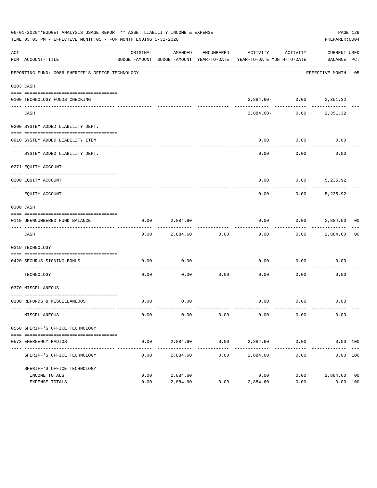|           | 06-01-2020**BUDGET ANALYSIS USAGE REPORT ** ASSET LIABILITY INCOME & EXPENSE<br>TIME:03:03 PM - EFFECTIVE MONTH:05 - FOR MONTH ENDING 5-31-2020 |              |                        |                      |                                                                                 |                             | PAGE 129<br>PREPARER: 0004  |  |
|-----------|-------------------------------------------------------------------------------------------------------------------------------------------------|--------------|------------------------|----------------------|---------------------------------------------------------------------------------|-----------------------------|-----------------------------|--|
| ACT       | NUM ACCOUNT-TITLE                                                                                                                               | ORIGINAL     | AMENDED                | ENCUMBERED           | ACTIVITY<br>BUDGET-AMOUNT BUDGET-AMOUNT YEAR-TO-DATE YEAR-TO-DATE MONTH-TO-DATE | ACTIVITY                    | CURRENT USED<br>BALANCE PCT |  |
|           | REPORTING FUND: 0086 SHERIFF'S OFFICE TECHNOLOGY                                                                                                |              |                        |                      |                                                                                 |                             | EFFECTIVE MONTH - 05        |  |
| 0103 CASH |                                                                                                                                                 |              |                        |                      |                                                                                 |                             |                             |  |
|           | 0100 TECHNOLOGY FUNDS CHECKING                                                                                                                  |              |                        |                      |                                                                                 | $2,884.60 - 0.00 2,351.32$  |                             |  |
|           | CASH                                                                                                                                            |              |                        |                      | 2,884.60-                                                                       |                             | $0.00$ 2,351.32             |  |
|           | 0200 SYSTEM ADDED LIABILITY DEPT.                                                                                                               |              |                        |                      |                                                                                 |                             |                             |  |
|           | 0910 SYSTEM ADDED LIABILITY ITEM                                                                                                                |              |                        |                      | 0.00                                                                            | 0.00                        | 0.00                        |  |
|           | SYSTEM ADDED LIABILITY DEPT.                                                                                                                    |              |                        |                      | 0.00                                                                            | 0.00                        | 0.00                        |  |
|           | 0271 EQUITY ACCOUNT                                                                                                                             |              |                        |                      |                                                                                 |                             |                             |  |
|           | 0200 EQUITY ACCOUNT                                                                                                                             |              |                        |                      | 0.00                                                                            | $0.00$ 5, 235.92            |                             |  |
|           | EOUITY ACCOUNT                                                                                                                                  |              |                        |                      | -----<br>0.00                                                                   |                             | $0.00$ 5,235.92             |  |
| 0300 CASH |                                                                                                                                                 |              |                        |                      |                                                                                 |                             |                             |  |
|           | 0110 UNENCUMBERED FUND BALANCE                                                                                                                  | 0.00         | 2,884.60               |                      | 0.00                                                                            | $0.00$ 2,884.60 00          |                             |  |
|           | CASH                                                                                                                                            | 0.00         |                        | 2,884.60 0.00        | 0.00                                                                            |                             | $0.00$ 2,884.60 00          |  |
|           | 0319 TECHNOLOGY                                                                                                                                 |              |                        |                      |                                                                                 |                             |                             |  |
|           | 0420 SECURUS SIGNING BONUS                                                                                                                      | 0.00         | 0.00                   |                      | 0.00                                                                            | $0.00$ 0.00                 |                             |  |
|           | TECHNOLOGY                                                                                                                                      | 0.00         | 0.00                   | 0.00                 | _____________________________<br>0.00                                           | 0.00                        | 0.00                        |  |
|           | 0370 MISCELLANEOUS                                                                                                                              |              |                        |                      |                                                                                 |                             |                             |  |
|           | 0130 REFUNDS & MISCELLANEOUS                                                                                                                    | 0.00         | 0.00                   |                      |                                                                                 | $0.00$ $0.00$ $0.00$ $0.00$ |                             |  |
|           | MISCELLANEOUS                                                                                                                                   | 0.00         | 0.00                   | 0.00                 | 0.00                                                                            | 0.00                        | 0.00                        |  |
|           | 0560 SHERIFF'S OFFICE TECHNOLOGY                                                                                                                |              |                        |                      |                                                                                 |                             |                             |  |
|           | 0573 EMERGENCY RADIOS                                                                                                                           | 0.00         | 2,884.60<br>---------- | 0.00<br>------------ | ------------- ------------                                                      | 2,884.60 0.00               | 0.00 100<br>. <u>.</u>      |  |
|           | SHERIFF'S OFFICE TECHNOLOGY                                                                                                                     | 0.00         | 2,884.60               | 0.00                 | 2,884.60                                                                        | 0.00                        | 0.00 100                    |  |
|           | SHERIFF'S OFFICE TECHNOLOGY                                                                                                                     |              |                        |                      |                                                                                 |                             |                             |  |
|           | INCOME TOTALS<br>EXPENSE TOTALS                                                                                                                 | 0.00<br>0.00 | 2,884.60<br>2,884.60   | 0.00                 | 0.00<br>2,884.60                                                                | 0.00<br>0.00                | 2,884.60 00<br>0.00 100     |  |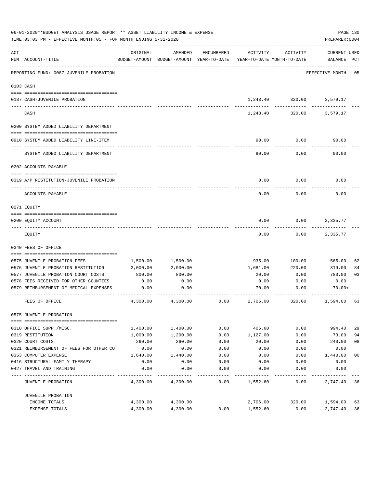|     | 06-01-2020**BUDGET ANALYSIS USAGE REPORT ** ASSET LIABILITY INCOME & EXPENSE<br>TIME: 03:03 PM - EFFECTIVE MONTH: 05 - FOR MONTH ENDING 5-31-2020 |          |                                                     |            |                                        |          | PAGE 130<br>PREPARER: 0004         |                |
|-----|---------------------------------------------------------------------------------------------------------------------------------------------------|----------|-----------------------------------------------------|------------|----------------------------------------|----------|------------------------------------|----------------|
| ACT | NUM ACCOUNT-TITLE                                                                                                                                 | ORIGINAL | AMENDED<br>BUDGET-AMOUNT BUDGET-AMOUNT YEAR-TO-DATE | ENCUMBERED | ACTIVITY<br>YEAR-TO-DATE MONTH-TO-DATE | ACTIVITY | <b>CURRENT USED</b><br>BALANCE PCT |                |
|     | REPORTING FUND: 0087 JUVENILE PROBATION                                                                                                           |          |                                                     |            |                                        |          | EFFECTIVE MONTH - 05               |                |
|     | 0103 CASH                                                                                                                                         |          |                                                     |            |                                        |          |                                    |                |
|     |                                                                                                                                                   |          |                                                     |            |                                        |          |                                    |                |
|     | 0187 CASH-JUVENILE PROBATION                                                                                                                      |          |                                                     |            |                                        |          | 1,243.40 320.00 3,579.17           |                |
|     | CASH                                                                                                                                              |          |                                                     |            | 1,243.40                               | 320.00   | 3,579.17                           |                |
|     | 0200 SYSTEM ADDED LIABILITY DEPARTMENT                                                                                                            |          |                                                     |            |                                        |          |                                    |                |
|     |                                                                                                                                                   |          |                                                     |            |                                        |          |                                    |                |
|     | 0910 SYSTEM ADDED LIABILITY LINE-ITEM                                                                                                             |          |                                                     |            | 90.00                                  | 0.00     | 90.00                              |                |
|     | SYSTEM ADDED LIABILITY DEPARTMENT                                                                                                                 |          |                                                     |            | 90.00                                  | 0.00     | 90.00                              |                |
|     | 0202 ACCOUNTS PAYABLE                                                                                                                             |          |                                                     |            |                                        |          |                                    |                |
|     |                                                                                                                                                   |          |                                                     |            |                                        |          |                                    |                |
|     | 0319 A/P RESTITUTION-JUVENILE PROBATION                                                                                                           |          |                                                     |            | 0.00                                   | 0.00     | 0.00                               |                |
|     | ACCOUNTS PAYABLE                                                                                                                                  |          |                                                     |            | 0.00                                   | 0.00     | 0.00                               |                |
|     | 0271 EQUITY                                                                                                                                       |          |                                                     |            |                                        |          |                                    |                |
|     |                                                                                                                                                   |          |                                                     |            |                                        |          |                                    |                |
|     | 0200 EQUITY ACCOUNT                                                                                                                               |          |                                                     |            | 0.00                                   | 0.00     | 2,335.77                           |                |
|     | EQUITY                                                                                                                                            |          |                                                     |            | 0.00                                   | 0.00     | 2,335.77                           |                |
|     | 0340 FEES OF OFFICE                                                                                                                               |          |                                                     |            |                                        |          |                                    |                |
|     |                                                                                                                                                   |          |                                                     |            |                                        |          |                                    |                |
|     | 0575 JUVENILE PROBATION FEES                                                                                                                      | 1,500.00 | 1,500.00                                            |            | 935.00                                 | 100.00   | 565.00                             | 62             |
|     | 0576 JUVENILE PROBATION RESTITUTION                                                                                                               | 2,000.00 | 2,000.00                                            |            | 1,681.00                               | 220.00   | 319.00                             | 84             |
|     | 0577 JUVENILE PROBATION COURT COSTS                                                                                                               | 800.00   | 800.00                                              |            | 20.00                                  | 0.00     | 780.00                             | 03             |
|     | 0578 FEES RECEIVED FOR OTHER COUNTIES                                                                                                             | 0.00     | 0.00                                                |            | 0.00                                   | 0.00     | 0.00                               |                |
|     | 0579 REIMBURSEMENT OF MEDICAL EXPENSES                                                                                                            | 0.00     | 0.00                                                |            | 70.00                                  | 0.00     | $70.00+$                           |                |
|     | FEES OF OFFICE                                                                                                                                    | 4,300.00 | 4,300.00                                            | 0.00       | 2,706.00                               | 320.00   | 1,594.00                           | 63             |
|     | 0575 JUVENILE PROBATION                                                                                                                           |          |                                                     |            |                                        |          |                                    |                |
|     |                                                                                                                                                   |          |                                                     |            |                                        |          |                                    |                |
|     | 0310 OFFICE SUPP./MISC.                                                                                                                           | 1,400.00 | 1,400.00                                            | 0.00       | 405.60                                 | 0.00     | 994.40                             | 29             |
|     | 0319 RESTITUTION                                                                                                                                  | 1,000.00 | 1,200.00                                            | 0.00       | 1,127.00                               | 0.00     | 73.00                              | 94             |
|     | 0320 COURT COSTS                                                                                                                                  | 260.00   | 260.00                                              | 0.00       | 20.00                                  | 0.00     | 240.00                             | 08             |
|     | 0321 REIMBURSEMENT OF FEES FOR OTHER CO                                                                                                           | 0.00     | 0.00                                                | 0.00       | 0.00                                   | 0.00     | 0.00                               |                |
|     | 0353 COMPUTER EXPENSE                                                                                                                             | 1,640.00 | 1,440.00                                            | 0.00       | 0.00                                   | 0.00     | 1,440.00                           | 0 <sub>0</sub> |
|     | 0416 STRUCTURAL FAMILY THERAPY                                                                                                                    | 0.00     | 0.00                                                | 0.00       | 0.00                                   | 0.00     | 0.00                               |                |
|     | 0427 TRAVEL AND TRAINING                                                                                                                          | 0.00     | 0.00                                                | 0.00       | 0.00                                   | 0.00     | 0.00                               |                |
|     | <b>JUVENILE PROBATION</b>                                                                                                                         | 4,300.00 | 4,300.00                                            | 0.00       | 1,552.60                               | 0.00     | 2,747.40                           | 36             |
|     | JUVENILE PROBATION                                                                                                                                |          |                                                     |            |                                        |          |                                    |                |
|     | INCOME TOTALS                                                                                                                                     | 4,300.00 | 4,300.00                                            |            | 2,706.00                               | 320.00   | 1,594.00                           | 63             |
|     | EXPENSE TOTALS                                                                                                                                    | 4,300.00 | 4,300.00                                            | 0.00       | 1,552.60                               | 0.00     | 2,747.40                           | 36             |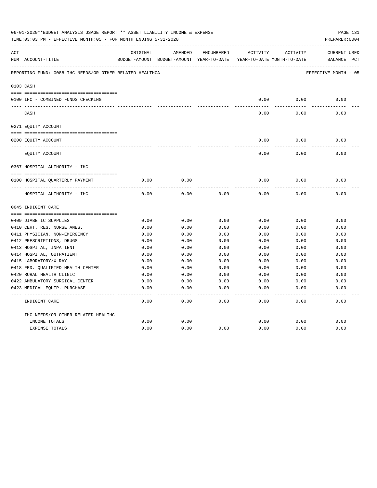| 06-01-2020**BUDGET ANALYSIS USAGE REPORT ** ASSET LIABILITY INCOME & EXPENSE<br>PAGE 131<br>TIME: 03:03 PM - EFFECTIVE MONTH: 05 - FOR MONTH ENDING 5-31-2020<br>PREPARER: 0004 |                                                                |          |                                                     |            |          |                                        |                                    |  |
|---------------------------------------------------------------------------------------------------------------------------------------------------------------------------------|----------------------------------------------------------------|----------|-----------------------------------------------------|------------|----------|----------------------------------------|------------------------------------|--|
| ACT                                                                                                                                                                             | NUM ACCOUNT-TITLE                                              | ORIGINAL | AMENDED<br>BUDGET-AMOUNT BUDGET-AMOUNT YEAR-TO-DATE | ENCUMBERED | ACTIVITY | ACTIVITY<br>YEAR-TO-DATE MONTH-TO-DATE | <b>CURRENT USED</b><br>BALANCE PCT |  |
|                                                                                                                                                                                 | REPORTING FUND: 0088 IHC NEEDS/OR OTHER RELATED HEALTHCA       |          |                                                     |            |          |                                        | EFFECTIVE MONTH - 05               |  |
|                                                                                                                                                                                 | 0103 CASH                                                      |          |                                                     |            |          |                                        |                                    |  |
|                                                                                                                                                                                 | 0100 IHC - COMBINED FUNDS CHECKING                             |          |                                                     |            | 0.00     | 0.00                                   | 0.00                               |  |
|                                                                                                                                                                                 | CASH                                                           |          |                                                     |            | 0.00     | 0.00                                   | 0.00                               |  |
|                                                                                                                                                                                 | 0271 EQUITY ACCOUNT                                            |          |                                                     |            |          |                                        |                                    |  |
|                                                                                                                                                                                 |                                                                |          |                                                     |            |          |                                        |                                    |  |
|                                                                                                                                                                                 | 0200 EQUITY ACCOUNT                                            |          |                                                     |            | 0.00     | 0.00                                   | 0.00                               |  |
|                                                                                                                                                                                 | EQUITY ACCOUNT                                                 |          |                                                     |            | 0.00     | 0.00                                   | 0.00                               |  |
|                                                                                                                                                                                 | 0367 HOSPITAL AUTHORITY - IHC                                  |          |                                                     |            |          |                                        |                                    |  |
|                                                                                                                                                                                 |                                                                |          |                                                     |            |          |                                        |                                    |  |
|                                                                                                                                                                                 | 0100 HOSPITAL QUARTERLY PAYMENT                                | 0.00     | 0.00                                                |            | 0.00     | 0.00                                   | 0.00                               |  |
|                                                                                                                                                                                 | ----------------------------------<br>HOSPITAL AUTHORITY - IHC | 0.00     | 0.00                                                | 0.00       | 0.00     | 0.00                                   | 0.00                               |  |
|                                                                                                                                                                                 | 0645 INDIGENT CARE                                             |          |                                                     |            |          |                                        |                                    |  |
|                                                                                                                                                                                 |                                                                |          |                                                     |            |          |                                        |                                    |  |
|                                                                                                                                                                                 | 0409 DIABETIC SUPPLIES                                         | 0.00     | 0.00                                                | 0.00       | 0.00     | 0.00                                   | 0.00                               |  |
|                                                                                                                                                                                 | 0410 CERT. REG. NURSE ANES.                                    | 0.00     | 0.00                                                | 0.00       | 0.00     | 0.00                                   | 0.00                               |  |
|                                                                                                                                                                                 | 0411 PHYSICIAN, NON-EMERGENCY                                  | 0.00     | 0.00                                                | 0.00       | 0.00     | 0.00                                   | 0.00                               |  |
|                                                                                                                                                                                 | 0412 PRESCRIPTIONS, DRUGS                                      | 0.00     | 0.00                                                | 0.00       | 0.00     | 0.00                                   | 0.00                               |  |
|                                                                                                                                                                                 | 0413 HOSPITAL, INPATIENT                                       | 0.00     | 0.00                                                | 0.00       | 0.00     | 0.00                                   | 0.00                               |  |
|                                                                                                                                                                                 | 0414 HOSPITAL, OUTPATIENT                                      | 0.00     | 0.00                                                | 0.00       | 0.00     | 0.00                                   | 0.00                               |  |
|                                                                                                                                                                                 | 0415 LABORATORY/X-RAY                                          | 0.00     | 0.00                                                | 0.00       | 0.00     | 0.00                                   | 0.00                               |  |
|                                                                                                                                                                                 | 0418 FED. QUALIFIED HEALTH CENTER                              | 0.00     | 0.00                                                | 0.00       | 0.00     | 0.00                                   | 0.00                               |  |
|                                                                                                                                                                                 | 0420 RURAL HEALTH CLINIC                                       | 0.00     | 0.00                                                | 0.00       | 0.00     | 0.00                                   | 0.00                               |  |
|                                                                                                                                                                                 | 0422 AMBULATORY SURGICAL CENTER                                | 0.00     | 0.00                                                | 0.00       | 0.00     | 0.00                                   | 0.00                               |  |
|                                                                                                                                                                                 | 0423 MEDICAL EQUIP. PURCHASE                                   | 0.00     | 0.00                                                | 0.00       | 0.00     | 0.00                                   | 0.00                               |  |
|                                                                                                                                                                                 | INDIGENT CARE                                                  | 0.00     | 0.00                                                | 0.00       | 0.00     | 0.00                                   | -----<br>0.00                      |  |
|                                                                                                                                                                                 | IHC NEEDS/OR OTHER RELATED HEALTHC                             |          |                                                     |            |          |                                        |                                    |  |
|                                                                                                                                                                                 | INCOME TOTALS                                                  | 0.00     | 0.00                                                |            | 0.00     | 0.00                                   | 0.00                               |  |
|                                                                                                                                                                                 | <b>EXPENSE TOTALS</b>                                          | 0.00     | 0.00                                                | 0.00       | 0.00     | 0.00                                   | 0.00                               |  |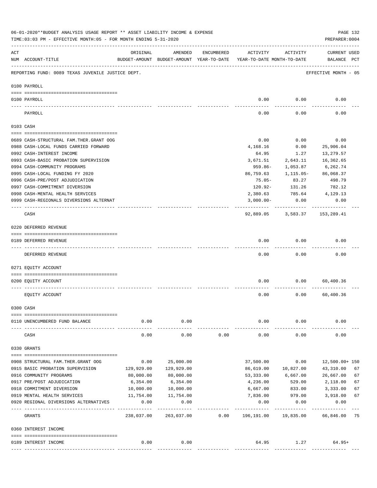|     | 06-01-2020**BUDGET ANALYSIS USAGE REPORT ** ASSET LIABILITY INCOME & EXPENSE<br>TIME: 03:03 PM - EFFECTIVE MONTH: 05 - FOR MONTH ENDING 5-31-2020 |                           |                                                     |            |                                        |                         | PREPARER: 0004                | PAGE 132 |
|-----|---------------------------------------------------------------------------------------------------------------------------------------------------|---------------------------|-----------------------------------------------------|------------|----------------------------------------|-------------------------|-------------------------------|----------|
| ACT | NUM ACCOUNT-TITLE                                                                                                                                 | ORIGINAL                  | AMENDED<br>BUDGET-AMOUNT BUDGET-AMOUNT YEAR-TO-DATE | ENCUMBERED | ACTIVITY<br>YEAR-TO-DATE MONTH-TO-DATE | ACTIVITY                | CURRENT USED<br>BALANCE PCT   |          |
|     | REPORTING FUND: 0089 TEXAS JUVENILE JUSTICE DEPT.                                                                                                 |                           |                                                     |            |                                        |                         | EFFECTIVE MONTH - 05          |          |
|     | 0100 PAYROLL                                                                                                                                      |                           |                                                     |            |                                        |                         |                               |          |
|     | 0100 PAYROLL                                                                                                                                      |                           |                                                     |            | 0.00                                   | 0.00                    | 0.00                          |          |
|     | PAYROLL                                                                                                                                           |                           |                                                     |            | 0.00                                   | 0.00                    | 0.00                          |          |
|     | 0103 CASH                                                                                                                                         |                           |                                                     |            |                                        |                         |                               |          |
|     | 0689 CASH-STRUCTURAL FAM.THER.GRANT OOG                                                                                                           |                           |                                                     |            | 0.00                                   | 0.00                    | 0.00                          |          |
|     | 0988 CASH-LOCAL FUNDS CARRIED FORWARD                                                                                                             |                           |                                                     |            | 4,168.16                               | 0.00                    | 25,906.04                     |          |
|     | 0992 CASH-INTEREST INCOME                                                                                                                         |                           |                                                     |            | 64.95                                  | 1.27                    | 13,279.57                     |          |
|     | 0993 CASH-BASIC PROBATION SUPERVISION                                                                                                             |                           |                                                     |            | 3,671.51                               | 2,643.11                | 16,362.65                     |          |
|     | 0994 CASH-COMMUNITY PROGRAMS                                                                                                                      |                           |                                                     |            | $959.86 -$                             | 1,053.87                | 6,262.74                      |          |
|     | 0995 CASH-LOCAL FUNDING FY 2020                                                                                                                   |                           |                                                     |            | 86,759.63                              | 1,115.05-               | 86,068.37                     |          |
|     | 0996 CASH-PRE/POST ADJUDICATION                                                                                                                   |                           |                                                     |            | 75.05-                                 | 83.27                   | 498.79                        |          |
|     | 0997 CASH-COMMITMENT DIVERSION                                                                                                                    |                           |                                                     |            | 120.92-                                | 131.26                  | 782.12                        |          |
|     | 0998 CASH-MENTAL HEALTH SERVICES                                                                                                                  |                           |                                                     |            | 2,380.63                               |                         | 785.64 4,129.13               |          |
|     | 0999 CASH-REGIONALS DIVERSIONS ALTERNAT                                                                                                           |                           |                                                     |            | $3,000.00 -$                           | 0.00                    | 0.00                          |          |
|     | CASH                                                                                                                                              |                           |                                                     |            |                                        |                         | 92,889.05 3,583.37 153,289.41 |          |
|     | 0220 DEFERRED REVENUE                                                                                                                             |                           |                                                     |            |                                        |                         |                               |          |
|     | 0189 DEFERRED REVENUE                                                                                                                             |                           |                                                     |            | 0.00                                   | 0.00                    | 0.00                          |          |
|     | DEFERRED REVENUE                                                                                                                                  |                           |                                                     |            | 0.00                                   | 0.00                    | 0.00                          |          |
|     | 0271 EQUITY ACCOUNT                                                                                                                               |                           |                                                     |            |                                        |                         |                               |          |
|     | 0200 EQUITY ACCOUNT                                                                                                                               |                           |                                                     |            | 0.00                                   |                         | 0.00<br>60,400.36             |          |
|     | EQUITY ACCOUNT                                                                                                                                    |                           |                                                     |            | 0.00                                   | 0.00                    | 60,400.36                     |          |
|     | 0300 CASH                                                                                                                                         |                           |                                                     |            |                                        |                         |                               |          |
|     |                                                                                                                                                   |                           |                                                     |            |                                        |                         |                               |          |
|     | 0110 UNENCUMBERED FUND BALANCE                                                                                                                    | 0.00                      | 0.00                                                |            | 0.00                                   | 0.00                    | 0.00                          |          |
|     | CASH                                                                                                                                              | 0.00                      | 0.00                                                | 0.00       | 0.00                                   | 0.00                    | 0.00                          |          |
|     | 0330 GRANTS                                                                                                                                       |                           |                                                     |            |                                        |                         |                               |          |
|     |                                                                                                                                                   |                           |                                                     |            |                                        |                         |                               |          |
|     | 0908 STRUCTURAL FAM. THER. GRANT OOG                                                                                                              | 0.00                      | 25,000.00                                           |            | 37,500.00                              | 0.00                    | 12,500.00+ 150                |          |
|     | 0915 BASIC PROBATION SUPERVISION                                                                                                                  | 129,929.00                | 129,929.00                                          |            | 86,619.00                              | 10,827.00               | 43,310.00                     | 67       |
|     | 0916 COMMUNITY PROGRAMS<br>0917 PRE/POST ADJUDICATION                                                                                             | 80,000.00<br>6,354.00     | 80,000.00<br>6,354.00                               |            | 53,333.00<br>4,236.00                  | 6,667.00<br>529.00      | 26,667.00<br>2,118.00         | 67<br>67 |
|     | 0918 COMMITMENT DIVERSION                                                                                                                         | 10,000.00                 | 10,000.00                                           |            | 6,667.00                               | 833.00                  | 3,333.00                      | 67       |
|     | 0919 MENTAL HEALTH SERVICES                                                                                                                       | 11,754.00                 | 11,754.00                                           |            | 7,836.00                               | 979.00                  | 3,918.00                      | 67       |
|     | 0920 REGIONAL DIVERSIONS ALTERNATIVES                                                                                                             | 0.00                      | 0.00                                                |            | 0.00                                   | 0.00                    | 0.00                          |          |
|     | GRANTS                                                                                                                                            | ___________<br>238,037.00 | -----------<br>263,037.00                           | 0.00       | ---------<br>196,191.00                | ----------<br>19,835.00 | ----------<br>66,846.00 75    |          |
|     | 0360 INTEREST INCOME                                                                                                                              |                           |                                                     |            |                                        |                         |                               |          |
|     | 0189 INTEREST INCOME                                                                                                                              | 0.00                      | 0.00                                                |            | 64.95                                  | 1.27                    | $64.95+$                      |          |
|     |                                                                                                                                                   |                           |                                                     |            |                                        |                         |                               |          |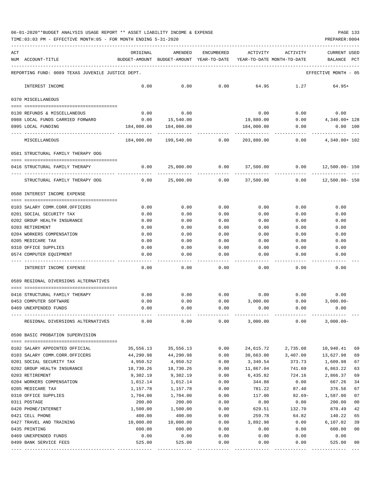TIME:03:03 PM - EFFECTIVE MONTH:05 - FOR MONTH ENDING 5-31-2020 PREPARER:0004

| ACT |                                                   | ORIGINAL                                 | AMENDED     | <b>ENCUMBERED</b> | ACTIVITY                   | ACTIVITY  | CURRENT USED                       |
|-----|---------------------------------------------------|------------------------------------------|-------------|-------------------|----------------------------|-----------|------------------------------------|
| NUM | ACCOUNT-TITLE                                     | BUDGET-AMOUNT BUDGET-AMOUNT YEAR-TO-DATE |             |                   | YEAR-TO-DATE MONTH-TO-DATE |           | BALANCE<br>PCT                     |
|     | REPORTING FUND: 0089 TEXAS JUVENILE JUSTICE DEPT. |                                          |             |                   |                            |           | EFFECTIVE MONTH - 05               |
|     | INTEREST INCOME                                   | 0.00                                     | 0.00        | 0.00              | 64.95                      | 1.27      | $64.95+$                           |
|     | 0370 MISCELLANEOUS                                |                                          |             |                   |                            |           |                                    |
|     | 0130 REFUNDS & MISCELLANEOUS                      | 0.00                                     | 0.00        |                   | 0.00                       | 0.00      | 0.00                               |
|     | 0988 LOCAL FUNDS CARRIED FORWARD                  | 0.00                                     | 15,540.00   |                   | 19,880.00                  | 0.00      | 4,340.00+ 128                      |
|     | 0995 LOCAL FUNDING                                | 184,000.00                               | 184,000.00  |                   | 184,000.00                 | 0.00      | $0.00$ 100                         |
|     | MISCELLANEOUS                                     | 184,000.00                               | 199,540.00  | 0.00              | 203,880.00                 | 0.00      | 4,340.00+ 102                      |
|     | 0581 STRUCTURAL FAMILY THERAPY OOG                |                                          |             |                   |                            |           |                                    |
|     |                                                   |                                          |             |                   |                            |           |                                    |
|     | 0416 STRUCTURAL FAMILY THERAPY                    | 0.00                                     | 25,000.00   | 0.00              | 37,500.00                  | 0.00      | 12,500.00- 150                     |
|     | STRUCTURAL FAMILY THERAPY OOG                     | 0.00                                     | 25,000.00   | 0.00              | 37,500.00                  | 0.00      | 12,500.00- 150                     |
|     | 0588 INTEREST INCOME EXPENSE                      |                                          |             |                   |                            |           |                                    |
|     | 0103 SALARY COMM.CORR.OFFICERS                    | 0.00                                     | 0.00        | 0.00              | 0.00                       | 0.00      | 0.00                               |
|     | 0201 SOCIAL SECURITY TAX                          | 0.00                                     | 0.00        | 0.00              | 0.00                       | 0.00      | 0.00                               |
|     | 0202 GROUP HEALTH INSURANCE                       | 0.00                                     | 0.00        | 0.00              | 0.00                       | 0.00      | 0.00                               |
|     | 0203 RETIREMENT                                   | 0.00                                     | 0.00        | 0.00              | 0.00                       | 0.00      | 0.00                               |
|     | 0204 WORKERS COMPENSATION                         | 0.00                                     | 0.00        | 0.00              | 0.00                       | 0.00      | 0.00                               |
|     | 0205 MEDICARE TAX                                 | 0.00                                     | 0.00        | 0.00              | 0.00                       | 0.00      | 0.00                               |
|     | 0310 OFFICE SUPPLIES                              | 0.00                                     | 0.00        | 0.00              | 0.00                       | 0.00      | 0.00                               |
|     | 0574 COMPUTER EQUIPMENT                           | 0.00                                     | 0.00        | 0.00              | 0.00                       | 0.00      | 0.00                               |
|     | INTEREST INCOME EXPENSE                           | 0.00                                     | 0.00        | 0.00              | 0.00                       | 0.00      | 0.00                               |
|     | 0589 REGIONAL DIVERSIONS ALTERNATIVES             |                                          |             |                   |                            |           |                                    |
|     | 0416 STRUCTURAL FAMILY THERAPY                    | 0.00                                     | 0.00        | 0.00              | 0.00                       | 0.00      | 0.00                               |
|     | 0453 COMPUTER SOFTWARE                            | 0.00                                     | 0.00        | 0.00              | 3,000.00                   | 0.00      | $3,000.00-$                        |
|     | 0469 UNEXPENDED FUNDS                             | 0.00                                     | 0.00        | 0.00              | 0.00                       | 0.00      | 0.00                               |
|     | REGIONAL DIVERSIONS ALTERNATIVES                  | 0.00                                     | 0.00        | 0.00              | 3,000.00                   | 0.00      | $3,000.00-$                        |
|     |                                                   |                                          |             |                   |                            |           |                                    |
|     | 0590 BASIC PROBATION SUPERVISION                  |                                          |             |                   |                            |           |                                    |
|     | 0102 SALARY APPOINTED OFFICIAL                    | 35,556.13                                | 35,556.13   | 0.00              | 24,615.72                  | 2,735.08  | 10,940.41<br>69                    |
|     | 0103 SALARY COMM.CORR.OFFICERS                    | 44,290.98                                | 44,290.98   | 0.00              | 30,663.00                  | 3,407.00  | 69<br>13,627.98                    |
|     | 0201 SOCIAL SECURITY TAX                          | 4,950.52                                 | 4,950.52    | 0.00              | 3,340.54                   | 373.73    | 1,609.98<br>67                     |
|     | 0202 GROUP HEALTH INSURANCE                       | 18,730.26                                | 18,730.26   | 0.00              | 11,867.04                  | 741.69    | 6,863.22<br>63                     |
|     | 0203 RETIREMENT                                   | 9,302.19                                 | 9,302.19    | 0.00              | 6,435.82                   | 724.16    | 2,866.37<br>69                     |
|     | 0204 WORKERS COMPENSATION                         | 1,012.14                                 | 1,012.14    | 0.00              | 344.88                     | 0.00      | 667.26<br>34                       |
|     | 0205 MEDICARE TAX                                 | 1,157.78                                 | 1,157.78    | 0.00              | 781.22                     | 87.40     | 376.56<br>67                       |
|     | 0310 OFFICE SUPPLIES                              | 1,704.00                                 | 1,704.00    | 0.00              | 117.00                     | $82.69 -$ | 1,587.00<br>07                     |
|     | 0311 POSTAGE                                      | 200.00                                   | 200.00      | 0.00              | 0.00                       | 0.00      | 200.00<br>0 <sub>0</sub>           |
|     | 0420 PHONE/INTERNET                               | 1,500.00                                 | 1,500.00    | 0.00              | 629.51                     | 132.70    | 870.49<br>42                       |
|     | 0421 CELL PHONE                                   | 400.00                                   | 400.00      | 0.00              | 259.78                     | 64.82     | 140.22<br>65                       |
|     | 0427 TRAVEL AND TRAINING                          | 10,000.00                                | 10,000.00   | 0.00              | 3,892.98                   | 0.00      | 6,107.02<br>39                     |
|     | 0435 PRINTING                                     | 600.00                                   | 600.00      | 0.00              | 0.00                       | 0.00      | 600.00<br>00                       |
|     | 0469 UNEXPENDED FUNDS                             | 0.00                                     | 0.00        | 0.00              | 0.00                       | 0.00      | 0.00                               |
|     | 0499 BANK SERVICE FEES                            | 525.00                                   | 525.00      | 0.00              | 0.00                       | 0.00      | 525.00<br>00                       |
|     |                                                   |                                          | ----------- | ------------      |                            |           | -----------<br>$\qquad \qquad - -$ |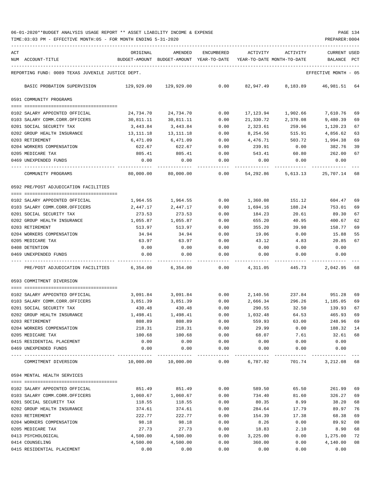TIME:03:03 PM - EFFECTIVE MONTH:05 - FOR MONTH ENDING 5-31-2020 PREPARER:0004

| ACT | NUM ACCOUNT-TITLE                                                | ORIGINAL              | AMENDED<br>BUDGET-AMOUNT BUDGET-AMOUNT YEAR-TO-DATE | ENCUMBERED          | ACTIVITY<br>YEAR-TO-DATE MONTH-TO-DATE | ACTIVITY           | <b>CURRENT USED</b><br>BALANCE | PCT      |
|-----|------------------------------------------------------------------|-----------------------|-----------------------------------------------------|---------------------|----------------------------------------|--------------------|--------------------------------|----------|
|     | REPORTING FUND: 0089 TEXAS JUVENILE JUSTICE DEPT.                |                       |                                                     |                     |                                        |                    | EFFECTIVE MONTH - 05           |          |
|     | BASIC PROBATION SUPERVISION                                      |                       | 129,929.00 129,929.00                               | 0.00                |                                        | 82,947.49 8,183.89 | 46,981.51 64                   |          |
|     | 0591 COMMUNITY PROGRAMS                                          |                       |                                                     |                     |                                        |                    |                                |          |
|     |                                                                  |                       |                                                     |                     |                                        |                    |                                |          |
|     | 0102 SALARY APPOINTED OFFICIAL                                   | 24,734.70             | 24,734.70                                           | 0.00                | 17,123.94                              | 1,902.66           | 7,610.76                       | 69       |
|     | 0103 SALARY COMM.CORR.OFFICERS                                   | 30,811.11             | 30,811.11                                           | 0.00                | 21,330.72                              | 2,370.08           | 9,480.39                       | 69       |
|     | 0201 SOCIAL SECURITY TAX<br>0202 GROUP HEALTH INSURANCE          | 3,443.84              | 3,443.84                                            | 0.00                | 2,323.61                               | 259.96<br>515.91   | 1,120.23                       | 67<br>63 |
|     | 0203 RETIREMENT                                                  | 13,111.18<br>6,471.09 | 13, 111. 18<br>6,471.09                             | 0.00<br>0.00        | 8,254.56<br>4,476.71                   | 503.72             | 4,856.62<br>1,994.38           | 69       |
|     | 0204 WORKERS COMPENSATION                                        | 622.67                | 622.67                                              | 0.00                | 239.91                                 | 0.00               | 382.76                         | 39       |
|     | 0205 MEDICARE TAX                                                | 805.41                | 805.41                                              | 0.00                | 543.41                                 | 60.80              | 262.00                         | 67       |
|     | 0469 UNEXPENDED FUNDS                                            | 0.00                  | 0.00                                                | 0.00                | 0.00                                   | 0.00               | 0.00                           |          |
|     | COMMUNITY PROGRAMS                                               | 80,000.00             | 80,000.00                                           | 0.00                | 54,292.86                              | 5,613.13           | 25,707.14                      | 68       |
|     | 0592 PRE/POST ADJUDICATION FACILITIES                            |                       |                                                     |                     |                                        |                    |                                |          |
|     |                                                                  |                       |                                                     |                     |                                        |                    |                                |          |
|     | 0102 SALARY APPOINTED OFFICIAL<br>0103 SALARY COMM.CORR.OFFICERS | 1,964.55<br>2,447.17  | 1,964.55<br>2,447.17                                | 0.00<br>0.00        | 1,360.08<br>1,694.16                   | 151.12<br>188.24   | 604.47<br>753.01               | 69<br>69 |
|     | 0201 SOCIAL SECURITY TAX                                         | 273.53                | 273.53                                              | 0.00                | 184.23                                 | 20.61              | 89.30                          | 67       |
|     | 0202 GROUP HEALTH INSURANCE                                      | 1,055.87              | 1,055.87                                            | 0.00                | 655.20                                 | 40.95              | 400.67                         | 62       |
|     | 0203 RETIREMENT                                                  | 513.97                | 513.97                                              | 0.00                | 355.20                                 | 39.98              | 158.77                         | 69       |
|     | 0204 WORKERS COMPENSATION                                        | 34.94                 | 34.94                                               | 0.00                | 19.06                                  | 0.00               | 15.88                          | 55       |
|     | 0205 MEDICARE TAX                                                | 63.97                 | 63.97                                               | 0.00                | 43.12                                  | 4.83               | 20.85                          | 67       |
|     | 0408 DETENTION                                                   | 0.00                  | 0.00                                                | 0.00                | 0.00                                   | 0.00               | 0.00                           |          |
|     | 0469 UNEXPENDED FUNDS                                            | 0.00                  | 0.00                                                | 0.00                | 0.00                                   | 0.00               | 0.00                           |          |
|     | PRE/POST ADJUDICATION FACILITIES                                 | 6,354.00              | 6,354.00                                            | 0.00                | 4,311.05                               | 445.73             | 2,042.95 68                    |          |
|     | 0593 COMMITMENT DIVERSION                                        |                       |                                                     |                     |                                        |                    |                                |          |
|     | 0102 SALARY APPOINTED OFFICIAL                                   | 3,091.84              | 3,091.84                                            | 0.00                | 2,140.56                               |                    | 237.84 951.28                  | 69       |
|     | 0103 SALARY COMM.CORR.OFFICERS                                   | 3,851.39              | 3,851.39                                            | 0.00                | 2,666.34                               | 296.26             | 1,185.05                       | 69       |
|     | 0201 SOCIAL SECURITY TAX                                         | 430.48                | 430.48                                              | 0.00                | 290.55                                 | 32.50              | 139.93                         | 67       |
|     | 0202 GROUP HEALTH INSURANCE                                      | 1,498.41              | 1,498.41                                            | 0.00                | 1,032.48                               | 64.53              | 465.93                         | 69       |
|     | 0203 RETIREMENT                                                  | 808.89                | 808.89                                              | 0.00                | 559.93                                 | 63.00              | 248.96                         | 69       |
|     | 0204 WORKERS COMPENSATION                                        | 218.31                | 218.31                                              | 0.00                | 29.99                                  | 0.00               | 188.32                         | 14       |
|     | 0205 MEDICARE TAX                                                | 100.68                | 100.68                                              | 0.00                | 68.07                                  | 7.61               | 32.61                          | 68       |
|     | 0415 RESIDENTIAL PLACEMENT                                       | 0.00                  | 0.00                                                | 0.00                | 0.00                                   | 0.00               | 0.00                           |          |
|     | 0469 UNEXPENDED FUNDS                                            | 0.00                  | 0.00                                                | 0.00<br>$- - - - -$ | 0.00                                   | 0.00               | 0.00                           |          |
|     | COMMITMENT DIVERSION                                             | 10,000.00             | 10,000.00                                           | 0.00                | 6,787.92                               | 701.74             | 3,212.08 68                    |          |
|     | 0594 MENTAL HEALTH SERVICES                                      |                       |                                                     |                     |                                        |                    |                                |          |
|     |                                                                  |                       |                                                     |                     |                                        |                    |                                |          |
|     | 0102 SALARY APPOINTED OFFICIAL<br>0103 SALARY COMM.CORR.OFFICERS | 851.49<br>1,060.67    | 851.49<br>1,060.67                                  | 0.00<br>0.00        | 589.50<br>734.40                       | 65.50<br>81.60     | 261.99<br>326.27               | 69<br>69 |
|     | 0201 SOCIAL SECURITY TAX                                         | 118.55                | 118.55                                              | 0.00                | 80.35                                  | 8.99               | 38.20                          | 68       |
|     | 0202 GROUP HEALTH INSURANCE                                      | 374.61                | 374.61                                              | 0.00                | 284.64                                 | 17.79              | 89.97                          | 76       |
|     | 0203 RETIREMENT                                                  | 222.77                | 222.77                                              | 0.00                | 154.39                                 | 17.38              | 68.38                          | 69       |
|     | 0204 WORKERS COMPENSATION                                        | 98.18                 | 98.18                                               | 0.00                | 8.26                                   | 0.00               | 89.92                          | 08       |
|     | 0205 MEDICARE TAX                                                | 27.73                 | 27.73                                               | 0.00                | 18.83                                  | 2.10               | 8.90                           | 68       |
|     | 0413 PSYCHOLOGICAL                                               | 4,500.00              | 4,500.00                                            | 0.00                | 3,225.00                               | 0.00               | 1,275.00                       | 72       |
|     | 0414 COUNSELING                                                  | 4,500.00              | 4,500.00                                            | 0.00                | 360.00                                 | 0.00               | 4,140.00                       | 08       |

0415 RESIDENTIAL PLACEMENT 0.00 0.00 0.00 0.00 0.00 0.00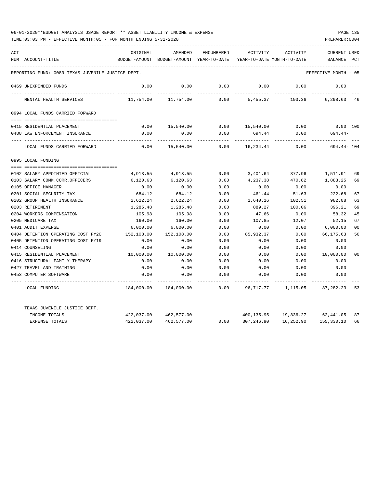| ACT |                                                   | ORIGINAL   | AMENDED                                  | ENCUMBERED | ACTIVITY                   | ACTIVITY  | <b>CURRENT USED</b>  |                |
|-----|---------------------------------------------------|------------|------------------------------------------|------------|----------------------------|-----------|----------------------|----------------|
|     | NUM ACCOUNT-TITLE                                 |            | BUDGET-AMOUNT BUDGET-AMOUNT YEAR-TO-DATE |            | YEAR-TO-DATE MONTH-TO-DATE |           | BALANCE              | PCT            |
|     | REPORTING FUND: 0089 TEXAS JUVENILE JUSTICE DEPT. |            |                                          |            |                            |           | EFFECTIVE MONTH - 05 |                |
|     | 0469 UNEXPENDED FUNDS                             | 0.00       | 0.00                                     | 0.00       | 0.00                       | 0.00      | 0.00                 |                |
|     |                                                   |            |                                          |            |                            |           |                      |                |
|     | MENTAL HEALTH SERVICES                            | 11,754.00  | 11,754.00                                | 0.00       | 5,455.37                   | 193.36    | 6,298.63 46          |                |
|     | 0994 LOCAL FUNDS CARRIED FORWARD                  |            |                                          |            |                            |           |                      |                |
|     |                                                   |            |                                          |            |                            |           |                      |                |
|     | 0415 RESIDENTIAL PLACEMENT                        | 0.00       | 15,540.00                                |            | $0.00$ 15,540.00           | 0.00      | $0.00$ 100           |                |
|     | 0488 LAW ENFORCEMENT INSURANCE                    | 0.00       | 0.00                                     | 0.00       | 694.44                     | 0.00      | $694.44-$            |                |
|     | LOCAL FUNDS CARRIED FORWARD                       | 0.00       | 15,540.00                                | 0.00       | 16,234.44                  | 0.00      | 694.44- 104          |                |
|     | 0995 LOCAL FUNDING                                |            |                                          |            |                            |           |                      |                |
|     |                                                   |            |                                          |            |                            |           |                      |                |
|     | 0102 SALARY APPOINTED OFFICIAL                    | 4,913.55   | 4,913.55                                 | 0.00       | 3,401.64                   | 377.96    | 1,511.91             | 69             |
|     | 0103 SALARY COMM.CORR.OFFICERS                    | 6,120.63   | 6,120.63                                 | 0.00       | 4,237.38                   | 470.82    | 1,883.25             | 69             |
|     | 0105 OFFICE MANAGER                               | 0.00       | 0.00                                     | 0.00       | 0.00                       | 0.00      | 0.00                 |                |
|     | 0201 SOCIAL SECURITY TAX                          | 684.12     | 684.12                                   | 0.00       | 461.44                     | 51.63     | 222.68               | 67             |
|     | 0202 GROUP HEALTH INSURANCE                       | 2,622.24   | 2,622.24                                 | 0.00       | 1,640.16                   | 102.51    | 982.08               | 63             |
|     | 0203 RETIREMENT                                   | 1,285.48   | 1,285.48                                 | 0.00       | 889.27                     | 100.06    | 396.21               | 69             |
|     | 0204 WORKERS COMPENSATION                         | 105.98     | 105.98                                   | 0.00       | 47.66                      | 0.00      | 58.32                | 45             |
|     | 0205 MEDICARE TAX                                 | 160.00     | 160.00                                   | 0.00       | 107.85                     | 12.07     | 52.15                | 67             |
|     | 0401 AUDIT EXPENSE                                | 6,000.00   | 6,000.00                                 | 0.00       | 0.00                       | 0.00      | 6,000.00             | 0 <sup>0</sup> |
|     | 0404 DETENTION OPERATING COST FY20                | 152,108.00 | 152,108.00                               | 0.00       | 85,932.37                  | 0.00      | 66,175.63            | 56             |
|     | 0405 DETENTION OPERATING COST FY19                | 0.00       | 0.00                                     | 0.00       | 0.00                       | 0.00      | 0.00                 |                |
|     | 0414 COUNSELING                                   | 0.00       | 0.00                                     | 0.00       | 0.00                       | 0.00      | 0.00                 |                |
|     | 0415 RESIDENTIAL PLACEMENT                        | 10,000.00  | 10,000.00                                | 0.00       | 0.00                       | 0.00      | 10,000.00            | 00             |
|     | 0416 STRUCTURAL FAMILY THERAPY                    | 0.00       | 0.00                                     | 0.00       | 0.00                       | 0.00      | 0.00                 |                |
|     | 0427 TRAVEL AND TRAINING                          | 0.00       | 0.00                                     | 0.00       | 0.00                       | 0.00      | 0.00                 |                |
|     | 0453 COMPUTER SOFTWARE                            | 0.00       | 0.00                                     | 0.00       | 0.00                       | 0.00      | 0.00                 |                |
|     | LOCAL FUNDING                                     | 184,000.00 | 184,000.00                               | 0.00       | 96,717.77                  | 1,115.05  | 87,282.23            | 53             |
|     | TEXAS JUVENILE JUSTICE DEPT.                      |            |                                          |            |                            |           |                      |                |
|     | INCOME TOTALS                                     | 422,037.00 | 462,577.00                               |            | 400,135.95                 |           | 19,836.27 62,441.05  | 87             |
|     | <b>EXPENSE TOTALS</b>                             | 422,037.00 | 462,577.00                               | 0.00       | 307,246.90                 | 16,252.90 | 155,330.10           | 66             |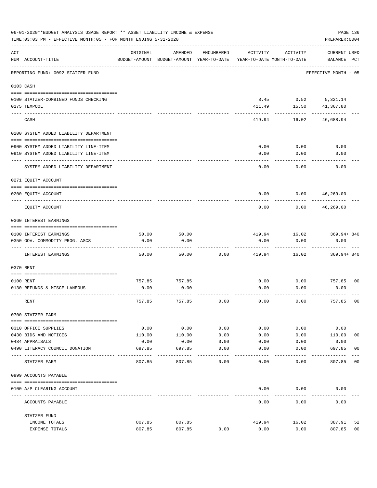|     | 06-01-2020**BUDGET ANALYSIS USAGE REPORT ** ASSET LIABILITY INCOME & EXPENSE<br>TIME: 03:03 PM - EFFECTIVE MONTH: 05 - FOR MONTH ENDING 5-31-2020 |          |                                                     |              |          |                                        | PAGE 136<br>PREPARER: 0004         |                |
|-----|---------------------------------------------------------------------------------------------------------------------------------------------------|----------|-----------------------------------------------------|--------------|----------|----------------------------------------|------------------------------------|----------------|
| ACT | NUM ACCOUNT-TITLE                                                                                                                                 | ORIGINAL | AMENDED<br>BUDGET-AMOUNT BUDGET-AMOUNT YEAR-TO-DATE | ENCUMBERED   | ACTIVITY | ACTIVITY<br>YEAR-TO-DATE MONTH-TO-DATE | <b>CURRENT USED</b><br>BALANCE PCT |                |
|     | REPORTING FUND: 0092 STATZER FUND                                                                                                                 |          |                                                     |              |          |                                        | EFFECTIVE MONTH - 05               |                |
|     | 0103 CASH                                                                                                                                         |          |                                                     |              |          |                                        |                                    |                |
|     | 0100 STATZER-COMBINED FUNDS CHECKING<br>0175 TEXPOOL                                                                                              |          |                                                     |              | 411.49   | 8.45 0.52 5,321.14<br>15.50            | 41,367.80                          |                |
|     | CASH                                                                                                                                              |          |                                                     |              | 419.94   | 16.02                                  | 46,688.94                          |                |
|     | 0200 SYSTEM ADDED LIABILITY DEPARTMENT                                                                                                            |          |                                                     |              |          |                                        |                                    |                |
|     | 0900 SYSTEM ADDED LIABILITY LINE-ITEM                                                                                                             |          |                                                     |              | 0.00     | 0.00                                   | 0.00                               |                |
|     | 0910 SYSTEM ADDED LIABILITY LINE-ITEM                                                                                                             |          |                                                     |              | 0.00     | 0.00                                   | 0.00                               |                |
|     | SYSTEM ADDED LIABILITY DEPARTMENT                                                                                                                 |          |                                                     |              | 0.00     | 0.00                                   | 0.00                               |                |
|     | 0271 EQUITY ACCOUNT                                                                                                                               |          |                                                     |              |          |                                        |                                    |                |
|     | 0200 EQUITY ACCOUNT                                                                                                                               |          |                                                     |              | 0.00     | 0.00                                   | 46,269.00                          |                |
|     | EQUITY ACCOUNT                                                                                                                                    |          |                                                     |              | 0.00     | 0.00                                   | 46,269.00                          |                |
|     | 0360 INTEREST EARNINGS                                                                                                                            |          |                                                     |              |          |                                        |                                    |                |
|     |                                                                                                                                                   |          |                                                     |              |          |                                        |                                    |                |
|     | 0100 INTEREST EARNINGS                                                                                                                            | 50.00    | 50.00                                               |              | 419.94   | 16.02                                  | 369.94+840                         |                |
|     | 0350 GOV. COMMODITY PROG. ASCS                                                                                                                    | 0.00     | 0.00                                                |              | 0.00     | 0.00                                   | 0.00                               |                |
|     | INTEREST EARNINGS                                                                                                                                 | 50.00    | 50.00                                               | 0.00         | 419.94   | 16.02                                  | $369.94 + 840$                     |                |
|     | 0370 RENT                                                                                                                                         |          |                                                     |              |          |                                        |                                    |                |
|     |                                                                                                                                                   |          |                                                     |              |          |                                        |                                    |                |
|     | 0100 RENT                                                                                                                                         | 757.85   | 757.85                                              |              | 0.00     | 0.00                                   | 757.85 00                          |                |
|     | 0130 REFUNDS & MISCELLANEOUS                                                                                                                      | 0.00     | 0.00                                                |              | 0.00     | 0.00                                   | 0.00                               |                |
|     | RENT                                                                                                                                              | 757.85   | 757.85                                              | 0.00         | 0.00     | 0.00                                   | 757.85                             | 0 <sub>0</sub> |
|     | 0700 STATZER FARM                                                                                                                                 |          |                                                     |              |          |                                        |                                    |                |
|     | 0310 OFFICE SUPPLIES                                                                                                                              | 0.00     | 0.00                                                | 0.00         | 0.00     | 0.00                                   | 0.00                               |                |
|     | 0430 BIDS AND NOTICES                                                                                                                             | 110.00   | 110.00                                              | 0.00         | 0.00     | 0.00                                   | 110.00                             | 0 <sub>0</sub> |
|     | 0484 APPRAISALS                                                                                                                                   | 0.00     | 0.00                                                | 0.00         | 0.00     | 0.00                                   | 0.00                               |                |
|     | 0490 LITERACY COUNCIL DONATION                                                                                                                    | 697.85   | 697.85                                              | 0.00<br>---- | 0.00     | 0.00                                   | 697.85                             | 00             |
|     | STATZER FARM                                                                                                                                      | 807.85   | 807.85                                              | 0.00         | 0.00     | 0.00                                   | 807.85                             | 0 <sub>0</sub> |
|     | 0999 ACCOUNTS PAYABLE                                                                                                                             |          |                                                     |              |          |                                        |                                    |                |
|     | 0100 A/P CLEARING ACCOUNT                                                                                                                         |          |                                                     |              | 0.00     | 0.00                                   | 0.00                               |                |
|     | ACCOUNTS PAYABLE                                                                                                                                  |          |                                                     |              | 0.00     | 0.00                                   | 0.00                               |                |
|     | STATZER FUND                                                                                                                                      |          |                                                     |              |          |                                        |                                    |                |
|     | INCOME TOTALS                                                                                                                                     | 807.85   | 807.85                                              |              | 419.94   | 16.02                                  | 387.91                             | 52             |
|     | EXPENSE TOTALS                                                                                                                                    | 807.85   | 807.85                                              | 0.00         | 0.00     | 0.00                                   | 807.85                             | 0 <sub>0</sub> |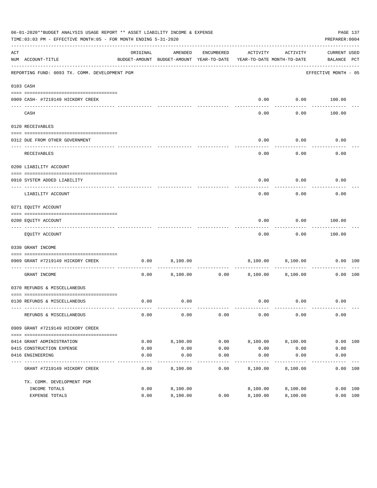|     | 06-01-2020**BUDGET ANALYSIS USAGE REPORT ** ASSET LIABILITY INCOME & EXPENSE<br>TIME: 03:03 PM - EFFECTIVE MONTH: 05 - FOR MONTH ENDING 5-31-2020 |                                                                                 |          |               |                   |                   | PREPARER: 0004              | PAGE 137 |
|-----|---------------------------------------------------------------------------------------------------------------------------------------------------|---------------------------------------------------------------------------------|----------|---------------|-------------------|-------------------|-----------------------------|----------|
| ACT | NUM ACCOUNT-TITLE                                                                                                                                 | ORIGINAL<br>BUDGET-AMOUNT BUDGET-AMOUNT YEAR-TO-DATE YEAR-TO-DATE MONTH-TO-DATE | AMENDED  | ENCUMBERED    | ACTIVITY          | ACTIVITY          | CURRENT USED<br>BALANCE PCT |          |
|     | REPORTING FUND: 0093 TX. COMM. DEVELOPMENT PGM                                                                                                    |                                                                                 |          |               |                   |                   | EFFECTIVE MONTH - 05        |          |
|     | 0103 CASH                                                                                                                                         |                                                                                 |          |               |                   |                   |                             |          |
|     | 0909 CASH- #7219149 HICKORY CREEK                                                                                                                 |                                                                                 |          |               | 0.00              |                   | $0.00$ 100.00               |          |
|     | CASH                                                                                                                                              |                                                                                 |          |               | - - - - -<br>0.00 | ---------<br>0.00 | 100.00                      |          |
|     | 0120 RECEIVABLES                                                                                                                                  |                                                                                 |          |               |                   |                   |                             |          |
|     | 0312 DUE FROM OTHER GOVERNMENT                                                                                                                    |                                                                                 |          |               | 0.00              | 0.00              | 0.00                        |          |
|     | RECEIVABLES                                                                                                                                       |                                                                                 |          |               | 0.00              | ---------<br>0.00 | 0.00                        |          |
|     | 0200 LIABILITY ACCOUNT                                                                                                                            |                                                                                 |          |               |                   |                   |                             |          |
|     | 0910 SYSTEM ADDED LIABILITY                                                                                                                       |                                                                                 |          |               | 0.00              | 0.00              | 0.00                        |          |
|     | LIABILITY ACCOUNT                                                                                                                                 |                                                                                 |          |               | 0.00              | 0.00              | 0.00                        |          |
|     | 0271 EQUITY ACCOUNT                                                                                                                               |                                                                                 |          |               |                   |                   |                             |          |
|     | 0200 EQUITY ACCOUNT<br>-------------------------------                                                                                            |                                                                                 |          |               | 0.00              | 0.00<br>--------- | 100.00<br>----------        |          |
|     | EQUITY ACCOUNT                                                                                                                                    |                                                                                 |          |               | 0.00              | 0.00              | 100.00                      |          |
|     | 0330 GRANT INCOME                                                                                                                                 |                                                                                 |          |               |                   |                   |                             |          |
|     | 0909 GRANT #7219149 HICKORY CREEK                                                                                                                 | 0.00                                                                            | 8,100.00 |               |                   | 8,100.00 8,100.00 | 0.00 100                    |          |
|     | GRANT INCOME                                                                                                                                      | 0.00                                                                            |          | 8,100.00 0.00 | 8,100.00          | 8,100.00          | 0.00 100                    |          |
|     | 0370 REFUNDS & MISCELLANEOUS                                                                                                                      |                                                                                 |          |               |                   |                   |                             |          |
|     | 0130 REFUNDS & MISCELLANEOUS                                                                                                                      | 0.00                                                                            | 0.00     |               |                   | $0.00$ $0.00$     | 0.00                        |          |
|     |                                                                                                                                                   |                                                                                 |          |               |                   |                   |                             |          |
|     | REFUNDS & MISCELLANEOUS                                                                                                                           | 0.00                                                                            | 0.00     | 0.00          | 0.00              | 0.00              | 0.00                        |          |
|     | 0909 GRANT #7219149 HICKORY CREEK                                                                                                                 |                                                                                 |          |               |                   |                   |                             |          |
|     | 0414 GRANT ADMINISTRATION                                                                                                                         | 0.00                                                                            | 8,100.00 | 0.00          | 8,100.00          | 8,100.00          | 0.00 100                    |          |
|     | 0415 CONSTRUCTION EXPENSE                                                                                                                         | 0.00                                                                            | 0.00     | 0.00          | 0.00              | 0.00              | 0.00                        |          |
|     | 0416 ENGINEERING                                                                                                                                  | 0.00                                                                            | 0.00     | 0.00          | 0.00              | 0.00<br>--------  | 0.00                        |          |
|     | GRANT #7219149 HICKORY CREEK                                                                                                                      | 0.00                                                                            | 8,100.00 | 0.00          | 8,100.00          | 8,100.00          | 0.00 100                    |          |
|     | TX. COMM. DEVELOPMENT PGM                                                                                                                         |                                                                                 |          |               |                   |                   |                             |          |
|     | INCOME TOTALS                                                                                                                                     | 0.00                                                                            | 8,100.00 |               | 8,100.00          | 8,100.00          | 0.00 100                    |          |
|     | EXPENSE TOTALS                                                                                                                                    | 0.00                                                                            | 8,100.00 | 0.00          | 8,100.00          | 8,100.00          | 0.00 100                    |          |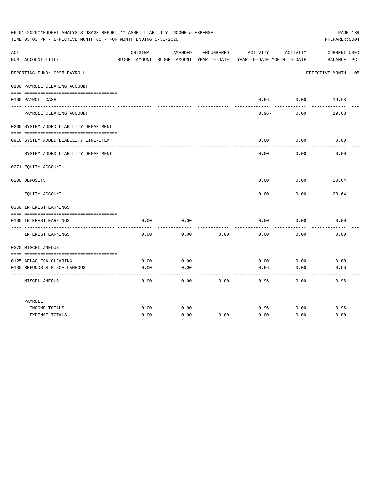|     | 06-01-2020**BUDGET ANALYSIS USAGE REPORT ** ASSET LIABILITY INCOME & EXPENSE<br>TIME: 03:03 PM - EFFECTIVE MONTH: 05 - FOR MONTH ENDING 5-31-2020 |              |              |            |                                                                                 |                            |                                    |  |  |
|-----|---------------------------------------------------------------------------------------------------------------------------------------------------|--------------|--------------|------------|---------------------------------------------------------------------------------|----------------------------|------------------------------------|--|--|
| ACT | NUM ACCOUNT-TITLE                                                                                                                                 | ORIGINAL     | AMENDED      | ENCUMBERED | ACTIVITY<br>BUDGET-AMOUNT BUDGET-AMOUNT YEAR-TO-DATE YEAR-TO-DATE MONTH-TO-DATE | ACTIVITY                   | <b>CURRENT USED</b><br>BALANCE PCT |  |  |
|     | REPORTING FUND: 0095 PAYROLL                                                                                                                      |              |              |            |                                                                                 |                            | EFFECTIVE MONTH - 05               |  |  |
|     | 0100 PAYROLL CLEARING ACCOUNT                                                                                                                     |              |              |            |                                                                                 |                            |                                    |  |  |
|     | 0100 PAYROLL CASH                                                                                                                                 |              |              |            | ---------                                                                       | $0.96 - 0.00$<br>--------- | 19.68                              |  |  |
|     | PAYROLL CLEARING ACCOUNT                                                                                                                          |              |              |            | $0.96 -$                                                                        | 0.00                       | 19.68                              |  |  |
|     | 0200 SYSTEM ADDED LIABILITY DEPARTMENT                                                                                                            |              |              |            |                                                                                 |                            |                                    |  |  |
|     | 0910 SYSTEM ADDED LIABILITY LINE-ITEM                                                                                                             |              |              |            | 0.00                                                                            | 0.00                       | 0.00                               |  |  |
|     | SYSTEM ADDED LIABILITY DEPARTMENT                                                                                                                 |              |              |            | 0.00                                                                            | 0.00                       | 0.00                               |  |  |
|     | 0271 EQUITY ACCOUNT                                                                                                                               |              |              |            |                                                                                 |                            |                                    |  |  |
|     |                                                                                                                                                   |              |              |            |                                                                                 | 0.00                       |                                    |  |  |
|     | 0200 DEPOSITS                                                                                                                                     |              |              |            | 0.00                                                                            |                            | 20.64                              |  |  |
|     | EQUITY ACCOUNT                                                                                                                                    |              |              |            | 0.00                                                                            | 0.00                       | 20.64                              |  |  |
|     | 0360 INTEREST EARNINGS                                                                                                                            |              |              |            |                                                                                 |                            |                                    |  |  |
|     |                                                                                                                                                   |              |              |            |                                                                                 |                            |                                    |  |  |
|     | 0100 INTEREST EARNINGS                                                                                                                            | 0.00         | 0.00         |            | 0.00                                                                            | 0.00                       | 0.00                               |  |  |
|     | INTEREST EARNINGS                                                                                                                                 | 0.00         | 0.00         | 0.00       | 0.00                                                                            | 0.00                       | 0.00                               |  |  |
|     | 0370 MISCELLANEOUS                                                                                                                                |              |              |            |                                                                                 |                            |                                    |  |  |
|     |                                                                                                                                                   |              |              |            |                                                                                 |                            |                                    |  |  |
|     | 0125 AFLAC FSA CLEARING<br>0130 REFUNDS & MISCELLANEOUS                                                                                           | 0.00<br>0.00 | 0.00<br>0.00 |            | 0.00<br>$0.96 -$                                                                | 0.00<br>0.00               | 0.00<br>0.96                       |  |  |
|     |                                                                                                                                                   |              |              |            |                                                                                 |                            |                                    |  |  |
|     | MISCELLANEOUS                                                                                                                                     | 0.00         | 0.00         | 0.00       | $0.96 -$                                                                        | 0.00                       | 0.96                               |  |  |
|     | PAYROLL                                                                                                                                           |              |              |            |                                                                                 |                            |                                    |  |  |
|     | INCOME TOTALS                                                                                                                                     | 0.00         | 0.00         |            | $0.96 -$                                                                        | 0.00                       | 0.96                               |  |  |
|     | <b>EXPENSE TOTALS</b>                                                                                                                             | 0.00         | 0.00         | 0.00       | 0.00                                                                            | 0.00                       | 0.00                               |  |  |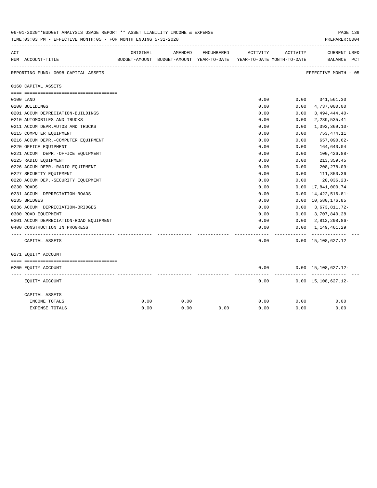|     | 06-01-2020**BUDGET ANALYSIS USAGE REPORT ** ASSET LIABILITY INCOME & EXPENSE<br>TIME: 03:03 PM - EFFECTIVE MONTH: 05 - FOR MONTH ENDING 5-31-2020 |          |                                                                     |            |          |          |                                                |  |  |
|-----|---------------------------------------------------------------------------------------------------------------------------------------------------|----------|---------------------------------------------------------------------|------------|----------|----------|------------------------------------------------|--|--|
| ACT |                                                                                                                                                   | ORIGINAL | AMENDED                                                             | ENCUMBERED | ACTIVITY | ACTIVITY | <b>CURRENT USED</b>                            |  |  |
|     | NUM ACCOUNT-TITLE                                                                                                                                 |          | BUDGET-AMOUNT BUDGET-AMOUNT YEAR-TO-DATE YEAR-TO-DATE MONTH-TO-DATE |            |          |          | BALANCE PCT                                    |  |  |
|     | REPORTING FUND: 0098 CAPITAL ASSETS                                                                                                               |          |                                                                     |            |          |          | ----------------------<br>EFFECTIVE MONTH - 05 |  |  |
|     | 0160 CAPITAL ASSETS                                                                                                                               |          |                                                                     |            |          |          |                                                |  |  |
|     |                                                                                                                                                   |          |                                                                     |            |          |          |                                                |  |  |
|     | 0100 LAND                                                                                                                                         |          |                                                                     |            | 0.00     | 0.00     | 341,561.30                                     |  |  |
|     | 0200 BUILDINGS                                                                                                                                    |          |                                                                     |            | 0.00     | 0.00     | 4,737,000.00                                   |  |  |
|     | 0201 ACCUM.DEPRECIATION-BUILDINGS                                                                                                                 |          |                                                                     |            | 0.00     | 0.00     | $3,494,444.40-$                                |  |  |
|     | 0210 AUTOMOBILES AND TRUCKS                                                                                                                       |          |                                                                     |            | 0.00     | 0.00     | 2,289,535.41                                   |  |  |
|     | 0211 ACCUM.DEPR.AUTOS AND TRUCKS                                                                                                                  |          |                                                                     |            | 0.00     | 0.00     | $1,392,369.10-$                                |  |  |
|     | 0215 COMPUTER EQUIPMENT                                                                                                                           |          |                                                                     |            | 0.00     | 0.00     | 753,474.11                                     |  |  |
|     | 0216 ACCUM.DEPR.-COMPUTER EQUIPMENT                                                                                                               |          |                                                                     |            | 0.00     | 0.00     | 657,090.62-                                    |  |  |
|     | 0220 OFFICE EQUIPMENT                                                                                                                             |          |                                                                     |            | 0.00     | 0.00     | 164,640.04                                     |  |  |
|     | 0221 ACCUM. DEPR.-OFFICE EQUIPMENT                                                                                                                |          |                                                                     |            | 0.00     | 0.00     | $100, 426.88 -$                                |  |  |
|     | 0225 RADIO EQUIPMENT                                                                                                                              |          |                                                                     |            | 0.00     | 0.00     | 213, 359.45                                    |  |  |
|     | 0226 ACCUM.DEPR.-RADIO EQUIPMENT                                                                                                                  |          |                                                                     |            | 0.00     | 0.00     | 208,278.09-                                    |  |  |
|     | 0227 SECURITY EQUIPMENT                                                                                                                           |          |                                                                     |            | 0.00     | 0.00     | 111,850.36                                     |  |  |
|     | 0228 ACCUM.DEP. - SECURITY EQUIPMENT                                                                                                              |          |                                                                     |            | 0.00     | 0.00     | $20,036.23-$                                   |  |  |
|     | 0230 ROADS                                                                                                                                        |          |                                                                     |            | 0.00     | 0.00     | 17,841,000.74                                  |  |  |
|     | 0231 ACCUM. DEPRECIATION-ROADS                                                                                                                    |          |                                                                     |            | 0.00     | 0.00     | 14, 422, 516.81-                               |  |  |
|     | 0235 BRIDGES                                                                                                                                      |          |                                                                     |            | 0.00     |          | 0.00 10,580,176.85                             |  |  |
|     | 0236 ACCUM. DEPRECIATION-BRIDGES                                                                                                                  |          |                                                                     |            | 0.00     | 0.00     | 3,673,811.72-                                  |  |  |
|     | 0300 ROAD EQUIPMENT                                                                                                                               |          |                                                                     |            | 0.00     | 0.00     | 3,707,840.28                                   |  |  |
|     | 0301 ACCUM.DEPRECIATION-ROAD EQUIPMENT                                                                                                            |          |                                                                     |            | 0.00     | 0.00     | 2,812,298.86-                                  |  |  |
|     | 0400 CONSTRUCTION IN PROGRESS                                                                                                                     |          |                                                                     |            | 0.00     | 0.00     | 1,149,461.29                                   |  |  |
|     |                                                                                                                                                   |          |                                                                     |            |          |          |                                                |  |  |
|     | CAPITAL ASSETS                                                                                                                                    |          |                                                                     |            | 0.00     |          | $0.00 \quad 15,108,627.12$                     |  |  |
|     | 0271 EQUITY ACCOUNT                                                                                                                               |          |                                                                     |            |          |          |                                                |  |  |
|     |                                                                                                                                                   |          |                                                                     |            |          |          |                                                |  |  |
|     | 0200 EQUITY ACCOUNT                                                                                                                               |          |                                                                     |            | 0.00     |          | $0.00 \quad 15,108,627.12 -$<br>----------     |  |  |
|     | EQUITY ACCOUNT                                                                                                                                    |          |                                                                     |            | 0.00     |          | $0.00 \quad 15,108,627.12 -$                   |  |  |
|     | CAPITAL ASSETS                                                                                                                                    |          |                                                                     |            |          |          |                                                |  |  |
|     | INCOME TOTALS                                                                                                                                     | 0.00     | 0.00                                                                |            | 0.00     | 0.00     | 0.00                                           |  |  |
|     | <b>EXPENSE TOTALS</b>                                                                                                                             | 0.00     | 0.00                                                                | 0.00       | 0.00     | 0.00     | 0.00                                           |  |  |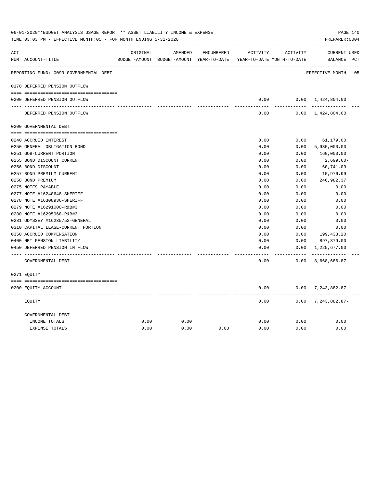| ACT |                                        | ORIGINAL | AMENDED                                  | ENCUMBERED | ACTIVITY                   | ACTIVITY          | <b>CURRENT USED</b>          |  |
|-----|----------------------------------------|----------|------------------------------------------|------------|----------------------------|-------------------|------------------------------|--|
|     | NUM ACCOUNT-TITLE                      |          | BUDGET-AMOUNT BUDGET-AMOUNT YEAR-TO-DATE |            | YEAR-TO-DATE MONTH-TO-DATE |                   | BALANCE PCT                  |  |
|     | REPORTING FUND: 0099 GOVERNMENTAL DEBT |          |                                          |            |                            |                   | EFFECTIVE MONTH - 05         |  |
|     | 0170 DEFERRED PENSION OUTFLOW          |          |                                          |            |                            |                   |                              |  |
|     | 0200 DEFERRED PENSION OUTFLOW          |          |                                          |            | 0.00                       |                   | $0.00 \quad 1,424,804.00$    |  |
|     |                                        |          |                                          |            |                            | .                 |                              |  |
|     | DEFERRED PENSION OUTFLOW               |          |                                          |            | 0.00                       |                   | $0.00 \quad 1,424,804.00$    |  |
|     | 0200 GOVERNMENTAL DEBT                 |          |                                          |            |                            |                   |                              |  |
|     |                                        |          |                                          |            |                            |                   |                              |  |
|     | 0240 ACCRUED INTEREST                  |          |                                          |            | 0.00                       | 0.00              | 61,179.00                    |  |
|     | 0250 GENERAL OBLIGATION BOND           |          |                                          |            | 0.00                       | 0.00              | 5,930,000.00                 |  |
|     | 0251 GOB-CURRENT PORTION               |          |                                          |            | 0.00                       | 0.00              | 160,000.00                   |  |
|     | 0255 BOND DISCOUNT CURRENT             |          |                                          |            | 0.00                       | 0.00              | 2,699.60-                    |  |
|     | 0256 BOND DISCOUNT                     |          |                                          |            | 0.00                       | 0.00              | 60,741.09-                   |  |
|     | 0257 BOND PREMIUM CURRENT              |          |                                          |            | 0.00                       | 0.00              | 10,976.99                    |  |
|     | 0258 BOND PREMIUM                      |          |                                          |            | 0.00                       | 0.00              | 246,982.37                   |  |
|     | 0275 NOTES PAYABLE                     |          |                                          |            | 0.00                       | 0.00              | 0.00                         |  |
|     | 0277 NOTE #16240648-SHERIFF            |          |                                          |            | 0.00                       | 0.00              | 0.00                         |  |
|     | 0278 NOTE #16308936-SHERIFF            |          |                                          |            | 0.00                       | 0.00              | 0.00                         |  |
|     | 0279 NOTE #16291000-R&B#3              |          |                                          |            | 0.00                       | 0.00              | 0.00                         |  |
|     | 0280 NOTE #16295968-R&B#3              |          |                                          |            | 0.00                       | 0.00              | 0.00                         |  |
|     | 0281 ODYSSEY #16235752-GENERAL         |          |                                          |            | 0.00                       | 0.00              | 0.00                         |  |
|     | 0310 CAPITAL LEASE-CURRENT PORTION     |          |                                          |            | 0.00                       | 0.00              | 0.00                         |  |
|     | 0350 ACCRUED COMPENSATION              |          |                                          |            | 0.00                       | 0.00              | 199,433.20                   |  |
|     | 0400 NET PENSION LIABILITY             |          |                                          |            | 0.00                       | 0.00              | 897,879.00                   |  |
|     | 0450 DEFERRED PENSION IN FLOW          |          |                                          |            | 0.00                       | 0.00<br>$- - - -$ | 1,225,677.00<br>------------ |  |
|     | GOVERNMENTAL DEBT                      |          |                                          |            | 0.00                       | 0.00              | 8,668,686.87                 |  |
|     | 0271 EOUITY                            |          |                                          |            |                            |                   |                              |  |
|     | 0200 EQUITY ACCOUNT                    |          |                                          |            | 0.00                       |                   | $0.00$ 7, 243, 882.87-       |  |
|     | EQUITY                                 |          |                                          |            | 0.00                       | 0.00              | ----------<br>7,243,882.87-  |  |
|     | GOVERNMENTAL DEBT                      |          |                                          |            |                            |                   |                              |  |
|     | INCOME TOTALS                          | 0.00     | 0.00                                     |            | 0.00                       | 0.00              | 0.00                         |  |
|     | <b>EXPENSE TOTALS</b>                  | 0.00     | 0.00                                     | 0.00       | 0.00                       | 0.00              | 0.00                         |  |